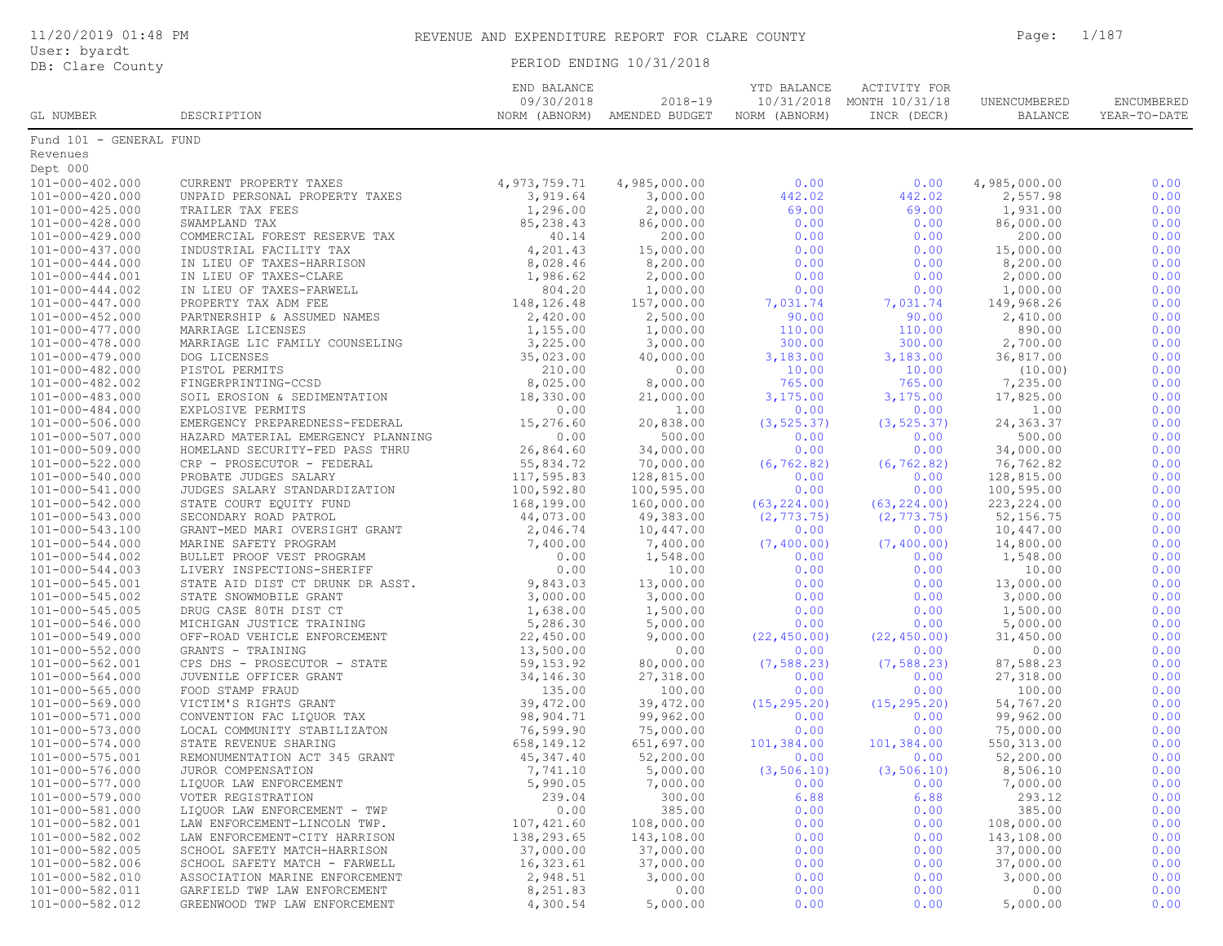|  | 11/20/2019 01:48 PM |  |
|--|---------------------|--|
|  |                     |  |

User: byardt

DB: Clare County **PERIOD ENDING 10/31/2018** 

| GL NUMBER                          | DESCRIPTION                                                   | END BALANCE<br>09/30/2018<br>NORM (ABNORM) | $2018 - 19$<br>AMENDED BUDGET | YTD BALANCE<br>10/31/2018<br>NORM (ABNORM) | ACTIVITY FOR<br>MONTH 10/31/18<br>INCR (DECR) | UNENCUMBERED<br><b>BALANCE</b> | ENCUMBERED<br>YEAR-TO-DATE |
|------------------------------------|---------------------------------------------------------------|--------------------------------------------|-------------------------------|--------------------------------------------|-----------------------------------------------|--------------------------------|----------------------------|
| Fund 101 - GENERAL FUND            |                                                               |                                            |                               |                                            |                                               |                                |                            |
| Revenues                           |                                                               |                                            |                               |                                            |                                               |                                |                            |
| Dept 000                           |                                                               |                                            |                               |                                            |                                               |                                |                            |
| $101 - 000 - 402.000$              | CURRENT PROPERTY TAXES                                        | 4, 973, 759. 71                            | 4,985,000.00                  | 0.00                                       | 0.00                                          | 4,985,000.00                   | 0.00                       |
| 101-000-420.000                    | UNPAID PERSONAL PROPERTY TAXES                                | 3,919.64                                   | 3,000.00                      | 442.02                                     | 442.02                                        | 2,557.98                       | 0.00                       |
| $101 - 000 - 425.000$              | TRAILER TAX FEES                                              | 1,296.00                                   | 2,000.00                      | 69.00                                      | 69.00                                         | 1,931.00                       | 0.00                       |
| 101-000-428.000                    | SWAMPLAND TAX                                                 | 85,238.43                                  | 86,000.00                     | 0.00                                       | 0.00                                          | 86,000.00                      | 0.00                       |
| $101 - 000 - 429.000$              | COMMERCIAL FOREST RESERVE TAX                                 | 40.14                                      | 200.00                        | 0.00                                       | 0.00                                          | 200.00                         | 0.00                       |
| $101 - 000 - 437.000$              | INDUSTRIAL FACILITY TAX                                       | 4,201.43                                   | 15,000.00                     | 0.00                                       | 0.00                                          | 15,000.00                      | 0.00                       |
| $101 - 000 - 444.000$              | IN LIEU OF TAXES-HARRISON                                     | 8,028.46                                   | 8,200.00                      | 0.00                                       | 0.00                                          | 8,200.00                       | 0.00                       |
| 101-000-444.001                    | IN LIEU OF TAXES-CLARE                                        | 1,986.62                                   | 2,000.00                      | 0.00                                       | 0.00                                          | 2,000.00                       | 0.00                       |
| $101 - 000 - 444.002$              | IN LIEU OF TAXES-FARWELL                                      | 804.20                                     | 1,000.00                      | 0.00                                       | 0.00                                          | 1,000.00                       | 0.00                       |
| $101 - 000 - 447.000$              | PROPERTY TAX ADM FEE                                          | 148, 126. 48                               | 157,000.00                    | 7,031.74                                   | 7,031.74                                      | 149,968.26                     | 0.00                       |
| $101 - 000 - 452.000$              | PARTNERSHIP & ASSUMED NAMES                                   | 2,420.00                                   | 2,500.00                      | 90.00                                      | 90.00                                         | 2,410.00                       | 0.00                       |
| 101-000-477.000                    | MARRIAGE LICENSES                                             | 1,155.00                                   | 1,000.00                      | 110.00                                     | 110.00                                        | 890.00                         | 0.00                       |
| 101-000-478.000                    | MARRIAGE LIC FAMILY COUNSELING                                | 3,225.00                                   | 3,000.00                      | 300.00                                     | 300.00                                        | 2,700.00                       | 0.00                       |
| $101 - 000 - 479.000$              | DOG LICENSES                                                  | 35,023.00                                  | 40,000.00                     | 3,183.00                                   | 3,183.00                                      | 36,817.00                      | 0.00                       |
| 101-000-482.000                    | PISTOL PERMITS                                                | 210.00                                     | 0.00                          | 10.00                                      | 10.00                                         | (10.00)                        | 0.00                       |
| 101-000-482.002                    | FINGERPRINTING-CCSD                                           | 8,025.00                                   | 8,000.00                      | 765.00                                     | 765.00                                        | 7,235.00                       | 0.00                       |
| 101-000-483.000                    | SOIL EROSION & SEDIMENTATION                                  | 18,330.00                                  | 21,000.00                     | 3,175.00                                   | 3,175.00                                      | 17,825.00                      | 0.00                       |
| $101 - 000 - 484.000$              | EXPLOSIVE PERMITS                                             | 0.00                                       | 1.00                          | 0.00                                       | 0.00                                          | 1.00                           | 0.00                       |
| 101-000-506.000                    | EMERGENCY PREPAREDNESS-FEDERAL                                | 15,276.60                                  | 20,838.00                     | (3, 525.37)                                | (3, 525.37)                                   | 24, 363.37                     | 0.00                       |
| 101-000-507.000                    | HAZARD MATERIAL EMERGENCY PLANNING                            | 0.00                                       | 500.00                        | 0.00                                       | 0.00                                          | 500.00                         | 0.00                       |
| 101-000-509.000                    | HOMELAND SECURITY-FED PASS THRU                               | 26,864.60                                  | 34,000.00                     | 0.00                                       | 0.00                                          | 34,000.00                      | 0.00                       |
| 101-000-522.000                    | CRP - PROSECUTOR - FEDERAL                                    | 55,834.72                                  | 70,000.00                     | (6, 762.82)                                | (6, 762.82)                                   | 76,762.82                      | 0.00                       |
| 101-000-540.000                    | PROBATE JUDGES SALARY                                         | 117,595.83                                 | 128,815.00                    | 0.00                                       | 0.00                                          | 128,815.00                     | 0.00                       |
| 101-000-541.000                    | JUDGES SALARY STANDARDIZATION                                 | 100,592.80                                 | 100,595.00                    | 0.00                                       | 0.00                                          | 100,595.00                     | 0.00                       |
| 101-000-542.000                    | STATE COURT EOUITY FUND                                       | 168,199.00                                 | 160,000.00                    | (63, 224.00)                               | (63, 224.00)                                  | 223, 224.00                    | 0.00                       |
| 101-000-543.000                    | SECONDARY ROAD PATROL                                         | 44,073.00                                  | 49,383.00                     | (2, 773.75)                                | (2, 773.75)                                   | 52, 156.75                     | 0.00                       |
| 101-000-543.100                    | GRANT-MED MARI OVERSIGHT GRANT                                | 2,046.74                                   | 10,447.00                     | 0.00                                       | 0.00                                          | 10,447.00                      | 0.00                       |
| 101-000-544.000                    | MARINE SAFETY PROGRAM                                         | 7,400.00                                   | 7,400.00                      | (7, 400.00)                                | (7, 400.00)                                   | 14,800.00                      | 0.00                       |
| 101-000-544.002                    | BULLET PROOF VEST PROGRAM                                     | 0.00                                       | 1,548.00                      | 0.00                                       | 0.00                                          | 1,548.00                       | 0.00                       |
| 101-000-544.003                    | LIVERY INSPECTIONS-SHERIFF                                    | 0.00                                       | 10.00                         | 0.00                                       | 0.00                                          | 10.00                          | 0.00                       |
| 101-000-545.001                    | STATE AID DIST CT DRUNK DR ASST.                              | 9,843.03                                   | 13,000.00                     | 0.00                                       | 0.00                                          | 13,000.00                      | 0.00                       |
| 101-000-545.002                    | STATE SNOWMOBILE GRANT                                        | 3,000.00                                   | 3,000.00                      | 0.00                                       | 0.00                                          | 3,000.00                       | 0.00                       |
| 101-000-545.005                    | DRUG CASE 80TH DIST CT                                        | 1,638.00                                   | 1,500.00                      | 0.00                                       | 0.00                                          | 1,500.00                       | 0.00                       |
| 101-000-546.000                    | MICHIGAN JUSTICE TRAINING                                     | 5,286.30                                   | 5,000.00                      | 0.00                                       | 0.00                                          | 5,000.00                       | 0.00                       |
| 101-000-549.000                    | OFF-ROAD VEHICLE ENFORCEMENT                                  | 22,450.00                                  | 9,000.00                      | (22, 450.00)                               | (22, 450.00)                                  | 31,450.00                      | 0.00                       |
| 101-000-552.000                    | GRANTS - TRAINING                                             | 13,500.00                                  | 0.00                          | 0.00                                       | 0.00                                          | 0.00                           | 0.00                       |
| 101-000-562.001                    | CPS DHS - PROSECUTOR - STATE                                  | 59, 153.92                                 | 80,000.00                     | (7, 588.23)                                | (7, 588.23)                                   | 87,588.23                      | 0.00                       |
| $101 - 000 - 564.000$              | JUVENILE OFFICER GRANT                                        | 34,146.30                                  | 27,318.00                     | 0.00                                       | 0.00                                          | 27,318.00                      | 0.00                       |
| $101 - 000 - 565.000$              | FOOD STAMP FRAUD                                              | 135.00                                     | 100.00                        | 0.00                                       | 0.00                                          | 100.00                         | 0.00                       |
| 101-000-569.000                    | VICTIM'S RIGHTS GRANT                                         | 39,472.00                                  | 39,472.00                     | (15, 295.20)                               | (15, 295.20)                                  | 54,767.20                      | 0.00                       |
| 101-000-571.000                    | CONVENTION FAC LIQUOR TAX                                     | 98,904.71                                  | 99,962.00                     | 0.00                                       | 0.00                                          | 99,962.00                      | 0.00                       |
| 101-000-573.000                    | LOCAL COMMUNITY STABILIZATON                                  | 76,599.90                                  | 75,000.00                     | 0.00                                       | 0.00                                          | 75,000.00                      | 0.00                       |
| $101 - 000 - 574.000$              | STATE REVENUE SHARING                                         | 658, 149. 12                               | 651,697.00                    | 101,384.00                                 | 101,384.00                                    | 550, 313.00                    | 0.00                       |
| 101-000-575.001                    | REMONUMENTATION ACT 345 GRANT                                 | 45,347.40                                  | 52,200.00                     | 0.00                                       | 0.00                                          | 52,200.00                      | 0.00                       |
| 101-000-576.000                    | JUROR COMPENSATION                                            | 7,741.10                                   | 5,000.00                      | (3, 506.10)                                | (3, 506.10)                                   | 8,506.10                       | 0.00                       |
| 101-000-577.000                    | LIQUOR LAW ENFORCEMENT                                        | 5,990.05<br>239.04                         | 7,000.00<br>300.00            | 0.00<br>6.88                               | 0.00                                          | 7,000.00<br>293.12             | 0.00                       |
| 101-000-579.000                    | VOTER REGISTRATION                                            | 0.00                                       | 385.00                        | 0.00                                       | 6.88                                          | 385.00                         | 0.00                       |
| 101-000-581.000<br>101-000-582.001 | LIQUOR LAW ENFORCEMENT - TWP<br>LAW ENFORCEMENT-LINCOLN TWP.  | 107,421.60                                 | 108,000.00                    | 0.00                                       | 0.00<br>0.00                                  | 108,000.00                     | 0.00                       |
| 101-000-582.002                    |                                                               | 138,293.65                                 | 143,108.00                    |                                            |                                               | 143,108.00                     | 0.00                       |
| 101-000-582.005                    | LAW ENFORCEMENT-CITY HARRISON<br>SCHOOL SAFETY MATCH-HARRISON | 37,000.00                                  | 37,000.00                     | 0.00<br>0.00                               | 0.00<br>0.00                                  | 37,000.00                      | 0.00<br>0.00               |
| 101-000-582.006                    | SCHOOL SAFETY MATCH - FARWELL                                 | 16,323.61                                  | 37,000.00                     | 0.00                                       | 0.00                                          | 37,000.00                      | 0.00                       |
| 101-000-582.010                    | ASSOCIATION MARINE ENFORCEMENT                                | 2,948.51                                   | 3,000.00                      | 0.00                                       | 0.00                                          | 3,000.00                       | 0.00                       |
| 101-000-582.011                    | GARFIELD TWP LAW ENFORCEMENT                                  | 8,251.83                                   | 0.00                          | 0.00                                       | 0.00                                          | 0.00                           | 0.00                       |
| 101-000-582.012                    | GREENWOOD TWP LAW ENFORCEMENT                                 | 4,300.54                                   | 5,000.00                      | 0.00                                       | 0.00                                          | 5,000.00                       | 0.00                       |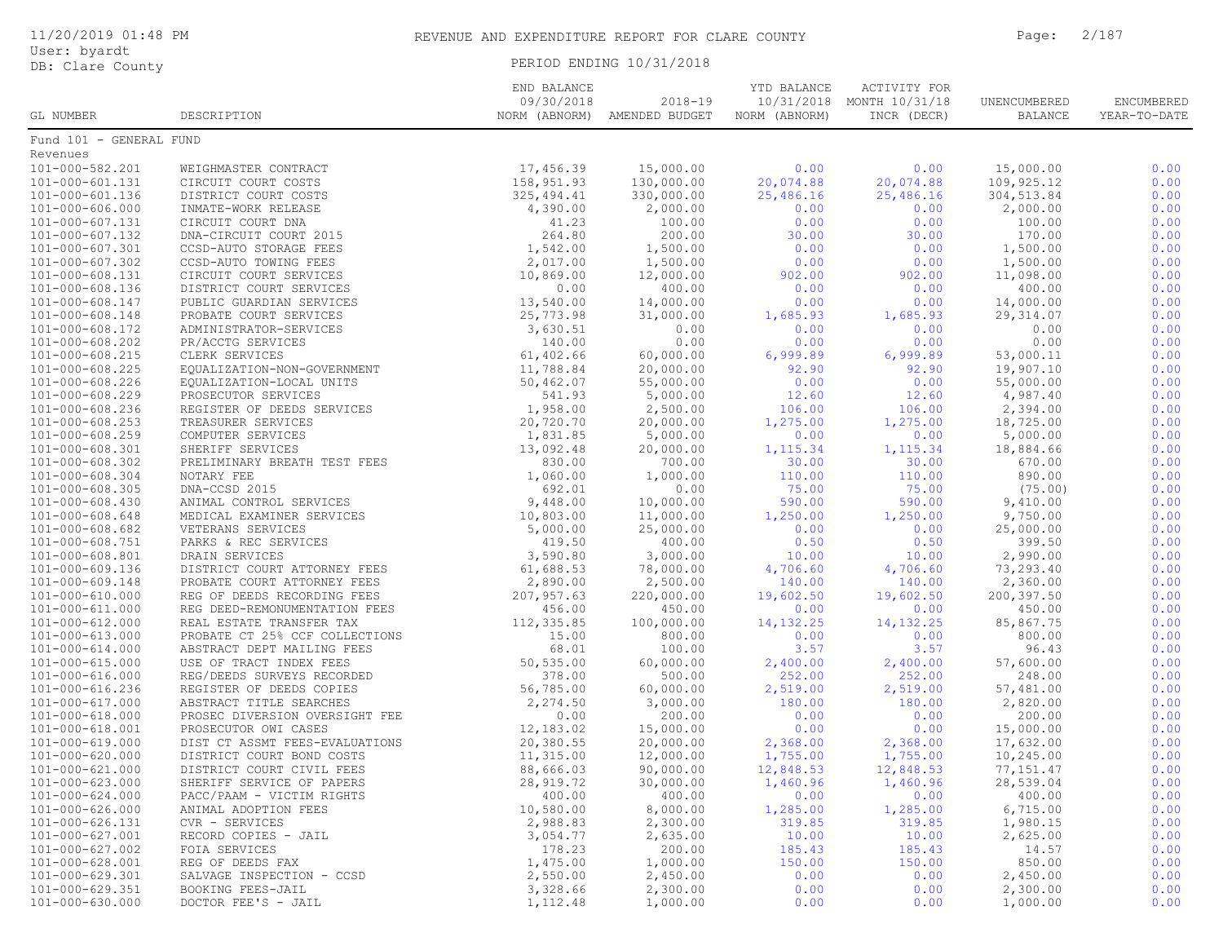|  | 11/20/2019 01:48 PM |  |
|--|---------------------|--|
|  |                     |  |

## PERIOD ENDING 10/31/2018

|                                          |                                | END BALANCE   |                | YTD BALANCE<br>ACTIVITY FOR |                |              |              |  |
|------------------------------------------|--------------------------------|---------------|----------------|-----------------------------|----------------|--------------|--------------|--|
|                                          |                                | 09/30/2018    | $2018 - 19$    | 10/31/2018                  | MONTH 10/31/18 | UNENCUMBERED | ENCUMBERED   |  |
| GL NUMBER                                | DESCRIPTION                    | NORM (ABNORM) | AMENDED BUDGET | NORM (ABNORM)               | INCR (DECR)    | BALANCE      | YEAR-TO-DATE |  |
| Fund 101 - GENERAL FUND                  |                                |               |                |                             |                |              |              |  |
| Revenues                                 |                                |               |                |                             |                |              |              |  |
| 101-000-582.201                          | WEIGHMASTER CONTRACT           | 17,456.39     | 15,000.00      | 0.00                        | 0.00           | 15,000.00    | 0.00         |  |
| 101-000-601.131                          | CIRCUIT COURT COSTS            | 158,951.93    | 130,000.00     | 20,074.88                   | 20,074.88      | 109,925.12   | 0.00         |  |
| 101-000-601.136                          | DISTRICT COURT COSTS           | 325, 494.41   | 330,000.00     | 25,486.16                   | 25,486.16      | 304, 513.84  | 0.00         |  |
| 101-000-606.000                          | INMATE-WORK RELEASE            | 4,390.00      | 2,000.00       | 0.00                        | 0.00           | 2,000.00     | 0.00         |  |
| 101-000-607.131                          | CIRCUIT COURT DNA              | 41.23         | 100.00         | 0.00                        | 0.00           | 100.00       | 0.00         |  |
| 101-000-607.132                          | DNA-CIRCUIT COURT 2015         | 264.80        | 200.00         | 30.00                       | 30.00          | 170.00       | 0.00         |  |
| 101-000-607.301                          | CCSD-AUTO STORAGE FEES         | 1,542.00      | 1,500.00       | 0.00                        | 0.00           | 1,500.00     | 0.00         |  |
| 101-000-607.302                          | CCSD-AUTO TOWING FEES          | 2,017.00      | 1,500.00       | 0.00                        | 0.00           | 1,500.00     | 0.00         |  |
| 101-000-608.131                          | CIRCUIT COURT SERVICES         | 10,869.00     | 12,000.00      | 902.00                      | 902.00         | 11,098.00    | 0.00         |  |
| 101-000-608.136                          | DISTRICT COURT SERVICES        | 0.00          | 400.00         | 0.00                        | 0.00           | 400.00       | 0.00         |  |
| 101-000-608.147                          | PUBLIC GUARDIAN SERVICES       | 13,540.00     | 14,000.00      | 0.00                        | 0.00           | 14,000.00    | 0.00         |  |
| 101-000-608.148                          | PROBATE COURT SERVICES         | 25,773.98     | 31,000.00      | 1,685.93                    | 1,685.93       | 29, 314.07   | 0.00         |  |
| 101-000-608.172                          | ADMINISTRATOR-SERVICES         | 3,630.51      | 0.00           | 0.00                        | 0.00           | 0.00         | 0.00         |  |
| 101-000-608.202                          | PR/ACCTG SERVICES              | 140.00        | 0.00           | 0.00                        | 0.00           | 0.00         | 0.00         |  |
|                                          |                                | 61,402.66     | 60,000.00      | 6,999.89                    | 6,999.89       | 53,000.11    | 0.00         |  |
| 101-000-608.215<br>$101 - 000 - 608.225$ | CLERK SERVICES                 |               |                |                             | 92.90          |              | 0.00         |  |
|                                          | EQUALIZATION-NON-GOVERNMENT    | 11,788.84     | 20,000.00      | 92.90                       |                | 19,907.10    |              |  |
| 101-000-608.226                          | EQUALIZATION-LOCAL UNITS       | 50,462.07     | 55,000.00      | 0.00                        | 0.00           | 55,000.00    | 0.00         |  |
| $101 - 000 - 608.229$                    | PROSECUTOR SERVICES            | 541.93        | 5,000.00       | 12.60                       | 12.60          | 4,987.40     | 0.00         |  |
| $101 - 000 - 608.236$                    | REGISTER OF DEEDS SERVICES     | 1,958.00      | 2,500.00       | 106.00                      | 106.00         | 2,394.00     | 0.00         |  |
| $101 - 000 - 608.253$                    | TREASURER SERVICES             | 20,720.70     | 20,000.00      | 1,275.00                    | 1,275.00       | 18,725.00    | 0.00         |  |
| 101-000-608.259                          | COMPUTER SERVICES              | 1,831.85      | 5,000.00       | 0.00                        | 0.00           | 5,000.00     | 0.00         |  |
| 101-000-608.301                          | SHERIFF SERVICES               | 13,092.48     | 20,000.00      | 1,115.34                    | 1,115.34       | 18,884.66    | 0.00         |  |
| 101-000-608.302                          | PRELIMINARY BREATH TEST FEES   | 830.00        | 700.00         | 30.00                       | 30.00          | 670.00       | 0.00         |  |
| 101-000-608.304                          | NOTARY FEE                     | 1,060.00      | 1,000.00       | 110.00                      | 110.00         | 890.00       | 0.00         |  |
| 101-000-608.305                          | DNA-CCSD 2015                  | 692.01        | 0.00           | 75.00                       | 75.00          | (75.00)      | 0.00         |  |
| $101 - 000 - 608.430$                    | ANIMAL CONTROL SERVICES        | 9,448.00      | 10,000.00      | 590.00                      | 590.00         | 9,410.00     | 0.00         |  |
| $101 - 000 - 608.648$                    | MEDICAL EXAMINER SERVICES      | 10,803.00     | 11,000.00      | 1,250.00                    | 1,250.00       | 9,750.00     | 0.00         |  |
| $101 - 000 - 608.682$                    | VETERANS SERVICES              | 5,000.00      | 25,000.00      | 0.00                        | 0.00           | 25,000.00    | 0.00         |  |
| 101-000-608.751                          | PARKS & REC SERVICES           | 419.50        | 400.00         | 0.50                        | 0.50           | 399.50       | 0.00         |  |
| 101-000-608.801                          | DRAIN SERVICES                 | 3,590.80      | 3,000.00       | 10.00                       | 10.00          | 2,990.00     | 0.00         |  |
| 101-000-609.136                          | DISTRICT COURT ATTORNEY FEES   | 61,688.53     | 78,000.00      | 4,706.60                    | 4,706.60       | 73,293.40    | 0.00         |  |
| 101-000-609.148                          | PROBATE COURT ATTORNEY FEES    | 2,890.00      | 2,500.00       | 140.00                      | 140.00         | 2,360.00     | 0.00         |  |
| 101-000-610.000                          | REG OF DEEDS RECORDING FEES    | 207,957.63    | 220,000.00     | 19,602.50                   | 19,602.50      | 200,397.50   | 0.00         |  |
| 101-000-611.000                          | REG DEED-REMONUMENTATION FEES  | 456.00        | 450.00         | 0.00                        | 0.00           | 450.00       | 0.00         |  |
| 101-000-612.000                          | REAL ESTATE TRANSFER TAX       | 112,335.85    | 100,000.00     | 14, 132. 25                 | 14, 132. 25    | 85,867.75    | 0.00         |  |
| 101-000-613.000                          | PROBATE CT 25% CCF COLLECTIONS | 15.00         | 800.00         | 0.00                        | 0.00           | 800.00       | 0.00         |  |
| 101-000-614.000                          | ABSTRACT DEPT MAILING FEES     | 68.01         | 100.00         | 3.57                        | 3.57           | 96.43        | 0.00         |  |
| 101-000-615.000                          | USE OF TRACT INDEX FEES        | 50,535.00     | 60,000.00      | 2,400.00                    | 2,400.00       | 57,600.00    | 0.00         |  |
| 101-000-616.000                          | REG/DEEDS SURVEYS RECORDED     | 378.00        | 500.00         | 252.00                      | 252.00         | 248.00       | 0.00         |  |
| 101-000-616.236                          | REGISTER OF DEEDS COPIES       | 56,785.00     | 60,000.00      | 2,519.00                    | 2,519.00       | 57,481.00    | 0.00         |  |
| 101-000-617.000                          | ABSTRACT TITLE SEARCHES        | 2,274.50      | 3,000.00       | 180.00                      | 180.00         | 2,820.00     | 0.00         |  |
| 101-000-618.000                          | PROSEC DIVERSION OVERSIGHT FEE | 0.00          | 200.00         | 0.00                        | 0.00           | 200.00       | 0.00         |  |
| 101-000-618.001                          | PROSECUTOR OWI CASES           | 12,183.02     | 15,000.00      | 0.00                        | 0.00           | 15,000.00    | 0.00         |  |
| 101-000-619.000                          | DIST CT ASSMT FEES-EVALUATIONS | 20,380.55     | 20,000.00      | 2,368.00                    | 2,368.00       | 17,632.00    | 0.00         |  |
| $101 - 000 - 620.000$                    | DISTRICT COURT BOND COSTS      | 11,315.00     | 12,000.00      | 1,755.00                    | 1,755.00       | 10,245.00    | 0.00         |  |
| $101 - 000 - 621.000$                    | DISTRICT COURT CIVIL FEES      | 88,666.03     | 90,000.00      | 12,848.53                   | 12,848.53      | 77, 151.47   | 0.00         |  |
| $101 - 000 - 623.000$                    | SHERIFF SERVICE OF PAPERS      | 28,919.72     | 30,000.00      | 1,460.96                    | 1,460.96       | 28,539.04    | 0.00         |  |
| $101 - 000 - 624.000$                    | PACC/PAAM - VICTIM RIGHTS      | 400.00        | 400.00         | 0.00                        | 0.00           | 400.00       | 0.00         |  |
| 101-000-626.000                          | ANIMAL ADOPTION FEES           | 10,580.00     | 8,000.00       | 1,285.00                    | 1,285.00       | 6,715.00     | 0.00         |  |
| 101-000-626.131                          | CVR - SERVICES                 | 2,988.83      | 2,300.00       | 319.85                      | 319.85         | 1,980.15     | 0.00         |  |
| 101-000-627.001                          | RECORD COPIES - JAIL           | 3,054.77      | 2,635.00       | 10.00                       | 10.00          | 2,625.00     | 0.00         |  |
| 101-000-627.002                          | FOIA SERVICES                  | 178.23        | 200.00         | 185.43                      | 185.43         | 14.57        | 0.00         |  |
| 101-000-628.001                          | REG OF DEEDS FAX               | 1,475.00      | 1,000.00       | 150.00                      | 150.00         | 850.00       | 0.00         |  |
| 101-000-629.301                          | SALVAGE INSPECTION - CCSD      | 2,550.00      | 2,450.00       | 0.00                        | 0.00           | 2,450.00     | 0.00         |  |
| 101-000-629.351                          | BOOKING FEES-JAIL              | 3,328.66      | 2,300.00       | 0.00                        | 0.00           | 2,300.00     | 0.00         |  |
| 101-000-630.000                          | DOCTOR FEE'S - JAIL            | 1,112.48      | 1,000.00       | 0.00                        | 0.00           | 1,000.00     | 0.00         |  |
|                                          |                                |               |                |                             |                |              |              |  |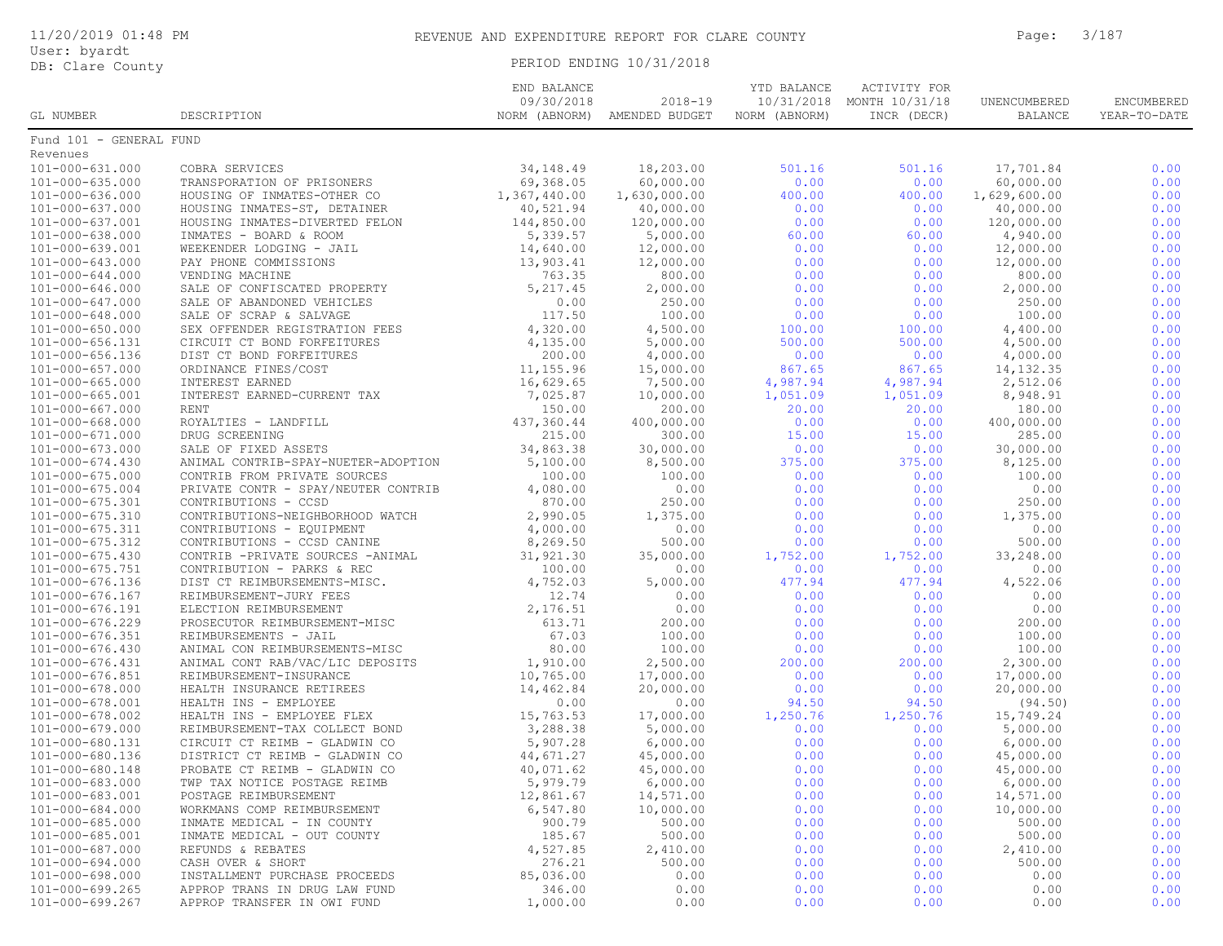|  | 11/20/2019 01:48 PM |  |
|--|---------------------|--|
|  |                     |  |

User: byardt DB: Clare County PERIOD ENDING 10/31/2018

|                         |                                     | END BALANCE  |                              | YTD BALANCE   | ACTIVITY FOR              |                |              |
|-------------------------|-------------------------------------|--------------|------------------------------|---------------|---------------------------|----------------|--------------|
|                         |                                     | 09/30/2018   | $2018 - 19$                  |               | 10/31/2018 MONTH 10/31/18 | UNENCUMBERED   | ENCUMBERED   |
| GL NUMBER               | DESCRIPTION                         |              | NORM (ABNORM) AMENDED BUDGET | NORM (ABNORM) | INCR (DECR)               | <b>BALANCE</b> | YEAR-TO-DATE |
| Fund 101 - GENERAL FUND |                                     |              |                              |               |                           |                |              |
| Revenues                |                                     |              |                              |               |                           |                |              |
| 101-000-631.000         | COBRA SERVICES                      | 34, 148.49   | 18,203.00                    | 501.16        | 501.16                    | 17,701.84      | 0.00         |
| $101 - 000 - 635.000$   | TRANSPORATION OF PRISONERS          | 69,368.05    | 60,000.00                    | 0.00          | 0.00                      | 60,000.00      | 0.00         |
| 101-000-636.000         | HOUSING OF INMATES-OTHER CO         | 1,367,440.00 | 1,630,000.00                 | 400.00        | 400.00                    | 1,629,600.00   | 0.00         |
| 101-000-637.000         | HOUSING INMATES-ST, DETAINER        | 40,521.94    | 40,000.00                    | 0.00          | 0.00                      | 40,000.00      | 0.00         |
| 101-000-637.001         | HOUSING INMATES-DIVERTED FELON      | 144,850.00   | 120,000.00                   | 0.00          | 0.00                      | 120,000.00     | 0.00         |
| $101 - 000 - 638.000$   | INMATES - BOARD & ROOM              | 5,339.57     | 5,000.00                     | 60.00         | 60.00                     | 4,940.00       | 0.00         |
| 101-000-639.001         | WEEKENDER LODGING - JAIL            | 14,640.00    | 12,000.00                    | 0.00          | 0.00                      | 12,000.00      | 0.00         |
| 101-000-643.000         | PAY PHONE COMMISSIONS               | 13,903.41    | 12,000.00                    | 0.00          | 0.00                      | 12,000.00      | 0.00         |
| 101-000-644.000         | VENDING MACHINE                     | 763.35       | 800.00                       | 0.00          | 0.00                      | 800.00         | 0.00         |
| 101-000-646.000         | SALE OF CONFISCATED PROPERTY        | 5,217.45     | 2,000.00                     | 0.00          | 0.00                      | 2,000.00       | 0.00         |
| 101-000-647.000         | SALE OF ABANDONED VEHICLES          | 0.00         | 250.00                       | 0.00          | 0.00                      | 250.00         | 0.00         |
| 101-000-648.000         | SALE OF SCRAP & SALVAGE             | 117.50       | 100.00                       | 0.00          | 0.00                      | 100.00         | 0.00         |
| $101 - 000 - 650.000$   | SEX OFFENDER REGISTRATION FEES      | 4,320.00     | 4,500.00                     | 100.00        | 100.00                    | 4,400.00       | 0.00         |
| 101-000-656.131         | CIRCUIT CT BOND FORFEITURES         | 4,135.00     | 5,000.00                     | 500.00        | 500.00                    | 4,500.00       | 0.00         |
| 101-000-656.136         | DIST CT BOND FORFEITURES            | 200.00       | 4,000.00                     | 0.00          | 0.00                      | 4,000.00       | 0.00         |
| $101 - 000 - 657.000$   | ORDINANCE FINES/COST                | 11,155.96    | 15,000.00                    | 867.65        | 867.65                    | 14, 132.35     | 0.00         |
| 101-000-665.000         | INTEREST EARNED                     | 16,629.65    | 7,500.00                     | 4,987.94      | 4,987.94                  | 2,512.06       | 0.00         |
| $101 - 000 - 665.001$   | INTEREST EARNED-CURRENT TAX         | 7,025.87     | 10,000.00                    | 1,051.09      | 1,051.09                  | 8,948.91       | 0.00         |
| 101-000-667.000         | RENT                                | 150.00       | 200.00                       | 20.00         | 20.00                     | 180.00         | 0.00         |
| $101 - 000 - 668.000$   | ROYALTIES - LANDFILL                | 437,360.44   | 400,000.00                   | 0.00          | 0.00                      | 400,000.00     | 0.00         |
| 101-000-671.000         | DRUG SCREENING                      | 215.00       | 300.00                       | 15.00         | 15.00                     | 285.00         | 0.00         |
| 101-000-673.000         | SALE OF FIXED ASSETS                | 34,863.38    | 30,000.00                    | 0.00          | 0.00                      | 30,000.00      | 0.00         |
| $101 - 000 - 674.430$   | ANIMAL CONTRIB-SPAY-NUETER-ADOPTION | 5,100.00     | 8,500.00                     | 375.00        | 375.00                    | 8,125.00       | 0.00         |
| $101 - 000 - 675.000$   | CONTRIB FROM PRIVATE SOURCES        | 100.00       | 100.00                       | 0.00          | 0.00                      | 100.00         | 0.00         |
| $101 - 000 - 675.004$   | PRIVATE CONTR - SPAY/NEUTER CONTRIB | 4,080.00     | 0.00                         | 0.00          | 0.00                      | 0.00           | 0.00         |
| 101-000-675.301         | CONTRIBUTIONS - CCSD                | 870.00       | 250.00                       | 0.00          | 0.00                      | 250.00         | 0.00         |
| $101 - 000 - 675.310$   | CONTRIBUTIONS-NEIGHBORHOOD WATCH    | 2,990.05     | 1,375.00                     | 0.00          | 0.00                      | 1,375.00       | 0.00         |
| 101-000-675.311         | CONTRIBUTIONS - EQUIPMENT           | 4,000.00     | 0.00                         | 0.00          | 0.00                      | 0.00           | 0.00         |
| 101-000-675.312         | CONTRIBUTIONS - CCSD CANINE         | 8,269.50     | 500.00                       | 0.00          | 0.00                      | 500.00         | 0.00         |
| $101 - 000 - 675.430$   | CONTRIB -PRIVATE SOURCES -ANIMAL    | 31,921.30    | 35,000.00                    | 1,752.00      | 1,752.00                  | 33,248.00      | 0.00         |
| 101-000-675.751         | CONTRIBUTION - PARKS & REC          | 100.00       | 0.00                         | 0.00          | 0.00                      | 0.00           | 0.00         |
| 101-000-676.136         | DIST CT REIMBURSEMENTS-MISC.        | 4,752.03     | 5,000.00                     | 477.94        | 477.94                    | 4,522.06       | 0.00         |
| 101-000-676.167         | REIMBURSEMENT-JURY FEES             | 12.74        | 0.00                         | 0.00          | 0.00                      | 0.00           | 0.00         |
| 101-000-676.191         | ELECTION REIMBURSEMENT              | 2,176.51     | 0.00                         | 0.00          | 0.00                      | 0.00           | 0.00         |
| 101-000-676.229         | PROSECUTOR REIMBURSEMENT-MISC       | 613.71       | 200.00                       | 0.00          | 0.00                      | 200.00         | 0.00         |
| 101-000-676.351         | REIMBURSEMENTS - JAIL               | 67.03        | 100.00                       | 0.00          | 0.00                      | 100.00         | 0.00         |
| 101-000-676.430         | ANIMAL CON REIMBURSEMENTS-MISC      | 80.00        | 100.00                       | 0.00          | 0.00                      | 100.00         | 0.00         |
| 101-000-676.431         | ANIMAL CONT RAB/VAC/LIC DEPOSITS    | 1,910.00     | 2,500.00                     | 200.00        | 200.00                    | 2,300.00       | 0.00         |
| 101-000-676.851         | REIMBURSEMENT-INSURANCE             | 10,765.00    | 17,000.00                    | 0.00          | 0.00                      | 17,000.00      | 0.00         |
| 101-000-678.000         | HEALTH INSURANCE RETIREES           | 14,462.84    | 20,000.00                    | 0.00          | 0.00                      | 20,000.00      | 0.00         |
| 101-000-678.001         | HEALTH INS - EMPLOYEE               | 0.00         | 0.00                         | 94.50         | 94.50                     | (94.50)        | 0.00         |
| 101-000-678.002         | HEALTH INS - EMPLOYEE FLEX          | 15,763.53    | 17,000.00                    | 1,250.76      | 1,250.76                  | 15,749.24      | 0.00         |
| 101-000-679.000         | REIMBURSEMENT-TAX COLLECT BOND      | 3,288.38     | 5,000.00                     | 0.00          | 0.00                      | 5,000.00       | 0.00         |
| 101-000-680.131         | CIRCUIT CT REIMB - GLADWIN CO       | 5,907.28     | 6,000.00                     | 0.00          | 0.00                      | 6,000.00       | 0.00         |
| 101-000-680.136         | DISTRICT CT REIMB - GLADWIN CO      | 44,671.27    | 45,000.00                    | 0.00          | 0.00                      | 45,000.00      | 0.00         |
| 101-000-680.148         | PROBATE CT REIMB - GLADWIN CO       | 40,071.62    | 45,000.00                    | 0.00          | 0.00                      | 45,000.00      | 0.00         |
| 101-000-683.000         | TWP TAX NOTICE POSTAGE REIMB        | 5,979.79     | 6,000.00                     | 0.00          | 0.00                      | 6,000.00       | 0.00         |
| 101-000-683.001         | POSTAGE REIMBURSEMENT               | 12,861.67    | 14,571.00                    | 0.00          | 0.00                      | 14,571.00      | 0.00         |
| 101-000-684.000         | WORKMANS COMP REIMBURSEMENT         | 6,547.80     | 10,000.00                    | 0.00          | 0.00                      | 10,000.00      | 0.00         |
| 101-000-685.000         | INMATE MEDICAL - IN COUNTY          | 900.79       | 500.00                       | 0.00          | 0.00                      | 500.00         | 0.00         |
| 101-000-685.001         | INMATE MEDICAL - OUT COUNTY         | 185.67       | 500.00                       | 0.00          | 0.00                      | 500.00         | 0.00         |
| 101-000-687.000         | REFUNDS & REBATES                   | 4,527.85     | 2,410.00                     | 0.00          | 0.00                      | 2,410.00       | 0.00         |
| $101 - 000 - 694.000$   | CASH OVER & SHORT                   | 276.21       | 500.00                       | 0.00          | 0.00                      | 500.00         | 0.00         |
| 101-000-698.000         | INSTALLMENT PURCHASE PROCEEDS       | 85,036.00    | 0.00                         | 0.00          | 0.00                      | 0.00           | 0.00         |
| 101-000-699.265         | APPROP TRANS IN DRUG LAW FUND       | 346.00       | 0.00                         | 0.00          | 0.00                      | 0.00           | 0.00         |
| $101 - 000 - 699.267$   | APPROP TRANSFER IN OWI FUND         | 1,000.00     | 0.00                         | 0.00          | 0.00                      | 0.00           | 0.00         |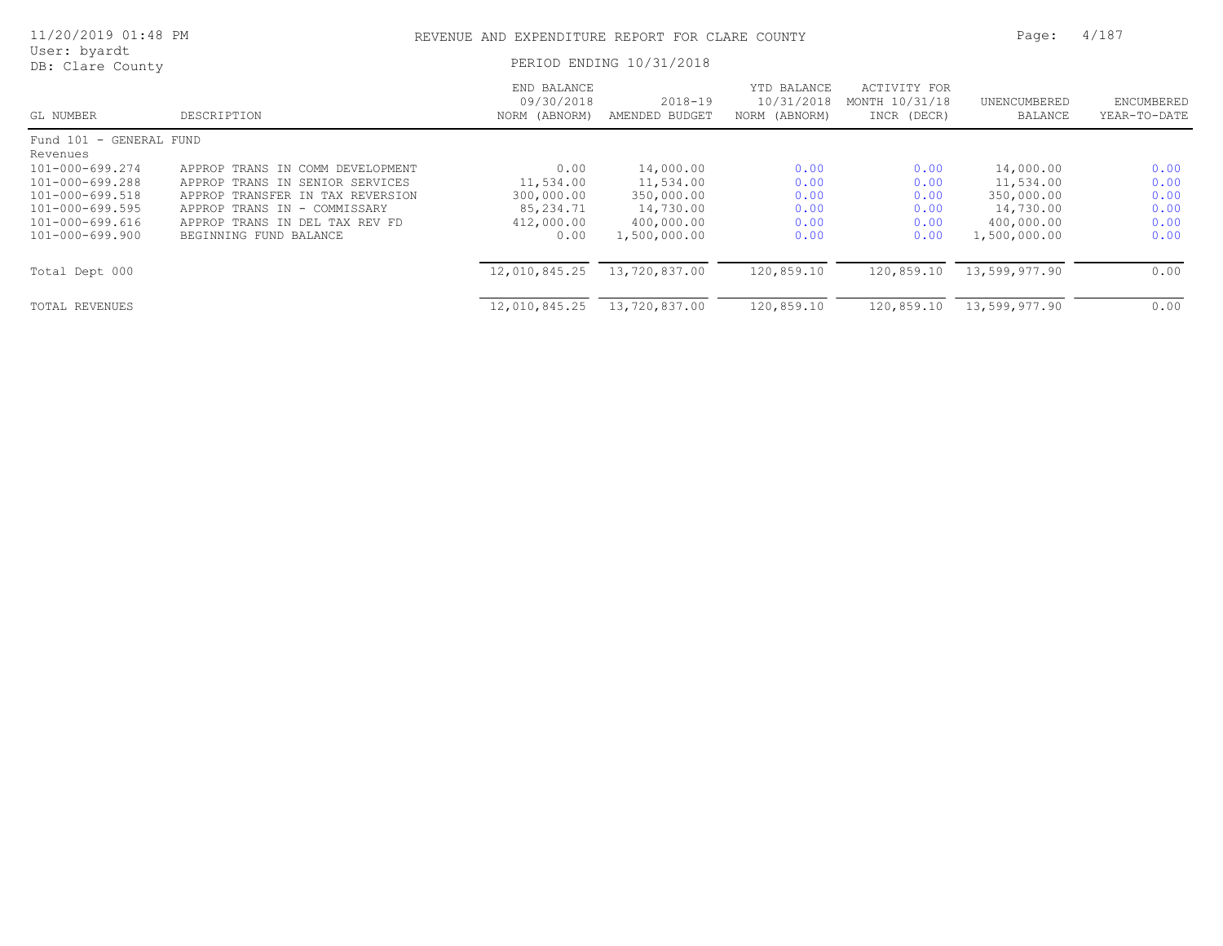| 11/20/2019 01:48 PM              |                                    | REVENUE AND EXPENDITURE REPORT FOR CLARE COUNTY |                               |                                            |                                               |                         |                            |  |
|----------------------------------|------------------------------------|-------------------------------------------------|-------------------------------|--------------------------------------------|-----------------------------------------------|-------------------------|----------------------------|--|
| User: byardt<br>DB: Clare County |                                    |                                                 | PERIOD ENDING 10/31/2018      |                                            |                                               |                         |                            |  |
| GL NUMBER                        | DESCRIPTION                        | END BALANCE<br>09/30/2018<br>NORM (ABNORM)      | $2018 - 19$<br>AMENDED BUDGET | YTD BALANCE<br>10/31/2018<br>NORM (ABNORM) | ACTIVITY FOR<br>MONTH 10/31/18<br>INCR (DECR) | UNENCUMBERED<br>BALANCE | ENCUMBERED<br>YEAR-TO-DATE |  |
| Fund 101 - GENERAL FUND          |                                    |                                                 |                               |                                            |                                               |                         |                            |  |
| Revenues                         |                                    |                                                 |                               |                                            |                                               |                         |                            |  |
| 101-000-699.274                  | APPROP TRANS IN COMM DEVELOPMENT   | 0.00                                            | 14,000.00                     | 0.00                                       | 0.00                                          | 14,000.00               | 0.00                       |  |
| 101-000-699.288                  | APPROP TRANS IN<br>SENIOR SERVICES | 11,534.00                                       | 11,534.00                     | 0.00                                       | 0.00                                          | 11,534.00               | 0.00                       |  |
| 101-000-699.518                  | APPROP TRANSFER IN TAX REVERSION   | 300,000.00                                      | 350,000.00                    | 0.00                                       | 0.00                                          | 350,000.00              | 0.00                       |  |
| 101-000-699.595                  | APPROP TRANS IN - COMMISSARY       | 85,234.71                                       | 14,730.00                     | 0.00                                       | 0.00                                          | 14,730.00               | 0.00                       |  |
| 101-000-699.616                  | APPROP TRANS IN DEL TAX REV FD     | 412,000.00                                      | 400,000.00                    | 0.00                                       | 0.00                                          | 400,000.00              | 0.00                       |  |
| 101-000-699.900                  | BEGINNING FUND BALANCE             | 0.00                                            | 1,500,000.00                  | 0.00                                       | 0.00                                          | 1,500,000.00            | 0.00                       |  |
| Total Dept 000                   |                                    | 12,010,845.25                                   | 13,720,837.00                 | 120,859.10                                 | 120,859.10                                    | 13,599,977.90           | 0.00                       |  |
| TOTAL REVENUES                   |                                    | 12,010,845.25                                   | 13,720,837.00                 | 120,859.10                                 | 120,859.10                                    | 13,599,977.90           | 0.00                       |  |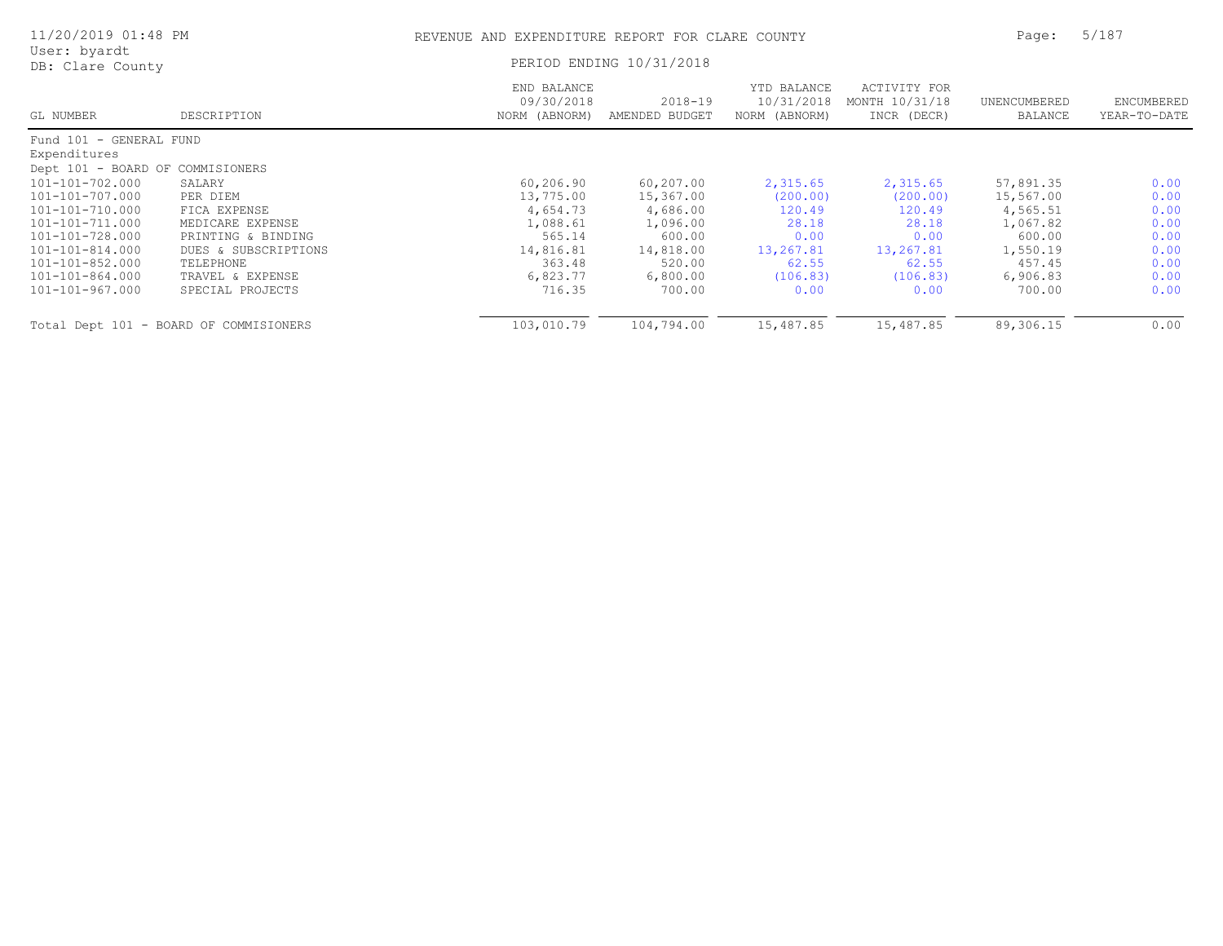| 11/20/2019 01:48 PM              |                                        | REVENUE AND EXPENDITURE REPORT FOR CLARE COUNTY |                               | 5/187<br>Page:                             |                                               |                         |                            |
|----------------------------------|----------------------------------------|-------------------------------------------------|-------------------------------|--------------------------------------------|-----------------------------------------------|-------------------------|----------------------------|
| User: byardt<br>DB: Clare County |                                        |                                                 | PERIOD ENDING 10/31/2018      |                                            |                                               |                         |                            |
| GL NUMBER                        | DESCRIPTION                            | END BALANCE<br>09/30/2018<br>NORM (ABNORM)      | $2018 - 19$<br>AMENDED BUDGET | YTD BALANCE<br>10/31/2018<br>NORM (ABNORM) | ACTIVITY FOR<br>MONTH 10/31/18<br>INCR (DECR) | UNENCUMBERED<br>BALANCE | ENCUMBERED<br>YEAR-TO-DATE |
| Fund 101 - GENERAL FUND          |                                        |                                                 |                               |                                            |                                               |                         |                            |
| Expenditures                     |                                        |                                                 |                               |                                            |                                               |                         |                            |
| Dept 101 - BOARD OF COMMISIONERS |                                        |                                                 |                               |                                            |                                               |                         |                            |
| 101-101-702.000                  | SALARY                                 | 60, 206.90                                      | 60,207.00                     | 2,315.65                                   | 2,315.65                                      | 57,891.35               | 0.00                       |
| 101-101-707.000                  | PER DIEM                               | 13,775.00                                       | 15,367.00                     | (200.00)                                   | (200.00)                                      | 15,567.00               | 0.00                       |
| 101-101-710.000                  | FICA EXPENSE                           | 4,654.73                                        | 4,686.00                      | 120.49                                     | 120.49                                        | 4,565.51                | 0.00                       |
| 101-101-711.000                  | MEDICARE EXPENSE                       | 1,088.61                                        | 1,096.00                      | 28.18                                      | 28.18                                         | 1,067.82                | 0.00                       |
| 101-101-728.000                  | PRINTING & BINDING                     | 565.14                                          | 600.00                        | 0.00                                       | 0.00                                          | 600.00                  | 0.00                       |
| 101-101-814.000                  | DUES & SUBSCRIPTIONS                   | 14,816.81                                       | 14,818.00                     | 13,267.81                                  | 13,267.81                                     | 1,550.19                | 0.00                       |
| 101-101-852.000                  | TELEPHONE                              | 363.48                                          | 520.00                        | 62.55                                      | 62.55                                         | 457.45                  | 0.00                       |
| 101-101-864.000                  | TRAVEL & EXPENSE                       | 6,823.77                                        | 6,800.00                      | (106.83)                                   | (106.83)                                      | 6,906.83                | 0.00                       |
| 101-101-967.000                  | SPECIAL PROJECTS                       | 716.35                                          | 700.00                        | 0.00                                       | 0.00                                          | 700.00                  | 0.00                       |
|                                  | Total Dept 101 - BOARD OF COMMISIONERS | 103,010.79                                      | 104,794.00                    | 15,487.85                                  | 15,487.85                                     | 89,306.15               | 0.00                       |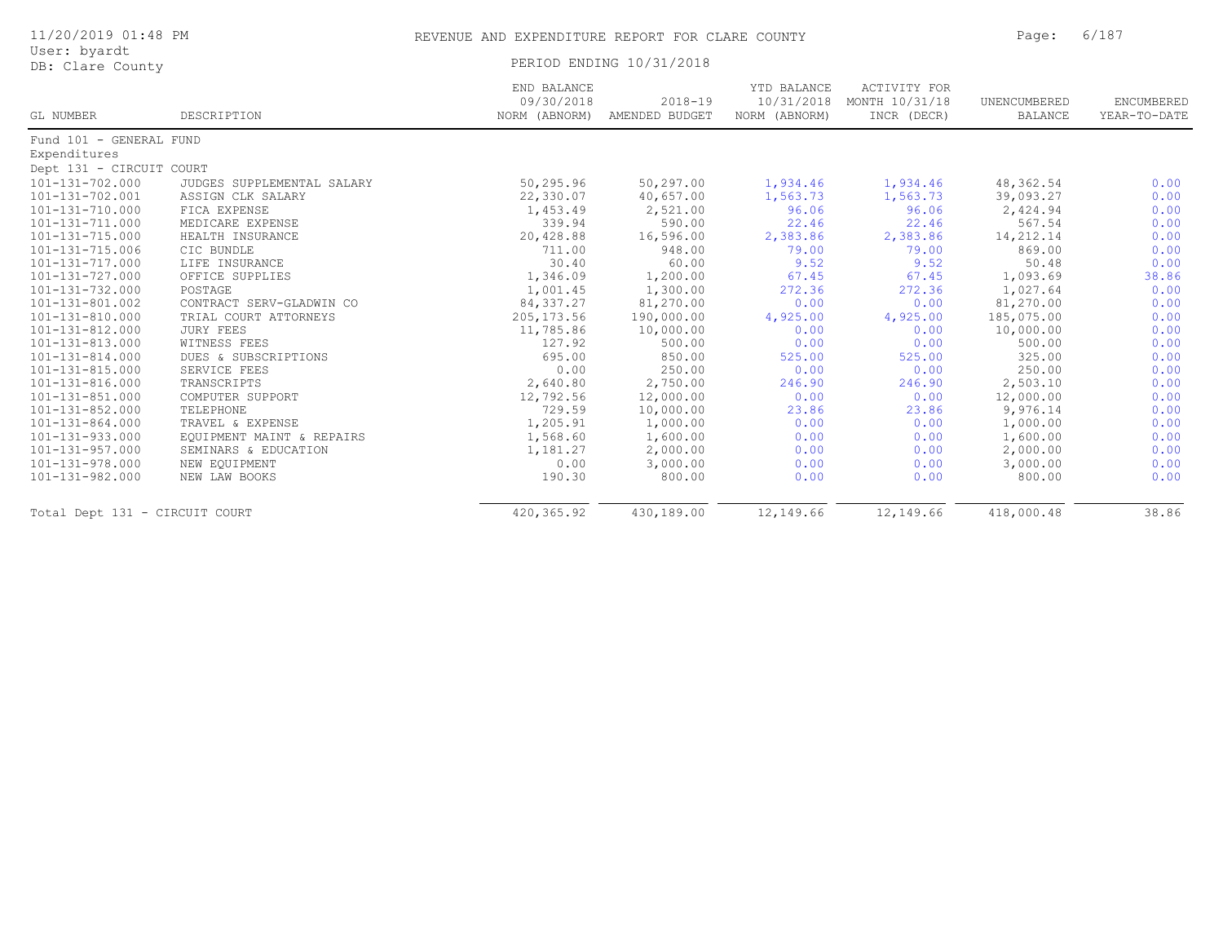| 11/20/2019 01:48 PM              |             |                           | REVENUE AND EXPENDITURE REPORT FOR CLARE COUNTY |                           |                                |              |              |
|----------------------------------|-------------|---------------------------|-------------------------------------------------|---------------------------|--------------------------------|--------------|--------------|
| User: byardt<br>DB: Clare County |             |                           | PERIOD ENDING 10/31/2018                        |                           |                                |              |              |
|                                  |             | END BALANCE<br>09/30/2018 | $2018 - 19$                                     | YTD BALANCE<br>10/31/2018 | ACTIVITY FOR<br>MONTH 10/31/18 | UNENCUMBERED | ENCUMBERED   |
| GL NUMBER                        | DESCRIPTION | NORM (ABNORM)             | AMENDED BUDGET                                  | NORM (ABNORM)             | INCR (DECR)                    | BALANCE      | YEAR-TO-DATE |
| Fund 101 - GENERAL FUND          |             |                           |                                                 |                           |                                |              |              |

| FUNQ IVI - GENERAL FUND        |                            |             |            |           |           |            |       |
|--------------------------------|----------------------------|-------------|------------|-----------|-----------|------------|-------|
| Expenditures                   |                            |             |            |           |           |            |       |
| Dept 131 - CIRCUIT COURT       |                            |             |            |           |           |            |       |
| $101 - 131 - 702.000$          | JUDGES SUPPLEMENTAL SALARY | 50,295.96   | 50,297.00  | 1,934.46  | 1,934.46  | 48,362.54  | 0.00  |
| $101 - 131 - 702.001$          | ASSIGN CLK SALARY          | 22,330.07   | 40,657.00  | 1,563.73  | 1,563.73  | 39,093.27  | 0.00  |
| $101 - 131 - 710.000$          | FICA EXPENSE               | 1,453.49    | 2,521.00   | 96.06     | 96.06     | 2,424.94   | 0.00  |
| $101 - 131 - 711.000$          | MEDICARE EXPENSE           | 339.94      | 590.00     | 22.46     | 22.46     | 567.54     | 0.00  |
| 101-131-715.000                | HEALTH INSURANCE           | 20,428.88   | 16,596.00  | 2,383.86  | 2,383.86  | 14,212.14  | 0.00  |
| $101 - 131 - 715.006$          | CIC BUNDLE                 | 711.00      | 948.00     | 79.00     | 79.00     | 869.00     | 0.00  |
| 101-131-717.000                | LIFE INSURANCE             | 30.40       | 60.00      | 9.52      | 9.52      | 50.48      | 0.00  |
| 101-131-727.000                | OFFICE SUPPLIES            | 1,346.09    | 1,200.00   | 67.45     | 67.45     | 1,093.69   | 38.86 |
| $101 - 131 - 732.000$          | POSTAGE                    | 1,001.45    | 1,300.00   | 272.36    | 272.36    | 1,027.64   | 0.00  |
| 101-131-801.002                | CONTRACT SERV-GLADWIN CO   | 84, 337.27  | 81,270.00  | 0.00      | 0.00      | 81,270.00  | 0.00  |
| $101 - 131 - 810.000$          | TRIAL COURT ATTORNEYS      | 205, 173.56 | 190,000.00 | 4,925.00  | 4,925.00  | 185,075.00 | 0.00  |
| 101-131-812.000                | <b>JURY FEES</b>           | 11,785.86   | 10,000.00  | 0.00      | 0.00      | 10,000.00  | 0.00  |
| $101 - 131 - 813.000$          | WITNESS FEES               | 127.92      | 500.00     | 0.00      | 0.00      | 500.00     | 0.00  |
| $101 - 131 - 814.000$          | DUES & SUBSCRIPTIONS       | 695.00      | 850.00     | 525.00    | 525.00    | 325.00     | 0.00  |
| $101 - 131 - 815.000$          | SERVICE FEES               | 0.00        | 250.00     | 0.00      | 0.00      | 250.00     | 0.00  |
| 101-131-816.000                | TRANSCRIPTS                | 2,640.80    | 2,750.00   | 246.90    | 246.90    | 2,503.10   | 0.00  |
| $101 - 131 - 851.000$          | COMPUTER SUPPORT           | 12,792.56   | 12,000.00  | 0.00      | 0.00      | 12,000.00  | 0.00  |
| $101 - 131 - 852.000$          | TELEPHONE                  | 729.59      | 10,000.00  | 23.86     | 23.86     | 9,976.14   | 0.00  |
| $101 - 131 - 864.000$          | TRAVEL & EXPENSE           | 1,205.91    | 1,000.00   | 0.00      | 0.00      | 1,000.00   | 0.00  |
| $101 - 131 - 933.000$          | EQUIPMENT MAINT & REPAIRS  | 1,568.60    | 1,600.00   | 0.00      | 0.00      | 1,600.00   | 0.00  |
| $101 - 131 - 957.000$          | SEMINARS & EDUCATION       | 1,181.27    | 2,000.00   | 0.00      | 0.00      | 2,000.00   | 0.00  |
| $101 - 131 - 978.000$          | NEW EQUIPMENT              | 0.00        | 3,000.00   | 0.00      | 0.00      | 3,000.00   | 0.00  |
| 101-131-982.000                | NEW LAW BOOKS              | 190.30      | 800.00     | 0.00      | 0.00      | 800.00     | 0.00  |
| Total Dept 131 - CIRCUIT COURT |                            | 420,365.92  | 430,189.00 | 12,149.66 | 12,149.66 | 418,000.48 | 38.86 |
|                                |                            |             |            |           |           |            |       |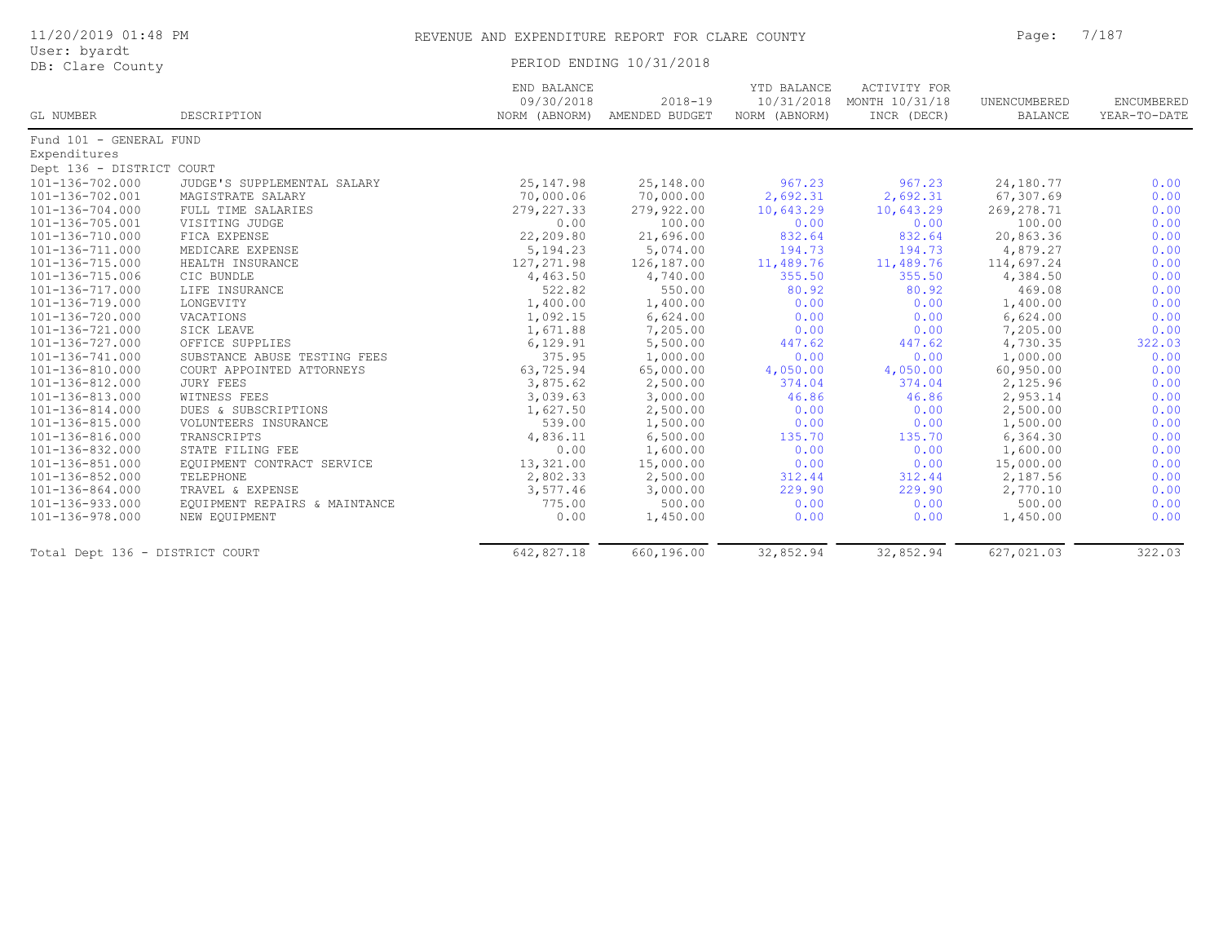| User: byardt<br>DB: Clare County |                               | PERIOD ENDING 10/31/2018                   |                               |                                            |                                               |                         |                            |
|----------------------------------|-------------------------------|--------------------------------------------|-------------------------------|--------------------------------------------|-----------------------------------------------|-------------------------|----------------------------|
| GL NUMBER                        | DESCRIPTION                   | END BALANCE<br>09/30/2018<br>NORM (ABNORM) | $2018 - 19$<br>AMENDED BUDGET | YTD BALANCE<br>10/31/2018<br>NORM (ABNORM) | ACTIVITY FOR<br>MONTH 10/31/18<br>INCR (DECR) | UNENCUMBERED<br>BALANCE | ENCUMBERED<br>YEAR-TO-DATE |
| Fund 101 - GENERAL FUND          |                               |                                            |                               |                                            |                                               |                         |                            |
| Expenditures                     |                               |                                            |                               |                                            |                                               |                         |                            |
| Dept 136 - DISTRICT COURT        |                               |                                            |                               |                                            |                                               |                         |                            |
| 101-136-702.000                  | JUDGE'S SUPPLEMENTAL SALARY   | 25, 147.98                                 | 25,148.00                     | 967.23                                     | 967.23                                        | 24,180.77               | 0.00                       |
| 101-136-702.001                  | MAGISTRATE SALARY             | 70,000.06                                  | 70,000.00                     | 2,692.31                                   | 2,692.31                                      | 67,307.69               | 0.00                       |
| 101-136-704.000                  | FULL TIME SALARIES            | 279, 227.33                                | 279,922.00                    | 10,643.29                                  | 10,643.29                                     | 269, 278.71             | 0.00                       |
| 101-136-705.001                  | VISITING JUDGE                | 0.00                                       | 100.00                        | 0.00                                       | 0.00                                          | 100.00                  | 0.00                       |
| 101-136-710.000                  | FICA EXPENSE                  | 22,209.80                                  | 21,696.00                     | 832.64                                     | 832.64                                        | 20,863.36               | 0.00                       |
| 101-136-711.000                  | MEDICARE EXPENSE              | 5,194.23                                   | 5,074.00                      | 194.73                                     | 194.73                                        | 4,879.27                | 0.00                       |
| 101-136-715.000                  | HEALTH INSURANCE              | 127, 271.98                                | 126,187.00                    | 11,489.76                                  | 11,489.76                                     | 114,697.24              | 0.00                       |
| 101-136-715.006                  | CIC BUNDLE                    | 4,463.50                                   | 4,740.00                      | 355.50                                     | 355.50                                        | 4,384.50                | 0.00                       |
| 101-136-717.000                  | LIFE INSURANCE                | 522.82                                     | 550.00                        | 80.92                                      | 80.92                                         | 469.08                  | 0.00                       |
| 101-136-719.000                  | LONGEVITY                     | 1,400.00                                   | 1,400.00                      | 0.00                                       | 0.00                                          | 1,400.00                | 0.00                       |
| 101-136-720.000                  | VACATIONS                     | 1,092.15                                   | 6,624.00                      | 0.00                                       | 0.00                                          | 6,624.00                | 0.00                       |
| 101-136-721.000                  | SICK LEAVE                    | 1,671.88                                   | 7,205.00                      | 0.00                                       | 0.00                                          | 7,205.00                | 0.00                       |
| 101-136-727.000                  | OFFICE SUPPLIES               | 6,129.91                                   | 5,500.00                      | 447.62                                     | 447.62                                        | 4,730.35                | 322.03                     |
| 101-136-741.000                  | SUBSTANCE ABUSE TESTING FEES  | 375.95                                     | 1,000.00                      | 0.00                                       | 0.00                                          | 1,000.00                | 0.00                       |
| 101-136-810.000                  | COURT APPOINTED ATTORNEYS     | 63,725.94                                  | 65,000.00                     | 4,050.00                                   | 4,050.00                                      | 60,950.00               | 0.00                       |
| 101-136-812.000                  | JURY FEES                     | 3,875.62                                   | 2,500.00                      | 374.04                                     | 374.04                                        | 2,125.96                | 0.00                       |
| 101-136-813.000                  | WITNESS FEES                  | 3,039.63                                   | 3,000.00                      | 46.86                                      | 46.86                                         | 2,953.14                | 0.00                       |
| 101-136-814.000                  | DUES & SUBSCRIPTIONS          | 1,627.50                                   | 2,500.00                      | 0.00                                       | 0.00                                          | 2,500.00                | 0.00                       |
| 101-136-815.000                  | VOLUNTEERS INSURANCE          | 539.00                                     | 1,500.00                      | 0.00                                       | 0.00                                          | 1,500.00                | 0.00                       |
| 101-136-816.000                  | TRANSCRIPTS                   | 4,836.11                                   | 6,500.00                      | 135.70                                     | 135.70                                        | 6,364.30                | 0.00                       |
| 101-136-832.000                  | STATE FILING FEE              | 0.00                                       | 1,600.00                      | 0.00                                       | 0.00                                          | 1,600.00                | 0.00                       |
| 101-136-851.000                  | EQUIPMENT CONTRACT SERVICE    | 13,321.00                                  | 15,000.00                     | 0.00                                       | 0.00                                          | 15,000.00               | 0.00                       |
| 101-136-852.000                  | TELEPHONE                     | 2,802.33                                   | 2,500.00                      | 312.44                                     | 312.44                                        | 2,187.56                | 0.00                       |
| 101-136-864.000                  | TRAVEL & EXPENSE              | 3,577.46                                   | 3,000.00                      | 229.90                                     | 229.90                                        | 2,770.10                | 0.00                       |
| 101-136-933.000                  | EQUIPMENT REPAIRS & MAINTANCE | 775.00                                     | 500.00                        | 0.00                                       | 0.00                                          | 500.00                  | 0.00                       |
| 101-136-978.000                  | NEW EQUIPMENT                 | 0.00                                       | 1,450.00                      | 0.00                                       | 0.00                                          | 1,450.00                | 0.00                       |
| Total Dept 136 - DISTRICT COURT  |                               | 642,827.18                                 | 660,196.00                    | 32,852.94                                  | 32,852.94                                     | 627,021.03              | 322.03                     |

11/20/2019 01:48 PM REVENUE AND EXPENDITURE REPORT FOR CLARE COUNTY Page: 7/187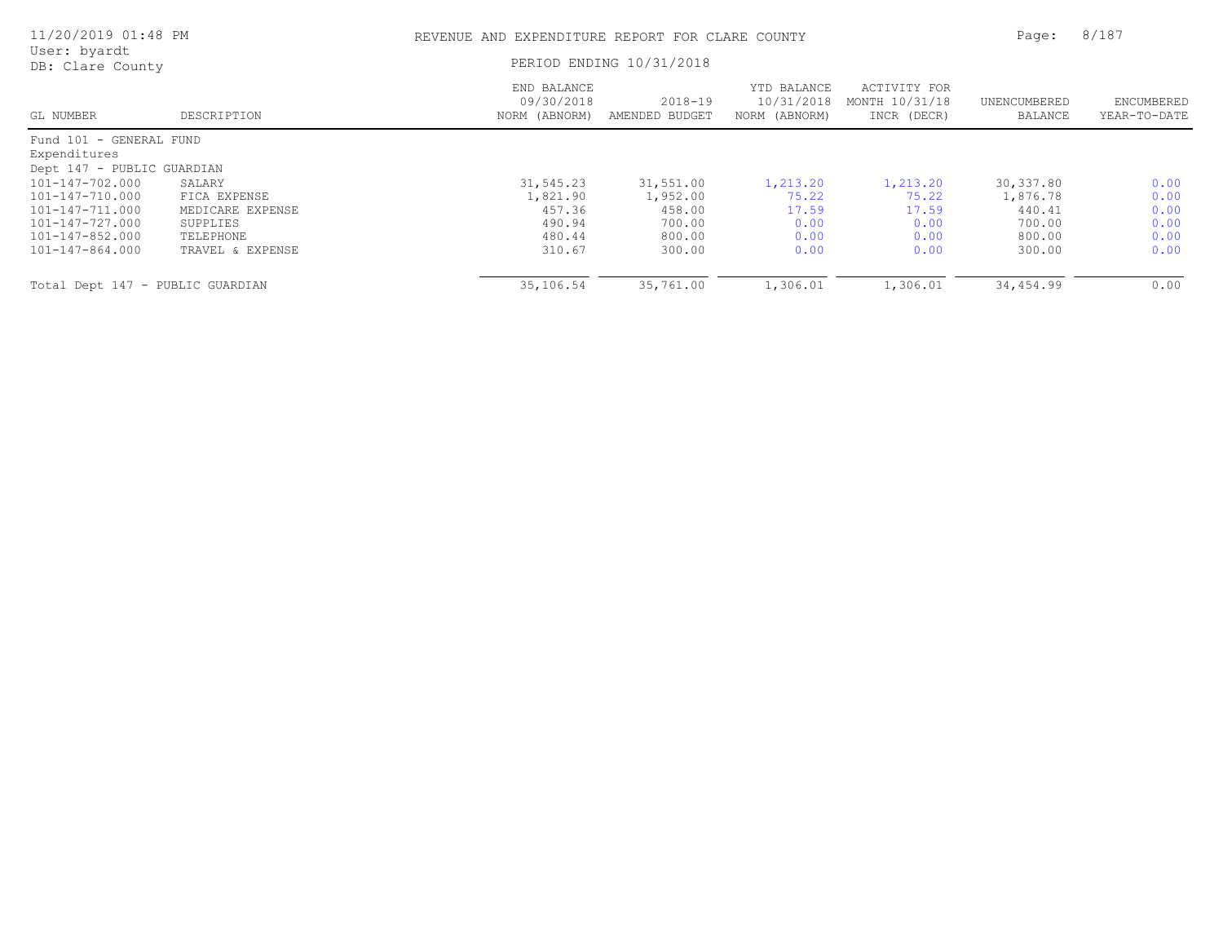| 11/20/2019 01:48 PM              |                  |                                            | REVENUE AND EXPENDITURE REPORT FOR CLARE COUNTY |                                            |                                               |                         |                            |
|----------------------------------|------------------|--------------------------------------------|-------------------------------------------------|--------------------------------------------|-----------------------------------------------|-------------------------|----------------------------|
| User: byardt<br>DB: Clare County |                  |                                            | PERIOD ENDING 10/31/2018                        |                                            |                                               |                         |                            |
| GL NUMBER                        | DESCRIPTION      | END BALANCE<br>09/30/2018<br>NORM (ABNORM) | $2018 - 19$<br>AMENDED BUDGET                   | YTD BALANCE<br>10/31/2018<br>NORM (ABNORM) | ACTIVITY FOR<br>MONTH 10/31/18<br>INCR (DECR) | UNENCUMBERED<br>BALANCE | ENCUMBERED<br>YEAR-TO-DATE |
| Fund 101 - GENERAL FUND          |                  |                                            |                                                 |                                            |                                               |                         |                            |
| Expenditures                     |                  |                                            |                                                 |                                            |                                               |                         |                            |
| Dept 147 - PUBLIC GUARDIAN       |                  |                                            |                                                 |                                            |                                               |                         |                            |
| 101-147-702.000                  | SALARY           | 31,545.23                                  | 31,551.00                                       | 1,213.20                                   | 1,213.20                                      | 30, 337.80              | 0.00                       |
| 101-147-710.000                  | FICA EXPENSE     | 1,821.90                                   | 1,952.00                                        | 75.22                                      | 75.22                                         | 1,876.78                | 0.00                       |
| 101-147-711.000                  | MEDICARE EXPENSE | 457.36                                     | 458.00                                          | 17.59                                      | 17.59                                         | 440.41                  | 0.00                       |
| 101-147-727.000                  | SUPPLIES         | 490.94                                     | 700.00                                          | 0.00                                       | 0.00                                          | 700.00                  | 0.00                       |
| 101-147-852.000                  | TELEPHONE        | 480.44                                     | 800.00                                          | 0.00                                       | 0.00                                          | 800.00                  | 0.00                       |
| 101-147-864.000                  | TRAVEL & EXPENSE | 310.67                                     | 300.00                                          | 0.00                                       | 0.00                                          | 300.00                  | 0.00                       |
| Total Dept 147 - PUBLIC GUARDIAN |                  | 35,106.54                                  | 35,761.00                                       | 1,306.01                                   | 1,306.01                                      | 34,454.99               | 0.00                       |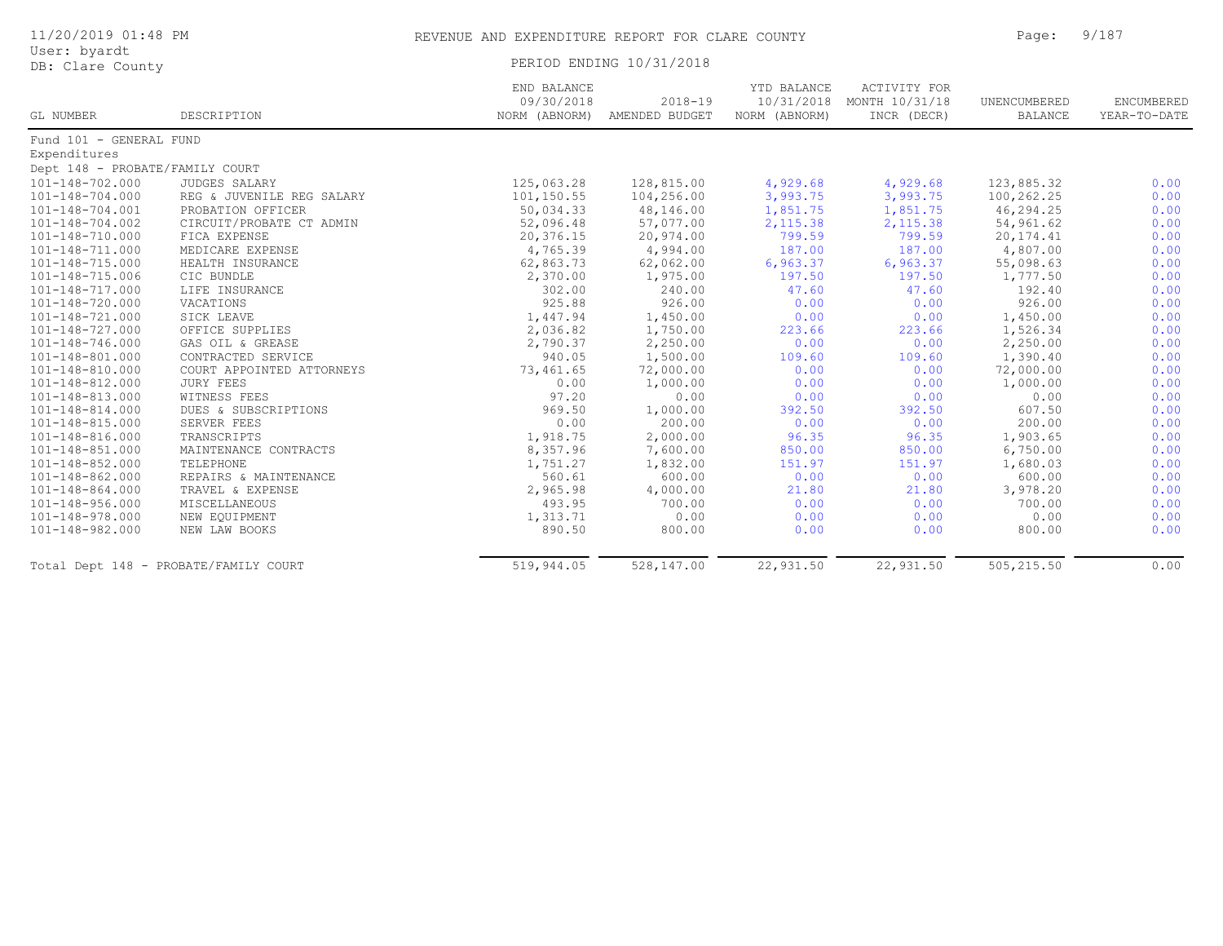| 11/20/2019 01:48 PM<br>User: byardt |                                       | REVENUE AND EXPENDITURE REPORT FOR CLARE COUNTY |                                             | Page:                        | 9/187                                                    |                         |                            |
|-------------------------------------|---------------------------------------|-------------------------------------------------|---------------------------------------------|------------------------------|----------------------------------------------------------|-------------------------|----------------------------|
|                                     |                                       |                                                 |                                             |                              |                                                          |                         |                            |
| DB: Clare County                    |                                       | PERIOD ENDING 10/31/2018                        |                                             |                              |                                                          |                         |                            |
| GL NUMBER                           | DESCRIPTION                           | END BALANCE<br>09/30/2018                       | $2018 - 19$<br>NORM (ABNORM) AMENDED BUDGET | YTD BALANCE<br>NORM (ABNORM) | ACTIVITY FOR<br>10/31/2018 MONTH 10/31/18<br>INCR (DECR) | UNENCUMBERED<br>BALANCE | ENCUMBERED<br>YEAR-TO-DATE |
| Fund 101 - GENERAL FUND             |                                       |                                                 |                                             |                              |                                                          |                         |                            |
| Expenditures                        |                                       |                                                 |                                             |                              |                                                          |                         |                            |
| Dept 148 - PROBATE/FAMILY COURT     |                                       |                                                 |                                             |                              |                                                          |                         |                            |
| 101-148-702.000                     | <b>JUDGES SALARY</b>                  | 125,063.28                                      | 128,815.00                                  | 4,929.68                     | 4,929.68                                                 | 123,885.32              | 0.00                       |
| 101-148-704.000                     | REG & JUVENILE REG SALARY             | 101,150.55                                      | 104,256.00                                  | 3,993.75                     | 3,993.75                                                 | 100,262.25              | 0.00                       |
| 101-148-704.001                     | PROBATION OFFICER                     | 50,034.33                                       | 48,146.00                                   | 1,851.75                     | 1,851.75                                                 | 46,294.25               | 0.00                       |
| 101-148-704.002                     | CIRCUIT/PROBATE CT ADMIN              | 52,096.48                                       | 57,077.00                                   | 2,115.38                     | 2,115.38                                                 | 54,961.62               | 0.00                       |
| 101-148-710.000                     | FICA EXPENSE                          | 20,376.15                                       | 20,974.00                                   | 799.59                       | 799.59                                                   | 20, 174.41              | 0.00                       |
| 101-148-711.000                     | MEDICARE EXPENSE                      | 4,765.39                                        | 4,994.00                                    | 187.00                       | 187.00                                                   | 4,807.00                | 0.00                       |
| 101-148-715.000                     | HEALTH INSURANCE                      | 62,863.73                                       | 62,062.00                                   | 6,963.37                     | 6,963.37                                                 | 55,098.63               | 0.00                       |
| 101-148-715.006                     | CIC BUNDLE                            | 2,370.00                                        | 1,975.00                                    | 197.50                       | 197.50                                                   | 1,777.50                | 0.00                       |
| 101-148-717.000                     | LIFE INSURANCE                        | 302.00                                          | 240.00                                      | 47.60                        | 47.60                                                    | 192.40                  | 0.00                       |
| 101-148-720.000                     | VACATIONS                             | 925.88                                          | 926.00                                      | 0.00                         | 0.00                                                     | 926.00                  | 0.00                       |
| 101-148-721.000                     | SICK LEAVE                            | 1,447.94                                        | 1,450.00                                    | 0.00                         | 0.00                                                     | 1,450.00                | 0.00                       |
| 101-148-727.000                     | OFFICE SUPPLIES                       | 2,036.82                                        | 1,750.00                                    | 223.66                       | 223.66                                                   | 1,526.34                | 0.00                       |
| $101 - 148 - 746.000$               | GAS OIL & GREASE                      | 2,790.37                                        | 2,250.00                                    | 0.00                         | 0.00                                                     | 2,250.00                | 0.00                       |
| 101-148-801.000                     | CONTRACTED SERVICE                    | 940.05                                          | 1,500.00                                    | 109.60                       | 109.60                                                   | 1,390.40                | 0.00                       |
| 101-148-810.000                     | COURT APPOINTED ATTORNEYS             | 73,461.65                                       | 72,000.00                                   | 0.00                         | 0.00                                                     | 72,000.00               | 0.00                       |
| 101-148-812.000                     | <b>JURY FEES</b>                      | 0.00                                            | 1,000.00                                    | 0.00                         | 0.00                                                     | 1,000.00                | 0.00                       |
| 101-148-813.000                     | WITNESS FEES                          | 97.20                                           | 0.00                                        | 0.00                         | 0.00                                                     | 0.00                    | 0.00                       |
| 101-148-814.000                     | DUES & SUBSCRIPTIONS                  | 969.50                                          | 1,000.00                                    | 392.50                       | 392.50                                                   | 607.50                  | 0.00                       |
| 101-148-815.000                     | SERVER FEES                           | 0.00                                            | 200.00                                      | 0.00                         | 0.00                                                     | 200.00                  | 0.00                       |
| 101-148-816.000                     | TRANSCRIPTS                           | 1,918.75                                        | 2,000.00                                    | 96.35                        | 96.35                                                    | 1,903.65                | 0.00                       |
| 101-148-851.000                     | MAINTENANCE CONTRACTS                 | 8,357.96                                        | 7,600.00                                    | 850.00                       | 850.00                                                   | 6,750.00                | 0.00                       |
| 101-148-852.000                     | TELEPHONE                             | 1,751.27                                        | 1,832.00                                    | 151.97                       | 151.97                                                   | 1,680.03                | 0.00                       |
| $101 - 148 - 862.000$               | REPAIRS & MAINTENANCE                 | 560.61                                          | 600.00                                      | 0.00                         | 0.00                                                     | 600.00                  | 0.00                       |
| 101-148-864.000                     | TRAVEL & EXPENSE                      | 2,965.98                                        | 4,000.00                                    | 21.80                        | 21.80                                                    | 3,978.20                | 0.00                       |
| 101-148-956.000                     | MISCELLANEOUS                         | 493.95                                          | 700.00                                      | 0.00                         | 0.00                                                     | 700.00                  | 0.00                       |
| 101-148-978.000                     | NEW EQUIPMENT                         | 1,313.71                                        | 0.00                                        | 0.00                         | 0.00                                                     | 0.00                    | 0.00                       |
| 101-148-982.000                     | NEW LAW BOOKS                         | 890.50                                          | 800.00                                      | 0.00                         | 0.00                                                     | 800.00                  | 0.00                       |
|                                     | Total Dept 148 - PROBATE/FAMILY COURT | 519,944.05                                      | 528,147.00                                  | 22,931.50                    | 22,931.50                                                | 505, 215.50             | 0.00                       |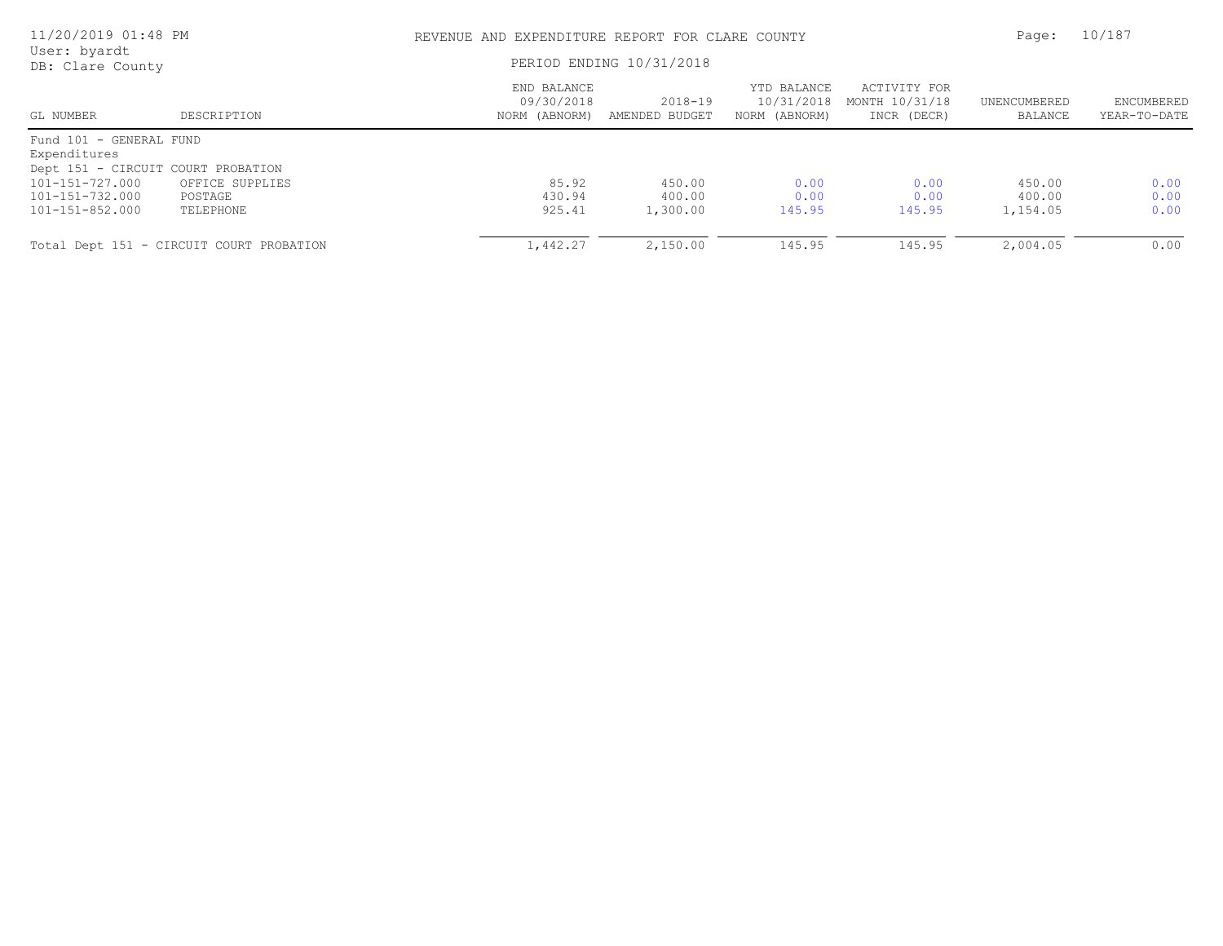| 11/20/2019 01:48 PM<br>User: byardt |                                          | REVENUE AND EXPENDITURE REPORT FOR CLARE COUNTY<br>PERIOD ENDING 10/31/2018 |                           |                                            |                                               |                         | 10/187                     |
|-------------------------------------|------------------------------------------|-----------------------------------------------------------------------------|---------------------------|--------------------------------------------|-----------------------------------------------|-------------------------|----------------------------|
| DB: Clare County                    |                                          |                                                                             |                           |                                            |                                               |                         |                            |
| GL NUMBER                           | DESCRIPTION                              | END BALANCE<br>09/30/2018<br>NORM (ABNORM)                                  | 2018-19<br>AMENDED BUDGET | YTD BALANCE<br>10/31/2018<br>NORM (ABNORM) | ACTIVITY FOR<br>MONTH 10/31/18<br>INCR (DECR) | UNENCUMBERED<br>BALANCE | ENCUMBERED<br>YEAR-TO-DATE |
| Fund 101 - GENERAL FUND             |                                          |                                                                             |                           |                                            |                                               |                         |                            |
| Expenditures                        |                                          |                                                                             |                           |                                            |                                               |                         |                            |
| Dept 151 - CIRCUIT COURT PROBATION  |                                          |                                                                             |                           |                                            |                                               |                         |                            |
| 101-151-727.000                     | OFFICE SUPPLIES                          | 85.92                                                                       | 450.00                    | 0.00                                       | 0.00                                          | 450.00                  | 0.00                       |
| 101-151-732.000                     | POSTAGE                                  | 430.94                                                                      | 400.00                    | 0.00                                       | 0.00                                          | 400.00                  | 0.00                       |
| 101-151-852.000                     | TELEPHONE                                | 925.41                                                                      | 1,300.00                  | 145.95                                     | 145.95                                        | 1,154.05                | 0.00                       |
|                                     | Total Dept 151 - CIRCUIT COURT PROBATION | 1,442.27                                                                    | 2,150.00                  | 145.95                                     | 145.95                                        | 2,004.05                | 0.00                       |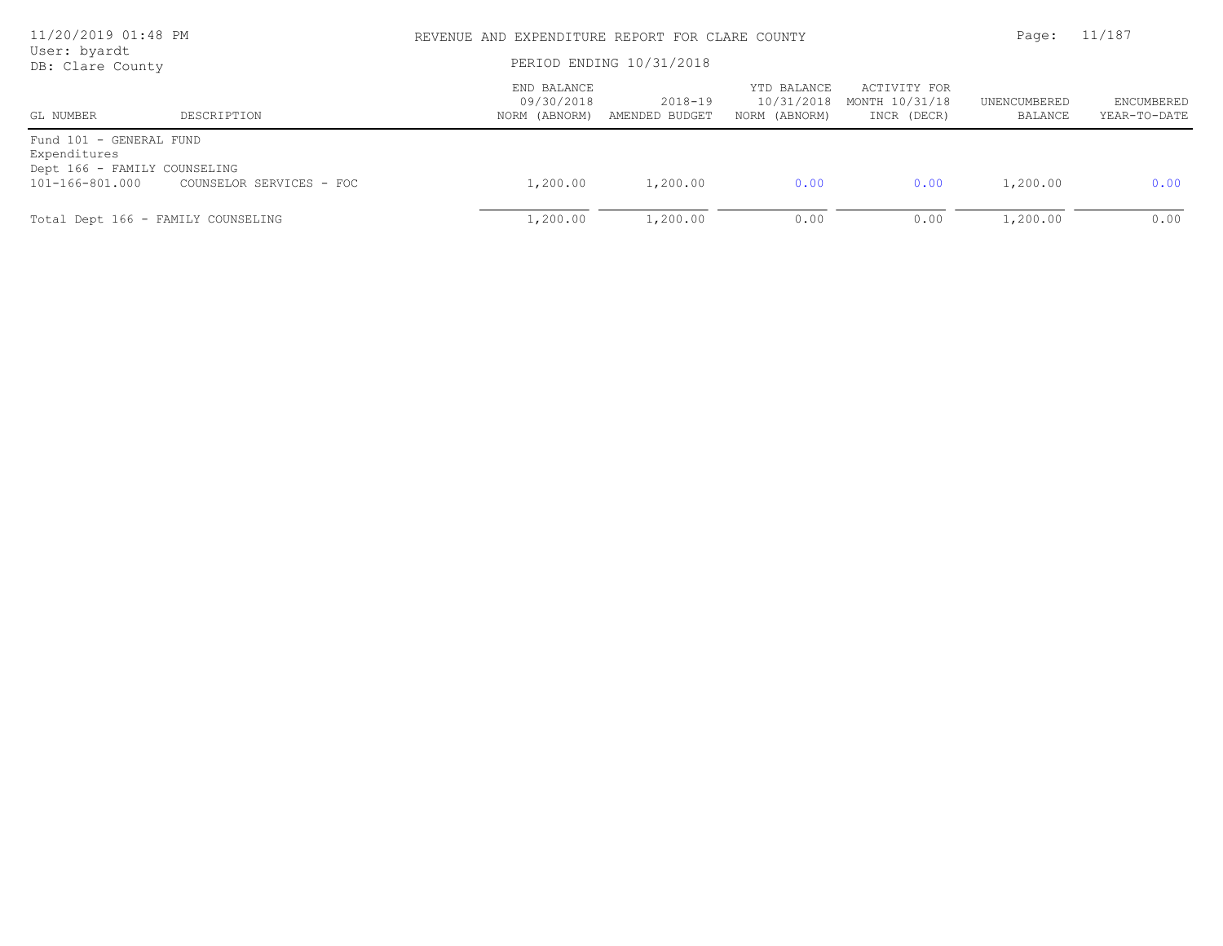| 11/20/2019 01:48 PM<br>User: byardt             |                          |                                            | REVENUE AND EXPENDITURE REPORT FOR CLARE COUNTY |                                            |                                               |                         |                                   |
|-------------------------------------------------|--------------------------|--------------------------------------------|-------------------------------------------------|--------------------------------------------|-----------------------------------------------|-------------------------|-----------------------------------|
| DB: Clare County                                |                          | PERIOD ENDING 10/31/2018                   |                                                 |                                            |                                               |                         |                                   |
| GL NUMBER                                       | DESCRIPTION              | END BALANCE<br>09/30/2018<br>NORM (ABNORM) | 2018-19<br>AMENDED BUDGET                       | YTD BALANCE<br>10/31/2018<br>NORM (ABNORM) | ACTIVITY FOR<br>MONTH 10/31/18<br>INCR (DECR) | UNENCUMBERED<br>BALANCE | <b>ENCUMBERED</b><br>YEAR-TO-DATE |
| Fund 101 - GENERAL FUND<br>Expenditures         |                          |                                            |                                                 |                                            |                                               |                         |                                   |
| Dept 166 - FAMILY COUNSELING<br>101-166-801.000 | COUNSELOR SERVICES - FOC | 1,200.00                                   | 1,200.00                                        | 0.00                                       | 0.00                                          | 1,200.00                | 0.00                              |
| Total Dept 166 - FAMILY COUNSELING              |                          | 1,200.00                                   | 1,200.00                                        | 0.00                                       | 0.00                                          | 1,200.00                | 0.00                              |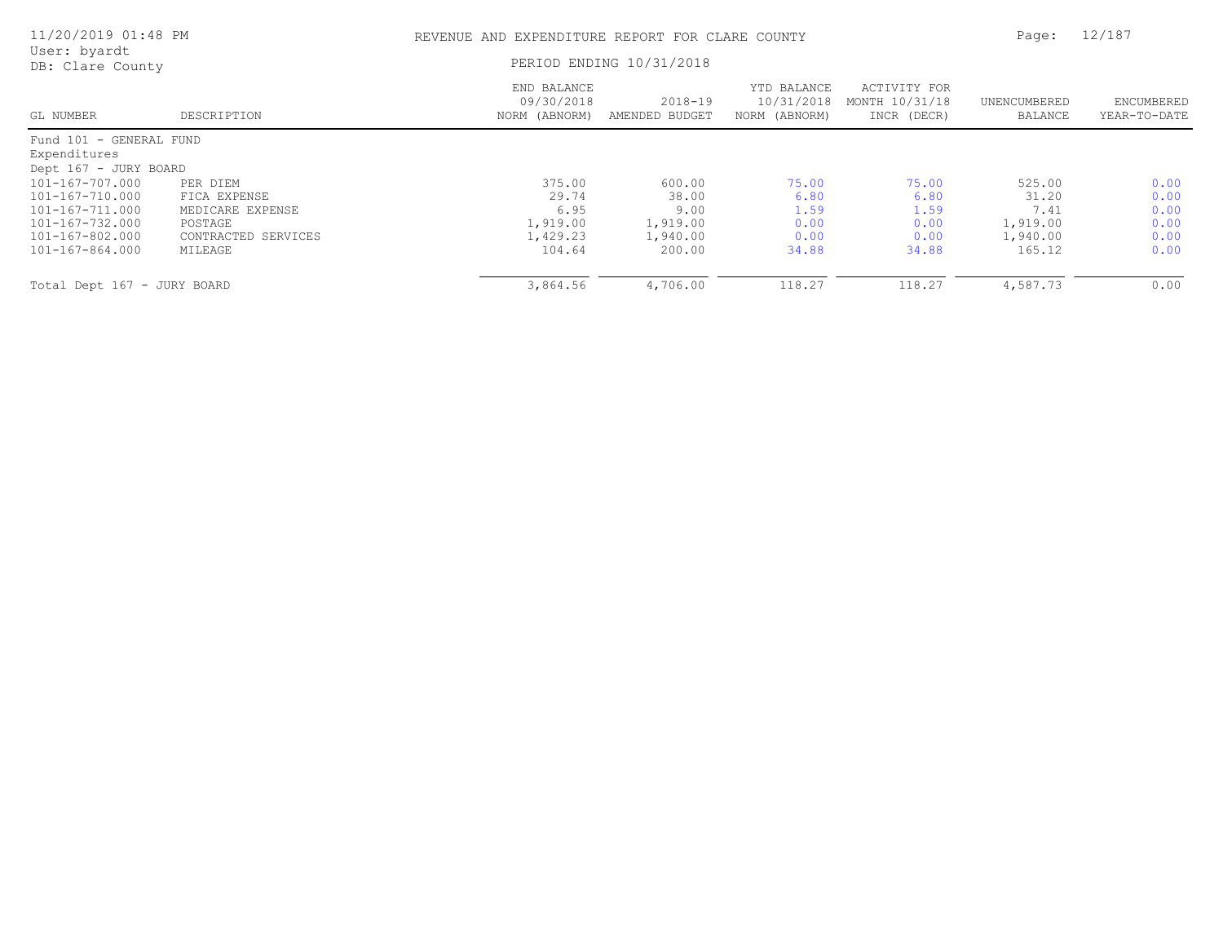| 11/20/2019 01:48 PM              |                     | REVENUE AND EXPENDITURE REPORT FOR CLARE COUNTY |                               |                                            |                                               |                         | 12/187                     |
|----------------------------------|---------------------|-------------------------------------------------|-------------------------------|--------------------------------------------|-----------------------------------------------|-------------------------|----------------------------|
| User: byardt<br>DB: Clare County |                     |                                                 | PERIOD ENDING 10/31/2018      |                                            |                                               |                         |                            |
| GL NUMBER                        | DESCRIPTION         | END BALANCE<br>09/30/2018<br>NORM (ABNORM)      | $2018 - 19$<br>AMENDED BUDGET | YTD BALANCE<br>10/31/2018<br>NORM (ABNORM) | ACTIVITY FOR<br>MONTH 10/31/18<br>INCR (DECR) | UNENCUMBERED<br>BALANCE | ENCUMBERED<br>YEAR-TO-DATE |
| Fund 101 - GENERAL FUND          |                     |                                                 |                               |                                            |                                               |                         |                            |
| Expenditures                     |                     |                                                 |                               |                                            |                                               |                         |                            |
| Dept 167 - JURY BOARD            |                     |                                                 |                               |                                            |                                               |                         |                            |
| 101-167-707.000                  | PER DIEM            | 375.00                                          | 600.00                        | 75.00                                      | 75.00                                         | 525.00                  | 0.00                       |
| 101-167-710.000                  | FICA EXPENSE        | 29.74                                           | 38.00                         | 6.80                                       | 6.80                                          | 31.20                   | 0.00                       |
| 101-167-711.000                  | MEDICARE EXPENSE    | 6.95                                            | 9.00                          | 1.59                                       | 1.59                                          | 7.41                    | 0.00                       |
| 101-167-732.000                  | POSTAGE             | 1,919.00                                        | 1,919.00                      | 0.00                                       | 0.00                                          | 1,919.00                | 0.00                       |
| 101-167-802.000                  | CONTRACTED SERVICES | 1,429.23                                        | 1,940.00                      | 0.00                                       | 0.00                                          | 1,940.00                | 0.00                       |
| 101-167-864.000                  | MILEAGE             | 104.64                                          | 200.00                        | 34.88                                      | 34.88                                         | 165.12                  | 0.00                       |
| Total Dept 167 - JURY BOARD      |                     | 3,864.56                                        | 4,706.00                      | 118.27                                     | 118.27                                        | 4,587.73                | 0.00                       |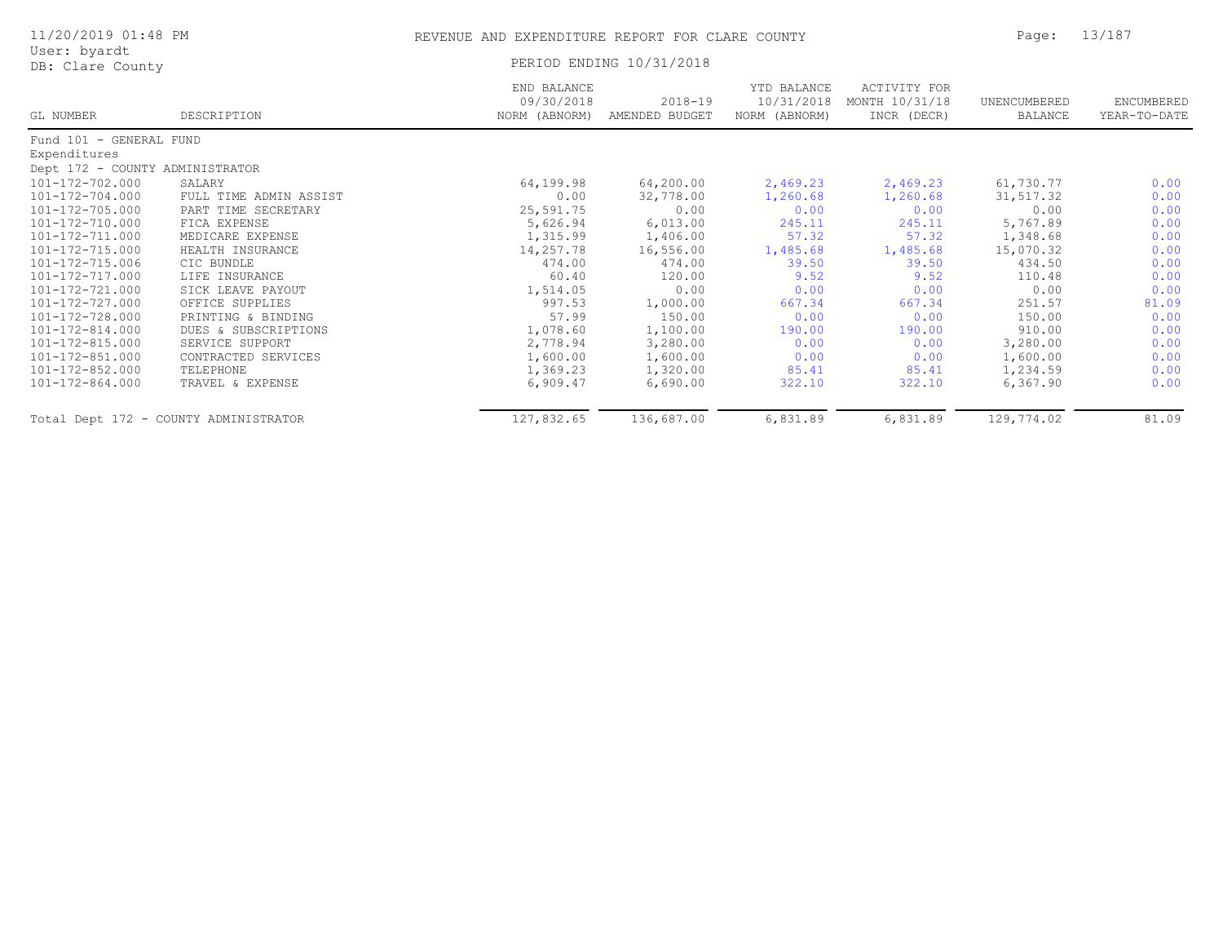| 11/20/2019 01:48 PM              |                                       | REVENUE AND EXPENDITURE REPORT FOR CLARE COUNTY | Page:                         | 13/187                                     |                                                      |                         |                            |
|----------------------------------|---------------------------------------|-------------------------------------------------|-------------------------------|--------------------------------------------|------------------------------------------------------|-------------------------|----------------------------|
| User: byardt<br>DB: Clare County |                                       |                                                 | PERIOD ENDING 10/31/2018      |                                            |                                                      |                         |                            |
| GL NUMBER                        | DESCRIPTION                           | END BALANCE<br>09/30/2018<br>NORM (ABNORM)      | $2018 - 19$<br>AMENDED BUDGET | YTD BALANCE<br>10/31/2018<br>NORM (ABNORM) | <b>ACTIVITY FOR</b><br>MONTH 10/31/18<br>INCR (DECR) | UNENCUMBERED<br>BALANCE | ENCUMBERED<br>YEAR-TO-DATE |
| Fund 101 - GENERAL FUND          |                                       |                                                 |                               |                                            |                                                      |                         |                            |
| Expenditures                     |                                       |                                                 |                               |                                            |                                                      |                         |                            |
| Dept 172 - COUNTY ADMINISTRATOR  |                                       |                                                 |                               |                                            |                                                      |                         |                            |
| 101-172-702.000                  | SALARY                                | 64,199.98                                       | 64,200.00                     | 2,469.23                                   | 2,469.23                                             | 61,730.77               | 0.00                       |
| $101 - 172 - 704.000$            | FULL TIME ADMIN ASSIST                | 0.00                                            | 32,778.00                     | 1,260.68                                   | 1,260.68                                             | 31, 517.32              | 0.00                       |
| $101 - 172 - 705.000$            | PART TIME SECRETARY                   | 25,591.75                                       | 0.00                          | 0.00                                       | 0.00                                                 | 0.00                    | 0.00                       |
| $101 - 172 - 710.000$            | FICA EXPENSE                          | 5,626.94                                        | 6,013.00                      | 245.11                                     | 245.11                                               | 5,767.89                | 0.00                       |
| 101-172-711.000                  | MEDICARE EXPENSE                      | 1,315.99                                        | 1,406.00                      | 57.32                                      | 57.32                                                | 1,348.68                | 0.00                       |
| 101-172-715.000                  | HEALTH INSURANCE                      | 14,257.78                                       | 16,556.00                     | 1,485.68                                   | 1,485.68                                             | 15,070.32               | 0.00                       |
| $101 - 172 - 715.006$            | CIC BUNDLE                            | 474.00                                          | 474.00                        | 39.50                                      | 39.50                                                | 434.50                  | 0.00                       |
| 101-172-717.000                  | LIFE INSURANCE                        | 60.40                                           | 120.00                        | 9.52                                       | 9.52                                                 | 110.48                  | 0.00                       |
| 101-172-721.000                  | SICK LEAVE PAYOUT                     | 1,514.05                                        | 0.00                          | 0.00                                       | 0.00                                                 | 0.00                    | 0.00                       |
| 101-172-727.000                  | OFFICE SUPPLIES                       | 997.53                                          | 1,000.00                      | 667.34                                     | 667.34                                               | 251.57                  | 81.09                      |
| 101-172-728.000                  | PRINTING & BINDING                    | 57.99                                           | 150.00                        | 0.00                                       | 0.00                                                 | 150.00                  | 0.00                       |
| 101-172-814.000                  | DUES & SUBSCRIPTIONS                  | 1,078.60                                        | 1,100.00                      | 190.00                                     | 190.00                                               | 910.00                  | 0.00                       |
| 101-172-815.000                  | SERVICE SUPPORT                       | 2,778.94                                        | 3,280.00                      | 0.00                                       | 0.00                                                 | 3,280.00                | 0.00                       |
| 101-172-851.000                  | CONTRACTED SERVICES                   | 1,600.00                                        | 1,600.00                      | 0.00                                       | 0.00                                                 | 1,600.00                | 0.00                       |
| $101 - 172 - 852.000$            | TELEPHONE                             | 1,369.23                                        | 1,320.00                      | 85.41                                      | 85.41                                                | 1,234.59                | 0.00                       |
| $101 - 172 - 864.000$            | TRAVEL & EXPENSE                      | 6,909.47                                        | 6,690.00                      | 322.10                                     | 322.10                                               | 6, 367.90               | 0.00                       |
|                                  | Total Dept 172 - COUNTY ADMINISTRATOR | 127,832.65                                      | 136,687.00                    | 6,831.89                                   | 6,831.89                                             | 129,774.02              | 81.09                      |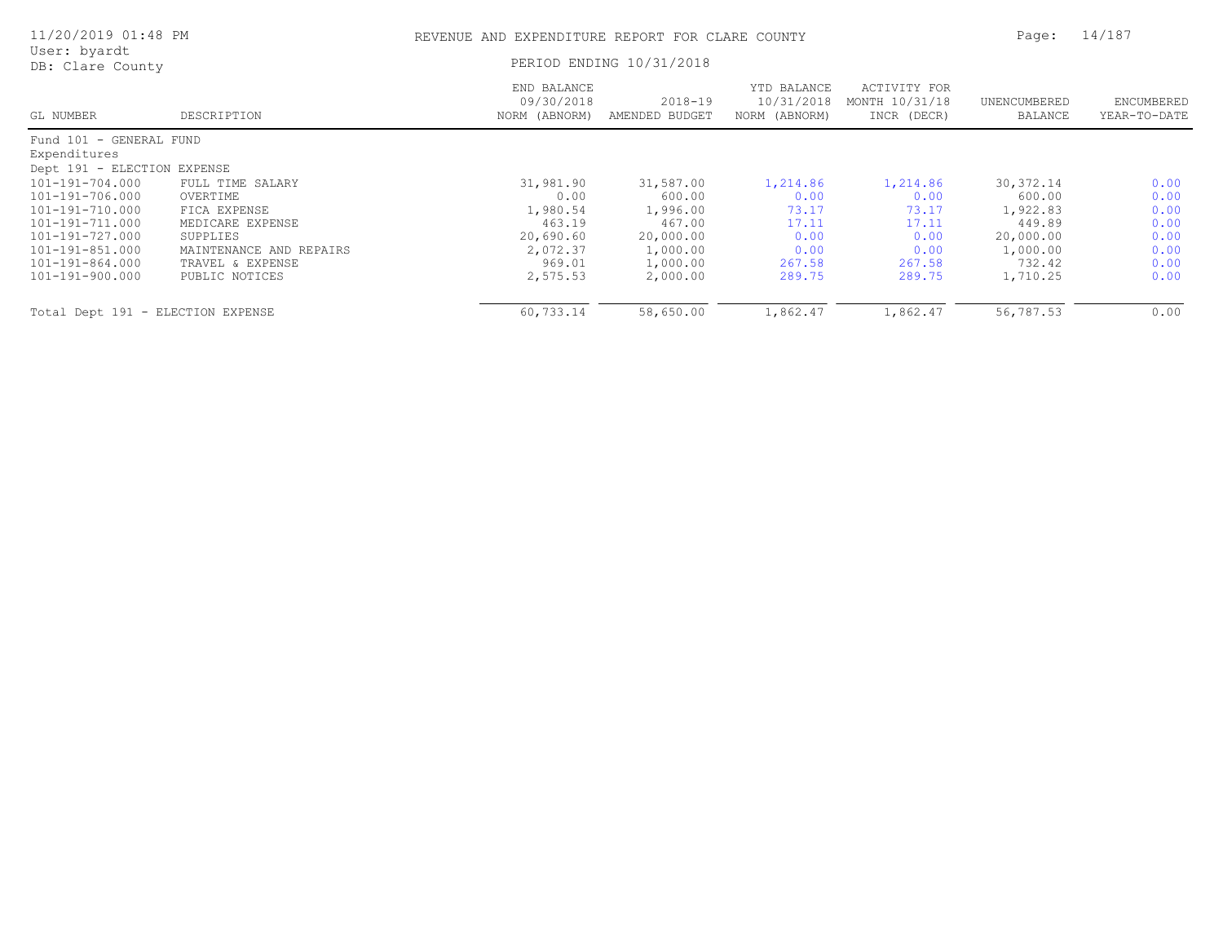| 11/20/2019 01:48 PM               |                         | REVENUE AND EXPENDITURE REPORT FOR CLARE COUNTY |                           |                                            |                                               | Page:                   | 14/187                     |
|-----------------------------------|-------------------------|-------------------------------------------------|---------------------------|--------------------------------------------|-----------------------------------------------|-------------------------|----------------------------|
| User: byardt<br>DB: Clare County  |                         |                                                 | PERIOD ENDING 10/31/2018  |                                            |                                               |                         |                            |
| GL NUMBER                         | DESCRIPTION             | END BALANCE<br>09/30/2018<br>NORM (ABNORM)      | 2018-19<br>AMENDED BUDGET | YTD BALANCE<br>10/31/2018<br>NORM (ABNORM) | ACTIVITY FOR<br>MONTH 10/31/18<br>INCR (DECR) | UNENCUMBERED<br>BALANCE | ENCUMBERED<br>YEAR-TO-DATE |
| Fund 101 - GENERAL FUND           |                         |                                                 |                           |                                            |                                               |                         |                            |
| Expenditures                      |                         |                                                 |                           |                                            |                                               |                         |                            |
| Dept 191 - ELECTION EXPENSE       |                         |                                                 |                           |                                            |                                               |                         |                            |
| 101-191-704.000                   | FULL TIME SALARY        | 31,981.90                                       | 31,587.00                 | 1,214.86                                   | 1,214.86                                      | 30, 372.14              | 0.00                       |
| 101-191-706.000                   | OVERTIME                | 0.00                                            | 600.00                    | 0.00                                       | 0.00                                          | 600.00                  | 0.00                       |
| 101-191-710.000                   | FICA EXPENSE            | 1,980.54                                        | 1,996.00                  | 73.17                                      | 73.17                                         | 1,922.83                | 0.00                       |
| 101-191-711.000                   | MEDICARE EXPENSE        | 463.19                                          | 467.00                    | 17.11                                      | 17.11                                         | 449.89                  | 0.00                       |
| 101-191-727.000                   | SUPPLIES                | 20,690.60                                       | 20,000.00                 | 0.00                                       | 0.00                                          | 20,000.00               | 0.00                       |
| 101-191-851.000                   | MAINTENANCE AND REPAIRS | 2,072.37                                        | 1,000.00                  | 0.00                                       | 0.00                                          | 1,000.00                | 0.00                       |
| 101-191-864.000                   | TRAVEL & EXPENSE        | 969.01                                          | 1,000.00                  | 267.58                                     | 267.58                                        | 732.42                  | 0.00                       |
| 101-191-900.000                   | PUBLIC NOTICES          | 2,575.53                                        | 2,000.00                  | 289.75                                     | 289.75                                        | 1,710.25                | 0.00                       |
| Total Dept 191 - ELECTION EXPENSE |                         | 60,733.14                                       | 58,650.00                 | 1,862.47                                   | 1,862.47                                      | 56,787.53               | 0.00                       |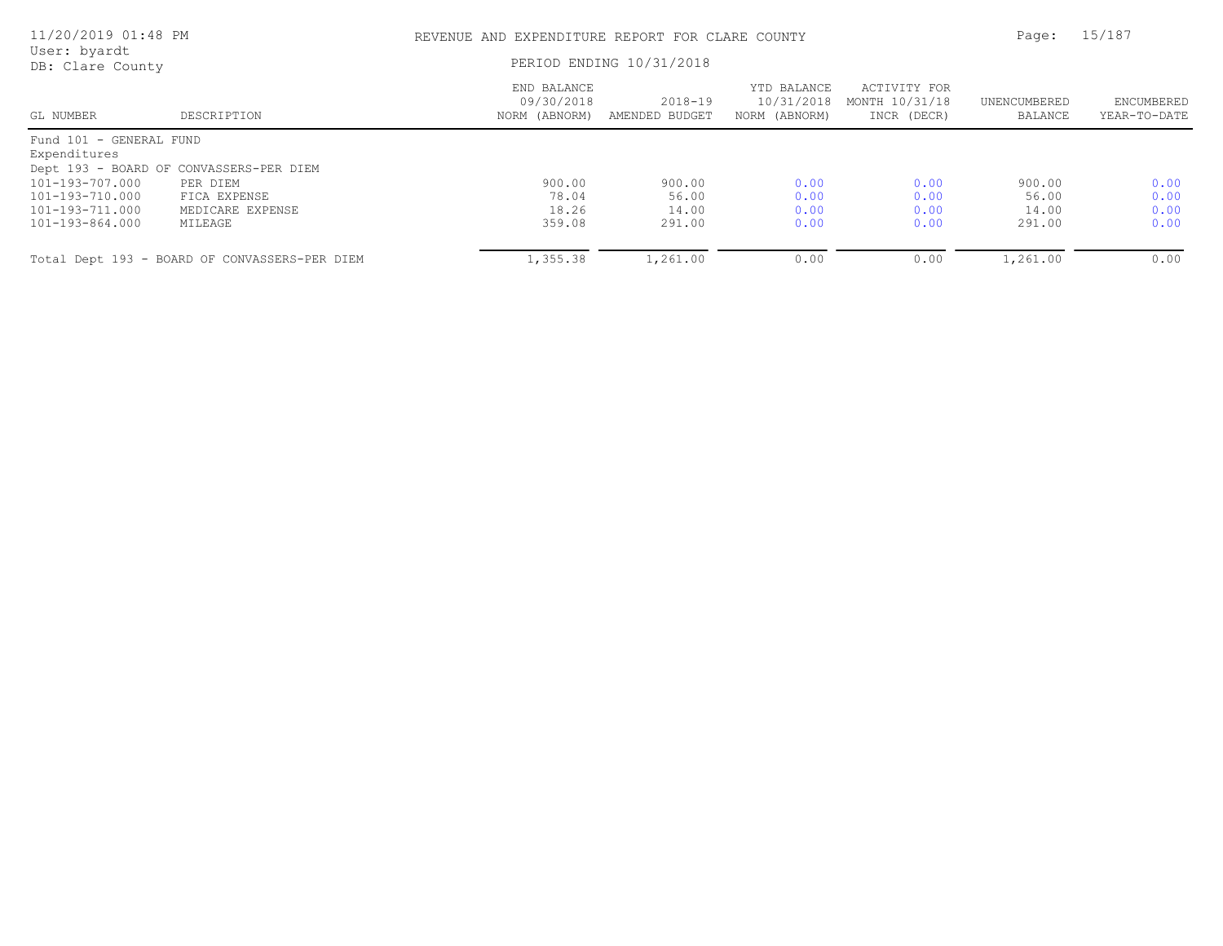| 11/20/2019 01:48 PM              |                                               | REVENUE AND EXPENDITURE REPORT FOR CLARE COUNTY |                               |                                            |                                               | Page:                   | 15/187                            |
|----------------------------------|-----------------------------------------------|-------------------------------------------------|-------------------------------|--------------------------------------------|-----------------------------------------------|-------------------------|-----------------------------------|
| User: byardt<br>DB: Clare County |                                               | PERIOD ENDING 10/31/2018                        |                               |                                            |                                               |                         |                                   |
| GL NUMBER                        | DESCRIPTION                                   | END BALANCE<br>09/30/2018<br>NORM (ABNORM)      | $2018 - 19$<br>AMENDED BUDGET | YTD BALANCE<br>10/31/2018<br>NORM (ABNORM) | ACTIVITY FOR<br>MONTH 10/31/18<br>INCR (DECR) | UNENCUMBERED<br>BALANCE | <b>ENCUMBERED</b><br>YEAR-TO-DATE |
| Fund 101 - GENERAL FUND          |                                               |                                                 |                               |                                            |                                               |                         |                                   |
| Expenditures                     |                                               |                                                 |                               |                                            |                                               |                         |                                   |
|                                  | Dept 193 - BOARD OF CONVASSERS-PER DIEM       |                                                 |                               |                                            |                                               |                         |                                   |
| 101-193-707.000                  | PER DIEM                                      | 900.00                                          | 900.00                        | 0.00                                       | 0.00                                          | 900.00                  | 0.00                              |
| 101-193-710.000                  | FICA EXPENSE                                  | 78.04                                           | 56.00                         | 0.00                                       | 0.00                                          | 56.00                   | 0.00                              |
| 101-193-711.000                  | MEDICARE EXPENSE                              | 18.26                                           | 14.00                         | 0.00                                       | 0.00                                          | 14.00                   | 0.00                              |
| 101-193-864.000                  | MILEAGE                                       | 359.08                                          | 291.00                        | 0.00                                       | 0.00                                          | 291.00                  | 0.00                              |
|                                  | Total Dept 193 - BOARD OF CONVASSERS-PER DIEM | 1,355.38                                        | 1,261.00                      | 0.00                                       | 0.00                                          | 1,261.00                | 0.00                              |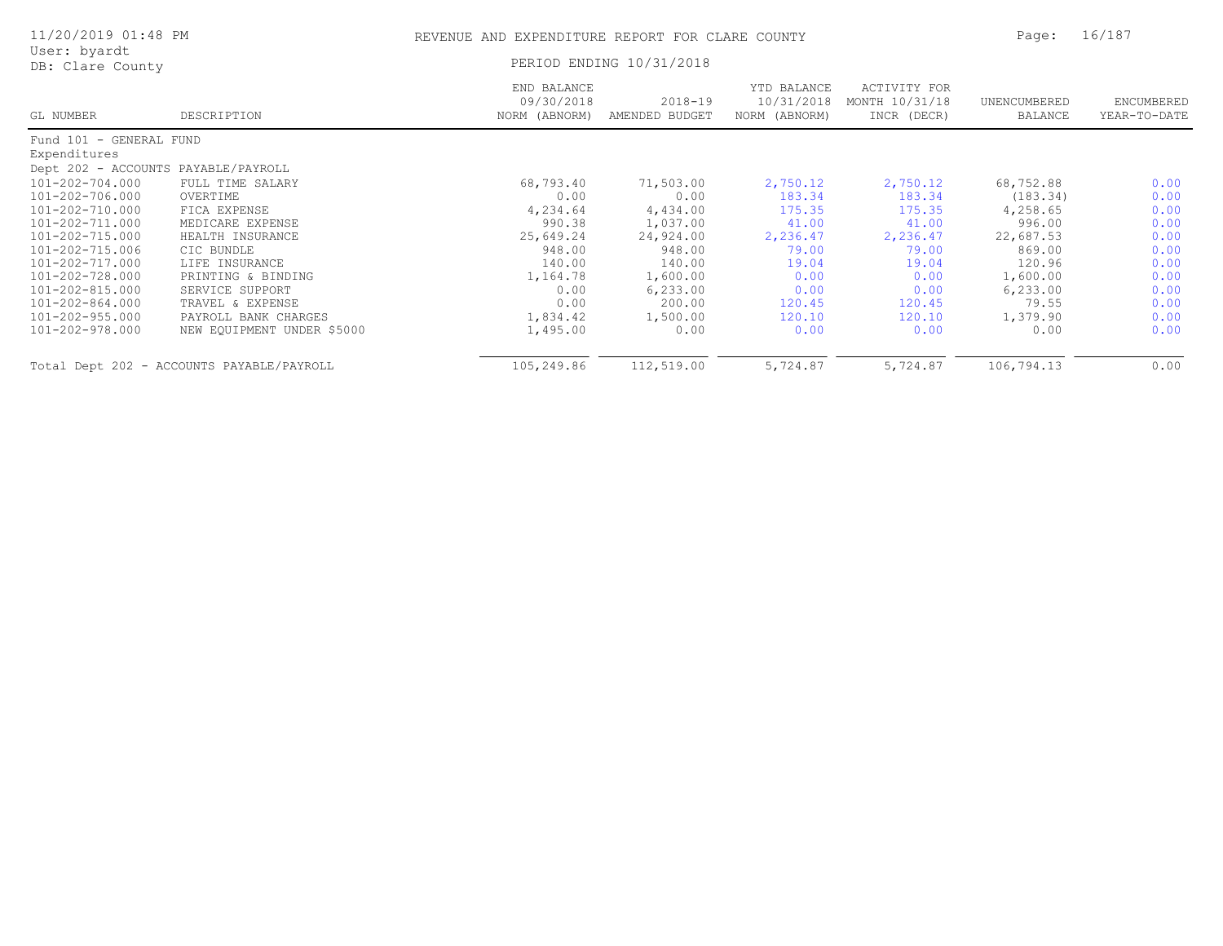| 11/20/2019 01:48 PM                 |                                           | REVENUE AND EXPENDITURE REPORT FOR CLARE COUNTY | Page:                         | 16/187                                     |                                               |                         |                            |  |
|-------------------------------------|-------------------------------------------|-------------------------------------------------|-------------------------------|--------------------------------------------|-----------------------------------------------|-------------------------|----------------------------|--|
| User: byardt<br>DB: Clare County    |                                           |                                                 | PERIOD ENDING 10/31/2018      |                                            |                                               |                         |                            |  |
| GL NUMBER                           | DESCRIPTION                               | END BALANCE<br>09/30/2018<br>NORM (ABNORM)      | $2018 - 19$<br>AMENDED BUDGET | YTD BALANCE<br>10/31/2018<br>NORM (ABNORM) | ACTIVITY FOR<br>MONTH 10/31/18<br>INCR (DECR) | UNENCUMBERED<br>BALANCE | ENCUMBERED<br>YEAR-TO-DATE |  |
| Fund 101 - GENERAL FUND             |                                           |                                                 |                               |                                            |                                               |                         |                            |  |
| Expenditures                        |                                           |                                                 |                               |                                            |                                               |                         |                            |  |
| Dept 202 - ACCOUNTS PAYABLE/PAYROLL |                                           |                                                 |                               |                                            |                                               |                         |                            |  |
| 101-202-704.000                     | FULL TIME SALARY                          | 68,793.40                                       | 71,503.00                     | 2,750.12                                   | 2,750.12                                      | 68,752.88               | 0.00                       |  |
| 101-202-706.000                     | OVERTIME                                  | 0.00                                            | 0.00                          | 183.34                                     | 183.34                                        | (183.34)                | 0.00                       |  |
| 101-202-710.000                     | FICA EXPENSE                              | 4,234.64                                        | 4,434.00                      | 175.35                                     | 175.35                                        | 4,258.65                | 0.00                       |  |
| 101-202-711.000                     | MEDICARE EXPENSE                          | 990.38                                          | 1,037.00                      | 41.00                                      | 41.00                                         | 996.00                  | 0.00                       |  |
| 101-202-715.000                     | HEALTH INSURANCE                          | 25,649.24                                       | 24,924.00                     | 2,236.47                                   | 2,236.47                                      | 22,687.53               | 0.00                       |  |
| 101-202-715.006                     | CIC BUNDLE                                | 948.00                                          | 948.00                        | 79.00                                      | 79.00                                         | 869.00                  | 0.00                       |  |
| 101-202-717.000                     | LIFE INSURANCE                            | 140.00                                          | 140.00                        | 19.04                                      | 19.04                                         | 120.96                  | 0.00                       |  |
| 101-202-728.000                     | PRINTING & BINDING                        | 1,164.78                                        | 1,600.00                      | 0.00                                       | 0.00                                          | 1,600.00                | 0.00                       |  |
| 101-202-815.000                     | SERVICE SUPPORT                           | 0.00                                            | 6, 233.00                     | 0.00                                       | 0.00                                          | 6, 233.00               | 0.00                       |  |
| 101-202-864.000                     | TRAVEL & EXPENSE                          | 0.00                                            | 200.00                        | 120.45                                     | 120.45                                        | 79.55                   | 0.00                       |  |
| 101-202-955.000                     | PAYROLL BANK CHARGES                      | 1,834.42                                        | 1,500.00                      | 120.10                                     | 120.10                                        | 1,379.90                | 0.00                       |  |
| 101-202-978.000                     | NEW EQUIPMENT UNDER \$5000                | 1,495.00                                        | 0.00                          | 0.00                                       | 0.00                                          | 0.00                    | 0.00                       |  |
|                                     | Total Dept 202 - ACCOUNTS PAYABLE/PAYROLL | 105,249.86                                      | 112,519.00                    | 5,724.87                                   | 5,724.87                                      | 106,794.13              | 0.00                       |  |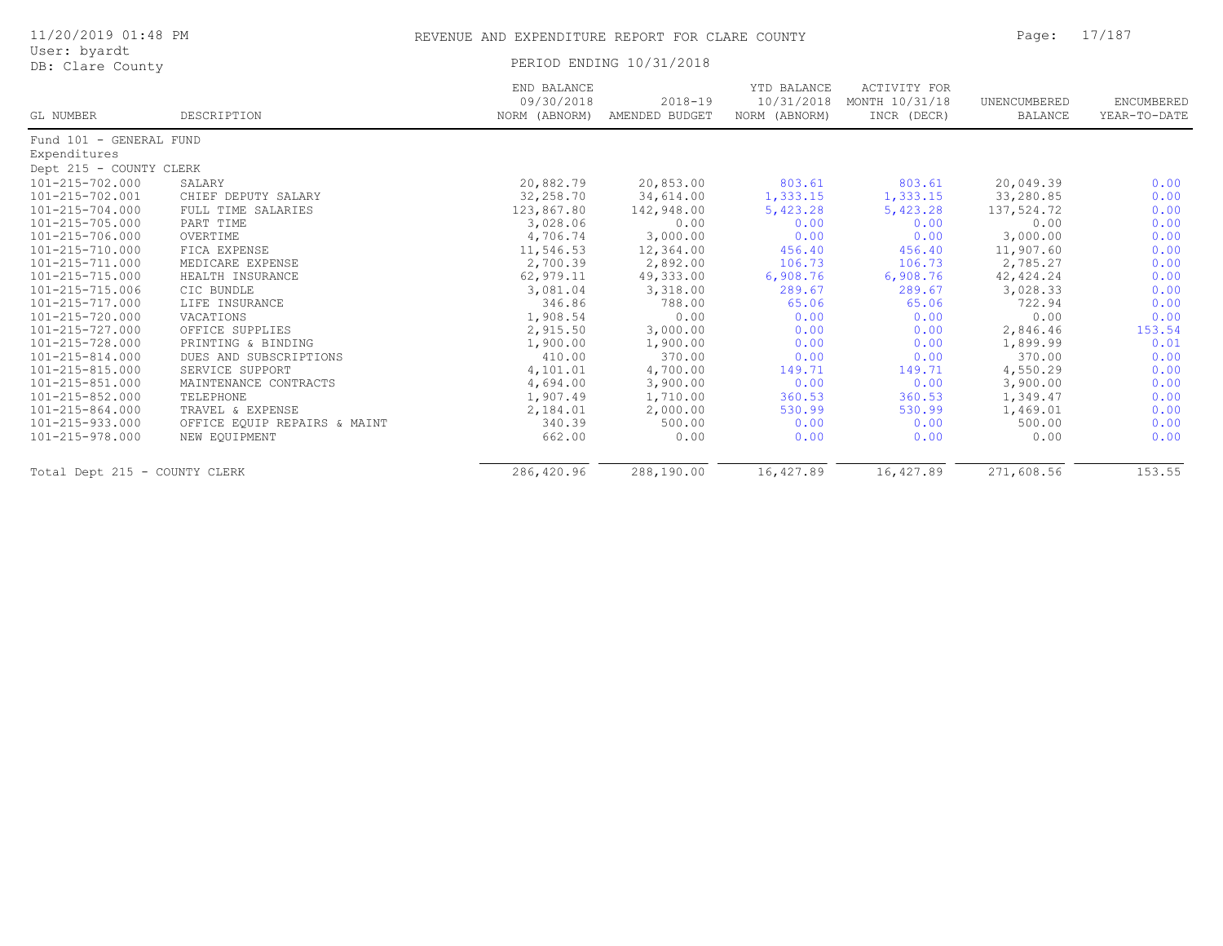| 11/20/2019 01:48 PM              |                              | REVENUE AND EXPENDITURE REPORT FOR CLARE COUNTY | Page:                         | 17/187                       |                                                          |                         |                            |  |
|----------------------------------|------------------------------|-------------------------------------------------|-------------------------------|------------------------------|----------------------------------------------------------|-------------------------|----------------------------|--|
| User: byardt<br>DB: Clare County |                              |                                                 | PERIOD ENDING 10/31/2018      |                              |                                                          |                         |                            |  |
| GL NUMBER                        | DESCRIPTION                  | END BALANCE<br>09/30/2018<br>NORM (ABNORM)      | $2018 - 19$<br>AMENDED BUDGET | YTD BALANCE<br>NORM (ABNORM) | ACTIVITY FOR<br>10/31/2018 MONTH 10/31/18<br>INCR (DECR) | UNENCUMBERED<br>BALANCE | ENCUMBERED<br>YEAR-TO-DATE |  |
| Fund 101 - GENERAL FUND          |                              |                                                 |                               |                              |                                                          |                         |                            |  |
| Expenditures                     |                              |                                                 |                               |                              |                                                          |                         |                            |  |
| Dept 215 - COUNTY CLERK          |                              |                                                 |                               |                              |                                                          |                         |                            |  |
| 101-215-702.000                  | SALARY                       | 20,882.79                                       | 20,853.00                     | 803.61                       | 803.61                                                   | 20,049.39               | 0.00                       |  |
| 101-215-702.001                  | CHIEF DEPUTY SALARY          | 32,258.70                                       | 34,614.00                     | 1,333.15                     | 1,333.15                                                 | 33,280.85               | 0.00                       |  |
| 101-215-704.000                  | FULL TIME SALARIES           | 123,867.80                                      | 142,948.00                    | 5,423.28                     | 5,423.28                                                 | 137,524.72              | 0.00                       |  |
| 101-215-705.000                  | PART TIME                    | 3,028.06                                        | 0.00                          | 0.00                         | 0.00                                                     | 0.00                    | 0.00                       |  |
| 101-215-706.000                  | OVERTIME                     | 4,706.74                                        | 3,000.00                      | 0.00                         | 0.00                                                     | 3,000.00                | 0.00                       |  |
| 101-215-710.000                  | FICA EXPENSE                 | 11,546.53                                       | 12,364.00                     | 456.40                       | 456.40                                                   | 11,907.60               | 0.00                       |  |
| 101-215-711.000                  | MEDICARE EXPENSE             | 2,700.39                                        | 2,892.00                      | 106.73                       | 106.73                                                   | 2,785.27                | 0.00                       |  |
| 101-215-715.000                  | HEALTH INSURANCE             | 62,979.11                                       | 49,333.00                     | 6,908.76                     | 6,908.76                                                 | 42, 424.24              | 0.00                       |  |
| 101-215-715.006                  | CIC BUNDLE                   | 3,081.04                                        | 3,318.00                      | 289.67                       | 289.67                                                   | 3,028.33                | 0.00                       |  |
| 101-215-717.000                  | LIFE INSURANCE               | 346.86                                          | 788.00                        | 65.06                        | 65.06                                                    | 722.94                  | 0.00                       |  |
| 101-215-720.000                  | VACATIONS                    | 1,908.54                                        | 0.00                          | 0.00                         | 0.00                                                     | 0.00                    | 0.00                       |  |
| 101-215-727.000                  | OFFICE SUPPLIES              | 2,915.50                                        | 3,000.00                      | 0.00                         | 0.00                                                     | 2,846.46                | 153.54                     |  |
| 101-215-728.000                  | PRINTING & BINDING           | 1,900.00                                        | 1,900.00                      | 0.00                         | 0.00                                                     | 1,899.99                | 0.01                       |  |
| 101-215-814.000                  | DUES AND SUBSCRIPTIONS       | 410.00                                          | 370.00                        | 0.00                         | 0.00                                                     | 370.00                  | 0.00                       |  |
| 101-215-815.000                  | SERVICE SUPPORT              | 4,101.01                                        | 4,700.00                      | 149.71                       | 149.71                                                   | 4,550.29                | 0.00                       |  |
| 101-215-851.000                  | MAINTENANCE CONTRACTS        | 4,694.00                                        | 3,900.00                      | 0.00                         | 0.00                                                     | 3,900.00                | 0.00                       |  |
| 101-215-852.000                  | TELEPHONE                    | 1,907.49                                        | 1,710.00                      | 360.53                       | 360.53                                                   | 1,349.47                | 0.00                       |  |
| 101-215-864.000                  | TRAVEL & EXPENSE             | 2,184.01                                        | 2,000.00                      | 530.99                       | 530.99                                                   | 1,469.01                | 0.00                       |  |
| 101-215-933.000                  | OFFICE EQUIP REPAIRS & MAINT | 340.39                                          | 500.00                        | 0.00                         | 0.00                                                     | 500.00                  | 0.00                       |  |
| 101-215-978.000                  | NEW EQUIPMENT                | 662.00                                          | 0.00                          | 0.00                         | 0.00                                                     | 0.00                    | 0.00                       |  |
| Total Dept 215 - COUNTY CLERK    |                              | 286,420.96                                      | 288,190.00                    | 16,427.89                    | 16,427.89                                                | 271,608.56              | 153.55                     |  |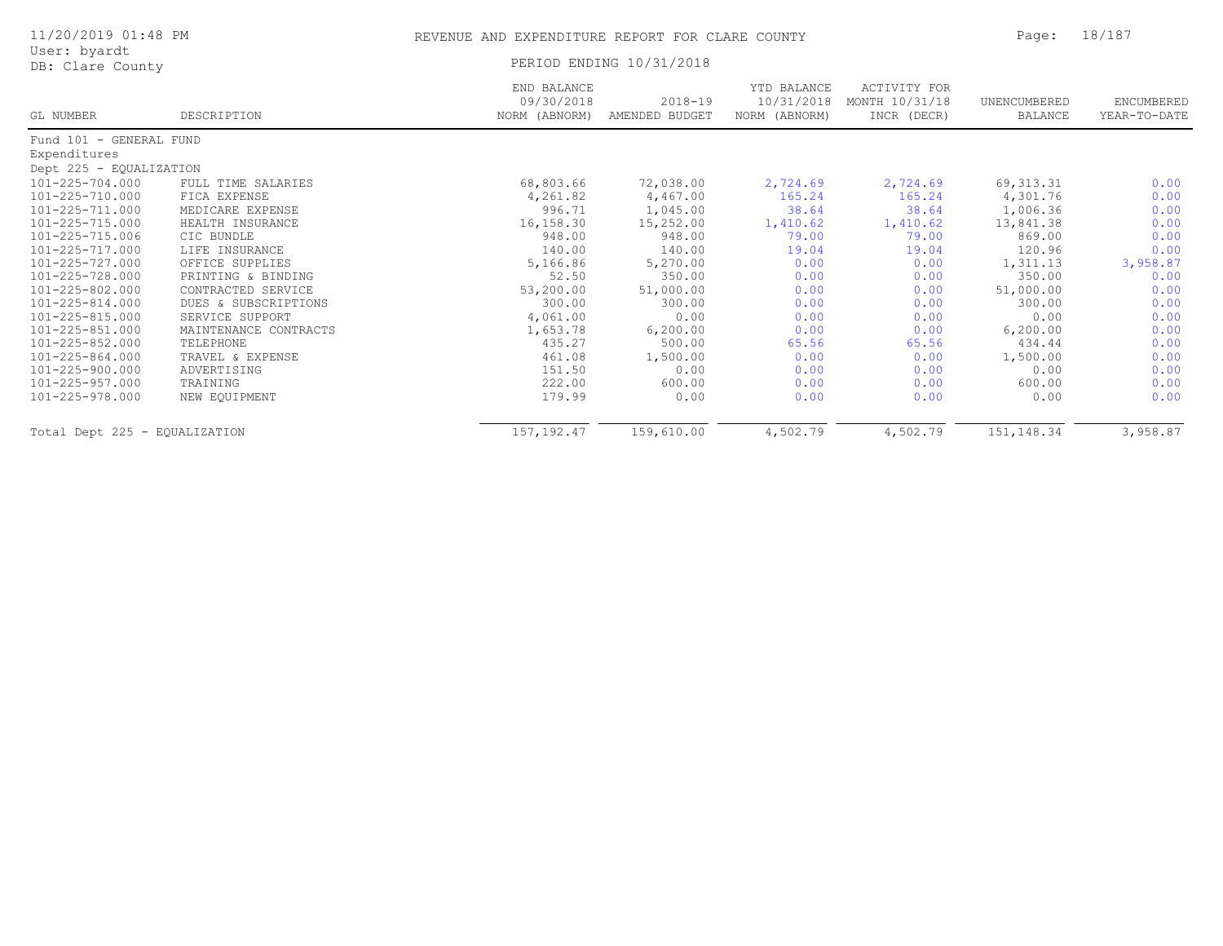| 11/20/2019 01:48 PM              |                       | REVENUE AND EXPENDITURE REPORT FOR CLARE COUNTY |                               |                                            |                                               | Page:                   | 18/187                     |  |
|----------------------------------|-----------------------|-------------------------------------------------|-------------------------------|--------------------------------------------|-----------------------------------------------|-------------------------|----------------------------|--|
| User: byardt<br>DB: Clare County |                       |                                                 | PERIOD ENDING 10/31/2018      |                                            |                                               |                         |                            |  |
| GL NUMBER                        | DESCRIPTION           | END BALANCE<br>09/30/2018<br>NORM (ABNORM)      | $2018 - 19$<br>AMENDED BUDGET | YTD BALANCE<br>10/31/2018<br>NORM (ABNORM) | ACTIVITY FOR<br>MONTH 10/31/18<br>INCR (DECR) | UNENCUMBERED<br>BALANCE | ENCUMBERED<br>YEAR-TO-DATE |  |
| Fund 101 - GENERAL FUND          |                       |                                                 |                               |                                            |                                               |                         |                            |  |
| Expenditures                     |                       |                                                 |                               |                                            |                                               |                         |                            |  |
| Dept 225 - EQUALIZATION          |                       |                                                 |                               |                                            |                                               |                         |                            |  |
| 101-225-704.000                  | FULL TIME SALARIES    | 68,803.66                                       | 72,038.00                     | 2,724.69                                   | 2,724.69                                      | 69, 313.31              | 0.00                       |  |
| 101-225-710.000                  | FICA EXPENSE          | 4,261.82                                        | 4,467.00                      | 165.24                                     | 165.24                                        | 4,301.76                | 0.00                       |  |
| 101-225-711.000                  | MEDICARE EXPENSE      | 996.71                                          | 1,045.00                      | 38.64                                      | 38.64                                         | 1,006.36                | 0.00                       |  |
| 101-225-715.000                  | HEALTH INSURANCE      | 16,158.30                                       | 15,252.00                     | 1,410.62                                   | 1,410.62                                      | 13,841.38               | 0.00                       |  |
| 101-225-715.006                  | CIC BUNDLE            | 948.00                                          | 948.00                        | 79.00                                      | 79.00                                         | 869.00                  | 0.00                       |  |
| 101-225-717.000                  | LIFE INSURANCE        | 140.00                                          | 140.00                        | 19.04                                      | 19.04                                         | 120.96                  | 0.00                       |  |
| 101-225-727.000                  | OFFICE SUPPLIES       | 5,166.86                                        | 5,270.00                      | 0.00                                       | 0.00                                          | 1,311.13                | 3,958.87                   |  |
| 101-225-728.000                  | PRINTING & BINDING    | 52.50                                           | 350.00                        | 0.00                                       | 0.00                                          | 350.00                  | 0.00                       |  |
| 101-225-802.000                  | CONTRACTED SERVICE    | 53,200.00                                       | 51,000.00                     | 0.00                                       | 0.00                                          | 51,000.00               | 0.00                       |  |
| 101-225-814.000                  | DUES & SUBSCRIPTIONS  | 300.00                                          | 300.00                        | 0.00                                       | 0.00                                          | 300.00                  | 0.00                       |  |
| 101-225-815.000                  | SERVICE SUPPORT       | 4,061.00                                        | 0.00                          | 0.00                                       | 0.00                                          | 0.00                    | 0.00                       |  |
| 101-225-851.000                  | MAINTENANCE CONTRACTS | 1,653.78                                        | 6, 200.00                     | 0.00                                       | 0.00                                          | 6, 200.00               | 0.00                       |  |
| 101-225-852.000                  | TELEPHONE             | 435.27                                          | 500.00                        | 65.56                                      | 65.56                                         | 434.44                  | 0.00                       |  |
| 101-225-864.000                  | TRAVEL & EXPENSE      | 461.08                                          | 1,500.00                      | 0.00                                       | 0.00                                          | 1,500.00                | 0.00                       |  |
| 101-225-900.000                  | ADVERTISING           | 151.50                                          | 0.00                          | 0.00                                       | 0.00                                          | 0.00                    | 0.00                       |  |
| 101-225-957.000                  | TRAINING              | 222.00                                          | 600.00                        | 0.00                                       | 0.00                                          | 600.00                  | 0.00                       |  |
| 101-225-978.000                  | NEW EOUIPMENT         | 179.99                                          | 0.00                          | 0.00                                       | 0.00                                          | 0.00                    | 0.00                       |  |

Total Dept 225 - EQUALIZATION 157,192.47 159,610.00 4,502.79 4,502.79 151,148.34 3,958.87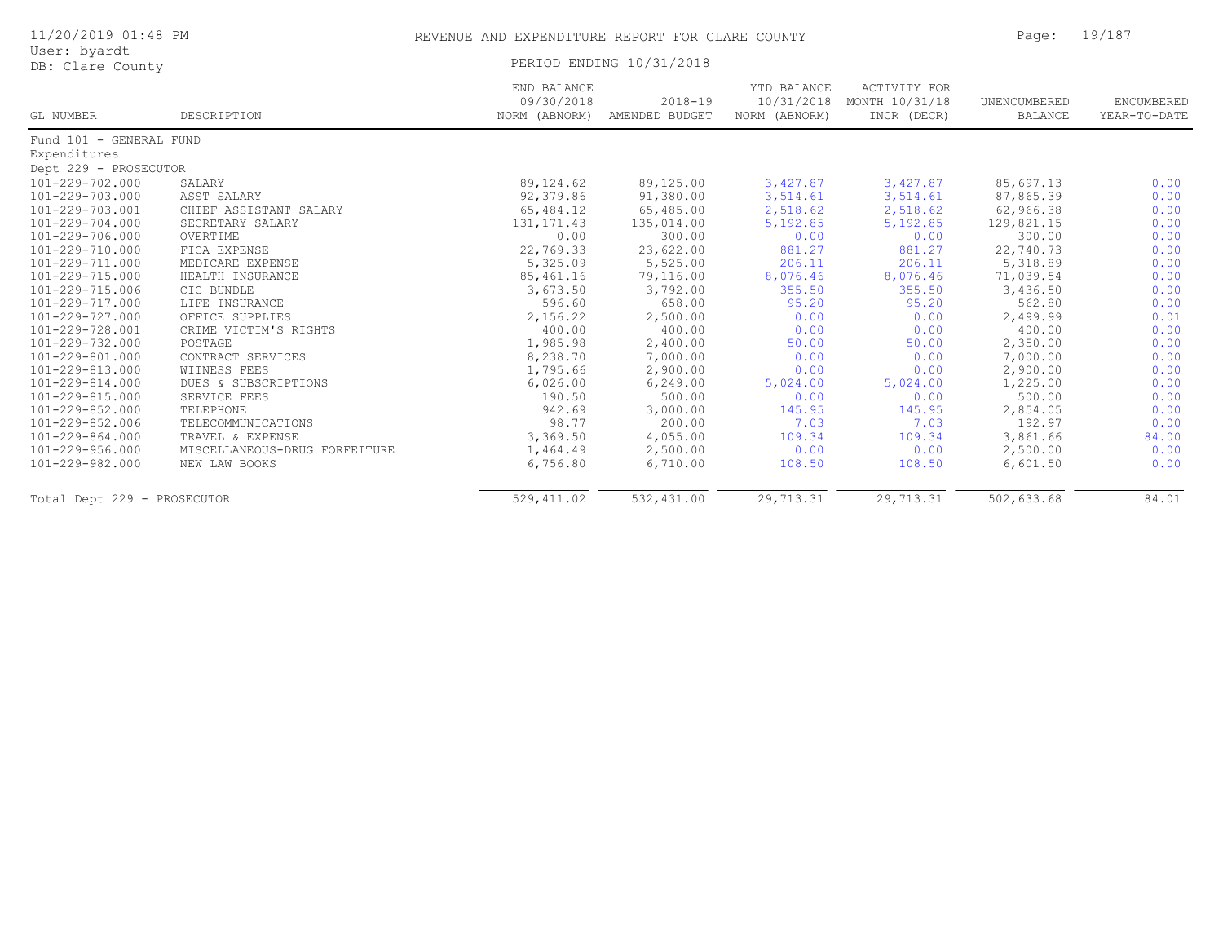| 11/20/2019 01:48 PM         |                               | REVENUE AND EXPENDITURE REPORT FOR CLARE COUNTY |                                             |                                            |                                               | Page:                          | 19/187                     |
|-----------------------------|-------------------------------|-------------------------------------------------|---------------------------------------------|--------------------------------------------|-----------------------------------------------|--------------------------------|----------------------------|
| User: byardt                |                               |                                                 |                                             |                                            |                                               |                                |                            |
| DB: Clare County            |                               | PERIOD ENDING 10/31/2018                        |                                             |                                            |                                               |                                |                            |
| GL NUMBER                   | DESCRIPTION                   | END BALANCE<br>09/30/2018                       | $2018 - 19$<br>NORM (ABNORM) AMENDED BUDGET | YTD BALANCE<br>10/31/2018<br>NORM (ABNORM) | ACTIVITY FOR<br>MONTH 10/31/18<br>INCR (DECR) | UNENCUMBERED<br><b>BALANCE</b> | ENCUMBERED<br>YEAR-TO-DATE |
| Fund 101 - GENERAL FUND     |                               |                                                 |                                             |                                            |                                               |                                |                            |
| Expenditures                |                               |                                                 |                                             |                                            |                                               |                                |                            |
| Dept 229 - PROSECUTOR       |                               |                                                 |                                             |                                            |                                               |                                |                            |
| 101-229-702.000             | SALARY                        | 89,124.62                                       | 89,125.00                                   | 3,427.87                                   | 3,427.87                                      | 85,697.13                      | 0.00                       |
| $101 - 229 - 703.000$       | ASST SALARY                   | 92,379.86                                       | 91,380.00                                   | 3,514.61                                   | 3,514.61                                      | 87,865.39                      | 0.00                       |
| 101-229-703.001             | CHIEF ASSISTANT SALARY        | 65,484.12                                       | 65,485.00                                   | 2,518.62                                   | 2,518.62                                      | 62,966.38                      | 0.00                       |
| 101-229-704.000             | SECRETARY SALARY              | 131, 171.43                                     | 135,014.00                                  | 5,192.85                                   | 5,192.85                                      | 129,821.15                     | 0.00                       |
| 101-229-706.000             | OVERTIME                      | 0.00                                            | 300.00                                      | 0.00                                       | 0.00                                          | 300.00                         | 0.00                       |
| 101-229-710.000             | FICA EXPENSE                  | 22,769.33                                       | 23,622.00                                   | 881.27                                     | 881.27                                        | 22,740.73                      | 0.00                       |
| 101-229-711.000             | MEDICARE EXPENSE              | 5,325.09                                        | 5,525.00                                    | 206.11                                     | 206.11                                        | 5,318.89                       | 0.00                       |
| 101-229-715.000             | HEALTH INSURANCE              | 85,461.16                                       | 79,116.00                                   | 8,076.46                                   | 8,076.46                                      | 71,039.54                      | 0.00                       |
| 101-229-715.006             | CIC BUNDLE                    | 3,673.50                                        | 3,792.00                                    | 355.50                                     | 355.50                                        | 3,436.50                       | 0.00                       |
| $101 - 229 - 717.000$       | LIFE INSURANCE                | 596.60                                          | 658.00                                      | 95.20                                      | 95.20                                         | 562.80                         | 0.00                       |
| 101-229-727.000             | OFFICE SUPPLIES               | 2,156.22                                        | 2,500.00                                    | 0.00                                       | 0.00                                          | 2,499.99                       | 0.01                       |
| 101-229-728.001             | CRIME VICTIM'S RIGHTS         | 400.00                                          | 400.00                                      | 0.00                                       | 0.00                                          | 400.00                         | 0.00                       |
| $101 - 229 - 732.000$       | POSTAGE                       | 1,985.98                                        | 2,400.00                                    | 50.00                                      | 50.00                                         | 2,350.00                       | 0.00                       |
| 101-229-801.000             | CONTRACT SERVICES             | 8,238.70                                        | 7,000.00                                    | 0.00                                       | 0.00                                          | 7,000.00                       | 0.00                       |
| 101-229-813.000             | WITNESS FEES                  | 1,795.66                                        | 2,900.00                                    | 0.00                                       | 0.00                                          | 2,900.00                       | 0.00                       |
| 101-229-814.000             | DUES & SUBSCRIPTIONS          | 6,026.00                                        | 6, 249.00                                   | 5,024.00                                   | 5,024.00                                      | 1,225.00                       | 0.00                       |
| 101-229-815.000             | SERVICE FEES                  | 190.50                                          | 500.00                                      | 0.00                                       | 0.00                                          | 500.00                         | 0.00                       |
| 101-229-852.000             | TELEPHONE                     | 942.69                                          | 3,000.00                                    | 145.95                                     | 145.95                                        | 2,854.05                       | 0.00                       |
| 101-229-852.006             | TELECOMMUNICATIONS            | 98.77                                           | 200.00                                      | 7.03                                       | 7.03                                          | 192.97                         | 0.00                       |
| 101-229-864.000             | TRAVEL & EXPENSE              | 3,369.50                                        | 4,055.00                                    | 109.34                                     | 109.34                                        | 3,861.66                       | 84.00                      |
| 101-229-956.000             | MISCELLANEOUS-DRUG FORFEITURE | 1,464.49                                        | 2,500.00                                    | 0.00                                       | 0.00                                          | 2,500.00                       | 0.00                       |
| 101-229-982.000             | NEW LAW BOOKS                 | 6,756.80                                        | 6,710.00                                    | 108.50                                     | 108.50                                        | 6,601.50                       | 0.00                       |
| Total Dept 229 - PROSECUTOR |                               | 529, 411.02                                     | 532,431.00                                  | 29,713.31                                  | 29,713.31                                     | 502,633.68                     | 84.01                      |
|                             |                               |                                                 |                                             |                                            |                                               |                                |                            |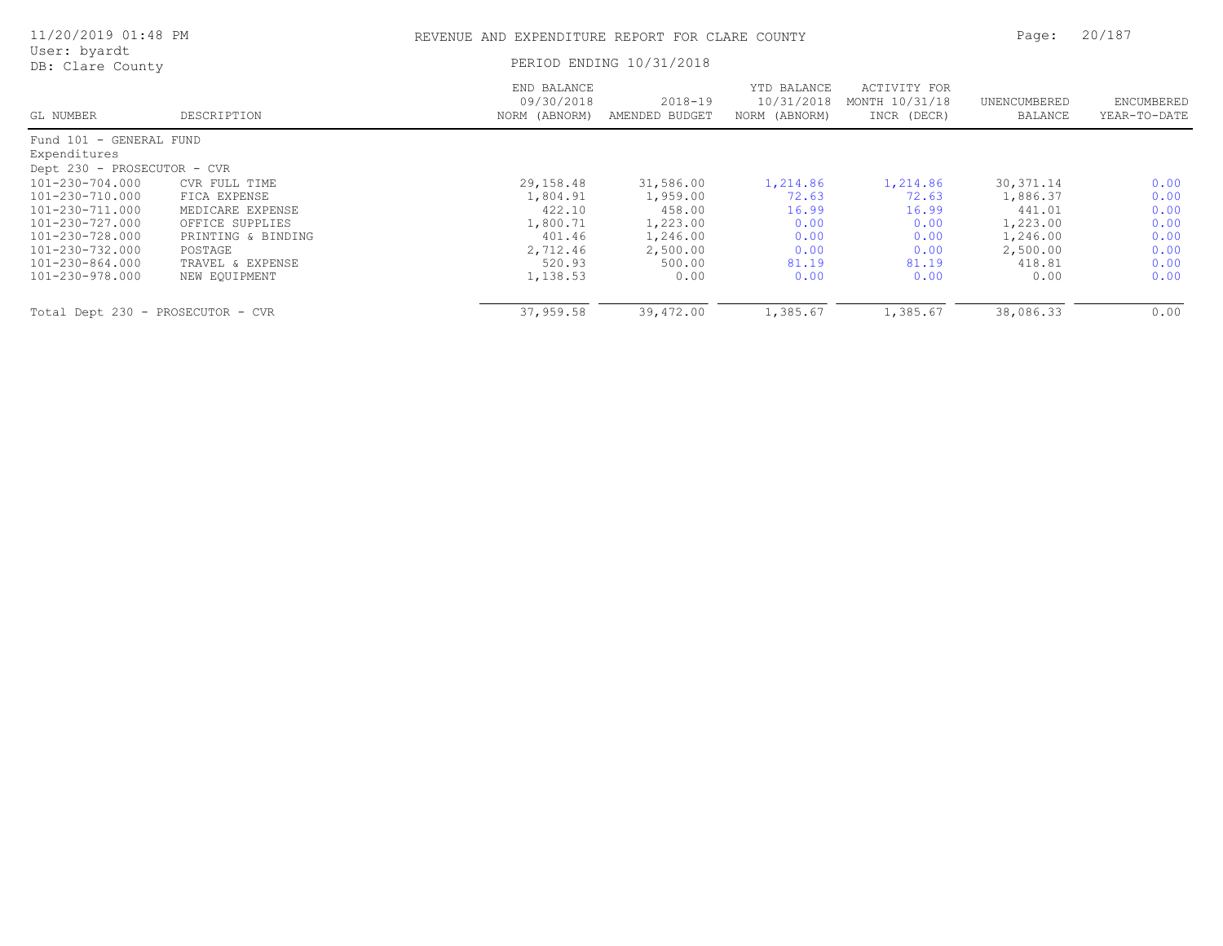| 11/20/2019 01:48 PM               |                    | REVENUE AND EXPENDITURE REPORT FOR CLARE COUNTY |                               |                                            |                                               | Page:                   | 20/187                     |
|-----------------------------------|--------------------|-------------------------------------------------|-------------------------------|--------------------------------------------|-----------------------------------------------|-------------------------|----------------------------|
| User: byardt<br>DB: Clare County  |                    |                                                 | PERIOD ENDING 10/31/2018      |                                            |                                               |                         |                            |
| GL NUMBER                         | DESCRIPTION        | END BALANCE<br>09/30/2018<br>NORM (ABNORM)      | $2018 - 19$<br>AMENDED BUDGET | YTD BALANCE<br>10/31/2018<br>NORM (ABNORM) | ACTIVITY FOR<br>MONTH 10/31/18<br>INCR (DECR) | UNENCUMBERED<br>BALANCE | ENCUMBERED<br>YEAR-TO-DATE |
| Fund 101 - GENERAL FUND           |                    |                                                 |                               |                                            |                                               |                         |                            |
| Expenditures                      |                    |                                                 |                               |                                            |                                               |                         |                            |
| Dept 230 - PROSECUTOR - CVR       |                    |                                                 |                               |                                            |                                               |                         |                            |
| 101-230-704.000                   | CVR FULL TIME      | 29,158.48                                       | 31,586.00                     | 1,214.86                                   | 1,214.86                                      | 30, 371.14              | 0.00                       |
| 101-230-710.000                   | FICA EXPENSE       | 1,804.91                                        | 1,959.00                      | 72.63                                      | 72.63                                         | 1,886.37                | 0.00                       |
| 101-230-711.000                   | MEDICARE EXPENSE   | 422.10                                          | 458.00                        | 16.99                                      | 16.99                                         | 441.01                  | 0.00                       |
| 101-230-727.000                   | OFFICE SUPPLIES    | 1,800.71                                        | 1,223.00                      | 0.00                                       | 0.00                                          | 1,223.00                | 0.00                       |
| 101-230-728.000                   | PRINTING & BINDING | 401.46                                          | 1,246.00                      | 0.00                                       | 0.00                                          | 1,246.00                | 0.00                       |
| 101-230-732.000                   | POSTAGE            | 2,712.46                                        | 2,500.00                      | 0.00                                       | 0.00                                          | 2,500.00                | 0.00                       |
| 101-230-864.000                   | TRAVEL & EXPENSE   | 520.93                                          | 500.00                        | 81.19                                      | 81.19                                         | 418.81                  | 0.00                       |
| 101-230-978.000                   | NEW EQUIPMENT      | 1,138.53                                        | 0.00                          | 0.00                                       | 0.00                                          | 0.00                    | 0.00                       |
| Total Dept 230 - PROSECUTOR - CVR |                    | 37,959.58                                       | 39,472.00                     | 1,385.67                                   | 1,385.67                                      | 38,086.33               | 0.00                       |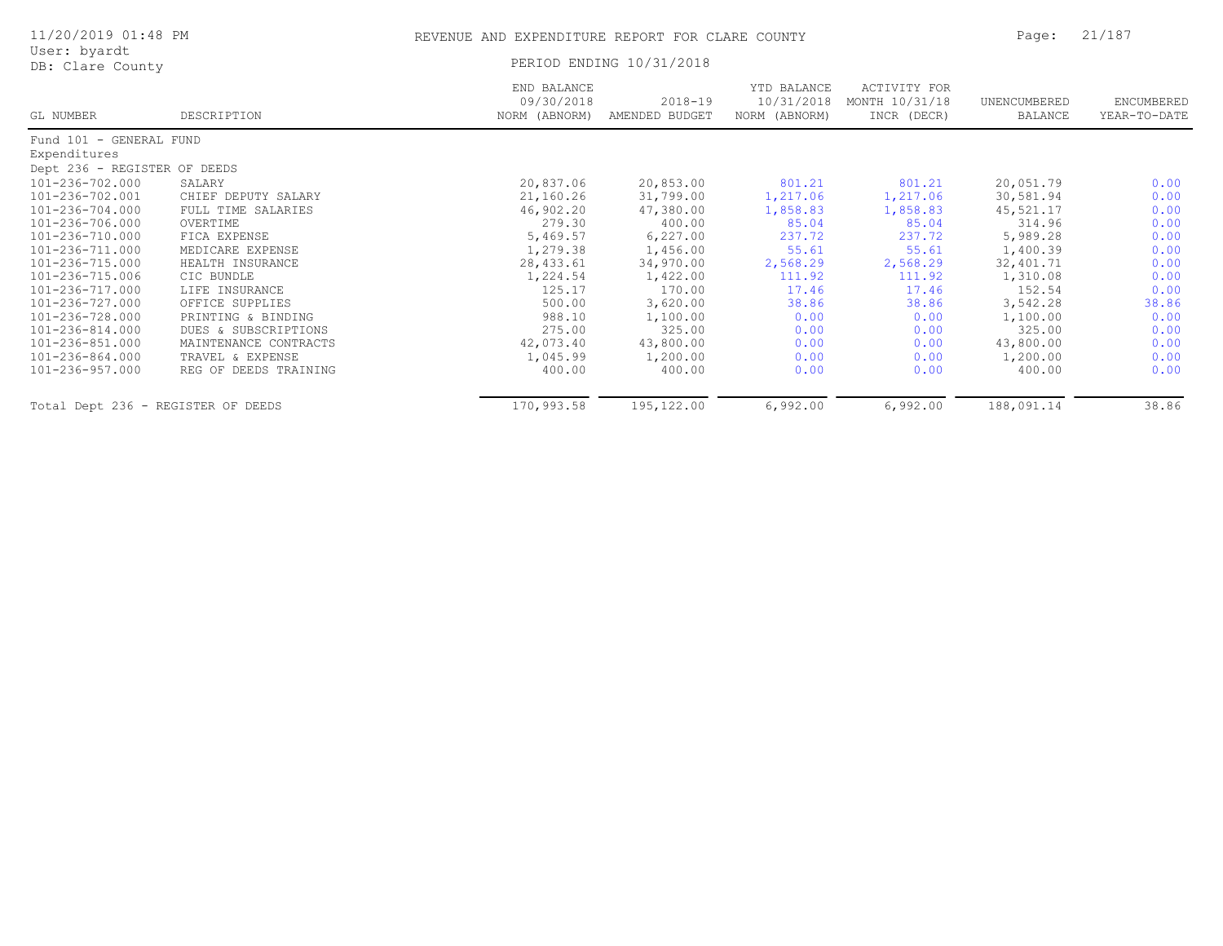| 11/20/2019 01:48 PM<br>User: byardt |                       | REVENUE AND EXPENDITURE REPORT FOR CLARE COUNTY |                               | Page:                                      | 21/187                                        |                                |                            |
|-------------------------------------|-----------------------|-------------------------------------------------|-------------------------------|--------------------------------------------|-----------------------------------------------|--------------------------------|----------------------------|
| DB: Clare County                    |                       |                                                 | PERIOD ENDING 10/31/2018      |                                            |                                               |                                |                            |
| GL NUMBER                           | DESCRIPTION           | END BALANCE<br>09/30/2018<br>NORM (ABNORM)      | $2018 - 19$<br>AMENDED BUDGET | YTD BALANCE<br>10/31/2018<br>NORM (ABNORM) | ACTIVITY FOR<br>MONTH 10/31/18<br>INCR (DECR) | UNENCUMBERED<br><b>BALANCE</b> | ENCUMBERED<br>YEAR-TO-DATE |
| Fund 101 - GENERAL FUND             |                       |                                                 |                               |                                            |                                               |                                |                            |
| Expenditures                        |                       |                                                 |                               |                                            |                                               |                                |                            |
| Dept 236 - REGISTER OF DEEDS        |                       |                                                 |                               |                                            |                                               |                                |                            |
| 101-236-702.000                     | SALARY                | 20,837.06                                       | 20,853.00                     | 801.21                                     | 801.21                                        | 20,051.79                      | 0.00                       |
| 101-236-702.001                     | CHIEF DEPUTY SALARY   | 21,160.26                                       | 31,799.00                     | 1,217.06                                   | 1,217.06                                      | 30,581.94                      | 0.00                       |
| 101-236-704.000                     | FULL TIME SALARIES    | 46,902.20                                       | 47,380.00                     | 1,858.83                                   | 1,858.83                                      | 45,521.17                      | 0.00                       |
| 101-236-706.000                     | OVERTIME              | 279.30                                          | 400.00                        | 85.04                                      | 85.04                                         | 314.96                         | 0.00                       |
| 101-236-710.000                     | FICA EXPENSE          | 5,469.57                                        | 6,227.00                      | 237.72                                     | 237.72                                        | 5,989.28                       | 0.00                       |
| 101-236-711.000                     | MEDICARE EXPENSE      | 1,279.38                                        | 1,456.00                      | 55.61                                      | 55.61                                         | 1,400.39                       | 0.00                       |
| 101-236-715.000                     | HEALTH INSURANCE      | 28, 433.61                                      | 34,970.00                     | 2,568.29                                   | 2,568.29                                      | 32,401.71                      | 0.00                       |
| 101-236-715.006                     | CIC BUNDLE            | 1,224.54                                        | 1,422.00                      | 111.92                                     | 111.92                                        | 1,310.08                       | 0.00                       |
| 101-236-717.000                     | LIFE INSURANCE        | 125.17                                          | 170.00                        | 17.46                                      | 17.46                                         | 152.54                         | 0.00                       |
| 101-236-727.000                     | OFFICE SUPPLIES       | 500.00                                          | 3,620.00                      | 38.86                                      | 38.86                                         | 3,542.28                       | 38.86                      |
| 101-236-728.000                     | PRINTING & BINDING    | 988.10                                          | 1,100.00                      | 0.00                                       | 0.00                                          | 1,100.00                       | 0.00                       |
| 101-236-814.000                     | DUES & SUBSCRIPTIONS  | 275.00                                          | 325.00                        | 0.00                                       | 0.00                                          | 325.00                         | 0.00                       |
| 101-236-851.000                     | MAINTENANCE CONTRACTS | 42,073.40                                       | 43,800.00                     | 0.00                                       | 0.00                                          | 43,800.00                      | 0.00                       |
| 101-236-864.000                     | TRAVEL & EXPENSE      | 1,045.99                                        | 1,200.00                      | 0.00                                       | 0.00                                          | 1,200.00                       | 0.00                       |
| 101-236-957.000                     | REG OF DEEDS TRAINING | 400.00                                          | 400.00                        | 0.00                                       | 0.00                                          | 400.00                         | 0.00                       |
| Total Dept 236 - REGISTER OF DEEDS  |                       | 170,993.58                                      | 195,122.00                    | 6,992.00                                   | 6,992.00                                      | 188,091.14                     | 38.86                      |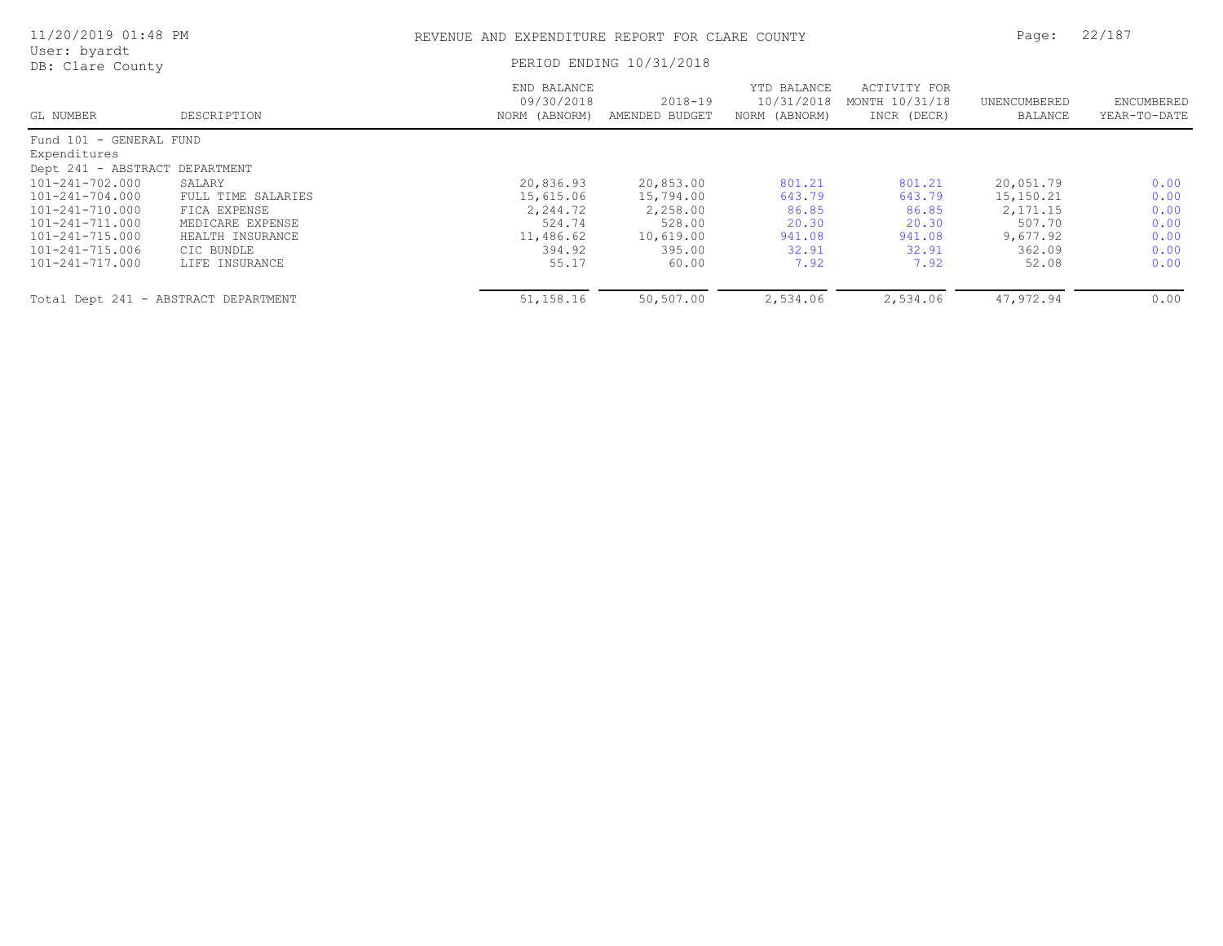| 11/20/2019 01:48 PM                                                                     |                                                                      | REVENUE AND EXPENDITURE REPORT FOR CLARE COUNTY |                                        |                                            |                                               | 22/187<br>Page:                       |                              |
|-----------------------------------------------------------------------------------------|----------------------------------------------------------------------|-------------------------------------------------|----------------------------------------|--------------------------------------------|-----------------------------------------------|---------------------------------------|------------------------------|
| User: byardt<br>DB: Clare County                                                        |                                                                      |                                                 | PERIOD ENDING 10/31/2018               |                                            |                                               |                                       |                              |
| GL NUMBER                                                                               | DESCRIPTION                                                          | END BALANCE<br>09/30/2018<br>NORM (ABNORM)      | $2018 - 19$<br>AMENDED BUDGET          | YTD BALANCE<br>10/31/2018<br>NORM (ABNORM) | ACTIVITY FOR<br>MONTH 10/31/18<br>INCR (DECR) | UNENCUMBERED<br>BALANCE               | ENCUMBERED<br>YEAR-TO-DATE   |
| Fund 101 - GENERAL FUND<br>Expenditures                                                 |                                                                      |                                                 |                                        |                                            |                                               |                                       |                              |
| Dept 241 - ABSTRACT DEPARTMENT<br>101-241-702.000<br>101-241-704.000<br>101-241-710.000 | SALARY<br>FULL TIME SALARIES<br>FICA EXPENSE                         | 20,836.93<br>15,615.06<br>2,244.72              | 20,853.00<br>15,794.00<br>2,258.00     | 801.21<br>643.79<br>86.85                  | 801.21<br>643.79<br>86.85                     | 20,051.79<br>15,150.21<br>2, 171.15   | 0.00<br>0.00<br>0.00         |
| 101-241-711.000<br>101-241-715.000<br>101-241-715.006<br>101-241-717.000                | MEDICARE EXPENSE<br>HEALTH INSURANCE<br>CIC BUNDLE<br>LIFE INSURANCE | 524.74<br>11,486.62<br>394.92<br>55.17          | 528.00<br>10,619.00<br>395.00<br>60.00 | 20.30<br>941.08<br>32.91<br>7.92           | 20.30<br>941.08<br>32.91<br>7.92              | 507.70<br>9,677.92<br>362.09<br>52.08 | 0.00<br>0.00<br>0.00<br>0.00 |
| Total Dept 241 - ABSTRACT DEPARTMENT                                                    |                                                                      | 51,158.16                                       | 50,507.00                              | 2,534.06                                   | 2,534.06                                      | 47,972.94                             | 0.00                         |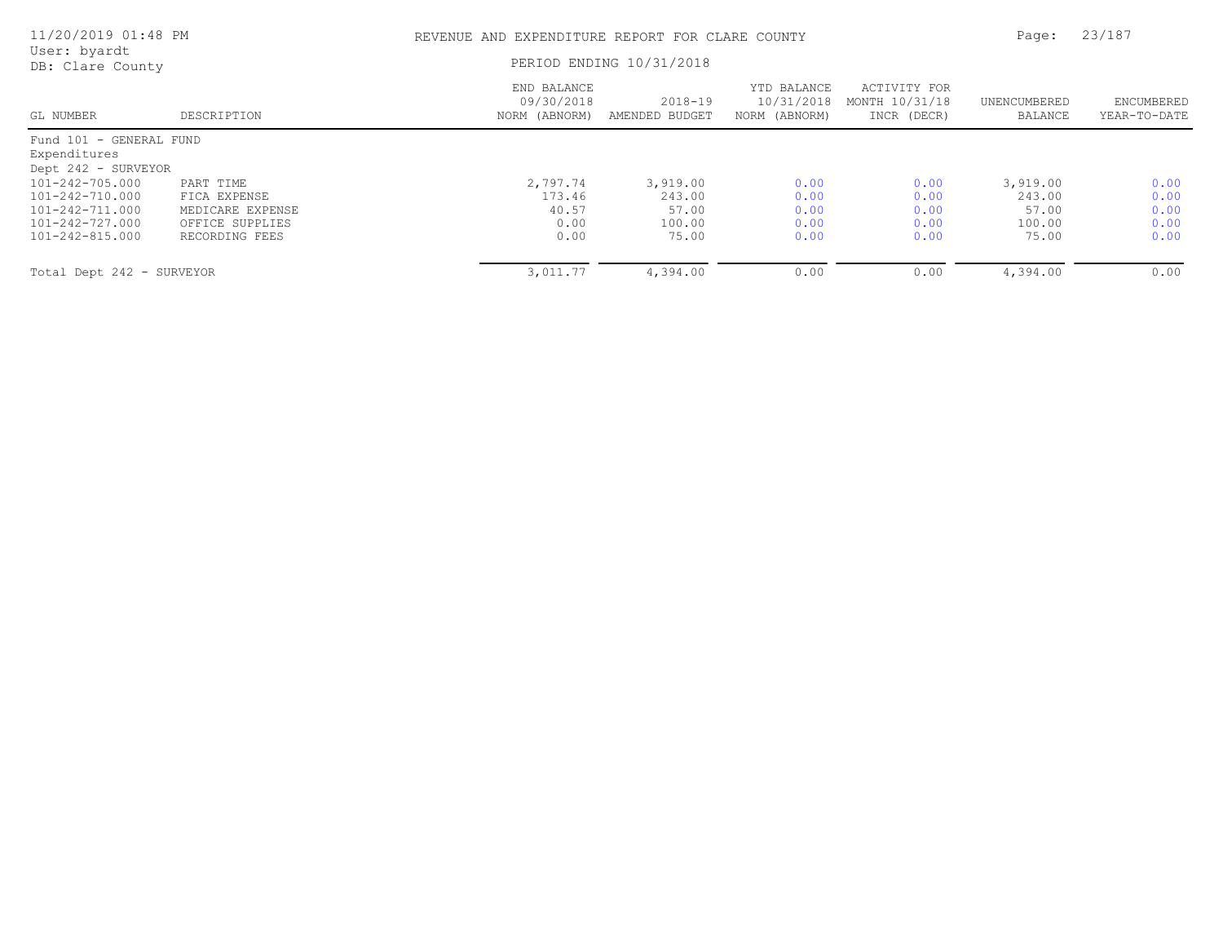| 11/20/2019 01:48 PM                                            |                                               | REVENUE AND EXPENDITURE REPORT FOR CLARE COUNTY | Page:                         | 23/187                                     |                                               |                             |                            |
|----------------------------------------------------------------|-----------------------------------------------|-------------------------------------------------|-------------------------------|--------------------------------------------|-----------------------------------------------|-----------------------------|----------------------------|
| User: byardt<br>DB: Clare County                               |                                               |                                                 | PERIOD ENDING 10/31/2018      |                                            |                                               |                             |                            |
| GL NUMBER                                                      | DESCRIPTION                                   | END BALANCE<br>09/30/2018<br>NORM (ABNORM)      | $2018 - 19$<br>AMENDED BUDGET | YTD BALANCE<br>10/31/2018<br>NORM (ABNORM) | ACTIVITY FOR<br>MONTH 10/31/18<br>INCR (DECR) | UNENCUMBERED<br>BALANCE     | ENCUMBERED<br>YEAR-TO-DATE |
| Fund 101 - GENERAL FUND<br>Expenditures<br>Dept 242 - SURVEYOR |                                               |                                                 |                               |                                            |                                               |                             |                            |
| 101-242-705.000<br>101-242-710.000<br>101-242-711.000          | PART TIME<br>FICA EXPENSE<br>MEDICARE EXPENSE | 2,797.74<br>173.46<br>40.57                     | 3,919.00<br>243.00<br>57.00   | 0.00<br>0.00<br>0.00                       | 0.00<br>0.00<br>0.00                          | 3,919.00<br>243.00<br>57.00 | 0.00<br>0.00<br>0.00       |
| 101-242-727.000<br>101-242-815.000                             | OFFICE SUPPLIES<br>RECORDING FEES             | 0.00<br>0.00                                    | 100.00<br>75.00               | 0.00<br>0.00                               | 0.00<br>0.00                                  | 100.00<br>75.00             | 0.00<br>0.00               |
| Total Dept 242 - SURVEYOR                                      |                                               | 3,011.77                                        | 4,394.00                      | 0.00                                       | 0.00                                          | 4,394.00                    | 0.00                       |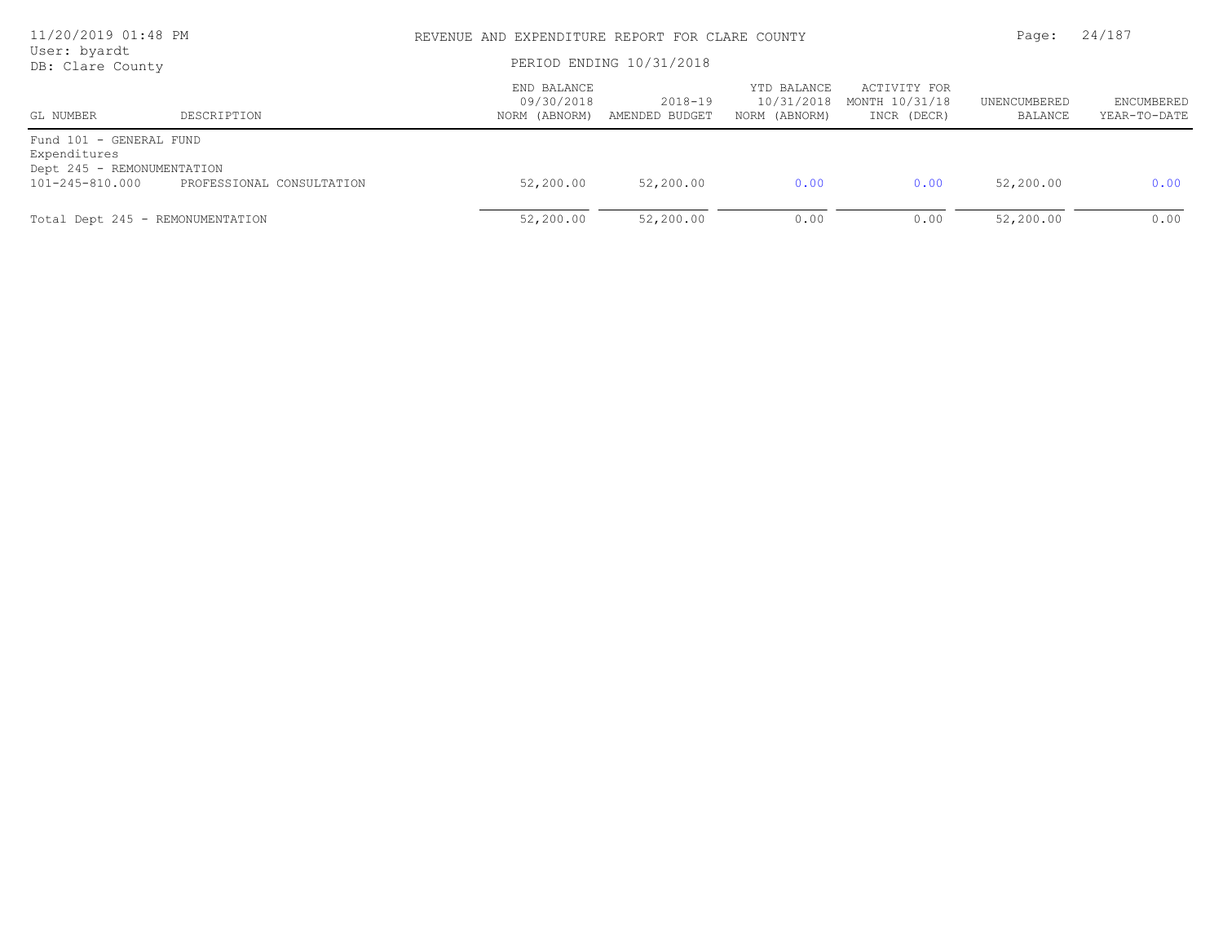| 11/20/2019 01:48 PM<br>User: byardt                                   |                           | REVENUE AND EXPENDITURE REPORT FOR CLARE COUNTY | Page:                     | 24/187                                     |                                               |                         |                                   |
|-----------------------------------------------------------------------|---------------------------|-------------------------------------------------|---------------------------|--------------------------------------------|-----------------------------------------------|-------------------------|-----------------------------------|
| DB: Clare County                                                      |                           | PERIOD ENDING 10/31/2018                        |                           |                                            |                                               |                         |                                   |
| GL NUMBER                                                             | DESCRIPTION               | END BALANCE<br>09/30/2018<br>NORM (ABNORM)      | 2018-19<br>AMENDED BUDGET | YTD BALANCE<br>10/31/2018<br>NORM (ABNORM) | ACTIVITY FOR<br>MONTH 10/31/18<br>INCR (DECR) | UNENCUMBERED<br>BALANCE | <b>ENCUMBERED</b><br>YEAR-TO-DATE |
| Fund 101 - GENERAL FUND<br>Expenditures<br>Dept 245 - REMONUMENTATION |                           |                                                 |                           |                                            |                                               |                         |                                   |
| 101-245-810.000                                                       | PROFESSIONAL CONSULTATION | 52,200.00                                       | 52,200.00                 | 0.00                                       | 0.00                                          | 52,200.00               | 0.00                              |
| Total Dept 245 - REMONUMENTATION                                      |                           | 52,200.00                                       | 52,200.00                 | 0.00                                       | 0.00                                          | 52,200.00               | 0.00                              |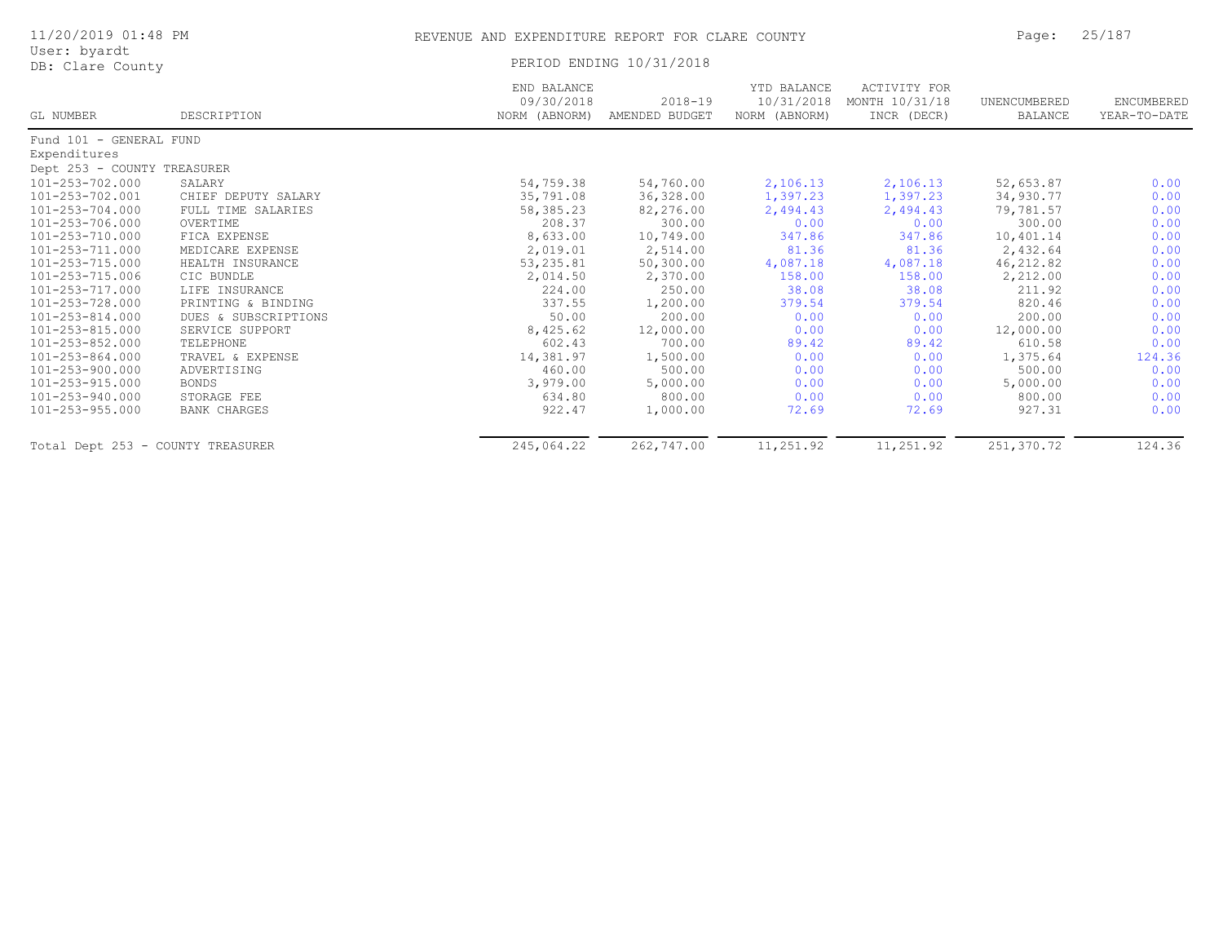| 11/20/2019 01:48 PM               |                      | REVENUE AND EXPENDITURE REPORT FOR CLARE COUNTY | Page:                         | 25/187                                     |                                               |                                |                            |  |
|-----------------------------------|----------------------|-------------------------------------------------|-------------------------------|--------------------------------------------|-----------------------------------------------|--------------------------------|----------------------------|--|
| User: byardt<br>DB: Clare County  |                      |                                                 | PERIOD ENDING 10/31/2018      |                                            |                                               |                                |                            |  |
| GL NUMBER                         | DESCRIPTION          | END BALANCE<br>09/30/2018<br>NORM (ABNORM)      | $2018 - 19$<br>AMENDED BUDGET | YTD BALANCE<br>10/31/2018<br>NORM (ABNORM) | ACTIVITY FOR<br>MONTH 10/31/18<br>INCR (DECR) | UNENCUMBERED<br><b>BALANCE</b> | ENCUMBERED<br>YEAR-TO-DATE |  |
| Fund 101 - GENERAL FUND           |                      |                                                 |                               |                                            |                                               |                                |                            |  |
| Expenditures                      |                      |                                                 |                               |                                            |                                               |                                |                            |  |
| Dept 253 - COUNTY TREASURER       |                      |                                                 |                               |                                            |                                               |                                |                            |  |
| 101-253-702.000                   | SALARY               | 54,759.38                                       | 54,760.00                     | 2,106.13                                   | 2,106.13                                      | 52,653.87                      | 0.00                       |  |
| 101-253-702.001                   | CHIEF DEPUTY SALARY  | 35,791.08                                       | 36,328.00                     | 1,397.23                                   | 1,397.23                                      | 34,930.77                      | 0.00                       |  |
| 101-253-704.000                   | FULL TIME SALARIES   | 58,385.23                                       | 82,276.00                     | 2,494.43                                   | 2,494.43                                      | 79,781.57                      | 0.00                       |  |
| 101-253-706.000                   | OVERTIME             | 208.37                                          | 300.00                        | 0.00                                       | 0.00                                          | 300.00                         | 0.00                       |  |
| 101-253-710.000                   | FICA EXPENSE         | 8,633.00                                        | 10,749.00                     | 347.86                                     | 347.86                                        | 10,401.14                      | 0.00                       |  |
| 101-253-711.000                   | MEDICARE EXPENSE     | 2,019.01                                        | 2,514.00                      | 81.36                                      | 81.36                                         | 2,432.64                       | 0.00                       |  |
| 101-253-715.000                   | HEALTH INSURANCE     | 53,235.81                                       | 50,300.00                     | 4,087.18                                   | 4,087.18                                      | 46,212.82                      | 0.00                       |  |
| 101-253-715.006                   | CIC BUNDLE           | 2,014.50                                        | 2,370.00                      | 158.00                                     | 158.00                                        | 2,212.00                       | 0.00                       |  |
| 101-253-717.000                   | LIFE INSURANCE       | 224.00                                          | 250.00                        | 38.08                                      | 38.08                                         | 211.92                         | 0.00                       |  |
| 101-253-728.000                   | PRINTING & BINDING   | 337.55                                          | 1,200.00                      | 379.54                                     | 379.54                                        | 820.46                         | 0.00                       |  |
| 101-253-814.000                   | DUES & SUBSCRIPTIONS | 50.00                                           | 200.00                        | 0.00                                       | 0.00                                          | 200.00                         | 0.00                       |  |
| 101-253-815.000                   | SERVICE SUPPORT      | 8,425.62                                        | 12,000.00                     | 0.00                                       | 0.00                                          | 12,000.00                      | 0.00                       |  |
| 101-253-852.000                   | TELEPHONE            | 602.43                                          | 700.00                        | 89.42                                      | 89.42                                         | 610.58                         | 0.00                       |  |
| 101-253-864.000                   | TRAVEL & EXPENSE     | 14,381.97                                       | 1,500.00                      | 0.00                                       | 0.00                                          | 1,375.64                       | 124.36                     |  |
| 101-253-900.000                   | ADVERTISING          | 460.00                                          | 500.00                        | 0.00                                       | 0.00                                          | 500.00                         | 0.00                       |  |
| 101-253-915.000                   | <b>BONDS</b>         | 3,979.00                                        | 5,000.00                      | 0.00                                       | 0.00                                          | 5,000.00                       | 0.00                       |  |
| 101-253-940.000                   | STORAGE FEE          | 634.80                                          | 800.00                        | 0.00                                       | 0.00                                          | 800.00                         | 0.00                       |  |
| 101-253-955.000                   | <b>BANK CHARGES</b>  | 922.47                                          | 1,000.00                      | 72.69                                      | 72.69                                         | 927.31                         | 0.00                       |  |
| Total Dept 253 - COUNTY TREASURER |                      | 245,064.22                                      | 262,747.00                    | 11,251.92                                  | 11,251.92                                     | 251,370.72                     | 124.36                     |  |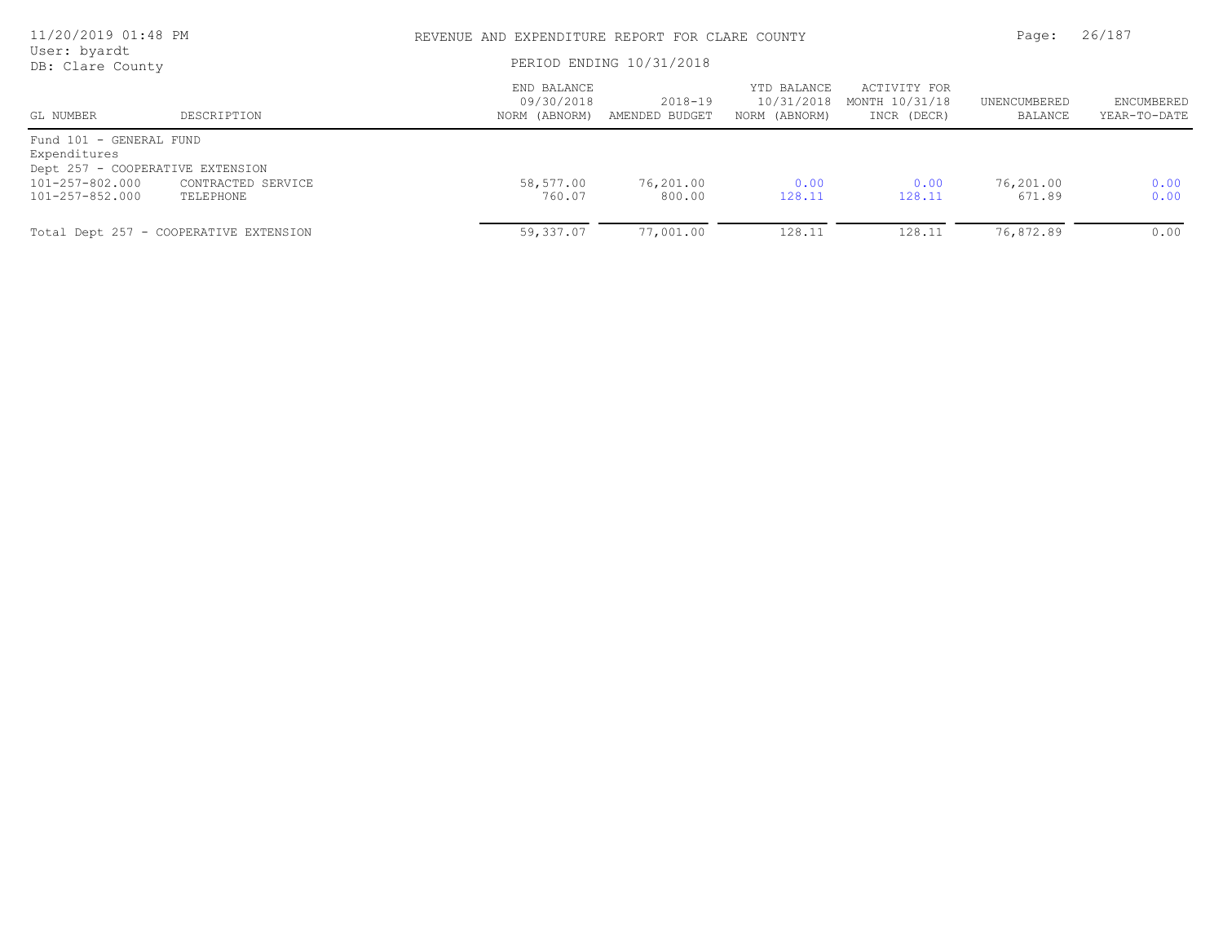| 11/20/2019 01:48 PM<br>User: byardt     |                                        |                                            | REVENUE AND EXPENDITURE REPORT FOR CLARE COUNTY |                                            |                                               |                         |                            |
|-----------------------------------------|----------------------------------------|--------------------------------------------|-------------------------------------------------|--------------------------------------------|-----------------------------------------------|-------------------------|----------------------------|
| DB: Clare County                        |                                        |                                            | PERIOD ENDING 10/31/2018                        |                                            |                                               |                         |                            |
| GL NUMBER                               | DESCRIPTION                            | END BALANCE<br>09/30/2018<br>NORM (ABNORM) | $2018 - 19$<br>AMENDED BUDGET                   | YTD BALANCE<br>10/31/2018<br>NORM (ABNORM) | ACTIVITY FOR<br>MONTH 10/31/18<br>INCR (DECR) | UNENCUMBERED<br>BALANCE | ENCUMBERED<br>YEAR-TO-DATE |
| Fund 101 - GENERAL FUND<br>Expenditures |                                        |                                            |                                                 |                                            |                                               |                         |                            |
| Dept 257 - COOPERATIVE EXTENSION        |                                        |                                            |                                                 |                                            |                                               |                         |                            |
| 101-257-802.000<br>101-257-852.000      | CONTRACTED SERVICE<br>TELEPHONE        | 58,577.00<br>760.07                        | 76,201.00<br>800.00                             | 0.00<br>128.11                             | 0.00<br>128.11                                | 76,201.00<br>671.89     | 0.00<br>0.00               |
|                                         | Total Dept 257 - COOPERATIVE EXTENSION | 59,337.07                                  | 77,001.00                                       | 128.11                                     | 128.11                                        | 76,872.89               | 0.00                       |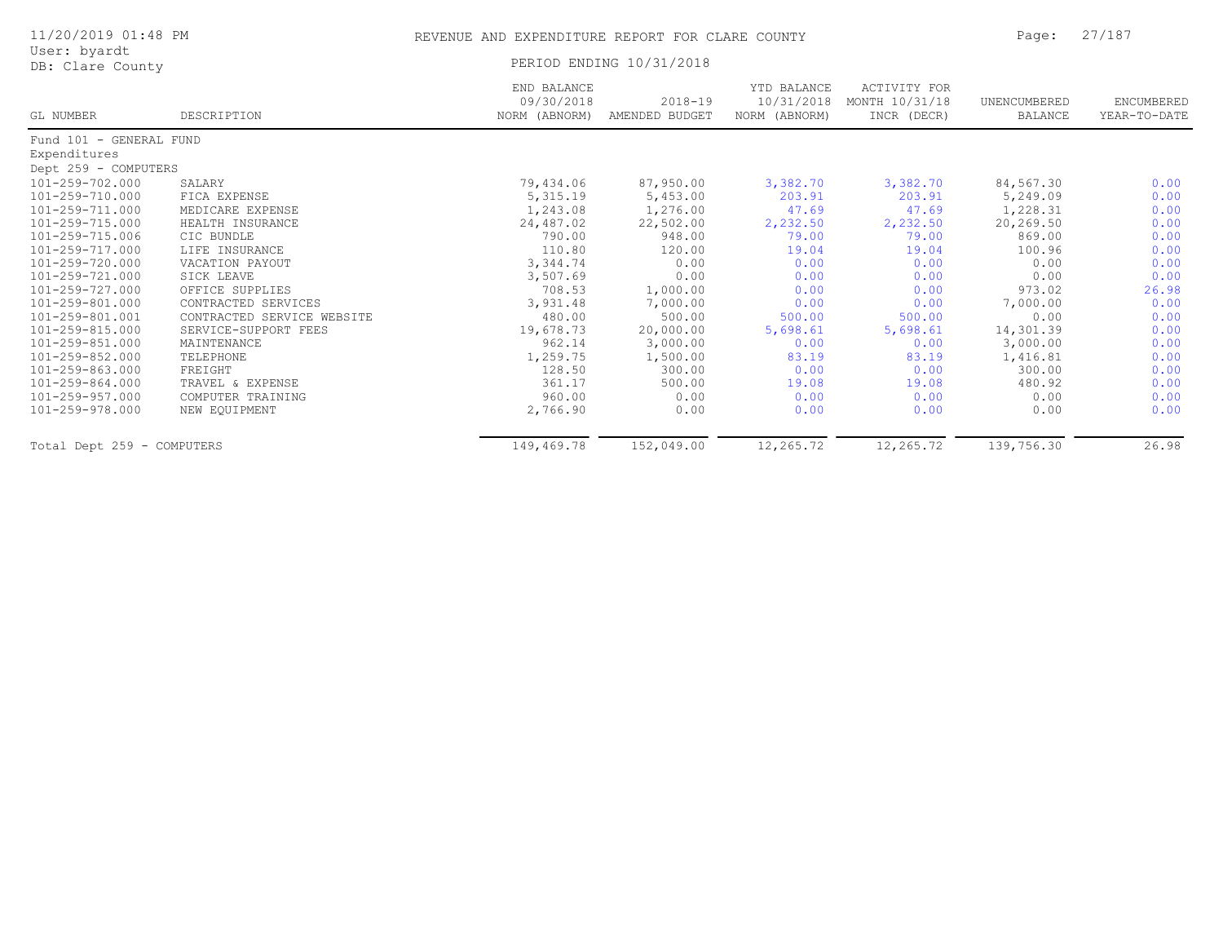| 11/20/2019 01:48 PM              |             |                           | REVENUE AND EXPENDITURE REPORT FOR CLARE COUNTY |               |                                           |              |       |  |  |
|----------------------------------|-------------|---------------------------|-------------------------------------------------|---------------|-------------------------------------------|--------------|-------|--|--|
| User: byardt<br>DB: Clare County |             |                           | PERIOD ENDING 10/31/2018                        |               |                                           |              |       |  |  |
|                                  |             | END BALANCE<br>09/30/2018 | $2018 - 19$                                     | YTD BALANCE   | ACTIVITY FOR<br>10/31/2018 MONTH 10/31/18 | UNENCUMBERED | FM(   |  |  |
| GL NUMBER                        | DESCRIPTION | NORM (ABNORM)             | AMENDED BUDGET                                  | NORM (ABNORM) | INCR (DECR)                               | BALANCE      | YEAR. |  |  |

| GL NUMBER                  | DESCRIPTION                | NORM (ABNORM) | AMENDED BUDGET | NORM (ABNORM) | INCR (DECR) | BALANCE    | YEAR-TO-DATE |
|----------------------------|----------------------------|---------------|----------------|---------------|-------------|------------|--------------|
| Fund 101 - GENERAL FUND    |                            |               |                |               |             |            |              |
| Expenditures               |                            |               |                |               |             |            |              |
| Dept 259 - COMPUTERS       |                            |               |                |               |             |            |              |
| 101-259-702.000            | SALARY                     | 79,434.06     | 87,950.00      | 3,382.70      | 3,382.70    | 84,567.30  | 0.00         |
| 101-259-710.000            | FICA EXPENSE               | 5, 315.19     | 5,453.00       | 203.91        | 203.91      | 5,249.09   | 0.00         |
| 101-259-711.000            | MEDICARE EXPENSE           | 1,243.08      | 1,276.00       | 47.69         | 47.69       | 1,228.31   | 0.00         |
| 101-259-715.000            | HEALTH INSURANCE           | 24,487.02     | 22,502.00      | 2,232.50      | 2,232.50    | 20,269.50  | 0.00         |
| 101-259-715.006            | CIC BUNDLE                 | 790.00        | 948.00         | 79.00         | 79.00       | 869.00     | 0.00         |
| 101-259-717.000            | LIFE INSURANCE             | 110.80        | 120.00         | 19.04         | 19.04       | 100.96     | 0.00         |
| 101-259-720.000            | VACATION PAYOUT            | 3,344.74      | 0.00           | 0.00          | 0.00        | 0.00       | 0.00         |
| 101-259-721.000            | SICK LEAVE                 | 3,507.69      | 0.00           | 0.00          | 0.00        | 0.00       | 0.00         |
| 101-259-727.000            | OFFICE SUPPLIES            | 708.53        | 1,000.00       | 0.00          | 0.00        | 973.02     | 26.98        |
| 101-259-801.000            | CONTRACTED SERVICES        | 3,931.48      | 7,000.00       | 0.00          | 0.00        | 7,000.00   | 0.00         |
| 101-259-801.001            | CONTRACTED SERVICE WEBSITE | 480.00        | 500.00         | 500.00        | 500.00      | 0.00       | 0.00         |
| 101-259-815.000            | SERVICE-SUPPORT FEES       | 19,678.73     | 20,000.00      | 5,698.61      | 5,698.61    | 14,301.39  | 0.00         |
| 101-259-851.000            | MAINTENANCE                | 962.14        | 3,000.00       | 0.00          | 0.00        | 3,000.00   | 0.00         |
| 101-259-852.000            | TELEPHONE                  | 1,259.75      | 1,500.00       | 83.19         | 83.19       | 1,416.81   | 0.00         |
| 101-259-863.000            | FREIGHT                    | 128.50        | 300.00         | 0.00          | 0.00        | 300.00     | 0.00         |
| 101-259-864.000            | TRAVEL & EXPENSE           | 361.17        | 500.00         | 19.08         | 19.08       | 480.92     | 0.00         |
| 101-259-957.000            | COMPUTER TRAINING          | 960.00        | 0.00           | 0.00          | 0.00        | 0.00       | 0.00         |
| 101-259-978.000            | NEW EQUIPMENT              | 2,766.90      | 0.00           | 0.00          | 0.00        | 0.00       | 0.00         |
| Total Dept 259 - COMPUTERS |                            | 149,469.78    | 152,049.00     | 12,265.72     | 12,265.72   | 139,756.30 | 26.98        |
|                            |                            |               |                |               |             |            |              |

ENCUMBERED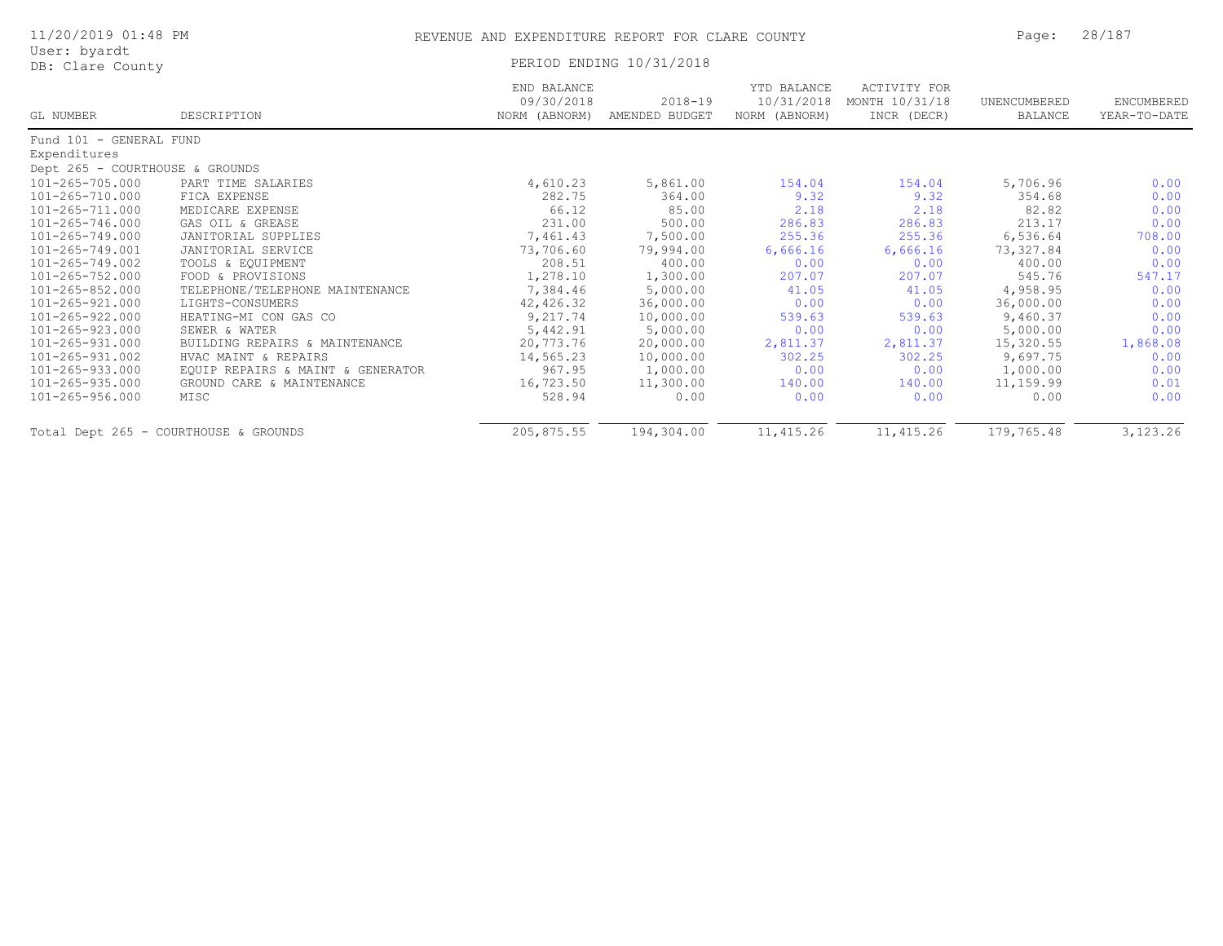|  | 11/20/2019 01:48 PM |  |  |  |
|--|---------------------|--|--|--|
|--|---------------------|--|--|--|

## User: byardt<br>DB: Clare County

PERIOD ENDING 10/31/2018

| GL NUMBER                       | DESCRIPTION                           | END BALANCE<br>09/30/2018<br>NORM (ABNORM) | $2018 - 19$<br>AMENDED BUDGET | YTD BALANCE<br>10/31/2018<br>NORM (ABNORM) | ACTIVITY FOR<br>MONTH 10/31/18<br>INCR (DECR) | UNENCUMBERED<br>BALANCE | ENCUMBERED<br>YEAR-TO-DATE |
|---------------------------------|---------------------------------------|--------------------------------------------|-------------------------------|--------------------------------------------|-----------------------------------------------|-------------------------|----------------------------|
|                                 |                                       |                                            |                               |                                            |                                               |                         |                            |
| Fund 101 - GENERAL FUND         |                                       |                                            |                               |                                            |                                               |                         |                            |
| Expenditures                    |                                       |                                            |                               |                                            |                                               |                         |                            |
| Dept 265 - COURTHOUSE & GROUNDS |                                       |                                            |                               |                                            |                                               |                         |                            |
| 101-265-705.000                 | PART TIME SALARIES                    | 4,610.23                                   | 5,861.00                      | 154.04                                     | 154.04                                        | 5,706.96                | 0.00                       |
| 101-265-710.000                 | FICA EXPENSE                          | 282.75                                     | 364.00                        | 9.32                                       | 9.32                                          | 354.68                  | 0.00                       |
| 101-265-711.000                 | MEDICARE EXPENSE                      | 66.12                                      | 85.00                         | 2.18                                       | 2.18                                          | 82.82                   | 0.00                       |
| 101-265-746.000                 | GAS OIL & GREASE                      | 231.00                                     | 500.00                        | 286.83                                     | 286.83                                        | 213.17                  | 0.00                       |
| 101-265-749.000                 | JANITORIAL SUPPLIES                   | 7,461.43                                   | 7,500.00                      | 255.36                                     | 255.36                                        | 6,536.64                | 708.00                     |
| 101-265-749.001                 | JANITORIAL SERVICE                    | 73,706.60                                  | 79,994.00                     | 6,666.16                                   | 6,666.16                                      | 73,327.84               | 0.00                       |
| 101-265-749.002                 | TOOLS & EQUIPMENT                     | 208.51                                     | 400.00                        | 0.00                                       | 0.00                                          | 400.00                  | 0.00                       |
| 101-265-752.000                 | FOOD & PROVISIONS                     | 1,278.10                                   | 1,300.00                      | 207.07                                     | 207.07                                        | 545.76                  | 547.17                     |
| 101-265-852.000                 | TELEPHONE/TELEPHONE MAINTENANCE       | 7,384.46                                   | 5,000.00                      | 41.05                                      | 41.05                                         | 4,958.95                | 0.00                       |
| 101-265-921.000                 | LIGHTS-CONSUMERS                      | 42,426.32                                  | 36,000.00                     | 0.00                                       | 0.00                                          | 36,000.00               | 0.00                       |
| 101-265-922.000                 | HEATING-MI CON GAS CO                 | 9,217.74                                   | 10,000.00                     | 539.63                                     | 539.63                                        | 9,460.37                | 0.00                       |
| 101-265-923.000                 | SEWER & WATER                         | 5,442.91                                   | 5,000.00                      | 0.00                                       | 0.00                                          | 5,000.00                | 0.00                       |
| 101-265-931.000                 | BUILDING REPAIRS & MAINTENANCE        | 20,773.76                                  | 20,000.00                     | 2,811.37                                   | 2,811.37                                      | 15,320.55               | 1,868.08                   |
| 101-265-931.002                 | HVAC MAINT & REPAIRS                  | 14,565.23                                  | 10,000.00                     | 302.25                                     | 302.25                                        | 9,697.75                | 0.00                       |
| 101-265-933.000                 | EQUIP REPAIRS & MAINT & GENERATOR     | 967.95                                     | 1,000.00                      | 0.00                                       | 0.00                                          | 1,000.00                | 0.00                       |
| 101-265-935.000                 | GROUND CARE & MAINTENANCE             | 16,723.50                                  | 11,300.00                     | 140.00                                     | 140.00                                        | 11,159.99               | 0.01                       |
| 101-265-956.000                 | MISC                                  | 528.94                                     | 0.00                          | 0.00                                       | 0.00                                          | 0.00                    | 0.00                       |
|                                 | Total Dept 265 - COURTHOUSE & GROUNDS | 205,875.55                                 | 194,304.00                    | 11,415.26                                  | 11, 415.26                                    | 179,765.48              | 3, 123. 26                 |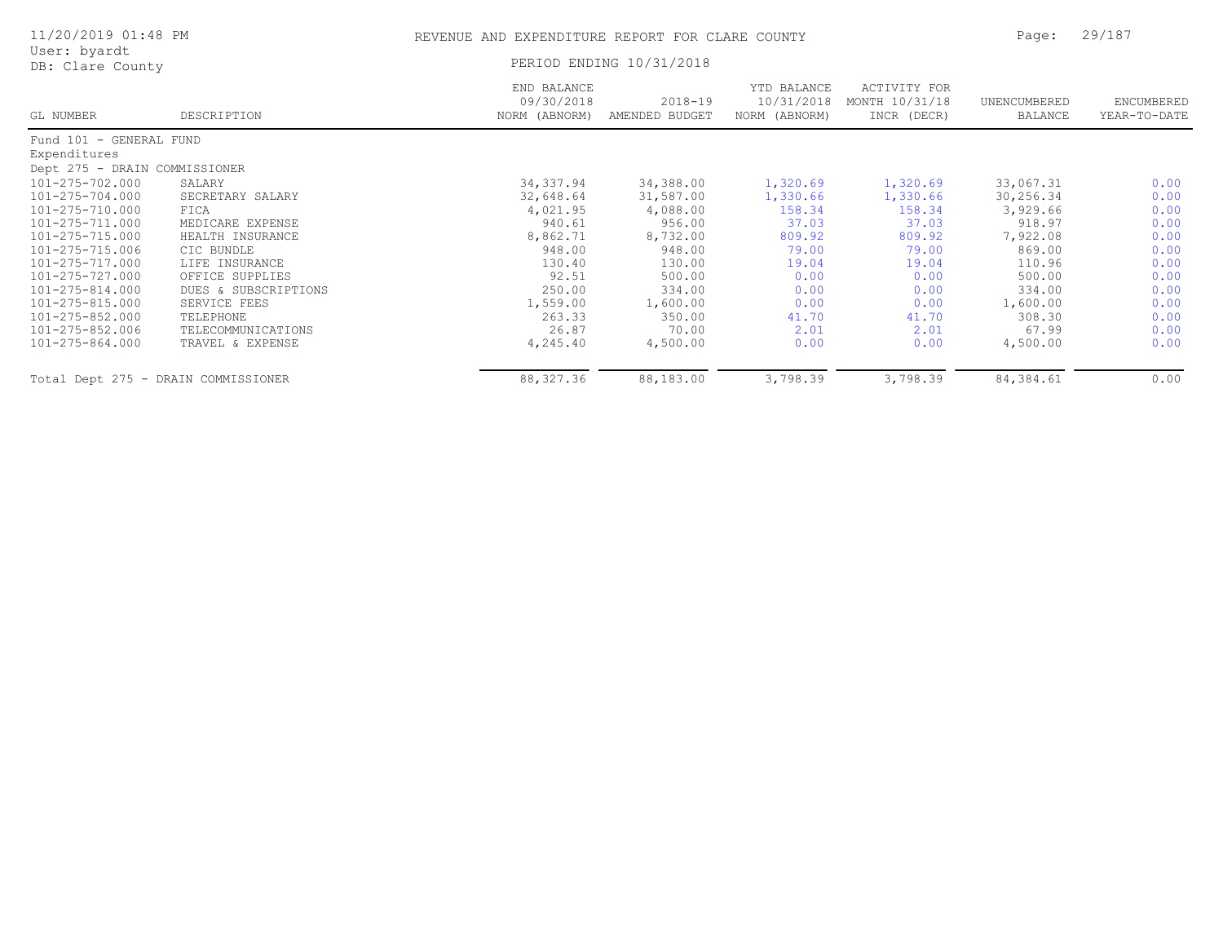| 11/20/2019 01:48 PM                 |                      | Page:                                      | 29/187                        |                                            |                                               |                                |                            |
|-------------------------------------|----------------------|--------------------------------------------|-------------------------------|--------------------------------------------|-----------------------------------------------|--------------------------------|----------------------------|
| User: byardt<br>DB: Clare County    |                      |                                            | PERIOD ENDING 10/31/2018      |                                            |                                               |                                |                            |
| GL NUMBER                           | DESCRIPTION          | END BALANCE<br>09/30/2018<br>NORM (ABNORM) | $2018 - 19$<br>AMENDED BUDGET | YTD BALANCE<br>10/31/2018<br>NORM (ABNORM) | ACTIVITY FOR<br>MONTH 10/31/18<br>INCR (DECR) | UNENCUMBERED<br><b>BALANCE</b> | ENCUMBERED<br>YEAR-TO-DATE |
| Fund 101 - GENERAL FUND             |                      |                                            |                               |                                            |                                               |                                |                            |
| Expenditures                        |                      |                                            |                               |                                            |                                               |                                |                            |
| Dept 275 - DRAIN COMMISSIONER       |                      |                                            |                               |                                            |                                               |                                |                            |
| 101-275-702.000                     | SALARY               | 34,337.94                                  | 34,388.00                     | 1,320.69                                   | 1,320.69                                      | 33,067.31                      | 0.00                       |
| 101-275-704.000                     | SECRETARY SALARY     | 32,648.64                                  | 31,587.00                     | 1,330.66                                   | 1,330.66                                      | 30,256.34                      | 0.00                       |
| 101-275-710.000                     | FICA                 | 4,021.95                                   | 4,088.00                      | 158.34                                     | 158.34                                        | 3,929.66                       | 0.00                       |
| 101-275-711.000                     | MEDICARE EXPENSE     | 940.61                                     | 956.00                        | 37.03                                      | 37.03                                         | 918.97                         | 0.00                       |
| 101-275-715.000                     | HEALTH INSURANCE     | 8,862.71                                   | 8,732.00                      | 809.92                                     | 809.92                                        | 7,922.08                       | 0.00                       |
| 101-275-715.006                     | CIC BUNDLE           | 948.00                                     | 948.00                        | 79.00                                      | 79.00                                         | 869.00                         | 0.00                       |
| 101-275-717.000                     | LIFE INSURANCE       | 130.40                                     | 130.00                        | 19.04                                      | 19.04                                         | 110.96                         | 0.00                       |
| 101-275-727.000                     | OFFICE SUPPLIES      | 92.51                                      | 500.00                        | 0.00                                       | 0.00                                          | 500.00                         | 0.00                       |
| 101-275-814.000                     | DUES & SUBSCRIPTIONS | 250.00                                     | 334.00                        | 0.00                                       | 0.00                                          | 334.00                         | 0.00                       |
| 101-275-815.000                     | SERVICE FEES         | 1,559.00                                   | 1,600.00                      | 0.00                                       | 0.00                                          | 1,600.00                       | 0.00                       |
| 101-275-852.000                     | TELEPHONE            | 263.33                                     | 350.00                        | 41.70                                      | 41.70                                         | 308.30                         | 0.00                       |
| 101-275-852.006                     | TELECOMMUNICATIONS   | 26.87                                      | 70.00                         | 2.01                                       | 2.01                                          | 67.99                          | 0.00                       |
| 101-275-864.000                     | TRAVEL & EXPENSE     | 4,245.40                                   | 4,500.00                      | 0.00                                       | 0.00                                          | 4,500.00                       | 0.00                       |
| Total Dept 275 - DRAIN COMMISSIONER |                      | 88, 327.36                                 | 88,183.00                     | 3,798.39                                   | 3,798.39                                      | 84, 384.61                     | 0.00                       |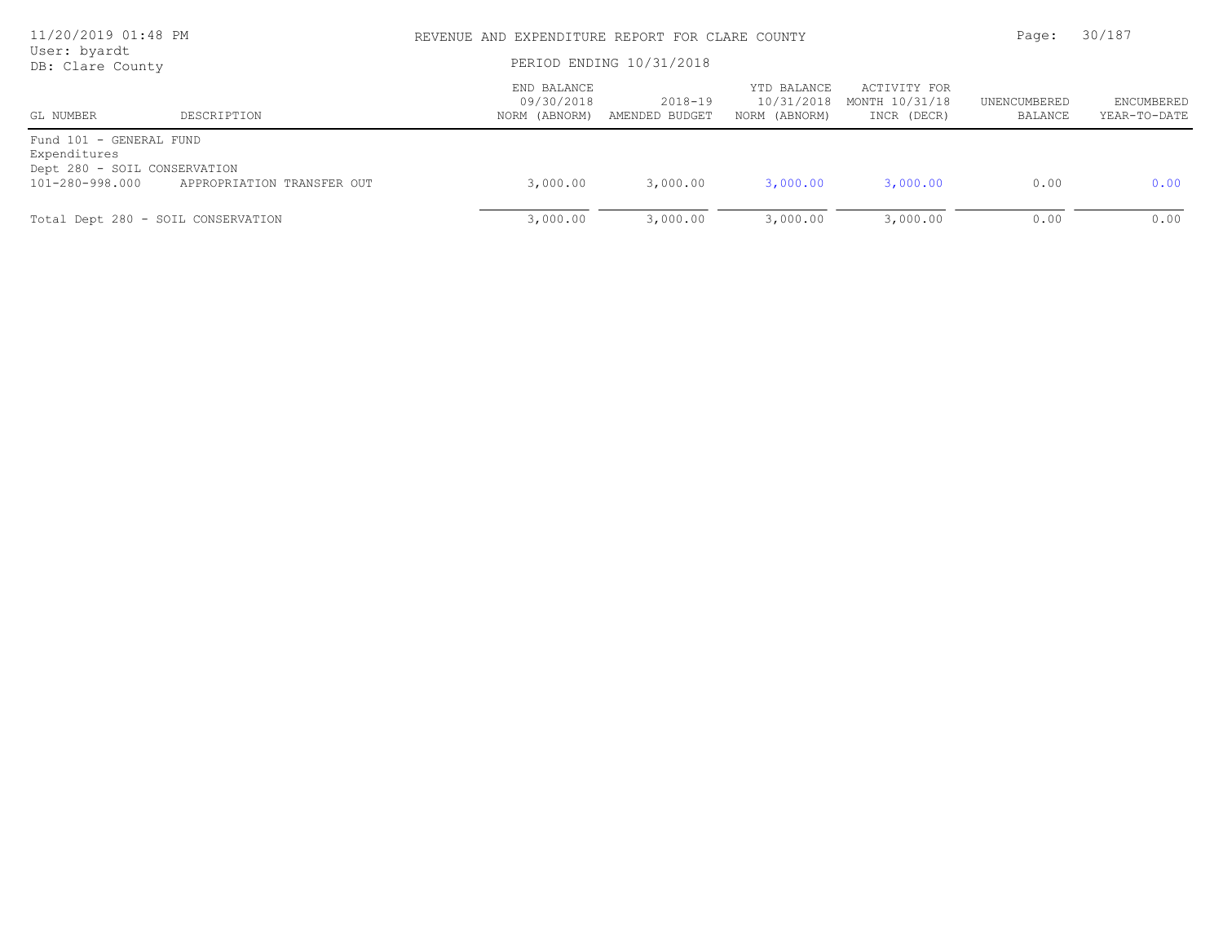| 11/20/2019 01:48 PM<br>User: byardt                                     |                            | REVENUE AND EXPENDITURE REPORT FOR CLARE COUNTY | Page:                     | 30/187                                     |                                               |                         |                                   |
|-------------------------------------------------------------------------|----------------------------|-------------------------------------------------|---------------------------|--------------------------------------------|-----------------------------------------------|-------------------------|-----------------------------------|
| DB: Clare County                                                        |                            | PERIOD ENDING 10/31/2018                        |                           |                                            |                                               |                         |                                   |
| GL NUMBER                                                               | DESCRIPTION                | END BALANCE<br>09/30/2018<br>NORM (ABNORM)      | 2018-19<br>AMENDED BUDGET | YTD BALANCE<br>10/31/2018<br>NORM (ABNORM) | ACTIVITY FOR<br>MONTH 10/31/18<br>INCR (DECR) | UNENCUMBERED<br>BALANCE | <b>ENCUMBERED</b><br>YEAR-TO-DATE |
| Fund 101 - GENERAL FUND<br>Expenditures<br>Dept 280 - SOIL CONSERVATION |                            |                                                 |                           |                                            |                                               |                         |                                   |
| 101-280-998.000                                                         | APPROPRIATION TRANSFER OUT | 3,000.00                                        | 3,000.00                  | 3,000.00                                   | 3,000.00                                      | 0.00                    | 0.00                              |
| Total Dept 280 - SOIL CONSERVATION                                      |                            | 3,000.00                                        | 3,000.00                  | 3,000.00                                   | 3,000.00                                      | 0.00                    | 0.00                              |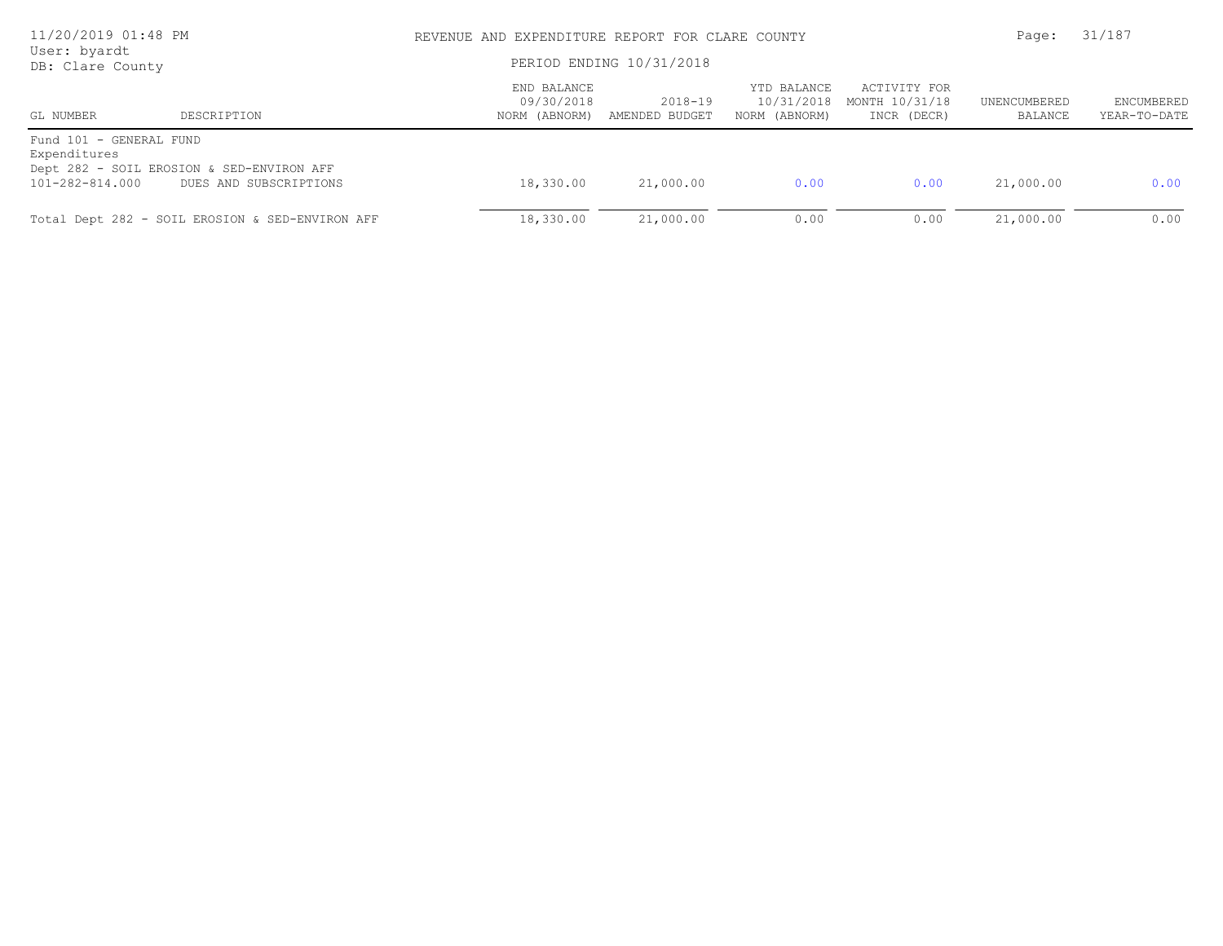| 11/20/2019 01:48 PM<br>User: byardt                        |                                                                     | REVENUE AND EXPENDITURE REPORT FOR CLARE COUNTY<br>PERIOD ENDING 10/31/2018 | 31/187<br>Page:           |                                            |                                               |                         |                                   |
|------------------------------------------------------------|---------------------------------------------------------------------|-----------------------------------------------------------------------------|---------------------------|--------------------------------------------|-----------------------------------------------|-------------------------|-----------------------------------|
| DB: Clare County<br>GL NUMBER                              | DESCRIPTION                                                         | END BALANCE<br>09/30/2018<br>NORM (ABNORM)                                  | 2018-19<br>AMENDED BUDGET | YTD BALANCE<br>10/31/2018<br>NORM (ABNORM) | ACTIVITY FOR<br>MONTH 10/31/18<br>INCR (DECR) | UNENCUMBERED<br>BALANCE | <b>ENCUMBERED</b><br>YEAR-TO-DATE |
| Fund 101 - GENERAL FUND<br>Expenditures<br>101-282-814.000 | Dept 282 - SOIL EROSION & SED-ENVIRON AFF<br>DUES AND SUBSCRIPTIONS | 18,330.00                                                                   | 21,000.00                 | 0.00                                       | 0.00                                          | 21,000.00               | 0.00                              |
|                                                            | Total Dept 282 - SOIL EROSION & SED-ENVIRON AFF                     | 18,330.00                                                                   | 21,000.00                 | 0.00                                       | 0.00                                          | 21,000.00               | 0.00                              |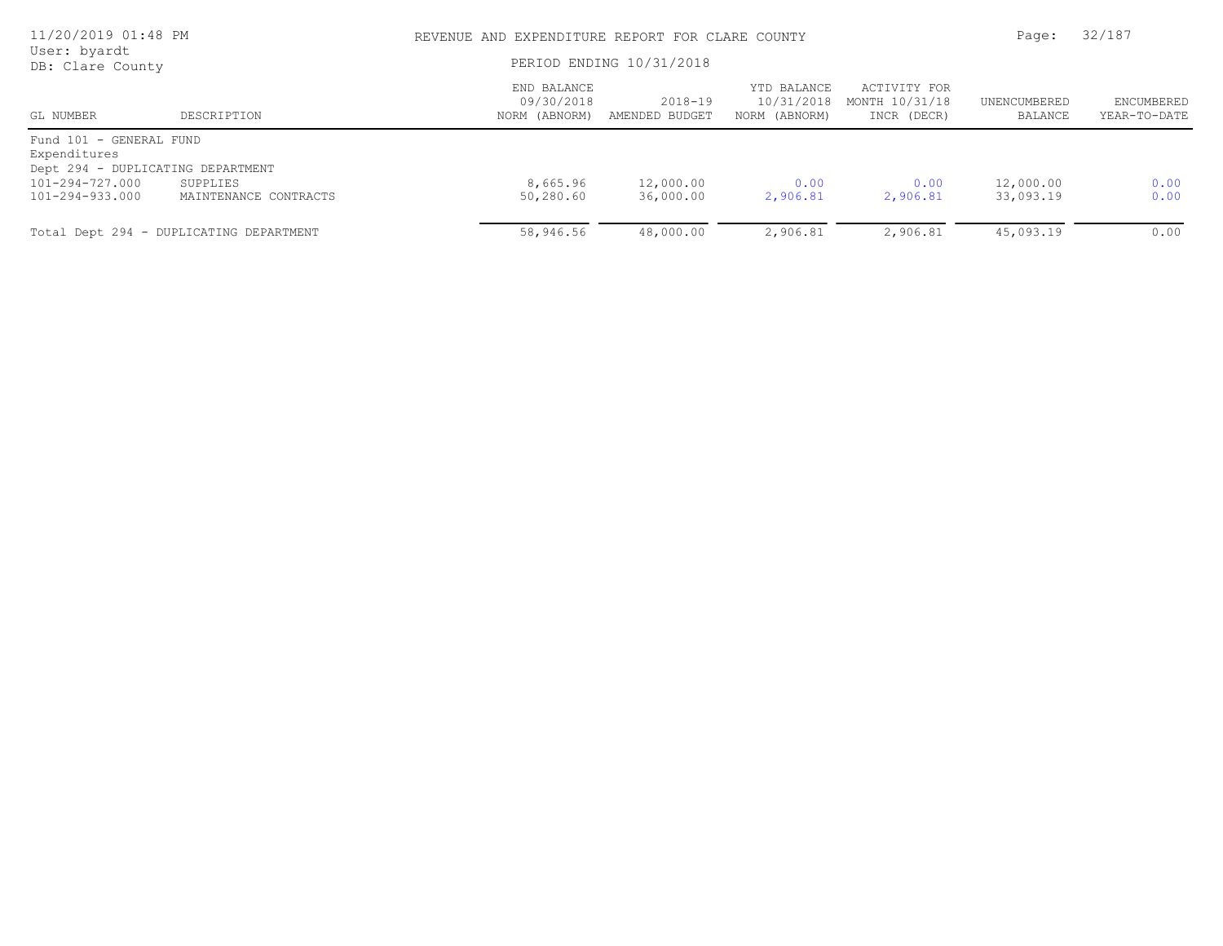| 11/20/2019 01:48 PM<br>User: byardt<br>DB: Clare County |                                         |                                            | REVENUE AND EXPENDITURE REPORT FOR CLARE COUNTY |                                            |                                               |                         |                            |
|---------------------------------------------------------|-----------------------------------------|--------------------------------------------|-------------------------------------------------|--------------------------------------------|-----------------------------------------------|-------------------------|----------------------------|
|                                                         |                                         |                                            | PERIOD ENDING 10/31/2018                        |                                            |                                               |                         |                            |
| GL NUMBER                                               | DESCRIPTION                             | END BALANCE<br>09/30/2018<br>NORM (ABNORM) | 2018-19<br>AMENDED BUDGET                       | YTD BALANCE<br>10/31/2018<br>NORM (ABNORM) | ACTIVITY FOR<br>MONTH 10/31/18<br>INCR (DECR) | UNENCUMBERED<br>BALANCE | ENCUMBERED<br>YEAR-TO-DATE |
| Fund 101 - GENERAL FUND<br>Expenditures                 |                                         |                                            |                                                 |                                            |                                               |                         |                            |
| Dept 294 - DUPLICATING DEPARTMENT                       |                                         |                                            |                                                 |                                            |                                               |                         |                            |
| 101-294-727.000                                         | SUPPLIES                                | 8,665.96                                   | 12,000.00                                       | 0.00                                       | 0.00                                          | 12,000.00               | 0.00                       |
| 101-294-933.000                                         | MAINTENANCE CONTRACTS                   | 50,280.60                                  | 36,000.00                                       | 2,906.81                                   | 2,906.81                                      | 33,093.19               | 0.00                       |
|                                                         | Total Dept 294 - DUPLICATING DEPARTMENT | 58,946.56                                  | 48,000.00                                       | 2,906.81                                   | 2,906.81                                      | 45,093.19               | 0.00                       |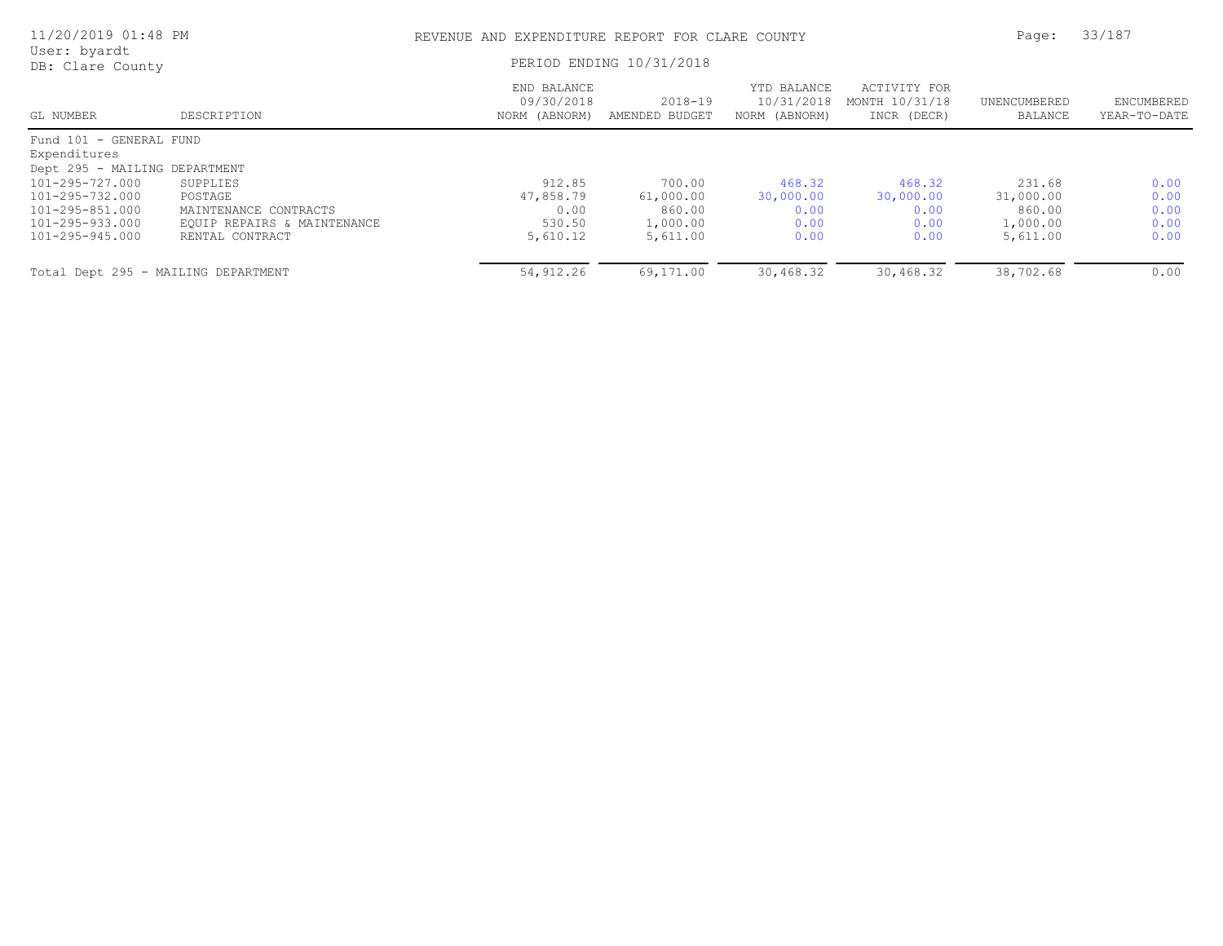| 11/20/2019 01:48 PM                           |                             | REVENUE AND EXPENDITURE REPORT FOR CLARE COUNTY |                               |                                            |                                               | Page:                   | 33/187                     |
|-----------------------------------------------|-----------------------------|-------------------------------------------------|-------------------------------|--------------------------------------------|-----------------------------------------------|-------------------------|----------------------------|
| User: byardt<br>DB: Clare County              |                             | PERIOD ENDING 10/31/2018                        |                               |                                            |                                               |                         |                            |
| GL NUMBER                                     | DESCRIPTION                 | END BALANCE<br>09/30/2018<br>NORM (ABNORM)      | $2018 - 19$<br>AMENDED BUDGET | YTD BALANCE<br>10/31/2018<br>NORM (ABNORM) | ACTIVITY FOR<br>MONTH 10/31/18<br>INCR (DECR) | UNENCUMBERED<br>BALANCE | ENCUMBERED<br>YEAR-TO-DATE |
| Fund 101 - GENERAL FUND                       |                             |                                                 |                               |                                            |                                               |                         |                            |
| Expenditures<br>Dept 295 - MAILING DEPARTMENT |                             |                                                 |                               |                                            |                                               |                         |                            |
| 101-295-727.000                               | SUPPLIES                    | 912.85                                          | 700.00                        | 468.32                                     | 468.32                                        | 231.68                  | 0.00                       |
| 101-295-732.000                               | POSTAGE                     | 47,858.79                                       | 61,000.00                     | 30,000.00                                  | 30,000.00                                     | 31,000.00               | 0.00                       |
| 101-295-851.000                               | MAINTENANCE CONTRACTS       | 0.00                                            | 860.00                        | 0.00                                       | 0.00                                          | 860.00                  | 0.00                       |
| 101-295-933.000                               | EQUIP REPAIRS & MAINTENANCE | 530.50                                          | 1,000.00                      | 0.00                                       | 0.00                                          | 1,000.00                | 0.00                       |
| 101-295-945.000                               | RENTAL CONTRACT             | 5,610.12                                        | 5,611.00                      | 0.00                                       | 0.00                                          | 5,611.00                | 0.00                       |
| Total Dept 295 - MAILING DEPARTMENT           |                             | 54,912.26                                       | 69,171.00                     | 30,468.32                                  | 30,468.32                                     | 38,702.68               | 0.00                       |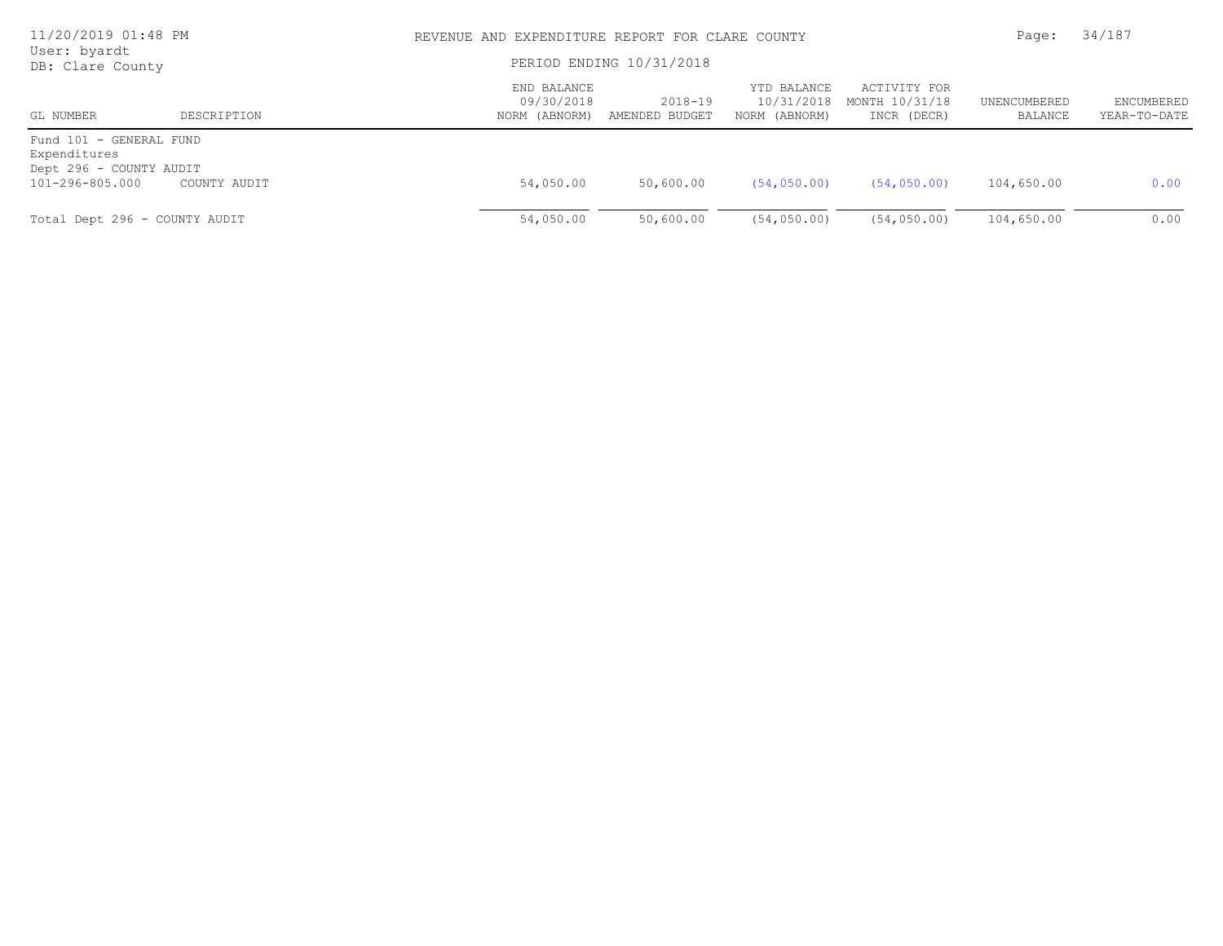| 11/20/2019 01:48 PM<br>User: byardt<br>DB: Clare County            |              |                                            | REVENUE AND EXPENDITURE REPORT FOR CLARE COUNTY |                                            |                                               |                         |                                   |
|--------------------------------------------------------------------|--------------|--------------------------------------------|-------------------------------------------------|--------------------------------------------|-----------------------------------------------|-------------------------|-----------------------------------|
|                                                                    |              |                                            | PERIOD ENDING 10/31/2018                        |                                            |                                               |                         |                                   |
| GL NUMBER                                                          | DESCRIPTION  | END BALANCE<br>09/30/2018<br>NORM (ABNORM) | 2018-19<br>AMENDED BUDGET                       | YTD BALANCE<br>10/31/2018<br>NORM (ABNORM) | ACTIVITY FOR<br>MONTH 10/31/18<br>INCR (DECR) | UNENCUMBERED<br>BALANCE | <b>ENCUMBERED</b><br>YEAR-TO-DATE |
| Fund 101 - GENERAL FUND<br>Expenditures<br>Dept 296 - COUNTY AUDIT |              |                                            |                                                 |                                            |                                               |                         |                                   |
| 101-296-805.000                                                    | COUNTY AUDIT | 54,050.00                                  | 50,600.00                                       | (54, 050, 00)                              | (54, 050, 00)                                 | 104,650.00              | 0.00                              |
| Total Dept 296 - COUNTY AUDIT                                      |              | 54,050.00                                  | 50,600.00                                       | (54, 050, 00)                              | (54, 050, 00)                                 | 104,650.00              | 0.00                              |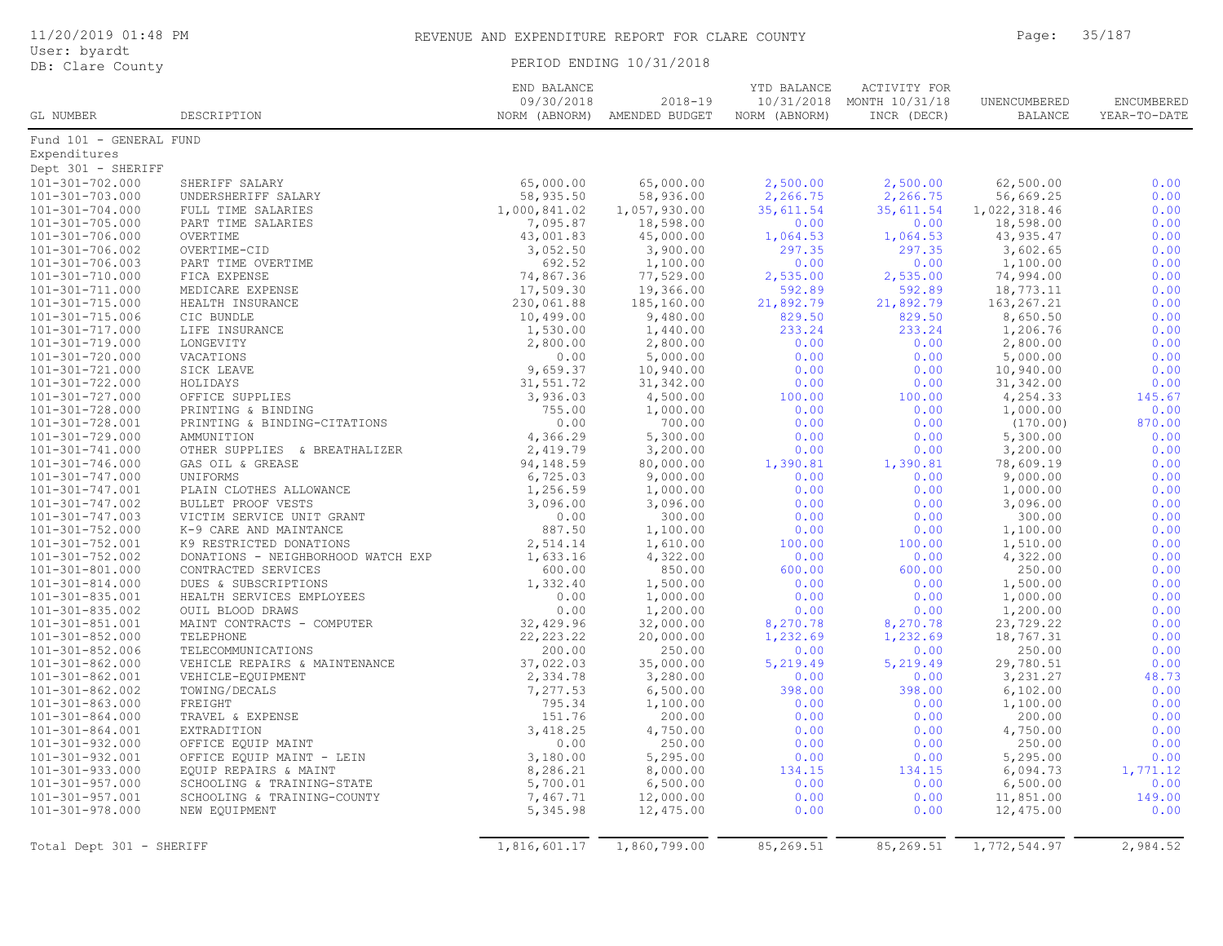|  |  |  |  | 11/20/2019 01:48 PM |  |
|--|--|--|--|---------------------|--|
|--|--|--|--|---------------------|--|

## REVENUE AND EXPENDITURE REPORT FOR CLARE COUNTY FOR Page: 35/187

| User: byardt     |  |                          |
|------------------|--|--------------------------|
| DB: Clare County |  | PERIOD ENDING 10/31/2018 |

|                          |                                    | END BALANCE   |                | YTD BALANCE   | ACTIVITY FOR   |                |              |
|--------------------------|------------------------------------|---------------|----------------|---------------|----------------|----------------|--------------|
|                          |                                    | 09/30/2018    | $2018 - 19$    | 10/31/2018    | MONTH 10/31/18 | UNENCUMBERED   | ENCUMBERED   |
| GL NUMBER                | DESCRIPTION                        | NORM (ABNORM) | AMENDED BUDGET | NORM (ABNORM) | INCR (DECR)    | <b>BALANCE</b> | YEAR-TO-DATE |
| Fund 101 - GENERAL FUND  |                                    |               |                |               |                |                |              |
| Expenditures             |                                    |               |                |               |                |                |              |
| Dept 301 - SHERIFF       |                                    |               |                |               |                |                |              |
| 101-301-702.000          | SHERIFF SALARY                     | 65,000.00     | 65,000.00      | 2,500.00      | 2,500.00       | 62,500.00      | 0.00         |
| $101 - 301 - 703.000$    | UNDERSHERIFF SALARY                | 58,935.50     | 58,936.00      | 2,266.75      | 2,266.75       | 56,669.25      | 0.00         |
| $101 - 301 - 704.000$    | FULL TIME SALARIES                 | 1,000,841.02  | 1,057,930.00   | 35,611.54     | 35,611.54      | 1,022,318.46   | 0.00         |
| 101-301-705.000          | PART TIME SALARIES                 | 7,095.87      | 18,598.00      | 0.00          | 0.00           | 18,598.00      | 0.00         |
| 101-301-706.000          | OVERTIME                           | 43,001.83     | 45,000.00      | 1,064.53      | 1,064.53       | 43, 935.47     | 0.00         |
| 101-301-706.002          | OVERTIME-CID                       | 3,052.50      | 3,900.00       | 297.35        | 297.35         | 3,602.65       | 0.00         |
| 101-301-706.003          | PART TIME OVERTIME                 | 692.52        | 1,100.00       | 0.00          | 0.00           | 1,100.00       | 0.00         |
| 101-301-710.000          | FICA EXPENSE                       | 74,867.36     | 77,529.00      | 2,535.00      | 2,535.00       | 74,994.00      | 0.00         |
| 101-301-711.000          | MEDICARE EXPENSE                   | 17,509.30     | 19,366.00      | 592.89        | 592.89         | 18,773.11      | 0.00         |
| 101-301-715.000          | HEALTH INSURANCE                   | 230,061.88    | 185,160.00     | 21,892.79     | 21,892.79      | 163, 267. 21   | 0.00         |
| 101-301-715.006          | CIC BUNDLE                         | 10,499.00     | 9,480.00       | 829.50        | 829.50         | 8,650.50       | 0.00         |
| 101-301-717.000          | LIFE INSURANCE                     | 1,530.00      | 1,440.00       | 233.24        | 233.24         | 1,206.76       | 0.00         |
| 101-301-719.000          | LONGEVITY                          | 2,800.00      | 2,800.00       | 0.00          | 0.00           | 2,800.00       | 0.00         |
| 101-301-720.000          | VACATIONS                          | 0.00          | 5,000.00       | 0.00          | 0.00           | 5,000.00       | 0.00         |
| 101-301-721.000          | SICK LEAVE                         | 9,659.37      | 10,940.00      | 0.00          | 0.00           | 10,940.00      | 0.00         |
| 101-301-722.000          | HOLIDAYS                           | 31,551.72     | 31,342.00      | 0.00          | 0.00           | 31,342.00      | 0.00         |
| 101-301-727.000          | OFFICE SUPPLIES                    | 3,936.03      | 4,500.00       | 100.00        | 100.00         | 4,254.33       | 145.67       |
| 101-301-728.000          | PRINTING & BINDING                 | 755.00        | 1,000.00       | 0.00          | 0.00           | 1,000.00       | 0.00         |
| 101-301-728.001          | PRINTING & BINDING-CITATIONS       | 0.00          | 700.00         | 0.00          | 0.00           | (170.00)       | 870.00       |
| 101-301-729.000          | AMMUNITION                         | 4,366.29      | 5,300.00       | 0.00          | 0.00           | 5,300.00       | 0.00         |
| 101-301-741.000          | OTHER SUPPLIES & BREATHALIZER      | 2,419.79      | 3,200.00       | 0.00          | 0.00           | 3,200.00       | 0.00         |
| $101 - 301 - 746.000$    | GAS OIL & GREASE                   | 94,148.59     | 80,000.00      | 1,390.81      | 1,390.81       | 78,609.19      | 0.00         |
| 101-301-747.000          | UNIFORMS                           | 6,725.03      | 9,000.00       | 0.00          | 0.00           | 9,000.00       | 0.00         |
| $101 - 301 - 747.001$    | PLAIN CLOTHES ALLOWANCE            | 1,256.59      | 1,000.00       | 0.00          | 0.00           | 1,000.00       | 0.00         |
| 101-301-747.002          | BULLET PROOF VESTS                 | 3,096.00      | 3,096.00       | 0.00          | 0.00           | 3,096.00       | 0.00         |
| 101-301-747.003          | VICTIM SERVICE UNIT GRANT          | 0.00          | 300.00         | 0.00          | 0.00           | 300.00         | 0.00         |
| $101 - 301 - 752.000$    | K-9 CARE AND MAINTANCE             | 887.50        | 1,100.00       | 0.00          | 0.00           | 1,100.00       | 0.00         |
| $101 - 301 - 752.001$    | K9 RESTRICTED DONATIONS            | 2,514.14      | 1,610.00       | 100.00        | 100.00         | 1,510.00       | 0.00         |
| 101-301-752.002          | DONATIONS - NEIGHBORHOOD WATCH EXP | 1,633.16      | 4,322.00       | 0.00          | 0.00           | 4,322.00       | 0.00         |
| 101-301-801.000          | CONTRACTED SERVICES                | 600.00        | 850.00         | 600.00        | 600.00         | 250.00         | 0.00         |
| $101 - 301 - 814.000$    | DUES & SUBSCRIPTIONS               | 1,332.40      | 1,500.00       | 0.00          | 0.00           | 1,500.00       | 0.00         |
| $101 - 301 - 835.001$    | HEALTH SERVICES EMPLOYEES          | 0.00          | 1,000.00       | 0.00          | 0.00           | 1,000.00       | 0.00         |
| 101-301-835.002          | OUIL BLOOD DRAWS                   | 0.00          | 1,200.00       | 0.00          | 0.00           | 1,200.00       | 0.00         |
| $101 - 301 - 851.001$    | MAINT CONTRACTS - COMPUTER         | 32,429.96     | 32,000.00      | 8,270.78      | 8,270.78       | 23,729.22      | 0.00         |
| $101 - 301 - 852.000$    | TELEPHONE                          | 22, 223.22    | 20,000.00      | 1,232.69      | 1,232.69       | 18,767.31      | 0.00         |
| $101 - 301 - 852.006$    | TELECOMMUNICATIONS                 | 200.00        | 250.00         | 0.00          | 0.00           | 250.00         | 0.00         |
| $101 - 301 - 862.000$    | VEHICLE REPAIRS & MAINTENANCE      | 37,022.03     | 35,000.00      | 5,219.49      | 5,219.49       | 29,780.51      | 0.00         |
| 101-301-862.001          | VEHICLE-EQUIPMENT                  | 2,334.78      | 3,280.00       | 0.00          | 0.00           | 3,231.27       | 48.73        |
| 101-301-862.002          | TOWING/DECALS                      | 7,277.53      | 6,500.00       | 398.00        | 398.00         | 6, 102.00      | 0.00         |
| $101 - 301 - 863.000$    | FREIGHT                            | 795.34        | 1,100.00       | 0.00          | 0.00           | 1,100.00       | 0.00         |
| $101 - 301 - 864.000$    | TRAVEL & EXPENSE                   | 151.76        | 200.00         | 0.00          | 0.00           | 200.00         | 0.00         |
| $101 - 301 - 864.001$    | EXTRADITION                        | 3,418.25      | 4,750.00       | 0.00          | 0.00           | 4,750.00       | 0.00         |
| 101-301-932.000          | OFFICE EQUIP MAINT                 | 0.00          | 250.00         | 0.00          | 0.00           | 250.00         | 0.00         |
| 101-301-932.001          | OFFICE EQUIP MAINT - LEIN          | 3,180.00      | 5,295.00       | 0.00          | 0.00           | 5,295.00       | 0.00         |
| 101-301-933.000          | EQUIP REPAIRS & MAINT              | 8,286.21      | 8,000.00       | 134.15        | 134.15         | 6,094.73       | 1,771.12     |
| $101 - 301 - 957.000$    | SCHOOLING & TRAINING-STATE         | 5,700.01      | 6,500.00       | 0.00          | 0.00           | 6,500.00       | 0.00         |
| 101-301-957.001          | SCHOOLING & TRAINING-COUNTY        | 7,467.71      | 12,000.00      | 0.00          | 0.00           | 11,851.00      | 149.00       |
| 101-301-978.000          | NEW EQUIPMENT                      | 5,345.98      | 12,475.00      | 0.00          | 0.00           | 12,475.00      | 0.00         |
|                          |                                    |               |                |               |                |                |              |
| Total Dept 301 - SHERIFF |                                    | 1,816,601.17  | 1,860,799.00   | 85,269.51     | 85,269.51      | 1,772,544.97   | 2,984.52     |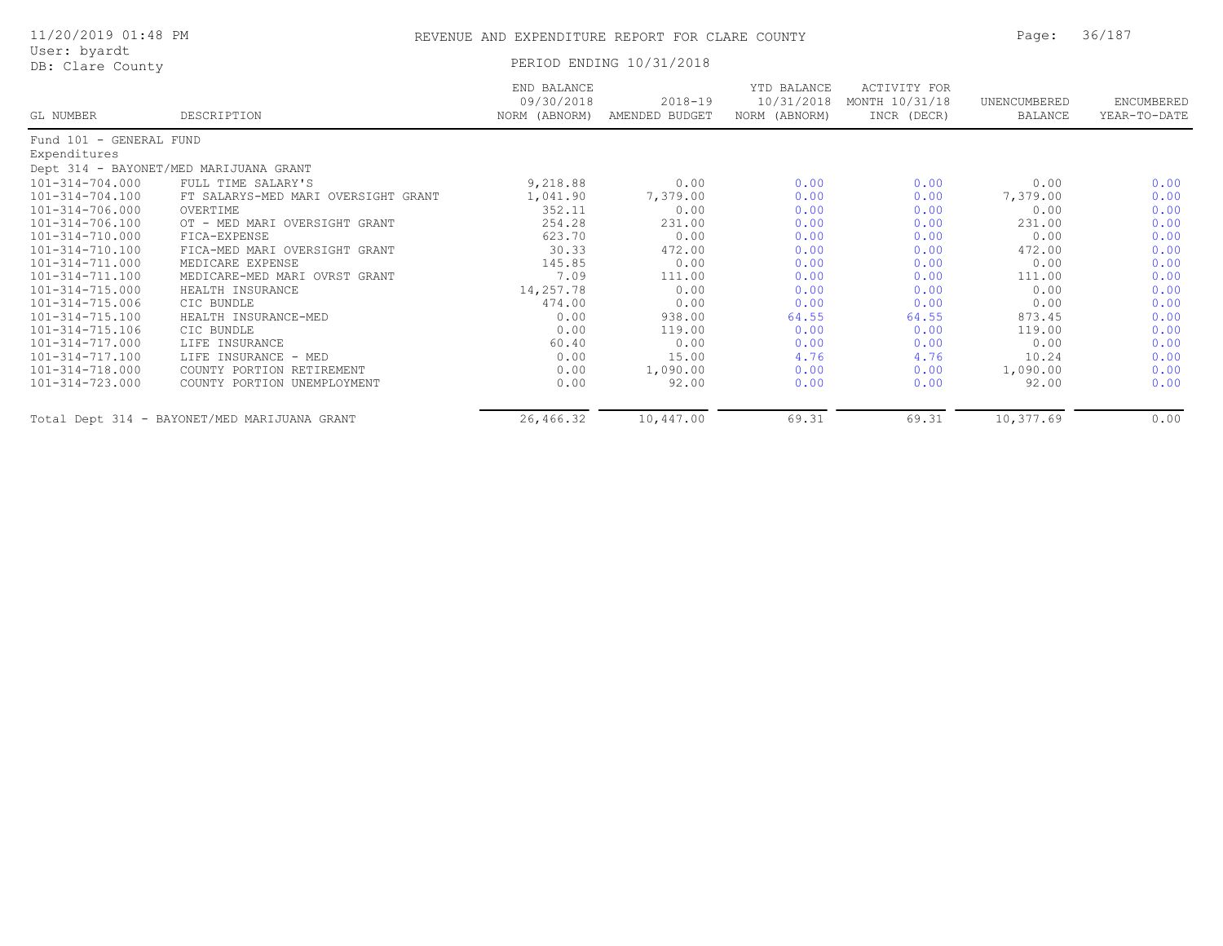| 11/20/2019 01:48 PM |  |  |
|---------------------|--|--|
|---------------------|--|--|

## REVENUE AND EXPENDITURE REPORT FOR CLARE COUNTY FOR Page: 36/187

User: byardt<br>DB: Clare County

PERIOD ENDING 10/31/2018

|                         |                                              | END BALANCE<br>09/30/2018 | 2018-19        | YTD BALANCE<br>10/31/2018 | <b>ACTIVITY FOR</b><br>MONTH 10/31/18 | UNENCUMBERED | ENCUMBERED   |
|-------------------------|----------------------------------------------|---------------------------|----------------|---------------------------|---------------------------------------|--------------|--------------|
| GL NUMBER               | DESCRIPTION                                  | NORM (ABNORM)             | AMENDED BUDGET | NORM (ABNORM)             | INCR (DECR)                           | BALANCE      | YEAR-TO-DATE |
| Fund 101 - GENERAL FUND |                                              |                           |                |                           |                                       |              |              |
| Expenditures            |                                              |                           |                |                           |                                       |              |              |
|                         | Dept 314 - BAYONET/MED MARIJUANA GRANT       |                           |                |                           |                                       |              |              |
| $101 - 314 - 704.000$   | FULL TIME SALARY'S                           | 9,218.88                  | 0.00           | 0.00                      | 0.00                                  | 0.00         | 0.00         |
| $101 - 314 - 704.100$   | FT SALARYS-MED MARI OVERSIGHT GRANT          | 1,041.90                  | 7,379.00       | 0.00                      | 0.00                                  | 7,379.00     | 0.00         |
| 101-314-706.000         | OVERTIME                                     | 352.11                    | 0.00           | 0.00                      | 0.00                                  | 0.00         | 0.00         |
| 101-314-706.100         | OT - MED MARI OVERSIGHT GRANT                | 254.28                    | 231.00         | 0.00                      | 0.00                                  | 231.00       | 0.00         |
| 101-314-710.000         | FICA-EXPENSE                                 | 623.70                    | 0.00           | 0.00                      | 0.00                                  | 0.00         | 0.00         |
| $101 - 314 - 710.100$   | FICA-MED MARI OVERSIGHT GRANT                | 30.33                     | 472.00         | 0.00                      | 0.00                                  | 472.00       | 0.00         |
| 101-314-711.000         | MEDICARE EXPENSE                             | 145.85                    | 0.00           | 0.00                      | 0.00                                  | 0.00         | 0.00         |
| 101-314-711.100         | MEDICARE-MED MARI OVRST GRANT                | 7.09                      | 111.00         | 0.00                      | 0.00                                  | 111.00       | 0.00         |
| $101 - 314 - 715.000$   | HEALTH INSURANCE                             | 14,257.78                 | 0.00           | 0.00                      | 0.00                                  | 0.00         | 0.00         |
| 101-314-715.006         | CIC BUNDLE                                   | 474.00                    | 0.00           | 0.00                      | 0.00                                  | 0.00         | 0.00         |
| $101 - 314 - 715.100$   | HEALTH INSURANCE-MED                         | 0.00                      | 938.00         | 64.55                     | 64.55                                 | 873.45       | 0.00         |
| $101 - 314 - 715.106$   | CIC BUNDLE                                   | 0.00                      | 119.00         | 0.00                      | 0.00                                  | 119.00       | 0.00         |
| 101-314-717.000         | LIFE INSURANCE                               | 60.40                     | 0.00           | 0.00                      | 0.00                                  | 0.00         | 0.00         |
| 101-314-717.100         | LIFE INSURANCE - MED                         | 0.00                      | 15.00          | 4.76                      | 4.76                                  | 10.24        | 0.00         |
| 101-314-718.000         | COUNTY PORTION RETIREMENT                    | 0.00                      | 1,090.00       | 0.00                      | 0.00                                  | 1,090.00     | 0.00         |
| 101-314-723.000         | COUNTY PORTION UNEMPLOYMENT                  | 0.00                      | 92.00          | 0.00                      | 0.00                                  | 92.00        | 0.00         |
|                         | Total Dept 314 - BAYONET/MED MARIJUANA GRANT | 26,466.32                 | 10,447.00      | 69.31                     | 69.31                                 | 10,377.69    | 0.00         |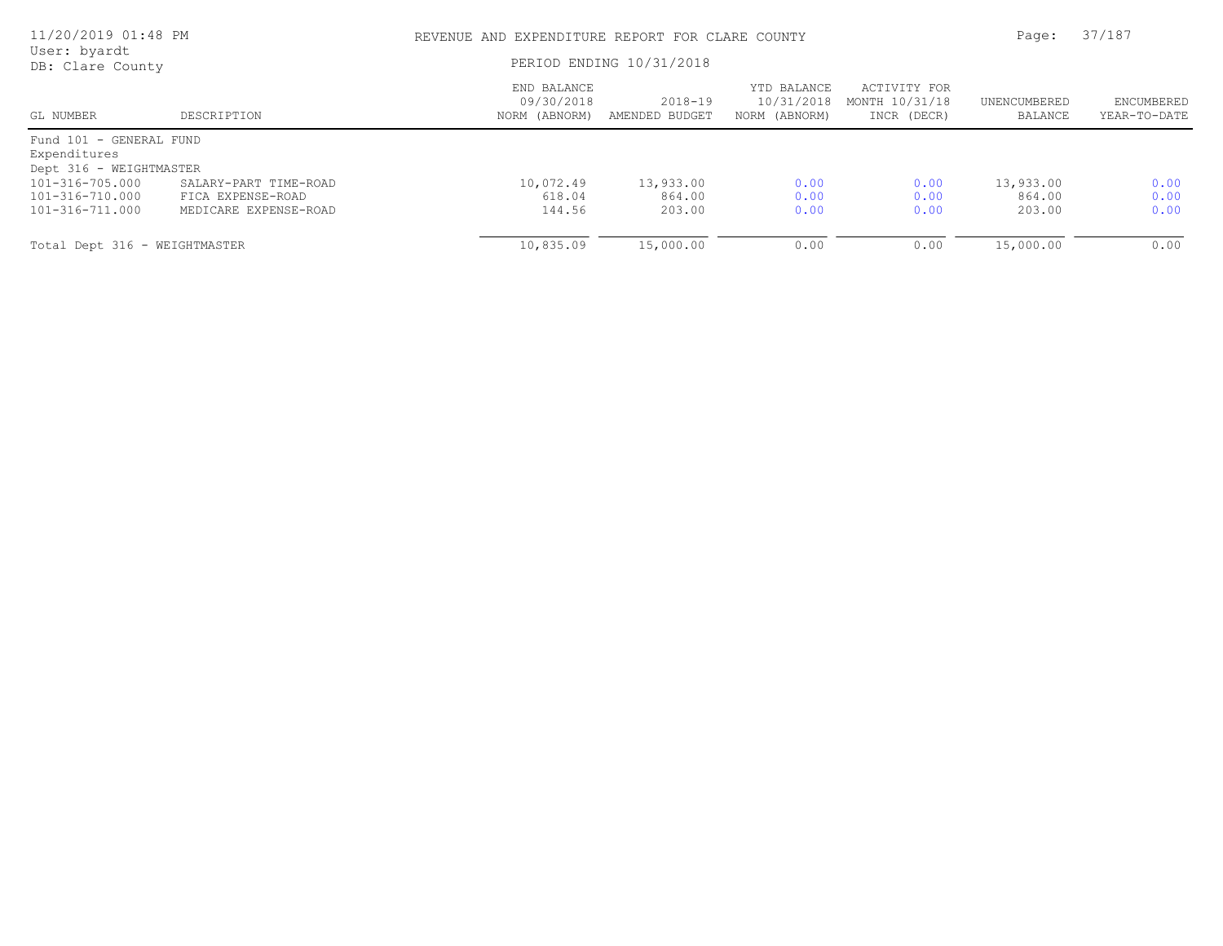| 11/20/2019 01:48 PM<br>User: byardt |                       |                                            | REVENUE AND EXPENDITURE REPORT FOR CLARE COUNTY |                                            |                                               |                         |                            |
|-------------------------------------|-----------------------|--------------------------------------------|-------------------------------------------------|--------------------------------------------|-----------------------------------------------|-------------------------|----------------------------|
| DB: Clare County                    |                       |                                            | PERIOD ENDING 10/31/2018                        |                                            |                                               |                         |                            |
| GL NUMBER                           | DESCRIPTION           | END BALANCE<br>09/30/2018<br>NORM (ABNORM) | 2018-19<br>AMENDED BUDGET                       | YTD BALANCE<br>10/31/2018<br>NORM (ABNORM) | ACTIVITY FOR<br>MONTH 10/31/18<br>INCR (DECR) | UNENCUMBERED<br>BALANCE | ENCUMBERED<br>YEAR-TO-DATE |
| Fund 101 - GENERAL FUND             |                       |                                            |                                                 |                                            |                                               |                         |                            |
| Expenditures                        |                       |                                            |                                                 |                                            |                                               |                         |                            |
| Dept 316 - WEIGHTMASTER             |                       |                                            |                                                 |                                            |                                               |                         |                            |
| 101-316-705.000                     | SALARY-PART TIME-ROAD | 10,072.49                                  | 13,933.00                                       | 0.00                                       | 0.00                                          | 13,933.00               | 0.00                       |
| 101-316-710.000                     | FICA EXPENSE-ROAD     | 618.04                                     | 864.00                                          | 0.00                                       | 0.00                                          | 864.00                  | 0.00                       |
| 101-316-711.000                     | MEDICARE EXPENSE-ROAD | 144.56                                     | 203.00                                          | 0.00                                       | 0.00                                          | 203.00                  | 0.00                       |
| Total Dept 316 - WEIGHTMASTER       |                       | 10,835.09                                  | 15,000.00                                       | 0.00                                       | 0.00                                          | 15,000.00               | 0.00                       |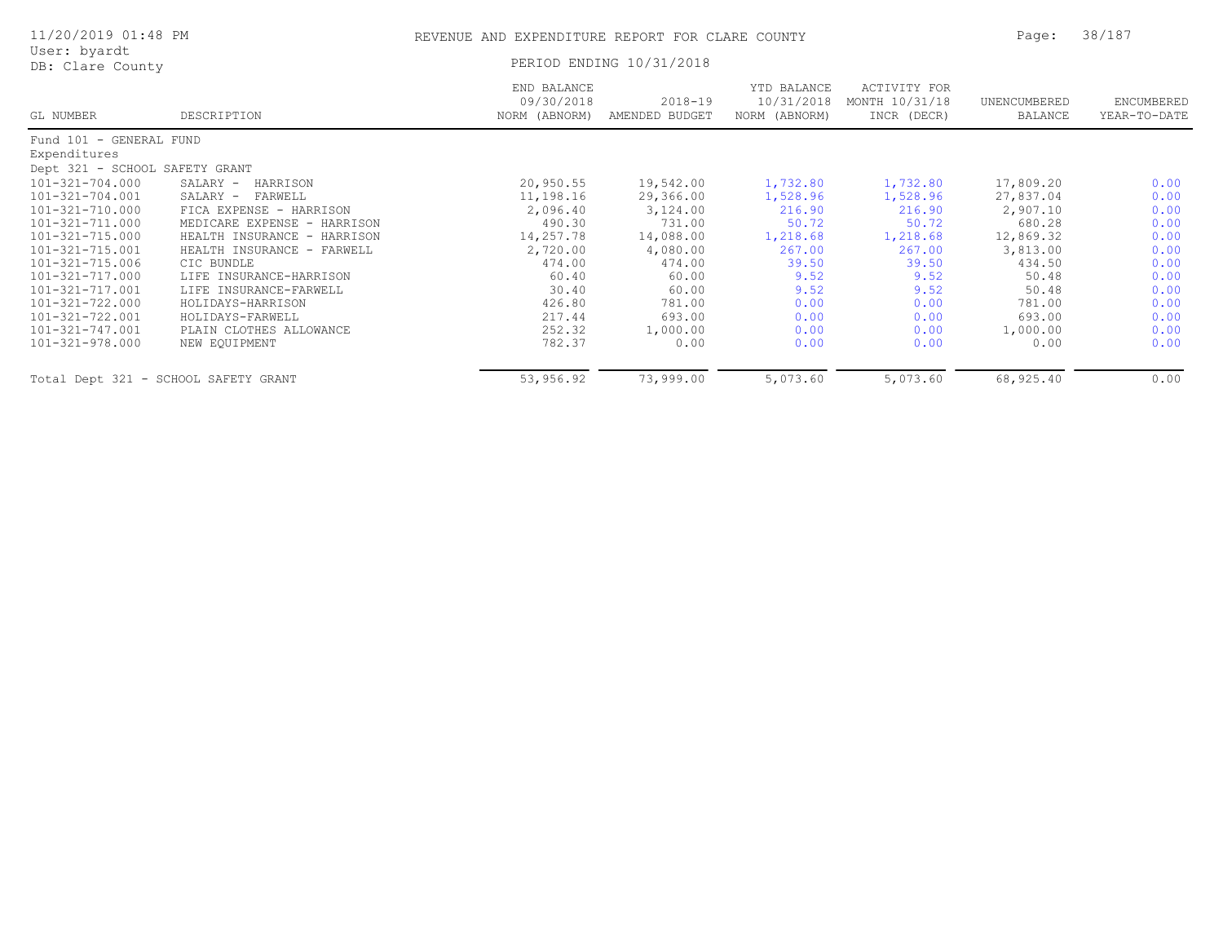| 11/20/2019 01:48 PM                  |                             | REVENUE AND EXPENDITURE REPORT FOR CLARE COUNTY | Page:                         | 38/187                                     |                                                      |                                |                            |
|--------------------------------------|-----------------------------|-------------------------------------------------|-------------------------------|--------------------------------------------|------------------------------------------------------|--------------------------------|----------------------------|
| User: byardt<br>DB: Clare County     |                             |                                                 | PERIOD ENDING 10/31/2018      |                                            |                                                      |                                |                            |
| GL NUMBER                            | DESCRIPTION                 | END BALANCE<br>09/30/2018<br>NORM (ABNORM)      | $2018 - 19$<br>AMENDED BUDGET | YTD BALANCE<br>10/31/2018<br>NORM (ABNORM) | <b>ACTIVITY FOR</b><br>MONTH 10/31/18<br>INCR (DECR) | UNENCUMBERED<br><b>BALANCE</b> | ENCUMBERED<br>YEAR-TO-DATE |
| Fund 101 - GENERAL FUND              |                             |                                                 |                               |                                            |                                                      |                                |                            |
| Expenditures                         |                             |                                                 |                               |                                            |                                                      |                                |                            |
| Dept 321 - SCHOOL SAFETY GRANT       |                             |                                                 |                               |                                            |                                                      |                                |                            |
| 101-321-704.000                      | SALARY -<br>HARRISON        | 20,950.55                                       | 19,542.00                     | 1,732.80                                   | 1,732.80                                             | 17,809.20                      | 0.00                       |
| 101-321-704.001                      | SALARY -<br>FARWELL         | 11,198.16                                       | 29,366.00                     | 1,528.96                                   | 1,528.96                                             | 27,837.04                      | 0.00                       |
| 101-321-710.000                      | FICA EXPENSE - HARRISON     | 2,096.40                                        | 3,124.00                      | 216.90                                     | 216.90                                               | 2,907.10                       | 0.00                       |
| 101-321-711.000                      | MEDICARE EXPENSE - HARRISON | 490.30                                          | 731.00                        | 50.72                                      | 50.72                                                | 680.28                         | 0.00                       |
| 101-321-715.000                      | HEALTH INSURANCE - HARRISON | 14,257.78                                       | 14,088.00                     | 1,218.68                                   | 1,218.68                                             | 12,869.32                      | 0.00                       |
| 101-321-715.001                      | HEALTH INSURANCE - FARWELL  | 2,720.00                                        | 4,080.00                      | 267.00                                     | 267.00                                               | 3,813.00                       | 0.00                       |
| 101-321-715.006                      | CIC BUNDLE                  | 474.00                                          | 474.00                        | 39.50                                      | 39.50                                                | 434.50                         | 0.00                       |
| 101-321-717.000                      | LIFE INSURANCE-HARRISON     | 60.40                                           | 60.00                         | 9.52                                       | 9.52                                                 | 50.48                          | 0.00                       |
| 101-321-717.001                      | LIFE INSURANCE-FARWELL      | 30.40                                           | 60.00                         | 9.52                                       | 9.52                                                 | 50.48                          | 0.00                       |
| 101-321-722.000                      | HOLIDAYS-HARRISON           | 426.80                                          | 781.00                        | 0.00                                       | 0.00                                                 | 781.00                         | 0.00                       |
| 101-321-722.001                      | HOLIDAYS-FARWELL            | 217.44                                          | 693.00                        | 0.00                                       | 0.00                                                 | 693.00                         | 0.00                       |
| 101-321-747.001                      | PLAIN CLOTHES ALLOWANCE     | 252.32                                          | 1,000.00                      | 0.00                                       | 0.00                                                 | 1,000.00                       | 0.00                       |
| 101-321-978.000                      | NEW EQUIPMENT               | 782.37                                          | 0.00                          | 0.00                                       | 0.00                                                 | 0.00                           | 0.00                       |
| Total Dept 321 - SCHOOL SAFETY GRANT |                             | 53,956.92                                       | 73,999.00                     | 5,073.60                                   | 5,073.60                                             | 68,925.40                      | 0.00                       |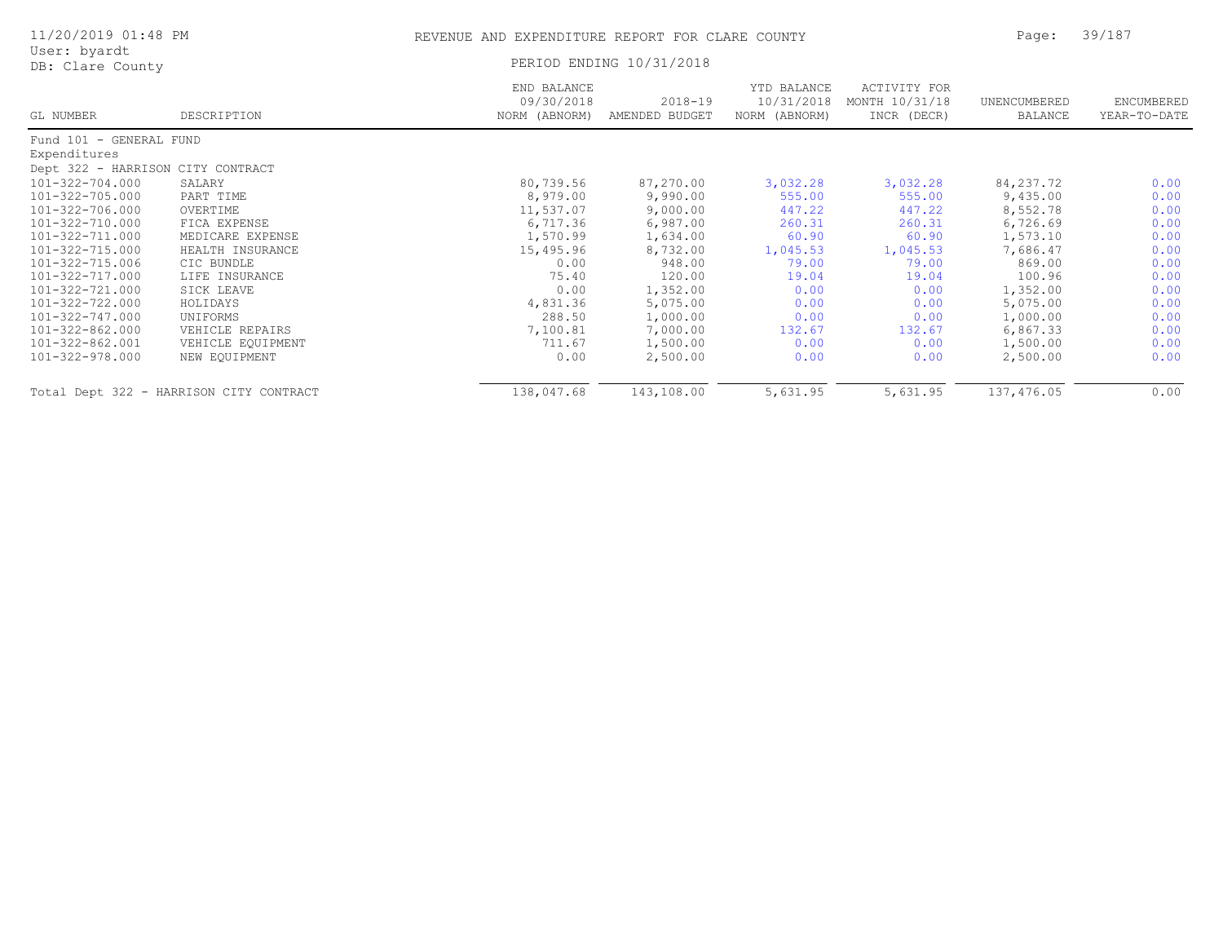| 11/20/2019 01:48 PM               |                                         |                                            | REVENUE AND EXPENDITURE REPORT FOR CLARE COUNTY |                                            |                                               |                         |                            |
|-----------------------------------|-----------------------------------------|--------------------------------------------|-------------------------------------------------|--------------------------------------------|-----------------------------------------------|-------------------------|----------------------------|
| User: byardt<br>DB: Clare County  |                                         | PERIOD ENDING 10/31/2018                   |                                                 |                                            |                                               |                         |                            |
| GL NUMBER                         | DESCRIPTION                             | END BALANCE<br>09/30/2018<br>NORM (ABNORM) | $2018 - 19$<br>AMENDED BUDGET                   | YTD BALANCE<br>10/31/2018<br>NORM (ABNORM) | ACTIVITY FOR<br>MONTH 10/31/18<br>INCR (DECR) | UNENCUMBERED<br>BALANCE | ENCUMBERED<br>YEAR-TO-DATE |
| Fund 101 - GENERAL FUND           |                                         |                                            |                                                 |                                            |                                               |                         |                            |
| Expenditures                      |                                         |                                            |                                                 |                                            |                                               |                         |                            |
| Dept 322 - HARRISON CITY CONTRACT |                                         |                                            |                                                 |                                            |                                               |                         |                            |
| 101-322-704.000                   | SALARY                                  | 80,739.56                                  | 87,270.00                                       | 3,032.28                                   | 3,032.28                                      | 84, 237. 72             | 0.00                       |
| 101-322-705.000                   | PART TIME                               | 8,979.00                                   | 9,990.00                                        | 555.00                                     | 555.00                                        | 9,435.00                | 0.00                       |
| 101-322-706.000                   | OVERTIME                                | 11,537.07                                  | 9,000.00                                        | 447.22                                     | 447.22                                        | 8,552.78                | 0.00                       |
| 101-322-710.000                   | FICA EXPENSE                            | 6,717.36                                   | 6,987.00                                        | 260.31                                     | 260.31                                        | 6,726.69                | 0.00                       |
| 101-322-711.000                   | MEDICARE EXPENSE                        | 1,570.99                                   | 1,634.00                                        | 60.90                                      | 60.90                                         | 1,573.10                | 0.00                       |
| 101-322-715.000                   | HEALTH INSURANCE                        | 15,495.96                                  | 8,732.00                                        | 1,045.53                                   | 1,045.53                                      | 7,686.47                | 0.00                       |
| 101-322-715.006                   | CIC BUNDLE                              | 0.00                                       | 948.00                                          | 79.00                                      | 79.00                                         | 869.00                  | 0.00                       |
| 101-322-717.000                   | LIFE INSURANCE                          | 75.40                                      | 120.00                                          | 19.04                                      | 19.04                                         | 100.96                  | 0.00                       |
| 101-322-721.000                   | SICK LEAVE                              | 0.00                                       | 1,352.00                                        | 0.00                                       | 0.00                                          | 1,352.00                | 0.00                       |
| 101-322-722.000                   | HOLIDAYS                                | 4,831.36                                   | 5,075.00                                        | 0.00                                       | 0.00                                          | 5,075.00                | 0.00                       |
| 101-322-747.000                   | UNIFORMS                                | 288.50                                     | 1,000.00                                        | 0.00                                       | 0.00                                          | 1,000.00                | 0.00                       |
| 101-322-862.000                   | VEHICLE REPAIRS                         | 7,100.81                                   | 7,000.00                                        | 132.67                                     | 132.67                                        | 6,867.33                | 0.00                       |
| 101-322-862.001                   | VEHICLE EQUIPMENT                       | 711.67                                     | 1,500.00                                        | 0.00                                       | 0.00                                          | 1,500.00                | 0.00                       |
| 101-322-978.000                   | NEW EQUIPMENT                           | 0.00                                       | 2,500.00                                        | 0.00                                       | 0.00                                          | 2,500.00                | 0.00                       |
|                                   | Total Dept 322 - HARRISON CITY CONTRACT | 138,047.68                                 | 143,108.00                                      | 5,631.95                                   | 5,631.95                                      | 137,476.05              | 0.00                       |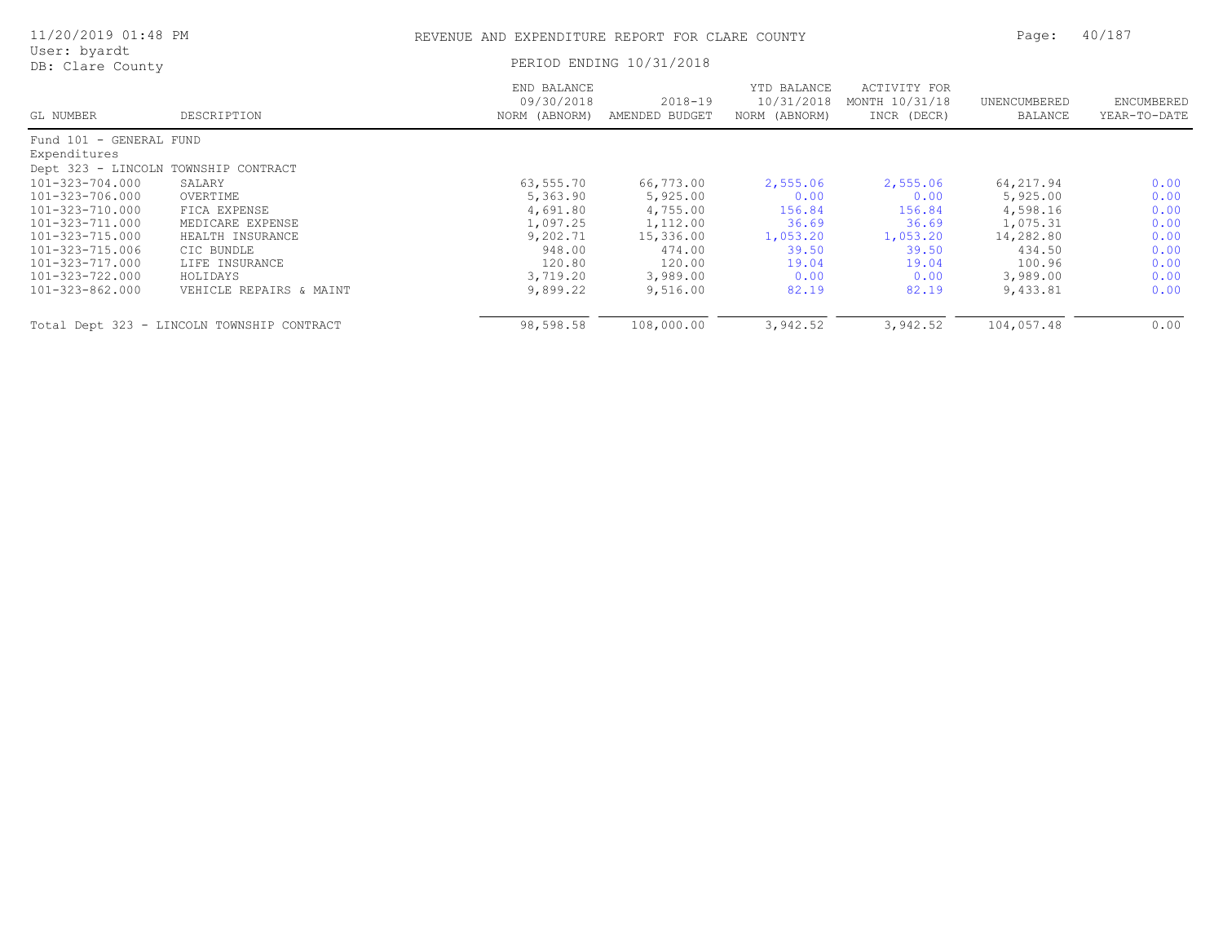| 11/20/2019 01:48 PM                  |                                            | REVENUE AND EXPENDITURE REPORT FOR CLARE COUNTY | Page:                     | 40/187                                     |                                               |                         |                            |
|--------------------------------------|--------------------------------------------|-------------------------------------------------|---------------------------|--------------------------------------------|-----------------------------------------------|-------------------------|----------------------------|
| User: byardt<br>DB: Clare County     |                                            |                                                 | PERIOD ENDING 10/31/2018  |                                            |                                               |                         |                            |
| GL NUMBER                            | DESCRIPTION                                | END BALANCE<br>09/30/2018<br>NORM (ABNORM)      | 2018-19<br>AMENDED BUDGET | YTD BALANCE<br>10/31/2018<br>NORM (ABNORM) | ACTIVITY FOR<br>MONTH 10/31/18<br>INCR (DECR) | UNENCUMBERED<br>BALANCE | ENCUMBERED<br>YEAR-TO-DATE |
| Fund 101 - GENERAL FUND              |                                            |                                                 |                           |                                            |                                               |                         |                            |
| Expenditures                         |                                            |                                                 |                           |                                            |                                               |                         |                            |
| Dept 323 - LINCOLN TOWNSHIP CONTRACT |                                            |                                                 |                           |                                            |                                               |                         |                            |
| 101-323-704.000                      | SALARY                                     | 63,555.70                                       | 66,773.00                 | 2,555.06                                   | 2,555.06                                      | 64, 217.94              | 0.00                       |
| 101-323-706.000                      | OVERTIME                                   | 5,363.90                                        | 5,925.00                  | 0.00                                       | 0.00                                          | 5,925.00                | 0.00                       |
| 101-323-710.000                      | FICA EXPENSE                               | 4,691.80                                        | 4,755.00                  | 156.84                                     | 156.84                                        | 4,598.16                | 0.00                       |
| 101-323-711.000                      | MEDICARE EXPENSE                           | 1,097.25                                        | 1,112.00                  | 36.69                                      | 36.69                                         | 1,075.31                | 0.00                       |
| 101-323-715.000                      | HEALTH INSURANCE                           | 9,202.71                                        | 15,336.00                 | 1,053.20                                   | 1,053.20                                      | 14,282.80               | 0.00                       |
| 101-323-715.006                      | CIC BUNDLE                                 | 948.00                                          | 474.00                    | 39.50                                      | 39.50                                         | 434.50                  | 0.00                       |
| 101-323-717.000                      | LIFE INSURANCE                             | 120.80                                          | 120.00                    | 19.04                                      | 19.04                                         | 100.96                  | 0.00                       |
| 101-323-722.000                      | HOLIDAYS                                   | 3,719.20                                        | 3,989.00                  | 0.00                                       | 0.00                                          | 3,989.00                | 0.00                       |
| 101-323-862.000                      | VEHICLE REPAIRS & MAINT                    | 9,899.22                                        | 9,516.00                  | 82.19                                      | 82.19                                         | 9,433.81                | 0.00                       |
|                                      | Total Dept 323 - LINCOLN TOWNSHIP CONTRACT | 98,598.58                                       | 108,000.00                | 3,942.52                                   | 3,942.52                                      | 104,057.48              | 0.00                       |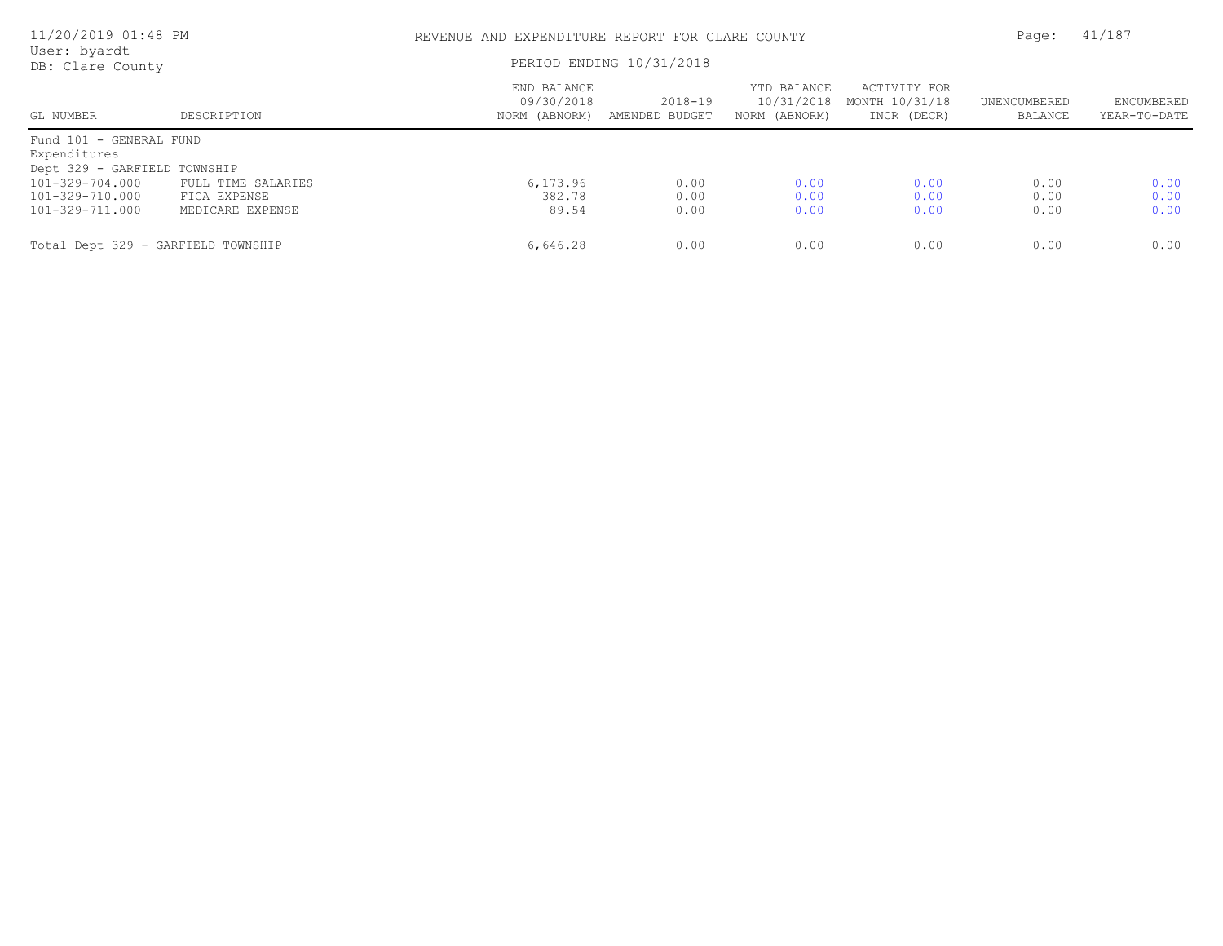| 11/20/2019 01:48 PM                |                    |                                            | REVENUE AND EXPENDITURE REPORT FOR CLARE COUNTY |                                            |                                               |                         |                            |
|------------------------------------|--------------------|--------------------------------------------|-------------------------------------------------|--------------------------------------------|-----------------------------------------------|-------------------------|----------------------------|
| User: byardt<br>DB: Clare County   |                    | PERIOD ENDING 10/31/2018                   |                                                 |                                            |                                               |                         |                            |
| GL NUMBER                          | DESCRIPTION        | END BALANCE<br>09/30/2018<br>NORM (ABNORM) | $2018 - 19$<br>AMENDED BUDGET                   | YTD BALANCE<br>10/31/2018<br>NORM (ABNORM) | ACTIVITY FOR<br>MONTH 10/31/18<br>INCR (DECR) | UNENCUMBERED<br>BALANCE | ENCUMBERED<br>YEAR-TO-DATE |
| Fund 101 - GENERAL FUND            |                    |                                            |                                                 |                                            |                                               |                         |                            |
| Expenditures                       |                    |                                            |                                                 |                                            |                                               |                         |                            |
| Dept 329 - GARFIELD TOWNSHIP       |                    |                                            |                                                 |                                            |                                               |                         |                            |
| 101-329-704.000                    | FULL TIME SALARIES | 6,173.96                                   | 0.00                                            | 0.00                                       | 0.00                                          | 0.00                    | 0.00                       |
| 101-329-710.000                    | FICA EXPENSE       | 382.78                                     | 0.00                                            | 0.00                                       | 0.00                                          | 0.00                    | 0.00                       |
| 101-329-711.000                    | MEDICARE EXPENSE   | 89.54                                      | 0.00                                            | 0.00                                       | 0.00                                          | 0.00                    | 0.00                       |
| Total Dept 329 - GARFIELD TOWNSHIP |                    | 6,646.28                                   | 0.00                                            | 0.00                                       | 0.00                                          | 0.00                    | 0.00                       |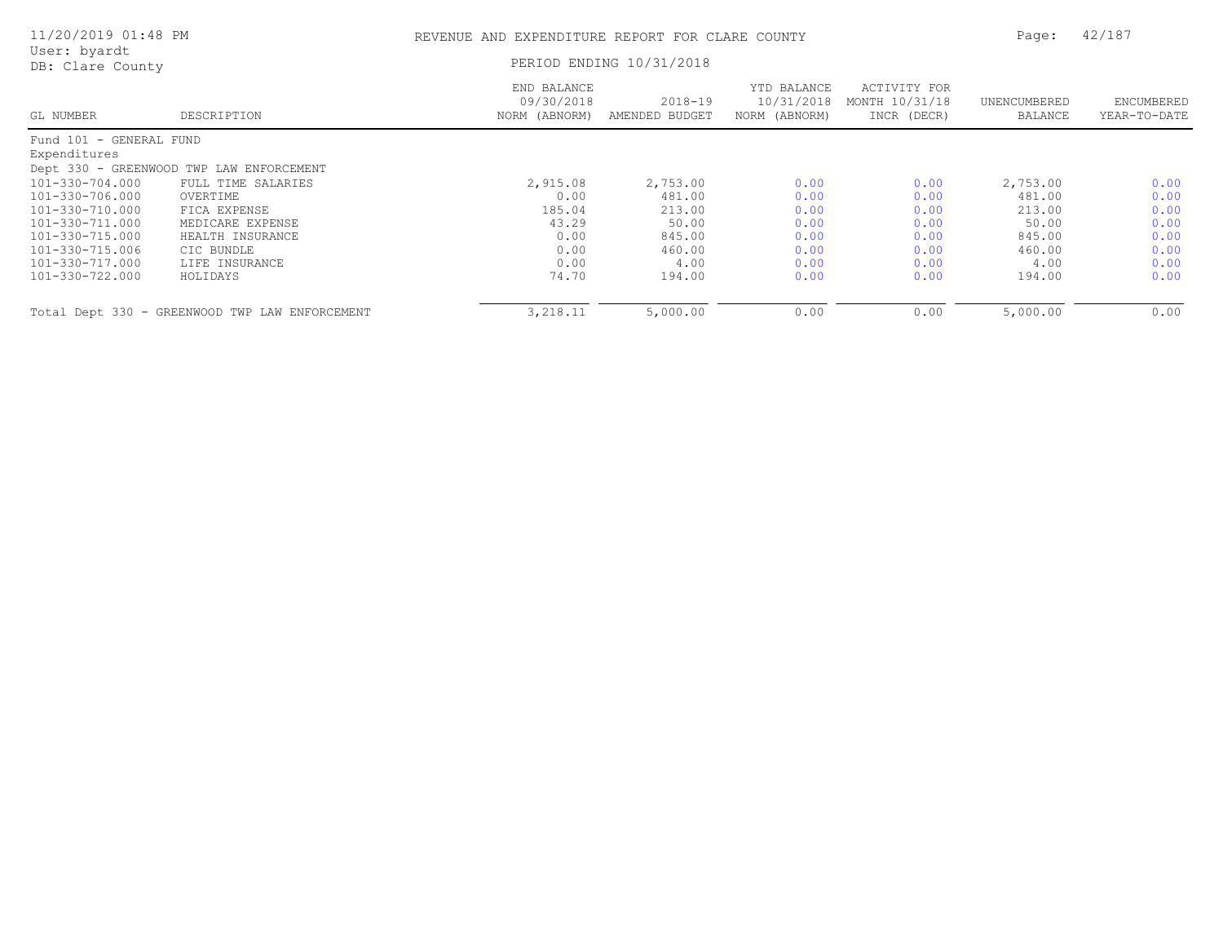| 11/20/2019 01:48 PM              |                                                | REVENUE AND EXPENDITURE REPORT FOR CLARE COUNTY | Page:                         | 42/187                                     |                                               |                         |                            |  |
|----------------------------------|------------------------------------------------|-------------------------------------------------|-------------------------------|--------------------------------------------|-----------------------------------------------|-------------------------|----------------------------|--|
| User: byardt<br>DB: Clare County |                                                |                                                 | PERIOD ENDING 10/31/2018      |                                            |                                               |                         |                            |  |
| GL NUMBER                        | DESCRIPTION                                    | END BALANCE<br>09/30/2018<br>NORM (ABNORM)      | $2018 - 19$<br>AMENDED BUDGET | YTD BALANCE<br>10/31/2018<br>NORM (ABNORM) | ACTIVITY FOR<br>MONTH 10/31/18<br>INCR (DECR) | UNENCUMBERED<br>BALANCE | ENCUMBERED<br>YEAR-TO-DATE |  |
| Fund 101 - GENERAL FUND          |                                                |                                                 |                               |                                            |                                               |                         |                            |  |
| Expenditures                     |                                                |                                                 |                               |                                            |                                               |                         |                            |  |
|                                  | Dept 330 - GREENWOOD TWP LAW ENFORCEMENT       |                                                 |                               |                                            |                                               |                         |                            |  |
| 101-330-704.000                  | FULL TIME SALARIES                             | 2,915.08                                        | 2,753.00                      | 0.00                                       | 0.00                                          | 2,753.00                | 0.00                       |  |
| 101-330-706.000                  | OVERTIME                                       | 0.00                                            | 481.00                        | 0.00                                       | 0.00                                          | 481.00                  | 0.00                       |  |
| 101-330-710.000                  | FICA EXPENSE                                   | 185.04                                          | 213.00                        | 0.00                                       | 0.00                                          | 213.00                  | 0.00                       |  |
| 101-330-711.000                  | MEDICARE EXPENSE                               | 43.29                                           | 50.00                         | 0.00                                       | 0.00                                          | 50.00                   | 0.00                       |  |
| 101-330-715.000                  | HEALTH INSURANCE                               | 0.00                                            | 845.00                        | 0.00                                       | 0.00                                          | 845.00                  | 0.00                       |  |
| 101-330-715.006                  | CIC BUNDLE                                     | 0.00                                            | 460.00                        | 0.00                                       | 0.00                                          | 460.00                  | 0.00                       |  |
| 101-330-717.000                  | LIFE INSURANCE                                 | 0.00                                            | 4.00                          | 0.00                                       | 0.00                                          | 4.00                    | 0.00                       |  |
| 101-330-722.000                  | HOLIDAYS                                       | 74.70                                           | 194.00                        | 0.00                                       | 0.00                                          | 194.00                  | 0.00                       |  |
|                                  | Total Dept 330 - GREENWOOD TWP LAW ENFORCEMENT | 3,218.11                                        | 5,000.00                      | 0.00                                       | 0.00                                          | 5,000.00                | 0.00                       |  |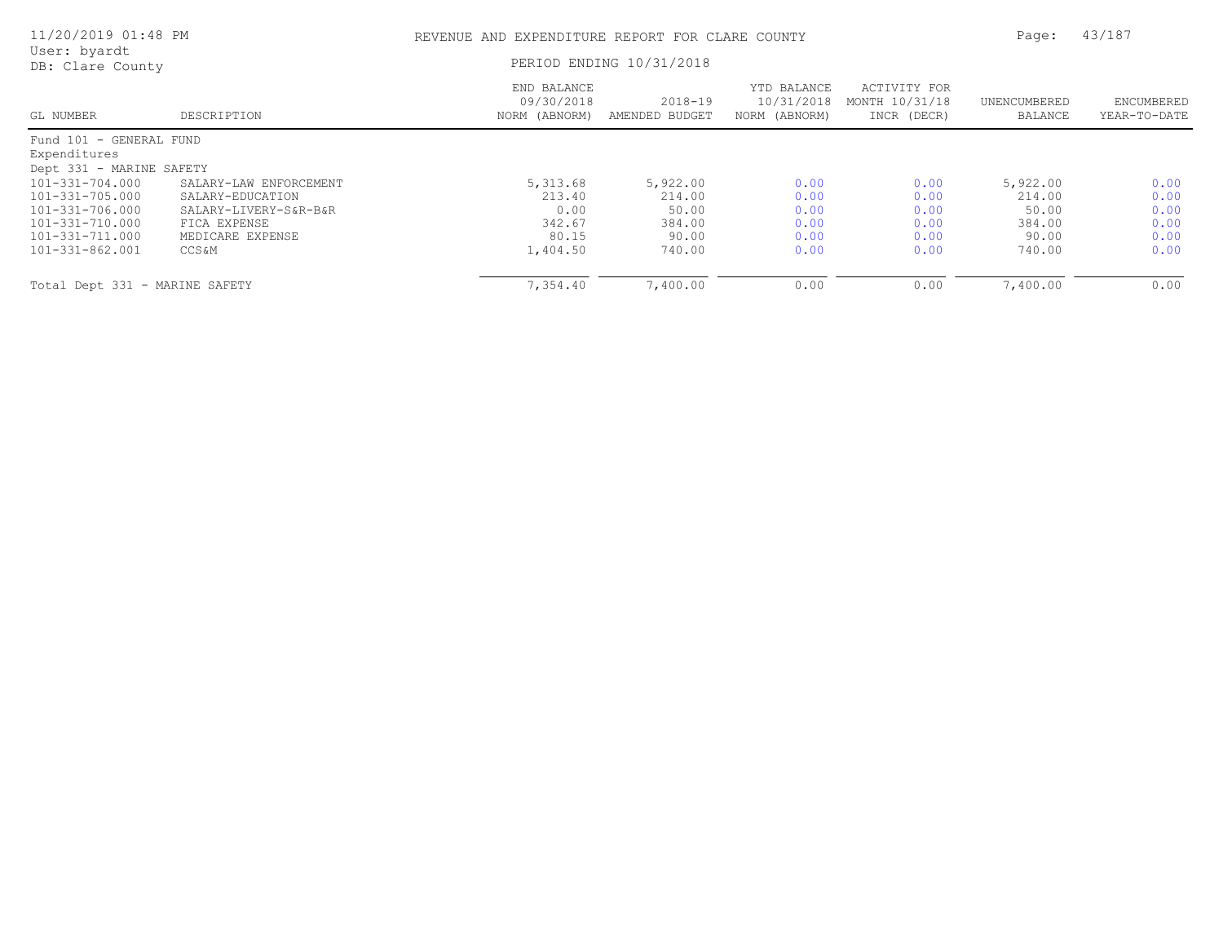| 11/20/2019 01:48 PM              |                        |                                            | REVENUE AND EXPENDITURE REPORT FOR CLARE COUNTY |                                            |                                               |                         |                            |
|----------------------------------|------------------------|--------------------------------------------|-------------------------------------------------|--------------------------------------------|-----------------------------------------------|-------------------------|----------------------------|
| User: byardt<br>DB: Clare County |                        |                                            | PERIOD ENDING 10/31/2018                        |                                            |                                               |                         |                            |
| GL NUMBER                        | DESCRIPTION            | END BALANCE<br>09/30/2018<br>NORM (ABNORM) | $2018 - 19$<br>AMENDED BUDGET                   | YTD BALANCE<br>10/31/2018<br>NORM (ABNORM) | ACTIVITY FOR<br>MONTH 10/31/18<br>INCR (DECR) | UNENCUMBERED<br>BALANCE | ENCUMBERED<br>YEAR-TO-DATE |
| Fund 101 - GENERAL FUND          |                        |                                            |                                                 |                                            |                                               |                         |                            |
| Expenditures                     |                        |                                            |                                                 |                                            |                                               |                         |                            |
| Dept 331 - MARINE SAFETY         |                        |                                            |                                                 |                                            |                                               |                         |                            |
| 101-331-704.000                  | SALARY-LAW ENFORCEMENT | 5,313.68                                   | 5,922.00                                        | 0.00                                       | 0.00                                          | 5,922.00                | 0.00                       |
| 101-331-705.000                  | SALARY-EDUCATION       | 213.40                                     | 214.00                                          | 0.00                                       | 0.00                                          | 214.00                  | 0.00                       |
| 101-331-706.000                  | SALARY-LIVERY-S&R-B&R  | 0.00                                       | 50.00                                           | 0.00                                       | 0.00                                          | 50.00                   | 0.00                       |
| 101-331-710.000                  | FICA EXPENSE           | 342.67                                     | 384.00                                          | 0.00                                       | 0.00                                          | 384.00                  | 0.00                       |
| 101-331-711.000                  | MEDICARE EXPENSE       | 80.15                                      | 90.00                                           | 0.00                                       | 0.00                                          | 90.00                   | 0.00                       |
| 101-331-862.001                  | CCS &M                 | 1,404.50                                   | 740.00                                          | 0.00                                       | 0.00                                          | 740.00                  | 0.00                       |
| Total Dept 331 - MARINE SAFETY   |                        | 7,354.40                                   | 7,400.00                                        | 0.00                                       | 0.00                                          | 7,400.00                | 0.00                       |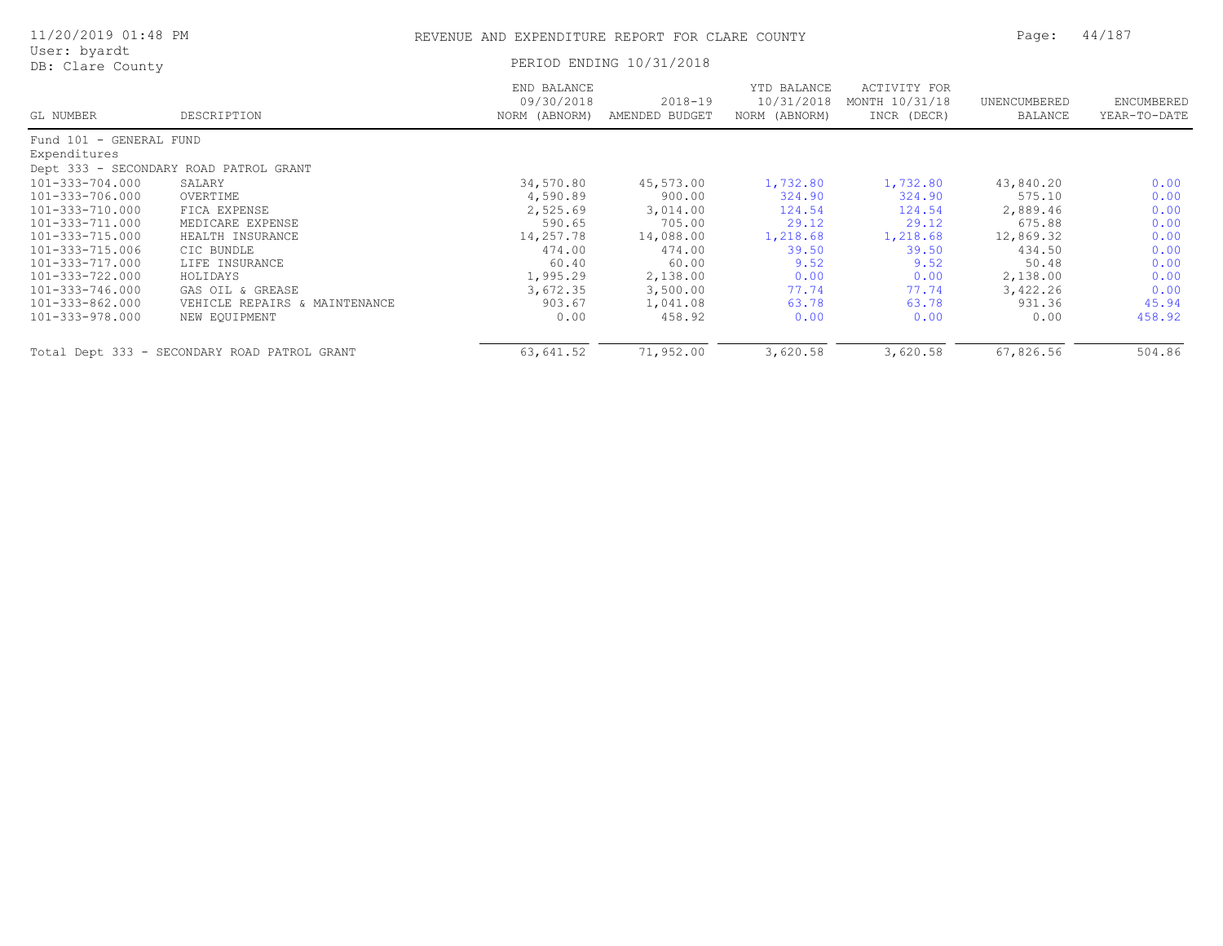| 11/20/2019 01:48 PM              |                                              | REVENUE AND EXPENDITURE REPORT FOR CLARE COUNTY |                           |                                            |                                               |                         |                            |
|----------------------------------|----------------------------------------------|-------------------------------------------------|---------------------------|--------------------------------------------|-----------------------------------------------|-------------------------|----------------------------|
| User: byardt<br>DB: Clare County |                                              |                                                 | PERIOD ENDING 10/31/2018  |                                            |                                               |                         |                            |
| GL NUMBER                        | DESCRIPTION                                  | END BALANCE<br>09/30/2018<br>NORM (ABNORM)      | 2018-19<br>AMENDED BUDGET | YTD BALANCE<br>10/31/2018<br>NORM (ABNORM) | ACTIVITY FOR<br>MONTH 10/31/18<br>INCR (DECR) | UNENCUMBERED<br>BALANCE | ENCUMBERED<br>YEAR-TO-DATE |
| Fund 101 - GENERAL FUND          |                                              |                                                 |                           |                                            |                                               |                         |                            |
| Expenditures                     |                                              |                                                 |                           |                                            |                                               |                         |                            |
|                                  | Dept 333 - SECONDARY ROAD PATROL GRANT       |                                                 |                           |                                            |                                               |                         |                            |
| 101-333-704.000                  | SALARY                                       | 34,570.80                                       | 45,573.00                 | 1,732.80                                   | 1,732.80                                      | 43,840.20               | 0.00                       |
| 101-333-706.000                  | OVERTIME                                     | 4,590.89                                        | 900.00                    | 324.90                                     | 324.90                                        | 575.10                  | 0.00                       |
| 101-333-710.000                  | FICA EXPENSE                                 | 2,525.69                                        | 3,014.00                  | 124.54                                     | 124.54                                        | 2,889.46                | 0.00                       |
| 101-333-711.000                  | MEDICARE EXPENSE                             | 590.65                                          | 705.00                    | 29.12                                      | 29.12                                         | 675.88                  | 0.00                       |
| 101-333-715.000                  | HEALTH INSURANCE                             | 14,257.78                                       | 14,088.00                 | 1,218.68                                   | 1,218.68                                      | 12,869.32               | 0.00                       |
| 101-333-715.006                  | CIC BUNDLE                                   | 474.00                                          | 474.00                    | 39.50                                      | 39.50                                         | 434.50                  | 0.00                       |
| 101-333-717.000                  | LIFE INSURANCE                               | 60.40                                           | 60.00                     | 9.52                                       | 9.52                                          | 50.48                   | 0.00                       |
| 101-333-722.000                  | HOLIDAYS                                     | 1,995.29                                        | 2,138.00                  | 0.00                                       | 0.00                                          | 2,138.00                | 0.00                       |
| 101-333-746.000                  | GAS OIL & GREASE                             | 3,672.35                                        | 3,500.00                  | 77.74                                      | 77.74                                         | 3,422.26                | 0.00                       |
| 101-333-862.000                  | VEHICLE REPAIRS & MAINTENANCE                | 903.67                                          | 1,041.08                  | 63.78                                      | 63.78                                         | 931.36                  | 45.94                      |
| 101-333-978.000                  | NEW EQUIPMENT                                | 0.00                                            | 458.92                    | 0.00                                       | 0.00                                          | 0.00                    | 458.92                     |
|                                  | Total Dept 333 - SECONDARY ROAD PATROL GRANT | 63,641.52                                       | 71,952.00                 | 3,620.58                                   | 3,620.58                                      | 67,826.56               | 504.86                     |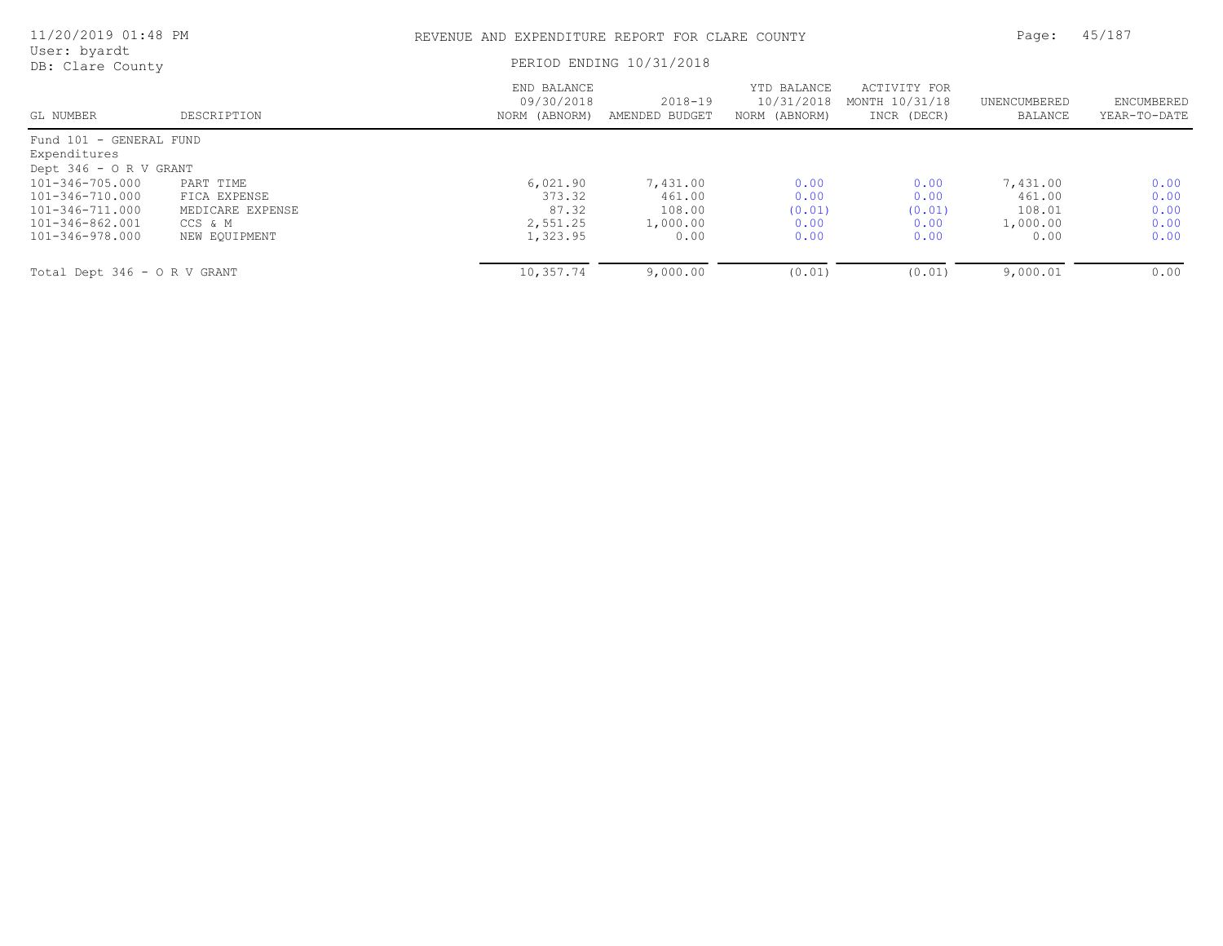| 11/20/2019 01:48 PM                                                                         |                                                                           | REVENUE AND EXPENDITURE REPORT FOR CLARE COUNTY     |                                                  |                                            |                                               | Page:                                            | 45/187                               |
|---------------------------------------------------------------------------------------------|---------------------------------------------------------------------------|-----------------------------------------------------|--------------------------------------------------|--------------------------------------------|-----------------------------------------------|--------------------------------------------------|--------------------------------------|
| User: byardt<br>DB: Clare County                                                            |                                                                           |                                                     | PERIOD ENDING 10/31/2018                         |                                            |                                               |                                                  |                                      |
| GL NUMBER                                                                                   | DESCRIPTION                                                               | END BALANCE<br>09/30/2018<br>NORM (ABNORM)          | $2018 - 19$<br>AMENDED BUDGET                    | YTD BALANCE<br>10/31/2018<br>NORM (ABNORM) | ACTIVITY FOR<br>MONTH 10/31/18<br>INCR (DECR) | UNENCUMBERED<br>BALANCE                          | ENCUMBERED<br>YEAR-TO-DATE           |
| Fund 101 - GENERAL FUND<br>Expenditures                                                     |                                                                           |                                                     |                                                  |                                            |                                               |                                                  |                                      |
| Dept 346 - O R V GRANT                                                                      |                                                                           |                                                     |                                                  |                                            |                                               |                                                  |                                      |
| 101-346-705.000<br>101-346-710.000<br>101-346-711.000<br>101-346-862.001<br>101-346-978.000 | PART TIME<br>FICA EXPENSE<br>MEDICARE EXPENSE<br>CCS & M<br>NEW EQUIPMENT | 6,021.90<br>373.32<br>87.32<br>2,551.25<br>1,323.95 | 7,431.00<br>461.00<br>108.00<br>1,000.00<br>0.00 | 0.00<br>0.00<br>(0.01)<br>0.00<br>0.00     | 0.00<br>0.00<br>(0.01)<br>0.00<br>0.00        | 7,431.00<br>461.00<br>108.01<br>1,000.00<br>0.00 | 0.00<br>0.00<br>0.00<br>0.00<br>0.00 |
| Total Dept 346 - O R V GRANT                                                                |                                                                           | 10,357.74                                           | 9,000.00                                         | (0.01)                                     | (0.01)                                        | 9,000.01                                         | 0.00                                 |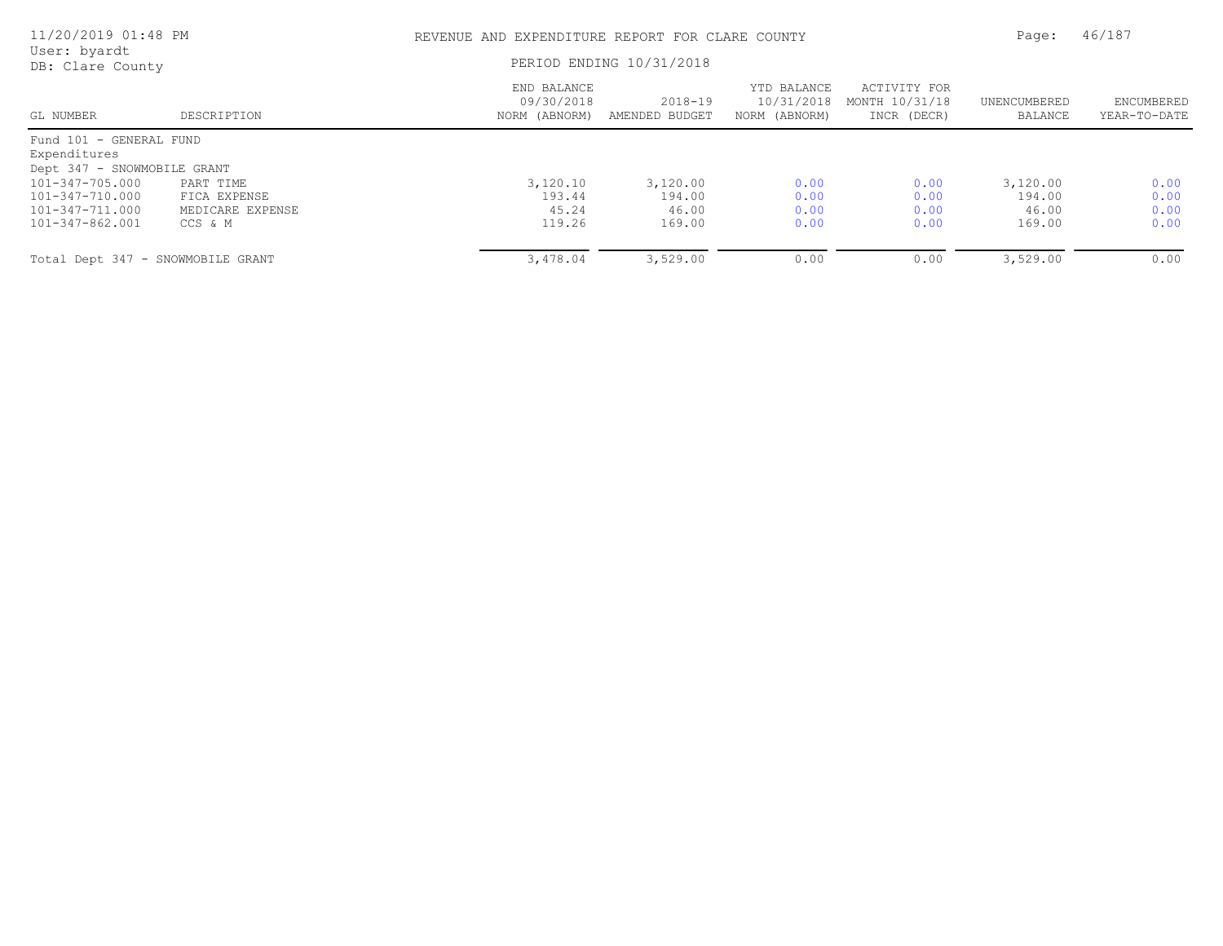| 11/20/2019 01:48 PM<br>User: byardt |                  | REVENUE AND EXPENDITURE REPORT FOR CLARE COUNTY |                               |                                            |                                               |                         | 46/187                     |
|-------------------------------------|------------------|-------------------------------------------------|-------------------------------|--------------------------------------------|-----------------------------------------------|-------------------------|----------------------------|
| DB: Clare County                    |                  | PERIOD ENDING 10/31/2018                        |                               |                                            |                                               |                         |                            |
| GL NUMBER                           | DESCRIPTION      | END BALANCE<br>09/30/2018<br>NORM (ABNORM)      | $2018 - 19$<br>AMENDED BUDGET | YTD BALANCE<br>10/31/2018<br>NORM (ABNORM) | ACTIVITY FOR<br>MONTH 10/31/18<br>INCR (DECR) | UNENCUMBERED<br>BALANCE | ENCUMBERED<br>YEAR-TO-DATE |
| Fund 101 - GENERAL FUND             |                  |                                                 |                               |                                            |                                               |                         |                            |
| Expenditures                        |                  |                                                 |                               |                                            |                                               |                         |                            |
| Dept 347 - SNOWMOBILE GRANT         |                  |                                                 |                               |                                            |                                               |                         |                            |
| 101-347-705.000                     | PART TIME        | 3,120.10                                        | 3,120.00                      | 0.00                                       | 0.00                                          | 3,120.00                | 0.00                       |
| 101-347-710.000                     | FICA EXPENSE     | 193.44                                          | 194.00                        | 0.00                                       | 0.00                                          | 194.00                  | 0.00                       |
| 101-347-711.000                     | MEDICARE EXPENSE | 45.24                                           | 46.00                         | 0.00                                       | 0.00                                          | 46.00                   | 0.00                       |
| 101-347-862.001                     | CCS & M          | 119.26                                          | 169.00                        | 0.00                                       | 0.00                                          | 169.00                  | 0.00                       |
| Total Dept 347 - SNOWMOBILE GRANT   |                  | 3,478.04                                        | 3,529.00                      | 0.00                                       | 0.00                                          | 3,529.00                | 0.00                       |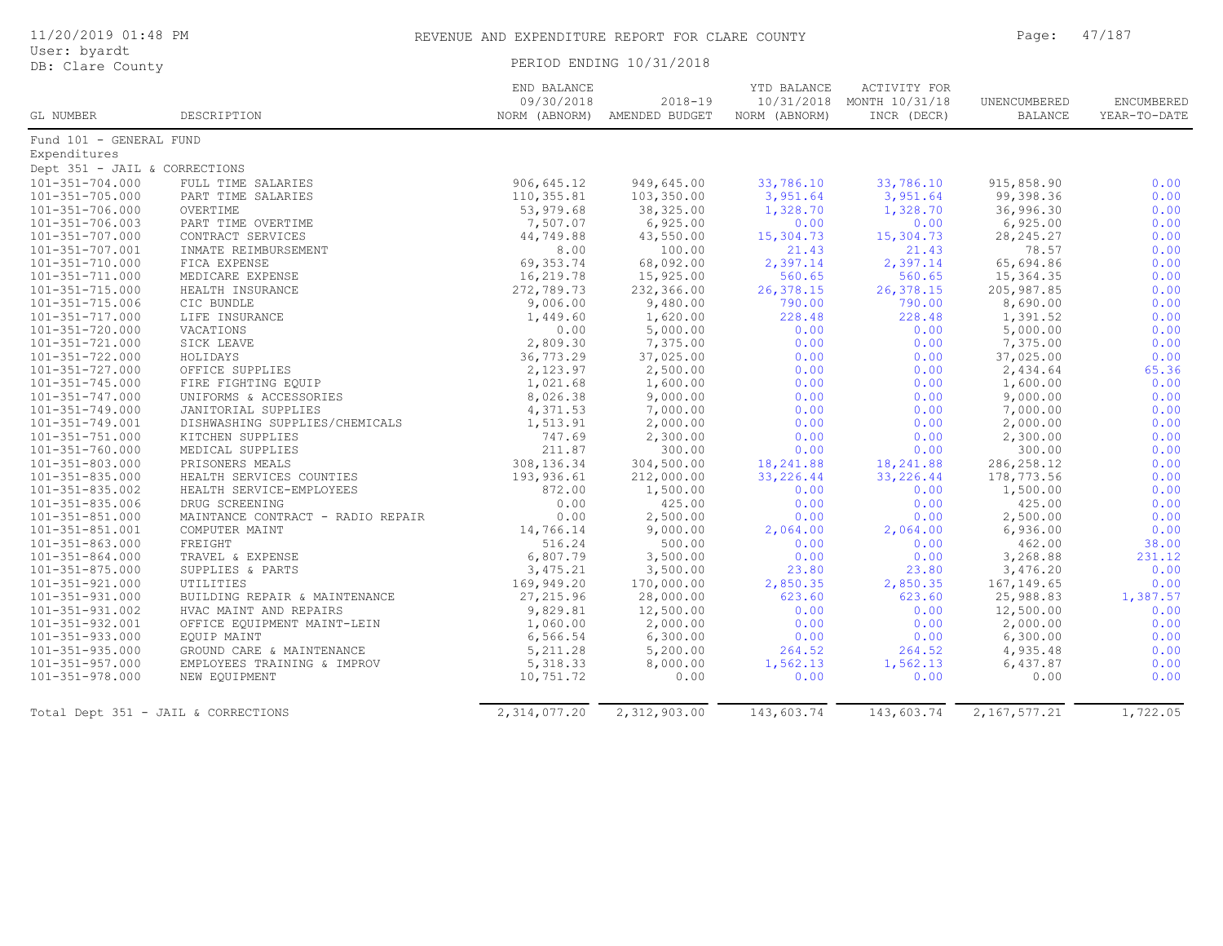| User: byardt<br>DB: Clare County    |                                   |                           | PERIOD ENDING 10/31/2018                    |                              |                                                          |                                |                            |
|-------------------------------------|-----------------------------------|---------------------------|---------------------------------------------|------------------------------|----------------------------------------------------------|--------------------------------|----------------------------|
| GL NUMBER                           | DESCRIPTION                       | END BALANCE<br>09/30/2018 | $2018 - 19$<br>NORM (ABNORM) AMENDED BUDGET | YTD BALANCE<br>NORM (ABNORM) | ACTIVITY FOR<br>10/31/2018 MONTH 10/31/18<br>INCR (DECR) | UNENCUMBERED<br><b>BALANCE</b> | ENCUMBERED<br>YEAR-TO-DATE |
| Fund 101 - GENERAL FUND             |                                   |                           |                                             |                              |                                                          |                                |                            |
| Expenditures                        |                                   |                           |                                             |                              |                                                          |                                |                            |
| Dept 351 - JAIL & CORRECTIONS       |                                   |                           |                                             |                              |                                                          |                                |                            |
| 101-351-704.000                     | FULL TIME SALARIES                | 906,645.12                | 949,645.00                                  | 33,786.10                    | 33,786.10                                                | 915,858.90                     | 0.00                       |
| 101-351-705.000                     | PART TIME SALARIES                | 110,355.81                | 103,350.00                                  | 3,951.64                     | 3,951.64                                                 | 99,398.36                      | 0.00                       |
| 101-351-706.000                     | OVERTIME                          | 53,979.68                 | 38,325.00                                   | 1,328.70                     | 1,328.70                                                 | 36,996.30                      | 0.00                       |
| 101-351-706.003                     | PART TIME OVERTIME                | 7,507.07                  | 6,925.00                                    | 0.00                         | 0.00                                                     | 6,925.00                       | 0.00                       |
| 101-351-707.000                     | CONTRACT SERVICES                 | 44,749.88                 | 43,550.00                                   | 15,304.73                    | 15,304.73                                                | 28, 245. 27                    | 0.00                       |
| $101 - 351 - 707.001$               | INMATE REIMBURSEMENT              | 8.00                      | 100.00                                      | 21.43                        | 21.43                                                    | 78.57                          | 0.00                       |
| 101-351-710.000                     | FICA EXPENSE                      | 69, 353.74                | 68,092.00                                   | 2,397.14                     | 2,397.14                                                 | 65,694.86                      | 0.00                       |
| 101-351-711.000                     | MEDICARE EXPENSE                  | 16,219.78                 | 15,925.00                                   | 560.65                       | 560.65                                                   | 15,364.35                      | 0.00                       |
| $101 - 351 - 715.000$               | HEALTH INSURANCE                  | 272,789.73                | 232,366.00                                  | 26,378.15                    | 26,378.15                                                | 205, 987.85                    | 0.00                       |
| 101-351-715.006                     | CIC BUNDLE                        | 9,006.00                  | 9,480.00                                    | 790.00                       | 790.00                                                   | 8,690.00                       | 0.00                       |
| 101-351-717.000                     | LIFE INSURANCE                    | 1,449.60                  | 1,620.00                                    | 228.48                       | 228.48                                                   | 1,391.52                       | 0.00                       |
| $101 - 351 - 720.000$               | VACATIONS                         | 0.00                      | 5,000.00                                    | 0.00                         | 0.00                                                     | 5,000.00                       | 0.00                       |
| 101-351-721.000                     | SICK LEAVE                        | 2,809.30                  | 7,375.00                                    | 0.00                         | 0.00                                                     | 7,375.00                       | 0.00                       |
| 101-351-722.000                     | HOLIDAYS                          | 36,773.29                 | 37,025.00                                   | 0.00                         | 0.00                                                     | 37,025.00                      | 0.00                       |
| 101-351-727.000                     | OFFICE SUPPLIES                   | 2,123.97                  | 2,500.00                                    | 0.00                         | 0.00                                                     | 2,434.64                       | 65.36                      |
| $101 - 351 - 745.000$               | FIRE FIGHTING EQUIP               | 1,021.68                  | 1,600.00                                    | 0.00                         | 0.00                                                     | 1,600.00                       | 0.00                       |
| 101-351-747.000                     | UNIFORMS & ACCESSORIES            | 8,026.38                  | 9,000.00                                    | 0.00                         | 0.00                                                     | 9,000.00                       | 0.00                       |
| $101 - 351 - 749.000$               | JANITORIAL SUPPLIES               | 4,371.53                  | 7,000.00                                    | 0.00                         | 0.00                                                     | 7,000.00                       | 0.00                       |
| 101-351-749.001                     | DISHWASHING SUPPLIES/CHEMICALS    | 1,513.91                  | 2,000.00                                    | 0.00                         | 0.00                                                     | 2,000.00                       | 0.00                       |
| $101 - 351 - 751.000$               | KITCHEN SUPPLIES                  | 747.69                    | 2,300.00                                    | 0.00                         | 0.00                                                     | 2,300.00                       | 0.00                       |
| $101 - 351 - 760.000$               | MEDICAL SUPPLIES                  | 211.87                    | 300.00                                      | 0.00                         | 0.00                                                     | 300.00                         | 0.00                       |
| 101-351-803.000                     | PRISONERS MEALS                   | 308,136.34                | 304,500.00                                  | 18,241.88                    | 18,241.88                                                | 286, 258.12                    | 0.00                       |
| $101 - 351 - 835.000$               | HEALTH SERVICES COUNTIES          | 193,936.61                | 212,000.00                                  | 33,226.44                    | 33,226.44                                                | 178,773.56                     | 0.00                       |
| $101 - 351 - 835.002$               | HEALTH SERVICE-EMPLOYEES          | 872.00                    | 1,500.00                                    | 0.00                         | 0.00                                                     | 1,500.00                       | 0.00                       |
| 101-351-835.006                     | DRUG SCREENING                    | 0.00                      | 425.00                                      | 0.00                         | 0.00                                                     | 425.00                         | 0.00                       |
| $101 - 351 - 851.000$               | MAINTANCE CONTRACT - RADIO REPAIR | 0.00                      | 2,500.00                                    | 0.00                         | 0.00                                                     | 2,500.00                       | 0.00                       |
| 101-351-851.001                     | COMPUTER MAINT                    | 14,766.14                 | 9,000.00                                    | 2,064.00                     | 2,064.00                                                 | 6,936.00                       | 0.00                       |
| $101 - 351 - 863.000$               | FREIGHT                           | 516.24                    | 500.00                                      | 0.00                         | 0.00                                                     | 462.00                         | 38.00                      |
| $101 - 351 - 864.000$               | TRAVEL & EXPENSE                  | 6,807.79                  | 3,500.00                                    | 0.00                         | 0.00                                                     | 3,268.88                       | 231.12                     |
| $101 - 351 - 875.000$               | SUPPLIES & PARTS                  | 3,475.21                  | 3,500.00                                    | 23.80                        | 23.80                                                    | 3,476.20                       | 0.00                       |
| $101 - 351 - 921.000$               | UTILITIES                         | 169,949.20                | 170,000.00                                  | 2,850.35                     | 2,850.35                                                 | 167, 149.65                    | 0.00                       |
| 101-351-931.000                     | BUILDING REPAIR & MAINTENANCE     | 27, 215.96                | 28,000.00                                   | 623.60                       | 623.60                                                   | 25,988.83                      | 1,387.57                   |
| $101 - 351 - 931.002$               | HVAC MAINT AND REPAIRS            | 9,829.81                  | 12,500.00                                   | 0.00                         | 0.00                                                     | 12,500.00                      | 0.00                       |
| 101-351-932.001                     | OFFICE EQUIPMENT MAINT-LEIN       | 1,060.00                  | 2,000.00                                    | 0.00                         | 0.00                                                     | 2,000.00                       | 0.00                       |
| $101 - 351 - 933.000$               | EQUIP MAINT                       | 6,566.54                  | 6,300.00                                    | 0.00                         | 0.00                                                     | 6,300.00                       | 0.00                       |
| 101-351-935.000                     | GROUND CARE & MAINTENANCE         | 5, 211.28                 | 5,200.00                                    | 264.52                       | 264.52                                                   | 4,935.48                       | 0.00                       |
| $101 - 351 - 957.000$               | EMPLOYEES TRAINING & IMPROV       | 5, 318.33                 | 8,000.00                                    |                              | 1,562.13                                                 | 6,437.87                       | 0.00                       |
| $101 - 351 - 978.000$               |                                   |                           | 0.00                                        | 1,562.13                     |                                                          |                                | 0.00                       |
|                                     | NEW EQUIPMENT                     | 10,751.72                 |                                             | 0.00                         | 0.00                                                     | 0.00                           |                            |
| Total Dept 351 - JAIL & CORRECTIONS |                                   | 2,314,077.20              | 2,312,903.00                                | 143,603.74                   | 143,603.74                                               | 2, 167, 577.21                 | 1,722.05                   |

## 11/20/2019 01:48 PM REVENUE AND EXPENDITURE REPORT FOR CLARE COUNTY Page: 47/187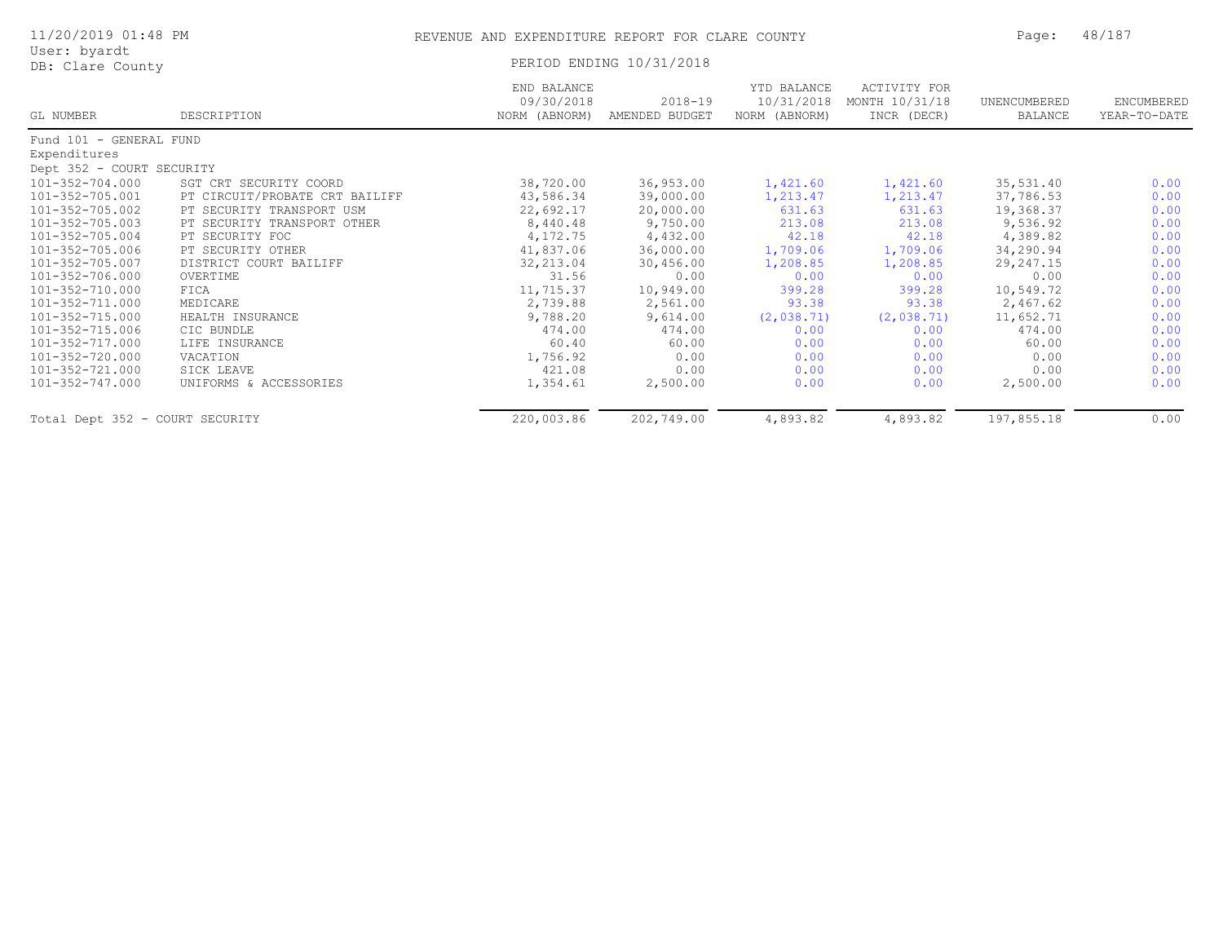| 11/20/2019 01:48 PM<br>User: byardt |                                | REVENUE AND EXPENDITURE REPORT FOR CLARE COUNTY |                               |                                            |                                               | Page:                   | 48/187                     |
|-------------------------------------|--------------------------------|-------------------------------------------------|-------------------------------|--------------------------------------------|-----------------------------------------------|-------------------------|----------------------------|
| DB: Clare County                    |                                | PERIOD ENDING 10/31/2018                        |                               |                                            |                                               |                         |                            |
| GL NUMBER                           | DESCRIPTION                    | END BALANCE<br>09/30/2018<br>NORM (ABNORM)      | $2018 - 19$<br>AMENDED BUDGET | YTD BALANCE<br>10/31/2018<br>NORM (ABNORM) | ACTIVITY FOR<br>MONTH 10/31/18<br>INCR (DECR) | UNENCUMBERED<br>BALANCE | ENCUMBERED<br>YEAR-TO-DATE |
| Fund 101 - GENERAL FUND             |                                |                                                 |                               |                                            |                                               |                         |                            |
| Expenditures                        |                                |                                                 |                               |                                            |                                               |                         |                            |
| Dept 352 - COURT SECURITY           |                                |                                                 |                               |                                            |                                               |                         |                            |
| 101-352-704.000                     | SGT CRT SECURITY COORD         | 38,720.00                                       | 36,953.00                     | 1,421.60                                   | 1,421.60                                      | 35,531.40               | 0.00                       |
| 101-352-705.001                     | PT CIRCUIT/PROBATE CRT BAILIFF | 43,586.34                                       | 39,000.00                     | 1,213.47                                   | 1,213.47                                      | 37,786.53               | 0.00                       |
| 101-352-705.002                     | PT SECURITY TRANSPORT USM      | 22,692.17                                       | 20,000.00                     | 631.63                                     | 631.63                                        | 19,368.37               | 0.00                       |
| 101-352-705.003                     | PT SECURITY TRANSPORT OTHER    | 8,440.48                                        | 9,750.00                      | 213.08                                     | 213.08                                        | 9,536.92                | 0.00                       |
| 101-352-705.004                     | PT SECURITY FOC                | 4,172.75                                        | 4,432.00                      | 42.18                                      | 42.18                                         | 4,389.82                | 0.00                       |
| 101-352-705.006                     | PT SECURITY OTHER              | 41,837.06                                       | 36,000.00                     | 1,709.06                                   | 1,709.06                                      | 34,290.94               | 0.00                       |
| 101-352-705.007                     | DISTRICT COURT BAILIFF         | 32, 213.04                                      | 30,456.00                     | 1,208.85                                   | 1,208.85                                      | 29,247.15               | 0.00                       |
| 101-352-706.000                     | OVERTIME                       | 31.56                                           | 0.00                          | 0.00                                       | 0.00                                          | 0.00                    | 0.00                       |
| 101-352-710.000                     | FICA                           | 11,715.37                                       | 10,949.00                     | 399.28                                     | 399.28                                        | 10,549.72               | 0.00                       |
| 101-352-711.000                     | MEDICARE                       | 2,739.88                                        | 2,561.00                      | 93.38                                      | 93.38                                         | 2,467.62                | 0.00                       |
| 101-352-715.000                     | HEALTH INSURANCE               | 9,788.20                                        | 9,614.00                      | (2,038.71)                                 | (2,038.71)                                    | 11,652.71               | 0.00                       |
| 101-352-715.006                     | CIC BUNDLE                     | 474.00                                          | 474.00                        | 0.00                                       | 0.00                                          | 474.00                  | 0.00                       |

101-352-717.000 LIFE INSURANCE 60.40 60.00 0.00 0.00 60.00 0.00 101-352-720.000 VACATION 1,756.92 0.00 0.00 0.00 0.00 0.00 101-352-721.000 SICK LEAVE 421.08 0.00 0.00 0.00 0.00 0.00 101-352-747.000 UNIFORMS & ACCESSORIES 1,354.61 2,500.00 0.00 0.00 2,500.00 0.00

Total Dept 352 - COURT SECURITY 220,003.86 202,749.00 4,893.82 4,893.82 197,855.18 0.00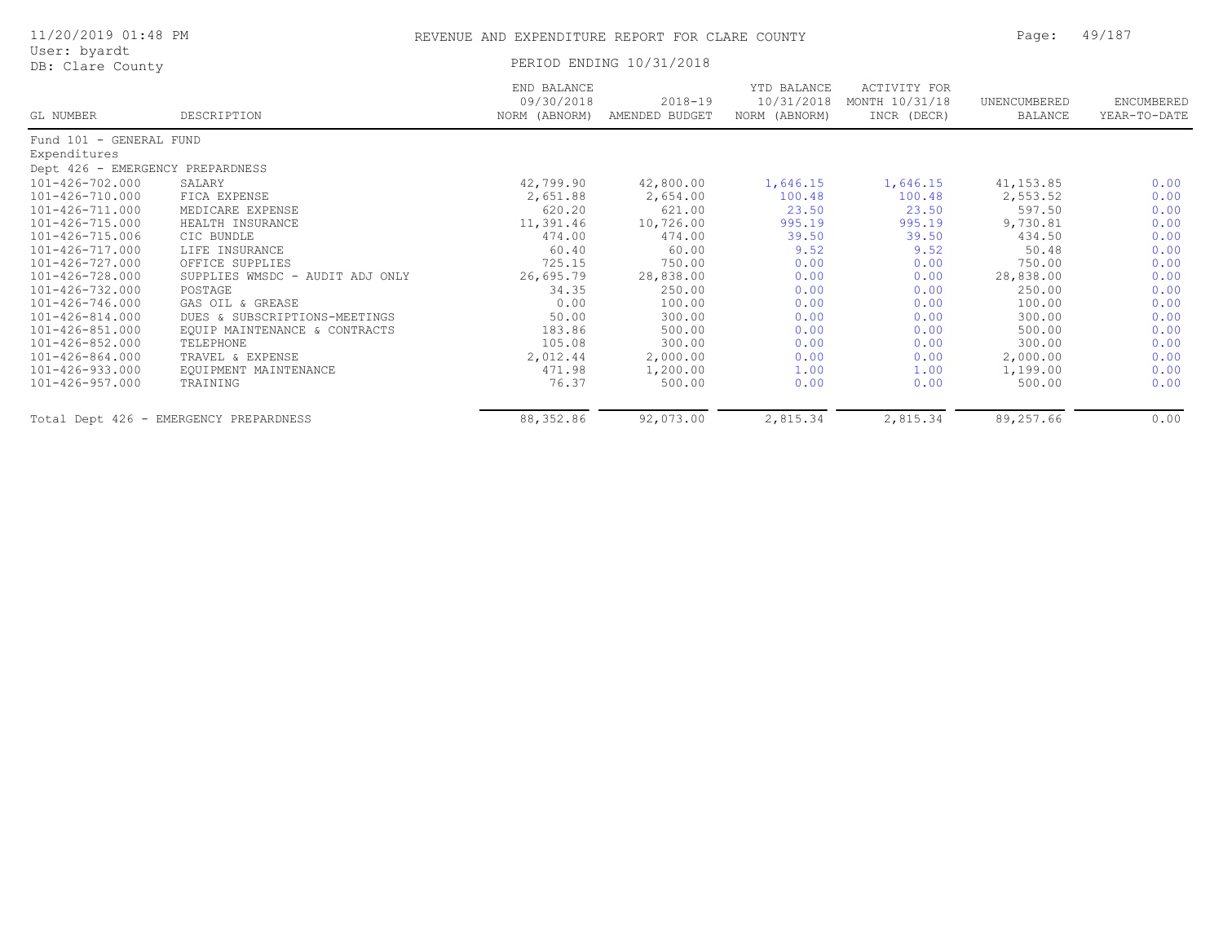| 11/20/2019 01:48 PM<br>User: byardt |                                 | REVENUE AND EXPENDITURE REPORT FOR CLARE COUNTY |                               |                                            |                                               | Page:                   | 49/187                     |
|-------------------------------------|---------------------------------|-------------------------------------------------|-------------------------------|--------------------------------------------|-----------------------------------------------|-------------------------|----------------------------|
| DB: Clare County                    |                                 |                                                 | PERIOD ENDING 10/31/2018      |                                            |                                               |                         |                            |
| GL NUMBER                           | DESCRIPTION                     | END BALANCE<br>09/30/2018<br>NORM (ABNORM)      | $2018 - 19$<br>AMENDED BUDGET | YTD BALANCE<br>10/31/2018<br>NORM (ABNORM) | ACTIVITY FOR<br>MONTH 10/31/18<br>INCR (DECR) | UNENCUMBERED<br>BALANCE | ENCUMBERED<br>YEAR-TO-DATE |
| Fund 101 - GENERAL FUND             |                                 |                                                 |                               |                                            |                                               |                         |                            |
| Expenditures                        |                                 |                                                 |                               |                                            |                                               |                         |                            |
| Dept 426 - EMERGENCY PREPARDNESS    |                                 |                                                 |                               |                                            |                                               |                         |                            |
| 101-426-702.000                     | SALARY                          | 42,799.90                                       | 42,800.00                     | 1,646.15                                   | 1,646.15                                      | 41, 153.85              | 0.00                       |
| 101-426-710.000                     | FICA EXPENSE                    | 2,651.88                                        | 2,654.00                      | 100.48                                     | 100.48                                        | 2,553.52                | 0.00                       |
| 101-426-711.000                     | MEDICARE EXPENSE                | 620.20                                          | 621.00                        | 23.50                                      | 23.50                                         | 597.50                  | 0.00                       |
| 101-426-715.000                     | HEALTH INSURANCE                | 11,391.46                                       | 10,726.00                     | 995.19                                     | 995.19                                        | 9,730.81                | 0.00                       |
| 101-426-715.006                     | CIC BUNDLE                      | 474.00                                          | 474.00                        | 39.50                                      | 39.50                                         | 434.50                  | 0.00                       |
| 101-426-717.000                     | LIFE INSURANCE                  | 60.40                                           | 60.00                         | 9.52                                       | 9.52                                          | 50.48                   | 0.00                       |
| 101-426-727.000                     | OFFICE SUPPLIES                 | 725.15                                          | 750.00                        | 0.00                                       | 0.00                                          | 750.00                  | 0.00                       |
| 101-426-728.000                     | SUPPLIES WMSDC - AUDIT ADJ ONLY | 26,695.79                                       | 28,838.00                     | 0.00                                       | 0.00                                          | 28,838.00               | 0.00                       |
| 101-426-732.000                     | POSTAGE                         | 34.35                                           | 250.00                        | 0.00                                       | 0.00                                          | 250.00                  | 0.00                       |
| 101-426-746.000                     | GAS OIL & GREASE                | 0.00                                            | 100.00                        | 0.00                                       | 0.00                                          | 100.00                  | 0.00                       |
| 101-426-814.000                     | DUES & SUBSCRIPTIONS-MEETINGS   | 50.00                                           | 300.00                        | 0.00                                       | 0.00                                          | 300.00                  | 0.00                       |
| 101-426-851.000                     | EQUIP MAINTENANCE & CONTRACTS   | 183.86                                          | 500.00                        | 0.00                                       | 0.00                                          | 500.00                  | 0.00                       |
| $101 - 426 - 852.000$               | TELEPHONE                       | 105.08                                          | 300.00                        | 0.00                                       | 0.00                                          | 300.00                  | 0.00                       |
| 101-426-864.000                     | TRAVEL & EXPENSE                | 2,012.44                                        | 2,000.00                      | 0.00                                       | 0.00                                          | 2,000.00                | 0.00                       |
| 101-426-933.000                     | EOUIPMENT MAINTENANCE           | 471.98                                          | 1,200.00                      | 1.00                                       | 1.00                                          | 1,199.00                | 0.00                       |
| 101-426-957.000                     | TRAINING                        | 76.37                                           | 500.00                        | 0.00                                       | 0.00                                          | 500.00                  | 0.00                       |

Total Dept 426 - EMERGENCY PREPARDNESS 88,352.86 92,073.00 2,815.34 2,815.34 89,257.66 0.00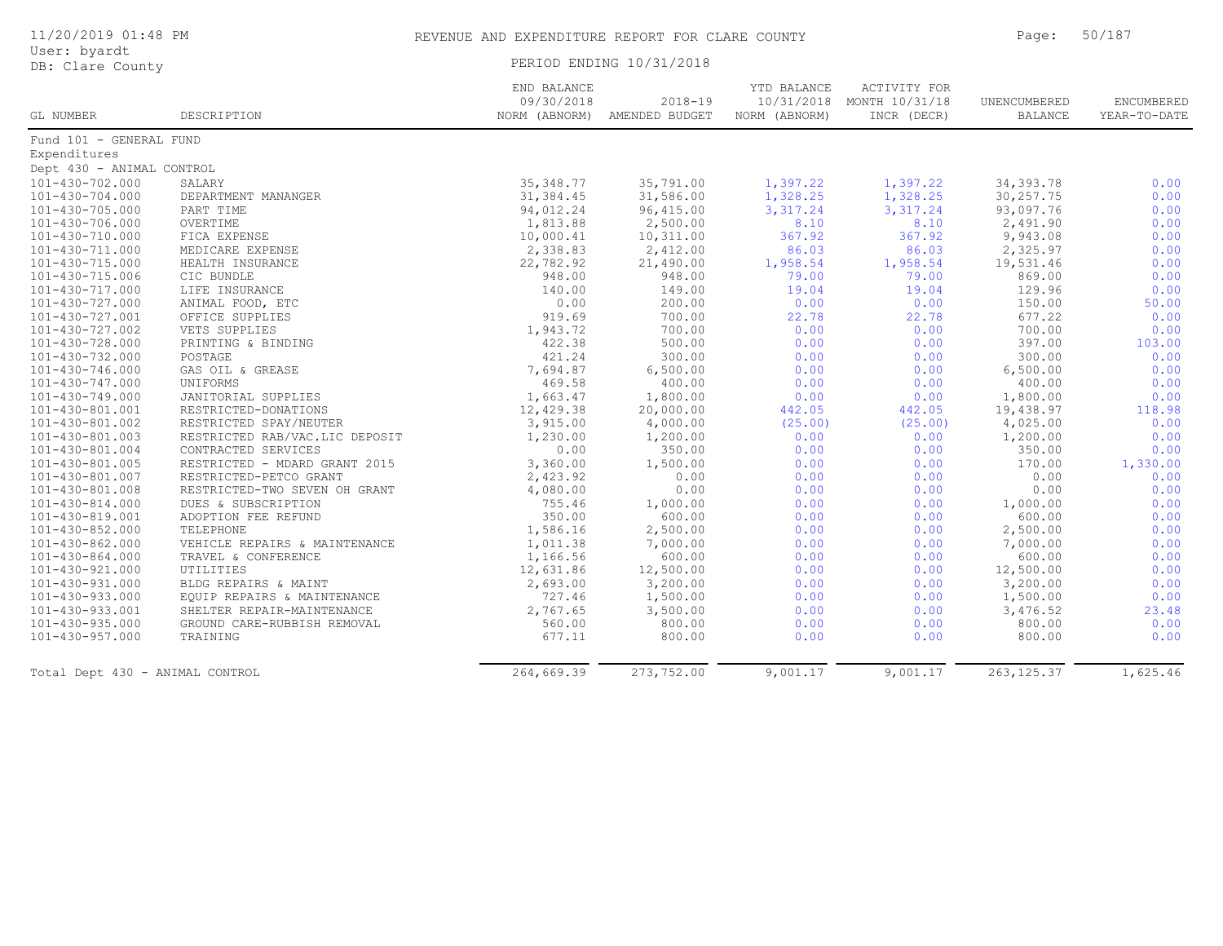| User: byardt<br>DB: Clare County |                                  | PERIOD ENDING 10/31/2018                   |                               |                                            |                                                      |                         |                            |
|----------------------------------|----------------------------------|--------------------------------------------|-------------------------------|--------------------------------------------|------------------------------------------------------|-------------------------|----------------------------|
| GL NUMBER                        | DESCRIPTION                      | END BALANCE<br>09/30/2018<br>NORM (ABNORM) | $2018 - 19$<br>AMENDED BUDGET | YTD BALANCE<br>10/31/2018<br>NORM (ABNORM) | <b>ACTIVITY FOR</b><br>MONTH 10/31/18<br>INCR (DECR) | UNENCUMBERED<br>BALANCE | ENCUMBERED<br>YEAR-TO-DATE |
| Fund 101 - GENERAL FUND          |                                  |                                            |                               |                                            |                                                      |                         |                            |
| Expenditures                     |                                  |                                            |                               |                                            |                                                      |                         |                            |
| Dept 430 - ANIMAL CONTROL        |                                  |                                            |                               |                                            |                                                      |                         |                            |
| 101-430-702.000                  | SALARY                           | 35, 348.77                                 | 35,791.00                     | 1,397.22                                   | 1,397.22                                             | 34, 393.78              | 0.00                       |
| $101 - 430 - 704.000$            | DEPARTMENT MANANGER              | 31,384.45                                  | 31,586.00                     | 1,328.25                                   | 1,328.25                                             | 30, 257.75              | 0.00                       |
| 101-430-705.000                  | PART TIME                        | 94,012.24                                  | 96, 415.00                    | 3,317.24                                   | 3,317.24                                             | 93,097.76               | 0.00                       |
| 101-430-706.000                  | OVERTIME                         | 1,813.88                                   | 2,500.00                      | 8.10                                       | 8.10                                                 | 2,491.90                | 0.00                       |
| 101-430-710.000                  | FICA EXPENSE                     | 10,000.41                                  | 10,311.00                     | 367.92                                     | 367.92                                               | 9,943.08                | 0.00                       |
| 101-430-711.000                  | MEDICARE EXPENSE                 | 2,338.83                                   | 2,412.00                      | 86.03                                      | 86.03                                                | 2,325.97                | 0.00                       |
| 101-430-715.000                  | HEALTH INSURANCE                 | 22,782.92                                  | 21,490.00                     | 1,958.54                                   | 1,958.54                                             | 19,531.46               | 0.00                       |
| 101-430-715.006                  | CIC BUNDLE                       | 948.00                                     | 948.00                        | 79.00                                      | 79.00                                                | 869.00                  | 0.00                       |
| $101 - 430 - 717.000$            | LIFE INSURANCE                   | 140.00                                     | 149.00                        | 19.04                                      | 19.04                                                | 129.96                  | 0.00                       |
| $101 - 430 - 727.000$            | ANIMAL FOOD, ETC                 | 0.00                                       | 200.00                        | 0.00                                       | 0.00                                                 | 150.00                  | 50.00                      |
| 101-430-727.001                  | OFFICE SUPPLIES                  | 919.69                                     | 700.00                        | 22.78                                      | 22.78                                                | 677.22                  | 0.00                       |
| 101-430-727.002                  | VETS SUPPLIES                    | 1,943.72                                   | 700.00                        | 0.00                                       | 0.00                                                 | 700.00                  | 0.00                       |
| 101-430-728.000                  | PRINTING & BINDING               | 422.38                                     | 500.00                        | 0.00                                       | 0.00                                                 | 397.00                  | 103.00                     |
| 101-430-732.000                  | POSTAGE                          | 421.24                                     | 300.00                        | 0.00                                       | 0.00                                                 | 300.00                  | 0.00                       |
| 101-430-746.000                  | GAS OIL & GREASE                 | 7,694.87                                   | 6,500.00                      | 0.00                                       | 0.00                                                 | 6,500.00                | 0.00                       |
| 101-430-747.000                  | UNIFORMS                         | 469.58                                     | 400.00                        | 0.00                                       | 0.00                                                 | 400.00                  | 0.00                       |
| 101-430-749.000                  | JANITORIAL SUPPLIES              | 1,663.47                                   | 1,800.00                      | 0.00                                       | 0.00                                                 | 1,800.00                | 0.00                       |
| 101-430-801.001                  | RESTRICTED-DONATIONS             | 12,429.38                                  | 20,000.00                     | 442.05                                     | 442.05                                               | 19,438.97               | 118.98                     |
| 101-430-801.002                  | RESTRICTED SPAY/NEUTER           | 3,915.00                                   | 4,000.00                      | (25.00)                                    | (25.00)                                              | 4,025.00                | 0.00                       |
| 101-430-801.003                  | RESTRICTED RAB/VAC.LIC DEPOSIT   | 1,230.00                                   | 1,200.00                      | 0.00                                       | 0.00                                                 | 1,200.00                | 0.00                       |
| 101-430-801.004                  | CONTRACTED SERVICES              | 0.00                                       | 350.00                        | 0.00                                       | 0.00                                                 | 350.00                  | 0.00                       |
| $101 - 430 - 801.005$            | RESTRICTED - MDARD GRANT 2015    | 3,360.00                                   | 1,500.00                      | 0.00                                       | 0.00                                                 | 170.00                  | 1,330.00                   |
| 101-430-801.007                  | RESTRICTED-PETCO GRANT           | 2,423.92                                   | 0.00                          | 0.00                                       | 0.00                                                 | 0.00                    | 0.00                       |
| 101-430-801.008                  | RESTRICTED-TWO SEVEN OH GRANT    | 4,080.00                                   | 0.00                          | 0.00                                       | 0.00                                                 | 0.00                    | 0.00                       |
| $101 - 430 - 814.000$            | DUES & SUBSCRIPTION              | 755.46                                     | 1,000.00                      | 0.00                                       | 0.00                                                 | 1,000.00                | 0.00                       |
| 101-430-819.001                  | ADOPTION FEE REFUND              | 350.00                                     | 600.00                        | 0.00                                       | 0.00                                                 | 600.00                  | 0.00                       |
| $101 - 430 - 852.000$            | TELEPHONE                        | 1,586.16                                   | 2,500.00                      | 0.00                                       | 0.00                                                 | 2,500.00                | 0.00                       |
| 101-430-862.000                  |                                  | 1,011.38                                   | 7,000.00                      | 0.00                                       | 0.00                                                 | 7,000.00                | 0.00                       |
| 101-430-864.000                  | VEHICLE REPAIRS & MAINTENANCE    | 1,166.56                                   | 600.00                        | 0.00                                       | 0.00                                                 | 600.00                  | 0.00                       |
| 101-430-921.000                  | TRAVEL & CONFERENCE<br>UTILITIES | 12,631.86                                  | 12,500.00                     | 0.00                                       | 0.00                                                 | 12,500.00               | 0.00                       |
|                                  |                                  |                                            |                               |                                            |                                                      |                         | 0.00                       |
| 101-430-931.000                  | BLDG REPAIRS & MAINT             | 2,693.00                                   | 3,200.00                      | 0.00                                       | 0.00                                                 | 3,200.00                |                            |
| $101 - 430 - 933.000$            | EQUIP REPAIRS & MAINTENANCE      | 727.46                                     | 1,500.00                      | 0.00                                       | 0.00                                                 | 1,500.00                | 0.00                       |
| 101-430-933.001                  | SHELTER REPAIR-MAINTENANCE       | 2,767.65                                   | 3,500.00                      | 0.00                                       | 0.00                                                 | 3,476.52                | 23.48                      |
| $101 - 430 - 935.000$            | GROUND CARE-RUBBISH REMOVAL      | 560.00                                     | 800.00                        | 0.00                                       | 0.00                                                 | 800.00                  | 0.00                       |
| $101 - 430 - 957.000$            | TRAINING                         | 677.11                                     | 800.00                        | 0.00                                       | 0.00                                                 | 800.00                  | 0.00                       |
| Total Dept 430 - ANIMAL CONTROL  |                                  | 264,669.39                                 | 273,752.00                    | 9,001.17                                   | 9,001.17                                             | 263, 125.37             | 1,625.46                   |

11/20/2019 01:48 PM REVENUE AND EXPENDITURE REPORT FOR CLARE COUNTY Page: 50/187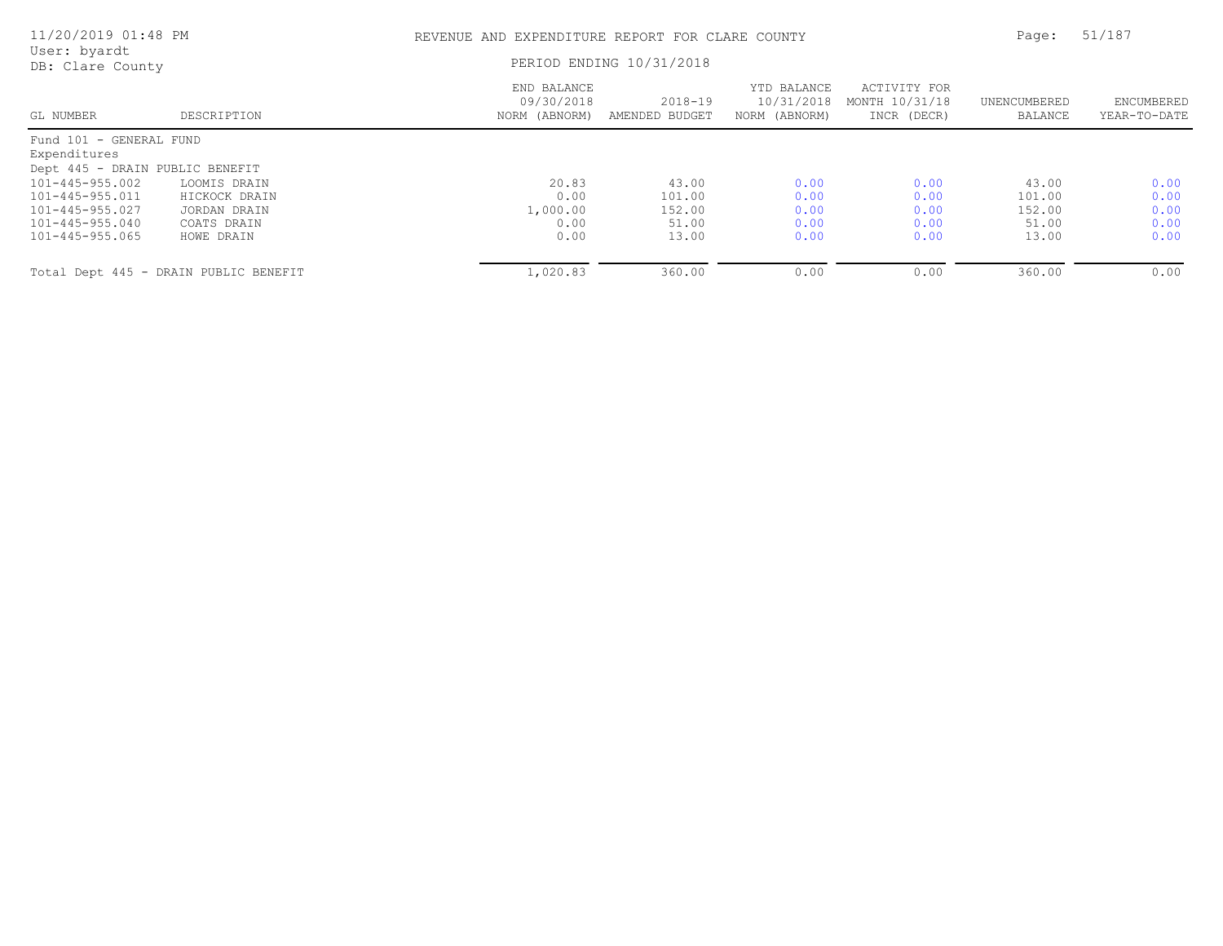| 11/20/2019 01:48 PM              |                                       | REVENUE AND EXPENDITURE REPORT FOR CLARE COUNTY |                               |                                            |                                               |                         | 51/187                     |
|----------------------------------|---------------------------------------|-------------------------------------------------|-------------------------------|--------------------------------------------|-----------------------------------------------|-------------------------|----------------------------|
| User: byardt<br>DB: Clare County |                                       | PERIOD ENDING 10/31/2018                        |                               |                                            |                                               |                         |                            |
| GL NUMBER                        | DESCRIPTION                           | END BALANCE<br>09/30/2018<br>NORM (ABNORM)      | $2018 - 19$<br>AMENDED BUDGET | YTD BALANCE<br>10/31/2018<br>NORM (ABNORM) | ACTIVITY FOR<br>MONTH 10/31/18<br>INCR (DECR) | UNENCUMBERED<br>BALANCE | ENCUMBERED<br>YEAR-TO-DATE |
| Fund 101 - GENERAL FUND          |                                       |                                                 |                               |                                            |                                               |                         |                            |
| Expenditures                     |                                       |                                                 |                               |                                            |                                               |                         |                            |
| Dept 445 - DRAIN PUBLIC BENEFIT  |                                       |                                                 |                               |                                            |                                               |                         |                            |
| $101 - 445 - 955.002$            | LOOMIS DRAIN                          | 20.83                                           | 43.00                         | 0.00                                       | 0.00                                          | 43.00                   | 0.00                       |
| $101 - 445 - 955.011$            | HICKOCK DRAIN                         | 0.00                                            | 101.00                        | 0.00                                       | 0.00                                          | 101.00                  | 0.00                       |
| $101 - 445 - 955.027$            | JORDAN DRAIN                          | 1,000.00                                        | 152.00                        | 0.00                                       | 0.00                                          | 152.00                  | 0.00                       |
| $101 - 445 - 955.040$            | COATS DRAIN                           | 0.00                                            | 51.00                         | 0.00                                       | 0.00                                          | 51.00                   | 0.00                       |
| 101-445-955.065                  | HOWE DRAIN                            | 0.00                                            | 13.00                         | 0.00                                       | 0.00                                          | 13.00                   | 0.00                       |
|                                  | Total Dept 445 - DRAIN PUBLIC BENEFIT | 1,020.83                                        | 360.00                        | 0.00                                       | 0.00                                          | 360.00                  | 0.00                       |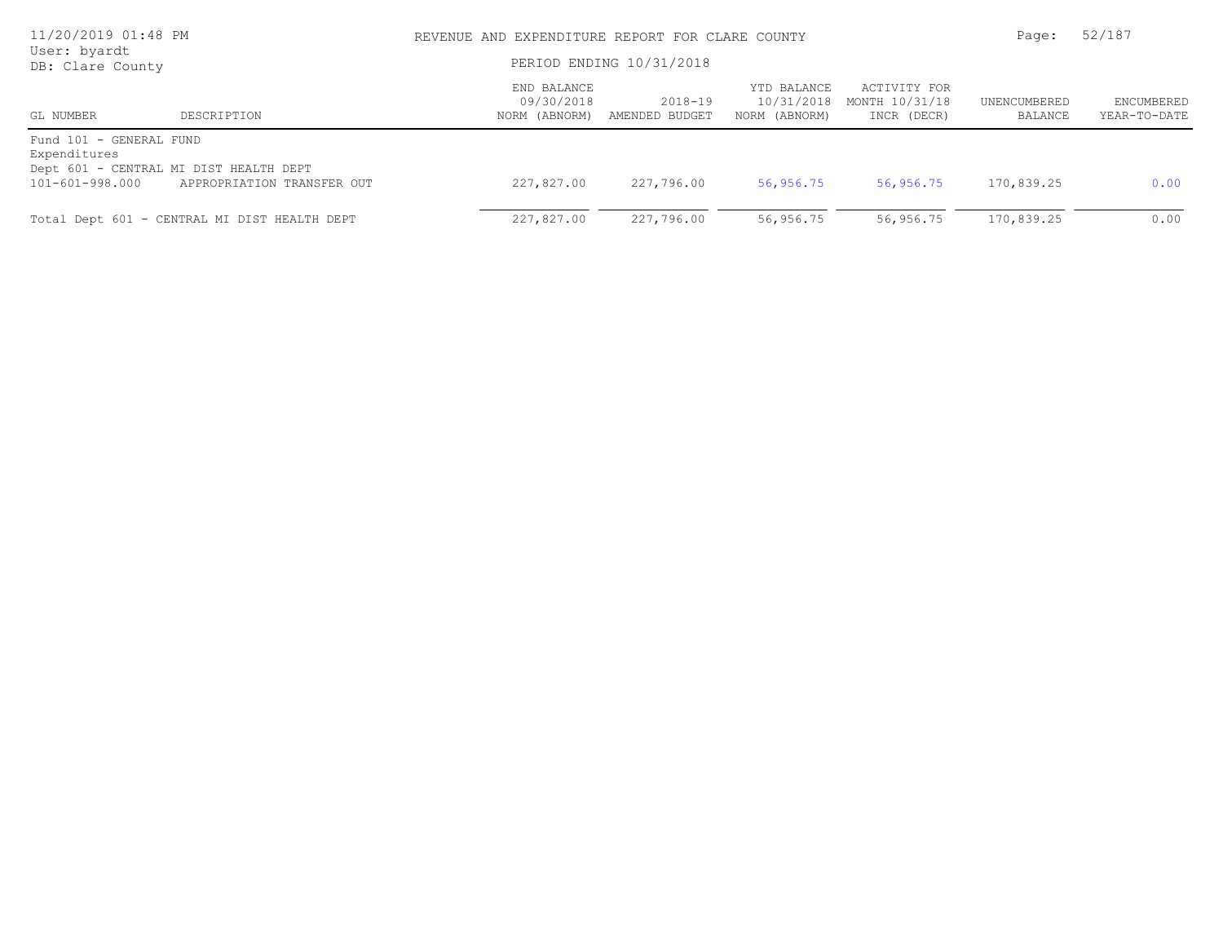| 11/20/2019 01:48 PM<br>User: byardt<br>DB: Clare County    |                                                                      | REVENUE AND EXPENDITURE REPORT FOR CLARE COUNTY<br>PERIOD ENDING 10/31/2018 |                           |                                            |                                               | 52/187<br>Page:         |                            |
|------------------------------------------------------------|----------------------------------------------------------------------|-----------------------------------------------------------------------------|---------------------------|--------------------------------------------|-----------------------------------------------|-------------------------|----------------------------|
| GL NUMBER                                                  | DESCRIPTION                                                          | END BALANCE<br>09/30/2018<br>NORM (ABNORM)                                  | 2018-19<br>AMENDED BUDGET | YTD BALANCE<br>10/31/2018<br>NORM (ABNORM) | ACTIVITY FOR<br>MONTH 10/31/18<br>INCR (DECR) | UNENCUMBERED<br>BALANCE | ENCUMBERED<br>YEAR-TO-DATE |
| Fund 101 - GENERAL FUND<br>Expenditures<br>101-601-998.000 | Dept 601 - CENTRAL MI DIST HEALTH DEPT<br>APPROPRIATION TRANSFER OUT | 227,827.00                                                                  | 227,796.00                | 56,956.75                                  | 56,956.75                                     | 170,839.25              | 0.00                       |
|                                                            | Total Dept 601 - CENTRAL MI DIST HEALTH DEPT                         | 227,827.00                                                                  | 227,796.00                | 56,956.75                                  | 56,956.75                                     | 170,839.25              | 0.00                       |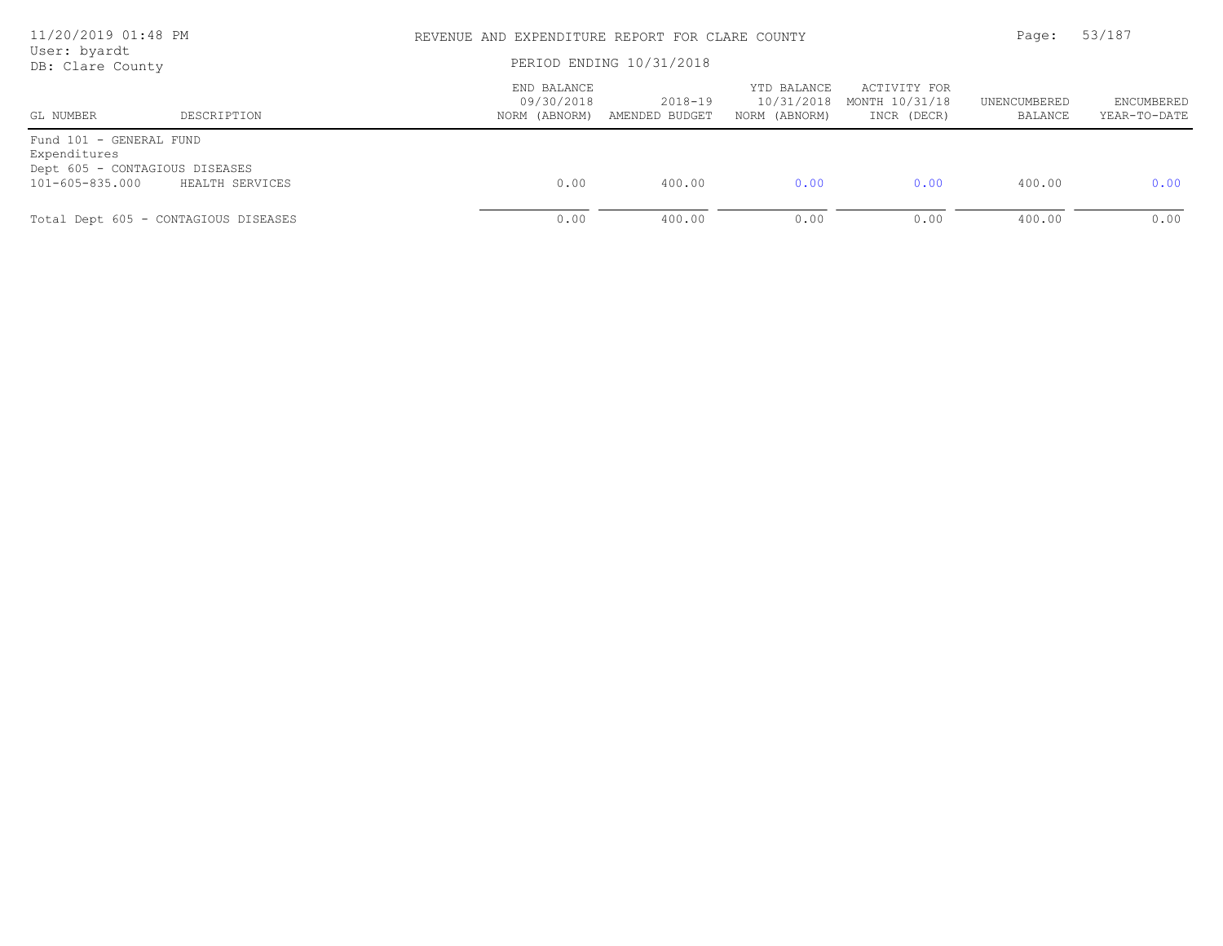| 11/20/2019 01:48 PM<br>User: byardt<br>DB: Clare County                                      |                 |                                            | REVENUE AND EXPENDITURE REPORT FOR CLARE COUNTY<br>PERIOD ENDING 10/31/2018 |                                            |                                               |                         |                            |
|----------------------------------------------------------------------------------------------|-----------------|--------------------------------------------|-----------------------------------------------------------------------------|--------------------------------------------|-----------------------------------------------|-------------------------|----------------------------|
| GL NUMBER                                                                                    | DESCRIPTION     | END BALANCE<br>09/30/2018<br>NORM (ABNORM) | 2018-19<br>AMENDED BUDGET                                                   | YTD BALANCE<br>10/31/2018<br>NORM (ABNORM) | ACTIVITY FOR<br>MONTH 10/31/18<br>INCR (DECR) | UNENCUMBERED<br>BALANCE | ENCUMBERED<br>YEAR-TO-DATE |
| Fund 101 - GENERAL FUND<br>Expenditures<br>Dept 605 - CONTAGIOUS DISEASES<br>101-605-835.000 | HEALTH SERVICES | 0.00                                       | 400.00                                                                      | 0.00                                       | 0.00                                          | 400.00                  | 0.00                       |
| Total Dept 605 - CONTAGIOUS DISEASES                                                         |                 | 0.00                                       | 400.00                                                                      | 0.00                                       | 0.00                                          | 400.00                  | 0.00                       |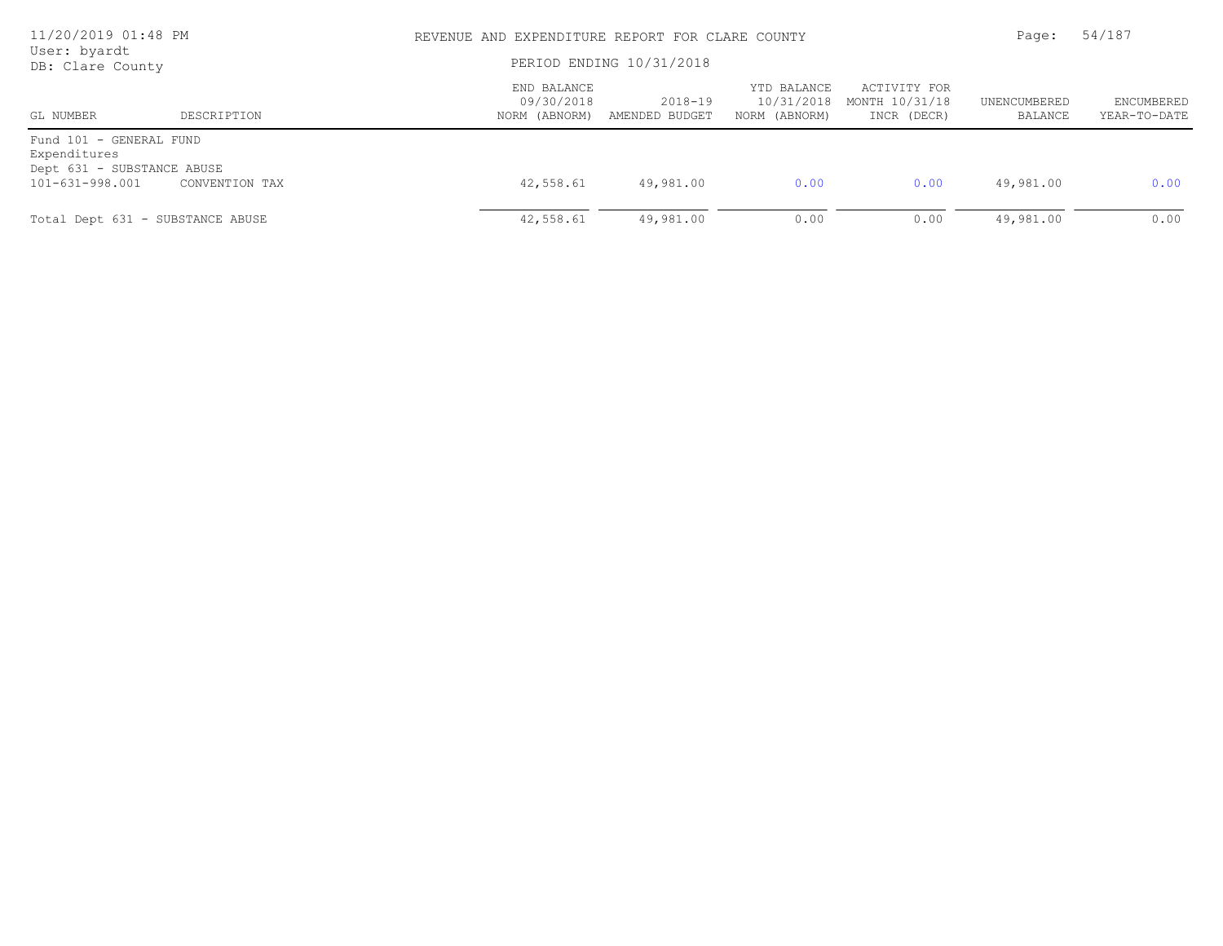| 11/20/2019 01:48 PM<br>User: byardt<br>DB: Clare County                                  |                |                                            | REVENUE AND EXPENDITURE REPORT FOR CLARE COUNTY<br>PERIOD ENDING 10/31/2018 |                                            |                                               |                         |                            |
|------------------------------------------------------------------------------------------|----------------|--------------------------------------------|-----------------------------------------------------------------------------|--------------------------------------------|-----------------------------------------------|-------------------------|----------------------------|
| GL NUMBER                                                                                | DESCRIPTION    | END BALANCE<br>09/30/2018<br>NORM (ABNORM) | 2018-19<br>AMENDED BUDGET                                                   | YTD BALANCE<br>10/31/2018<br>NORM (ABNORM) | ACTIVITY FOR<br>MONTH 10/31/18<br>INCR (DECR) | UNENCUMBERED<br>BALANCE | ENCUMBERED<br>YEAR-TO-DATE |
| Fund 101 - GENERAL FUND<br>Expenditures<br>Dept 631 - SUBSTANCE ABUSE<br>101-631-998.001 | CONVENTION TAX | 42,558.61                                  | 49,981.00                                                                   | 0.00                                       | 0.00                                          | 49,981.00               | 0.00                       |
| Total Dept 631 - SUBSTANCE ABUSE                                                         |                | 42,558.61                                  | 49,981.00                                                                   | 0.00                                       | 0.00                                          | 49,981.00               | 0.00                       |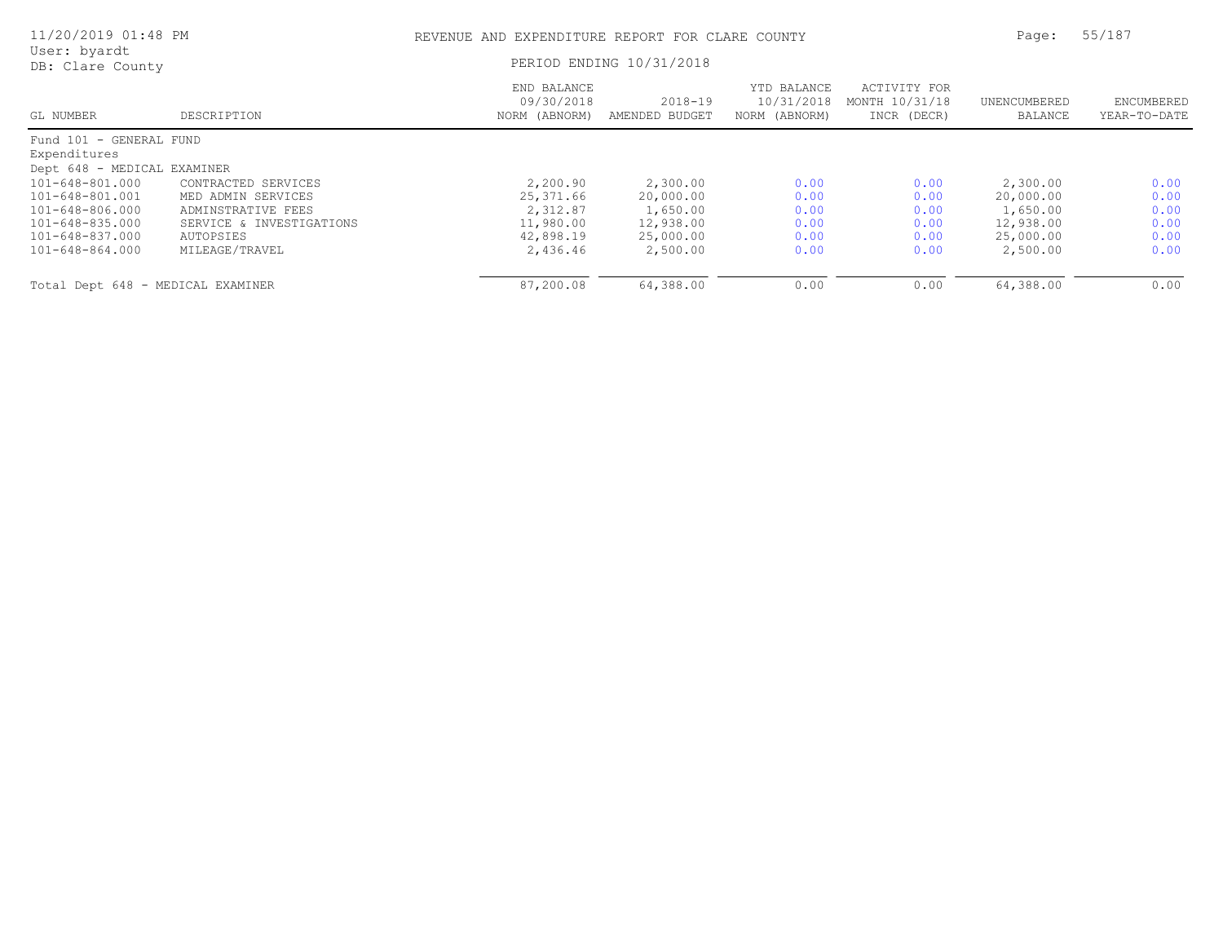| 11/20/2019 01:48 PM               |                          |                                            | REVENUE AND EXPENDITURE REPORT FOR CLARE COUNTY |                                            |                                               |                         |                            |
|-----------------------------------|--------------------------|--------------------------------------------|-------------------------------------------------|--------------------------------------------|-----------------------------------------------|-------------------------|----------------------------|
| User: byardt<br>DB: Clare County  |                          | PERIOD ENDING 10/31/2018                   |                                                 |                                            |                                               |                         |                            |
| GL NUMBER                         | DESCRIPTION              | END BALANCE<br>09/30/2018<br>NORM (ABNORM) | $2018 - 19$<br>AMENDED BUDGET                   | YTD BALANCE<br>10/31/2018<br>NORM (ABNORM) | ACTIVITY FOR<br>MONTH 10/31/18<br>INCR (DECR) | UNENCUMBERED<br>BALANCE | ENCUMBERED<br>YEAR-TO-DATE |
| Fund 101 - GENERAL FUND           |                          |                                            |                                                 |                                            |                                               |                         |                            |
| Expenditures                      |                          |                                            |                                                 |                                            |                                               |                         |                            |
| Dept 648 - MEDICAL EXAMINER       |                          |                                            |                                                 |                                            |                                               |                         |                            |
| 101-648-801.000                   | CONTRACTED SERVICES      | 2,200.90                                   | 2,300.00                                        | 0.00                                       | 0.00                                          | 2,300.00                | 0.00                       |
| 101-648-801.001                   | MED ADMIN SERVICES       | 25,371.66                                  | 20,000.00                                       | 0.00                                       | 0.00                                          | 20,000.00               | 0.00                       |
| 101-648-806.000                   | ADMINSTRATIVE FEES       | 2,312.87                                   | 1,650.00                                        | 0.00                                       | 0.00                                          | 1,650.00                | 0.00                       |
| 101-648-835.000                   | SERVICE & INVESTIGATIONS | 11,980.00                                  | 12,938.00                                       | 0.00                                       | 0.00                                          | 12,938.00               | 0.00                       |
| 101-648-837.000                   | AUTOPSIES                | 42,898.19                                  | 25,000.00                                       | 0.00                                       | 0.00                                          | 25,000.00               | 0.00                       |
| 101-648-864.000                   | MILEAGE/TRAVEL           | 2,436.46                                   | 2,500.00                                        | 0.00                                       | 0.00                                          | 2,500.00                | 0.00                       |
| Total Dept 648 - MEDICAL EXAMINER |                          | 87,200.08                                  | 64,388.00                                       | 0.00                                       | 0.00                                          | 64,388.00               | 0.00                       |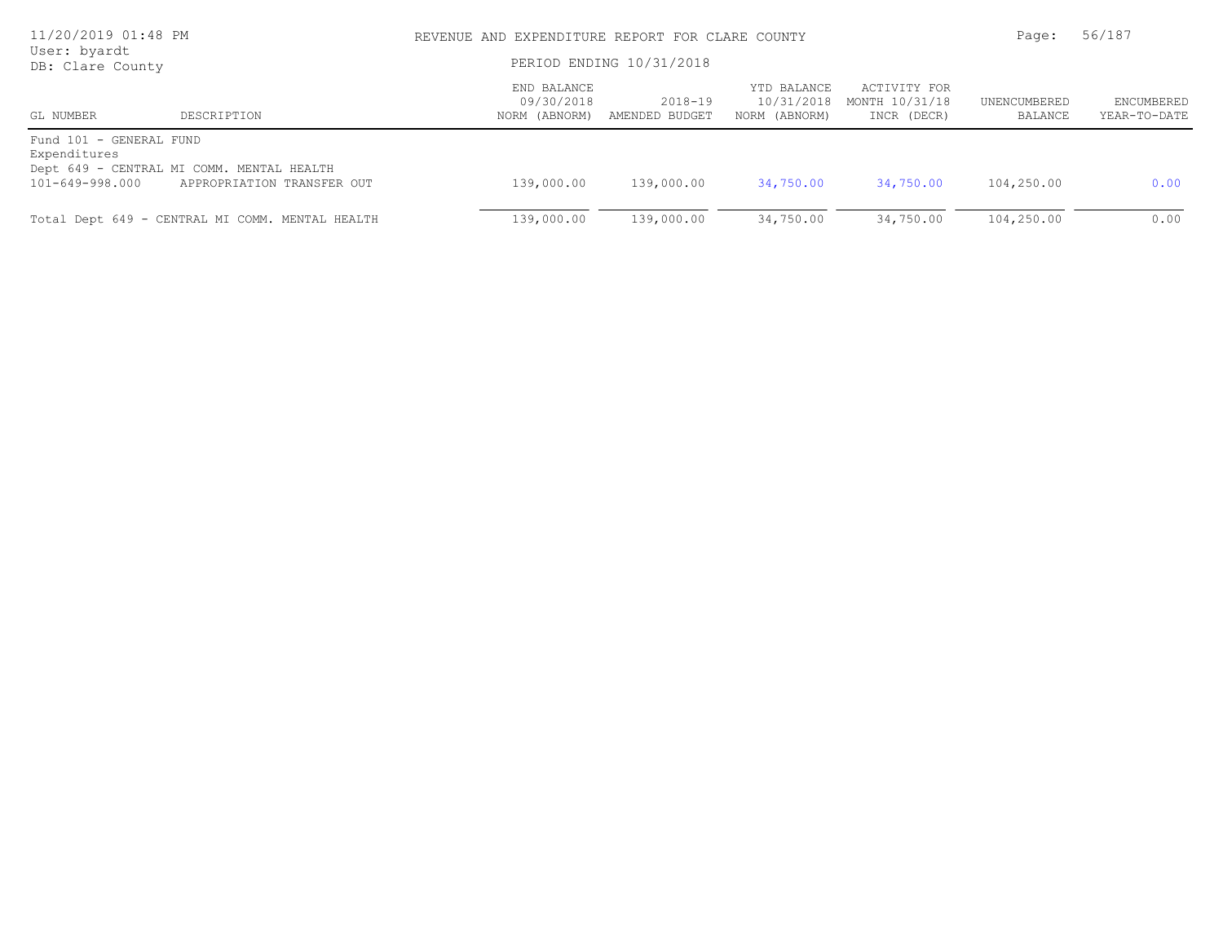| 11/20/2019 01:48 PM<br>User: byardt<br>DB: Clare County    |                                                                         | REVENUE AND EXPENDITURE REPORT FOR CLARE COUNTY<br>PERIOD ENDING 10/31/2018 | 56/187<br>Page:           |                                            |                                               |                         |                                   |
|------------------------------------------------------------|-------------------------------------------------------------------------|-----------------------------------------------------------------------------|---------------------------|--------------------------------------------|-----------------------------------------------|-------------------------|-----------------------------------|
| GL NUMBER                                                  | DESCRIPTION                                                             | END BALANCE<br>09/30/2018<br>NORM (ABNORM)                                  | 2018-19<br>AMENDED BUDGET | YTD BALANCE<br>10/31/2018<br>NORM (ABNORM) | ACTIVITY FOR<br>MONTH 10/31/18<br>INCR (DECR) | UNENCUMBERED<br>BALANCE | <b>ENCUMBERED</b><br>YEAR-TO-DATE |
| Fund 101 - GENERAL FUND<br>Expenditures<br>101-649-998.000 | Dept 649 - CENTRAL MI COMM. MENTAL HEALTH<br>APPROPRIATION TRANSFER OUT | 139,000.00                                                                  | 139,000.00                | 34,750.00                                  | 34,750.00                                     | 104,250.00              | 0.00                              |
|                                                            | Total Dept 649 - CENTRAL MI COMM. MENTAL HEALTH                         | 139,000.00                                                                  | 139,000.00                | 34,750.00                                  | 34,750.00                                     | 104,250.00              | 0.00                              |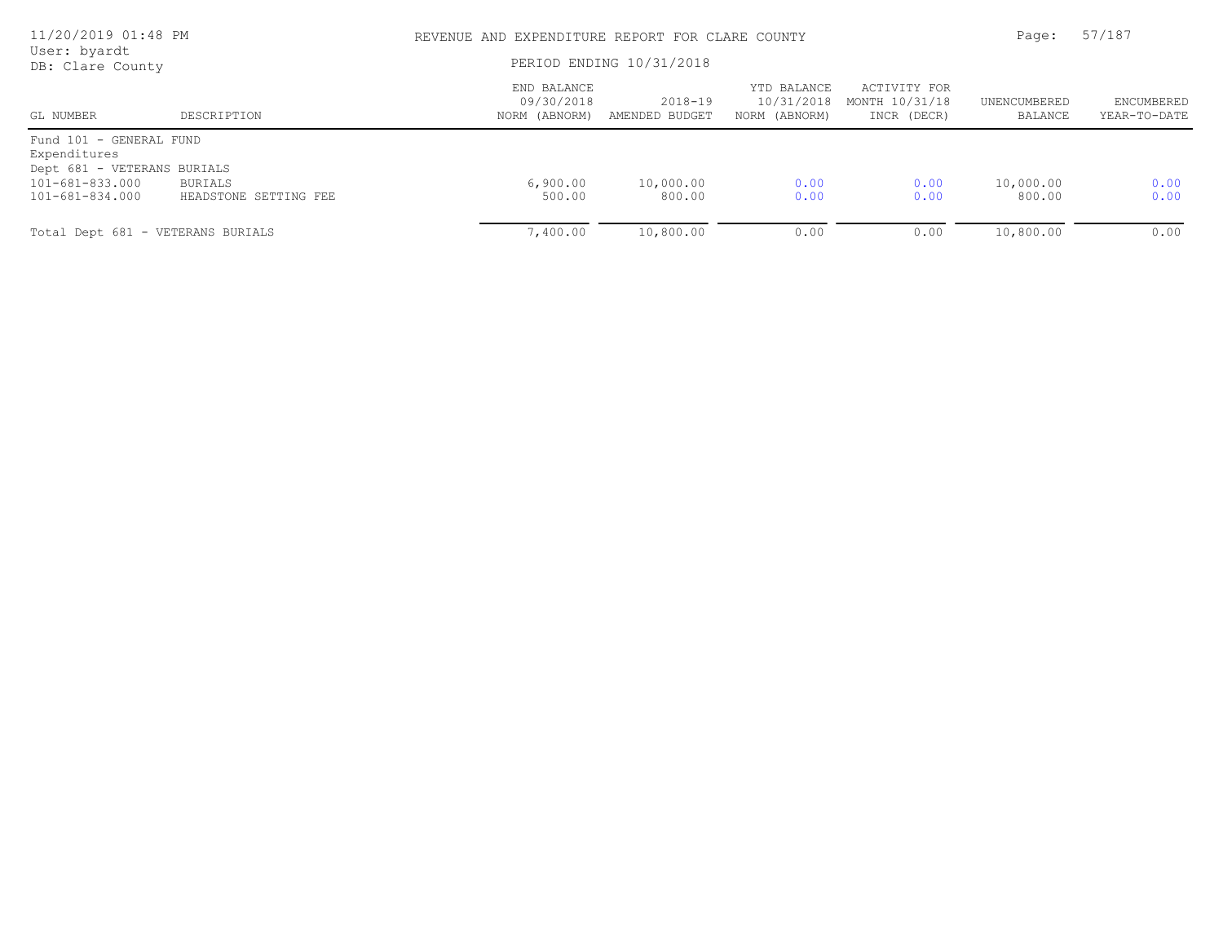| 11/20/2019 01:48 PM<br>User: byardt     |                       |                                            | REVENUE AND EXPENDITURE REPORT FOR CLARE COUNTY |                                            |                                               |                         |                            |
|-----------------------------------------|-----------------------|--------------------------------------------|-------------------------------------------------|--------------------------------------------|-----------------------------------------------|-------------------------|----------------------------|
| DB: Clare County                        |                       | PERIOD ENDING 10/31/2018                   |                                                 |                                            |                                               |                         |                            |
| GL NUMBER                               | DESCRIPTION           | END BALANCE<br>09/30/2018<br>NORM (ABNORM) | 2018-19<br>AMENDED BUDGET                       | YTD BALANCE<br>10/31/2018<br>NORM (ABNORM) | ACTIVITY FOR<br>MONTH 10/31/18<br>INCR (DECR) | UNENCUMBERED<br>BALANCE | ENCUMBERED<br>YEAR-TO-DATE |
| Fund 101 - GENERAL FUND<br>Expenditures |                       |                                            |                                                 |                                            |                                               |                         |                            |
| Dept 681 - VETERANS BURIALS             |                       |                                            |                                                 |                                            |                                               |                         |                            |
| $101 - 681 - 833.000$                   | BURIALS               | 6,900.00                                   | 10,000.00                                       | 0.00                                       | 0.00                                          | 10,000.00               | 0.00                       |
| 101-681-834.000                         | HEADSTONE SETTING FEE | 500.00                                     | 800.00                                          | 0.00                                       | 0.00                                          | 800.00                  | 0.00                       |
| Total Dept 681 - VETERANS BURIALS       |                       | 7,400.00                                   | 10,800.00                                       | 0.00                                       | 0.00                                          | 10,800.00               | 0.00                       |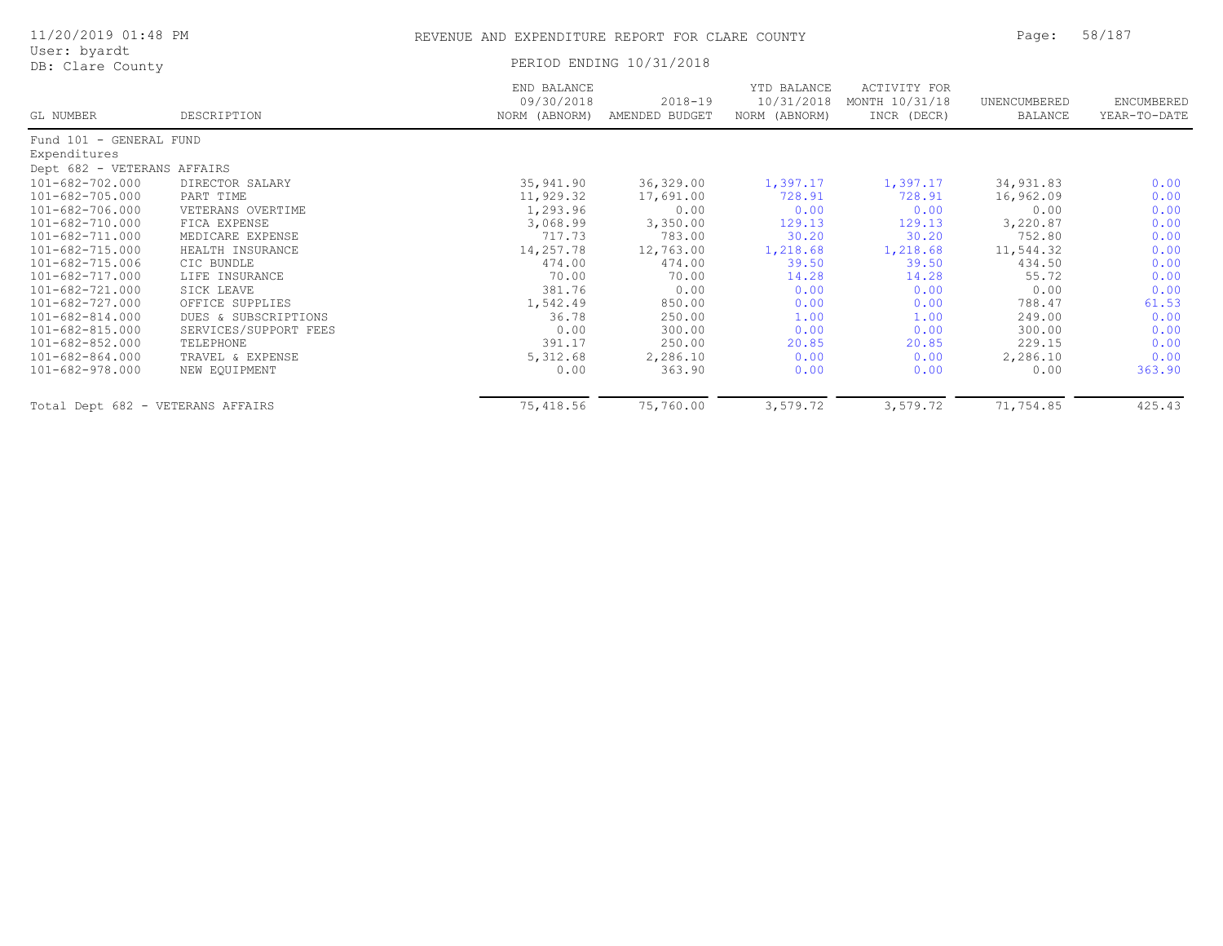| 11/20/2019 01:48 PM<br>User: byardt |                       | REVENUE AND EXPENDITURE REPORT FOR CLARE COUNTY |                               |                                            |                                               | Page:                   | 58/187                     |
|-------------------------------------|-----------------------|-------------------------------------------------|-------------------------------|--------------------------------------------|-----------------------------------------------|-------------------------|----------------------------|
| DB: Clare County                    |                       |                                                 | PERIOD ENDING 10/31/2018      |                                            |                                               |                         |                            |
| GL NUMBER                           | DESCRIPTION           | END BALANCE<br>09/30/2018<br>NORM (ABNORM)      | $2018 - 19$<br>AMENDED BUDGET | YTD BALANCE<br>10/31/2018<br>NORM (ABNORM) | ACTIVITY FOR<br>MONTH 10/31/18<br>INCR (DECR) | UNENCUMBERED<br>BALANCE | ENCUMBERED<br>YEAR-TO-DATE |
| Fund 101 - GENERAL FUND             |                       |                                                 |                               |                                            |                                               |                         |                            |
| Expenditures                        |                       |                                                 |                               |                                            |                                               |                         |                            |
| Dept 682 - VETERANS AFFAIRS         |                       |                                                 |                               |                                            |                                               |                         |                            |
| 101-682-702.000                     | DIRECTOR SALARY       | 35,941.90                                       | 36,329.00                     | 1,397.17                                   | 1,397.17                                      | 34,931.83               | 0.00                       |
| $101 - 682 - 705.000$               | PART TIME             | 11,929.32                                       | 17,691.00                     | 728.91                                     | 728.91                                        | 16,962.09               | 0.00                       |
| 101-682-706.000                     | VETERANS OVERTIME     | 1,293.96                                        | 0.00                          | 0.00                                       | 0.00                                          | 0.00                    | 0.00                       |
| 101-682-710.000                     | FICA EXPENSE          | 3,068.99                                        | 3,350.00                      | 129.13                                     | 129.13                                        | 3,220.87                | 0.00                       |
| $101 - 682 - 711.000$               | MEDICARE EXPENSE      | 717.73                                          | 783.00                        | 30.20                                      | 30.20                                         | 752.80                  | 0.00                       |
| 101-682-715.000                     | HEALTH INSURANCE      | 14,257.78                                       | 12,763.00                     | 1,218.68                                   | 1,218.68                                      | 11,544.32               | 0.00                       |
| 101-682-715.006                     | CIC BUNDLE            | 474.00                                          | 474.00                        | 39.50                                      | 39.50                                         | 434.50                  | 0.00                       |
| 101-682-717.000                     | LIFE INSURANCE        | 70.00                                           | 70.00                         | 14.28                                      | 14.28                                         | 55.72                   | 0.00                       |
| 101-682-721.000                     | SICK LEAVE            | 381.76                                          | 0.00                          | 0.00                                       | 0.00                                          | 0.00                    | 0.00                       |
| $101 - 682 - 727.000$               | OFFICE SUPPLIES       | 1,542.49                                        | 850.00                        | 0.00                                       | 0.00                                          | 788.47                  | 61.53                      |
| $101 - 682 - 814.000$               | DUES & SUBSCRIPTIONS  | 36.78                                           | 250.00                        | 1.00                                       | 1.00                                          | 249.00                  | 0.00                       |
| 101-682-815.000                     | SERVICES/SUPPORT FEES | 0.00                                            | 300.00                        | 0.00                                       | 0.00                                          | 300.00                  | 0.00                       |
| 101-682-852.000                     | TELEPHONE             | 391.17                                          | 250.00                        | 20.85                                      | 20.85                                         | 229.15                  | 0.00                       |
| $101 - 682 - 864.000$               | TRAVEL & EXPENSE      | 5,312.68                                        | 2,286.10                      | 0.00                                       | 0.00                                          | 2,286.10                | 0.00                       |
| 101-682-978.000                     | NEW EQUIPMENT         | 0.00                                            | 363.90                        | 0.00                                       | 0.00                                          | 0.00                    | 363.90                     |
| Total Dept 682 - VETERANS AFFAIRS   |                       | 75,418.56                                       | 75,760.00                     | 3,579.72                                   | 3,579.72                                      | 71,754.85               | 425.43                     |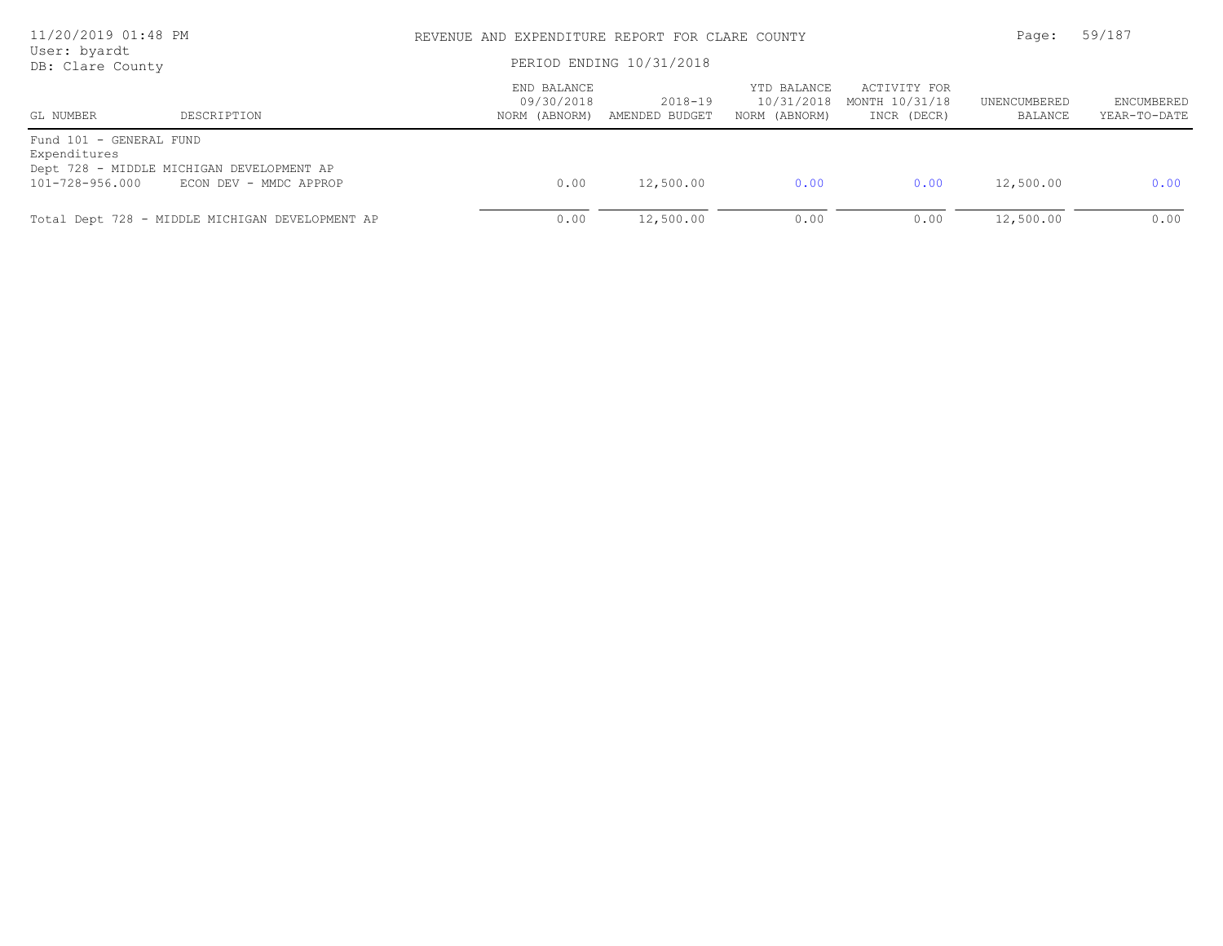| 11/20/2019 01:48 PM<br>User: byardt<br>DB: Clare County    |                                                                     | REVENUE AND EXPENDITURE REPORT FOR CLARE COUNTY<br>PERIOD ENDING 10/31/2018 | Page:                     | 59/187                                     |                                               |                         |                            |
|------------------------------------------------------------|---------------------------------------------------------------------|-----------------------------------------------------------------------------|---------------------------|--------------------------------------------|-----------------------------------------------|-------------------------|----------------------------|
| GL NUMBER                                                  | DESCRIPTION                                                         | END BALANCE<br>09/30/2018<br>NORM (ABNORM)                                  | 2018-19<br>AMENDED BUDGET | YTD BALANCE<br>10/31/2018<br>NORM (ABNORM) | ACTIVITY FOR<br>MONTH 10/31/18<br>INCR (DECR) | UNENCUMBERED<br>BALANCE | ENCUMBERED<br>YEAR-TO-DATE |
| Fund 101 - GENERAL FUND<br>Expenditures<br>101-728-956.000 | Dept 728 - MIDDLE MICHIGAN DEVELOPMENT AP<br>ECON DEV - MMDC APPROP | 0.00                                                                        | 12,500.00                 | 0.00                                       | 0.00                                          | 12,500.00               | 0.00                       |
|                                                            | Total Dept 728 - MIDDLE MICHIGAN DEVELOPMENT AP                     | 0.00                                                                        | 12,500.00                 | 0.00                                       | 0.00                                          | 12,500.00               | 0.00                       |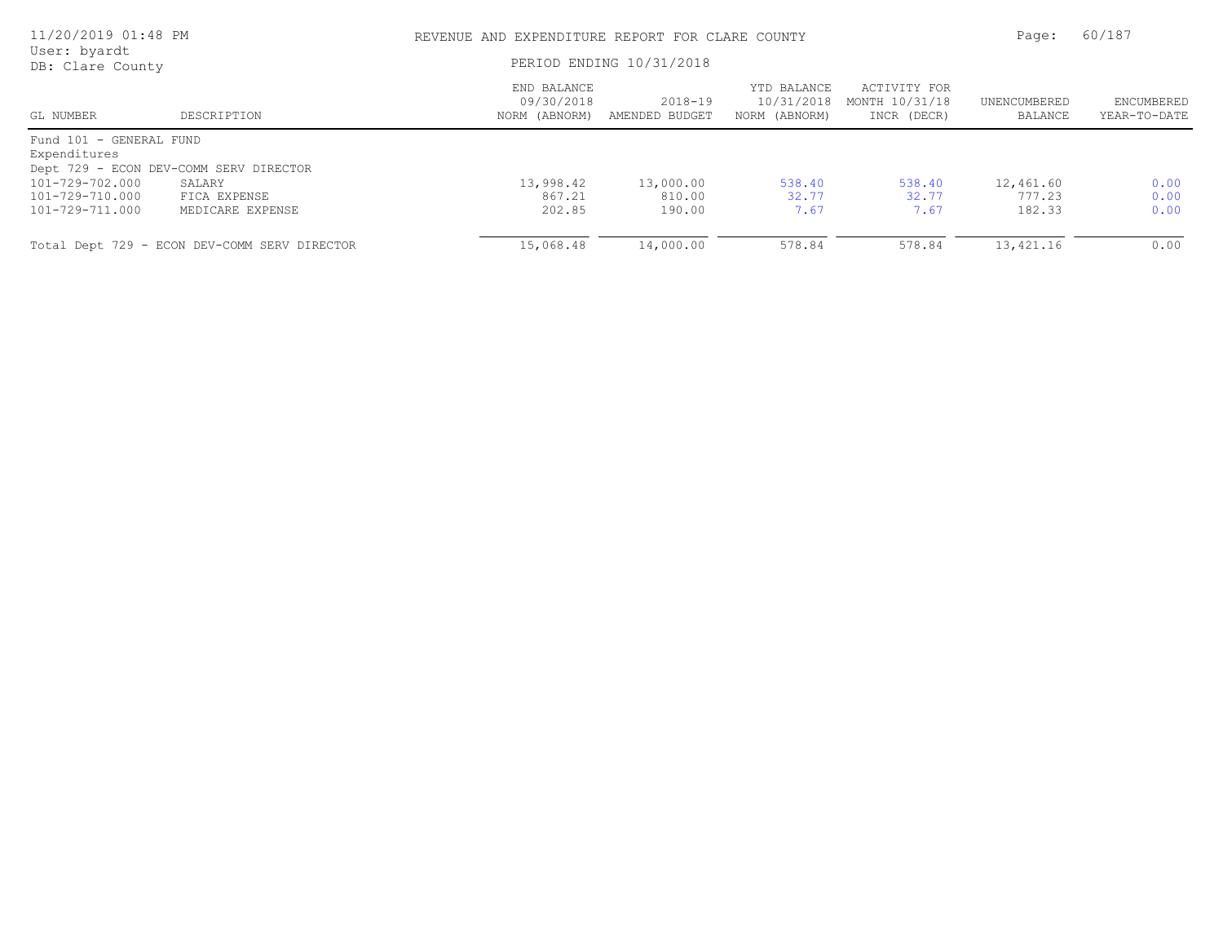| 11/20/2019 01:48 PM              |                                              | REVENUE AND EXPENDITURE REPORT FOR CLARE COUNTY |                           |                                            |                                               |                         | 60/187                     |
|----------------------------------|----------------------------------------------|-------------------------------------------------|---------------------------|--------------------------------------------|-----------------------------------------------|-------------------------|----------------------------|
| User: byardt<br>DB: Clare County |                                              |                                                 | PERIOD ENDING 10/31/2018  |                                            |                                               |                         |                            |
| GL NUMBER                        | DESCRIPTION                                  | END BALANCE<br>09/30/2018<br>NORM (ABNORM)      | 2018-19<br>AMENDED BUDGET | YTD BALANCE<br>10/31/2018<br>NORM (ABNORM) | ACTIVITY FOR<br>MONTH 10/31/18<br>INCR (DECR) | UNENCUMBERED<br>BALANCE | ENCUMBERED<br>YEAR-TO-DATE |
| Fund 101 - GENERAL FUND          |                                              |                                                 |                           |                                            |                                               |                         |                            |
| Expenditures                     |                                              |                                                 |                           |                                            |                                               |                         |                            |
|                                  | Dept 729 - ECON DEV-COMM SERV DIRECTOR       |                                                 |                           |                                            |                                               |                         |                            |
| 101-729-702.000                  | SALARY                                       | 13,998.42                                       | 13,000.00                 | 538.40                                     | 538.40                                        | 12,461.60               | 0.00                       |
| 101-729-710.000                  | FICA EXPENSE                                 | 867.21                                          | 810.00                    | 32.77                                      | 32.77                                         | 777.23                  | 0.00                       |
| 101-729-711.000                  | MEDICARE EXPENSE                             | 202.85                                          | 190.00                    | 7.67                                       | 7.67                                          | 182.33                  | 0.00                       |
|                                  | Total Dept 729 - ECON DEV-COMM SERV DIRECTOR | 15,068.48                                       | 14,000.00                 | 578.84                                     | 578.84                                        | 13,421.16               | 0.00                       |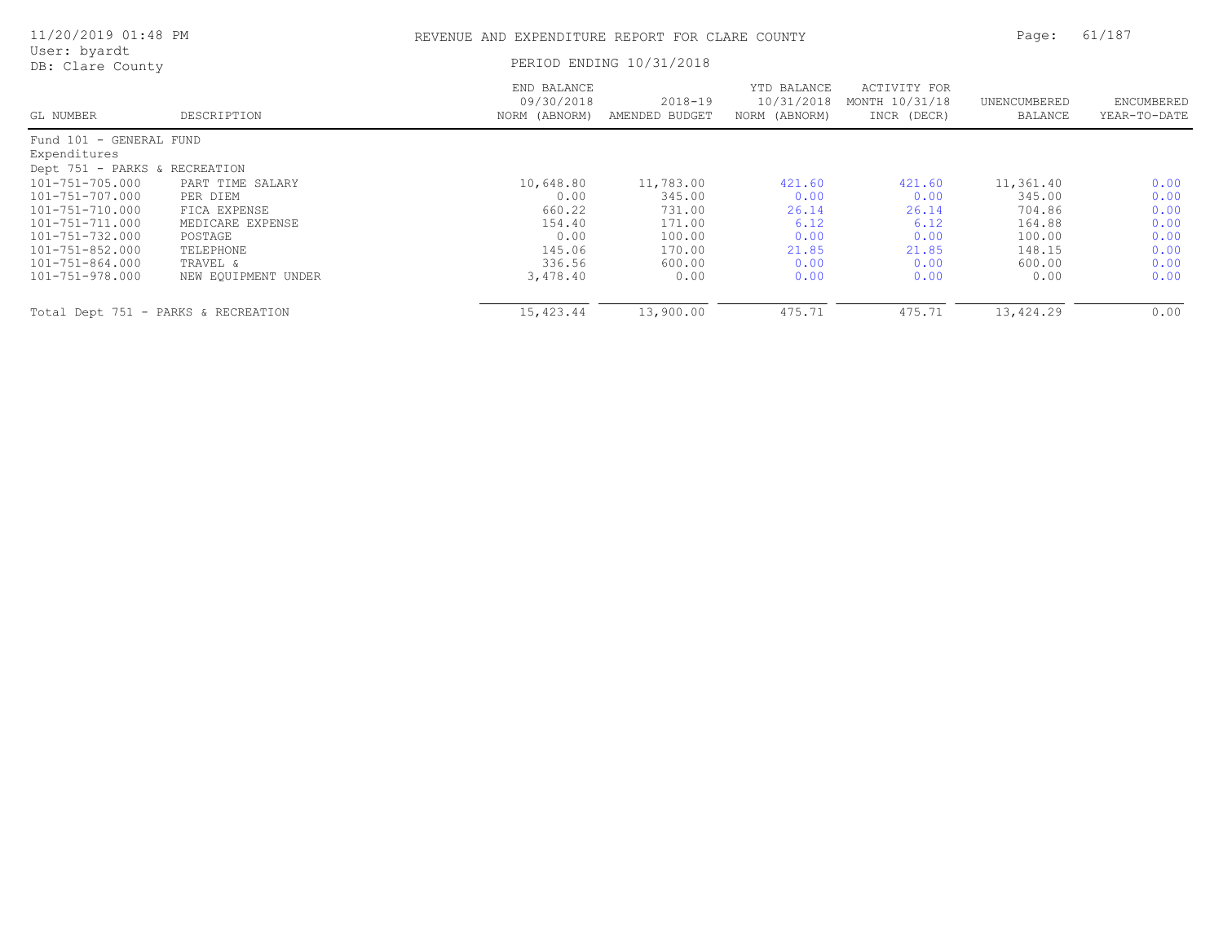| 11/20/2019 01:48 PM                 | REVENUE AND EXPENDITURE REPORT FOR CLARE COUNTY |                                            |                           |                                            |                                               | 61/187<br>Page:         |                            |
|-------------------------------------|-------------------------------------------------|--------------------------------------------|---------------------------|--------------------------------------------|-----------------------------------------------|-------------------------|----------------------------|
| User: byardt<br>DB: Clare County    |                                                 |                                            | PERIOD ENDING 10/31/2018  |                                            |                                               |                         |                            |
| GL NUMBER                           | DESCRIPTION                                     | END BALANCE<br>09/30/2018<br>NORM (ABNORM) | 2018-19<br>AMENDED BUDGET | YTD BALANCE<br>10/31/2018<br>NORM (ABNORM) | ACTIVITY FOR<br>MONTH 10/31/18<br>INCR (DECR) | UNENCUMBERED<br>BALANCE | ENCUMBERED<br>YEAR-TO-DATE |
| Fund 101 - GENERAL FUND             |                                                 |                                            |                           |                                            |                                               |                         |                            |
| Expenditures                        |                                                 |                                            |                           |                                            |                                               |                         |                            |
| Dept 751 - PARKS & RECREATION       |                                                 |                                            |                           |                                            |                                               |                         |                            |
| 101-751-705.000                     | PART TIME SALARY                                | 10,648.80                                  | 11,783.00                 | 421.60                                     | 421.60                                        | 11,361.40               | 0.00                       |
| 101-751-707.000                     | PER DIEM                                        | 0.00                                       | 345.00                    | 0.00                                       | 0.00                                          | 345.00                  | 0.00                       |
| 101-751-710.000                     | FICA EXPENSE                                    | 660.22                                     | 731.00                    | 26.14                                      | 26.14                                         | 704.86                  | 0.00                       |
| 101-751-711.000                     | MEDICARE EXPENSE                                | 154.40                                     | 171.00                    | 6.12                                       | 6.12                                          | 164.88                  | 0.00                       |
| 101-751-732.000                     | POSTAGE                                         | 0.00                                       | 100.00                    | 0.00                                       | 0.00                                          | 100.00                  | 0.00                       |
| 101-751-852.000                     | TELEPHONE                                       | 145.06                                     | 170.00                    | 21.85                                      | 21.85                                         | 148.15                  | 0.00                       |
| 101-751-864.000                     | TRAVEL &                                        | 336.56                                     | 600.00                    | 0.00                                       | 0.00                                          | 600.00                  | 0.00                       |
| 101-751-978.000                     | NEW EQUIPMENT UNDER                             | 3,478.40                                   | 0.00                      | 0.00                                       | 0.00                                          | 0.00                    | 0.00                       |
| Total Dept 751 - PARKS & RECREATION |                                                 | 15,423.44                                  | 13,900.00                 | 475.71                                     | 475.71                                        | 13,424.29               | 0.00                       |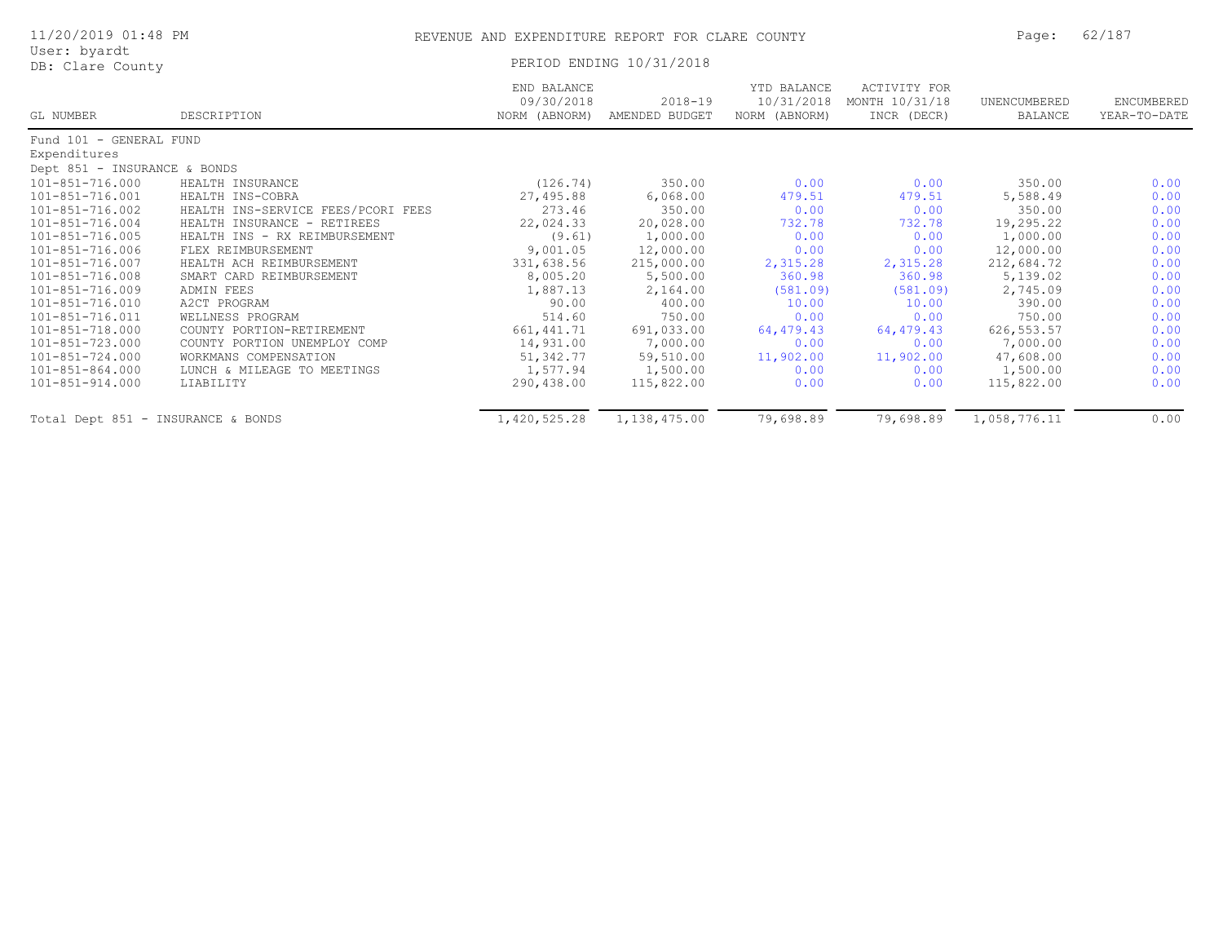| 11/20/2019 01:48 PM |  |
|---------------------|--|
| User: byardt        |  |
| DB: Clare County    |  |

## PERIOD ENDING 10/31/2018

|                                    |                                    | END BALANCE<br>09/30/2018 | $2018 - 19$    | YTD BALANCE<br>10/31/2018 | ACTIVITY FOR<br>MONTH 10/31/18 | UNENCUMBERED | ENCUMBERED   |
|------------------------------------|------------------------------------|---------------------------|----------------|---------------------------|--------------------------------|--------------|--------------|
| GL NUMBER                          | DESCRIPTION                        | NORM (ABNORM)             | AMENDED BUDGET | NORM (ABNORM)             | INCR (DECR)                    | BALANCE      | YEAR-TO-DATE |
| Fund 101 - GENERAL FUND            |                                    |                           |                |                           |                                |              |              |
| Expenditures                       |                                    |                           |                |                           |                                |              |              |
| Dept 851 - INSURANCE & BONDS       |                                    |                           |                |                           |                                |              |              |
| 101-851-716.000                    | HEALTH INSURANCE                   | (126.74)                  | 350.00         | 0.00                      | 0.00                           | 350.00       | 0.00         |
| 101-851-716.001                    | HEALTH INS-COBRA                   | 27,495.88                 | 6,068.00       | 479.51                    | 479.51                         | 5,588.49     | 0.00         |
| 101-851-716.002                    | HEALTH INS-SERVICE FEES/PCORI FEES | 273.46                    | 350.00         | 0.00                      | 0.00                           | 350.00       | 0.00         |
| 101-851-716.004                    | HEALTH INSURANCE - RETIREES        | 22,024.33                 | 20,028.00      | 732.78                    | 732.78                         | 19,295.22    | 0.00         |
| $101 - 851 - 716.005$              | HEALTH INS - RX REIMBURSEMENT      | (9.61)                    | 1,000.00       | 0.00                      | 0.00                           | 1,000.00     | 0.00         |
| 101-851-716.006                    | FLEX REIMBURSEMENT                 | 9,001.05                  | 12,000.00      | 0.00                      | 0.00                           | 12,000.00    | 0.00         |
| 101-851-716.007                    | HEALTH ACH REIMBURSEMENT           | 331,638.56                | 215,000.00     | 2,315.28                  | 2,315.28                       | 212,684.72   | 0.00         |
| 101-851-716.008                    | SMART CARD REIMBURSEMENT           | 8,005.20                  | 5,500.00       | 360.98                    | 360.98                         | 5,139.02     | 0.00         |
| 101-851-716.009                    | ADMIN FEES                         | 1,887.13                  | 2,164.00       | (581.09)                  | (581.09)                       | 2,745.09     | 0.00         |
| 101-851-716.010                    | A2CT PROGRAM                       | 90.00                     | 400.00         | 10.00                     | 10.00                          | 390.00       | 0.00         |
| 101-851-716.011                    | WELLNESS PROGRAM                   | 514.60                    | 750.00         | 0.00                      | 0.00                           | 750.00       | 0.00         |
| 101-851-718.000                    | COUNTY PORTION-RETIREMENT          | 661, 441.71               | 691,033.00     | 64,479.43                 | 64,479.43                      | 626, 553.57  | 0.00         |
| 101-851-723.000                    | COUNTY PORTION UNEMPLOY COMP       | 14,931.00                 | 7,000.00       | 0.00                      | 0.00                           | 7,000.00     | 0.00         |
| 101-851-724.000                    | WORKMANS COMPENSATION              | 51,342.77                 | 59,510.00      | 11,902.00                 | 11,902.00                      | 47,608.00    | 0.00         |
| 101-851-864.000                    | LUNCH & MILEAGE TO MEETINGS        | 1,577.94                  | 1,500.00       | 0.00                      | 0.00                           | 1,500.00     | 0.00         |
| 101-851-914.000                    | LIABILITY                          | 290,438.00                | 115,822.00     | 0.00                      | 0.00                           | 115,822.00   | 0.00         |
| Total Dept 851 - INSURANCE & BONDS |                                    | 1,420,525.28              | 1,138,475.00   | 79,698.89                 | 79,698.89                      | 1,058,776.11 | 0.00         |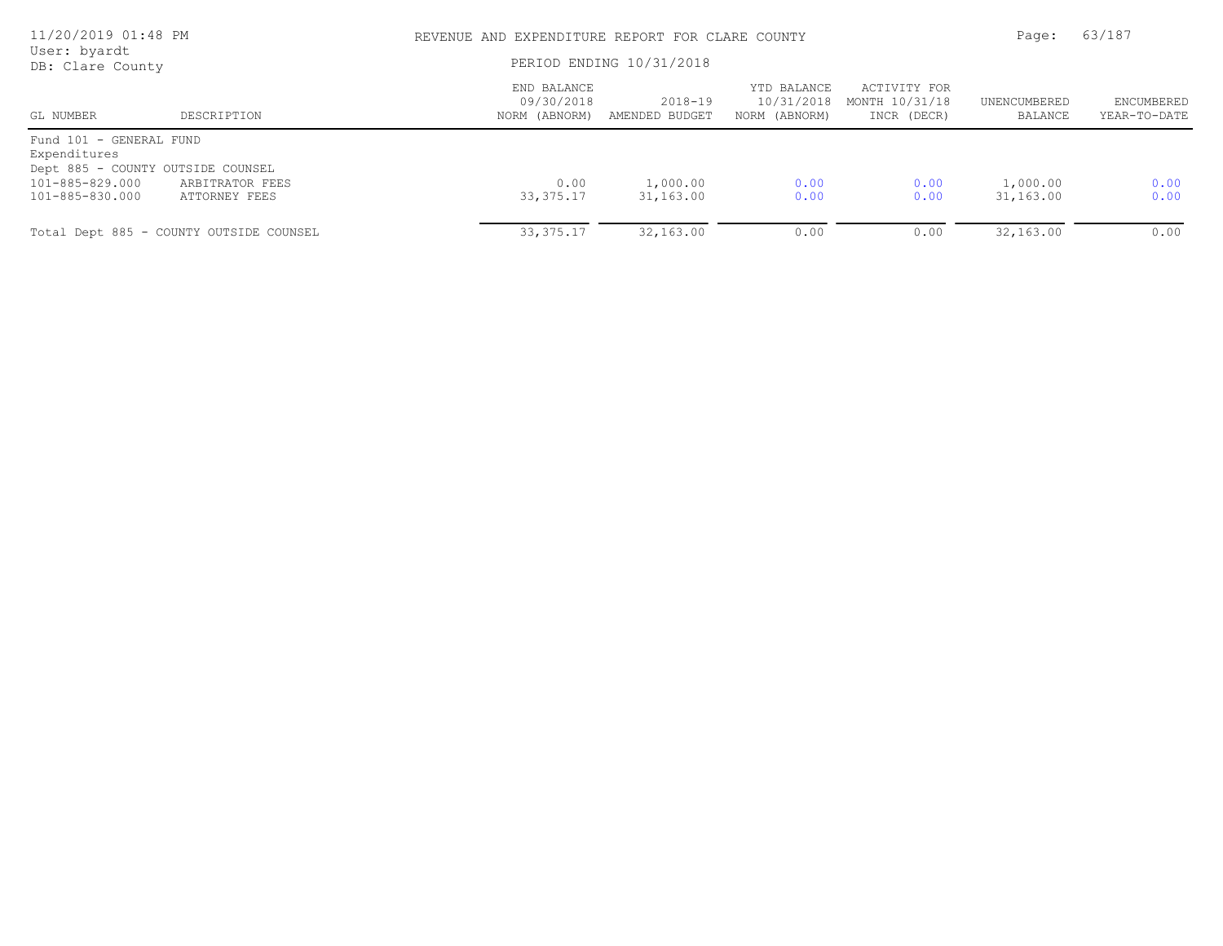| 11/20/2019 01:48 PM<br>User: byardt     |                                         |                                            | REVENUE AND EXPENDITURE REPORT FOR CLARE COUNTY |                                            |                                               |                         |                            |
|-----------------------------------------|-----------------------------------------|--------------------------------------------|-------------------------------------------------|--------------------------------------------|-----------------------------------------------|-------------------------|----------------------------|
| DB: Clare County                        |                                         | PERIOD ENDING 10/31/2018                   |                                                 |                                            |                                               |                         |                            |
| GL NUMBER                               | DESCRIPTION                             | END BALANCE<br>09/30/2018<br>NORM (ABNORM) | 2018-19<br>AMENDED BUDGET                       | YTD BALANCE<br>10/31/2018<br>NORM (ABNORM) | ACTIVITY FOR<br>MONTH 10/31/18<br>INCR (DECR) | UNENCUMBERED<br>BALANCE | ENCUMBERED<br>YEAR-TO-DATE |
| Fund 101 - GENERAL FUND<br>Expenditures |                                         |                                            |                                                 |                                            |                                               |                         |                            |
| Dept 885 - COUNTY OUTSIDE COUNSEL       |                                         |                                            |                                                 |                                            |                                               |                         |                            |
| 101-885-829.000                         | ARBITRATOR FEES                         | 0.00                                       | 1,000.00                                        | 0.00                                       | 0.00                                          | 1,000.00                | 0.00                       |
| 101-885-830.000                         | ATTORNEY FEES                           | 33, 375. 17                                | 31,163.00                                       | 0.00                                       | 0.00                                          | 31,163.00               | 0.00                       |
|                                         | Total Dept 885 - COUNTY OUTSIDE COUNSEL | 33, 375. 17                                | 32,163.00                                       | 0.00                                       | 0.00                                          | 32,163.00               | 0.00                       |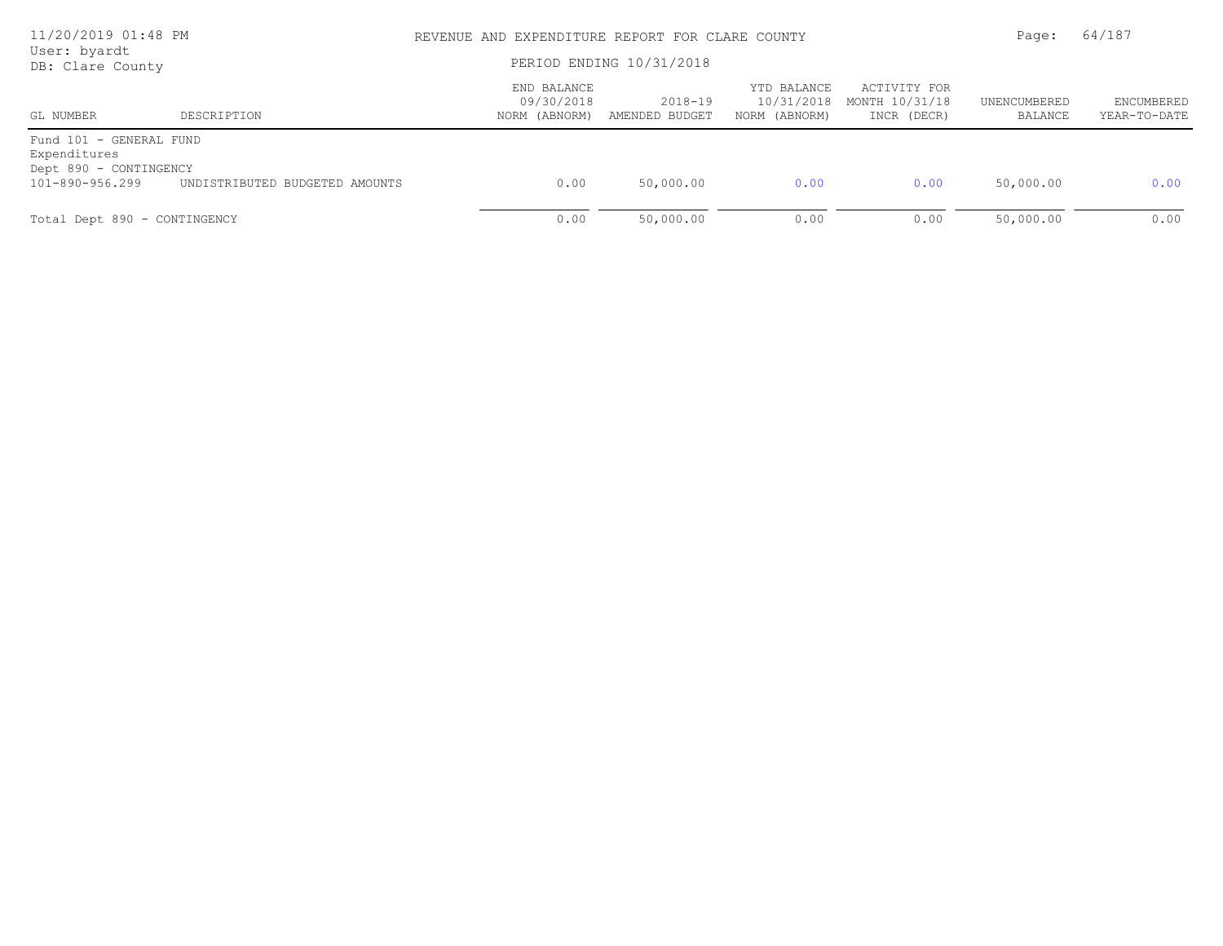| 11/20/2019 01:48 PM<br>User: byardt                               |                                | REVENUE AND EXPENDITURE REPORT FOR CLARE COUNTY | Page:                     | 64/187                                     |                                               |                         |                                   |
|-------------------------------------------------------------------|--------------------------------|-------------------------------------------------|---------------------------|--------------------------------------------|-----------------------------------------------|-------------------------|-----------------------------------|
| DB: Clare County                                                  |                                | PERIOD ENDING 10/31/2018                        |                           |                                            |                                               |                         |                                   |
| GL NUMBER                                                         | DESCRIPTION                    | END BALANCE<br>09/30/2018<br>NORM (ABNORM)      | 2018-19<br>AMENDED BUDGET | YTD BALANCE<br>10/31/2018<br>NORM (ABNORM) | ACTIVITY FOR<br>MONTH 10/31/18<br>INCR (DECR) | UNENCUMBERED<br>BALANCE | <b>ENCUMBERED</b><br>YEAR-TO-DATE |
| Fund 101 - GENERAL FUND<br>Expenditures<br>Dept 890 - CONTINGENCY |                                |                                                 |                           |                                            |                                               |                         |                                   |
| 101-890-956.299                                                   | UNDISTRIBUTED BUDGETED AMOUNTS | 0.00                                            | 50,000.00                 | 0.00                                       | 0.00                                          | 50,000.00               | 0.00                              |
| Total Dept 890 - CONTINGENCY                                      |                                | 0.00                                            | 50,000.00                 | 0.00                                       | 0.00                                          | 50,000.00               | 0.00                              |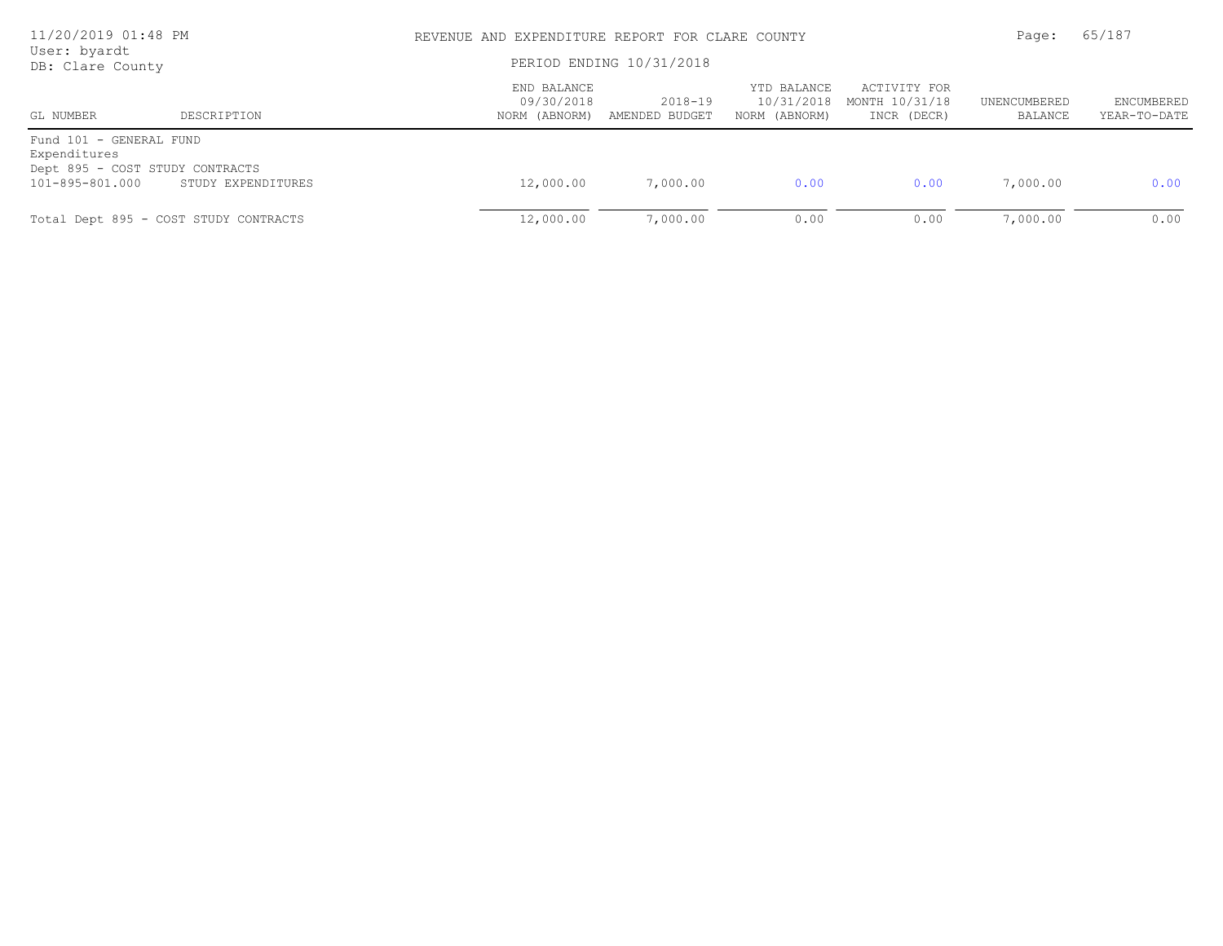| 11/20/2019 01:48 PM<br>User: byardt                                        |                                       |                                            | REVENUE AND EXPENDITURE REPORT FOR CLARE COUNTY |                                            |                                               |                         |                            |  |
|----------------------------------------------------------------------------|---------------------------------------|--------------------------------------------|-------------------------------------------------|--------------------------------------------|-----------------------------------------------|-------------------------|----------------------------|--|
| DB: Clare County                                                           |                                       | PERIOD ENDING 10/31/2018                   |                                                 |                                            |                                               |                         |                            |  |
| GL NUMBER                                                                  | DESCRIPTION                           | END BALANCE<br>09/30/2018<br>NORM (ABNORM) | 2018-19<br>AMENDED BUDGET                       | YTD BALANCE<br>10/31/2018<br>NORM (ABNORM) | ACTIVITY FOR<br>MONTH 10/31/18<br>INCR (DECR) | UNENCUMBERED<br>BALANCE | ENCUMBERED<br>YEAR-TO-DATE |  |
| Fund 101 - GENERAL FUND<br>Expenditures<br>Dept 895 - COST STUDY CONTRACTS |                                       |                                            |                                                 |                                            |                                               |                         |                            |  |
| 101-895-801.000                                                            | STUDY EXPENDITURES                    | 12,000.00                                  | 7,000.00                                        | 0.00                                       | 0.00                                          | 7,000.00                | 0.00                       |  |
|                                                                            | Total Dept 895 - COST STUDY CONTRACTS | 12,000.00                                  | 7,000.00                                        | 0.00                                       | 0.00                                          | 7,000.00                | 0.00                       |  |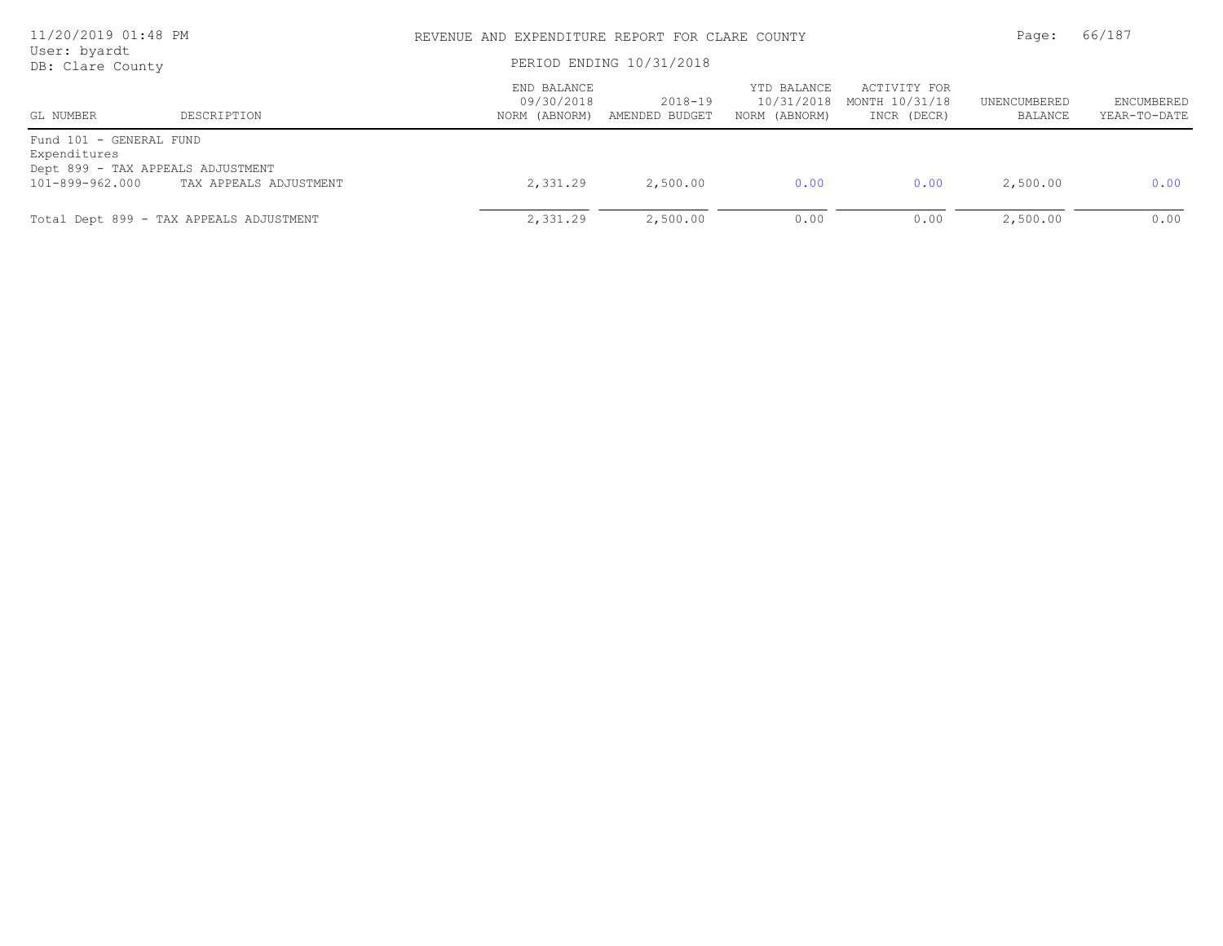| 11/20/2019 01:48 PM<br>User: byardt                  |                                         |                                            | REVENUE AND EXPENDITURE REPORT FOR CLARE COUNTY |                                            |                                               |                         |                                   |
|------------------------------------------------------|-----------------------------------------|--------------------------------------------|-------------------------------------------------|--------------------------------------------|-----------------------------------------------|-------------------------|-----------------------------------|
| DB: Clare County                                     |                                         | PERIOD ENDING 10/31/2018                   |                                                 |                                            |                                               |                         |                                   |
| GL NUMBER                                            | DESCRIPTION                             | END BALANCE<br>09/30/2018<br>NORM (ABNORM) | 2018-19<br>AMENDED BUDGET                       | YTD BALANCE<br>10/31/2018<br>NORM (ABNORM) | ACTIVITY FOR<br>MONTH 10/31/18<br>INCR (DECR) | UNENCUMBERED<br>BALANCE | <b>ENCUMBERED</b><br>YEAR-TO-DATE |
| Fund 101 - GENERAL FUND<br>Expenditures              |                                         |                                            |                                                 |                                            |                                               |                         |                                   |
| Dept 899 - TAX APPEALS ADJUSTMENT<br>101-899-962.000 | TAX APPEALS ADJUSTMENT                  | 2,331.29                                   | 2,500.00                                        | 0.00                                       | 0.00                                          | 2,500.00                | 0.00                              |
|                                                      | Total Dept 899 - TAX APPEALS ADJUSTMENT | 2,331.29                                   | 2,500.00                                        | 0.00                                       | 0.00                                          | 2,500.00                | 0.00                              |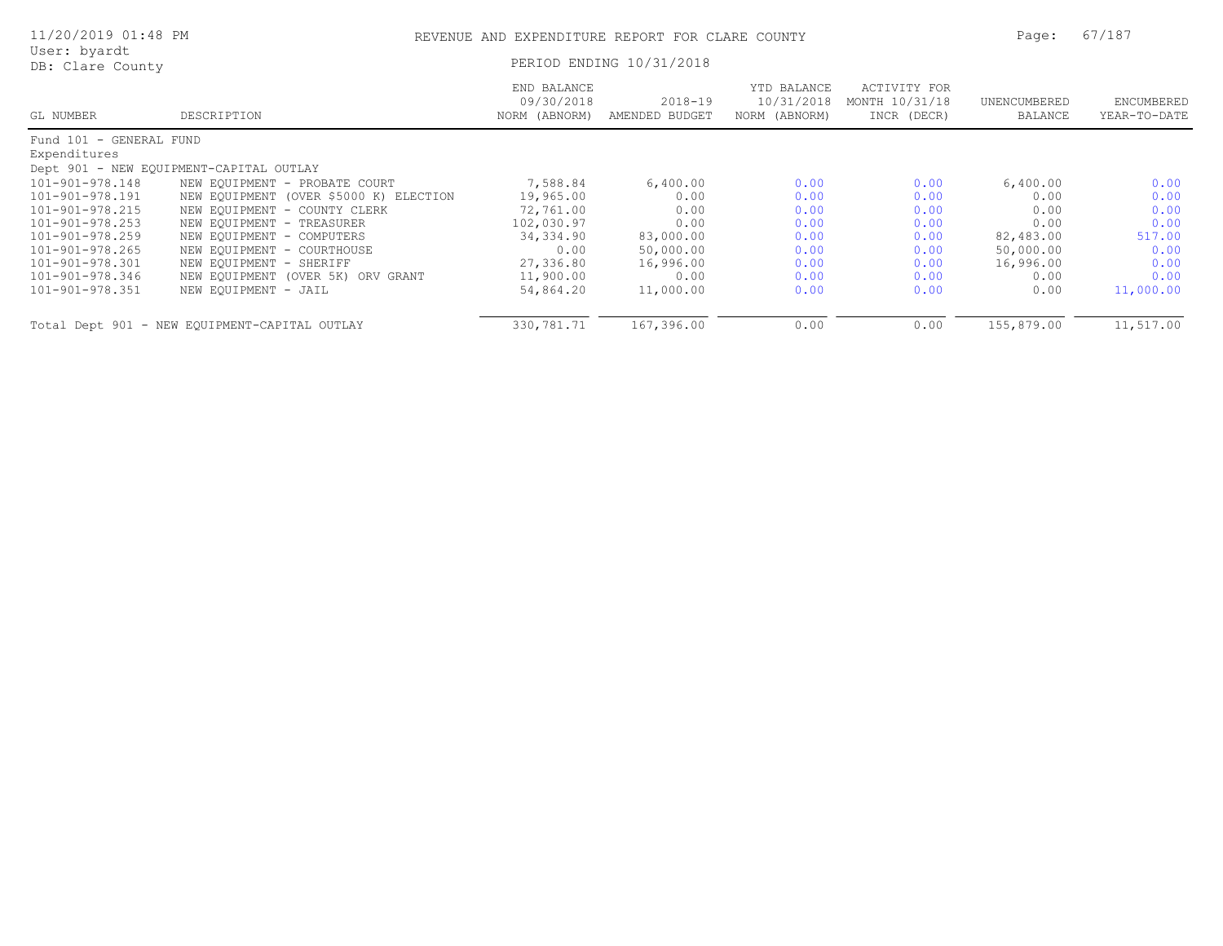| 11/20/2019 01:48 PM              |                                               | REVENUE AND EXPENDITURE REPORT FOR CLARE COUNTY |                               |                                            | Page:                                         | 67/187                  |                            |
|----------------------------------|-----------------------------------------------|-------------------------------------------------|-------------------------------|--------------------------------------------|-----------------------------------------------|-------------------------|----------------------------|
| User: byardt<br>DB: Clare County |                                               |                                                 | PERIOD ENDING 10/31/2018      |                                            |                                               |                         |                            |
| GL NUMBER                        | DESCRIPTION                                   | END BALANCE<br>09/30/2018<br>NORM (ABNORM)      | $2018 - 19$<br>AMENDED BUDGET | YTD BALANCE<br>10/31/2018<br>NORM (ABNORM) | ACTIVITY FOR<br>MONTH 10/31/18<br>INCR (DECR) | UNENCUMBERED<br>BALANCE | ENCUMBERED<br>YEAR-TO-DATE |
| Fund 101 - GENERAL FUND          |                                               |                                                 |                               |                                            |                                               |                         |                            |
| Expenditures                     |                                               |                                                 |                               |                                            |                                               |                         |                            |
|                                  | Dept 901 - NEW EQUIPMENT-CAPITAL OUTLAY       |                                                 |                               |                                            |                                               |                         |                            |
| 101-901-978.148                  | NEW EOUIPMENT - PROBATE COURT                 | 7,588.84                                        | 6,400.00                      | 0.00                                       | 0.00                                          | 6,400.00                | 0.00                       |
| 101-901-978.191                  | NEW EQUIPMENT (OVER \$5000 K) ELECTION        | 19,965.00                                       | 0.00                          | 0.00                                       | 0.00                                          | 0.00                    | 0.00                       |
| 101-901-978.215                  | NEW EOUIPMENT - COUNTY CLERK                  | 72,761.00                                       | 0.00                          | 0.00                                       | 0.00                                          | 0.00                    | 0.00                       |
| 101-901-978.253                  | NEW EQUIPMENT - TREASURER                     | 102,030.97                                      | 0.00                          | 0.00                                       | 0.00                                          | 0.00                    | 0.00                       |
| 101-901-978.259                  | NEW EQUIPMENT - COMPUTERS                     | 34,334.90                                       | 83,000.00                     | 0.00                                       | 0.00                                          | 82,483.00               | 517.00                     |
| 101-901-978.265                  | NEW EQUIPMENT - COURTHOUSE                    | 0.00                                            | 50,000.00                     | 0.00                                       | 0.00                                          | 50,000.00               | 0.00                       |
| 101-901-978.301                  | NEW EQUIPMENT - SHERIFF                       | 27,336.80                                       | 16,996.00                     | 0.00                                       | 0.00                                          | 16,996.00               | 0.00                       |
| 101-901-978.346                  | NEW EQUIPMENT (OVER 5K) ORV GRANT             | 11,900.00                                       | 0.00                          | 0.00                                       | 0.00                                          | 0.00                    | 0.00                       |
| 101-901-978.351                  | NEW EQUIPMENT - JAIL                          | 54,864.20                                       | 11,000.00                     | 0.00                                       | 0.00                                          | 0.00                    | 11,000.00                  |
|                                  | Total Dept 901 - NEW EQUIPMENT-CAPITAL OUTLAY | 330,781.71                                      | 167,396.00                    | 0.00                                       | 0.00                                          | 155,879.00              | 11,517.00                  |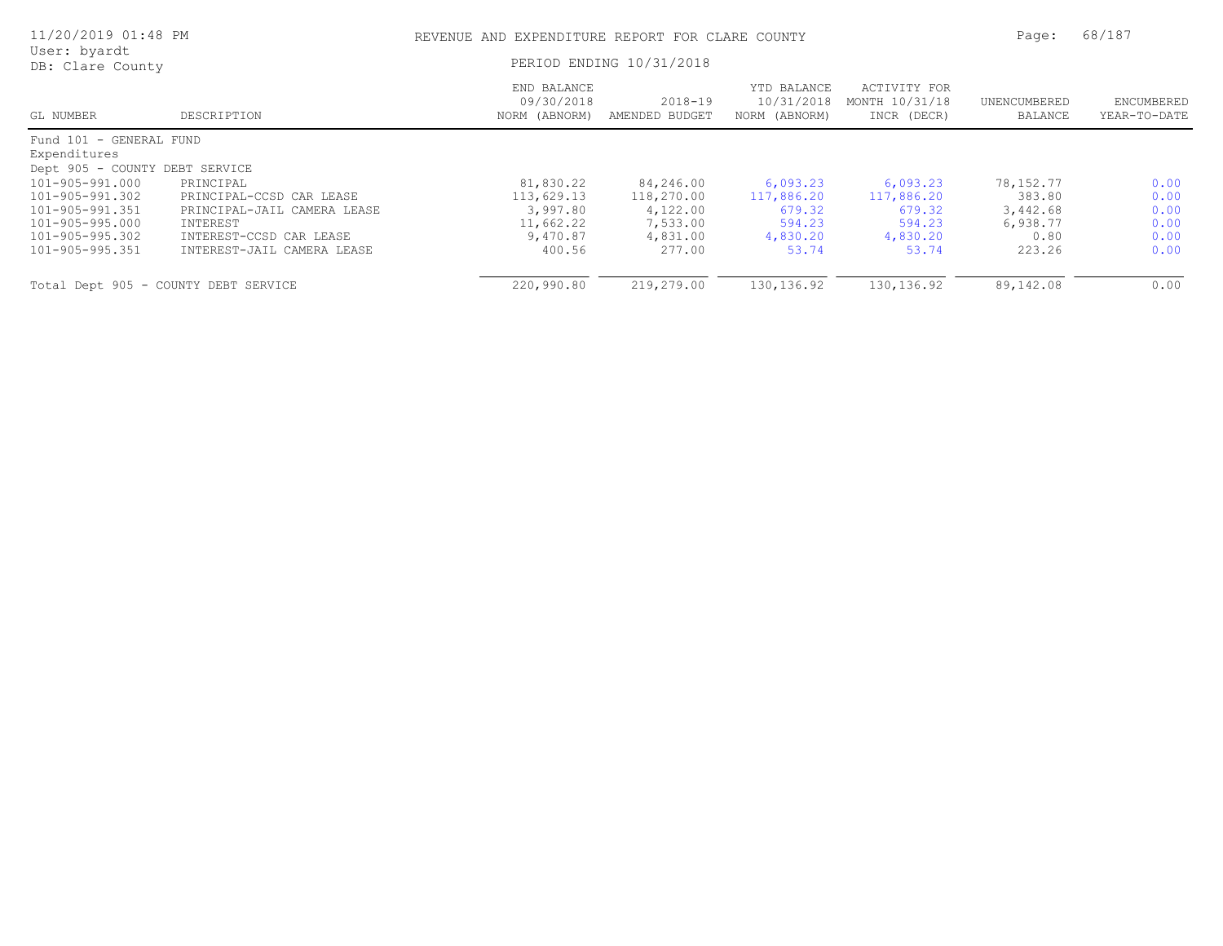| 11/20/2019 01:48 PM                  |                             | REVENUE AND EXPENDITURE REPORT FOR CLARE COUNTY | Page:                         | 68/187                                     |                                               |                         |                            |
|--------------------------------------|-----------------------------|-------------------------------------------------|-------------------------------|--------------------------------------------|-----------------------------------------------|-------------------------|----------------------------|
| User: byardt<br>DB: Clare County     |                             | PERIOD ENDING 10/31/2018                        |                               |                                            |                                               |                         |                            |
| GL NUMBER                            | DESCRIPTION                 | END BALANCE<br>09/30/2018<br>NORM (ABNORM)      | $2018 - 19$<br>AMENDED BUDGET | YTD BALANCE<br>10/31/2018<br>NORM (ABNORM) | ACTIVITY FOR<br>MONTH 10/31/18<br>INCR (DECR) | UNENCUMBERED<br>BALANCE | ENCUMBERED<br>YEAR-TO-DATE |
| Fund 101 - GENERAL FUND              |                             |                                                 |                               |                                            |                                               |                         |                            |
| Expenditures                         |                             |                                                 |                               |                                            |                                               |                         |                            |
| Dept 905 - COUNTY DEBT SERVICE       |                             |                                                 |                               |                                            |                                               |                         |                            |
| 101-905-991.000                      | PRINCIPAL                   | 81,830.22                                       | 84,246.00                     | 6,093.23                                   | 6,093.23                                      | 78, 152. 77             | 0.00                       |
| 101-905-991.302                      | PRINCIPAL-CCSD CAR LEASE    | 113,629.13                                      | 118,270.00                    | 117,886.20                                 | 117,886.20                                    | 383.80                  | 0.00                       |
| 101-905-991.351                      | PRINCIPAL-JAIL CAMERA LEASE | 3,997.80                                        | 4,122.00                      | 679.32                                     | 679.32                                        | 3,442.68                | 0.00                       |
| 101-905-995.000                      | INTEREST                    | 11,662.22                                       | 7,533.00                      | 594.23                                     | 594.23                                        | 6,938.77                | 0.00                       |
| 101-905-995.302                      | INTEREST-CCSD CAR LEASE     | 9,470.87                                        | 4,831.00                      | 4,830.20                                   | 4,830.20                                      | 0.80                    | 0.00                       |
| 101-905-995.351                      | INTEREST-JAIL CAMERA LEASE  | 400.56                                          | 277.00                        | 53.74                                      | 53.74                                         | 223.26                  | 0.00                       |
| Total Dept 905 - COUNTY DEBT SERVICE |                             | 220,990.80                                      | 219,279.00                    | 130, 136.92                                | 130, 136.92                                   | 89,142.08               | 0.00                       |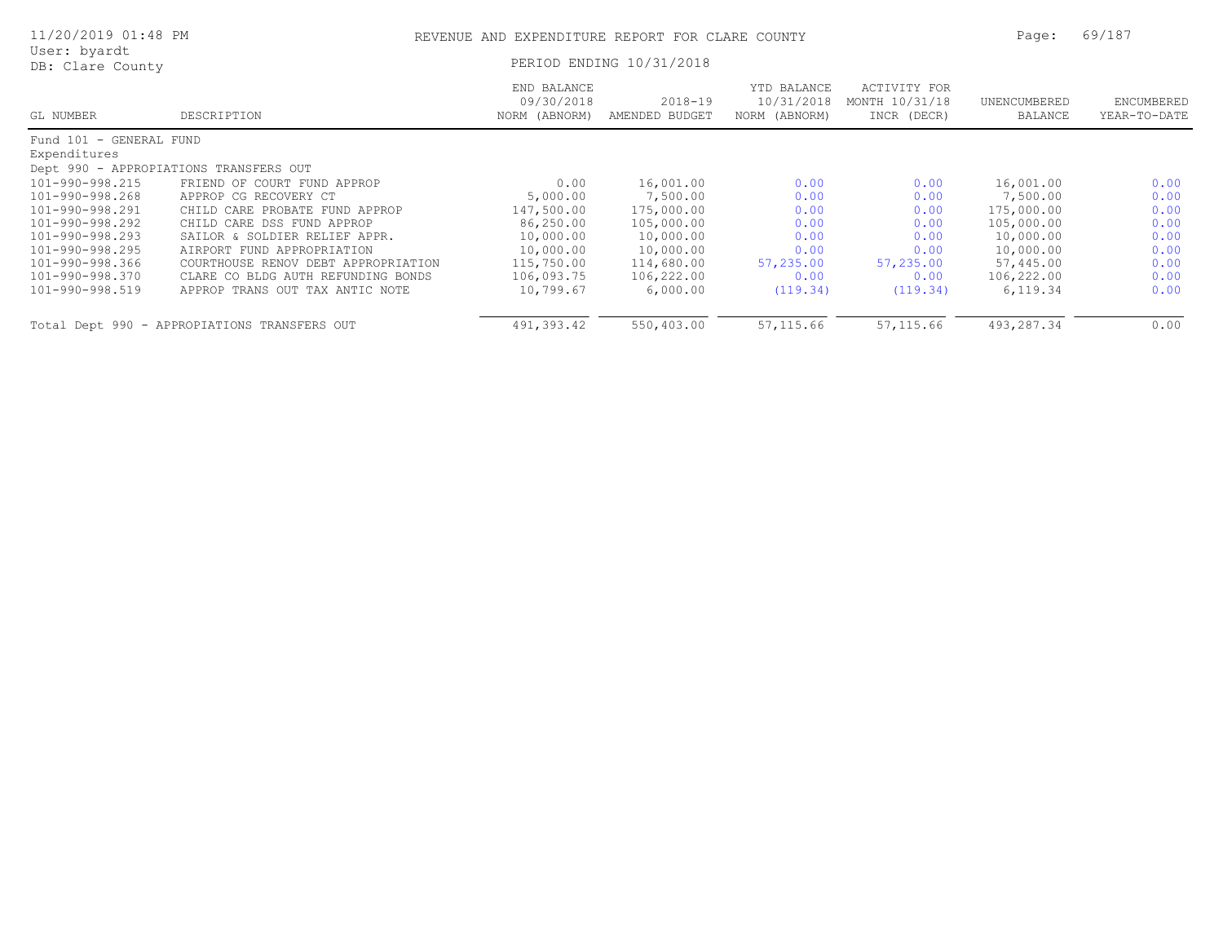| 11/20/2019 01:48 PM              |                                              | REVENUE AND EXPENDITURE REPORT FOR CLARE COUNTY |                               |                                            |                                               | Page:                   | 69/187                     |  |
|----------------------------------|----------------------------------------------|-------------------------------------------------|-------------------------------|--------------------------------------------|-----------------------------------------------|-------------------------|----------------------------|--|
| User: byardt<br>DB: Clare County |                                              |                                                 | PERIOD ENDING 10/31/2018      |                                            |                                               |                         |                            |  |
| GL NUMBER                        | DESCRIPTION                                  | END BALANCE<br>09/30/2018<br>NORM (ABNORM)      | $2018 - 19$<br>AMENDED BUDGET | YTD BALANCE<br>10/31/2018<br>NORM (ABNORM) | ACTIVITY FOR<br>MONTH 10/31/18<br>INCR (DECR) | UNENCUMBERED<br>BALANCE | ENCUMBERED<br>YEAR-TO-DATE |  |
| Fund 101 - GENERAL FUND          |                                              |                                                 |                               |                                            |                                               |                         |                            |  |
| Expenditures                     |                                              |                                                 |                               |                                            |                                               |                         |                            |  |
|                                  | Dept 990 - APPROPIATIONS TRANSFERS OUT       |                                                 |                               |                                            |                                               |                         |                            |  |
| 101-990-998.215                  | FRIEND OF COURT FUND APPROP                  | 0.00                                            | 16,001.00                     | 0.00                                       | 0.00                                          | 16,001.00               | 0.00                       |  |
| 101-990-998.268                  | APPROP CG RECOVERY CT                        | 5,000.00                                        | 7,500.00                      | 0.00                                       | 0.00                                          | 7,500.00                | 0.00                       |  |
| 101-990-998.291                  | CHILD CARE PROBATE FUND APPROP               | 147,500.00                                      | 175,000.00                    | 0.00                                       | 0.00                                          | 175,000.00              | 0.00                       |  |
| 101-990-998.292                  | CHILD CARE DSS FUND APPROP                   | 86,250.00                                       | 105,000.00                    | 0.00                                       | 0.00                                          | 105,000.00              | 0.00                       |  |
| 101-990-998.293                  | SAILOR & SOLDIER RELIEF APPR.                | 10,000.00                                       | 10,000.00                     | 0.00                                       | 0.00                                          | 10,000.00               | 0.00                       |  |
| 101-990-998.295                  | AIRPORT FUND APPROPRIATION                   | 10,000.00                                       | 10,000.00                     | 0.00                                       | 0.00                                          | 10,000.00               | 0.00                       |  |
| 101-990-998.366                  | COURTHOUSE RENOV DEBT APPROPRIATION          | 115,750.00                                      | 114,680.00                    | 57,235.00                                  | 57,235.00                                     | 57,445.00               | 0.00                       |  |
| 101-990-998.370                  | CLARE CO BLDG AUTH REFUNDING BONDS           | 106,093.75                                      | 106,222.00                    | 0.00                                       | 0.00                                          | 106,222.00              | 0.00                       |  |
| 101-990-998.519                  | APPROP TRANS OUT TAX ANTIC NOTE              | 10,799.67                                       | 6,000.00                      | (119.34)                                   | (119.34)                                      | 6,119.34                | 0.00                       |  |
|                                  | Total Dept 990 - APPROPIATIONS TRANSFERS OUT | 491,393.42                                      | 550,403.00                    | 57, 115.66                                 | 57, 115.66                                    | 493,287.34              | 0.00                       |  |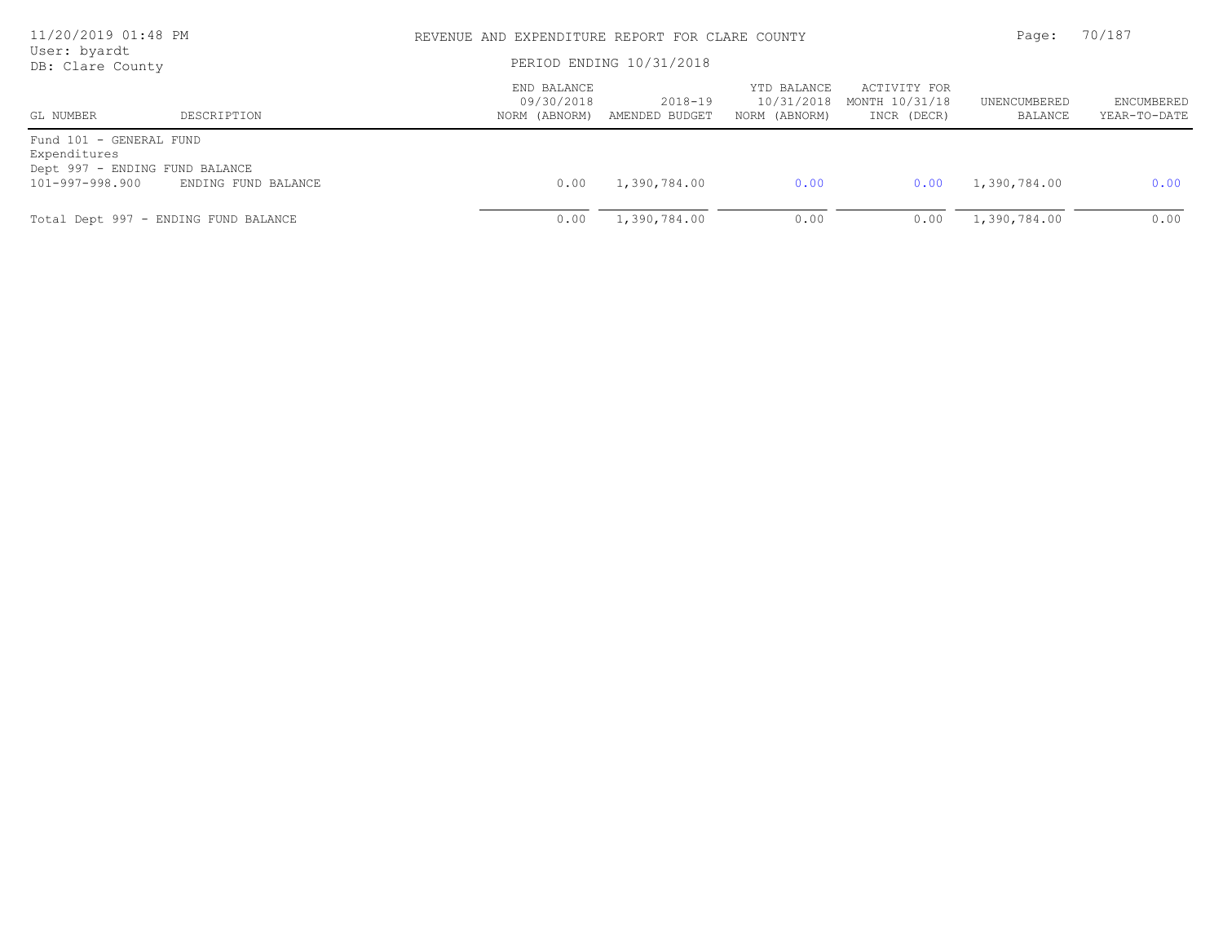| 11/20/2019 01:48 PM                                                       |                     | REVENUE AND EXPENDITURE REPORT FOR CLARE COUNTY | Page:                     | 70/187                                     |                                               |                         |                            |
|---------------------------------------------------------------------------|---------------------|-------------------------------------------------|---------------------------|--------------------------------------------|-----------------------------------------------|-------------------------|----------------------------|
| User: byardt<br>DB: Clare County                                          |                     |                                                 | PERIOD ENDING 10/31/2018  |                                            |                                               |                         |                            |
| GL NUMBER                                                                 | DESCRIPTION         | END BALANCE<br>09/30/2018<br>NORM (ABNORM)      | 2018-19<br>AMENDED BUDGET | YTD BALANCE<br>10/31/2018<br>NORM (ABNORM) | ACTIVITY FOR<br>MONTH 10/31/18<br>INCR (DECR) | UNENCUMBERED<br>BALANCE | ENCUMBERED<br>YEAR-TO-DATE |
| Fund 101 - GENERAL FUND<br>Expenditures<br>Dept 997 - ENDING FUND BALANCE |                     |                                                 |                           |                                            |                                               |                         |                            |
| 101-997-998.900                                                           | ENDING FUND BALANCE | 0.00                                            | 1,390,784.00              | 0.00                                       | 0.00                                          | 1,390,784.00            | 0.00                       |
| Total Dept 997 - ENDING FUND BALANCE                                      |                     | 0.00                                            | 1,390,784.00              | 0.00                                       | 0.00                                          | 1,390,784.00            | 0.00                       |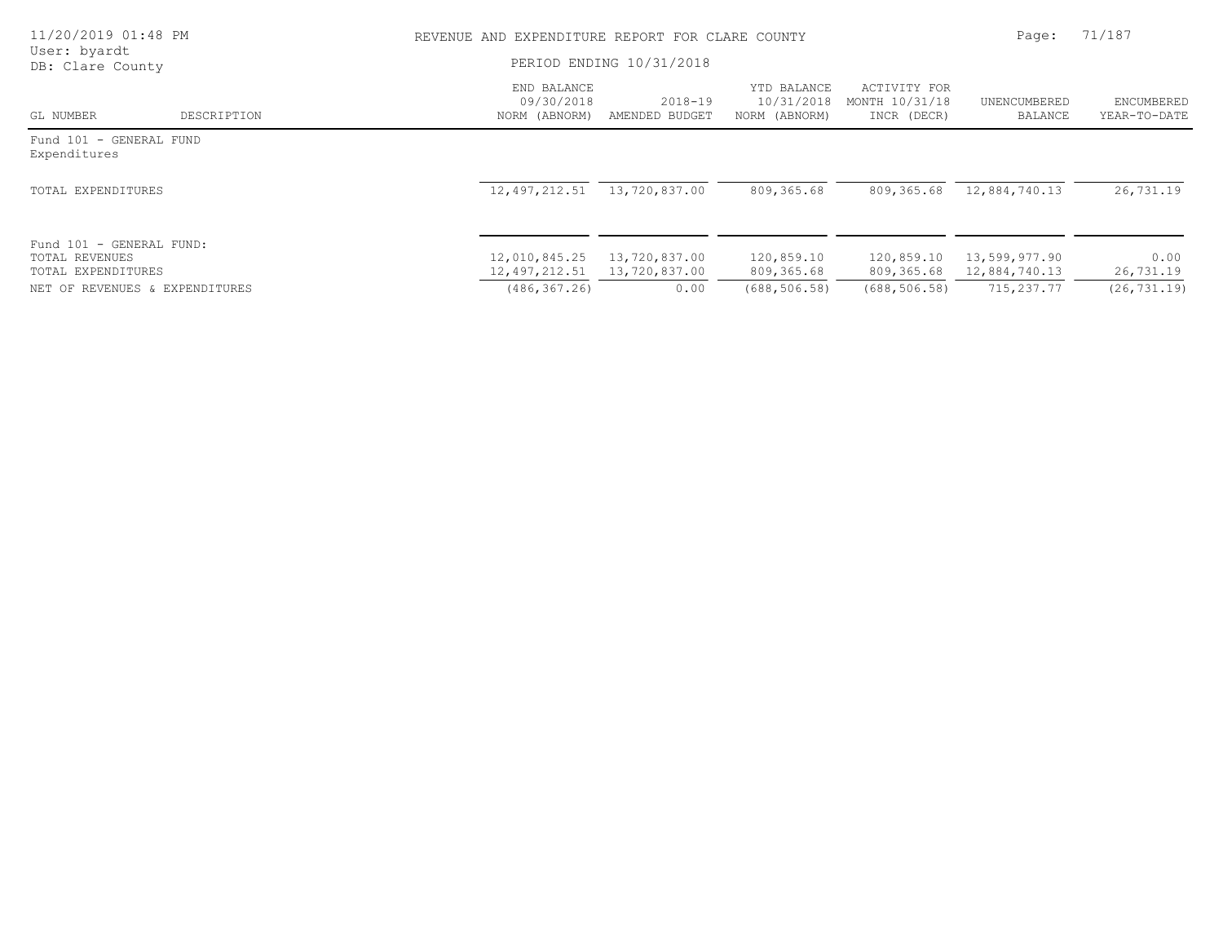| 11/20/2019 01:48 PM                                              |             | REVENUE AND EXPENDITURE REPORT FOR CLARE COUNTY |                                |                                            |                                               |                                |                            |  |
|------------------------------------------------------------------|-------------|-------------------------------------------------|--------------------------------|--------------------------------------------|-----------------------------------------------|--------------------------------|----------------------------|--|
| User: byardt<br>DB: Clare County                                 |             | PERIOD ENDING 10/31/2018                        |                                |                                            |                                               |                                |                            |  |
| GL NUMBER                                                        | DESCRIPTION | END BALANCE<br>09/30/2018<br>NORM (ABNORM)      | $2018 - 19$<br>AMENDED BUDGET  | YTD BALANCE<br>10/31/2018<br>NORM (ABNORM) | ACTIVITY FOR<br>MONTH 10/31/18<br>INCR (DECR) | UNENCUMBERED<br>BALANCE        | ENCUMBERED<br>YEAR-TO-DATE |  |
| Fund 101 - GENERAL FUND<br>Expenditures                          |             |                                                 |                                |                                            |                                               |                                |                            |  |
| TOTAL EXPENDITURES                                               |             | 12,497,212.51                                   | 13,720,837.00                  | 809,365.68                                 | 809,365.68                                    | 12,884,740.13                  | 26,731.19                  |  |
| Fund 101 - GENERAL FUND:<br>TOTAL REVENUES<br>TOTAL EXPENDITURES |             | 12,010,845.25<br>12,497,212.51                  | 13,720,837.00<br>13,720,837.00 | 120,859.10<br>809,365.68                   | 120,859.10<br>809,365.68                      | 13,599,977.90<br>12,884,740.13 | 0.00<br>26,731.19          |  |
| NET OF REVENUES & EXPENDITURES                                   |             | (486, 367, 26)                                  | 0.00                           | (688, 506, 58)                             | (688, 506, 58)                                | 715,237.77                     | (26, 731, 19)              |  |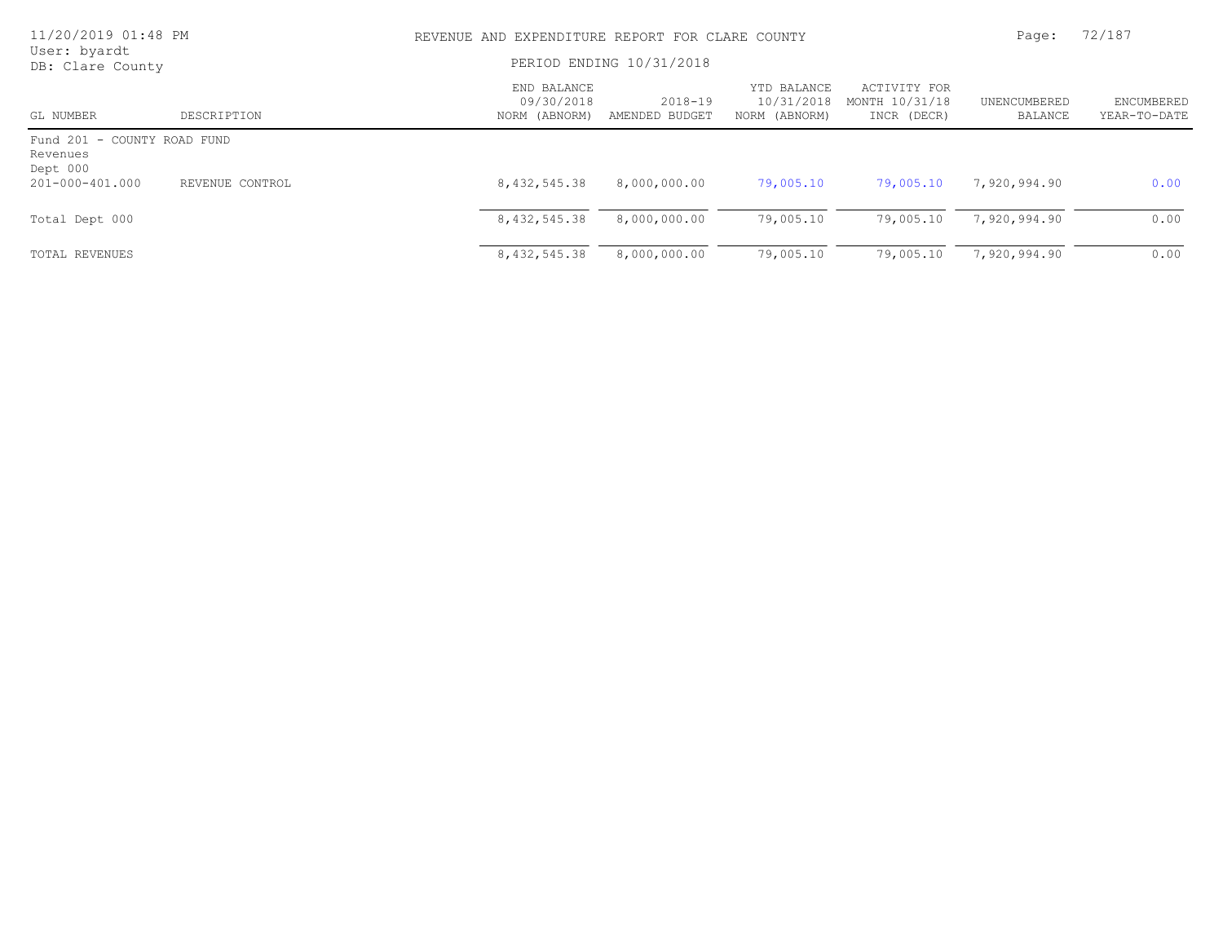| 11/20/2019 01:48 PM<br>User: byardt                 |                 | REVENUE AND EXPENDITURE REPORT FOR CLARE COUNTY<br>PERIOD ENDING 10/31/2018 |                           |                                            |                                               | Page:                   | 72/187                            |
|-----------------------------------------------------|-----------------|-----------------------------------------------------------------------------|---------------------------|--------------------------------------------|-----------------------------------------------|-------------------------|-----------------------------------|
| DB: Clare County                                    |                 |                                                                             |                           |                                            |                                               |                         |                                   |
| GL NUMBER                                           | DESCRIPTION     | END BALANCE<br>09/30/2018<br>NORM (ABNORM)                                  | 2018-19<br>AMENDED BUDGET | YTD BALANCE<br>10/31/2018<br>NORM (ABNORM) | ACTIVITY FOR<br>MONTH 10/31/18<br>INCR (DECR) | UNENCUMBERED<br>BALANCE | <b>ENCUMBERED</b><br>YEAR-TO-DATE |
| Fund 201 - COUNTY ROAD FUND<br>Revenues<br>Dept 000 |                 |                                                                             |                           |                                            |                                               |                         |                                   |
| 201-000-401.000                                     | REVENUE CONTROL | 8,432,545.38                                                                | 8,000,000.00              | 79,005.10                                  | 79,005.10                                     | 7,920,994.90            | 0.00                              |
| Total Dept 000                                      |                 | 8,432,545.38                                                                | 8,000,000.00              | 79,005.10                                  | 79,005.10                                     | 7,920,994.90            | 0.00                              |
| TOTAL REVENUES                                      |                 | 8,432,545.38                                                                | 8,000,000.00              | 79,005.10                                  | 79,005.10                                     | 7,920,994.90            | 0.00                              |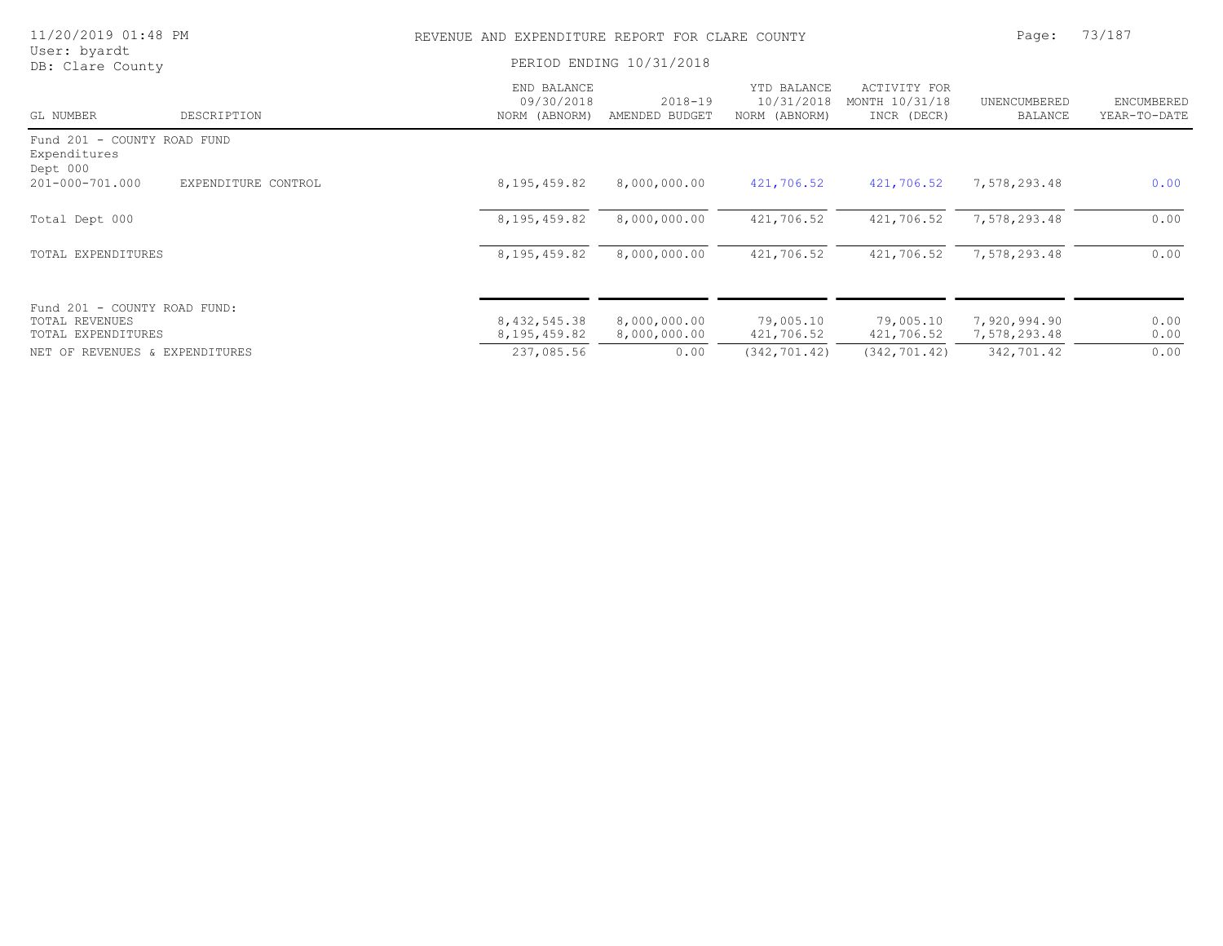| 11/20/2019 01:48 PM                                     | REVENUE AND EXPENDITURE REPORT FOR CLARE COUNTY |                               |                                            |                                               | Page:                      | 73/187                     |
|---------------------------------------------------------|-------------------------------------------------|-------------------------------|--------------------------------------------|-----------------------------------------------|----------------------------|----------------------------|
| User: byardt<br>DB: Clare County                        |                                                 | PERIOD ENDING 10/31/2018      |                                            |                                               |                            |                            |
| GL NUMBER<br>DESCRIPTION                                | END BALANCE<br>09/30/2018<br>NORM (ABNORM)      | $2018 - 19$<br>AMENDED BUDGET | YTD BALANCE<br>10/31/2018<br>NORM (ABNORM) | ACTIVITY FOR<br>MONTH 10/31/18<br>INCR (DECR) | UNENCUMBERED<br>BALANCE    | ENCUMBERED<br>YEAR-TO-DATE |
| Fund 201 - COUNTY ROAD FUND<br>Expenditures<br>Dept 000 |                                                 |                               |                                            |                                               |                            |                            |
| 201-000-701.000<br>EXPENDITURE CONTROL                  | 8, 195, 459.82                                  | 8,000,000.00                  | 421,706.52                                 | 421,706.52                                    | 7,578,293.48               | 0.00                       |
| Total Dept 000                                          | 8, 195, 459.82                                  | 8,000,000.00                  | 421,706.52                                 | 421,706.52                                    | 7,578,293.48               | 0.00                       |
| TOTAL EXPENDITURES                                      | 8, 195, 459.82                                  | 8,000,000.00                  | 421,706.52                                 | 421,706.52                                    | 7,578,293.48               | 0.00                       |
| Fund 201 - COUNTY ROAD FUND:<br>TOTAL REVENUES          | 8,432,545.38                                    | 8,000,000.00                  | 79,005.10                                  | 79,005.10                                     | 7,920,994.90               | 0.00                       |
| TOTAL EXPENDITURES<br>NET OF REVENUES & EXPENDITURES    | 8, 195, 459.82<br>237,085.56                    | 8,000,000.00<br>0.00          | 421,706.52<br>(342, 701, 42)               | 421,706.52<br>(342, 701.42)                   | 7,578,293.48<br>342,701.42 | 0.00<br>0.00               |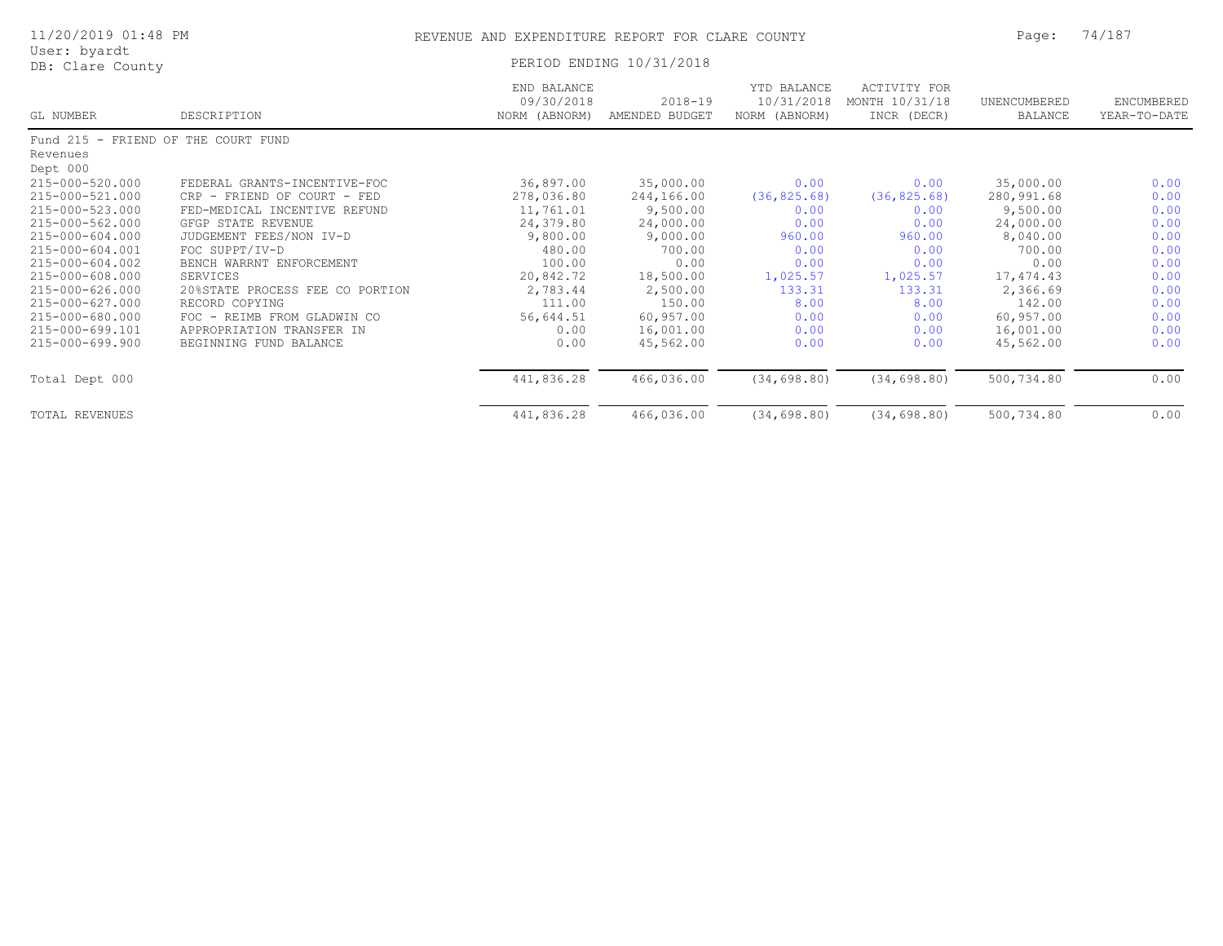| 11/20/2019 01:48 PM                 |                                 | REVENUE AND EXPENDITURE REPORT FOR CLARE COUNTY |                               |                                            |                                                      | Page:                          | 74/187                     |  |
|-------------------------------------|---------------------------------|-------------------------------------------------|-------------------------------|--------------------------------------------|------------------------------------------------------|--------------------------------|----------------------------|--|
| User: byardt<br>DB: Clare County    |                                 |                                                 | PERIOD ENDING 10/31/2018      |                                            |                                                      |                                |                            |  |
| GL NUMBER                           | DESCRIPTION                     | END BALANCE<br>09/30/2018<br>NORM (ABNORM)      | $2018 - 19$<br>AMENDED BUDGET | YTD BALANCE<br>10/31/2018<br>NORM (ABNORM) | <b>ACTIVITY FOR</b><br>MONTH 10/31/18<br>INCR (DECR) | UNENCUMBERED<br><b>BALANCE</b> | ENCUMBERED<br>YEAR-TO-DATE |  |
| Fund 215 - FRIEND OF THE COURT FUND |                                 |                                                 |                               |                                            |                                                      |                                |                            |  |
| Revenues                            |                                 |                                                 |                               |                                            |                                                      |                                |                            |  |
| Dept 000                            |                                 |                                                 |                               |                                            |                                                      |                                |                            |  |
| 215-000-520.000                     | FEDERAL GRANTS-INCENTIVE-FOC    | 36,897.00                                       | 35,000.00                     | 0.00                                       | 0.00                                                 | 35,000.00                      | 0.00                       |  |
| 215-000-521.000                     | CRP - FRIEND OF COURT - FED     | 278,036.80                                      | 244,166.00                    | (36, 825.68)                               | (36, 825.68)                                         | 280,991.68                     | 0.00                       |  |
| 215-000-523.000                     | FED-MEDICAL INCENTIVE REFUND    | 11,761.01                                       | 9,500.00                      | 0.00                                       | 0.00                                                 | 9,500.00                       | 0.00                       |  |
| 215-000-562.000                     | GFGP STATE REVENUE              | 24,379.80                                       | 24,000.00                     | 0.00                                       | 0.00                                                 | 24,000.00                      | 0.00                       |  |
| 215-000-604.000                     | JUDGEMENT FEES/NON IV-D         | 9,800.00                                        | 9,000.00                      | 960.00                                     | 960.00                                               | 8,040.00                       | 0.00                       |  |
| 215-000-604.001                     | FOC SUPPT/IV-D                  | 480.00                                          | 700.00                        | 0.00                                       | 0.00                                                 | 700.00                         | 0.00                       |  |
| 215-000-604.002                     | BENCH WARRNT ENFORCEMENT        | 100.00                                          | 0.00                          | 0.00                                       | 0.00                                                 | 0.00                           | 0.00                       |  |
| 215-000-608.000                     | <b>SERVICES</b>                 | 20,842.72                                       | 18,500.00                     | 1,025.57                                   | 1,025.57                                             | 17,474.43                      | 0.00                       |  |
| 215-000-626.000                     | 20%STATE PROCESS FEE CO PORTION | 2,783.44                                        | 2,500.00                      | 133.31                                     | 133.31                                               | 2,366.69                       | 0.00                       |  |
| 215-000-627.000                     | RECORD COPYING                  | 111.00                                          | 150.00                        | 8.00                                       | 8.00                                                 | 142.00                         | 0.00                       |  |
| 215-000-680.000                     | FOC - REIMB FROM GLADWIN CO     | 56,644.51                                       | 60,957.00                     | 0.00                                       | 0.00                                                 | 60,957.00                      | 0.00                       |  |
| 215-000-699.101                     | APPROPRIATION TRANSFER IN       | 0.00                                            | 16,001.00                     | 0.00                                       | 0.00                                                 | 16,001.00                      | 0.00                       |  |
| $215 - 000 - 699.900$               | BEGINNING FUND BALANCE          | 0.00                                            | 45,562.00                     | 0.00                                       | 0.00                                                 | 45,562.00                      | 0.00                       |  |
| Total Dept 000                      |                                 | 441,836.28                                      | 466,036.00                    | (34, 698.80)                               | (34, 698.80)                                         | 500,734.80                     | 0.00                       |  |
| <b>TOTAL REVENUES</b>               |                                 | 441,836.28                                      | 466,036.00                    | (34, 698.80)                               | (34, 698.80)                                         | 500,734.80                     | 0.00                       |  |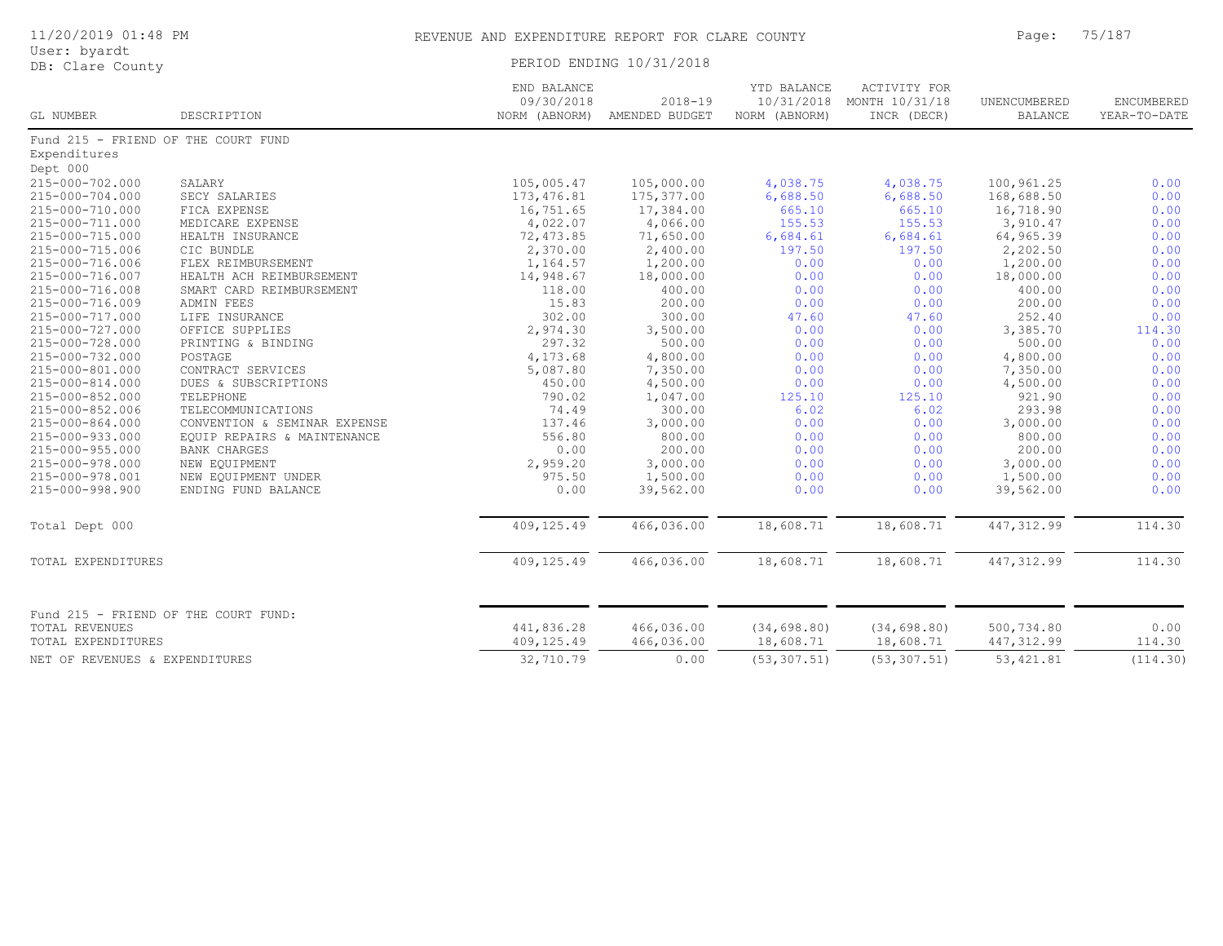| 11/20/2019 01:48 PM                  |                                      | REVENUE AND EXPENDITURE REPORT FOR CLARE COUNTY | 75/187<br>Page:               |                                            |                                               |                                |                                   |
|--------------------------------------|--------------------------------------|-------------------------------------------------|-------------------------------|--------------------------------------------|-----------------------------------------------|--------------------------------|-----------------------------------|
| User: byardt<br>DB: Clare County     |                                      |                                                 | PERIOD ENDING 10/31/2018      |                                            |                                               |                                |                                   |
| GL NUMBER                            | DESCRIPTION                          | END BALANCE<br>09/30/2018<br>NORM (ABNORM)      | $2018 - 19$<br>AMENDED BUDGET | YTD BALANCE<br>10/31/2018<br>NORM (ABNORM) | ACTIVITY FOR<br>MONTH 10/31/18<br>INCR (DECR) | UNENCUMBERED<br><b>BALANCE</b> | <b>ENCUMBERED</b><br>YEAR-TO-DATE |
|                                      | Fund 215 - FRIEND OF THE COURT FUND  |                                                 |                               |                                            |                                               |                                |                                   |
| Expenditures                         |                                      |                                                 |                               |                                            |                                               |                                |                                   |
| Dept 000                             |                                      |                                                 |                               |                                            |                                               |                                |                                   |
| 215-000-702.000                      | SALARY                               | 105,005.47                                      | 105,000.00                    | 4,038.75                                   | 4,038.75                                      | 100,961.25                     | 0.00                              |
| 215-000-704.000                      | SECY SALARIES                        | 173, 476.81                                     | 175, 377.00                   | 6,688.50                                   | 6,688.50                                      | 168,688.50                     | 0.00                              |
| 215-000-710.000                      | FICA EXPENSE                         | 16,751.65                                       | 17,384.00                     | 665.10                                     | 665.10                                        | 16,718.90                      | 0.00                              |
| 215-000-711.000                      | MEDICARE EXPENSE                     | 4,022.07                                        | 4,066.00                      | 155.53                                     | 155.53                                        | 3,910.47                       | 0.00                              |
| 215-000-715.000                      | HEALTH INSURANCE                     | 72,473.85                                       | 71,650.00                     | 6,684.61                                   | 6,684.61                                      | 64,965.39                      | 0.00                              |
| 215-000-715.006                      | CIC BUNDLE                           | 2,370.00                                        | 2,400.00                      | 197.50                                     | 197.50                                        | 2,202.50                       | 0.00                              |
| 215-000-716.006                      | FLEX REIMBURSEMENT                   | 1,164.57                                        | 1,200.00                      | 0.00                                       | 0.00                                          | 1,200.00                       | 0.00                              |
| 215-000-716.007                      | HEALTH ACH REIMBURSEMENT             | 14,948.67                                       | 18,000.00                     | 0.00                                       | 0.00                                          | 18,000.00                      | 0.00                              |
| 215-000-716.008                      | SMART CARD REIMBURSEMENT             | 118.00                                          | 400.00                        | 0.00                                       | 0.00                                          | 400.00                         | 0.00                              |
| 215-000-716.009                      | ADMIN FEES                           | 15.83                                           | 200.00                        | 0.00                                       | 0.00                                          | 200.00                         | 0.00                              |
| 215-000-717.000                      | LIFE INSURANCE                       | 302.00                                          | 300.00                        | 47.60                                      | 47.60                                         | 252.40                         | 0.00                              |
| 215-000-727.000                      | OFFICE SUPPLIES                      | 2,974.30                                        | 3,500.00                      | 0.00                                       | 0.00                                          | 3,385.70                       | 114.30                            |
| 215-000-728.000                      | PRINTING & BINDING                   | 297.32                                          | 500.00                        | 0.00                                       | 0.00                                          | 500.00                         | 0.00                              |
| 215-000-732.000                      | POSTAGE                              | 4,173.68                                        | 4,800.00                      | 0.00                                       | 0.00                                          | 4,800.00                       | 0.00                              |
| 215-000-801.000                      | CONTRACT SERVICES                    | 5,087.80                                        | 7,350.00                      | 0.00                                       | 0.00                                          | 7,350.00                       | 0.00                              |
| 215-000-814.000                      | DUES & SUBSCRIPTIONS                 | 450.00                                          | 4,500.00                      | 0.00                                       | 0.00                                          | 4,500.00                       | 0.00                              |
| 215-000-852.000                      | TELEPHONE                            | 790.02                                          | 1,047.00                      | 125.10                                     | 125.10                                        | 921.90                         | 0.00                              |
| 215-000-852.006                      | TELECOMMUNICATIONS                   | 74.49                                           | 300.00                        | 6.02                                       | 6.02                                          | 293.98                         | 0.00                              |
| 215-000-864.000                      | CONVENTION & SEMINAR EXPENSE         | 137.46                                          | 3,000.00                      | 0.00                                       | 0.00                                          | 3,000.00                       | 0.00                              |
| 215-000-933.000                      | EQUIP REPAIRS & MAINTENANCE          | 556.80                                          | 800.00                        | 0.00                                       | 0.00                                          | 800.00                         | 0.00                              |
| 215-000-955.000                      | BANK CHARGES                         | 0.00                                            | 200.00                        | 0.00                                       | 0.00                                          | 200.00                         | 0.00                              |
| 215-000-978.000                      | NEW EQUIPMENT                        | 2,959.20                                        | 3,000.00                      | 0.00                                       | 0.00                                          | 3,000.00                       | 0.00                              |
| 215-000-978.001                      | NEW EQUIPMENT UNDER                  | 975.50                                          | 1,500.00                      | 0.00                                       | 0.00                                          | 1,500.00                       | 0.00                              |
| 215-000-998.900                      | ENDING FUND BALANCE                  | 0.00                                            | 39,562.00                     | 0.00                                       | 0.00                                          | 39,562.00                      | 0.00                              |
| Total Dept 000                       |                                      | 409,125.49                                      | 466,036.00                    | 18,608.71                                  | 18,608.71                                     | 447, 312.99                    | 114.30                            |
| TOTAL EXPENDITURES                   |                                      | 409,125.49                                      | 466,036.00                    | 18,608.71                                  | 18,608.71                                     | 447, 312.99                    | 114.30                            |
| TOTAL REVENUES<br>TOTAL EXPENDITURES | Fund 215 - FRIEND OF THE COURT FUND: | 441,836.28<br>409,125.49                        | 466,036.00<br>466,036.00      | (34, 698.80)<br>18,608.71                  | (34, 698.80)<br>18,608.71                     | 500,734.80<br>447, 312.99      | 0.00<br>114.30                    |
| NET OF REVENUES & EXPENDITURES       |                                      | 32,710.79                                       | 0.00                          | (53, 307.51)                               | (53, 307.51)                                  | 53, 421.81                     | (114.30)                          |
|                                      |                                      |                                                 |                               |                                            |                                               |                                |                                   |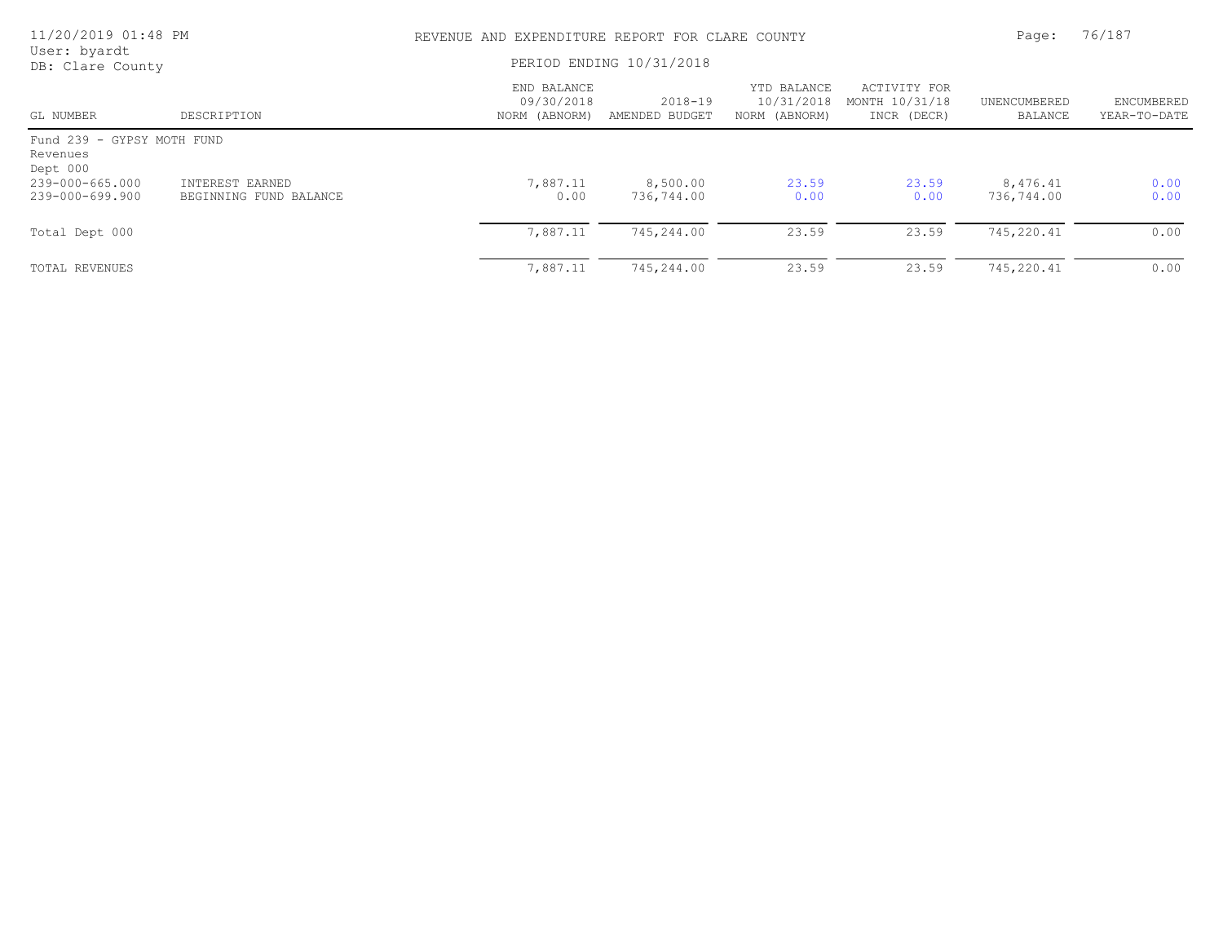| 11/20/2019 01:48 PM<br>User: byardt<br>DB: Clare County |                                           | REVENUE AND EXPENDITURE REPORT FOR CLARE COUNTY |                               |                                            |                                               | Page:                   | 76/187                     |  |
|---------------------------------------------------------|-------------------------------------------|-------------------------------------------------|-------------------------------|--------------------------------------------|-----------------------------------------------|-------------------------|----------------------------|--|
|                                                         |                                           | PERIOD ENDING 10/31/2018                        |                               |                                            |                                               |                         |                            |  |
| GL NUMBER                                               | DESCRIPTION                               | END BALANCE<br>09/30/2018<br>NORM (ABNORM)      | $2018 - 19$<br>AMENDED BUDGET | YTD BALANCE<br>10/31/2018<br>NORM (ABNORM) | ACTIVITY FOR<br>MONTH 10/31/18<br>INCR (DECR) | UNENCUMBERED<br>BALANCE | ENCUMBERED<br>YEAR-TO-DATE |  |
| Fund 239 - GYPSY MOTH FUND<br>Revenues<br>Dept 000      |                                           |                                                 |                               |                                            |                                               |                         |                            |  |
| 239-000-665.000<br>239-000-699.900                      | INTEREST EARNED<br>BEGINNING FUND BALANCE | 7,887.11<br>0.00                                | 8,500.00<br>736,744.00        | 23.59<br>0.00                              | 23.59<br>0.00                                 | 8,476.41<br>736,744.00  | 0.00<br>0.00               |  |
| Total Dept 000                                          |                                           | 7,887.11                                        | 745,244.00                    | 23.59                                      | 23.59                                         | 745,220.41              | 0.00                       |  |
| TOTAL REVENUES                                          |                                           | 7,887.11                                        | 745,244.00                    | 23.59                                      | 23.59                                         | 745,220.41              | 0.00                       |  |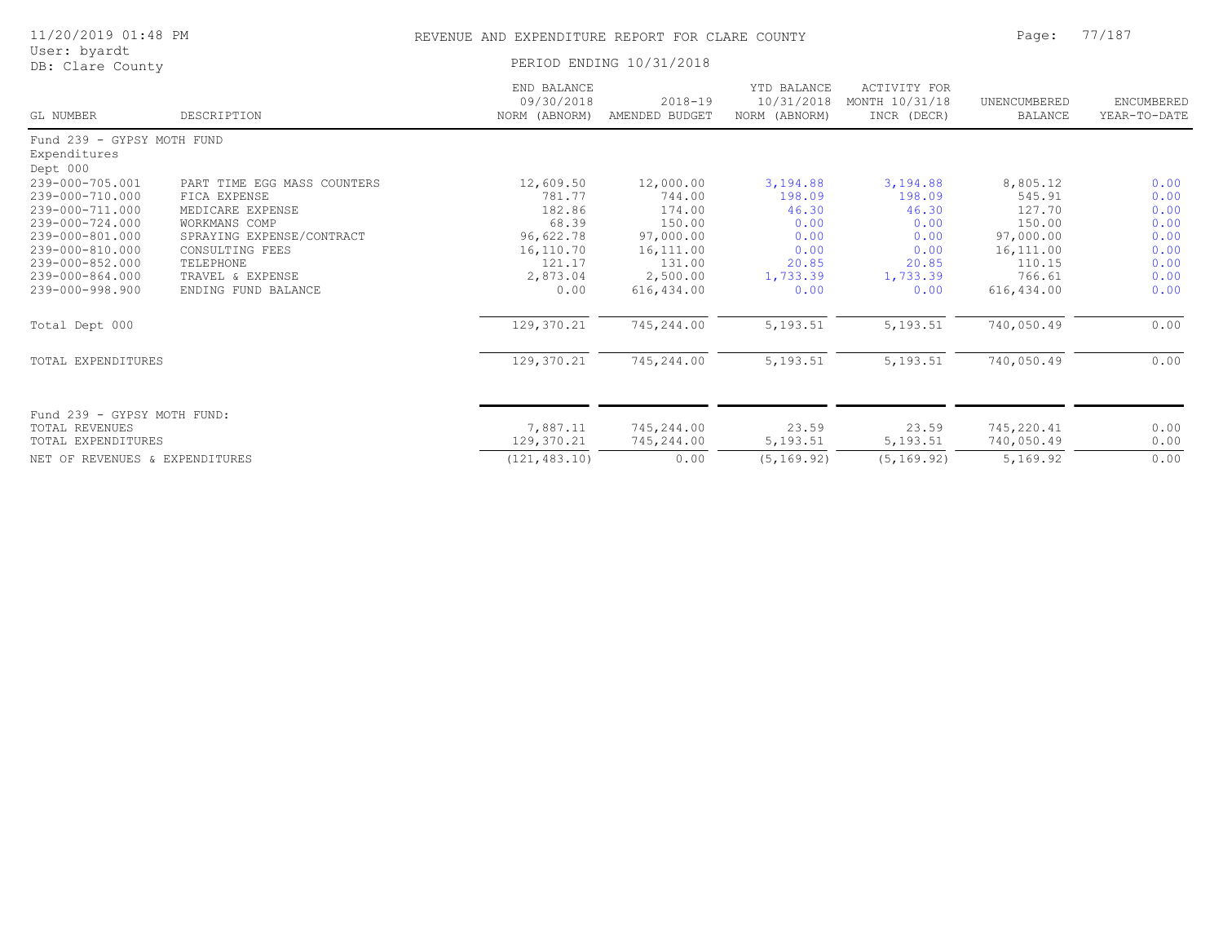| 11/20/2019 01:48 PM                                                                                                                                                                                   |                                                                                                                                                                                          | REVENUE AND EXPENDITURE REPORT FOR CLARE COUNTY                                                              | Page:                                                                                                                 | 77/187                                                                                       |                                                                                              |                                                                                                                   |                                                                              |  |
|-------------------------------------------------------------------------------------------------------------------------------------------------------------------------------------------------------|------------------------------------------------------------------------------------------------------------------------------------------------------------------------------------------|--------------------------------------------------------------------------------------------------------------|-----------------------------------------------------------------------------------------------------------------------|----------------------------------------------------------------------------------------------|----------------------------------------------------------------------------------------------|-------------------------------------------------------------------------------------------------------------------|------------------------------------------------------------------------------|--|
| User: byardt<br>DB: Clare County                                                                                                                                                                      |                                                                                                                                                                                          |                                                                                                              | PERIOD ENDING 10/31/2018                                                                                              |                                                                                              |                                                                                              |                                                                                                                   |                                                                              |  |
| GL NUMBER                                                                                                                                                                                             | DESCRIPTION                                                                                                                                                                              | END BALANCE<br>09/30/2018<br>NORM (ABNORM)                                                                   | $2018 - 19$<br>AMENDED BUDGET                                                                                         | YTD BALANCE<br>10/31/2018<br>NORM (ABNORM)                                                   | ACTIVITY FOR<br>MONTH 10/31/18<br>INCR (DECR)                                                | UNENCUMBERED<br><b>BALANCE</b>                                                                                    | ENCUMBERED<br>YEAR-TO-DATE                                                   |  |
| Fund 239 - GYPSY MOTH FUND                                                                                                                                                                            |                                                                                                                                                                                          |                                                                                                              |                                                                                                                       |                                                                                              |                                                                                              |                                                                                                                   |                                                                              |  |
| Expenditures                                                                                                                                                                                          |                                                                                                                                                                                          |                                                                                                              |                                                                                                                       |                                                                                              |                                                                                              |                                                                                                                   |                                                                              |  |
| Dept 000<br>239-000-705.001<br>239-000-710.000<br>239-000-711.000<br>239-000-724.000<br>239-000-801.000<br>239-000-810.000<br>239-000-852.000<br>239-000-864.000<br>239-000-998.900<br>Total Dept 000 | PART TIME EGG MASS COUNTERS<br>FICA EXPENSE<br>MEDICARE EXPENSE<br>WORKMANS COMP<br>SPRAYING EXPENSE/CONTRACT<br>CONSULTING FEES<br>TELEPHONE<br>TRAVEL & EXPENSE<br>ENDING FUND BALANCE | 12,609.50<br>781.77<br>182.86<br>68.39<br>96,622.78<br>16,110.70<br>121.17<br>2,873.04<br>0.00<br>129,370.21 | 12,000.00<br>744.00<br>174.00<br>150.00<br>97,000.00<br>16, 111.00<br>131.00<br>2,500.00<br>616, 434.00<br>745,244.00 | 3,194.88<br>198.09<br>46.30<br>0.00<br>0.00<br>0.00<br>20.85<br>1,733.39<br>0.00<br>5,193.51 | 3,194.88<br>198.09<br>46.30<br>0.00<br>0.00<br>0.00<br>20.85<br>1,733.39<br>0.00<br>5,193.51 | 8,805.12<br>545.91<br>127.70<br>150.00<br>97,000.00<br>16, 111.00<br>110.15<br>766.61<br>616,434.00<br>740,050.49 | 0.00<br>0.00<br>0.00<br>0.00<br>0.00<br>0.00<br>0.00<br>0.00<br>0.00<br>0.00 |  |
|                                                                                                                                                                                                       |                                                                                                                                                                                          |                                                                                                              |                                                                                                                       |                                                                                              |                                                                                              |                                                                                                                   |                                                                              |  |
| TOTAL EXPENDITURES                                                                                                                                                                                    |                                                                                                                                                                                          | 129,370.21                                                                                                   | 745,244.00                                                                                                            | 5,193.51                                                                                     | 5,193.51                                                                                     | 740,050.49                                                                                                        | 0.00                                                                         |  |
| Fund 239 - GYPSY MOTH FUND:<br><b>TOTAL REVENUES</b><br>TOTAL EXPENDITURES                                                                                                                            |                                                                                                                                                                                          | 7,887.11<br>129,370.21                                                                                       | 745,244.00<br>745,244.00                                                                                              | 23.59<br>5,193.51                                                                            | 23.59<br>5,193.51                                                                            | 745,220.41<br>740,050.49                                                                                          | 0.00<br>0.00                                                                 |  |
| NET OF REVENUES & EXPENDITURES                                                                                                                                                                        |                                                                                                                                                                                          | (121, 483, 10)                                                                                               | 0.00                                                                                                                  | (5, 169.92)                                                                                  | (5, 169.92)                                                                                  | 5,169.92                                                                                                          | 0.00                                                                         |  |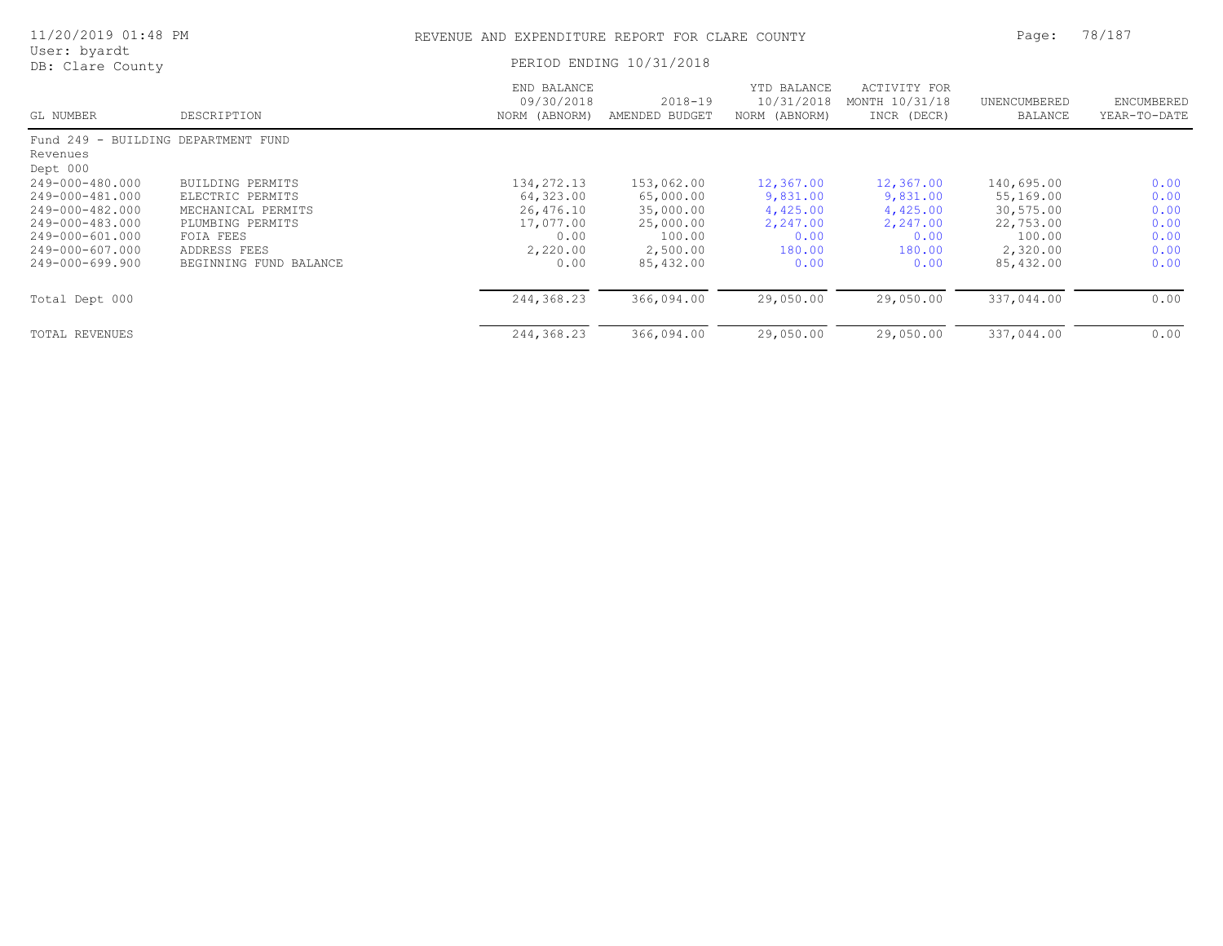| 11/20/2019 01:48 PM              |                          | REVENUE AND EXPENDITURE REPORT FOR CLARE COUNTY |                               |                                            |                                               | Page:                   | 78/187                     |  |
|----------------------------------|--------------------------|-------------------------------------------------|-------------------------------|--------------------------------------------|-----------------------------------------------|-------------------------|----------------------------|--|
| User: byardt<br>DB: Clare County |                          |                                                 | PERIOD ENDING 10/31/2018      |                                            |                                               |                         |                            |  |
| GL NUMBER                        | DESCRIPTION              | END BALANCE<br>09/30/2018<br>NORM (ABNORM)      | $2018 - 19$<br>AMENDED BUDGET | YTD BALANCE<br>10/31/2018<br>NORM (ABNORM) | ACTIVITY FOR<br>MONTH 10/31/18<br>INCR (DECR) | UNENCUMBERED<br>BALANCE | ENCUMBERED<br>YEAR-TO-DATE |  |
| Fund $249 -$                     | BUILDING DEPARTMENT FUND |                                                 |                               |                                            |                                               |                         |                            |  |
| Revenues<br>Dept 000             |                          |                                                 |                               |                                            |                                               |                         |                            |  |
| 249-000-480.000                  | BUILDING PERMITS         | 134, 272. 13                                    | 153,062.00                    | 12,367.00                                  | 12,367.00                                     | 140,695.00              | 0.00                       |  |
| 249-000-481.000                  | ELECTRIC PERMITS         | 64,323.00                                       | 65,000.00                     | 9,831.00                                   | 9,831.00                                      | 55,169.00               | 0.00                       |  |
| 249-000-482.000                  | MECHANICAL PERMITS       | 26,476.10                                       | 35,000.00                     | 4,425.00                                   | 4,425.00                                      | 30,575.00               | 0.00                       |  |
| 249-000-483.000                  | PLUMBING PERMITS         | 17,077.00                                       | 25,000.00                     | 2,247.00                                   | 2,247.00                                      | 22,753.00               | 0.00                       |  |
| 249-000-601.000                  | FOIA FEES                | 0.00                                            | 100.00                        | 0.00                                       | 0.00                                          | 100.00                  | 0.00                       |  |
| 249-000-607.000                  | ADDRESS FEES             | 2,220.00                                        | 2,500.00                      | 180.00                                     | 180.00                                        | 2,320.00                | 0.00                       |  |
| 249-000-699.900                  | BEGINNING FUND BALANCE   | 0.00                                            | 85,432.00                     | 0.00                                       | 0.00                                          | 85,432.00               | 0.00                       |  |
| Total Dept 000                   |                          | 244,368.23                                      | 366,094.00                    | 29,050.00                                  | 29,050.00                                     | 337,044.00              | 0.00                       |  |
| TOTAL REVENUES                   |                          | 244,368.23                                      | 366,094.00                    | 29,050.00                                  | 29,050.00                                     | 337,044.00              | 0.00                       |  |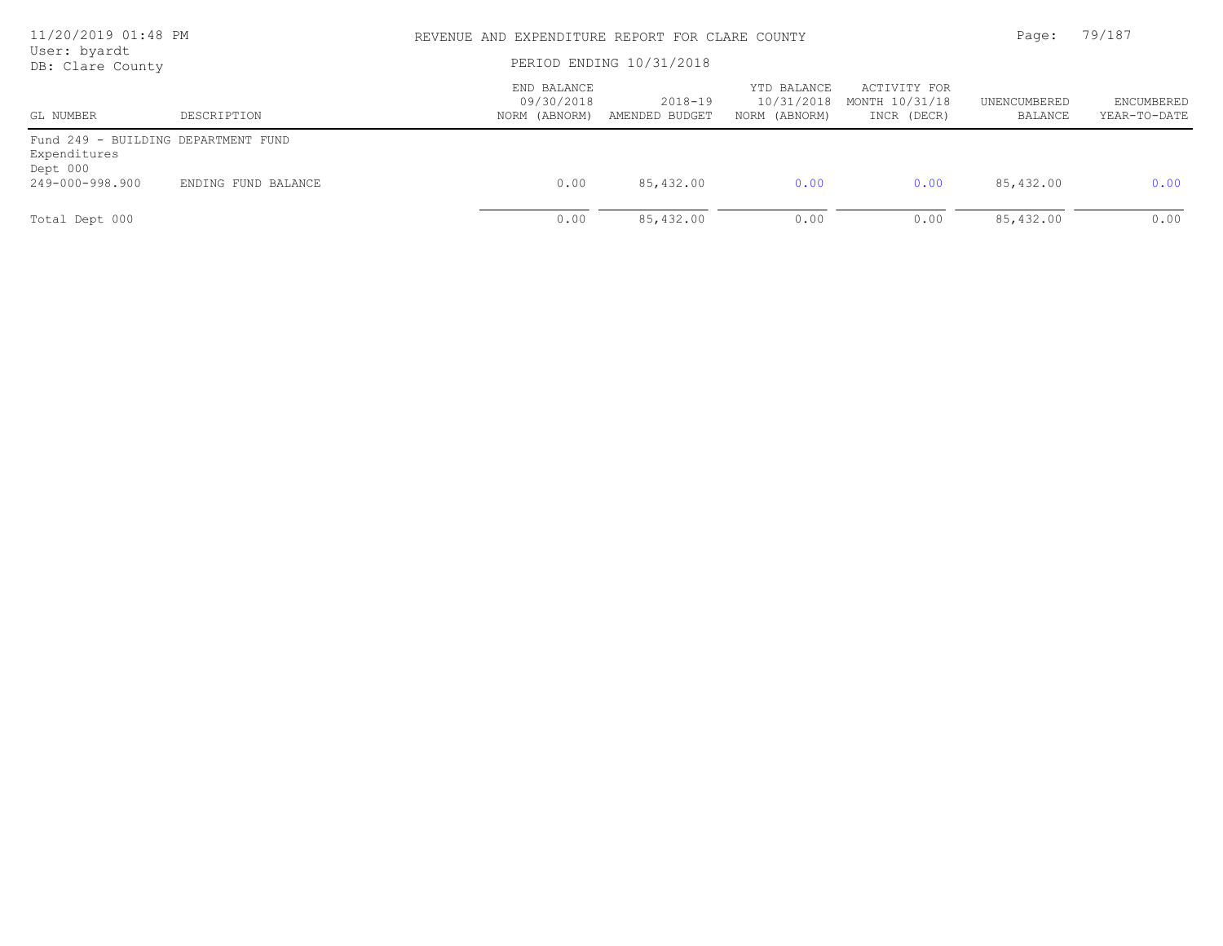| 11/20/2019 01:48 PM<br>User: byardt                                                |                     |                                            | REVENUE AND EXPENDITURE REPORT FOR CLARE COUNTY<br>PERIOD ENDING 10/31/2018 |                                            |                                               |                         |                            |
|------------------------------------------------------------------------------------|---------------------|--------------------------------------------|-----------------------------------------------------------------------------|--------------------------------------------|-----------------------------------------------|-------------------------|----------------------------|
| DB: Clare County<br>GL NUMBER                                                      | DESCRIPTION         | END BALANCE<br>09/30/2018<br>NORM (ABNORM) | 2018-19<br>AMENDED BUDGET                                                   | YTD BALANCE<br>10/31/2018<br>NORM (ABNORM) | ACTIVITY FOR<br>MONTH 10/31/18<br>INCR (DECR) | UNENCUMBERED<br>BALANCE | ENCUMBERED<br>YEAR-TO-DATE |
| Fund 249 - BUILDING DEPARTMENT FUND<br>Expenditures<br>Dept 000<br>249-000-998.900 | ENDING FUND BALANCE | 0.00                                       | 85,432.00                                                                   | 0.00                                       | 0.00                                          | 85,432.00               | 0.00                       |
| Total Dept 000                                                                     |                     | 0.00                                       | 85,432.00                                                                   | 0.00                                       | 0.00                                          | 85,432.00               | 0.00                       |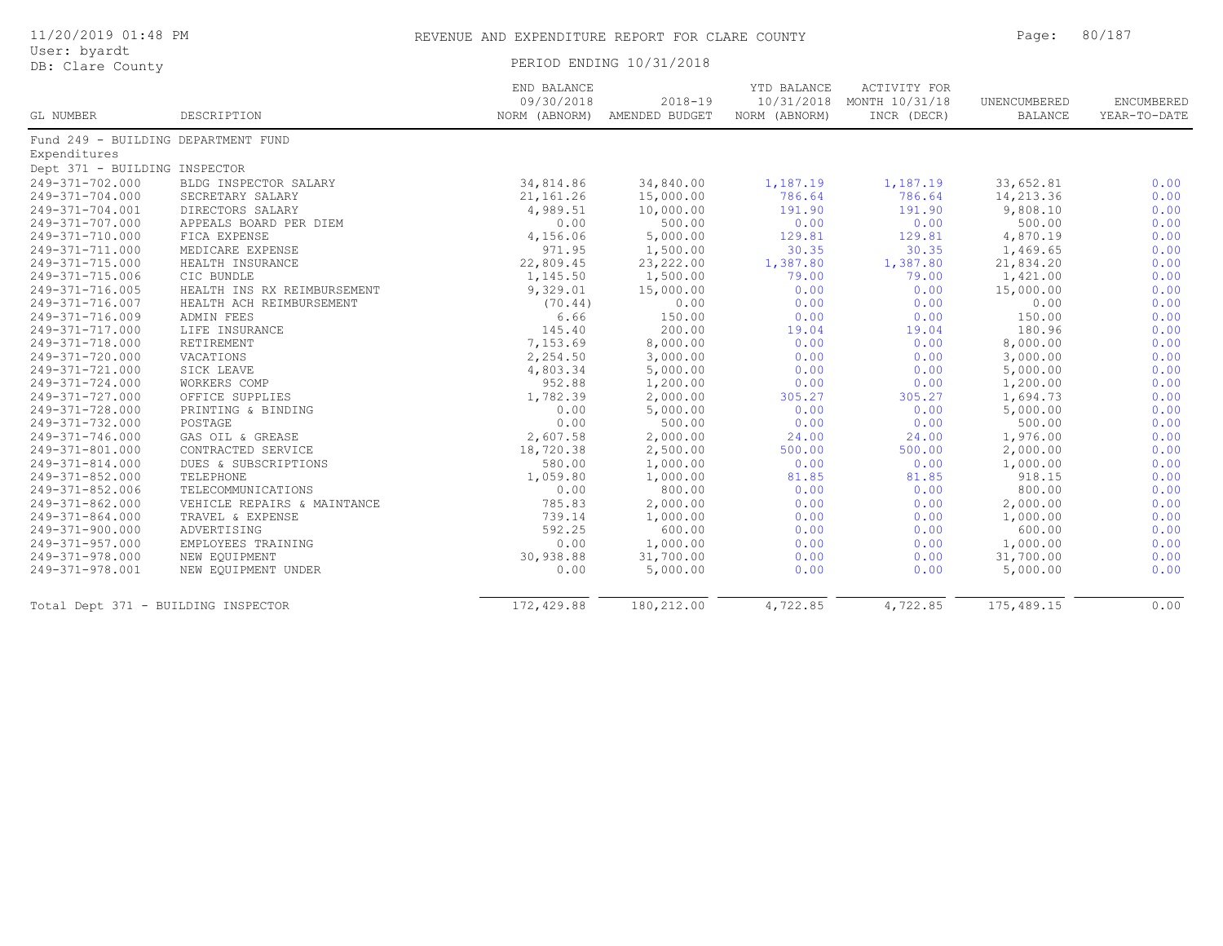|  | 11/20/2019 01:48 PM |  |
|--|---------------------|--|
|  |                     |  |

# User: byardt<br>DB: Clare County

|                                     |                             | END BALANCE<br>09/30/2018 | $2018 - 19$                  | YTD BALANCE   | ACTIVITY FOR<br>10/31/2018 MONTH 10/31/18 | UNENCUMBERED   | ENCUMBERED   |
|-------------------------------------|-----------------------------|---------------------------|------------------------------|---------------|-------------------------------------------|----------------|--------------|
| GL NUMBER                           | DESCRIPTION                 |                           | NORM (ABNORM) AMENDED BUDGET | NORM (ABNORM) | INCR (DECR)                               | <b>BALANCE</b> | YEAR-TO-DATE |
| Fund 249 - BUILDING DEPARTMENT FUND |                             |                           |                              |               |                                           |                |              |
| Expenditures                        |                             |                           |                              |               |                                           |                |              |
| Dept 371 - BUILDING INSPECTOR       |                             |                           |                              |               |                                           |                |              |
| 249-371-702.000                     | BLDG INSPECTOR SALARY       | 34,814.86                 | 34,840.00                    | 1,187.19      | 1,187.19                                  | 33,652.81      | 0.00         |
| 249-371-704.000                     | SECRETARY SALARY            | 21, 161. 26               | 15,000.00                    | 786.64        | 786.64                                    | 14,213.36      | 0.00         |
| 249-371-704.001                     | DIRECTORS SALARY            | 4,989.51                  | 10,000.00                    | 191.90        | 191.90                                    | 9,808.10       | 0.00         |
| 249-371-707.000                     | APPEALS BOARD PER DIEM      | 0.00                      | 500.00                       | 0.00          | 0.00                                      | 500.00         | 0.00         |
| 249-371-710.000                     | FICA EXPENSE                | 4,156.06                  | 5,000.00                     | 129.81        | 129.81                                    | 4,870.19       | 0.00         |
| 249-371-711.000                     | MEDICARE EXPENSE            | 971.95                    | 1,500.00                     | 30.35         | 30.35                                     | 1,469.65       | 0.00         |
| 249-371-715.000                     | HEALTH INSURANCE            | 22,809.45                 | 23, 222.00                   | 1,387.80      | 1,387.80                                  | 21,834.20      | 0.00         |
| 249-371-715.006                     | CIC BUNDLE                  | 1,145.50                  | 1,500.00                     | 79.00         | 79.00                                     | 1,421.00       | 0.00         |
| 249-371-716.005                     | HEALTH INS RX REIMBURSEMENT | 9,329.01                  | 15,000.00                    | 0.00          | 0.00                                      | 15,000.00      | 0.00         |
| 249-371-716.007                     | HEALTH ACH REIMBURSEMENT    | (70.44)                   | 0.00                         | 0.00          | 0.00                                      | 0.00           | 0.00         |
| 249-371-716.009                     | ADMIN FEES                  | 6.66                      | 150.00                       | 0.00          | 0.00                                      | 150.00         | 0.00         |
| 249-371-717.000                     | LIFE INSURANCE              | 145.40                    | 200.00                       | 19.04         | 19.04                                     | 180.96         | 0.00         |
| 249-371-718.000                     | RETIREMENT                  | 7,153.69                  | 8,000.00                     | 0.00          | 0.00                                      | 8,000.00       | 0.00         |
| 249-371-720.000                     | VACATIONS                   | 2,254.50                  | 3,000.00                     | 0.00          | 0.00                                      | 3,000.00       | 0.00         |
| 249-371-721.000                     | SICK LEAVE                  | 4,803.34                  | 5,000.00                     | 0.00          | 0.00                                      | 5,000.00       | 0.00         |
| 249-371-724.000                     | WORKERS COMP                | 952.88                    | 1,200.00                     | 0.00          | 0.00                                      | 1,200.00       | 0.00         |
| 249-371-727.000                     | OFFICE SUPPLIES             | 1,782.39                  | 2,000.00                     | 305.27        | 305.27                                    | 1,694.73       | 0.00         |
| 249-371-728.000                     | PRINTING & BINDING          | 0.00                      | 5,000.00                     | 0.00          | 0.00                                      | 5,000.00       | 0.00         |
| 249-371-732.000                     | POSTAGE                     | 0.00                      | 500.00                       | 0.00          | 0.00                                      | 500.00         | 0.00         |
| 249-371-746.000                     | GAS OIL & GREASE            | 2,607.58                  | 2,000.00                     | 24.00         | 24.00                                     | 1,976.00       | 0.00         |
| 249-371-801.000                     | CONTRACTED SERVICE          | 18,720.38                 | 2,500.00                     | 500.00        | 500.00                                    | 2,000.00       | 0.00         |
| 249-371-814.000                     | DUES & SUBSCRIPTIONS        | 580.00                    | 1,000.00                     | 0.00          | 0.00                                      | 1,000.00       | 0.00         |
| 249-371-852.000                     | TELEPHONE                   | 1,059.80                  | 1,000.00                     | 81.85         | 81.85                                     | 918.15         | 0.00         |
| 249-371-852.006                     | TELECOMMUNICATIONS          | 0.00                      | 800.00                       | 0.00          | 0.00                                      | 800.00         | 0.00         |
| 249-371-862.000                     | VEHICLE REPAIRS & MAINTANCE | 785.83                    | 2,000.00                     | 0.00          | 0.00                                      | 2,000.00       | 0.00         |
| 249-371-864.000                     | TRAVEL & EXPENSE            | 739.14                    | 1,000.00                     | 0.00          | 0.00                                      | 1,000.00       | 0.00         |
| 249-371-900.000                     | ADVERTISING                 | 592.25                    | 600.00                       | 0.00          | 0.00                                      | 600.00         | 0.00         |
| 249-371-957.000                     | EMPLOYEES TRAINING          | 0.00                      | 1,000.00                     | 0.00          | 0.00                                      | 1,000.00       | 0.00         |
| 249-371-978.000                     | NEW EOUIPMENT               | 30,938.88                 | 31,700.00                    | 0.00          | 0.00                                      | 31,700.00      | 0.00         |
| 249-371-978.001                     | NEW EQUIPMENT UNDER         | 0.00                      | 5,000.00                     | 0.00          | 0.00                                      | 5,000.00       | 0.00         |
| Total Dept 371 - BUILDING INSPECTOR |                             | 172,429.88                | 180,212.00                   | 4,722.85      | 4,722.85                                  | 175,489.15     | 0.00         |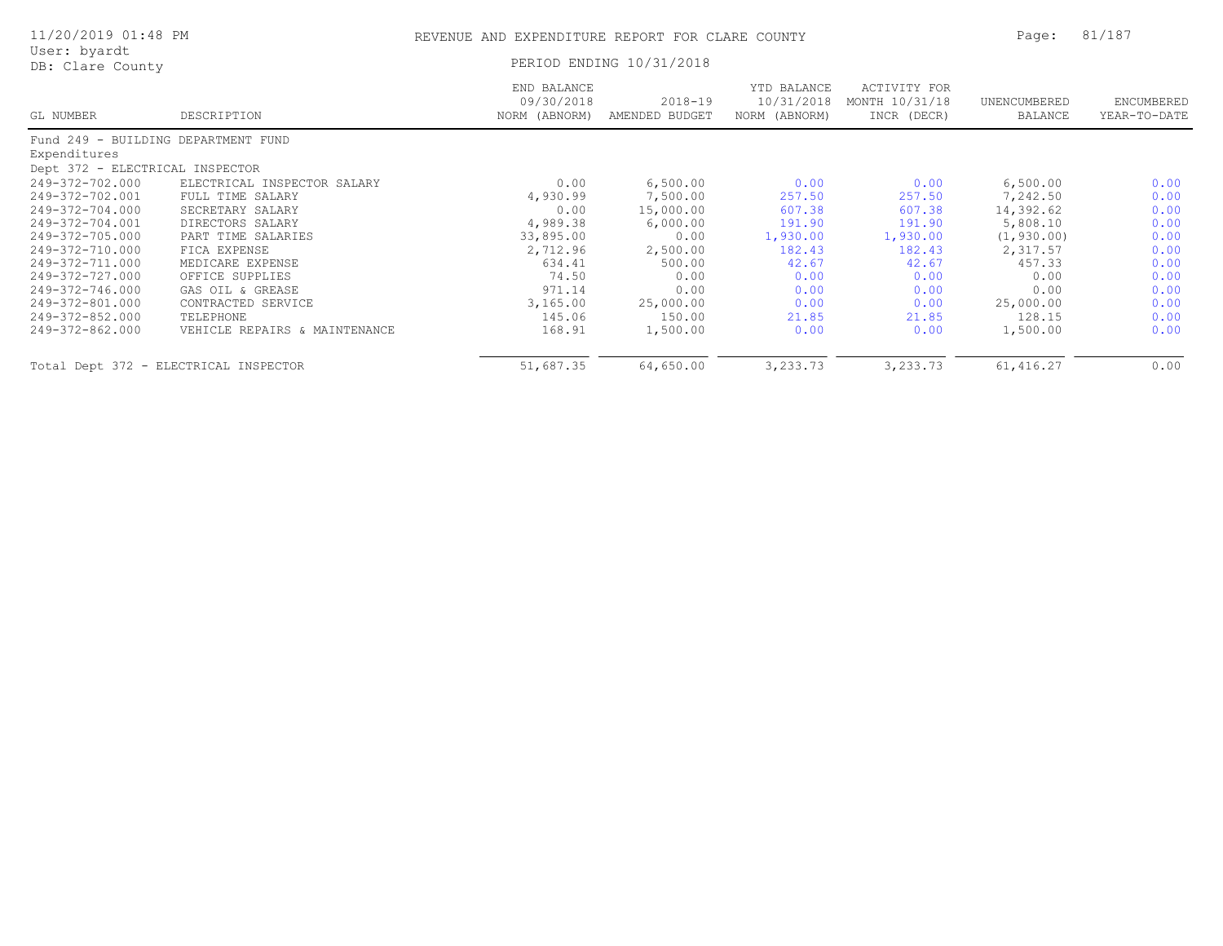| 11/20/2019 01:48 PM                 |                                       | REVENUE AND EXPENDITURE REPORT FOR CLARE COUNTY |                               |                                            |                                               | Page:                   | 81/187                     |  |
|-------------------------------------|---------------------------------------|-------------------------------------------------|-------------------------------|--------------------------------------------|-----------------------------------------------|-------------------------|----------------------------|--|
| User: byardt<br>DB: Clare County    |                                       |                                                 | PERIOD ENDING 10/31/2018      |                                            |                                               |                         |                            |  |
| GL NUMBER                           | DESCRIPTION                           | END BALANCE<br>09/30/2018<br>NORM (ABNORM)      | $2018 - 19$<br>AMENDED BUDGET | YTD BALANCE<br>10/31/2018<br>NORM (ABNORM) | ACTIVITY FOR<br>MONTH 10/31/18<br>INCR (DECR) | UNENCUMBERED<br>BALANCE | ENCUMBERED<br>YEAR-TO-DATE |  |
| Fund 249 - BUILDING DEPARTMENT FUND |                                       |                                                 |                               |                                            |                                               |                         |                            |  |
| Expenditures                        |                                       |                                                 |                               |                                            |                                               |                         |                            |  |
| Dept 372 - ELECTRICAL INSPECTOR     |                                       |                                                 |                               |                                            |                                               |                         |                            |  |
| 249-372-702.000                     | ELECTRICAL INSPECTOR SALARY           | 0.00                                            | 6,500.00                      | 0.00                                       | 0.00                                          | 6,500.00                | 0.00                       |  |
| 249-372-702.001                     | FULL TIME SALARY                      | 4,930.99                                        | 7,500.00                      | 257.50                                     | 257.50                                        | 7,242.50                | 0.00                       |  |
| 249-372-704.000                     | SECRETARY SALARY                      | 0.00                                            | 15,000.00                     | 607.38                                     | 607.38                                        | 14,392.62               | 0.00                       |  |
| 249-372-704.001                     | DIRECTORS SALARY                      | 4,989.38                                        | 6,000.00                      | 191.90                                     | 191.90                                        | 5,808.10                | 0.00                       |  |
| 249-372-705.000                     | PART TIME SALARIES                    | 33,895.00                                       | 0.00                          | 1,930.00                                   | 1,930.00                                      | (1, 930.00)             | 0.00                       |  |
| 249-372-710.000                     | FICA EXPENSE                          | 2,712.96                                        | 2,500.00                      | 182.43                                     | 182.43                                        | 2,317.57                | 0.00                       |  |
| 249-372-711.000                     | MEDICARE EXPENSE                      | 634.41                                          | 500.00                        | 42.67                                      | 42.67                                         | 457.33                  | 0.00                       |  |
| 249-372-727.000                     | OFFICE SUPPLIES                       | 74.50                                           | 0.00                          | 0.00                                       | 0.00                                          | 0.00                    | 0.00                       |  |
| 249-372-746.000                     | GAS OIL & GREASE                      | 971.14                                          | 0.00                          | 0.00                                       | 0.00                                          | 0.00                    | 0.00                       |  |
| 249-372-801.000                     | CONTRACTED SERVICE                    | 3,165.00                                        | 25,000.00                     | 0.00                                       | 0.00                                          | 25,000.00               | 0.00                       |  |
| 249-372-852.000                     | TELEPHONE                             | 145.06                                          | 150.00                        | 21.85                                      | 21.85                                         | 128.15                  | 0.00                       |  |
| 249-372-862.000                     | VEHICLE REPAIRS & MAINTENANCE         | 168.91                                          | 1,500.00                      | 0.00                                       | 0.00                                          | 1,500.00                | 0.00                       |  |
|                                     | Total Dept 372 - ELECTRICAL INSPECTOR | 51,687.35                                       | 64,650.00                     | 3,233.73                                   | 3,233.73                                      | 61, 416.27              | 0.00                       |  |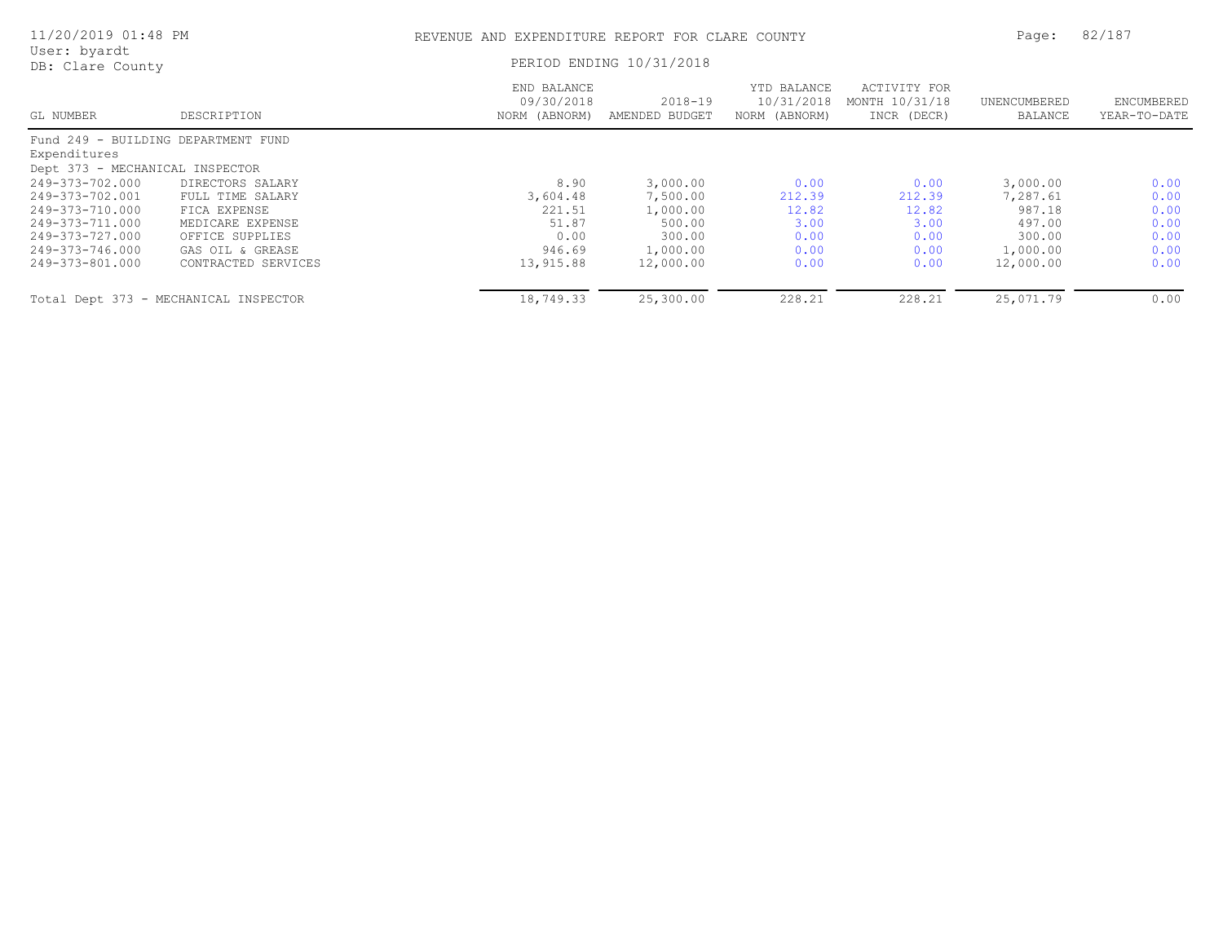| 11/20/2019 01:48 PM                 |                                       | REVENUE AND EXPENDITURE REPORT FOR CLARE COUNTY |                               |                                            |                                               | Page:                   | 82/187                     |
|-------------------------------------|---------------------------------------|-------------------------------------------------|-------------------------------|--------------------------------------------|-----------------------------------------------|-------------------------|----------------------------|
| User: byardt<br>DB: Clare County    |                                       |                                                 | PERIOD ENDING 10/31/2018      |                                            |                                               |                         |                            |
| GL NUMBER                           | DESCRIPTION                           | END BALANCE<br>09/30/2018<br>NORM (ABNORM)      | $2018 - 19$<br>AMENDED BUDGET | YTD BALANCE<br>10/31/2018<br>NORM (ABNORM) | ACTIVITY FOR<br>MONTH 10/31/18<br>INCR (DECR) | UNENCUMBERED<br>BALANCE | ENCUMBERED<br>YEAR-TO-DATE |
| Fund 249 - BUILDING DEPARTMENT FUND |                                       |                                                 |                               |                                            |                                               |                         |                            |
| Expenditures                        |                                       |                                                 |                               |                                            |                                               |                         |                            |
| Dept 373 - MECHANICAL INSPECTOR     |                                       |                                                 |                               |                                            |                                               |                         |                            |
| 249-373-702.000                     | DIRECTORS SALARY                      | 8.90                                            | 3,000.00                      | 0.00                                       | 0.00                                          | 3,000.00                | 0.00                       |
| 249-373-702.001                     | FULL TIME SALARY                      | 3,604.48                                        | 7,500.00                      | 212.39                                     | 212.39                                        | 7,287.61                | 0.00                       |
| 249-373-710.000                     | FICA EXPENSE                          | 221.51                                          | 1,000.00                      | 12.82                                      | 12.82                                         | 987.18                  | 0.00                       |
| 249-373-711.000                     | MEDICARE EXPENSE                      | 51.87                                           | 500.00                        | 3.00                                       | 3.00                                          | 497.00                  | 0.00                       |
| 249-373-727.000                     | OFFICE SUPPLIES                       | 0.00                                            | 300.00                        | 0.00                                       | 0.00                                          | 300.00                  | 0.00                       |
| 249-373-746.000                     | GAS OIL & GREASE                      | 946.69                                          | 1,000.00                      | 0.00                                       | 0.00                                          | 1,000.00                | 0.00                       |
| 249-373-801.000                     | CONTRACTED SERVICES                   | 13,915.88                                       | 12,000.00                     | 0.00                                       | 0.00                                          | 12,000.00               | 0.00                       |
|                                     | Total Dept 373 - MECHANICAL INSPECTOR | 18,749.33                                       | 25,300.00                     | 228.21                                     | 228.21                                        | 25,071.79               | 0.00                       |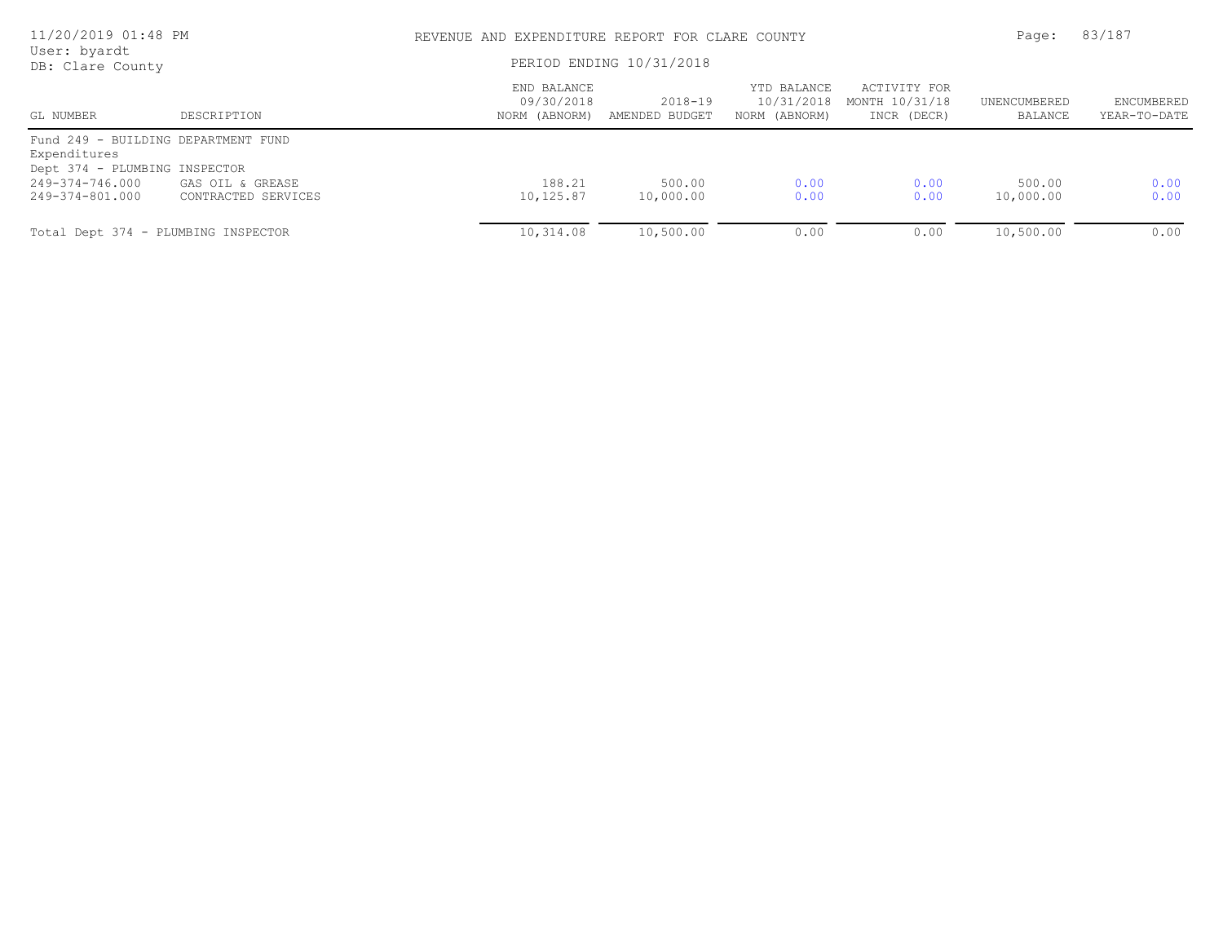| 11/20/2019 01:48 PM                           |                     |                                            | REVENUE AND EXPENDITURE REPORT FOR CLARE COUNTY |                                            |                                               |                         |                            |
|-----------------------------------------------|---------------------|--------------------------------------------|-------------------------------------------------|--------------------------------------------|-----------------------------------------------|-------------------------|----------------------------|
| User: byardt<br>DB: Clare County              |                     | PERIOD ENDING 10/31/2018                   |                                                 |                                            |                                               |                         |                            |
| GL NUMBER                                     | DESCRIPTION         | END BALANCE<br>09/30/2018<br>NORM (ABNORM) | 2018-19<br>AMENDED BUDGET                       | YTD BALANCE<br>10/31/2018<br>NORM (ABNORM) | ACTIVITY FOR<br>MONTH 10/31/18<br>INCR (DECR) | UNENCUMBERED<br>BALANCE | ENCUMBERED<br>YEAR-TO-DATE |
| Fund 249 - BUILDING DEPARTMENT FUND           |                     |                                            |                                                 |                                            |                                               |                         |                            |
| Expenditures<br>Dept 374 - PLUMBING INSPECTOR |                     |                                            |                                                 |                                            |                                               |                         |                            |
| 249-374-746.000                               | GAS OIL & GREASE    | 188.21                                     | 500.00                                          | 0.00                                       | 0.00                                          | 500.00                  | 0.00                       |
| 249-374-801.000                               | CONTRACTED SERVICES | 10,125.87                                  | 10,000.00                                       | 0.00                                       | 0.00                                          | 10,000.00               | 0.00                       |
| Total Dept 374 - PLUMBING INSPECTOR           |                     | 10,314.08                                  | 10,500.00                                       | 0.00                                       | 0.00                                          | 10,500.00               | 0.00                       |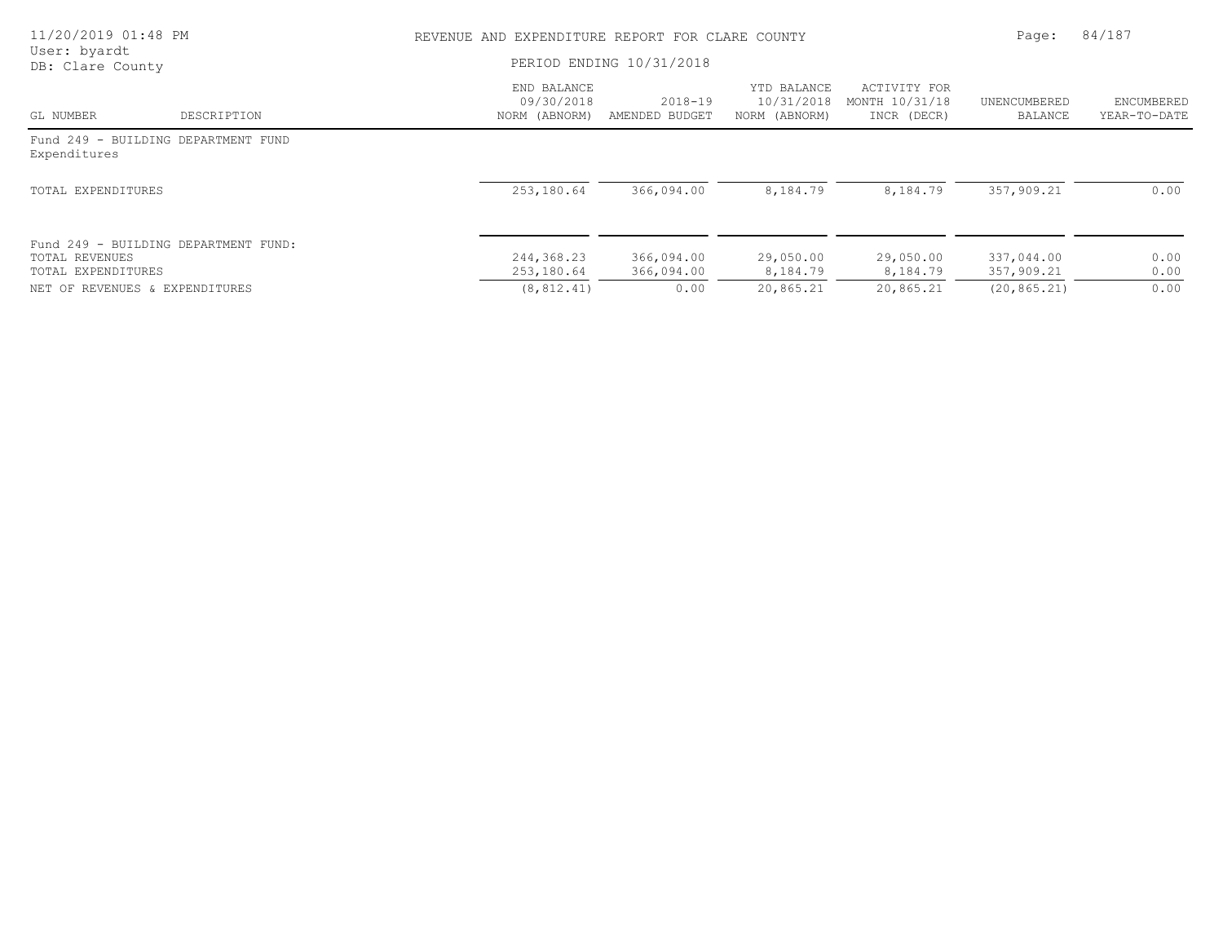| 11/20/2019 01:48 PM                  |                                      | REVENUE AND EXPENDITURE REPORT FOR CLARE COUNTY | Page:                         | 84/187                                     |                                               |                          |                            |
|--------------------------------------|--------------------------------------|-------------------------------------------------|-------------------------------|--------------------------------------------|-----------------------------------------------|--------------------------|----------------------------|
| User: byardt<br>DB: Clare County     |                                      | PERIOD ENDING 10/31/2018                        |                               |                                            |                                               |                          |                            |
| GL NUMBER                            | DESCRIPTION                          | END BALANCE<br>09/30/2018<br>NORM (ABNORM)      | $2018 - 19$<br>AMENDED BUDGET | YTD BALANCE<br>10/31/2018<br>NORM (ABNORM) | ACTIVITY FOR<br>MONTH 10/31/18<br>INCR (DECR) | UNENCUMBERED<br>BALANCE  | ENCUMBERED<br>YEAR-TO-DATE |
| Expenditures                         | Fund 249 - BUILDING DEPARTMENT FUND  |                                                 |                               |                                            |                                               |                          |                            |
| TOTAL EXPENDITURES                   |                                      | 253,180.64                                      | 366,094.00                    | 8,184.79                                   | 8,184.79                                      | 357,909.21               | 0.00                       |
| TOTAL REVENUES<br>TOTAL EXPENDITURES | Fund 249 - BUILDING DEPARTMENT FUND: | 244,368.23<br>253,180.64                        | 366,094.00<br>366,094.00      | 29,050.00<br>8,184.79                      | 29,050.00<br>8,184.79                         | 337,044.00<br>357,909.21 | 0.00<br>0.00               |
| NET OF REVENUES & EXPENDITURES       |                                      | (8, 812, 41)                                    | 0.00                          | 20,865.21                                  | 20,865.21                                     | (20, 865, 21)            | 0.00                       |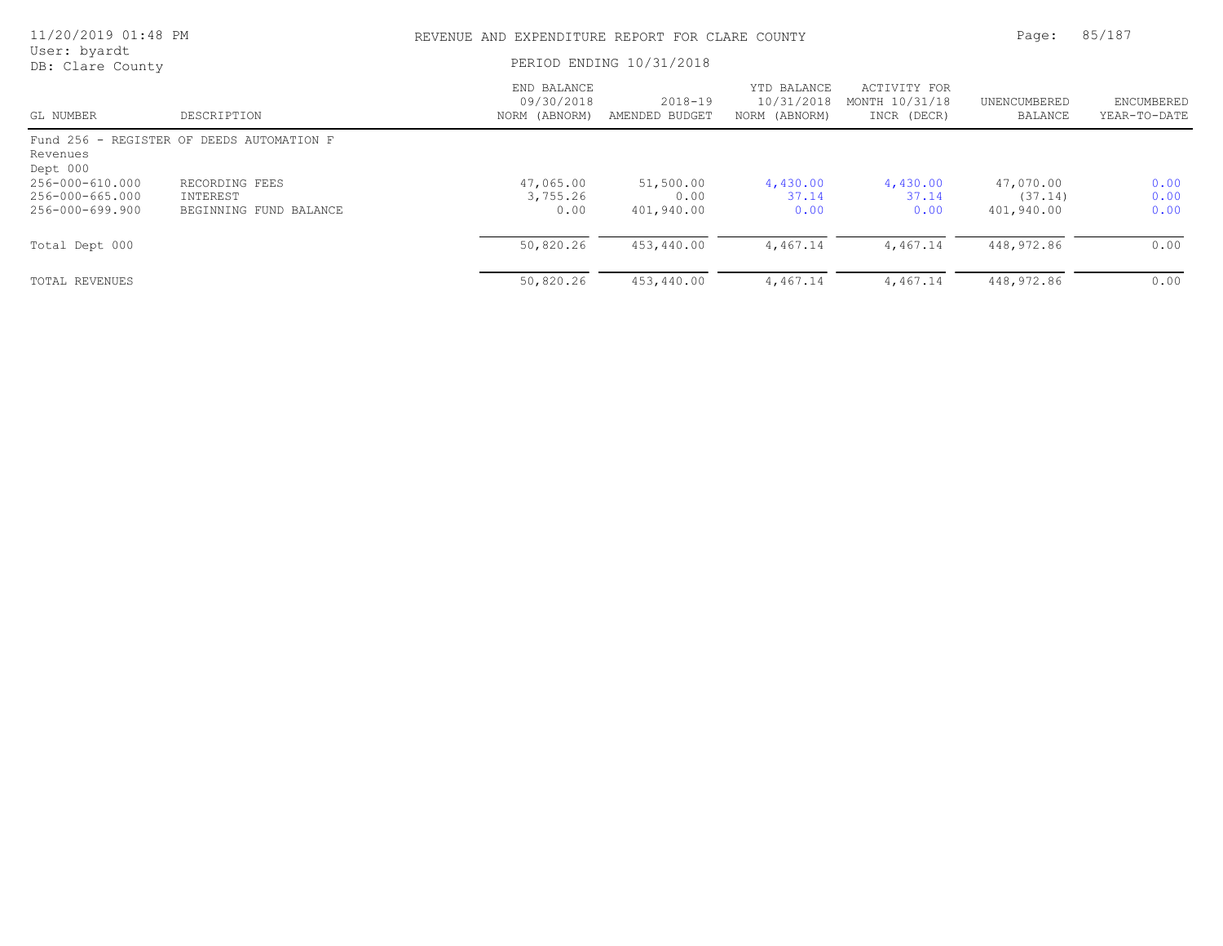| 11/20/2019 01:48 PM                                   |                                                      |                                            | REVENUE AND EXPENDITURE REPORT FOR CLARE COUNTY<br>PERIOD ENDING 10/31/2018 |                                            |                                               |                                    |                            |
|-------------------------------------------------------|------------------------------------------------------|--------------------------------------------|-----------------------------------------------------------------------------|--------------------------------------------|-----------------------------------------------|------------------------------------|----------------------------|
| User: byardt<br>DB: Clare County                      |                                                      |                                            |                                                                             |                                            |                                               |                                    |                            |
| GL NUMBER                                             | DESCRIPTION                                          | END BALANCE<br>09/30/2018<br>NORM (ABNORM) | $2018 - 19$<br>AMENDED BUDGET                                               | YTD BALANCE<br>10/31/2018<br>NORM (ABNORM) | ACTIVITY FOR<br>MONTH 10/31/18<br>INCR (DECR) | UNENCUMBERED<br>BALANCE            | ENCUMBERED<br>YEAR-TO-DATE |
| Revenues<br>Dept 000                                  | Fund 256 - REGISTER OF DEEDS AUTOMATION F            |                                            |                                                                             |                                            |                                               |                                    |                            |
| 256-000-610.000<br>256-000-665.000<br>256-000-699.900 | RECORDING FEES<br>INTEREST<br>BEGINNING FUND BALANCE | 47,065.00<br>3,755.26<br>0.00              | 51,500.00<br>0.00<br>401,940.00                                             | 4,430.00<br>37.14<br>0.00                  | 4,430.00<br>37.14<br>0.00                     | 47,070.00<br>(37.14)<br>401,940.00 | 0.00<br>0.00<br>0.00       |
| Total Dept 000                                        |                                                      | 50,820.26                                  | 453,440.00                                                                  | 4,467.14                                   | 4,467.14                                      | 448,972.86                         | 0.00                       |
| TOTAL REVENUES                                        |                                                      | 50,820.26                                  | 453,440.00                                                                  | 4,467.14                                   | 4,467.14                                      | 448,972.86                         | 0.00                       |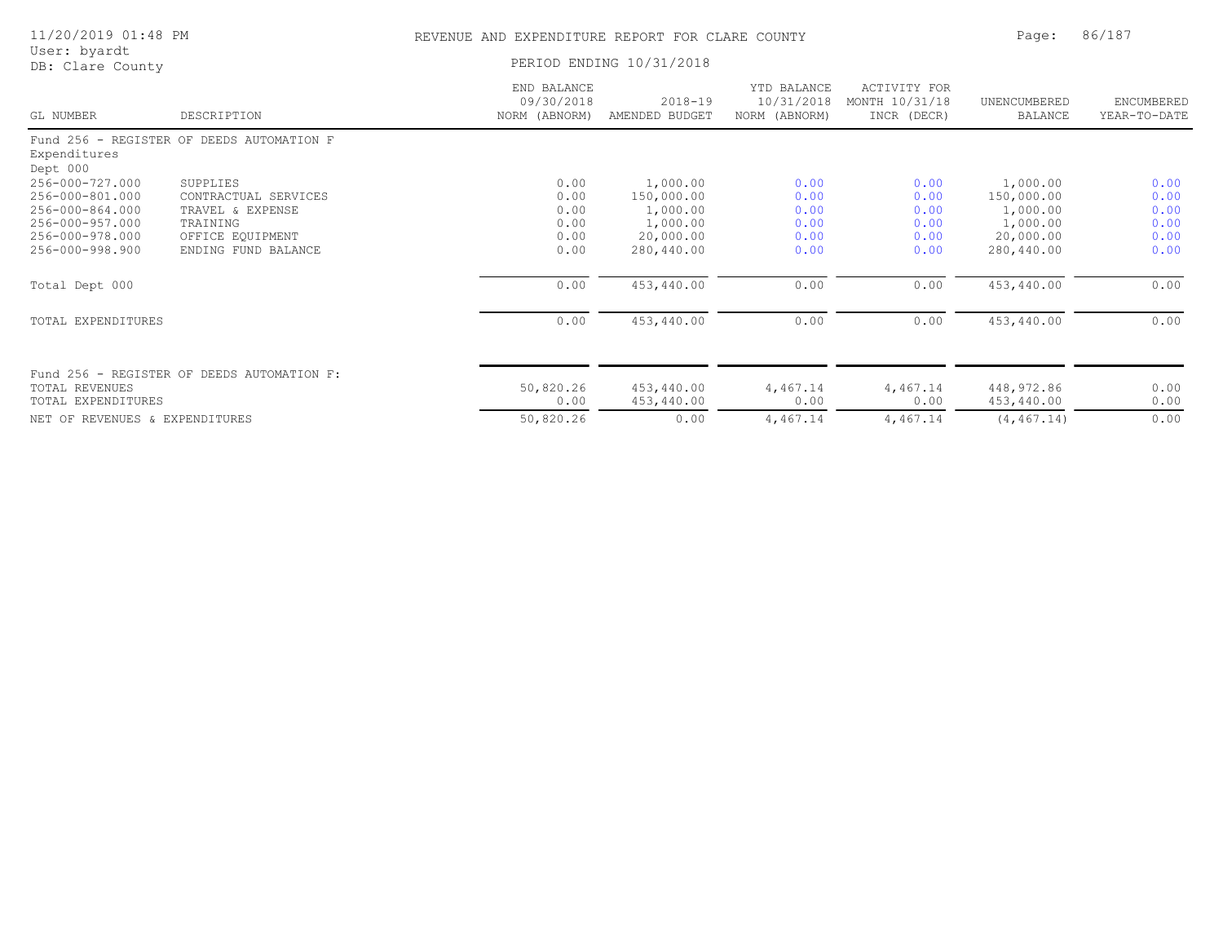| 11/20/2019 01:48 PM              |                                            | REVENUE AND EXPENDITURE REPORT FOR CLARE COUNTY | Page:                         | 86/187                                     |                                                      |                                |                            |
|----------------------------------|--------------------------------------------|-------------------------------------------------|-------------------------------|--------------------------------------------|------------------------------------------------------|--------------------------------|----------------------------|
| User: byardt<br>DB: Clare County |                                            | PERIOD ENDING 10/31/2018                        |                               |                                            |                                                      |                                |                            |
| GL NUMBER                        | DESCRIPTION                                | END BALANCE<br>09/30/2018<br>NORM (ABNORM)      | $2018 - 19$<br>AMENDED BUDGET | YTD BALANCE<br>10/31/2018<br>NORM (ABNORM) | <b>ACTIVITY FOR</b><br>MONTH 10/31/18<br>INCR (DECR) | UNENCUMBERED<br><b>BALANCE</b> | ENCUMBERED<br>YEAR-TO-DATE |
| Expenditures<br>Dept 000         | Fund 256 - REGISTER OF DEEDS AUTOMATION F  |                                                 |                               |                                            |                                                      |                                |                            |
| 256-000-727.000                  | SUPPLIES                                   | 0.00                                            | 1,000.00                      | 0.00                                       | 0.00                                                 | 1,000.00                       | 0.00                       |
| 256-000-801.000                  | CONTRACTUAL SERVICES                       | 0.00                                            | 150,000.00                    | 0.00                                       | 0.00                                                 | 150,000.00                     | 0.00                       |
| 256-000-864.000                  | TRAVEL & EXPENSE                           | 0.00                                            | 1,000.00                      | 0.00                                       | 0.00                                                 | 1,000.00                       | 0.00                       |
| 256-000-957.000                  | TRAINING                                   | 0.00                                            | 1,000.00                      | 0.00                                       | 0.00                                                 | 1,000.00                       | 0.00                       |
| 256-000-978.000                  | OFFICE EQUIPMENT                           | 0.00                                            | 20,000.00                     | 0.00                                       | 0.00                                                 | 20,000.00                      | 0.00                       |
| 256-000-998.900                  | ENDING FUND BALANCE                        | 0.00                                            | 280,440.00                    | 0.00                                       | 0.00                                                 | 280,440.00                     | 0.00                       |
| Total Dept 000                   |                                            | 0.00                                            | 453,440.00                    | 0.00                                       | 0.00                                                 | 453,440.00                     | 0.00                       |
| TOTAL EXPENDITURES               |                                            | 0.00                                            | 453,440.00                    | 0.00                                       | 0.00                                                 | 453,440.00                     | 0.00                       |
|                                  | Fund 256 - REGISTER OF DEEDS AUTOMATION F: |                                                 |                               |                                            |                                                      |                                |                            |
| TOTAL REVENUES                   |                                            | 50,820.26                                       | 453,440.00                    | 4,467.14                                   | 4,467.14                                             | 448,972.86                     | 0.00                       |
| TOTAL EXPENDITURES               |                                            | 0.00                                            | 453,440.00                    | 0.00                                       | 0.00                                                 | 453,440.00                     | 0.00                       |
| NET OF REVENUES & EXPENDITURES   |                                            | 50,820.26                                       | 0.00                          | 4,467.14                                   | 4,467.14                                             | (4, 467.14)                    | 0.00                       |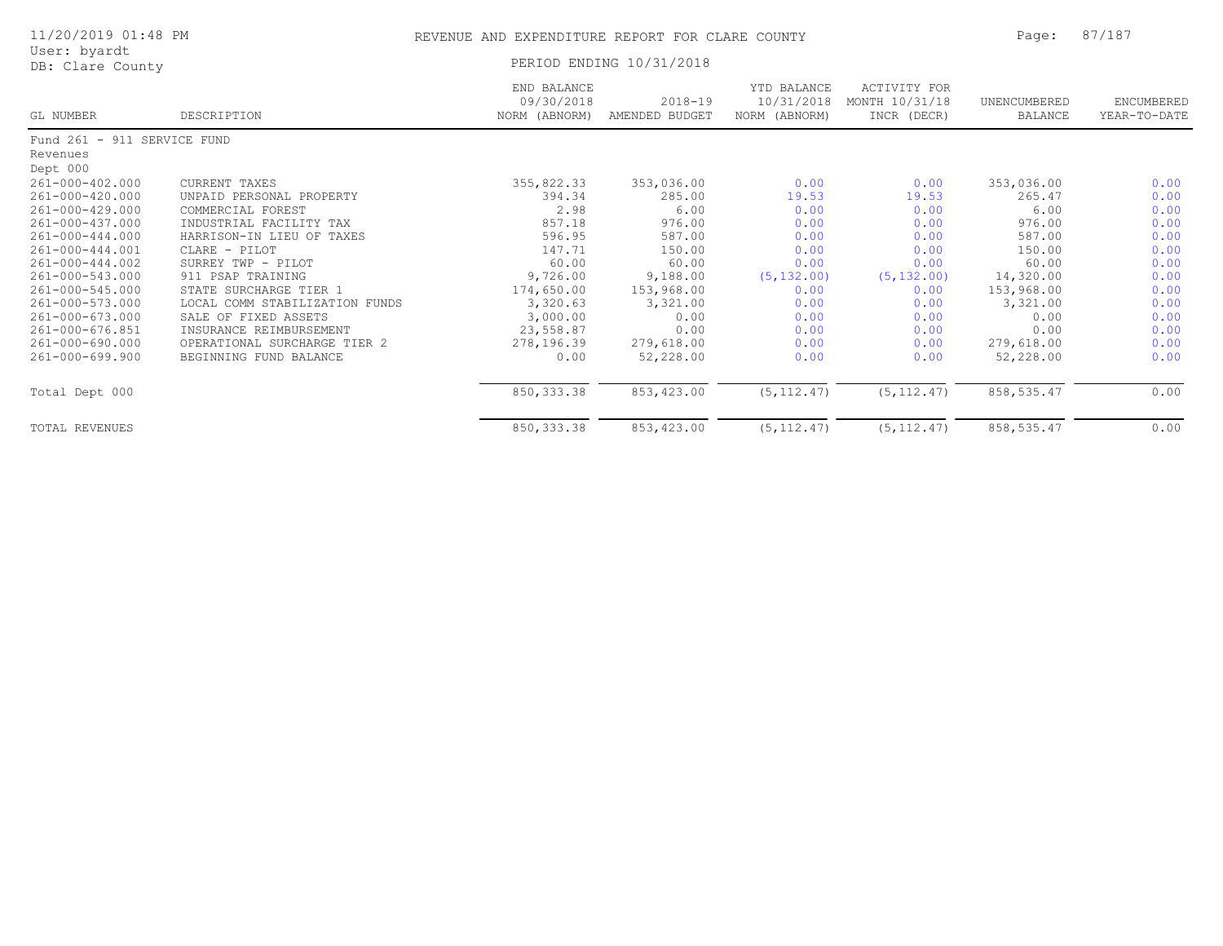| 11/20/2019 01:48 PM              |                                | REVENUE AND EXPENDITURE REPORT FOR CLARE COUNTY | Page:                         | 87/187                                     |                                               |                         |                            |  |
|----------------------------------|--------------------------------|-------------------------------------------------|-------------------------------|--------------------------------------------|-----------------------------------------------|-------------------------|----------------------------|--|
| User: byardt<br>DB: Clare County |                                |                                                 | PERIOD ENDING 10/31/2018      |                                            |                                               |                         |                            |  |
| GL NUMBER                        | DESCRIPTION                    | END BALANCE<br>09/30/2018<br>NORM (ABNORM)      | $2018 - 19$<br>AMENDED BUDGET | YTD BALANCE<br>10/31/2018<br>NORM (ABNORM) | ACTIVITY FOR<br>MONTH 10/31/18<br>INCR (DECR) | UNENCUMBERED<br>BALANCE | ENCUMBERED<br>YEAR-TO-DATE |  |
| Fund 261 - 911 SERVICE FUND      |                                |                                                 |                               |                                            |                                               |                         |                            |  |
| Revenues                         |                                |                                                 |                               |                                            |                                               |                         |                            |  |
| Dept 000                         |                                |                                                 |                               |                                            |                                               |                         |                            |  |
| $261 - 000 - 402.000$            | CURRENT TAXES                  | 355,822.33                                      | 353,036.00                    | 0.00                                       | 0.00                                          | 353,036.00              | 0.00                       |  |
| 261-000-420.000                  | UNPAID PERSONAL PROPERTY       | 394.34                                          | 285.00                        | 19.53                                      | 19.53                                         | 265.47                  | 0.00                       |  |
| 261-000-429.000                  | COMMERCIAL FOREST              | 2.98                                            | 6.00                          | 0.00                                       | 0.00                                          | 6.00                    | 0.00                       |  |
| 261-000-437.000                  | INDUSTRIAL FACILITY TAX        | 857.18                                          | 976.00                        | 0.00                                       | 0.00                                          | 976.00                  | 0.00                       |  |
| 261-000-444.000                  | HARRISON-IN LIEU OF TAXES      | 596.95                                          | 587.00                        | 0.00                                       | 0.00                                          | 587.00                  | 0.00                       |  |
| 261-000-444.001                  | CLARE - PILOT                  | 147.71                                          | 150.00                        | 0.00                                       | 0.00                                          | 150.00                  | 0.00                       |  |
| $261 - 000 - 444.002$            | SURREY TWP - PILOT             | 60.00                                           | 60.00                         | 0.00                                       | 0.00                                          | 60.00                   | 0.00                       |  |
| 261-000-543.000                  | 911 PSAP TRAINING              | 9,726.00                                        | 9,188.00                      | (5, 132.00)                                | (5, 132.00)                                   | 14,320.00               | 0.00                       |  |
| 261-000-545.000                  | STATE SURCHARGE TIER 1         | 174,650.00                                      | 153,968.00                    | 0.00                                       | 0.00                                          | 153,968.00              | 0.00                       |  |
| 261-000-573.000                  | LOCAL COMM STABILIZATION FUNDS | 3,320.63                                        | 3,321.00                      | 0.00                                       | 0.00                                          | 3,321.00                | 0.00                       |  |
| $261 - 000 - 673.000$            | SALE OF FIXED ASSETS           | 3,000.00                                        | 0.00                          | 0.00                                       | 0.00                                          | 0.00                    | 0.00                       |  |
| 261-000-676.851                  | INSURANCE REIMBURSEMENT        | 23,558.87                                       | 0.00                          | 0.00                                       | 0.00                                          | 0.00                    | 0.00                       |  |
| $261 - 000 - 690.000$            | OPERATIONAL SURCHARGE TIER 2   | 278,196.39                                      | 279,618.00                    | 0.00                                       | 0.00                                          | 279,618.00              | 0.00                       |  |
| $261 - 000 - 699.900$            | BEGINNING FUND BALANCE         | 0.00                                            | 52,228.00                     | 0.00                                       | 0.00                                          | 52,228.00               | 0.00                       |  |
| Total Dept 000                   |                                | 850, 333.38                                     | 853,423.00                    | (5, 112.47)                                | (5, 112.47)                                   | 858, 535.47             | 0.00                       |  |
| TOTAL REVENUES                   |                                | 850, 333.38                                     | 853,423.00                    | (5, 112.47)                                | (5, 112.47)                                   | 858, 535.47             | 0.00                       |  |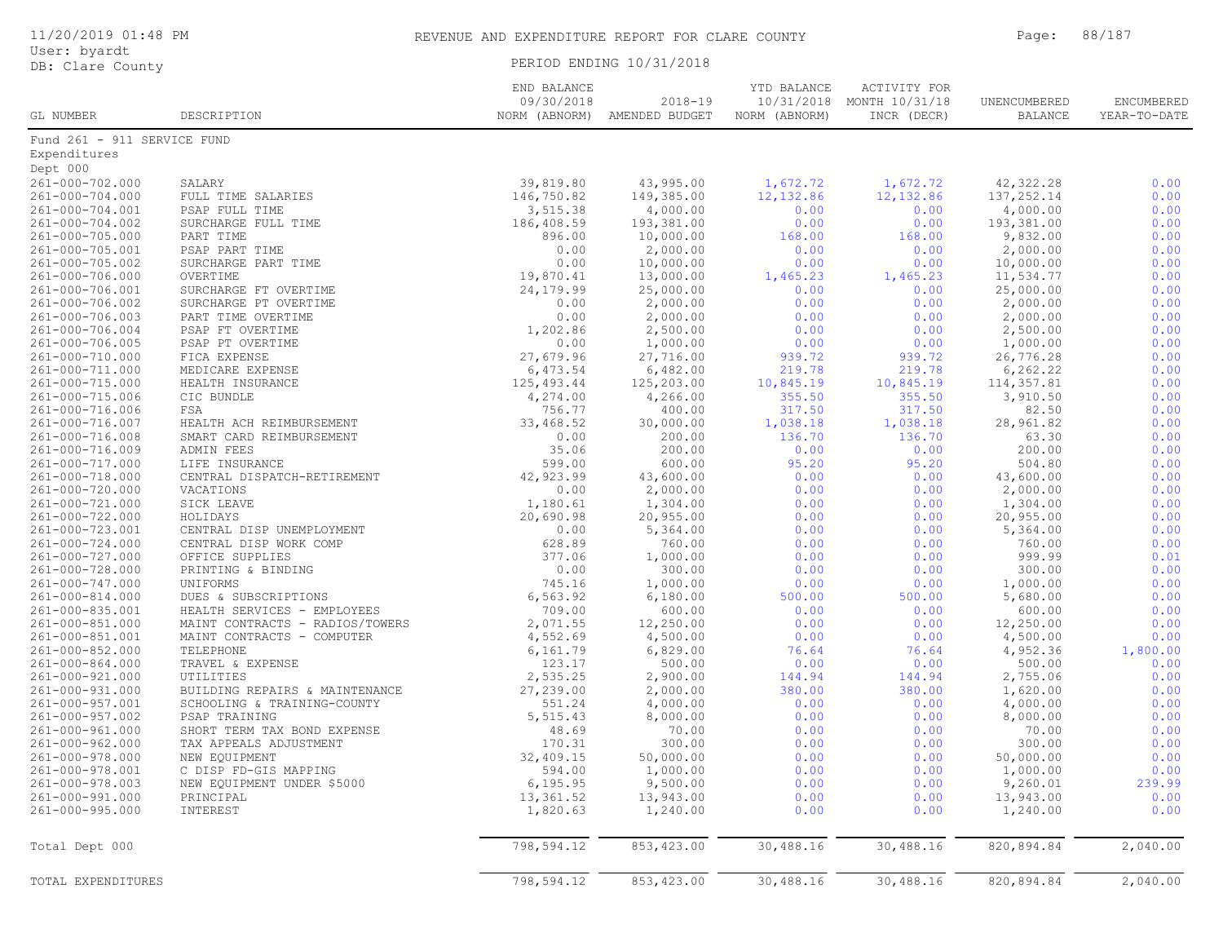| GL NUMBER                          | DESCRIPTION                             | END BALANCE<br>09/30/2018<br>NORM (ABNORM) | $2018 - 19$<br>AMENDED BUDGET | YTD BALANCE<br>10/31/2018<br>NORM (ABNORM) | <b>ACTIVITY FOR</b><br>MONTH 10/31/18<br>INCR (DECR) | UNENCUMBERED<br>BALANCE | ENCUMBERED<br>YEAR-TO-DATE |
|------------------------------------|-----------------------------------------|--------------------------------------------|-------------------------------|--------------------------------------------|------------------------------------------------------|-------------------------|----------------------------|
| Fund 261 - 911 SERVICE FUND        |                                         |                                            |                               |                                            |                                                      |                         |                            |
| Expenditures                       |                                         |                                            |                               |                                            |                                                      |                         |                            |
| Dept 000                           |                                         |                                            |                               |                                            |                                                      |                         |                            |
| 261-000-702.000                    | SALARY                                  | 39,819.80                                  | 43,995.00                     | 1,672.72                                   | 1,672.72                                             | 42, 322.28              | 0.00                       |
| 261-000-704.000                    | FULL TIME SALARIES                      | 146,750.82                                 | 149,385.00                    | 12, 132.86                                 | 12, 132.86                                           | 137,252.14              | 0.00                       |
| 261-000-704.001                    | PSAP FULL TIME                          | 3,515.38                                   | 4,000.00                      | 0.00                                       | 0.00                                                 | 4,000.00                | 0.00                       |
| 261-000-704.002                    | SURCHARGE FULL TIME                     | 186,408.59                                 | 193,381.00                    | 0.00                                       | 0.00                                                 | 193,381.00              | 0.00                       |
| 261-000-705.000                    | PART TIME                               | 896.00                                     | 10,000.00                     | 168.00                                     | 168.00                                               | 9,832.00                | 0.00                       |
| 261-000-705.001                    | PSAP PART TIME                          | 0.00                                       | 2,000.00                      | 0.00                                       | 0.00                                                 | 2,000.00                | 0.00                       |
| 261-000-705.002                    | SURCHARGE PART TIME                     | 0.00                                       | 10,000.00                     | 0.00                                       | 0.00                                                 | 10,000.00               | 0.00                       |
| 261-000-706.000                    | OVERTIME                                | 19,870.41                                  | 13,000.00                     | 1,465.23                                   | 1,465.23                                             | 11,534.77               | 0.00                       |
| 261-000-706.001                    | SURCHARGE FT OVERTIME                   | 24,179.99                                  | 25,000.00                     | 0.00                                       | 0.00                                                 | 25,000.00               | 0.00                       |
| 261-000-706.002                    | SURCHARGE PT OVERTIME                   | 0.00                                       | 2,000.00                      | 0.00                                       | 0.00                                                 | 2,000.00                | 0.00                       |
| 261-000-706.003                    | PART TIME OVERTIME                      | 0.00                                       | 2,000.00                      | 0.00                                       | 0.00                                                 | 2,000.00                | 0.00                       |
| 261-000-706.004                    | PSAP FT OVERTIME                        | 1,202.86                                   | 2,500.00                      | 0.00                                       | 0.00                                                 | 2,500.00                | 0.00                       |
| 261-000-706.005                    | PSAP PT OVERTIME                        | 0.00                                       | 1,000.00                      | 0.00                                       | 0.00                                                 | 1,000.00                | 0.00                       |
| 261-000-710.000                    | FICA EXPENSE                            | 27,679.96                                  | 27,716.00                     | 939.72                                     | 939.72                                               | 26,776.28               | 0.00                       |
| 261-000-711.000                    | MEDICARE EXPENSE                        | 6,473.54                                   | 6,482.00                      | 219.78                                     | 219.78                                               | 6, 262.22               | 0.00                       |
| 261-000-715.000                    | HEALTH INSURANCE                        | 125,493.44                                 | 125,203.00                    | 10,845.19                                  | 10,845.19                                            | 114,357.81              | 0.00                       |
| $261 - 000 - 715.006$              | CIC BUNDLE                              | 4,274.00                                   | 4,266.00                      | 355.50                                     | 355.50                                               | 3,910.50                | 0.00                       |
| 261-000-716.006                    | FSA                                     | 756.77                                     | 400.00                        | 317.50                                     | 317.50                                               | 82.50                   | 0.00                       |
| 261-000-716.007                    | HEALTH ACH REIMBURSEMENT                | 33,468.52                                  | 30,000.00                     | 1,038.18                                   | 1,038.18                                             | 28,961.82               | 0.00                       |
| 261-000-716.008                    | SMART CARD REIMBURSEMENT                | 0.00                                       | 200.00                        | 136.70                                     | 136.70                                               | 63.30                   | 0.00                       |
| 261-000-716.009                    | ADMIN FEES                              | 35.06                                      | 200.00                        | 0.00                                       | 0.00                                                 | 200.00                  | 0.00                       |
| 261-000-717.000                    | LIFE INSURANCE                          | 599.00                                     | 600.00                        | 95.20                                      | 95.20                                                | 504.80                  | 0.00                       |
| 261-000-718.000                    | CENTRAL DISPATCH-RETIREMENT             | 42,923.99                                  | 43,600.00                     | 0.00                                       | 0.00                                                 | 43,600.00               | 0.00                       |
| 261-000-720.000                    | VACATIONS                               | 0.00                                       | 2,000.00                      | 0.00                                       | 0.00                                                 | 2,000.00                | 0.00                       |
| $261 - 000 - 721.000$              | SICK LEAVE                              | 1,180.61                                   | 1,304.00                      | 0.00                                       | 0.00                                                 | 1,304.00                | 0.00                       |
| 261-000-722.000                    | HOLIDAYS                                | 20,690.98                                  | 20,955.00                     | 0.00                                       | 0.00                                                 | 20,955.00               | 0.00                       |
| 261-000-723.001                    | CENTRAL DISP UNEMPLOYMENT               | 0.00                                       | 5,364.00                      | 0.00                                       | 0.00                                                 | 5,364.00                | 0.00                       |
| 261-000-724.000                    | CENTRAL DISP WORK COMP                  | 628.89                                     | 760.00                        | 0.00                                       | 0.00                                                 | 760.00                  | 0.00                       |
| 261-000-727.000                    | OFFICE SUPPLIES                         | 377.06                                     | 1,000.00                      | 0.00                                       | 0.00                                                 | 999.99                  | 0.01                       |
| 261-000-728.000                    | PRINTING & BINDING                      | 0.00                                       | 300.00                        | 0.00                                       | 0.00                                                 | 300.00                  | 0.00                       |
| 261-000-747.000                    | UNIFORMS                                | 745.16                                     | 1,000.00                      | 0.00                                       | 0.00                                                 | 1,000.00                | 0.00                       |
| 261-000-814.000                    | DUES & SUBSCRIPTIONS                    | 6,563.92                                   | 6,180.00                      | 500.00                                     | 500.00                                               | 5,680.00                | 0.00                       |
| 261-000-835.001                    | HEALTH SERVICES - EMPLOYEES             | 709.00                                     | 600.00                        | 0.00                                       | 0.00                                                 | 600.00                  | 0.00                       |
| 261-000-851.000                    | MAINT CONTRACTS - RADIOS/TOWERS         | 2,071.55                                   | 12,250.00                     | 0.00                                       | 0.00                                                 | 12,250.00               | 0.00                       |
| 261-000-851.001<br>261-000-852.000 | MAINT CONTRACTS - COMPUTER<br>TELEPHONE | 4,552.69<br>6,161.79                       | 4,500.00<br>6,829.00          | 0.00<br>76.64                              | 0.00<br>76.64                                        | 4,500.00<br>4,952.36    | 0.00<br>1,800.00           |
| 261-000-864.000                    | TRAVEL & EXPENSE                        | 123.17                                     | 500.00                        | 0.00                                       | 0.00                                                 | 500.00                  | 0.00                       |
| 261-000-921.000                    | UTILITIES                               | 2,535.25                                   | 2,900.00                      | 144.94                                     | 144.94                                               | 2,755.06                | 0.00                       |
| 261-000-931.000                    | BUILDING REPAIRS & MAINTENANCE          | 27,239.00                                  | 2,000.00                      | 380.00                                     | 380.00                                               | 1,620.00                | 0.00                       |
| 261-000-957.001                    | SCHOOLING & TRAINING-COUNTY             | 551.24                                     | 4,000.00                      | 0.00                                       | 0.00                                                 | 4,000.00                | 0.00                       |
| $261 - 000 - 957.002$              | PSAP TRAINING                           | 5,515.43                                   | 8,000.00                      | 0.00                                       | 0.00                                                 | 8,000.00                | 0.00                       |
| 261-000-961.000                    | SHORT TERM TAX BOND EXPENSE             | 48.69                                      | 70.00                         | 0.00                                       | 0.00                                                 | 70.00                   | 0.00                       |
| 261-000-962.000                    | TAX APPEALS ADJUSTMENT                  | 170.31                                     | 300.00                        | 0.00                                       | 0.00                                                 | 300.00                  | 0.00                       |
| 261-000-978.000                    | NEW EQUIPMENT                           | 32,409.15                                  | 50,000.00                     | 0.00                                       | 0.00                                                 | 50,000.00               | 0.00                       |
| 261-000-978.001                    | C DISP FD-GIS MAPPING                   | 594.00                                     | 1,000.00                      | 0.00                                       | 0.00                                                 | 1,000.00                | 0.00                       |
| 261-000-978.003                    | NEW EQUIPMENT UNDER \$5000              | 6, 195.95                                  | 9,500.00                      | 0.00                                       | 0.00                                                 | 9,260.01                | 239.99                     |
| 261-000-991.000                    | PRINCIPAL                               | 13,361.52                                  | 13,943.00                     | 0.00                                       | 0.00                                                 | 13,943.00               | 0.00                       |
| 261-000-995.000                    | INTEREST                                | 1,820.63                                   | 1,240.00                      | 0.00                                       | 0.00                                                 | 1,240.00                | 0.00                       |
| Total Dept 000                     |                                         | 798,594.12                                 | 853, 423.00                   | 30,488.16                                  | 30,488.16                                            | 820,894.84              | 2,040.00                   |
| TOTAL EXPENDITURES                 |                                         | 798,594.12                                 | 853, 423.00                   | 30,488.16                                  | 30,488.16                                            | 820,894.84              | 2,040.00                   |

## 11/20/2019 01:48 PM REVENUE AND EXPENDITURE REPORT FOR CLARE COUNTY Page: 88/187 PERIOD ENDING 10/31/2018

User: byardt<br>DB: Clare County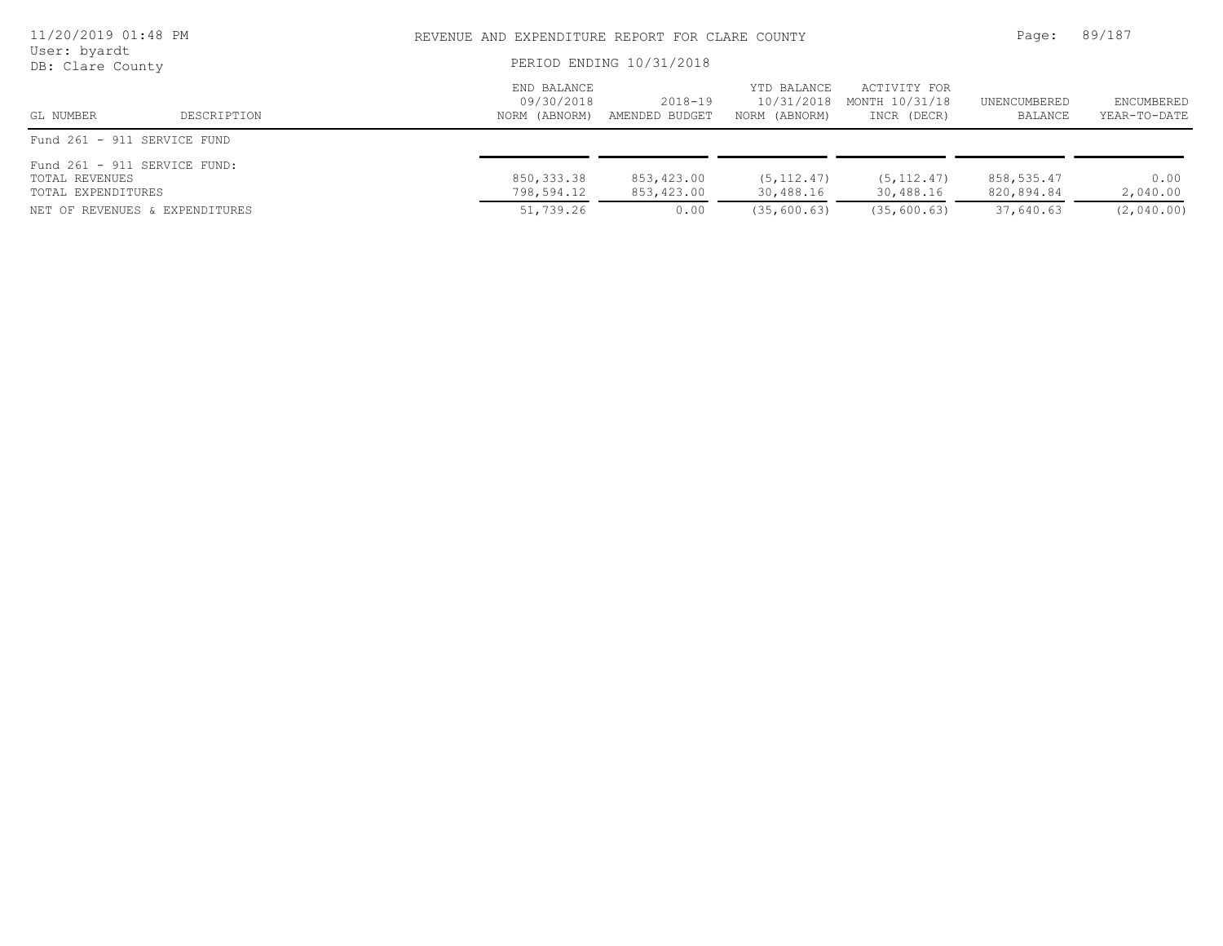| 11/20/2019 01:48 PM<br>User: byardt<br>DB: Clare County                                                |             |                                            | REVENUE AND EXPENDITURE REPORT FOR CLARE COUNTY<br>PERIOD ENDING 10/31/2018 |                                            |                                               |                                       |                                |
|--------------------------------------------------------------------------------------------------------|-------------|--------------------------------------------|-----------------------------------------------------------------------------|--------------------------------------------|-----------------------------------------------|---------------------------------------|--------------------------------|
| GL NUMBER                                                                                              | DESCRIPTION | END BALANCE<br>09/30/2018<br>NORM (ABNORM) | 2018-19<br>AMENDED BUDGET                                                   | YTD BALANCE<br>10/31/2018<br>NORM (ABNORM) | ACTIVITY FOR<br>MONTH 10/31/18<br>INCR (DECR) | UNENCUMBERED<br>BALANCE               | ENCUMBERED<br>YEAR-TO-DATE     |
| Fund 261 - 911 SERVICE FUND                                                                            |             |                                            |                                                                             |                                            |                                               |                                       |                                |
| Fund 261 - 911 SERVICE FUND:<br>TOTAL REVENUES<br>TOTAL EXPENDITURES<br>NET OF REVENUES & EXPENDITURES |             | 850, 333.38<br>798,594.12<br>51,739.26     | 853,423.00<br>853,423.00<br>0.00                                            | (5, 112, 47)<br>30,488.16<br>(35, 600, 63) | (5, 112, 47)<br>30,488.16<br>(35, 600, 63)    | 858,535.47<br>820,894.84<br>37,640.63 | 0.00<br>2,040.00<br>(2,040.00) |
|                                                                                                        |             |                                            |                                                                             |                                            |                                               |                                       |                                |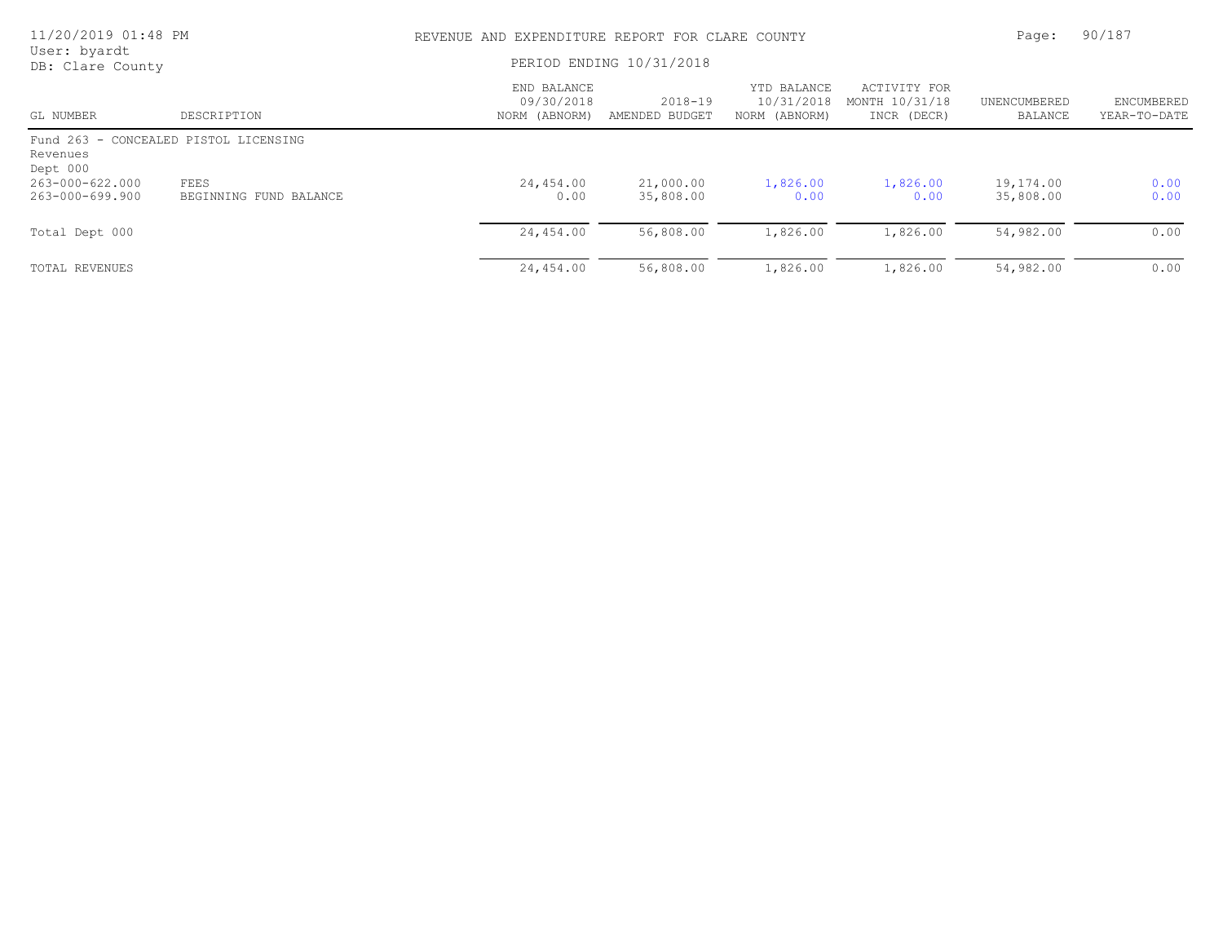| 11/20/2019 01:48 PM                |                                       | REVENUE AND EXPENDITURE REPORT FOR CLARE COUNTY |                               |                                            |                                               |                         | 90/187                            |
|------------------------------------|---------------------------------------|-------------------------------------------------|-------------------------------|--------------------------------------------|-----------------------------------------------|-------------------------|-----------------------------------|
| User: byardt<br>DB: Clare County   |                                       | PERIOD ENDING 10/31/2018                        |                               |                                            |                                               |                         |                                   |
| GL NUMBER                          | DESCRIPTION                           | END BALANCE<br>09/30/2018<br>NORM (ABNORM)      | $2018 - 19$<br>AMENDED BUDGET | YTD BALANCE<br>10/31/2018<br>NORM (ABNORM) | ACTIVITY FOR<br>MONTH 10/31/18<br>INCR (DECR) | UNENCUMBERED<br>BALANCE | <b>ENCUMBERED</b><br>YEAR-TO-DATE |
| Revenues<br>Dept 000               | Fund 263 - CONCEALED PISTOL LICENSING |                                                 |                               |                                            |                                               |                         |                                   |
| 263-000-622.000<br>263-000-699.900 | FEES<br>BEGINNING FUND BALANCE        | 24,454.00<br>0.00                               | 21,000.00<br>35,808.00        | 1,826.00<br>0.00                           | 1,826.00<br>0.00                              | 19,174.00<br>35,808.00  | 0.00<br>0.00                      |
| Total Dept 000                     |                                       | 24,454.00                                       | 56,808.00                     | 1,826.00                                   | 1,826.00                                      | 54,982.00               | 0.00                              |
| TOTAL REVENUES                     |                                       | 24,454.00                                       | 56,808.00                     | 1,826.00                                   | 1,826.00                                      | 54,982.00               | 0.00                              |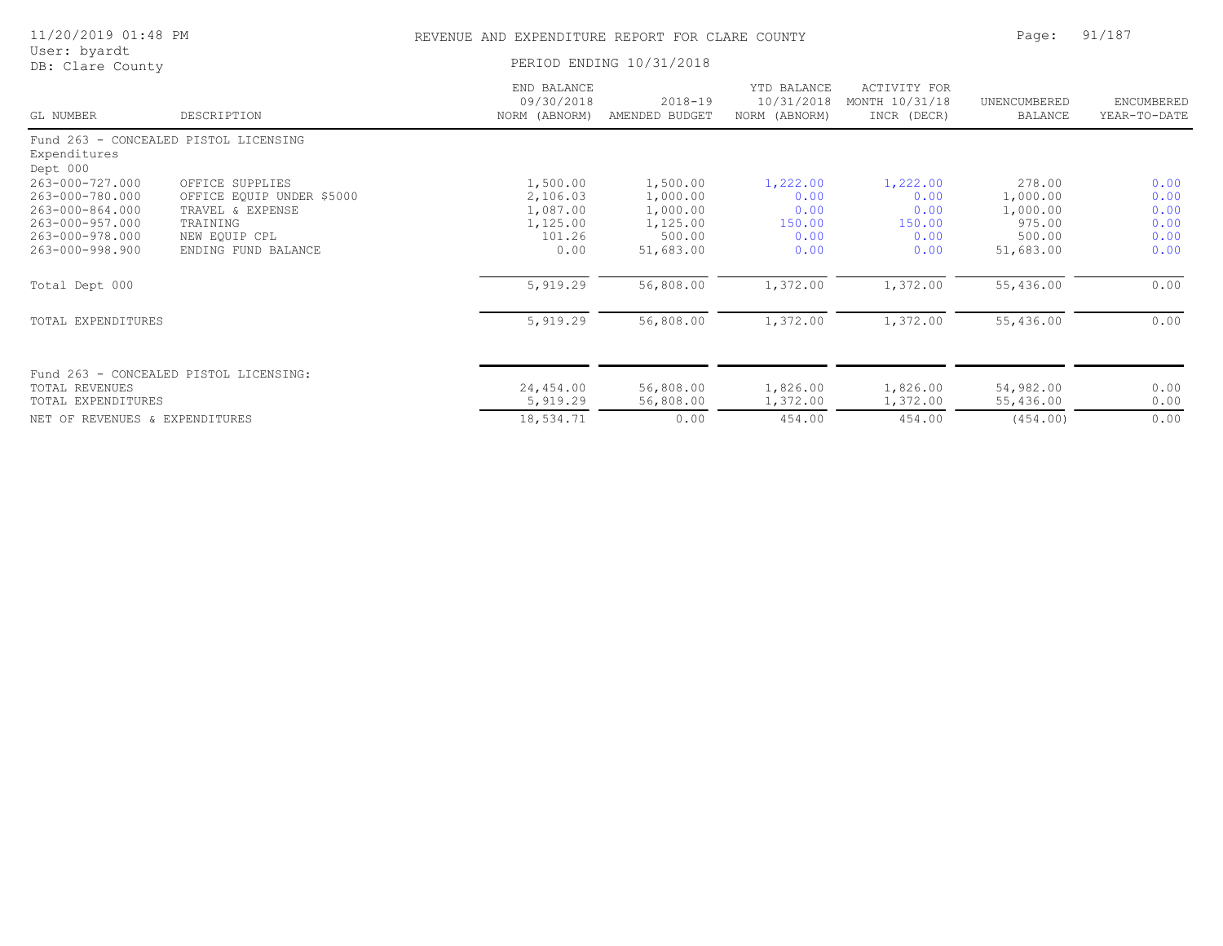| 11/20/2019 01:48 PM              |                                        | REVENUE AND EXPENDITURE REPORT FOR CLARE COUNTY | Page:                         | 91/187                                     |                                               |                                |                            |
|----------------------------------|----------------------------------------|-------------------------------------------------|-------------------------------|--------------------------------------------|-----------------------------------------------|--------------------------------|----------------------------|
| User: byardt<br>DB: Clare County |                                        | PERIOD ENDING 10/31/2018                        |                               |                                            |                                               |                                |                            |
| GL NUMBER                        | DESCRIPTION                            | END BALANCE<br>09/30/2018<br>NORM (ABNORM)      | $2018 - 19$<br>AMENDED BUDGET | YTD BALANCE<br>10/31/2018<br>NORM (ABNORM) | ACTIVITY FOR<br>MONTH 10/31/18<br>INCR (DECR) | UNENCUMBERED<br><b>BALANCE</b> | ENCUMBERED<br>YEAR-TO-DATE |
|                                  | Fund 263 - CONCEALED PISTOL LICENSING  |                                                 |                               |                                            |                                               |                                |                            |
| Expenditures<br>Dept 000         |                                        |                                                 |                               |                                            |                                               |                                |                            |
| 263-000-727.000                  | OFFICE SUPPLIES                        | 1,500.00                                        | 1,500.00                      | 1,222.00                                   | 1,222.00                                      | 278.00                         | 0.00                       |
| 263-000-780.000                  | OFFICE EQUIP UNDER \$5000              | 2,106.03                                        | 1,000.00                      | 0.00                                       | 0.00                                          | 1,000.00                       | 0.00                       |
| $263 - 000 - 864.000$            | TRAVEL & EXPENSE                       | 1,087.00                                        | 1,000.00                      | 0.00                                       | 0.00                                          | 1,000.00                       | 0.00                       |
| 263-000-957.000                  | TRAINING                               | 1,125.00                                        | 1,125.00                      | 150.00                                     | 150.00                                        | 975.00                         | 0.00                       |
| 263-000-978.000                  | NEW EOUIP CPL                          | 101.26                                          | 500.00                        | 0.00                                       | 0.00                                          | 500.00                         | 0.00                       |
| 263-000-998.900                  | ENDING FUND BALANCE                    | 0.00                                            | 51,683.00                     | 0.00                                       | 0.00                                          | 51,683.00                      | 0.00                       |
| Total Dept 000                   |                                        | 5,919.29                                        | 56,808.00                     | 1,372.00                                   | 1,372.00                                      | 55,436.00                      | 0.00                       |
| TOTAL EXPENDITURES               |                                        | 5,919.29                                        | 56,808.00                     | 1,372.00                                   | 1,372.00                                      | 55,436.00                      | 0.00                       |
|                                  |                                        |                                                 |                               |                                            |                                               |                                |                            |
|                                  | Fund 263 - CONCEALED PISTOL LICENSING: |                                                 |                               |                                            |                                               |                                |                            |
| <b>TOTAL REVENUES</b>            |                                        | 24,454.00                                       | 56,808.00                     | 1,826.00                                   | 1,826.00                                      | 54,982.00                      | 0.00                       |
| TOTAL EXPENDITURES               |                                        | 5,919.29                                        | 56,808.00                     | 1,372.00                                   | 1,372.00                                      | 55,436.00                      | 0.00                       |
| NET OF REVENUES & EXPENDITURES   |                                        | 18,534.71                                       | 0.00                          | 454.00                                     | 454.00                                        | (454.00)                       | 0.00                       |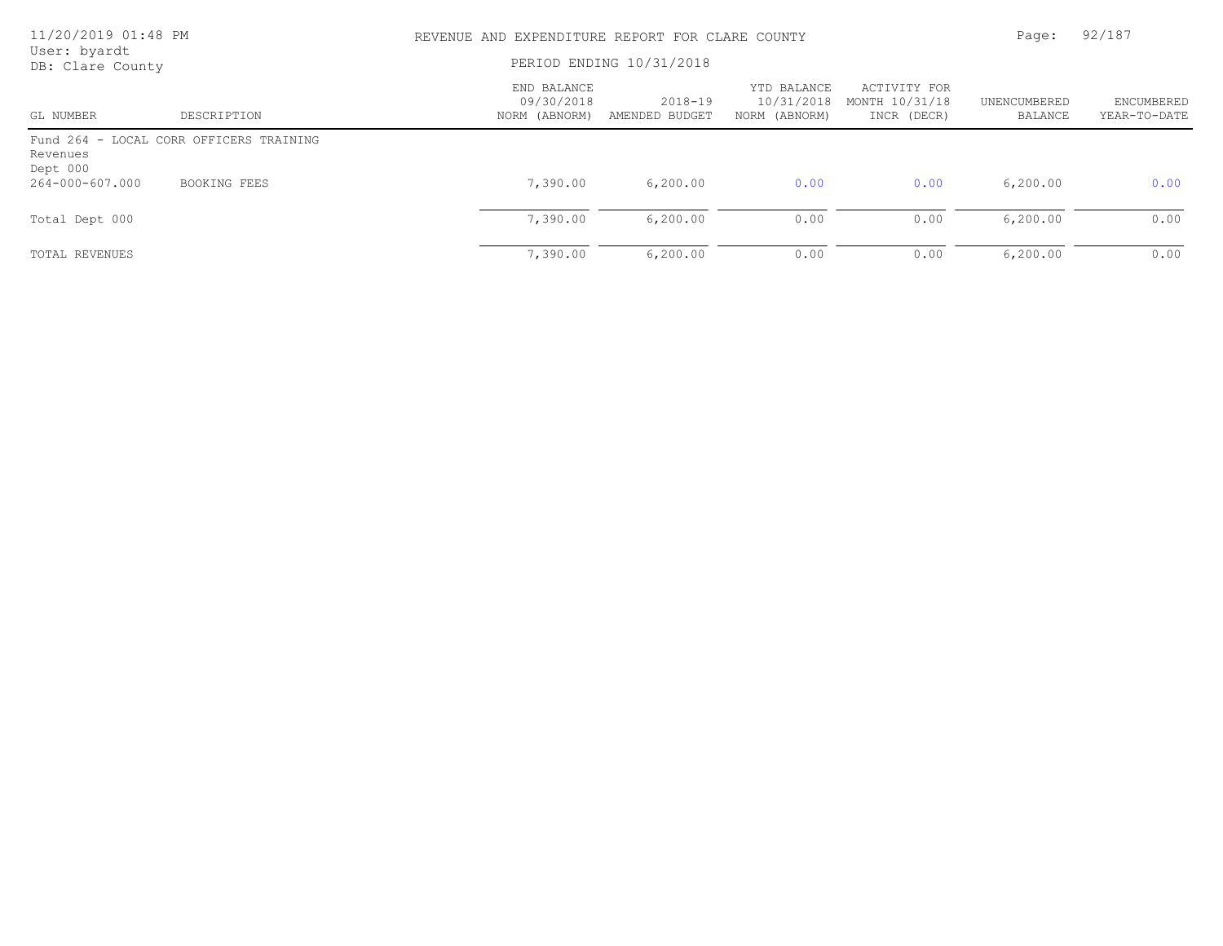| 11/20/2019 01:48 PM<br>User: byardt |                                         | REVENUE AND EXPENDITURE REPORT FOR CLARE COUNTY |                               |                                            |                                               |                         | 92/187                     |  |
|-------------------------------------|-----------------------------------------|-------------------------------------------------|-------------------------------|--------------------------------------------|-----------------------------------------------|-------------------------|----------------------------|--|
| DB: Clare County                    |                                         | PERIOD ENDING 10/31/2018                        |                               |                                            |                                               |                         |                            |  |
| GL NUMBER                           | DESCRIPTION                             | END BALANCE<br>09/30/2018<br>NORM (ABNORM)      | $2018 - 19$<br>AMENDED BUDGET | YTD BALANCE<br>10/31/2018<br>NORM (ABNORM) | ACTIVITY FOR<br>MONTH 10/31/18<br>INCR (DECR) | UNENCUMBERED<br>BALANCE | ENCUMBERED<br>YEAR-TO-DATE |  |
| Revenues<br>Dept 000                | Fund 264 - LOCAL CORR OFFICERS TRAINING |                                                 |                               |                                            |                                               |                         |                            |  |
| 264-000-607.000                     | BOOKING FEES                            | 7,390.00                                        | 6, 200.00                     | 0.00                                       | 0.00                                          | 6, 200.00               | 0.00                       |  |
| Total Dept 000                      |                                         | 7,390.00                                        | 6, 200, 00                    | 0.00                                       | 0.00                                          | 6, 200.00               | 0.00                       |  |
| TOTAL REVENUES                      |                                         | 7,390.00                                        | 6, 200.00                     | 0.00                                       | 0.00                                          | 6, 200.00               | 0.00                       |  |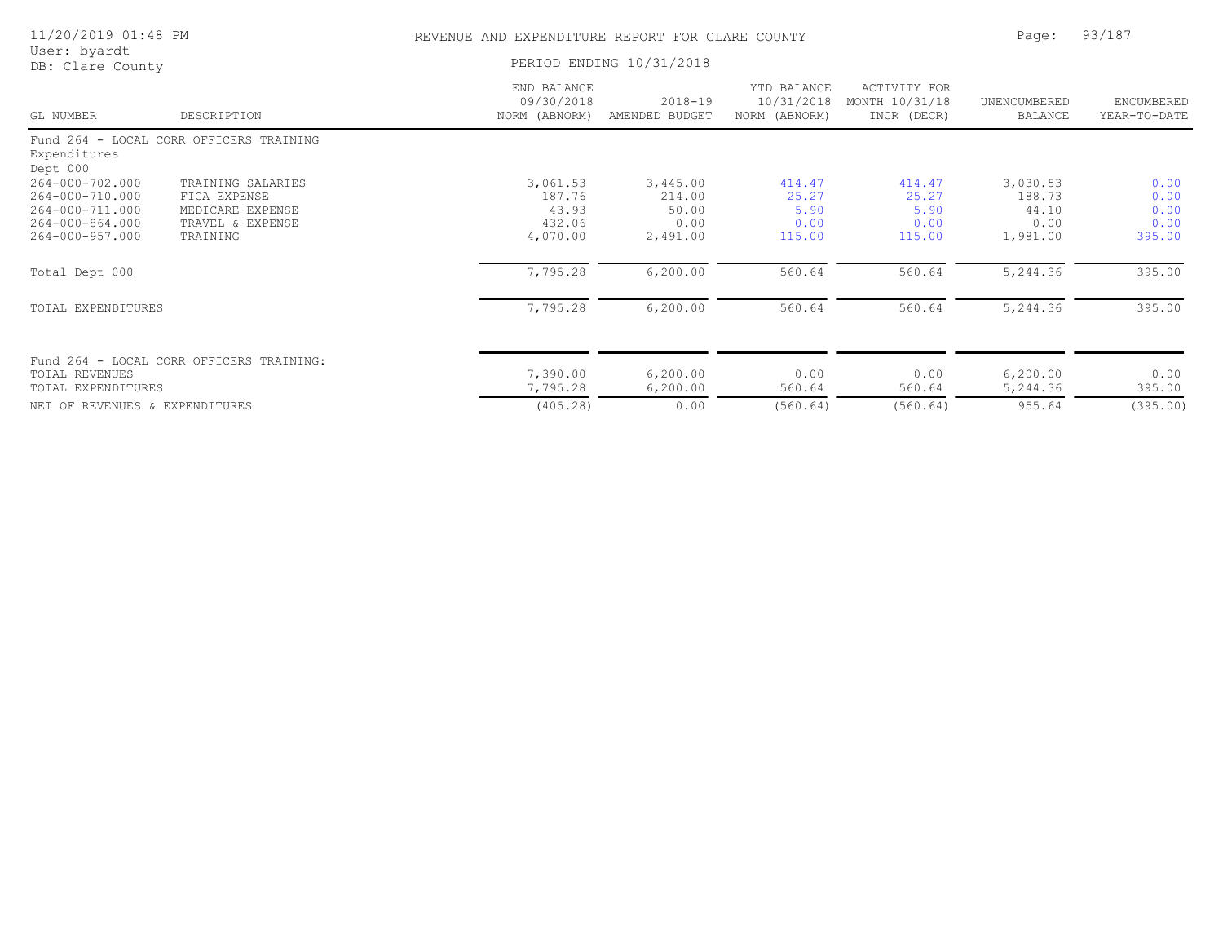| 11/20/2019 01:48 PM                                                                                           |                                                                                       | REVENUE AND EXPENDITURE REPORT FOR CLARE COUNTY   |                                                 |                                            |                                                      | Page:                                           | 93/187                                 |
|---------------------------------------------------------------------------------------------------------------|---------------------------------------------------------------------------------------|---------------------------------------------------|-------------------------------------------------|--------------------------------------------|------------------------------------------------------|-------------------------------------------------|----------------------------------------|
| User: byardt<br>DB: Clare County                                                                              |                                                                                       | PERIOD ENDING 10/31/2018                          |                                                 |                                            |                                                      |                                                 |                                        |
| GL NUMBER                                                                                                     | DESCRIPTION                                                                           | END BALANCE<br>09/30/2018<br>NORM (ABNORM)        | $2018 - 19$<br>AMENDED BUDGET                   | YTD BALANCE<br>10/31/2018<br>NORM (ABNORM) | <b>ACTIVITY FOR</b><br>MONTH 10/31/18<br>INCR (DECR) | UNENCUMBERED<br><b>BALANCE</b>                  | ENCUMBERED<br>YEAR-TO-DATE             |
| Expenditures<br>Dept 000                                                                                      | Fund 264 - LOCAL CORR OFFICERS TRAINING                                               |                                                   |                                                 |                                            |                                                      |                                                 |                                        |
| $264 - 000 - 702.000$<br>264-000-710.000<br>264-000-711.000<br>$264 - 000 - 864.000$<br>$264 - 000 - 957.000$ | TRAINING SALARIES<br>FICA EXPENSE<br>MEDICARE EXPENSE<br>TRAVEL & EXPENSE<br>TRAINING | 3,061.53<br>187.76<br>43.93<br>432.06<br>4,070.00 | 3,445.00<br>214.00<br>50.00<br>0.00<br>2,491.00 | 414.47<br>25.27<br>5.90<br>0.00<br>115.00  | 414.47<br>25.27<br>5.90<br>0.00<br>115.00            | 3,030.53<br>188.73<br>44.10<br>0.00<br>1,981.00 | 0.00<br>0.00<br>0.00<br>0.00<br>395.00 |
| Total Dept 000                                                                                                |                                                                                       | 7,795.28                                          | 6, 200.00                                       | 560.64                                     | 560.64                                               | 5,244.36                                        | 395.00                                 |
| TOTAL EXPENDITURES                                                                                            |                                                                                       | 7,795.28                                          | 6, 200.00                                       | 560.64                                     | 560.64                                               | 5,244.36                                        | 395.00                                 |
| <b>TOTAL REVENUES</b><br>TOTAL EXPENDITURES                                                                   | Fund 264 - LOCAL CORR OFFICERS TRAINING:                                              | 7,390.00<br>7,795.28                              | 6, 200.00<br>6, 200.00                          | 0.00<br>560.64                             | 0.00<br>560.64                                       | 6, 200.00<br>5,244.36                           | 0.00<br>395.00                         |
| NET OF REVENUES & EXPENDITURES                                                                                |                                                                                       | (405.28)                                          | 0.00                                            | (560.64)                                   | (560.64)                                             | 955.64                                          | (395.00)                               |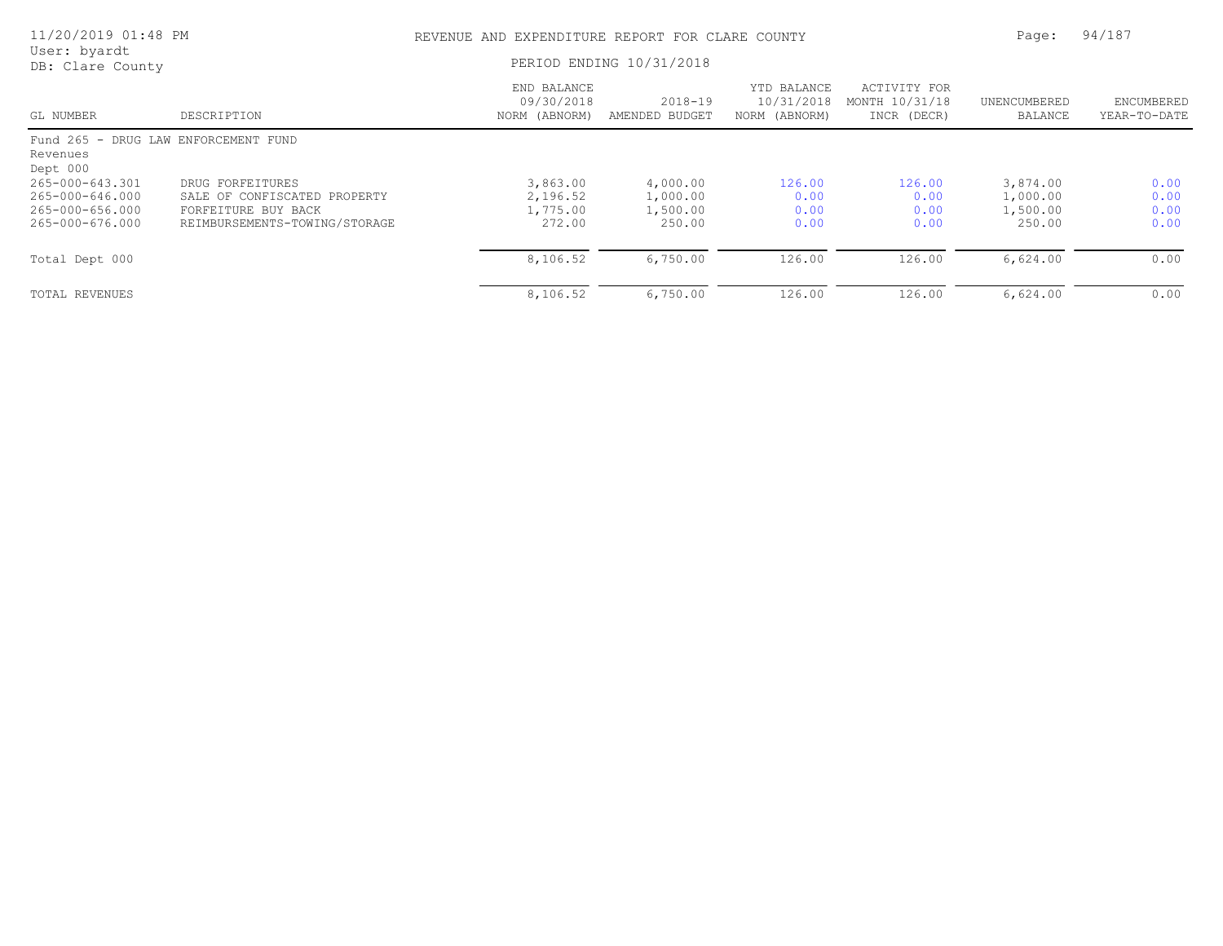| ENCUMBERED<br>YEAR-TO-DATE |
|----------------------------|
|                            |
|                            |
| 0.00<br>0.00               |
| 0.00<br>0.00               |
| 0.00                       |
| 0.00                       |
|                            |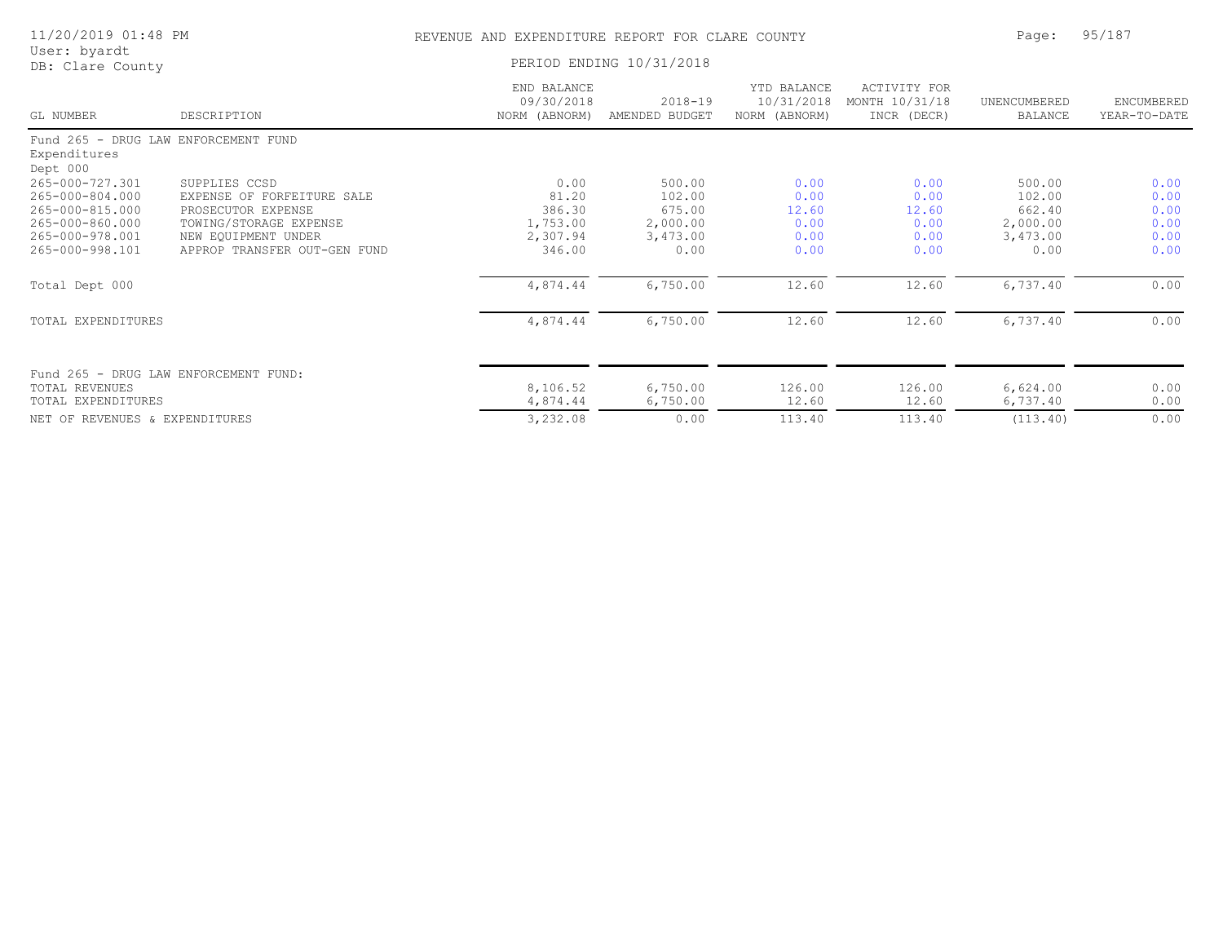| 11/20/2019 01:48 PM |  |  |
|---------------------|--|--|
|---------------------|--|--|

### REVENUE AND EXPENDITURE REPORT FOR CLARE COUNTY FOR Page: 95/187

| User: byardt |                  |
|--------------|------------------|
|              | DB: Clare County |

PERIOD ENDING 10/31/2018

| GL NUMBER                            | DESCRIPTION                           | END BALANCE<br>09/30/2018<br>NORM (ABNORM) | $2018 - 19$<br>AMENDED BUDGET | YTD BALANCE<br>10/31/2018<br>NORM (ABNORM) | <b>ACTIVITY FOR</b><br>MONTH 10/31/18<br>INCR (DECR) | UNENCUMBERED<br>BALANCE | ENCUMBERED<br>YEAR-TO-DATE |
|--------------------------------------|---------------------------------------|--------------------------------------------|-------------------------------|--------------------------------------------|------------------------------------------------------|-------------------------|----------------------------|
|                                      | Fund 265 - DRUG LAW ENFORCEMENT FUND  |                                            |                               |                                            |                                                      |                         |                            |
| Expenditures                         |                                       |                                            |                               |                                            |                                                      |                         |                            |
| Dept 000                             |                                       |                                            |                               |                                            |                                                      |                         |                            |
| 265-000-727.301                      | SUPPLIES CCSD                         | 0.00                                       | 500.00                        | 0.00                                       | 0.00                                                 | 500.00                  | 0.00                       |
| 265-000-804.000                      | EXPENSE OF FORFEITURE SALE            | 81.20                                      | 102.00                        | 0.00                                       | 0.00                                                 | 102.00                  | 0.00                       |
| 265-000-815.000                      | PROSECUTOR EXPENSE                    | 386.30                                     | 675.00                        | 12.60                                      | 12.60                                                | 662.40                  | 0.00                       |
| 265-000-860.000                      | TOWING/STORAGE EXPENSE                | 1,753.00                                   | 2,000.00                      | 0.00                                       | 0.00                                                 | 2,000.00                | 0.00                       |
| 265-000-978.001                      | NEW EQUIPMENT UNDER                   | 2,307.94                                   | 3,473.00                      | 0.00                                       | 0.00                                                 | 3,473.00                | 0.00                       |
| 265-000-998.101                      | APPROP TRANSFER OUT-GEN FUND          | 346.00                                     | 0.00                          | 0.00                                       | 0.00                                                 | 0.00                    | 0.00                       |
| Total Dept 000                       |                                       | 4,874.44                                   | 6,750.00                      | 12.60                                      | 12.60                                                | 6,737.40                | 0.00                       |
| TOTAL EXPENDITURES                   |                                       | 4,874.44                                   | 6,750.00                      | 12.60                                      | 12.60                                                | 6,737.40                | 0.00                       |
|                                      | Fund 265 - DRUG LAW ENFORCEMENT FUND: |                                            |                               |                                            |                                                      |                         |                            |
| TOTAL REVENUES<br>TOTAL EXPENDITURES |                                       | 8,106.52<br>4,874.44                       | 6,750.00                      | 126.00<br>12.60                            | 126.00<br>12.60                                      | 6,624.00                | 0.00                       |
|                                      |                                       |                                            | 6,750.00                      |                                            |                                                      | 6,737.40                | 0.00                       |
| NET OF REVENUES & EXPENDITURES       |                                       | 3,232.08                                   | 0.00                          | 113.40                                     | 113.40                                               | (113.40)                | 0.00                       |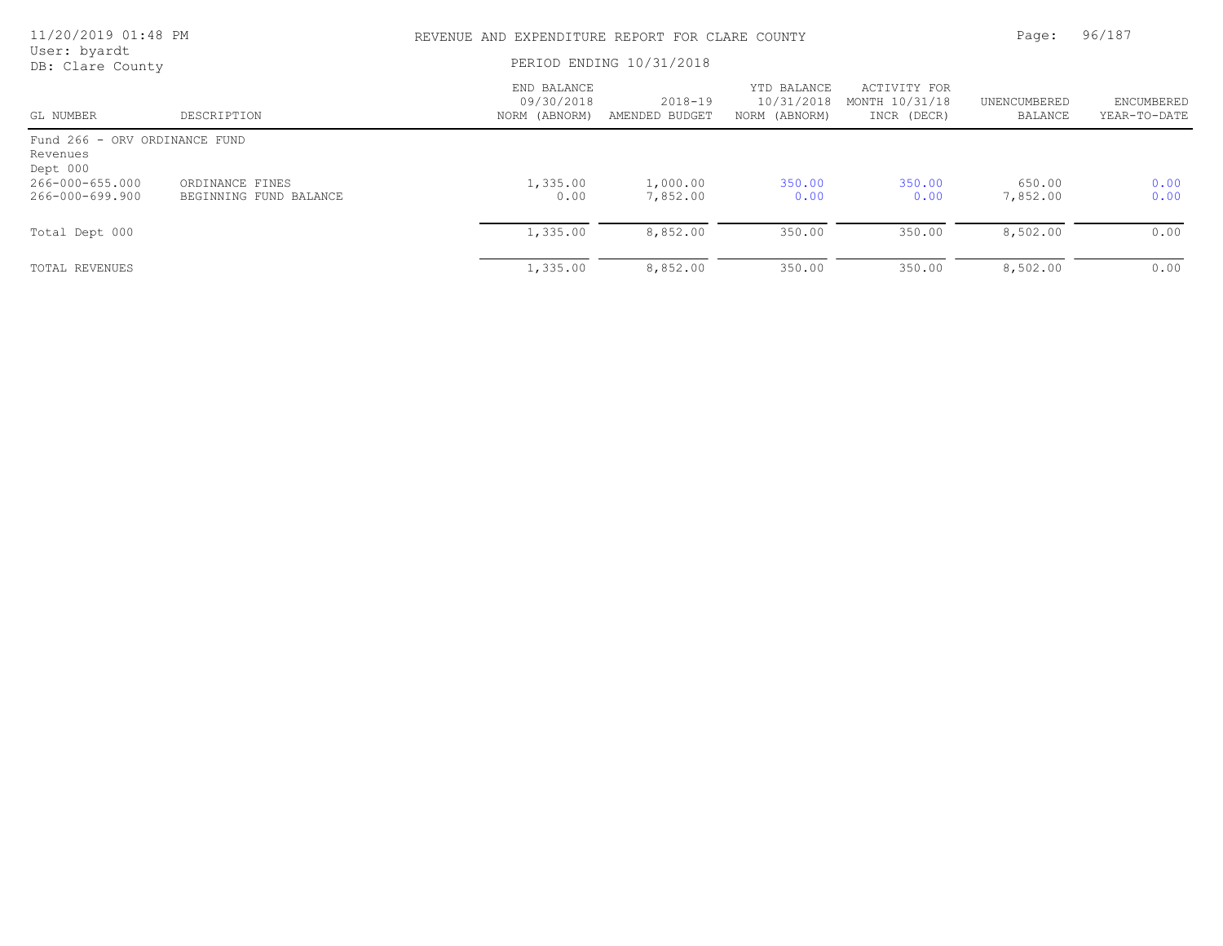| 11/20/2019 01:48 PM                                   |                                           | REVENUE AND EXPENDITURE REPORT FOR CLARE COUNTY |                               |                                            |                                               |                         | 96/187                     |  |
|-------------------------------------------------------|-------------------------------------------|-------------------------------------------------|-------------------------------|--------------------------------------------|-----------------------------------------------|-------------------------|----------------------------|--|
| User: byardt<br>DB: Clare County                      |                                           |                                                 | PERIOD ENDING 10/31/2018      |                                            |                                               |                         |                            |  |
| GL NUMBER                                             | DESCRIPTION                               | END BALANCE<br>09/30/2018<br>NORM (ABNORM)      | $2018 - 19$<br>AMENDED BUDGET | YTD BALANCE<br>10/31/2018<br>NORM (ABNORM) | ACTIVITY FOR<br>MONTH 10/31/18<br>INCR (DECR) | UNENCUMBERED<br>BALANCE | ENCUMBERED<br>YEAR-TO-DATE |  |
| Fund 266 - ORV ORDINANCE FUND<br>Revenues<br>Dept 000 |                                           |                                                 |                               |                                            |                                               |                         |                            |  |
| 266-000-655.000<br>266-000-699.900                    | ORDINANCE FINES<br>BEGINNING FUND BALANCE | 1,335.00<br>0.00                                | 1,000.00<br>7,852.00          | 350.00<br>0.00                             | 350.00<br>0.00                                | 650.00<br>7,852.00      | 0.00<br>0.00               |  |
| Total Dept 000                                        |                                           | 1,335.00                                        | 8,852.00                      | 350.00                                     | 350.00                                        | 8,502.00                | 0.00                       |  |
| TOTAL REVENUES                                        |                                           | 1,335.00                                        | 8,852.00                      | 350.00                                     | 350.00                                        | 8,502.00                | 0.00                       |  |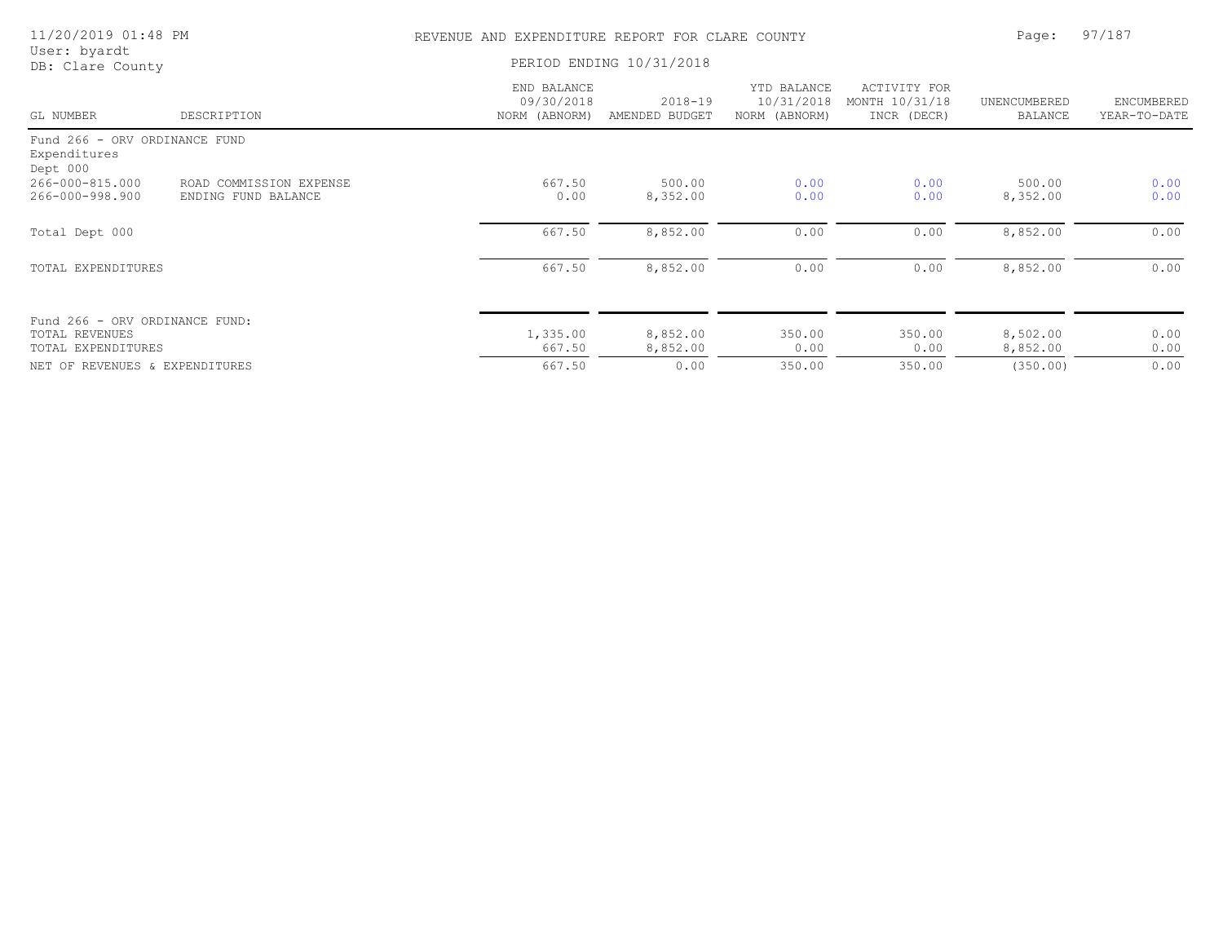| 11/20/2019 01:48 PM                                                           |                                                | REVENUE AND EXPENDITURE REPORT FOR CLARE COUNTY |                               |                                            |                                               | Page:                          | 97/187                     |  |
|-------------------------------------------------------------------------------|------------------------------------------------|-------------------------------------------------|-------------------------------|--------------------------------------------|-----------------------------------------------|--------------------------------|----------------------------|--|
| User: byardt<br>DB: Clare County                                              | PERIOD ENDING 10/31/2018                       |                                                 |                               |                                            |                                               |                                |                            |  |
| GL NUMBER                                                                     | DESCRIPTION                                    | END BALANCE<br>09/30/2018<br>NORM (ABNORM)      | $2018 - 19$<br>AMENDED BUDGET | YTD BALANCE<br>10/31/2018<br>NORM (ABNORM) | ACTIVITY FOR<br>MONTH 10/31/18<br>INCR (DECR) | UNENCUMBERED<br><b>BALANCE</b> | ENCUMBERED<br>YEAR-TO-DATE |  |
| Fund 266 - ORV ORDINANCE FUND<br>Expenditures<br>Dept 000                     |                                                |                                                 |                               |                                            |                                               |                                |                            |  |
| 266-000-815.000<br>266-000-998.900                                            | ROAD COMMISSION EXPENSE<br>ENDING FUND BALANCE | 667.50<br>0.00                                  | 500.00<br>8,352.00            | 0.00<br>0.00                               | 0.00<br>0.00                                  | 500.00<br>8,352.00             | 0.00<br>0.00               |  |
| Total Dept 000                                                                |                                                | 667.50                                          | 8,852.00                      | 0.00                                       | 0.00                                          | 8,852.00                       | 0.00                       |  |
| TOTAL EXPENDITURES                                                            |                                                | 667.50                                          | 8,852.00                      | 0.00                                       | 0.00                                          | 8,852.00                       | 0.00                       |  |
| Fund 266 - ORV ORDINANCE FUND:<br><b>TOTAL REVENUES</b><br>TOTAL EXPENDITURES |                                                | 1,335.00<br>667.50                              | 8,852.00<br>8,852.00          | 350.00<br>0.00                             | 350.00<br>0.00                                | 8,502.00<br>8,852.00           | 0.00<br>0.00               |  |
| NET OF REVENUES & EXPENDITURES                                                |                                                | 667.50                                          | 0.00                          | 350.00                                     | 350.00                                        | (350.00)                       | 0.00                       |  |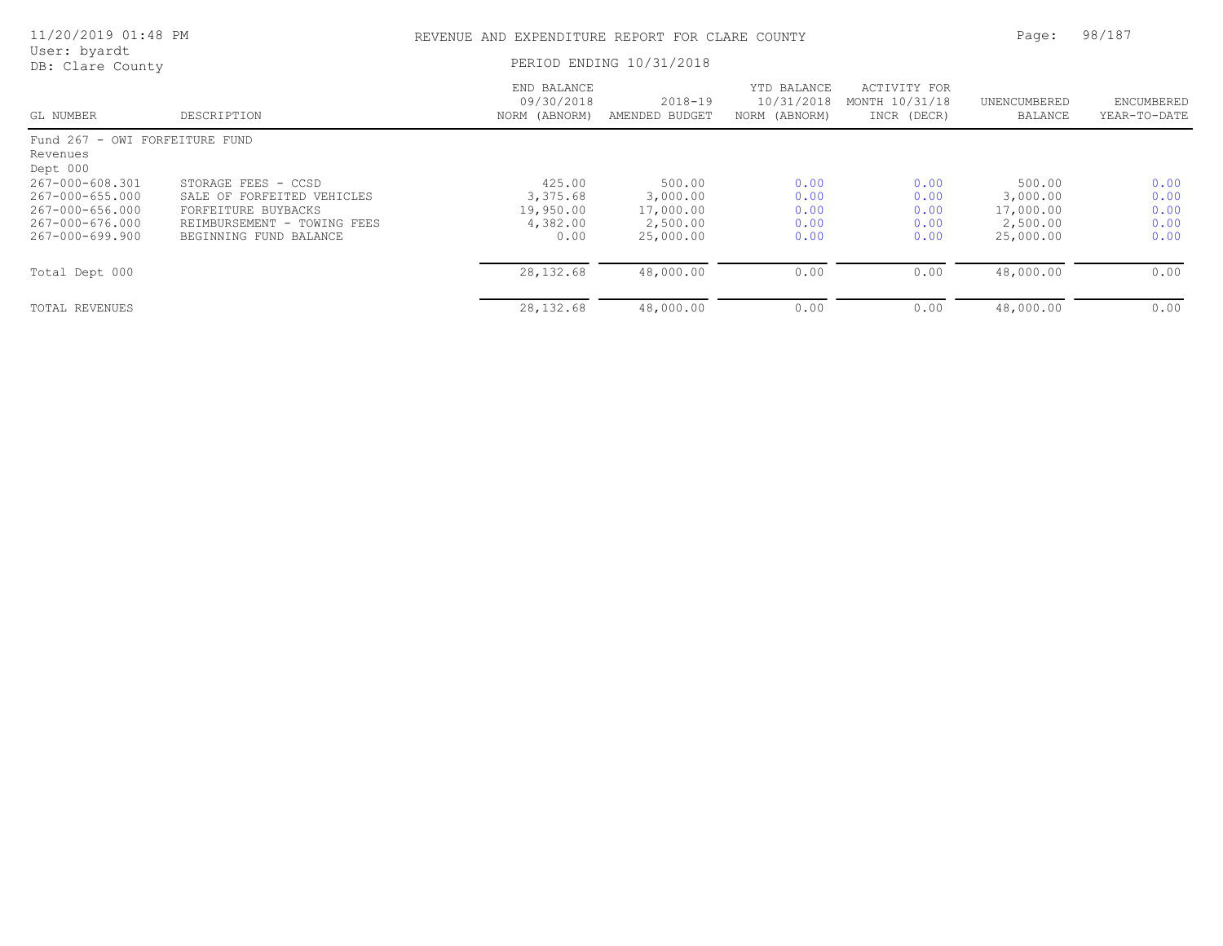| 11/20/2019 01:48 PM                                    |                                                                              | REVENUE AND EXPENDITURE REPORT FOR CLARE COUNTY |                                    |                                            |                                               | Page:                              | 98/187                     |  |
|--------------------------------------------------------|------------------------------------------------------------------------------|-------------------------------------------------|------------------------------------|--------------------------------------------|-----------------------------------------------|------------------------------------|----------------------------|--|
| User: byardt<br>DB: Clare County                       |                                                                              |                                                 | PERIOD ENDING 10/31/2018           |                                            |                                               |                                    |                            |  |
| GL NUMBER                                              | DESCRIPTION                                                                  | END BALANCE<br>09/30/2018<br>NORM (ABNORM)      | 2018-19<br>AMENDED BUDGET          | YTD BALANCE<br>10/31/2018<br>NORM (ABNORM) | ACTIVITY FOR<br>MONTH 10/31/18<br>INCR (DECR) | UNENCUMBERED<br>BALANCE            | ENCUMBERED<br>YEAR-TO-DATE |  |
| Fund 267 - OWI FORFEITURE FUND<br>Revenues<br>Dept 000 |                                                                              |                                                 |                                    |                                            |                                               |                                    |                            |  |
| 267-000-608.301<br>267-000-655.000                     | STORAGE FEES - CCSD<br>SALE OF FORFEITED VEHICLES                            | 425.00<br>3,375.68                              | 500.00<br>3,000.00                 | 0.00<br>0.00                               | 0.00<br>0.00                                  | 500.00<br>3,000.00                 | 0.00<br>0.00               |  |
| 267-000-656.000<br>267-000-676.000<br>267-000-699.900  | FORFEITURE BUYBACKS<br>REIMBURSEMENT - TOWING FEES<br>BEGINNING FUND BALANCE | 19,950.00<br>4,382.00<br>0.00                   | 17,000.00<br>2,500.00<br>25,000.00 | 0.00<br>0.00<br>0.00                       | 0.00<br>0.00<br>0.00                          | 17,000.00<br>2,500.00<br>25,000.00 | 0.00<br>0.00<br>0.00       |  |
| Total Dept 000                                         |                                                                              | 28, 132.68                                      | 48,000.00                          | 0.00                                       | 0.00                                          | 48,000.00                          | 0.00                       |  |
| TOTAL REVENUES                                         |                                                                              | 28, 132.68                                      | 48,000.00                          | 0.00                                       | 0.00                                          | 48,000.00                          | 0.00                       |  |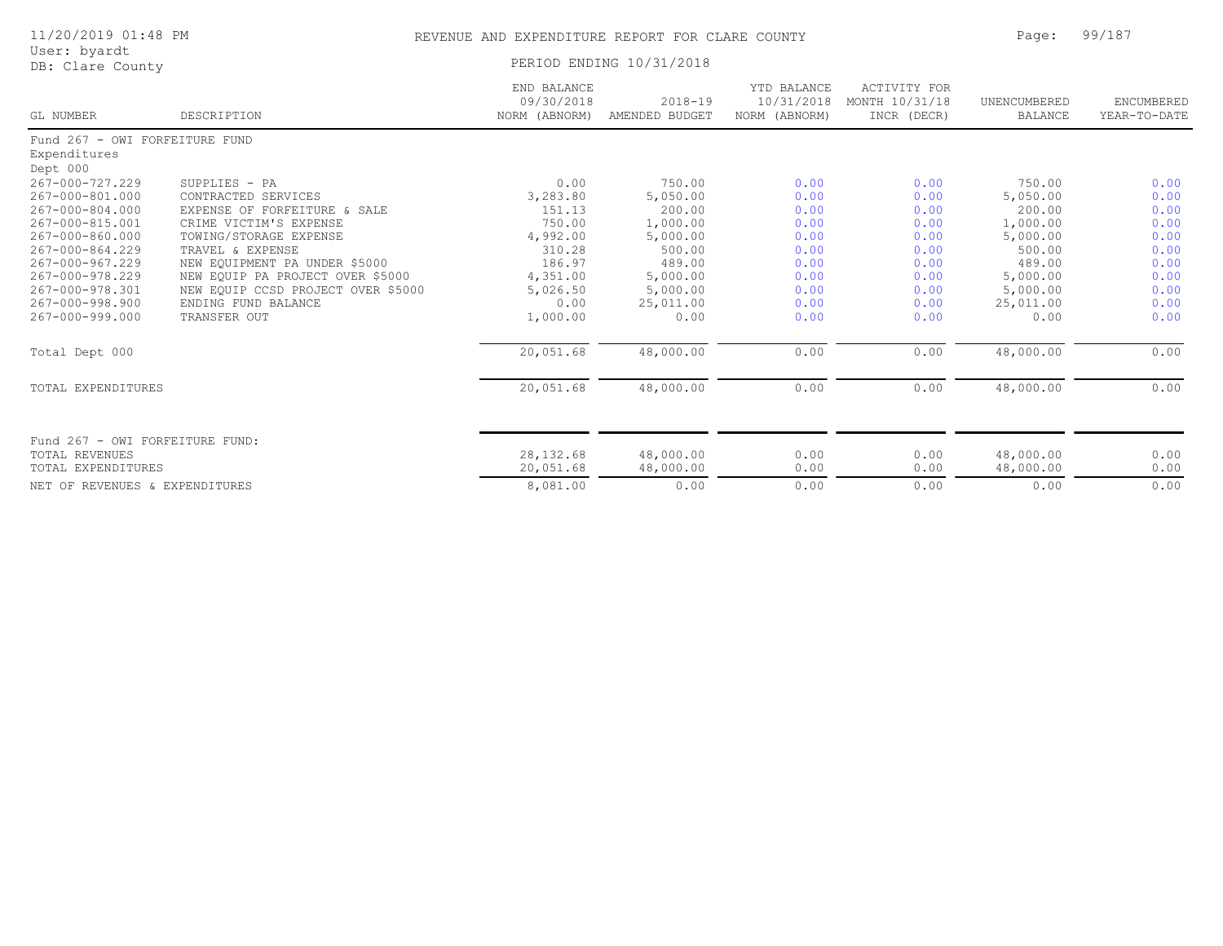|  |  | 11/20/2019 01:48 PM |  |  |
|--|--|---------------------|--|--|
|--|--|---------------------|--|--|

#### REVENUE AND EXPENDITURE REPORT FOR CLARE COUNTY **12:49 PAGE: 128 Page: 99/187**

| User: byardt |  |
|--------------|--|
|--------------|--|

User: byardt DB: Clare County PERIOD ENDING 10/31/2018

| GL NUMBER                       | DESCRIPTION                        | END BALANCE<br>09/30/2018<br>NORM (ABNORM) | $2018 - 19$<br>AMENDED BUDGET | YTD BALANCE<br>10/31/2018<br>NORM (ABNORM) | <b>ACTIVITY FOR</b><br>MONTH 10/31/18<br>INCR (DECR) | UNENCUMBERED<br><b>BALANCE</b> | ENCUMBERED<br>YEAR-TO-DATE |
|---------------------------------|------------------------------------|--------------------------------------------|-------------------------------|--------------------------------------------|------------------------------------------------------|--------------------------------|----------------------------|
| Fund 267 - OWI FORFEITURE FUND  |                                    |                                            |                               |                                            |                                                      |                                |                            |
| Expenditures                    |                                    |                                            |                               |                                            |                                                      |                                |                            |
| Dept 000                        |                                    |                                            |                               |                                            |                                                      |                                |                            |
| 267-000-727.229                 | SUPPLIES - PA                      | 0.00                                       | 750.00                        | 0.00                                       | 0.00                                                 | 750.00                         | 0.00                       |
| 267-000-801.000                 | CONTRACTED SERVICES                | 3,283.80                                   | 5,050.00                      | 0.00                                       | 0.00                                                 | 5,050.00                       | 0.00                       |
| 267-000-804.000                 | EXPENSE OF FORFEITURE & SALE       | 151.13                                     | 200.00                        | 0.00                                       | 0.00                                                 | 200.00                         | 0.00                       |
| 267-000-815.001                 | CRIME VICTIM'S EXPENSE             | 750.00                                     | 1,000.00                      | 0.00                                       | 0.00                                                 | 1,000.00                       | 0.00                       |
| 267-000-860.000                 | TOWING/STORAGE EXPENSE             | 4,992.00                                   | 5,000.00                      | 0.00                                       | 0.00                                                 | 5,000.00                       | 0.00                       |
| 267-000-864.229                 | TRAVEL & EXPENSE                   | 310.28                                     | 500.00                        | 0.00                                       | 0.00                                                 | 500.00                         | 0.00                       |
| 267-000-967.229                 | NEW EQUIPMENT PA UNDER \$5000      | 186.97                                     | 489.00                        | 0.00                                       | 0.00                                                 | 489.00                         | 0.00                       |
| 267-000-978.229                 | NEW EQUIP PA PROJECT OVER \$5000   | 4,351.00                                   | 5,000.00                      | 0.00                                       | 0.00                                                 | 5,000.00                       | 0.00                       |
| 267-000-978.301                 | NEW EQUIP CCSD PROJECT OVER \$5000 | 5,026.50                                   | 5,000.00                      | 0.00                                       | 0.00                                                 | 5,000.00                       | 0.00                       |
| 267-000-998.900                 | ENDING FUND BALANCE                | 0.00                                       | 25,011.00                     | 0.00                                       | 0.00                                                 | 25,011.00                      | 0.00                       |
| 267-000-999.000                 | TRANSFER OUT                       | 1,000.00                                   | 0.00                          | 0.00                                       | 0.00                                                 | 0.00                           | 0.00                       |
| Total Dept 000                  |                                    | 20,051.68                                  | 48,000.00                     | 0.00                                       | 0.00                                                 | 48,000.00                      | 0.00                       |
| TOTAL EXPENDITURES              |                                    | 20,051.68                                  | 48,000.00                     | 0.00                                       | 0.00                                                 | 48,000.00                      | 0.00                       |
| Fund 267 - OWI FORFEITURE FUND: |                                    |                                            |                               |                                            |                                                      |                                |                            |
| TOTAL REVENUES                  |                                    | 28, 132.68                                 | 48,000.00                     | 0.00                                       | 0.00                                                 | 48,000.00                      | 0.00                       |
| TOTAL EXPENDITURES              |                                    | 20,051.68                                  | 48,000.00                     | 0.00                                       | 0.00                                                 | 48,000.00                      | 0.00                       |
|                                 |                                    |                                            |                               |                                            |                                                      |                                |                            |
| NET OF REVENUES & EXPENDITURES  |                                    | 8,081.00                                   | 0.00                          | 0.00                                       | 0.00                                                 | 0.00                           | 0.00                       |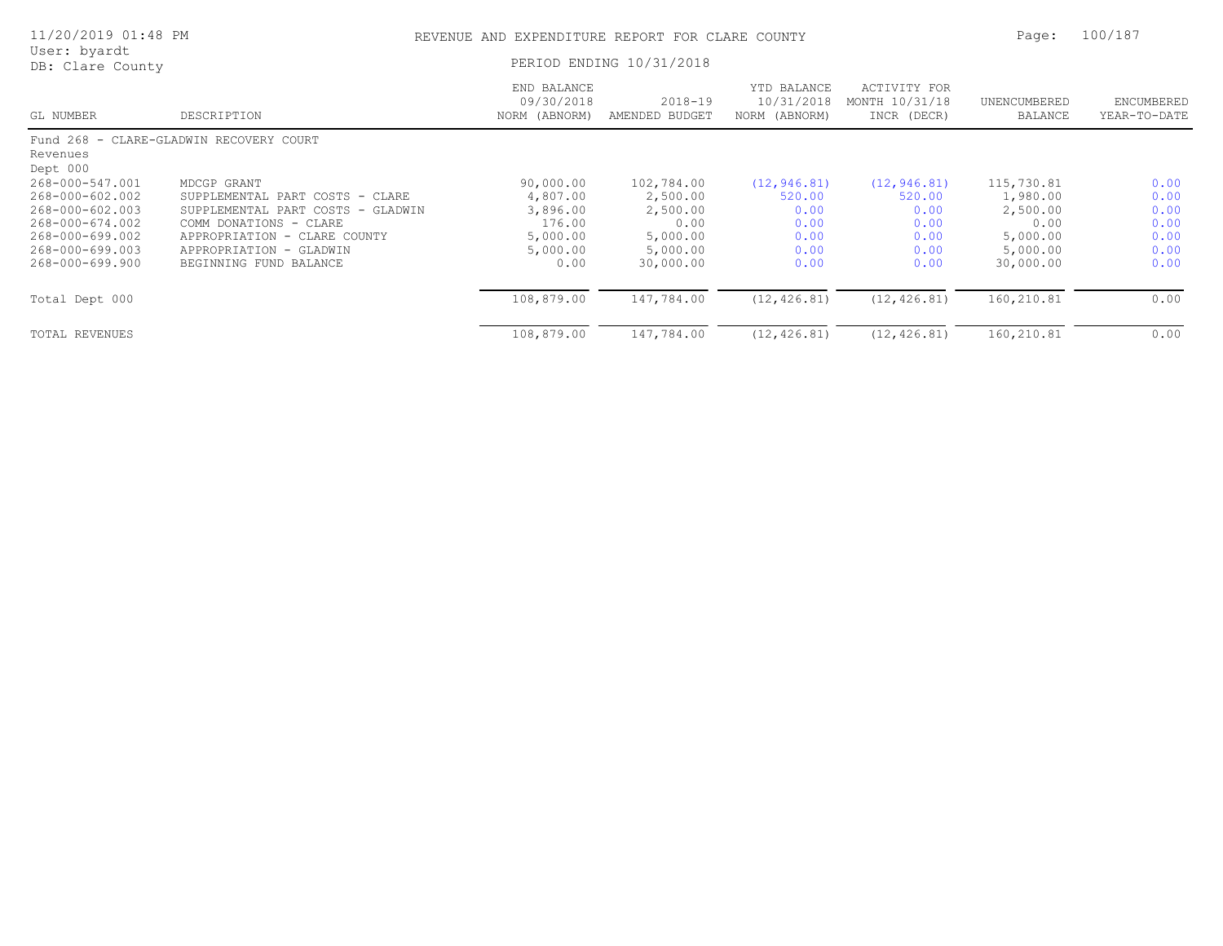| 11/20/2019 01:48 PM              |                                                           | REVENUE AND EXPENDITURE REPORT FOR CLARE COUNTY |                               |                                            |                                               | Page:                   | 100/187                    |  |
|----------------------------------|-----------------------------------------------------------|-------------------------------------------------|-------------------------------|--------------------------------------------|-----------------------------------------------|-------------------------|----------------------------|--|
| User: byardt<br>DB: Clare County |                                                           |                                                 | PERIOD ENDING 10/31/2018      |                                            |                                               |                         |                            |  |
| GL NUMBER                        | DESCRIPTION                                               | END BALANCE<br>09/30/2018<br>NORM (ABNORM)      | $2018 - 19$<br>AMENDED BUDGET | YTD BALANCE<br>10/31/2018<br>NORM (ABNORM) | ACTIVITY FOR<br>MONTH 10/31/18<br>INCR (DECR) | UNENCUMBERED<br>BALANCE | ENCUMBERED<br>YEAR-TO-DATE |  |
|                                  | Fund 268 - CLARE-GLADWIN RECOVERY COURT                   |                                                 |                               |                                            |                                               |                         |                            |  |
| Revenues<br>Dept 000             |                                                           |                                                 |                               |                                            |                                               |                         |                            |  |
| 268-000-547.001                  | MDCGP GRANT                                               | 90,000.00                                       | 102,784.00                    | (12, 946, 81)                              | (12, 946, 81)                                 | 115,730.81              | 0.00                       |  |
| 268-000-602.002                  | SUPPLEMENTAL PART COSTS - CLARE                           | 4,807.00                                        | 2,500.00                      | 520.00                                     | 520.00                                        | 1,980.00                | 0.00                       |  |
| 268-000-602.003                  | SUPPLEMENTAL PART<br>COSTS -<br>GLADWIN                   | 3,896.00                                        | 2,500.00                      | 0.00                                       | 0.00                                          | 2,500.00                | 0.00                       |  |
| 268-000-674.002                  | COMM DONATIONS - CLARE                                    | 176.00                                          | 0.00                          | 0.00                                       | 0.00                                          | 0.00                    | 0.00                       |  |
| 268-000-699.002                  | APPROPRIATION<br>CLARE COUNTY<br>$\overline{\phantom{0}}$ | 5,000.00                                        | 5,000.00                      | 0.00                                       | 0.00                                          | 5,000.00                | 0.00                       |  |
| 268-000-699.003                  | APPROPRIATION<br>- GLADWIN                                | 5,000.00                                        | 5,000.00                      | 0.00                                       | 0.00                                          | 5,000.00                | 0.00                       |  |
| 268-000-699.900                  | BEGINNING FUND BALANCE                                    | 0.00                                            | 30,000.00                     | 0.00                                       | 0.00                                          | 30,000.00               | 0.00                       |  |
| Total Dept 000                   |                                                           | 108,879.00                                      | 147,784.00                    | (12, 426.81)                               | (12, 426.81)                                  | 160,210.81              | 0.00                       |  |
| TOTAL REVENUES                   |                                                           | 108,879.00                                      | 147,784.00                    | (12, 426, 81)                              | (12, 426, 81)                                 | 160,210.81              | 0.00                       |  |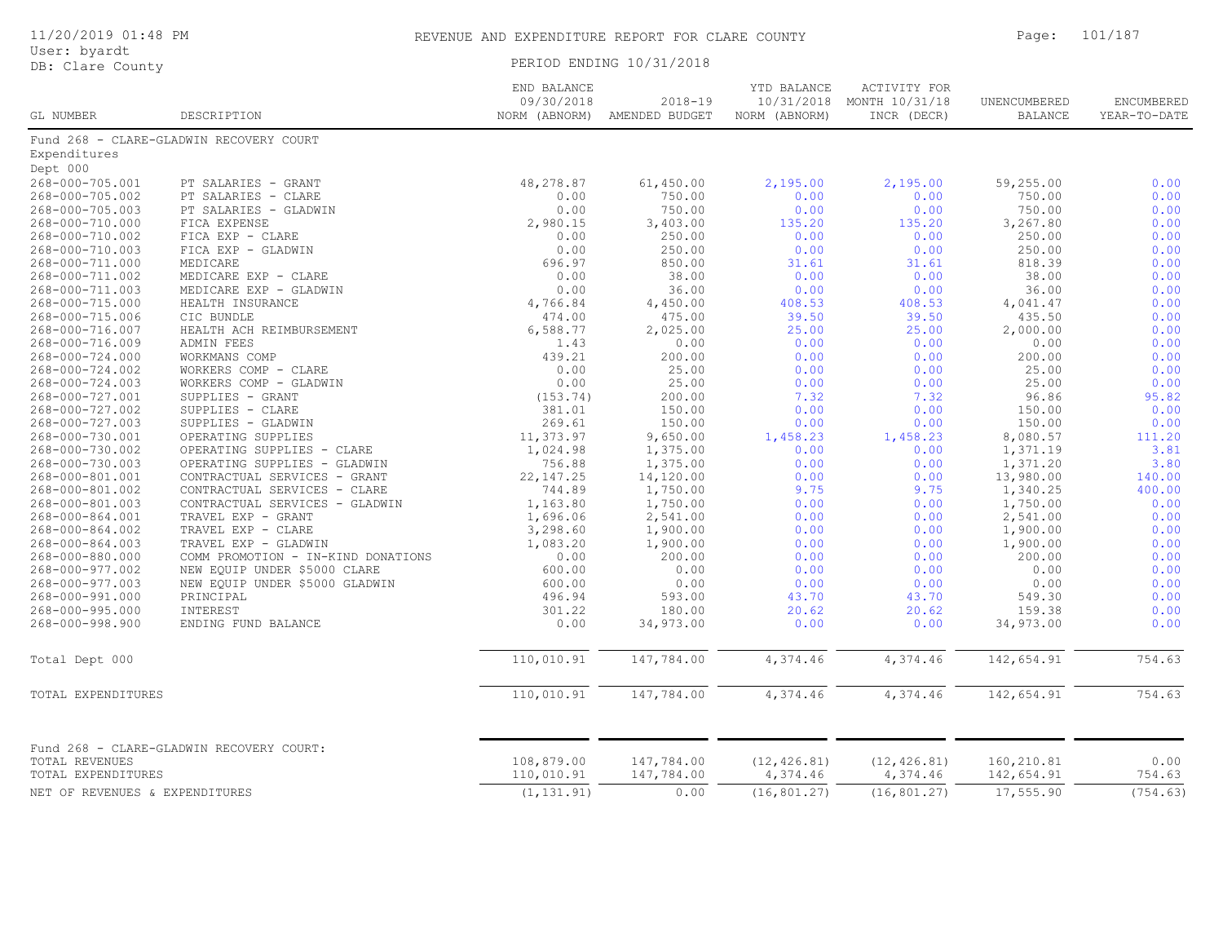### 11/20/2019 01:48 PM REVENUE AND EXPENDITURE REPORT FOR CLARE COUNTY Page: 101/187

| User: byardt<br>DB: Clare County     |                                          | PERIOD ENDING 10/31/2018 |                          |                          |                          |                          |                |  |
|--------------------------------------|------------------------------------------|--------------------------|--------------------------|--------------------------|--------------------------|--------------------------|----------------|--|
|                                      |                                          | END BALANCE              |                          | YTD BALANCE              | <b>ACTIVITY FOR</b>      |                          |                |  |
|                                      |                                          | 09/30/2018               | $2018 - 19$              | 10/31/2018               | MONTH 10/31/18           | UNENCUMBERED             | ENCUMBERED     |  |
| GL NUMBER                            | DESCRIPTION                              | NORM (ABNORM)            | AMENDED BUDGET           | NORM (ABNORM)            | INCR (DECR)              | <b>BALANCE</b>           | YEAR-TO-DATE   |  |
|                                      | Fund 268 - CLARE-GLADWIN RECOVERY COURT  |                          |                          |                          |                          |                          |                |  |
| Expenditures                         |                                          |                          |                          |                          |                          |                          |                |  |
| Dept 000                             |                                          |                          |                          |                          |                          |                          |                |  |
| 268-000-705.001                      | PT SALARIES - GRANT                      | 48,278.87                | 61,450.00                | 2,195.00                 | 2,195.00                 | 59,255.00                | 0.00           |  |
| 268-000-705.002                      | PT SALARIES - CLARE                      | 0.00                     | 750.00                   | 0.00                     | 0.00                     | 750.00                   | 0.00           |  |
| 268-000-705.003                      | PT SALARIES - GLADWIN                    | 0.00                     | 750.00                   | 0.00                     | 0.00                     | 750.00                   | 0.00           |  |
| 268-000-710.000                      | FICA EXPENSE                             | 2,980.15                 | 3,403.00                 | 135.20                   | 135.20                   | 3,267.80                 | 0.00           |  |
| 268-000-710.002                      | FICA EXP - CLARE                         | 0.00                     | 250.00                   | 0.00                     | 0.00                     | 250.00                   | 0.00           |  |
| 268-000-710.003                      | FICA EXP - GLADWIN                       | 0.00                     | 250.00                   | 0.00                     | 0.00                     | 250.00                   | 0.00           |  |
| 268-000-711.000                      | MEDICARE                                 | 696.97                   | 850.00                   | 31.61                    | 31.61                    | 818.39                   | 0.00           |  |
| 268-000-711.002                      | MEDICARE EXP - CLARE                     | 0.00                     | 38.00                    | 0.00                     | 0.00                     | 38.00                    | 0.00           |  |
| 268-000-711.003                      | MEDICARE EXP - GLADWIN                   | 0.00                     | 36.00                    | 0.00                     | 0.00                     | 36.00                    | 0.00           |  |
| 268-000-715.000                      | HEALTH INSURANCE                         | 4,766.84                 | 4,450.00                 | 408.53                   | 408.53                   | 4,041.47                 | 0.00           |  |
| 268-000-715.006                      | CIC BUNDLE                               | 474.00                   | 475.00                   | 39.50                    | 39.50                    | 435.50                   | 0.00           |  |
| 268-000-716.007                      | HEALTH ACH REIMBURSEMENT                 | 6,588.77                 | 2,025.00                 | 25.00                    | 25.00                    | 2,000.00                 | 0.00           |  |
| 268-000-716.009                      | ADMIN FEES                               | 1.43                     | 0.00                     | 0.00                     | 0.00                     | 0.00                     | 0.00           |  |
| 268-000-724.000                      | WORKMANS COMP                            | 439.21                   | 200.00                   | 0.00                     | 0.00                     | 200.00                   | 0.00           |  |
| 268-000-724.002                      | WORKERS COMP - CLARE                     | 0.00                     | 25.00                    | 0.00                     | 0.00                     | 25.00                    | 0.00           |  |
| 268-000-724.003                      | WORKERS COMP - GLADWIN                   | 0.00                     | 25.00                    | 0.00                     | 0.00                     | 25.00                    | 0.00           |  |
| 268-000-727.001                      | SUPPLIES - GRANT                         | (153.74)                 | 200.00                   | 7.32                     | 7.32                     | 96.86                    | 95.82          |  |
| 268-000-727.002                      | SUPPLIES - CLARE                         | 381.01                   | 150.00                   | 0.00                     | 0.00                     | 150.00                   | 0.00           |  |
| 268-000-727.003                      | SUPPLIES - GLADWIN                       | 269.61                   | 150.00                   | 0.00                     | 0.00                     | 150.00                   | 0.00           |  |
| 268-000-730.001                      | OPERATING SUPPLIES                       | 11,373.97                | 9,650.00                 | 1,458.23                 | 1,458.23                 | 8,080.57                 | 111.20         |  |
| 268-000-730.002                      | OPERATING SUPPLIES - CLARE               | 1,024.98                 | 1,375.00                 | 0.00                     | 0.00                     | 1,371.19                 | 3.81           |  |
| 268-000-730.003                      | OPERATING SUPPLIES - GLADWIN             | 756.88                   | 1,375.00                 | 0.00                     | 0.00                     | 1,371.20                 | 3.80           |  |
| 268-000-801.001                      | CONTRACTUAL SERVICES - GRANT             | 22, 147.25               | 14,120.00                | 0.00                     | 0.00                     | 13,980.00                | 140.00         |  |
| 268-000-801.002                      | CONTRACTUAL SERVICES - CLARE             | 744.89                   | 1,750.00                 | 9.75                     | 9.75                     | 1,340.25                 | 400.00         |  |
| 268-000-801.003                      | CONTRACTUAL SERVICES - GLADWIN           | 1,163.80                 | 1,750.00                 | 0.00                     | 0.00                     | 1,750.00                 | 0.00           |  |
| 268-000-864.001                      | TRAVEL EXP - GRANT                       | 1,696.06                 | 2,541.00                 | 0.00                     | 0.00                     | 2,541.00                 | 0.00           |  |
| 268-000-864.002                      | TRAVEL EXP - CLARE                       | 3,298.60                 | 1,900.00                 | 0.00                     | 0.00                     | 1,900.00                 | 0.00           |  |
| 268-000-864.003                      | TRAVEL EXP - GLADWIN                     | 1,083.20                 | 1,900.00                 | 0.00                     | 0.00                     | 1,900.00                 | 0.00           |  |
| 268-000-880.000                      | COMM PROMOTION - IN-KIND DONATIONS       | 0.00                     | 200.00                   | 0.00                     | 0.00                     | 200.00                   | 0.00           |  |
| 268-000-977.002                      | NEW EQUIP UNDER \$5000 CLARE             | 600.00                   | 0.00                     | 0.00                     | 0.00                     | 0.00                     | 0.00           |  |
| 268-000-977.003                      | NEW EQUIP UNDER \$5000 GLADWIN           | 600.00                   | 0.00                     | 0.00                     | 0.00                     | 0.00                     | 0.00           |  |
| 268-000-991.000                      | PRINCIPAL                                | 496.94                   | 593.00                   | 43.70                    | 43.70                    | 549.30                   | 0.00           |  |
| 268-000-995.000                      | INTEREST                                 | 301.22                   | 180.00                   | 20.62                    | 20.62                    | 159.38                   | 0.00           |  |
| 268-000-998.900                      | ENDING FUND BALANCE                      | 0.00                     | 34,973.00                | 0.00                     | 0.00                     | 34,973.00                | 0.00           |  |
| Total Dept 000                       |                                          | 110,010.91               | 147,784.00               | 4,374.46                 | 4,374.46                 | 142,654.91               | 754.63         |  |
|                                      |                                          |                          |                          |                          |                          |                          |                |  |
| TOTAL EXPENDITURES                   |                                          | 110,010.91               | 147,784.00               | 4,374.46                 | 4,374.46                 | 142,654.91               | 754.63         |  |
|                                      | Fund 268 - CLARE-GLADWIN RECOVERY COURT: |                          |                          |                          |                          |                          |                |  |
| TOTAL REVENUES<br>TOTAL EXPENDITURES |                                          | 108,879.00<br>110,010.91 | 147,784.00<br>147,784.00 | (12, 426.81)<br>4,374.46 | (12, 426.81)<br>4,374.46 | 160,210.81<br>142,654.91 | 0.00<br>754.63 |  |
| NET OF REVENUES & EXPENDITURES       |                                          | (1, 131.91)              | 0.00                     | (16, 801.27)             | (16, 801.27)             | 17,555.90                | (754.63)       |  |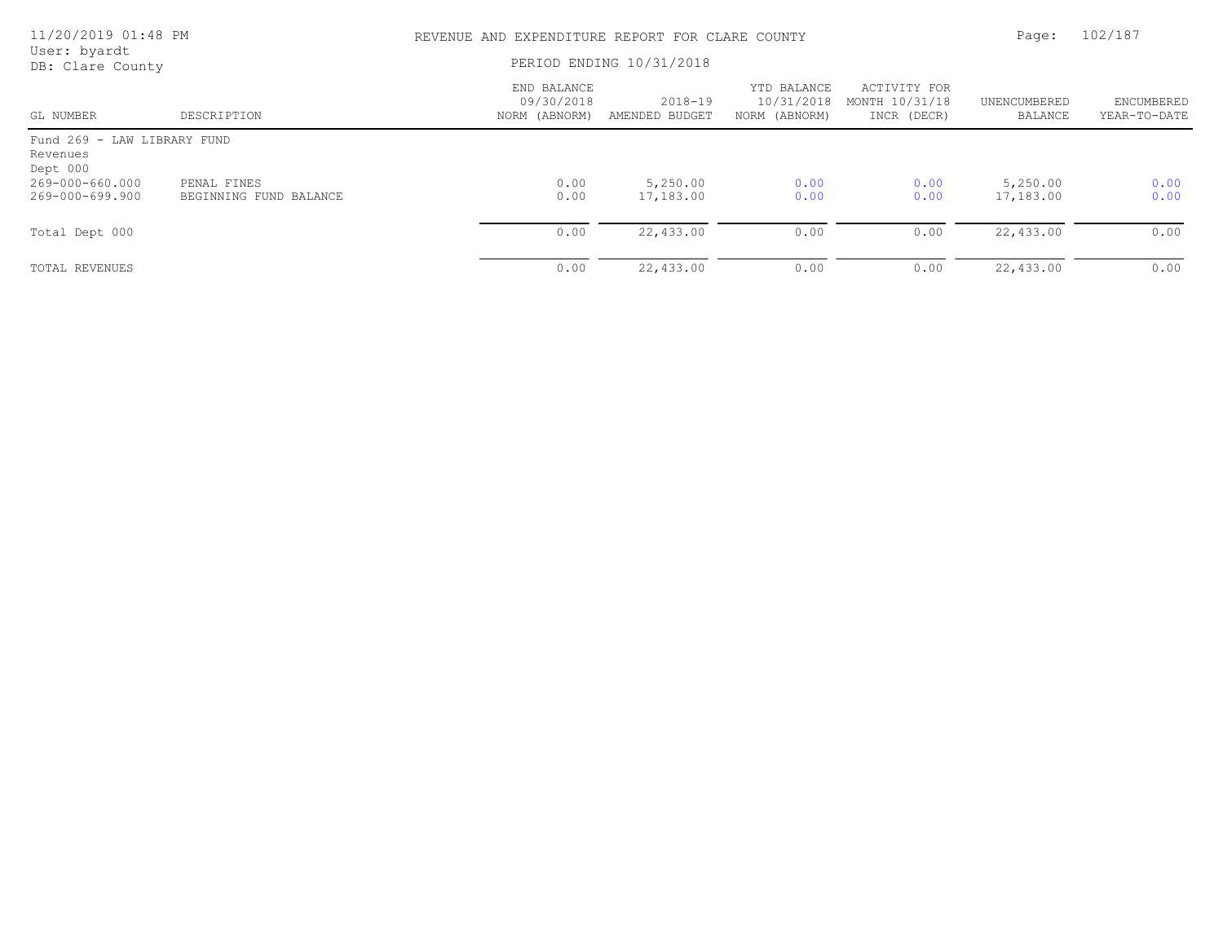| 11/20/2019 01:48 PM                                 |                                       | REVENUE AND EXPENDITURE REPORT FOR CLARE COUNTY |                               |                                            |                                               | Page:                   | 102/187                    |  |
|-----------------------------------------------------|---------------------------------------|-------------------------------------------------|-------------------------------|--------------------------------------------|-----------------------------------------------|-------------------------|----------------------------|--|
| User: byardt<br>DB: Clare County                    |                                       | PERIOD ENDING 10/31/2018                        |                               |                                            |                                               |                         |                            |  |
| GL NUMBER                                           | DESCRIPTION                           | END BALANCE<br>09/30/2018<br>NORM (ABNORM)      | $2018 - 19$<br>AMENDED BUDGET | YTD BALANCE<br>10/31/2018<br>NORM (ABNORM) | ACTIVITY FOR<br>MONTH 10/31/18<br>INCR (DECR) | UNENCUMBERED<br>BALANCE | ENCUMBERED<br>YEAR-TO-DATE |  |
| Fund 269 - LAW LIBRARY FUND<br>Revenues<br>Dept 000 |                                       |                                                 |                               |                                            |                                               |                         |                            |  |
| 269-000-660.000<br>269-000-699.900                  | PENAL FINES<br>BEGINNING FUND BALANCE | 0.00<br>0.00                                    | 5,250.00<br>17,183.00         | 0.00<br>0.00                               | 0.00<br>0.00                                  | 5,250.00<br>17,183.00   | 0.00<br>0.00               |  |
| Total Dept 000                                      |                                       | 0.00                                            | 22,433.00                     | 0.00                                       | 0.00                                          | 22,433.00               | 0.00                       |  |
| TOTAL REVENUES                                      |                                       | 0.00                                            | 22,433.00                     | 0.00                                       | 0.00                                          | 22,433.00               | 0.00                       |  |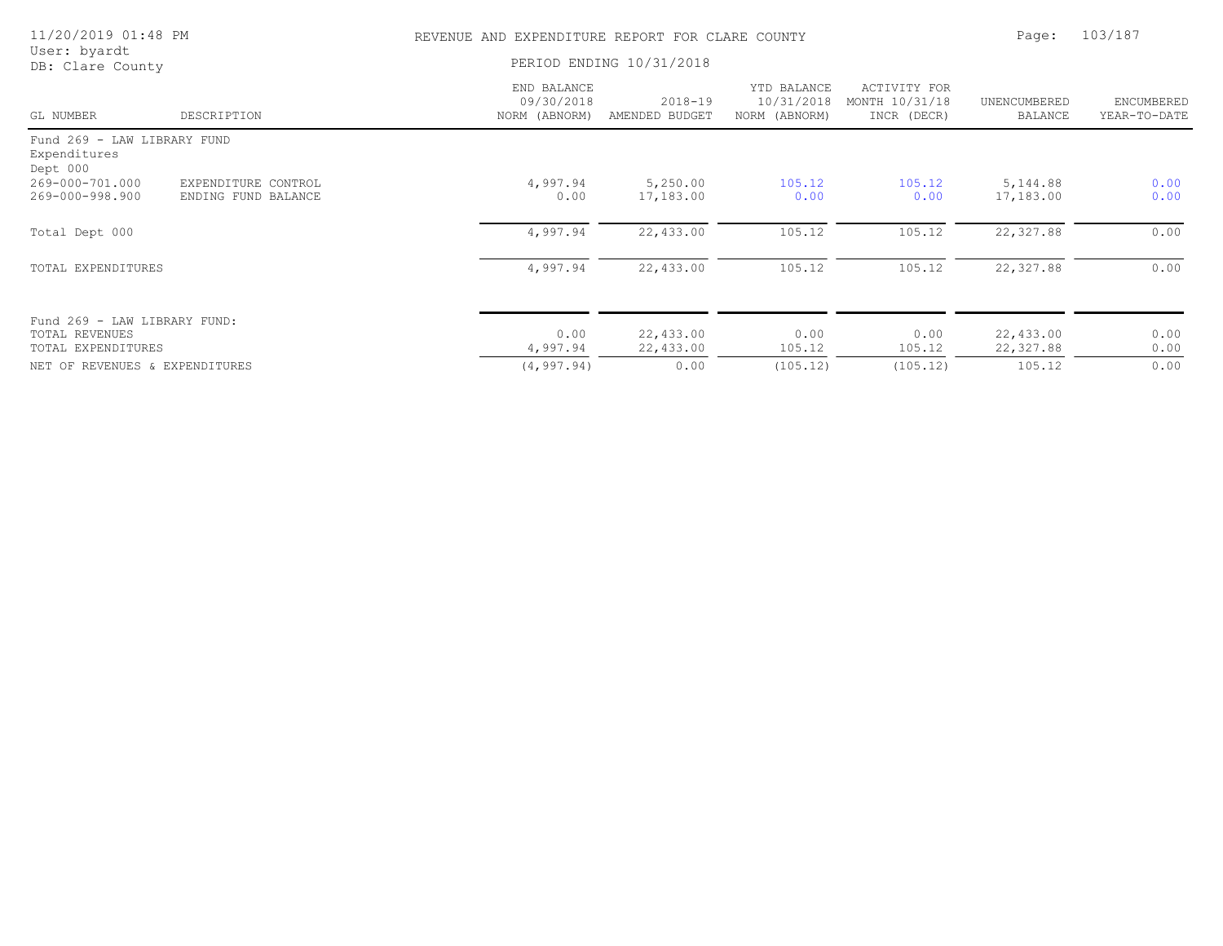| 11/20/2019 01:48 PM                                                  |                                            | REVENUE AND EXPENDITURE REPORT FOR CLARE COUNTY |                               |                                            |                                               | Page:                          | 103/187                    |  |
|----------------------------------------------------------------------|--------------------------------------------|-------------------------------------------------|-------------------------------|--------------------------------------------|-----------------------------------------------|--------------------------------|----------------------------|--|
| User: byardt<br>DB: Clare County                                     |                                            |                                                 | PERIOD ENDING 10/31/2018      |                                            |                                               |                                |                            |  |
| GL NUMBER                                                            | DESCRIPTION                                | END BALANCE<br>09/30/2018<br>NORM (ABNORM)      | $2018 - 19$<br>AMENDED BUDGET | YTD BALANCE<br>10/31/2018<br>NORM (ABNORM) | ACTIVITY FOR<br>MONTH 10/31/18<br>INCR (DECR) | UNENCUMBERED<br><b>BALANCE</b> | ENCUMBERED<br>YEAR-TO-DATE |  |
| Fund 269 - LAW LIBRARY FUND<br>Expenditures<br>Dept 000              |                                            |                                                 |                               |                                            |                                               |                                |                            |  |
| 269-000-701.000<br>269-000-998.900                                   | EXPENDITURE CONTROL<br>ENDING FUND BALANCE | 4,997.94<br>0.00                                | 5,250.00<br>17,183.00         | 105.12<br>0.00                             | 105.12<br>0.00                                | 5,144.88<br>17,183.00          | 0.00<br>0.00               |  |
| Total Dept 000                                                       |                                            | 4,997.94                                        | 22,433.00                     | 105.12                                     | 105.12                                        | 22,327.88                      | 0.00                       |  |
| TOTAL EXPENDITURES                                                   |                                            | 4,997.94                                        | 22,433.00                     | 105.12                                     | 105.12                                        | 22, 327.88                     | 0.00                       |  |
| Fund 269 - LAW LIBRARY FUND:<br>TOTAL REVENUES<br>TOTAL EXPENDITURES |                                            | 0.00<br>4,997.94                                | 22,433.00<br>22,433.00        | 0.00<br>105.12                             | 0.00<br>105.12                                | 22,433.00<br>22,327.88         | 0.00<br>0.00               |  |
| NET OF REVENUES & EXPENDITURES                                       |                                            | (4, 997.94)                                     | 0.00                          | (105.12)                                   | (105.12)                                      | 105.12                         | 0.00                       |  |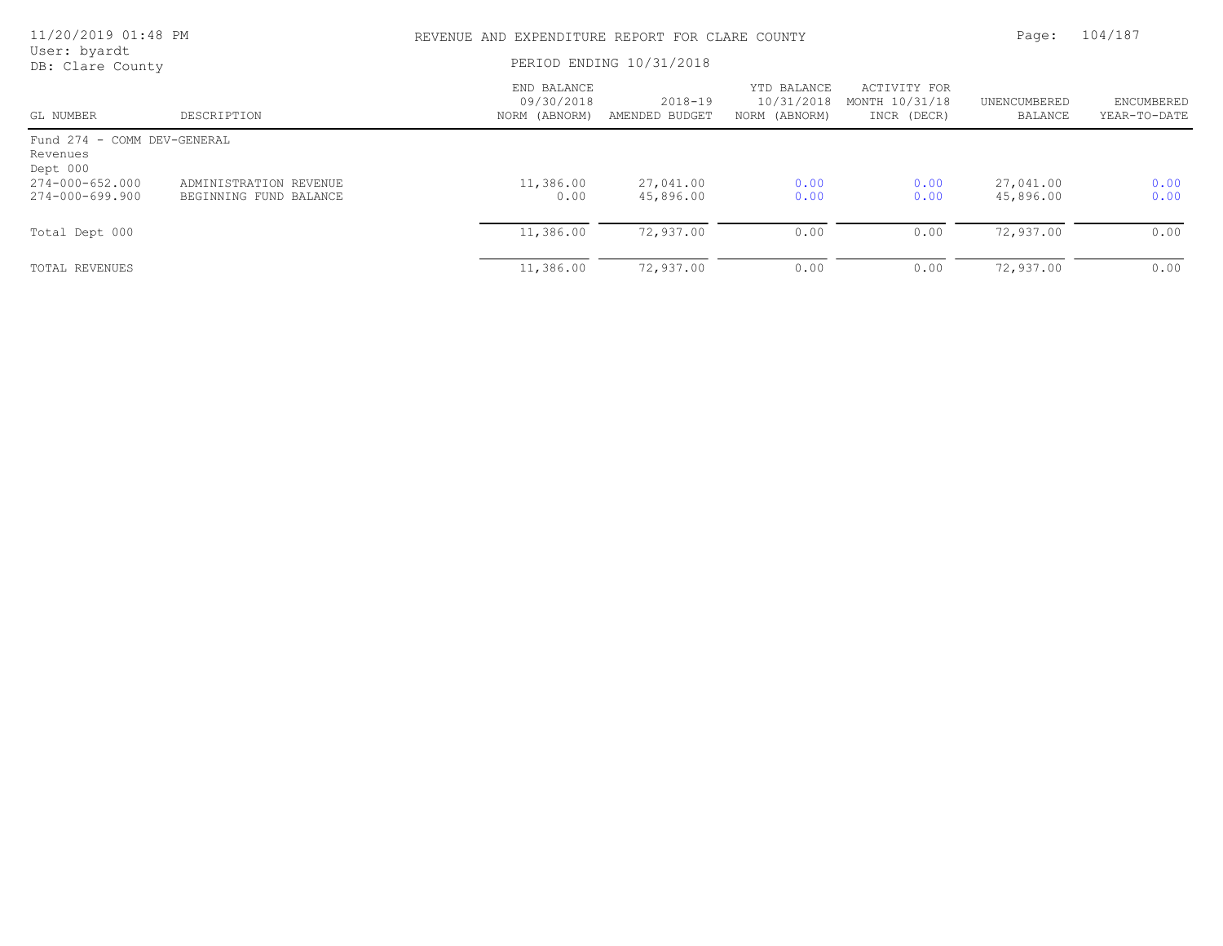| 11/20/2019 01:48 PM                                 |                                                  | REVENUE AND EXPENDITURE REPORT FOR CLARE COUNTY | Page:                         | 104/187                                    |                                               |                         |                            |
|-----------------------------------------------------|--------------------------------------------------|-------------------------------------------------|-------------------------------|--------------------------------------------|-----------------------------------------------|-------------------------|----------------------------|
| User: byardt<br>DB: Clare County                    |                                                  | PERIOD ENDING 10/31/2018                        |                               |                                            |                                               |                         |                            |
| GL NUMBER                                           | DESCRIPTION                                      | END BALANCE<br>09/30/2018<br>NORM (ABNORM)      | $2018 - 19$<br>AMENDED BUDGET | YTD BALANCE<br>10/31/2018<br>NORM (ABNORM) | ACTIVITY FOR<br>MONTH 10/31/18<br>INCR (DECR) | UNENCUMBERED<br>BALANCE | ENCUMBERED<br>YEAR-TO-DATE |
| Fund 274 - COMM DEV-GENERAL<br>Revenues<br>Dept 000 |                                                  |                                                 |                               |                                            |                                               |                         |                            |
| $274 - 000 - 652.000$<br>274-000-699.900            | ADMINISTRATION REVENUE<br>BEGINNING FUND BALANCE | 11,386.00<br>0.00                               | 27,041.00<br>45,896.00        | 0.00<br>0.00                               | 0.00<br>0.00                                  | 27,041.00<br>45,896.00  | 0.00<br>0.00               |
| Total Dept 000                                      |                                                  | 11,386.00                                       | 72,937.00                     | 0.00                                       | 0.00                                          | 72,937.00               | 0.00                       |
| TOTAL REVENUES                                      |                                                  | 11,386.00                                       | 72,937.00                     | 0.00                                       | 0.00                                          | 72,937.00               | 0.00                       |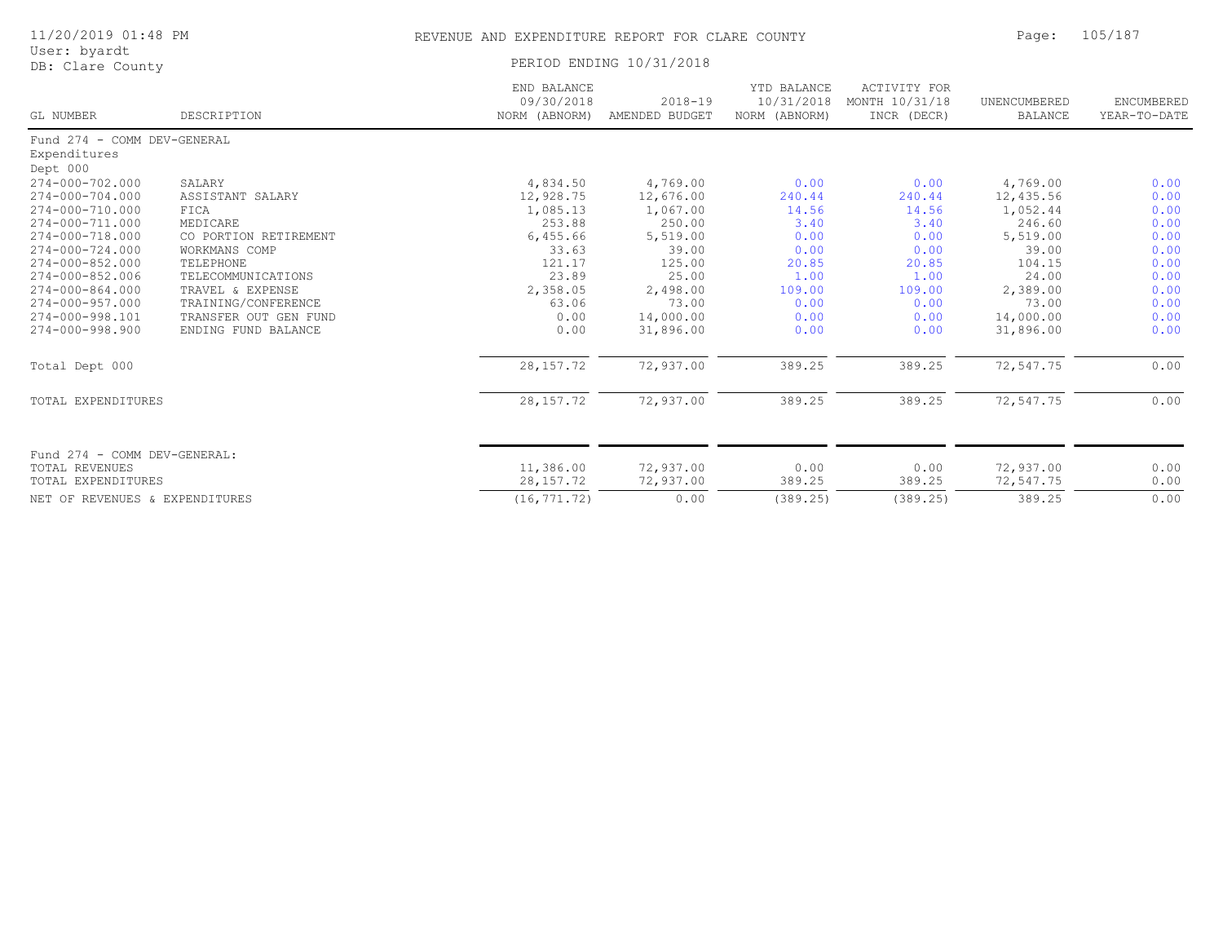| User: byardt<br>DB: Clare County                      |                       | PERIOD ENDING 10/31/2018                   |                               |                                            |                                               |                                |                            |
|-------------------------------------------------------|-----------------------|--------------------------------------------|-------------------------------|--------------------------------------------|-----------------------------------------------|--------------------------------|----------------------------|
| GL NUMBER                                             | DESCRIPTION           | END BALANCE<br>09/30/2018<br>NORM (ABNORM) | $2018 - 19$<br>AMENDED BUDGET | YTD BALANCE<br>10/31/2018<br>NORM (ABNORM) | ACTIVITY FOR<br>MONTH 10/31/18<br>INCR (DECR) | UNENCUMBERED<br><b>BALANCE</b> | ENCUMBERED<br>YEAR-TO-DATE |
| Fund 274 - COMM DEV-GENERAL                           |                       |                                            |                               |                                            |                                               |                                |                            |
| Expenditures                                          |                       |                                            |                               |                                            |                                               |                                |                            |
| Dept 000                                              |                       |                                            |                               |                                            |                                               |                                |                            |
| $274 - 000 - 702.000$                                 | SALARY                | 4,834.50                                   | 4,769.00                      | 0.00                                       | 0.00                                          | 4,769.00                       | 0.00                       |
| $274 - 000 - 704.000$                                 | ASSISTANT SALARY      | 12,928.75                                  | 12,676.00                     | 240.44                                     | 240.44                                        | 12,435.56                      | 0.00                       |
| 274-000-710.000                                       | FICA                  | 1,085.13                                   | 1,067.00                      | 14.56                                      | 14.56                                         | 1,052.44                       | 0.00                       |
| 274-000-711.000                                       | MEDICARE              | 253.88                                     | 250.00                        | 3.40                                       | 3.40                                          | 246.60                         | 0.00                       |
| 274-000-718.000                                       | CO PORTION RETIREMENT | 6,455.66                                   | 5,519.00                      | 0.00                                       | 0.00                                          | 5,519.00                       | 0.00                       |
| $274 - 000 - 724.000$                                 | WORKMANS COMP         | 33.63                                      | 39.00                         | 0.00                                       | 0.00                                          | 39.00                          | 0.00                       |
| $274 - 000 - 852.000$                                 | TELEPHONE             | 121.17                                     | 125.00                        | 20.85                                      | 20.85                                         | 104.15                         | 0.00                       |
| 274-000-852.006                                       | TELECOMMUNICATIONS    | 23.89                                      | 25.00                         | 1.00                                       | 1.00                                          | 24.00                          | 0.00                       |
| 274-000-864.000                                       | TRAVEL & EXPENSE      | 2,358.05                                   | 2,498.00                      | 109.00                                     | 109.00                                        | 2,389.00                       | 0.00                       |
| $274 - 000 - 957.000$                                 | TRAINING/CONFERENCE   | 63.06                                      | 73.00                         | 0.00                                       | 0.00                                          | 73.00                          | 0.00                       |
| 274-000-998.101                                       | TRANSFER OUT GEN FUND | 0.00                                       | 14,000.00                     | 0.00                                       | 0.00                                          | 14,000.00                      | 0.00                       |
| $274 - 000 - 998.900$                                 | ENDING FUND BALANCE   | 0.00                                       | 31,896.00                     | 0.00                                       | 0.00                                          | 31,896.00                      | 0.00                       |
| Total Dept 000                                        |                       | 28, 157. 72                                | 72,937.00                     | 389.25                                     | 389.25                                        | 72,547.75                      | 0.00                       |
| TOTAL EXPENDITURES                                    |                       | 28, 157. 72                                | 72,937.00                     | 389.25                                     | 389.25                                        | 72,547.75                      | 0.00                       |
|                                                       |                       |                                            |                               |                                            |                                               |                                |                            |
| Fund 274 - COMM DEV-GENERAL:<br><b>TOTAL REVENUES</b> |                       | 11,386.00                                  | 72,937.00                     | 0.00                                       | 0.00                                          | 72,937.00                      | 0.00                       |
| <b>TOTAL EXPENDITURES</b>                             |                       | 28, 157. 72                                | 72,937.00                     | 389.25                                     | 389.25                                        | 72,547.75                      | 0.00                       |
|                                                       |                       |                                            |                               |                                            |                                               |                                |                            |
| NET OF REVENUES & EXPENDITURES                        |                       | (16, 771, 72)                              | 0.00                          | (389.25)                                   | (389.25)                                      | 389.25                         | 0.00                       |

11/20/2019 01:48 PM REVENUE AND EXPENDITURE REPORT FOR CLARE COUNTY Page: 105/187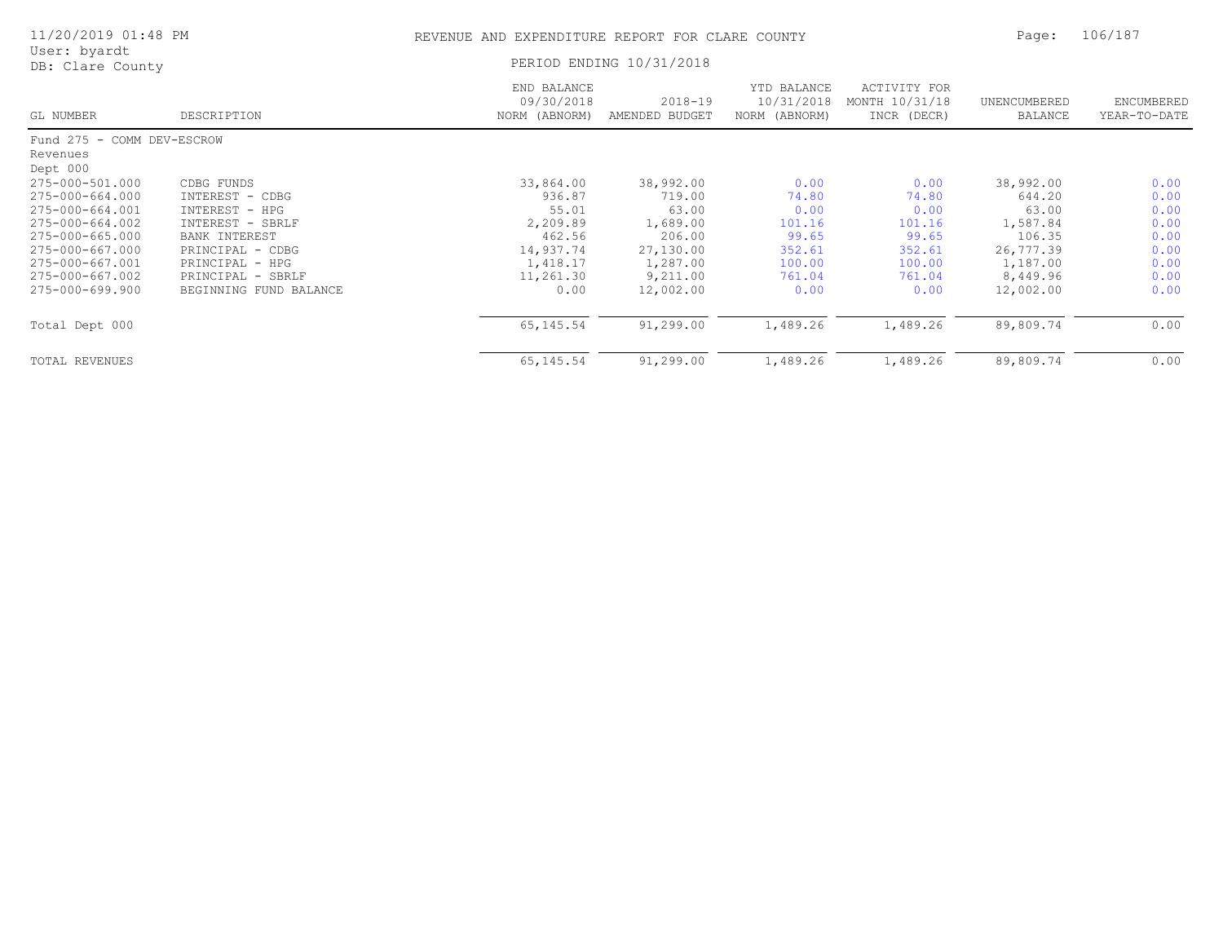| 11/20/2019 01:48 PM              |                        | REVENUE AND EXPENDITURE REPORT FOR CLARE COUNTY | Page:                         | 106/187                                    |                                               |                         |                            |
|----------------------------------|------------------------|-------------------------------------------------|-------------------------------|--------------------------------------------|-----------------------------------------------|-------------------------|----------------------------|
| User: byardt<br>DB: Clare County |                        | PERIOD ENDING 10/31/2018                        |                               |                                            |                                               |                         |                            |
| GL NUMBER                        | DESCRIPTION            | END BALANCE<br>09/30/2018<br>NORM (ABNORM)      | $2018 - 19$<br>AMENDED BUDGET | YTD BALANCE<br>10/31/2018<br>NORM (ABNORM) | ACTIVITY FOR<br>MONTH 10/31/18<br>INCR (DECR) | UNENCUMBERED<br>BALANCE | ENCUMBERED<br>YEAR-TO-DATE |
| Fund 275 - COMM DEV-ESCROW       |                        |                                                 |                               |                                            |                                               |                         |                            |
| Revenues<br>Dept 000             |                        |                                                 |                               |                                            |                                               |                         |                            |
| 275-000-501.000                  | CDBG FUNDS             | 33,864.00                                       | 38,992.00                     | 0.00                                       | 0.00                                          | 38,992.00               | 0.00                       |
| 275-000-664.000                  | INTEREST - CDBG        | 936.87                                          | 719.00                        | 74.80                                      | 74.80                                         | 644.20                  | 0.00                       |
| 275-000-664.001                  | INTEREST - HPG         | 55.01                                           | 63.00                         | 0.00                                       | 0.00                                          | 63.00                   | 0.00                       |
| 275-000-664.002                  | INTEREST - SBRLF       | 2,209.89                                        | 1,689.00                      | 101.16                                     | 101.16                                        | 1,587.84                | 0.00                       |
| 275-000-665.000                  | BANK INTEREST          | 462.56                                          | 206.00                        | 99.65                                      | 99.65                                         | 106.35                  | 0.00                       |
| 275-000-667.000                  | PRINCIPAL -<br>CDBG    | 14,937.74                                       | 27,130.00                     | 352.61                                     | 352.61                                        | 26,777.39               | 0.00                       |
| 275-000-667.001                  | PRINCIPAL - HPG        | 1,418.17                                        | 1,287.00                      | 100.00                                     | 100.00                                        | 1,187.00                | 0.00                       |
| 275-000-667.002                  | SBRLF<br>PRINCIPAL -   | 11,261.30                                       | 9,211.00                      | 761.04                                     | 761.04                                        | 8,449.96                | 0.00                       |
| 275-000-699.900                  | BEGINNING FUND BALANCE | 0.00                                            | 12,002.00                     | 0.00                                       | 0.00                                          | 12,002.00               | 0.00                       |
| Total Dept 000                   |                        | 65, 145.54                                      | 91,299.00                     | 1,489.26                                   | 1,489.26                                      | 89,809.74               | 0.00                       |
| TOTAL REVENUES                   |                        | 65, 145.54                                      | 91,299.00                     | 1,489.26                                   | 1,489.26                                      | 89,809.74               | 0.00                       |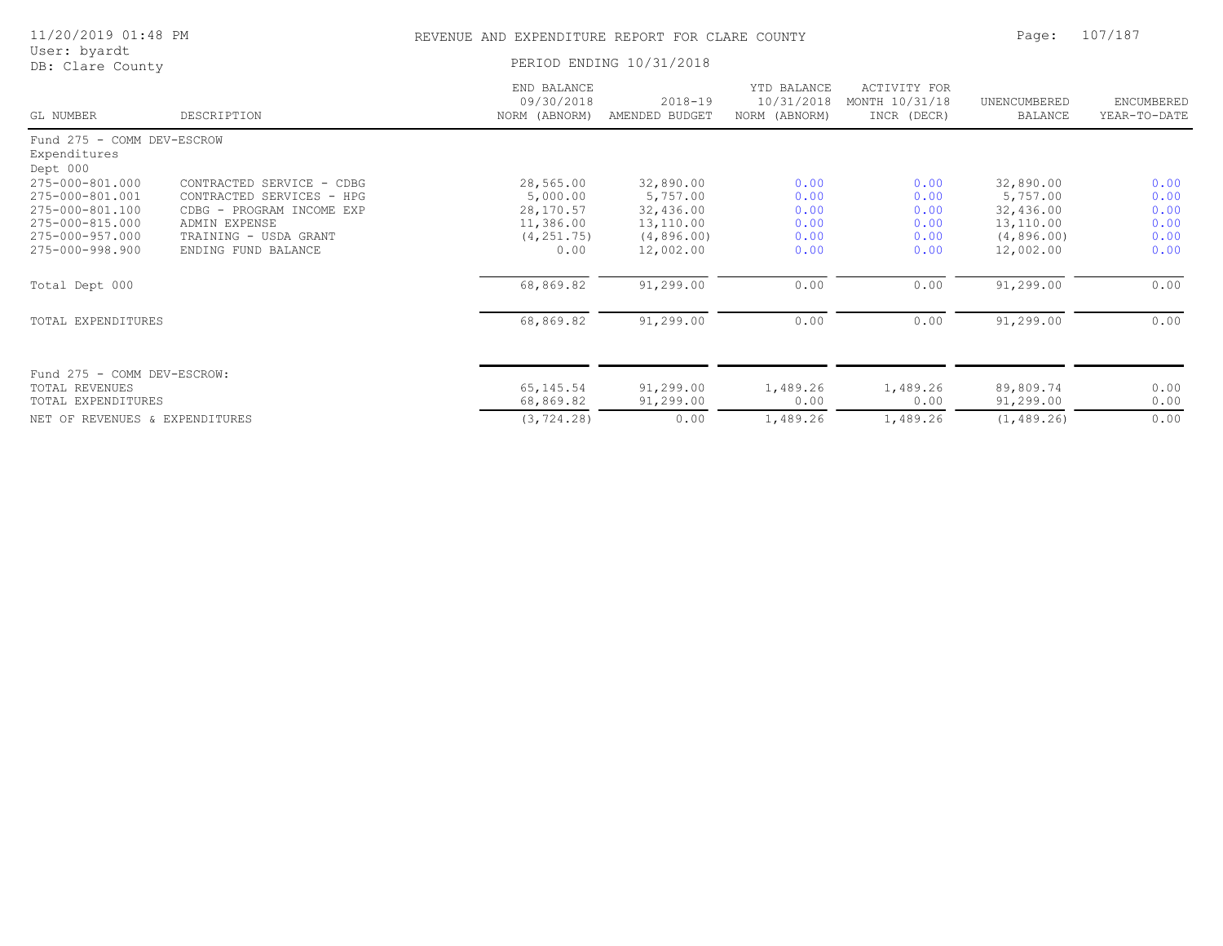| 11/20/2019 01:48 PM                                                                                                  |                                                                                                                                                      | REVENUE AND EXPENDITURE REPORT FOR CLARE COUNTY                        | Page:                                                                       | 107/187                                      |                                               |                                                                             |                                              |
|----------------------------------------------------------------------------------------------------------------------|------------------------------------------------------------------------------------------------------------------------------------------------------|------------------------------------------------------------------------|-----------------------------------------------------------------------------|----------------------------------------------|-----------------------------------------------|-----------------------------------------------------------------------------|----------------------------------------------|
| User: byardt<br>DB: Clare County                                                                                     |                                                                                                                                                      | PERIOD ENDING 10/31/2018                                               |                                                                             |                                              |                                               |                                                                             |                                              |
| GL NUMBER                                                                                                            | DESCRIPTION                                                                                                                                          | END BALANCE<br>09/30/2018<br>NORM (ABNORM)                             | $2018 - 19$<br>AMENDED BUDGET                                               | YTD BALANCE<br>10/31/2018<br>NORM (ABNORM)   | ACTIVITY FOR<br>MONTH 10/31/18<br>INCR (DECR) | UNENCUMBERED<br>BALANCE                                                     | ENCUMBERED<br>YEAR-TO-DATE                   |
| Fund 275 - COMM DEV-ESCROW<br>Expenditures<br>Dept 000                                                               |                                                                                                                                                      |                                                                        |                                                                             |                                              |                                               |                                                                             |                                              |
| 275-000-801.000<br>275-000-801.001<br>275-000-801.100<br>275-000-815.000<br>275-000-957.000<br>$275 - 000 - 998.900$ | CONTRACTED SERVICE - CDBG<br>CONTRACTED SERVICES - HPG<br>CDBG - PROGRAM INCOME EXP<br>ADMIN EXPENSE<br>TRAINING - USDA GRANT<br>ENDING FUND BALANCE | 28,565.00<br>5,000.00<br>28,170.57<br>11,386.00<br>(4, 251.75)<br>0.00 | 32,890.00<br>5,757.00<br>32,436.00<br>13,110.00<br>(4, 896.00)<br>12,002.00 | 0.00<br>0.00<br>0.00<br>0.00<br>0.00<br>0.00 | 0.00<br>0.00<br>0.00<br>0.00<br>0.00<br>0.00  | 32,890.00<br>5,757.00<br>32,436.00<br>13,110.00<br>(4, 896.00)<br>12,002.00 | 0.00<br>0.00<br>0.00<br>0.00<br>0.00<br>0.00 |
| Total Dept 000                                                                                                       |                                                                                                                                                      | 68,869.82                                                              | 91,299.00                                                                   | 0.00                                         | 0.00                                          | 91,299.00                                                                   | 0.00                                         |
| TOTAL EXPENDITURES                                                                                                   |                                                                                                                                                      | 68,869.82                                                              | 91,299.00                                                                   | 0.00                                         | 0.00                                          | 91,299.00                                                                   | 0.00                                         |
| Fund 275 - COMM DEV-ESCROW:<br>TOTAL REVENUES<br>TOTAL EXPENDITURES<br>NET OF REVENUES & EXPENDITURES                |                                                                                                                                                      | 65, 145.54<br>68,869.82<br>(3, 724.28)                                 | 91,299.00<br>91,299.00<br>0.00                                              | 1,489.26<br>0.00<br>1,489.26                 | 1,489.26<br>0.00<br>1,489.26                  | 89,809.74<br>91,299.00<br>(1, 489.26)                                       | 0.00<br>0.00<br>0.00                         |
|                                                                                                                      |                                                                                                                                                      |                                                                        |                                                                             |                                              |                                               |                                                                             |                                              |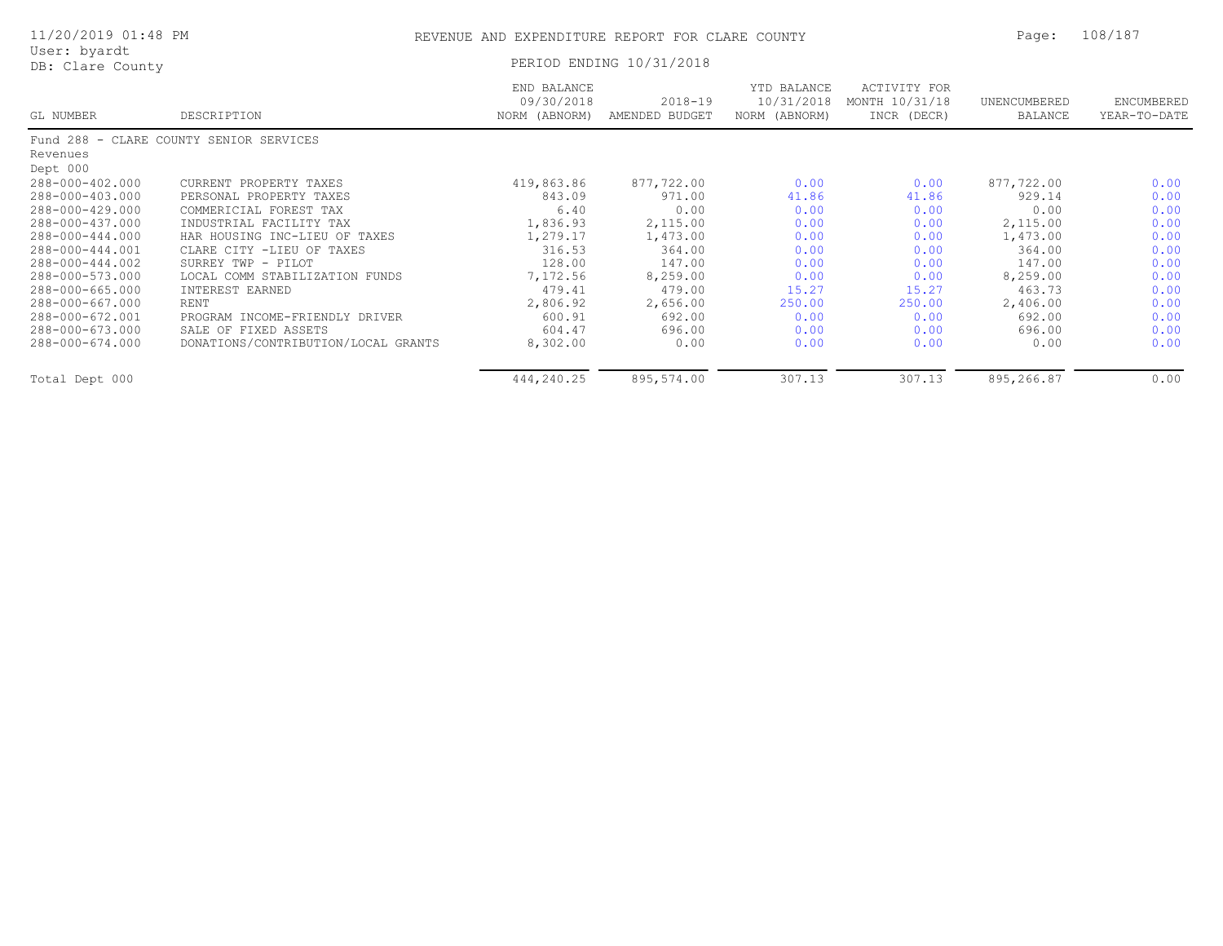|              | 11/20/2019 01:48 PM |  |
|--------------|---------------------|--|
| User: byardt |                     |  |

#### REVENUE AND EXPENDITURE REPORT FOR CLARE COUNTY PAGE: 108/187

| USEL. Dyalut<br>DB: Clare County |                                         | PERIOD ENDING 10/31/2018                   |                               |                                            |                                               |                         |                            |  |
|----------------------------------|-----------------------------------------|--------------------------------------------|-------------------------------|--------------------------------------------|-----------------------------------------------|-------------------------|----------------------------|--|
| GL NUMBER                        | DESCRIPTION                             | END BALANCE<br>09/30/2018<br>NORM (ABNORM) | $2018 - 19$<br>AMENDED BUDGET | YTD BALANCE<br>10/31/2018<br>NORM (ABNORM) | ACTIVITY FOR<br>MONTH 10/31/18<br>INCR (DECR) | UNENCUMBERED<br>BALANCE | ENCUMBERED<br>YEAR-TO-DATE |  |
|                                  | Fund 288 - CLARE COUNTY SENIOR SERVICES |                                            |                               |                                            |                                               |                         |                            |  |
| Revenues                         |                                         |                                            |                               |                                            |                                               |                         |                            |  |
| Dept 000                         |                                         |                                            |                               |                                            |                                               |                         |                            |  |
| 288-000-402.000                  | CURRENT PROPERTY TAXES                  | 419,863.86                                 | 877,722.00                    | 0.00                                       | 0.00                                          | 877,722.00              | 0.00                       |  |
| 288-000-403.000                  | PERSONAL PROPERTY TAXES                 | 843.09                                     | 971.00                        | 41.86                                      | 41.86                                         | 929.14                  | 0.00                       |  |
| 288-000-429.000                  | COMMERICIAL FOREST TAX                  | 6.40                                       | 0.00                          | 0.00                                       | 0.00                                          | 0.00                    | 0.00                       |  |
| 288-000-437.000                  | INDUSTRIAL FACILITY TAX                 | 1,836.93                                   | 2,115.00                      | 0.00                                       | 0.00                                          | 2,115.00                | 0.00                       |  |
| 288-000-444.000                  | HAR HOUSING INC-LIEU OF TAXES           | 1,279.17                                   | 1,473.00                      | 0.00                                       | 0.00                                          | 1,473.00                | 0.00                       |  |
| 288-000-444.001                  | CLARE CITY -LIEU OF TAXES               | 316.53                                     | 364.00                        | 0.00                                       | 0.00                                          | 364.00                  | 0.00                       |  |
| 288-000-444.002                  | SURREY TWP - PILOT                      | 128.00                                     | 147.00                        | 0.00                                       | 0.00                                          | 147.00                  | 0.00                       |  |
| 288-000-573.000                  | LOCAL COMM STABILIZATION FUNDS          | 7,172.56                                   | 8,259.00                      | 0.00                                       | 0.00                                          | 8,259.00                | 0.00                       |  |
| 288-000-665.000                  | INTEREST EARNED                         | 479.41                                     | 479.00                        | 15.27                                      | 15.27                                         | 463.73                  | 0.00                       |  |
| 288-000-667.000                  | RENT                                    | 2,806.92                                   | 2,656.00                      | 250.00                                     | 250.00                                        | 2,406.00                | 0.00                       |  |
| 288-000-672.001                  | PROGRAM INCOME-FRIENDLY DRIVER          | 600.91                                     | 692.00                        | 0.00                                       | 0.00                                          | 692.00                  | 0.00                       |  |
| 288-000-673.000                  | SALE OF FIXED ASSETS                    | 604.47                                     | 696.00                        | 0.00                                       | 0.00                                          | 696.00                  | 0.00                       |  |
| 288-000-674.000                  | DONATIONS/CONTRIBUTION/LOCAL GRANTS     | 8,302.00                                   | 0.00                          | 0.00                                       | 0.00                                          | 0.00                    | 0.00                       |  |
| Total Dept 000                   |                                         | 444,240.25                                 | 895,574.00                    | 307.13                                     | 307.13                                        | 895,266.87              | 0.00                       |  |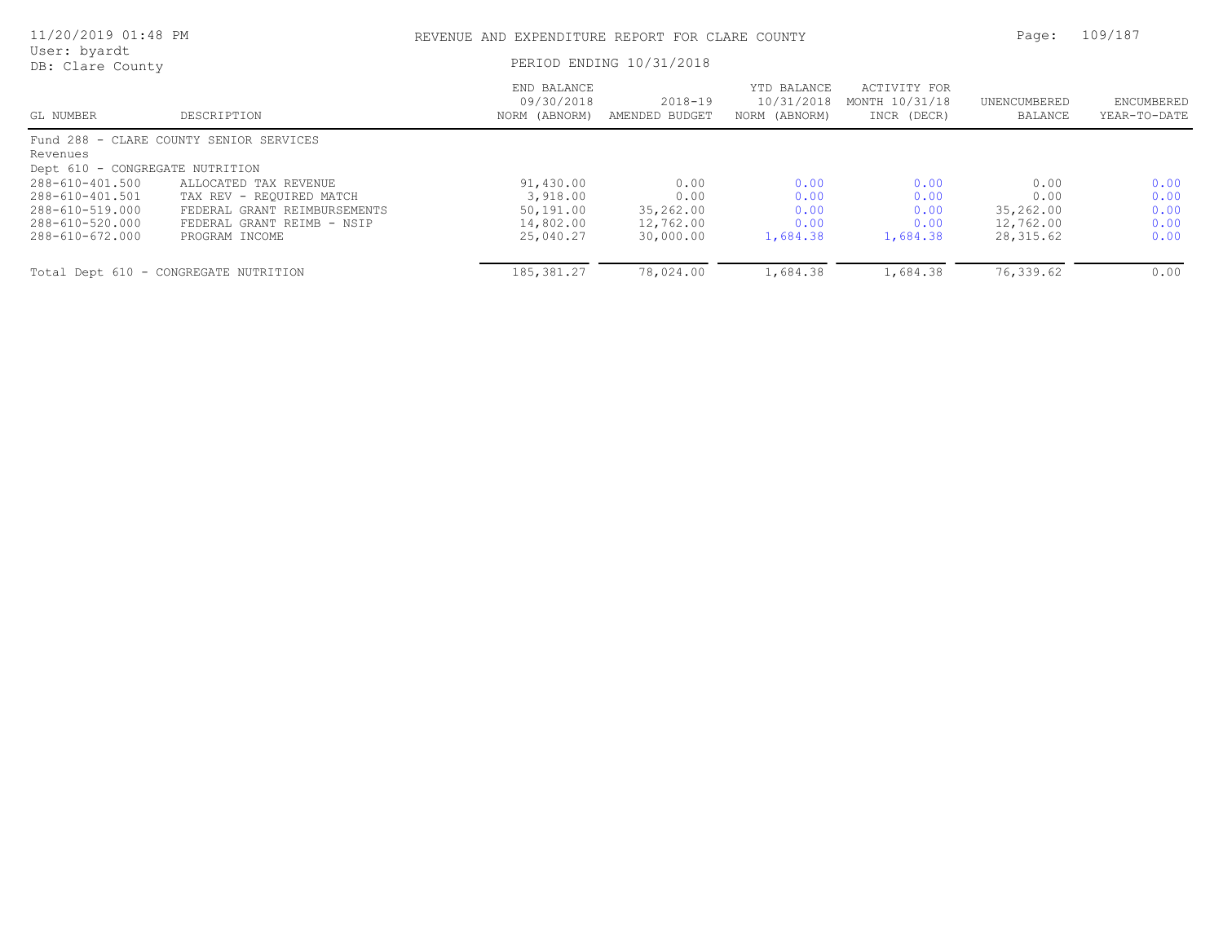| 11/20/2019 01:48 PM              |                                         | REVENUE AND EXPENDITURE REPORT FOR CLARE COUNTY | Page:                         | 109/187                                    |                                               |                         |                            |
|----------------------------------|-----------------------------------------|-------------------------------------------------|-------------------------------|--------------------------------------------|-----------------------------------------------|-------------------------|----------------------------|
| User: byardt<br>DB: Clare County |                                         | PERIOD ENDING 10/31/2018                        |                               |                                            |                                               |                         |                            |
| GL NUMBER                        | DESCRIPTION                             | END BALANCE<br>09/30/2018<br>NORM (ABNORM)      | $2018 - 19$<br>AMENDED BUDGET | YTD BALANCE<br>10/31/2018<br>NORM (ABNORM) | ACTIVITY FOR<br>MONTH 10/31/18<br>INCR (DECR) | UNENCUMBERED<br>BALANCE | ENCUMBERED<br>YEAR-TO-DATE |
|                                  | Fund 288 - CLARE COUNTY SENIOR SERVICES |                                                 |                               |                                            |                                               |                         |                            |
| Revenues                         |                                         |                                                 |                               |                                            |                                               |                         |                            |
| Dept 610 - CONGREGATE NUTRITION  |                                         |                                                 |                               |                                            |                                               |                         |                            |
| 288-610-401.500                  | ALLOCATED TAX REVENUE                   | 91,430.00                                       | 0.00                          | 0.00                                       | 0.00                                          | 0.00                    | 0.00                       |
| 288-610-401.501                  | TAX REV - REOUIRED MATCH                | 3,918.00                                        | 0.00                          | 0.00                                       | 0.00                                          | 0.00                    | 0.00                       |
| 288-610-519.000                  | FEDERAL GRANT REIMBURSEMENTS            | 50,191.00                                       | 35,262.00                     | 0.00                                       | 0.00                                          | 35,262.00               | 0.00                       |
| 288-610-520.000                  | FEDERAL GRANT REIMB - NSIP              | 14,802.00                                       | 12,762.00                     | 0.00                                       | 0.00                                          | 12,762.00               | 0.00                       |
| 288-610-672.000                  | PROGRAM INCOME                          | 25,040.27                                       | 30,000.00                     | 1,684.38                                   | 1,684.38                                      | 28,315.62               | 0.00                       |
|                                  | Total Dept 610 - CONGREGATE NUTRITION   | 185, 381.27                                     | 78,024.00                     | 1,684.38                                   | 1,684.38                                      | 76,339.62               | 0.00                       |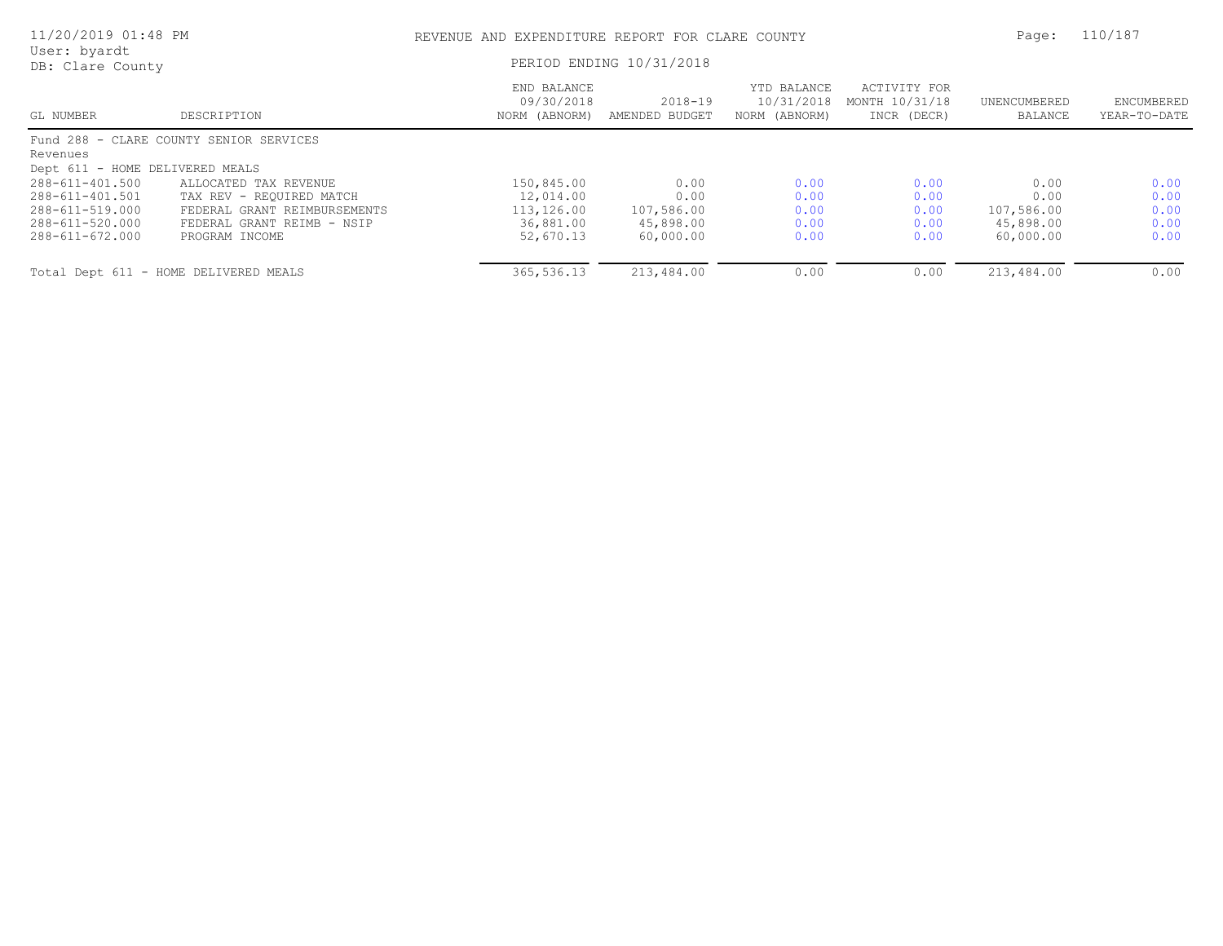| 11/20/2019 01:48 PM              |                                         | REVENUE AND EXPENDITURE REPORT FOR CLARE COUNTY | Page:                         | 110/187                                    |                                               |                         |                            |
|----------------------------------|-----------------------------------------|-------------------------------------------------|-------------------------------|--------------------------------------------|-----------------------------------------------|-------------------------|----------------------------|
| User: byardt<br>DB: Clare County |                                         | PERIOD ENDING 10/31/2018                        |                               |                                            |                                               |                         |                            |
| GL NUMBER                        | DESCRIPTION                             | END BALANCE<br>09/30/2018<br>NORM (ABNORM)      | $2018 - 19$<br>AMENDED BUDGET | YTD BALANCE<br>10/31/2018<br>NORM (ABNORM) | ACTIVITY FOR<br>MONTH 10/31/18<br>INCR (DECR) | UNENCUMBERED<br>BALANCE | ENCUMBERED<br>YEAR-TO-DATE |
|                                  | Fund 288 - CLARE COUNTY SENIOR SERVICES |                                                 |                               |                                            |                                               |                         |                            |
| Revenues                         |                                         |                                                 |                               |                                            |                                               |                         |                            |
| Dept 611 - HOME DELIVERED MEALS  |                                         |                                                 |                               |                                            |                                               |                         |                            |
| 288-611-401.500                  | ALLOCATED TAX REVENUE                   | 150,845.00                                      | 0.00                          | 0.00                                       | 0.00                                          | 0.00                    | 0.00                       |
| 288-611-401.501                  | TAX REV - REQUIRED MATCH                | 12,014.00                                       | 0.00                          | 0.00                                       | 0.00                                          | 0.00                    | 0.00                       |
| 288-611-519.000                  | FEDERAL GRANT REIMBURSEMENTS            | 113,126.00                                      | 107,586.00                    | 0.00                                       | 0.00                                          | 107,586.00              | 0.00                       |
| 288-611-520.000                  | FEDERAL GRANT REIMB - NSIP              | 36,881.00                                       | 45,898.00                     | 0.00                                       | 0.00                                          | 45,898.00               | 0.00                       |
| 288-611-672.000                  | PROGRAM INCOME                          | 52,670.13                                       | 60,000.00                     | 0.00                                       | 0.00                                          | 60,000.00               | 0.00                       |
|                                  | Total Dept 611 - HOME DELIVERED MEALS   | 365,536.13                                      | 213,484.00                    | 0.00                                       | 0.00                                          | 213,484.00              | 0.00                       |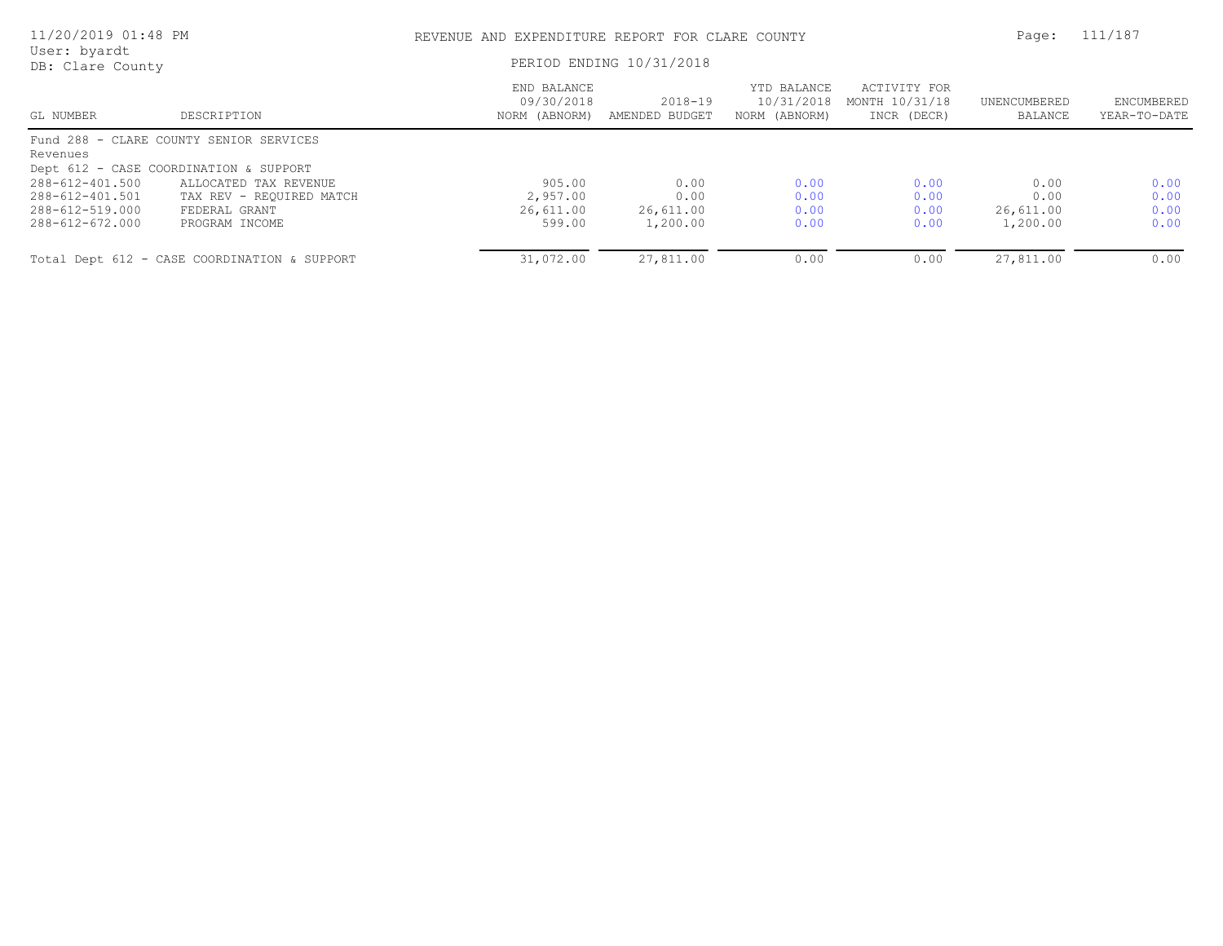| 11/20/2019 01:48 PM              |                                              | REVENUE AND EXPENDITURE REPORT FOR CLARE COUNTY |                               |                                            |                                               |                         | 111/187                    |
|----------------------------------|----------------------------------------------|-------------------------------------------------|-------------------------------|--------------------------------------------|-----------------------------------------------|-------------------------|----------------------------|
| User: byardt<br>DB: Clare County |                                              | PERIOD ENDING 10/31/2018                        |                               |                                            |                                               |                         |                            |
| GL NUMBER                        | DESCRIPTION                                  | END BALANCE<br>09/30/2018<br>NORM (ABNORM)      | $2018 - 19$<br>AMENDED BUDGET | YTD BALANCE<br>10/31/2018<br>NORM (ABNORM) | ACTIVITY FOR<br>MONTH 10/31/18<br>INCR (DECR) | UNENCUMBERED<br>BALANCE | ENCUMBERED<br>YEAR-TO-DATE |
|                                  | Fund 288 - CLARE COUNTY SENIOR SERVICES      |                                                 |                               |                                            |                                               |                         |                            |
| Revenues                         |                                              |                                                 |                               |                                            |                                               |                         |                            |
|                                  | Dept 612 - CASE COORDINATION & SUPPORT       |                                                 |                               |                                            |                                               |                         |                            |
| 288-612-401.500                  | ALLOCATED TAX REVENUE                        | 905.00                                          | 0.00                          | 0.00                                       | 0.00                                          | 0.00                    | 0.00                       |
| 288-612-401.501                  | TAX REV - REQUIRED MATCH                     | 2,957.00                                        | 0.00                          | 0.00                                       | 0.00                                          | 0.00                    | 0.00                       |
| 288-612-519.000                  | FEDERAL GRANT                                | 26,611.00                                       | 26,611.00                     | 0.00                                       | 0.00                                          | 26,611.00               | 0.00                       |
| 288-612-672.000                  | PROGRAM INCOME                               | 599.00                                          | 1,200.00                      | 0.00                                       | 0.00                                          | 1,200.00                | 0.00                       |
|                                  | Total Dept 612 - CASE COORDINATION & SUPPORT | 31,072.00                                       | 27,811.00                     | 0.00                                       | 0.00                                          | 27,811.00               | 0.00                       |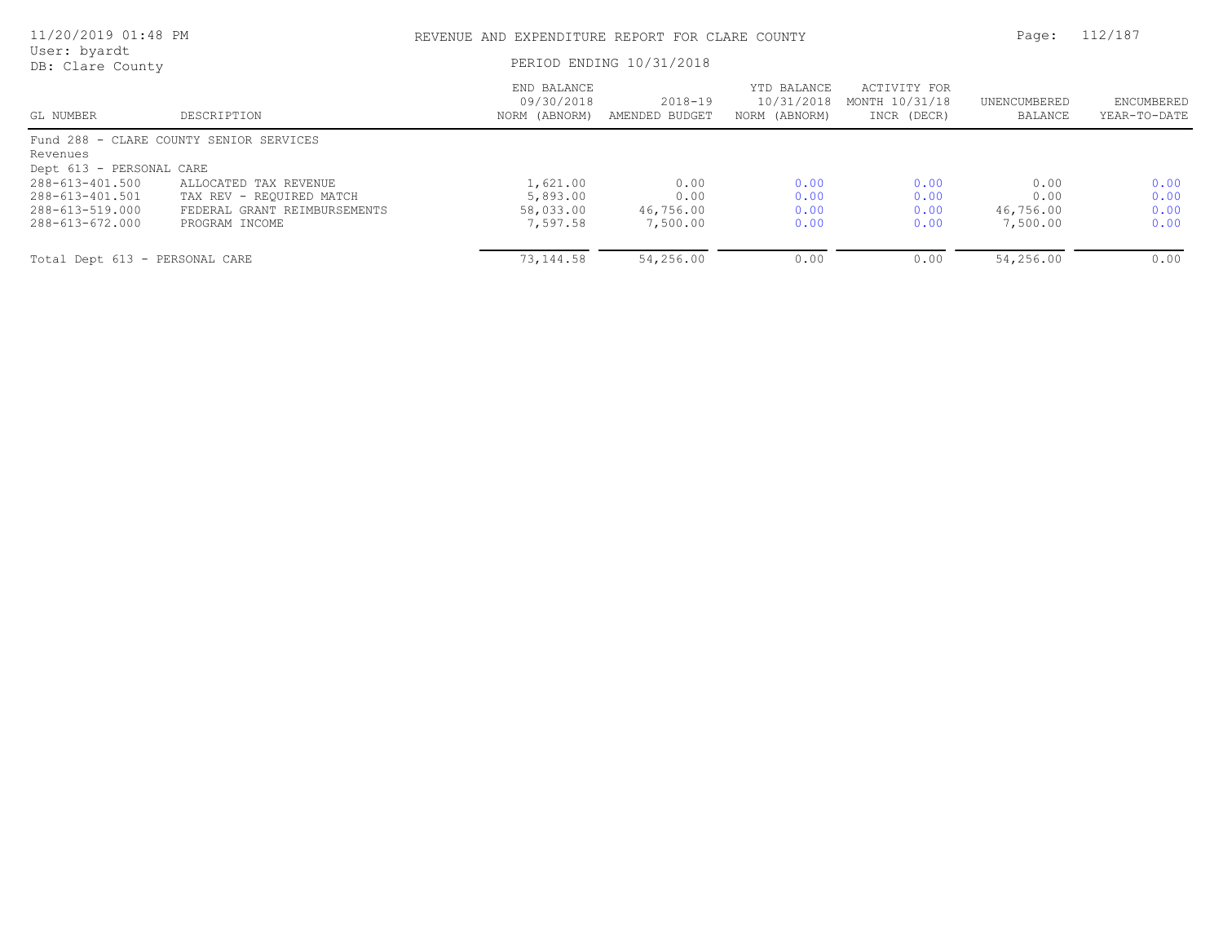| 11/20/2019 01:48 PM<br>User: byardt |                                         | REVENUE AND EXPENDITURE REPORT FOR CLARE COUNTY | Page:                         | 112/187                                    |                                               |                         |                            |
|-------------------------------------|-----------------------------------------|-------------------------------------------------|-------------------------------|--------------------------------------------|-----------------------------------------------|-------------------------|----------------------------|
| DB: Clare County                    |                                         | PERIOD ENDING 10/31/2018                        |                               |                                            |                                               |                         |                            |
| GL NUMBER                           | DESCRIPTION                             | END BALANCE<br>09/30/2018<br>NORM (ABNORM)      | $2018 - 19$<br>AMENDED BUDGET | YTD BALANCE<br>10/31/2018<br>NORM (ABNORM) | ACTIVITY FOR<br>MONTH 10/31/18<br>INCR (DECR) | UNENCUMBERED<br>BALANCE | ENCUMBERED<br>YEAR-TO-DATE |
|                                     | Fund 288 - CLARE COUNTY SENIOR SERVICES |                                                 |                               |                                            |                                               |                         |                            |
| Revenues                            |                                         |                                                 |                               |                                            |                                               |                         |                            |
| Dept 613 - PERSONAL CARE            |                                         |                                                 |                               |                                            |                                               |                         |                            |
| 288-613-401.500                     | ALLOCATED TAX REVENUE                   | 1,621.00                                        | 0.00                          | 0.00                                       | 0.00                                          | 0.00                    | 0.00                       |
| 288-613-401.501                     | TAX REV - REOUIRED MATCH                | 5,893.00                                        | 0.00                          | 0.00                                       | 0.00                                          | 0.00                    | 0.00                       |
| 288-613-519.000                     | FEDERAL GRANT REIMBURSEMENTS            | 58,033.00                                       | 46,756.00                     | 0.00                                       | 0.00                                          | 46,756.00               | 0.00                       |
| 288-613-672.000                     | PROGRAM INCOME                          | 7,597.58                                        | 7,500.00                      | 0.00                                       | 0.00                                          | 7,500.00                | 0.00                       |
| Total Dept 613 - PERSONAL CARE      |                                         | 73,144.58                                       | 54,256.00                     | 0.00                                       | 0.00                                          | 54,256.00               | 0.00                       |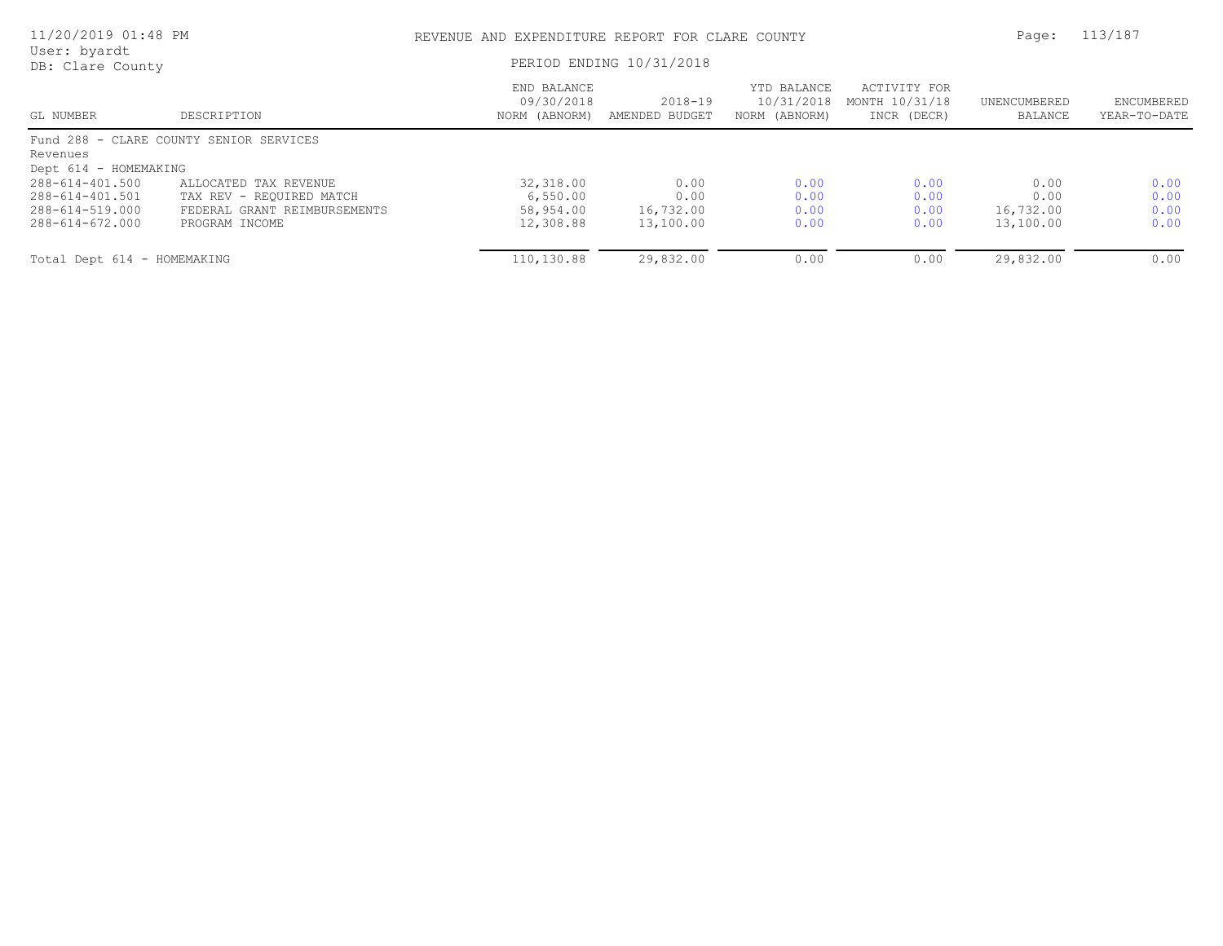| 11/20/2019 01:48 PM<br>User: byardt |                                         | REVENUE AND EXPENDITURE REPORT FOR CLARE COUNTY | Page:                         | 113/187                                    |                                               |                         |                            |
|-------------------------------------|-----------------------------------------|-------------------------------------------------|-------------------------------|--------------------------------------------|-----------------------------------------------|-------------------------|----------------------------|
| DB: Clare County                    |                                         | PERIOD ENDING 10/31/2018                        |                               |                                            |                                               |                         |                            |
| GL NUMBER                           | DESCRIPTION                             | END BALANCE<br>09/30/2018<br>NORM (ABNORM)      | $2018 - 19$<br>AMENDED BUDGET | YTD BALANCE<br>10/31/2018<br>NORM (ABNORM) | ACTIVITY FOR<br>MONTH 10/31/18<br>INCR (DECR) | UNENCUMBERED<br>BALANCE | ENCUMBERED<br>YEAR-TO-DATE |
|                                     | Fund 288 - CLARE COUNTY SENIOR SERVICES |                                                 |                               |                                            |                                               |                         |                            |
| Revenues                            |                                         |                                                 |                               |                                            |                                               |                         |                            |
| Dept 614 - HOMEMAKING               |                                         |                                                 |                               |                                            |                                               |                         |                            |
| 288-614-401.500                     | ALLOCATED TAX REVENUE                   | 32,318.00                                       | 0.00                          | 0.00                                       | 0.00                                          | 0.00                    | 0.00                       |
| 288-614-401.501                     | TAX REV - REQUIRED MATCH                | 6,550.00                                        | 0.00                          | 0.00                                       | 0.00                                          | 0.00                    | 0.00                       |
| 288-614-519.000                     | FEDERAL GRANT REIMBURSEMENTS            | 58,954.00                                       | 16,732.00                     | 0.00                                       | 0.00                                          | 16,732.00               | 0.00                       |
| 288-614-672.000                     | PROGRAM INCOME                          | 12,308.88                                       | 13,100.00                     | 0.00                                       | 0.00                                          | 13,100.00               | 0.00                       |
| Total Dept 614 - HOMEMAKING         |                                         | 110,130.88                                      | 29,832.00                     | 0.00                                       | 0.00                                          | 29,832.00               | 0.00                       |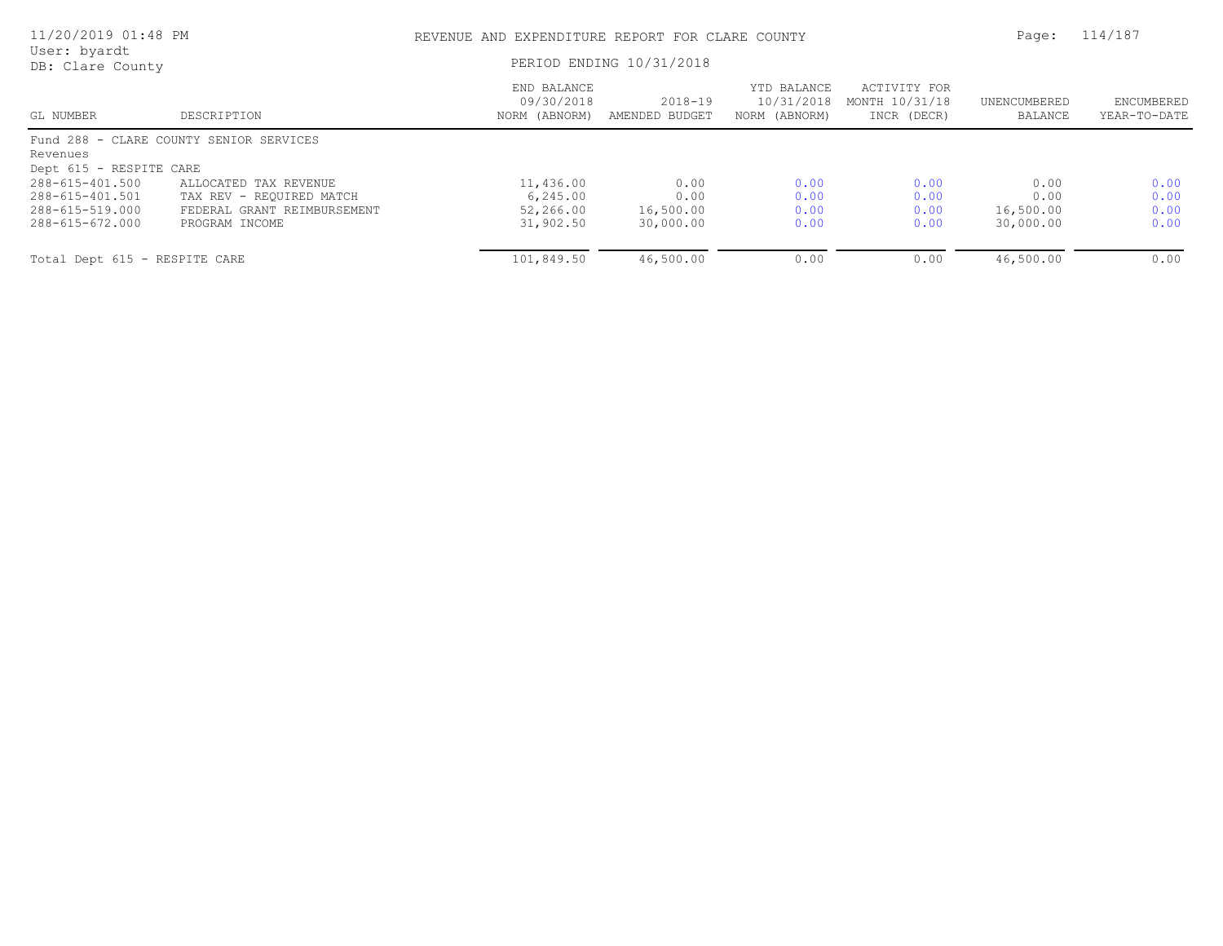| 11/20/2019 01:48 PM<br>User: byardt |                                         | REVENUE AND EXPENDITURE REPORT FOR CLARE COUNTY | Page:                         | 114/187                                    |                                               |                         |                            |
|-------------------------------------|-----------------------------------------|-------------------------------------------------|-------------------------------|--------------------------------------------|-----------------------------------------------|-------------------------|----------------------------|
| DB: Clare County                    |                                         | PERIOD ENDING 10/31/2018                        |                               |                                            |                                               |                         |                            |
| GL NUMBER                           | DESCRIPTION                             | END BALANCE<br>09/30/2018<br>NORM (ABNORM)      | $2018 - 19$<br>AMENDED BUDGET | YTD BALANCE<br>10/31/2018<br>NORM (ABNORM) | ACTIVITY FOR<br>MONTH 10/31/18<br>INCR (DECR) | UNENCUMBERED<br>BALANCE | ENCUMBERED<br>YEAR-TO-DATE |
|                                     | Fund 288 - CLARE COUNTY SENIOR SERVICES |                                                 |                               |                                            |                                               |                         |                            |
| Revenues                            |                                         |                                                 |                               |                                            |                                               |                         |                            |
| Dept 615 - RESPITE CARE             |                                         |                                                 |                               |                                            |                                               |                         |                            |
| 288-615-401.500                     | ALLOCATED TAX REVENUE                   | 11,436.00                                       | 0.00                          | 0.00                                       | 0.00                                          | 0.00                    | 0.00                       |
| 288-615-401.501                     | TAX REV - REQUIRED MATCH                | 6, 245.00                                       | 0.00                          | 0.00                                       | 0.00                                          | 0.00                    | 0.00                       |
| 288-615-519.000                     | FEDERAL GRANT REIMBURSEMENT             | 52,266.00                                       | 16,500.00                     | 0.00                                       | 0.00                                          | 16,500.00               | 0.00                       |
| 288-615-672.000                     | PROGRAM INCOME                          | 31,902.50                                       | 30,000.00                     | 0.00                                       | 0.00                                          | 30,000.00               | 0.00                       |
| Total Dept 615 - RESPITE CARE       |                                         | 101,849.50                                      | 46,500.00                     | 0.00                                       | 0.00                                          | 46,500.00               | 0.00                       |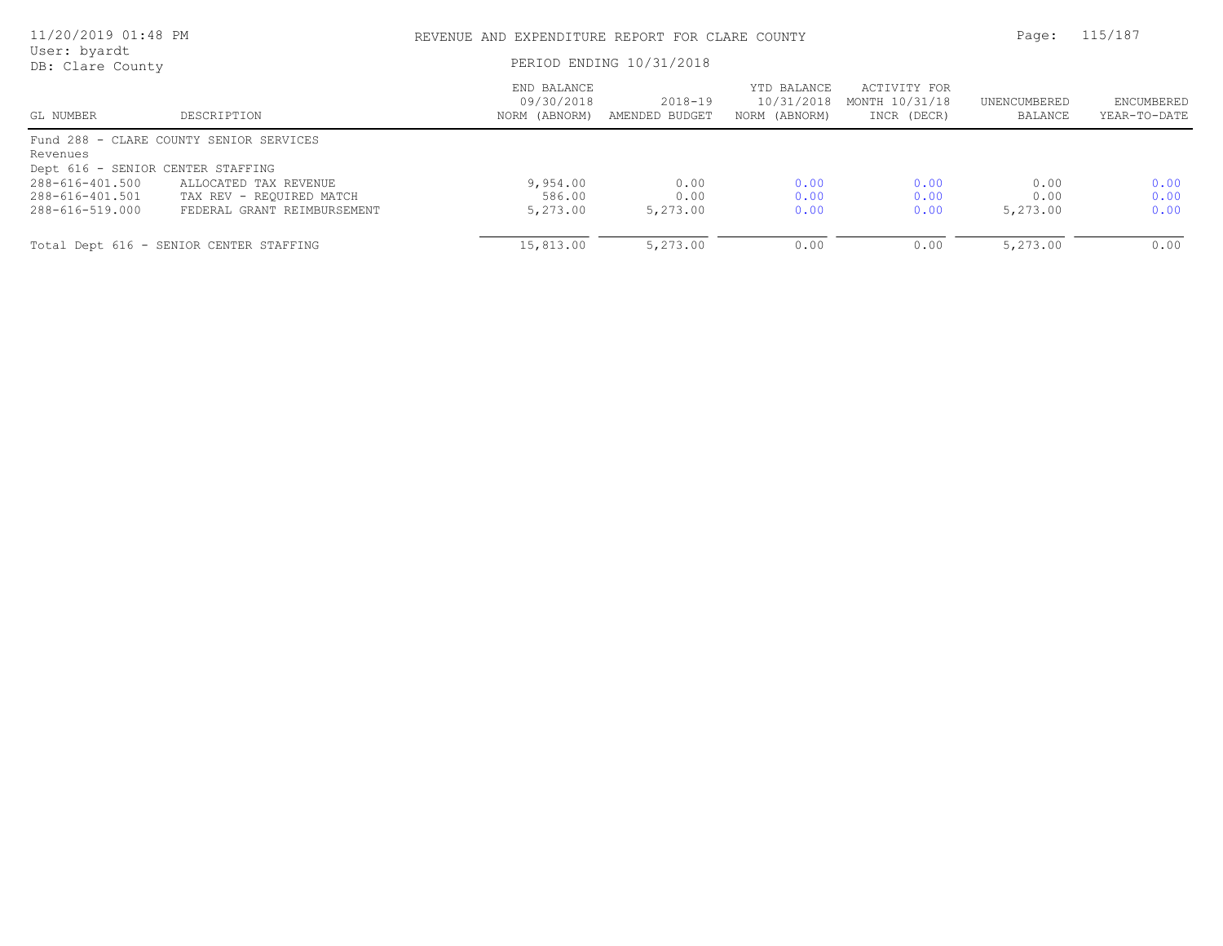| 11/20/2019 01:48 PM               |                                         | REVENUE AND EXPENDITURE REPORT FOR CLARE COUNTY<br>PERIOD ENDING 10/31/2018 |                           |                                            |                                               |                         | 115/187                    |
|-----------------------------------|-----------------------------------------|-----------------------------------------------------------------------------|---------------------------|--------------------------------------------|-----------------------------------------------|-------------------------|----------------------------|
| User: byardt<br>DB: Clare County  |                                         |                                                                             |                           |                                            |                                               |                         |                            |
| GL NUMBER                         | DESCRIPTION                             | END BALANCE<br>09/30/2018<br>NORM (ABNORM)                                  | 2018-19<br>AMENDED BUDGET | YTD BALANCE<br>10/31/2018<br>NORM (ABNORM) | ACTIVITY FOR<br>MONTH 10/31/18<br>INCR (DECR) | UNENCUMBERED<br>BALANCE | ENCUMBERED<br>YEAR-TO-DATE |
|                                   | Fund 288 - CLARE COUNTY SENIOR SERVICES |                                                                             |                           |                                            |                                               |                         |                            |
| Revenues                          |                                         |                                                                             |                           |                                            |                                               |                         |                            |
| Dept 616 - SENIOR CENTER STAFFING |                                         |                                                                             |                           |                                            |                                               |                         |                            |
| 288-616-401.500                   | ALLOCATED TAX REVENUE                   | 9,954.00                                                                    | 0.00                      | 0.00                                       | 0.00                                          | 0.00                    | 0.00                       |
| 288-616-401.501                   | TAX REV - REQUIRED MATCH                | 586.00                                                                      | 0.00                      | 0.00                                       | 0.00                                          | 0.00                    | 0.00                       |
| 288-616-519.000                   | FEDERAL GRANT REIMBURSEMENT             | 5,273.00                                                                    | 5,273.00                  | 0.00                                       | 0.00                                          | 5,273.00                | 0.00                       |
|                                   | Total Dept 616 - SENIOR CENTER STAFFING | 15,813.00                                                                   | 5,273.00                  | 0.00                                       | 0.00                                          | 5,273.00                | 0.00                       |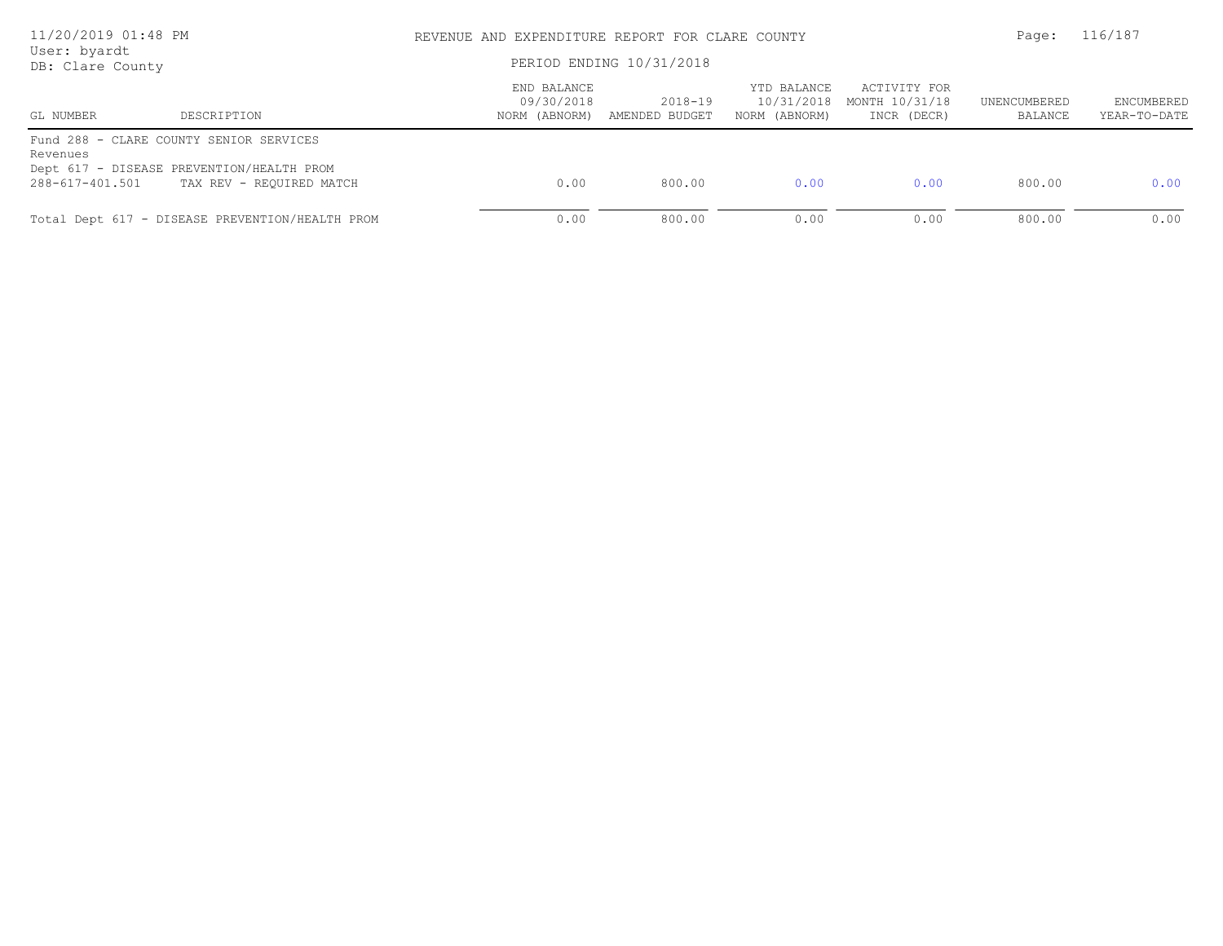| 11/20/2019 01:48 PM<br>User: byardt |                                                                       | REVENUE AND EXPENDITURE REPORT FOR CLARE COUNTY | Page:                     | 116/187                                    |                                               |                         |                            |
|-------------------------------------|-----------------------------------------------------------------------|-------------------------------------------------|---------------------------|--------------------------------------------|-----------------------------------------------|-------------------------|----------------------------|
| DB: Clare County                    |                                                                       | PERIOD ENDING 10/31/2018                        |                           |                                            |                                               |                         |                            |
| GL NUMBER                           | DESCRIPTION                                                           | END BALANCE<br>09/30/2018<br>NORM (ABNORM)      | 2018-19<br>AMENDED BUDGET | YTD BALANCE<br>10/31/2018<br>NORM (ABNORM) | ACTIVITY FOR<br>MONTH 10/31/18<br>INCR (DECR) | UNENCUMBERED<br>BALANCE | ENCUMBERED<br>YEAR-TO-DATE |
| Revenues                            | Fund 288 - CLARE COUNTY SENIOR SERVICES                               |                                                 |                           |                                            |                                               |                         |                            |
| 288-617-401.501                     | Dept 617 - DISEASE PREVENTION/HEALTH PROM<br>TAX REV - REQUIRED MATCH | 0.00                                            | 800.00                    | 0.00                                       | 0.00                                          | 800.00                  | 0.00                       |
|                                     | Total Dept 617 - DISEASE PREVENTION/HEALTH PROM                       | 0.00                                            | 800.00                    | 0.00                                       | 0.00                                          | 800.00                  | 0.00                       |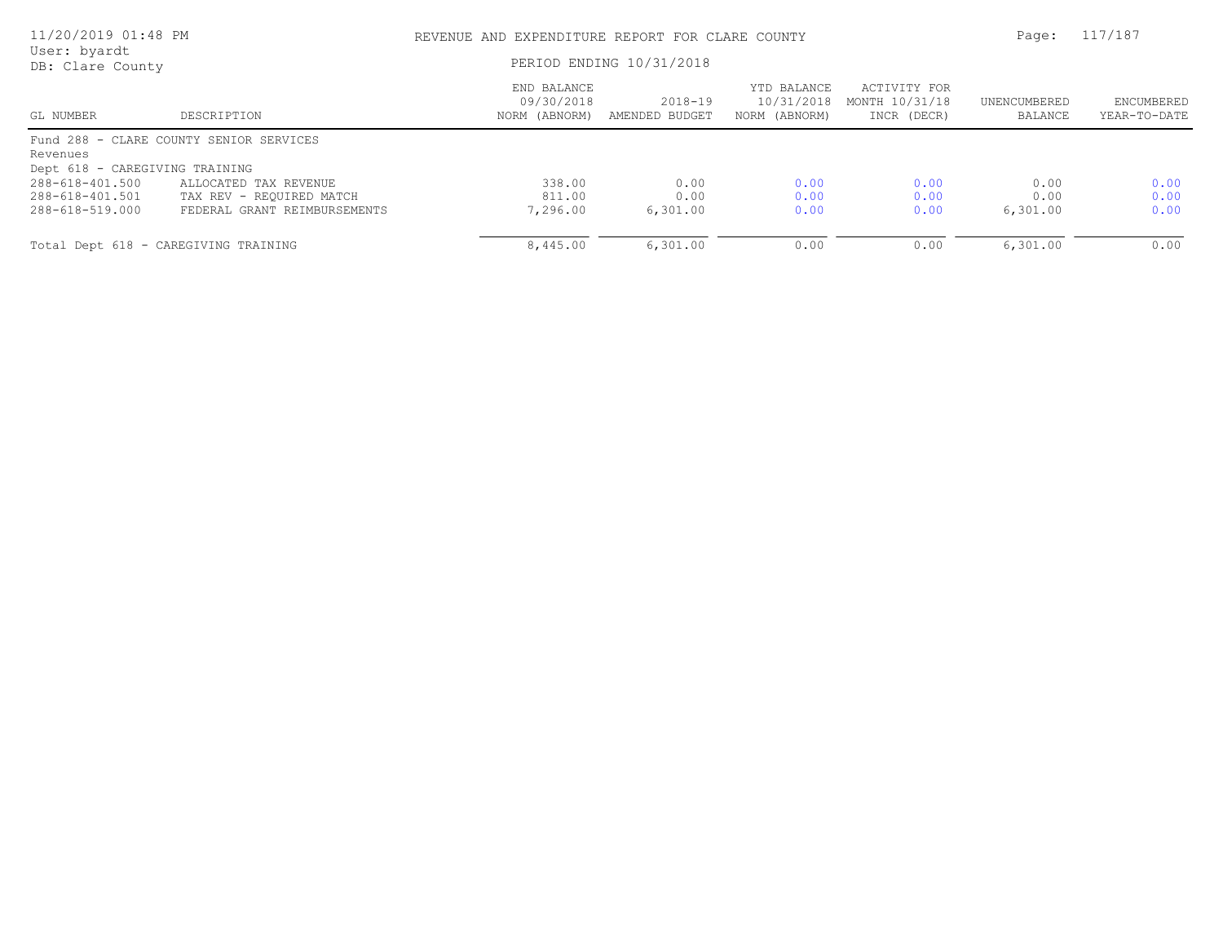| 11/20/2019 01:48 PM<br>User: byardt |                                         | REVENUE AND EXPENDITURE REPORT FOR CLARE COUNTY | Page:                     | 117/187                                    |                                               |                         |                            |
|-------------------------------------|-----------------------------------------|-------------------------------------------------|---------------------------|--------------------------------------------|-----------------------------------------------|-------------------------|----------------------------|
| DB: Clare County                    |                                         | PERIOD ENDING 10/31/2018                        |                           |                                            |                                               |                         |                            |
| GL NUMBER                           | DESCRIPTION                             | END BALANCE<br>09/30/2018<br>NORM (ABNORM)      | 2018-19<br>AMENDED BUDGET | YTD BALANCE<br>10/31/2018<br>NORM (ABNORM) | ACTIVITY FOR<br>MONTH 10/31/18<br>INCR (DECR) | UNENCUMBERED<br>BALANCE | ENCUMBERED<br>YEAR-TO-DATE |
|                                     | Fund 288 - CLARE COUNTY SENIOR SERVICES |                                                 |                           |                                            |                                               |                         |                            |
| Revenues                            |                                         |                                                 |                           |                                            |                                               |                         |                            |
| Dept 618 - CAREGIVING TRAINING      |                                         |                                                 |                           |                                            |                                               |                         |                            |
| 288-618-401.500                     | ALLOCATED TAX REVENUE                   | 338.00                                          | 0.00                      | 0.00                                       | 0.00                                          | 0.00                    | 0.00                       |
| 288-618-401.501                     | TAX REV - REQUIRED MATCH                | 811.00                                          | 0.00                      | 0.00                                       | 0.00                                          | 0.00                    | 0.00                       |
| 288-618-519.000                     | FEDERAL GRANT REIMBURSEMENTS            | 7,296.00                                        | 6,301.00                  | 0.00                                       | 0.00                                          | 6,301.00                | 0.00                       |
|                                     | Total Dept 618 - CAREGIVING TRAINING    | 8,445.00                                        | 6,301.00                  | 0.00                                       | 0.00                                          | 6,301.00                | 0.00                       |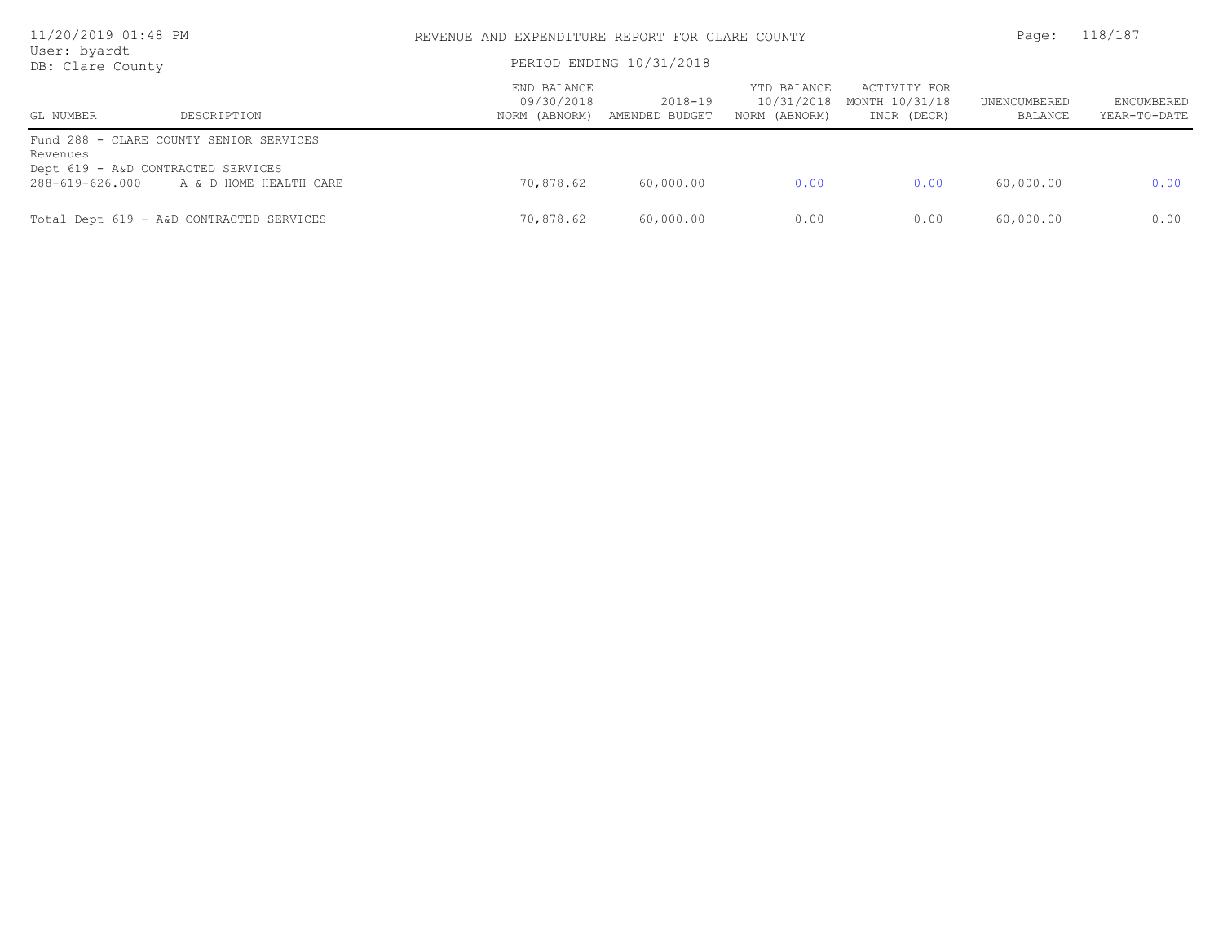| 11/20/2019 01:48 PM<br>User: byardt<br>DB: Clare County           |                                                                   |                                            | REVENUE AND EXPENDITURE REPORT FOR CLARE COUNTY<br>PERIOD ENDING 10/31/2018 |                                            |                                               |                         |                            |
|-------------------------------------------------------------------|-------------------------------------------------------------------|--------------------------------------------|-----------------------------------------------------------------------------|--------------------------------------------|-----------------------------------------------|-------------------------|----------------------------|
| GL NUMBER                                                         | DESCRIPTION                                                       | END BALANCE<br>09/30/2018<br>NORM (ABNORM) | $2018 - 19$<br>AMENDED BUDGET                                               | YTD BALANCE<br>10/31/2018<br>NORM (ABNORM) | ACTIVITY FOR<br>MONTH 10/31/18<br>INCR (DECR) | UNENCUMBERED<br>BALANCE | ENCUMBERED<br>YEAR-TO-DATE |
| Revenues<br>Dept 619 - A&D CONTRACTED SERVICES<br>288-619-626.000 | Fund 288 - CLARE COUNTY SENIOR SERVICES<br>A & D HOME HEALTH CARE | 70,878.62                                  | 60,000.00                                                                   | 0.00                                       | 0.00                                          | 60,000.00               | 0.00                       |
|                                                                   | Total Dept 619 - A&D CONTRACTED SERVICES                          | 70,878.62                                  | 60,000.00                                                                   | 0.00                                       | 0.00                                          | 60,000.00               | 0.00                       |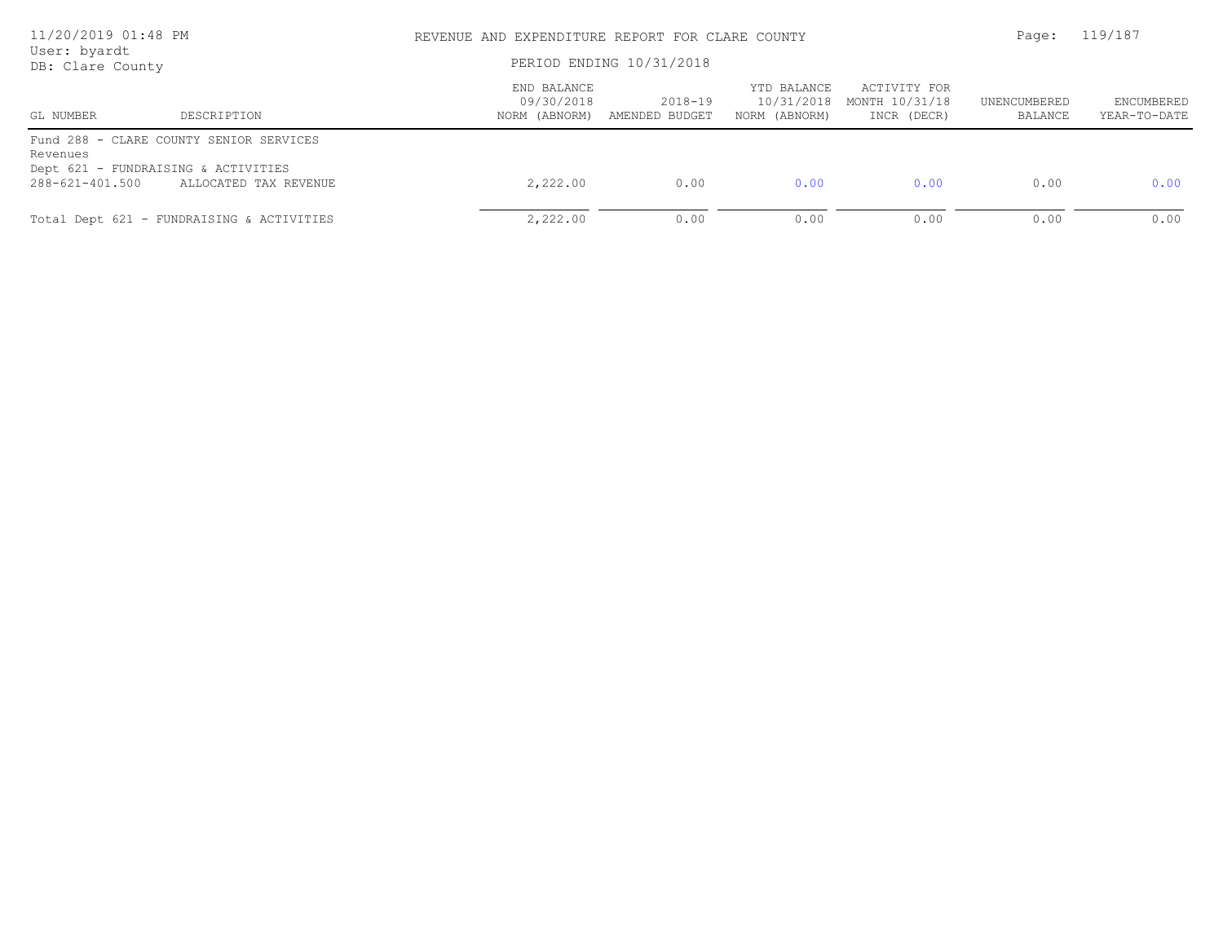| 11/20/2019 01:48 PM<br>User: byardt<br>DB: Clare County            |                                                                  |                                            | REVENUE AND EXPENDITURE REPORT FOR CLARE COUNTY<br>PERIOD ENDING 10/31/2018 |                                            |                                               |                         |                            |
|--------------------------------------------------------------------|------------------------------------------------------------------|--------------------------------------------|-----------------------------------------------------------------------------|--------------------------------------------|-----------------------------------------------|-------------------------|----------------------------|
| GL NUMBER                                                          | DESCRIPTION                                                      | END BALANCE<br>09/30/2018<br>NORM (ABNORM) | $2018 - 19$<br>AMENDED BUDGET                                               | YTD BALANCE<br>10/31/2018<br>NORM (ABNORM) | ACTIVITY FOR<br>MONTH 10/31/18<br>INCR (DECR) | UNENCUMBERED<br>BALANCE | ENCUMBERED<br>YEAR-TO-DATE |
| Revenues<br>Dept 621 - FUNDRAISING & ACTIVITIES<br>288-621-401.500 | Fund 288 - CLARE COUNTY SENIOR SERVICES<br>ALLOCATED TAX REVENUE | 2,222.00                                   | 0.00                                                                        | 0.00                                       | 0.00                                          | 0.00                    | 0.00                       |
|                                                                    | Total Dept 621 - FUNDRAISING & ACTIVITIES                        | 2,222.00                                   | 0.00                                                                        | 0.00                                       | 0.00                                          | 0.00                    | 0.00                       |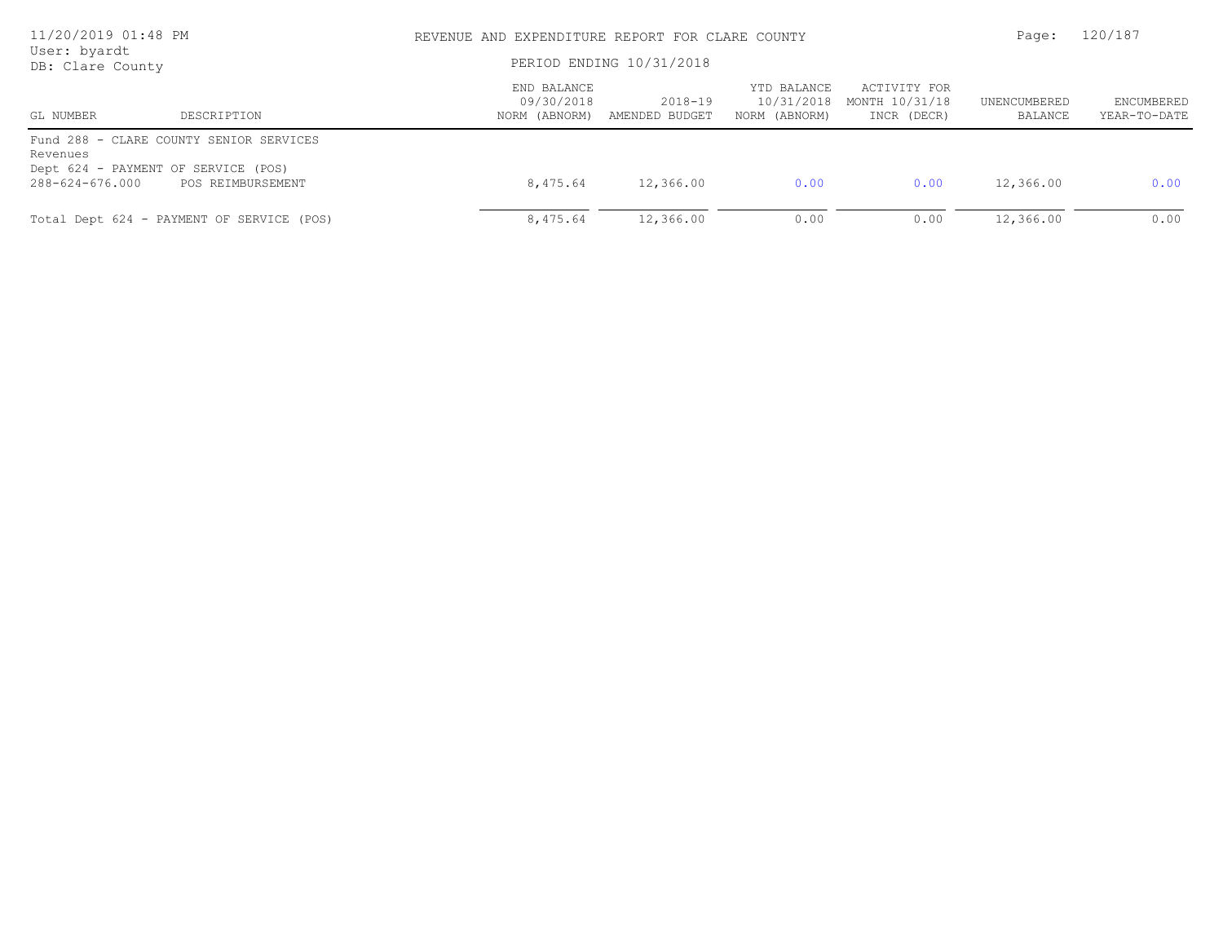| 11/20/2019 01:48 PM<br>User: byardt<br>DB: Clare County            |                                                              |                                            | REVENUE AND EXPENDITURE REPORT FOR CLARE COUNTY<br>PERIOD ENDING 10/31/2018 |                                            |                                               |                         |                            |
|--------------------------------------------------------------------|--------------------------------------------------------------|--------------------------------------------|-----------------------------------------------------------------------------|--------------------------------------------|-----------------------------------------------|-------------------------|----------------------------|
| GL NUMBER                                                          | DESCRIPTION                                                  | END BALANCE<br>09/30/2018<br>NORM (ABNORM) | 2018-19<br>AMENDED BUDGET                                                   | YTD BALANCE<br>10/31/2018<br>NORM (ABNORM) | ACTIVITY FOR<br>MONTH 10/31/18<br>INCR (DECR) | UNENCUMBERED<br>BALANCE | ENCUMBERED<br>YEAR-TO-DATE |
| Revenues<br>Dept 624 - PAYMENT OF SERVICE (POS)<br>288-624-676.000 | Fund 288 - CLARE COUNTY SENIOR SERVICES<br>POS REIMBURSEMENT | 8,475.64                                   | 12,366.00                                                                   | 0.00                                       | 0.00                                          | 12,366.00               | 0.00                       |
|                                                                    | Total Dept 624 - PAYMENT OF SERVICE (POS)                    | 8,475.64                                   | 12,366.00                                                                   | 0.00                                       | 0.00                                          | 12,366.00               | 0.00                       |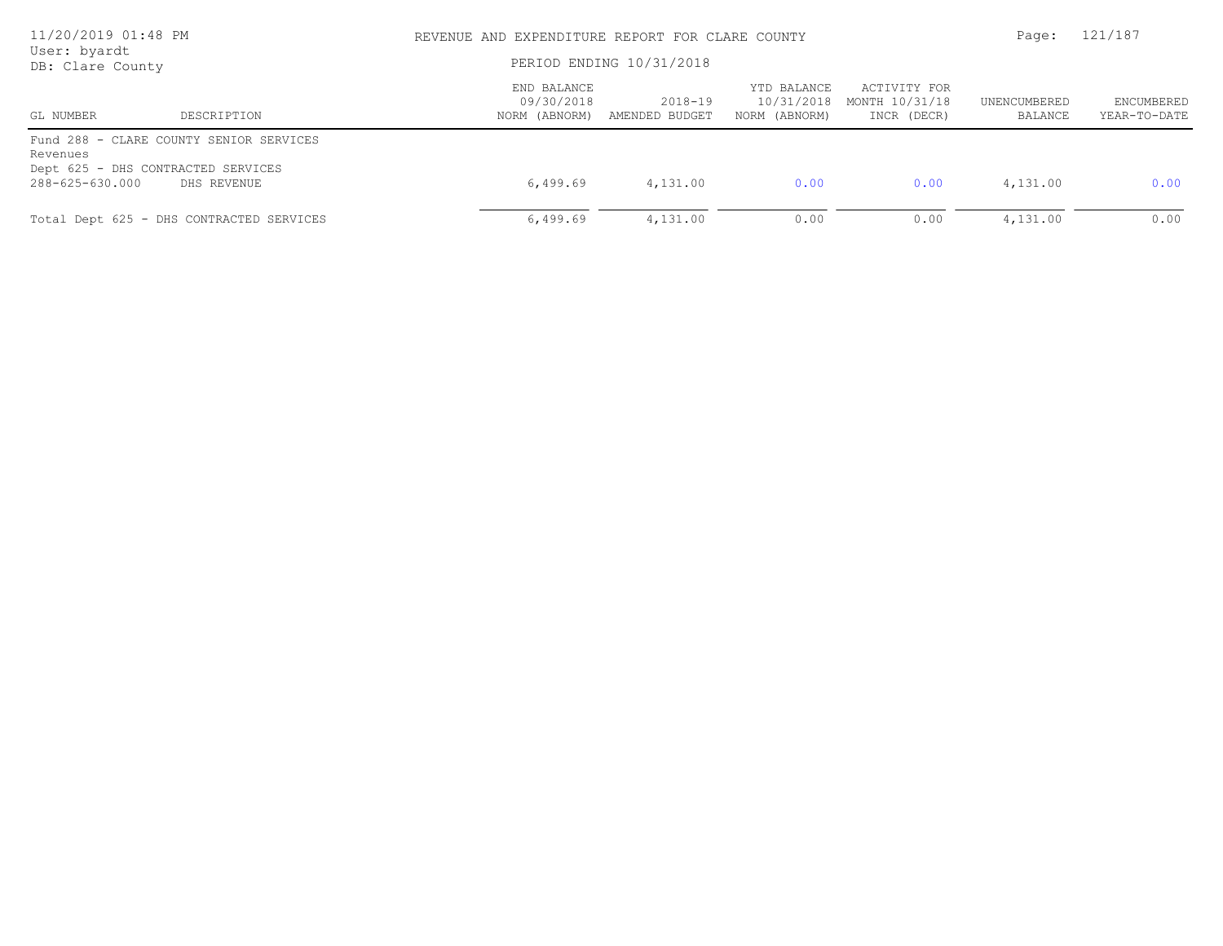| 11/20/2019 01:48 PM<br>User: byardt<br>DB: Clare County |                                                                                              |                                            | REVENUE AND EXPENDITURE REPORT FOR CLARE COUNTY<br>PERIOD ENDING 10/31/2018 |                                            |                                               |                         | 121/187                    |
|---------------------------------------------------------|----------------------------------------------------------------------------------------------|--------------------------------------------|-----------------------------------------------------------------------------|--------------------------------------------|-----------------------------------------------|-------------------------|----------------------------|
| GL NUMBER                                               | DESCRIPTION                                                                                  | END BALANCE<br>09/30/2018<br>NORM (ABNORM) | 2018-19<br>AMENDED BUDGET                                                   | YTD BALANCE<br>10/31/2018<br>NORM (ABNORM) | ACTIVITY FOR<br>MONTH 10/31/18<br>INCR (DECR) | UNENCUMBERED<br>BALANCE | ENCUMBERED<br>YEAR-TO-DATE |
| Revenues<br>288-625-630.000                             | Fund 288 - CLARE COUNTY SENIOR SERVICES<br>Dept 625 - DHS CONTRACTED SERVICES<br>DHS REVENUE | 6,499.69                                   | 4,131.00                                                                    | 0.00                                       | 0.00                                          | 4,131.00                | 0.00                       |
|                                                         | Total Dept 625 - DHS CONTRACTED SERVICES                                                     | 6,499.69                                   | 4,131.00                                                                    | 0.00                                       | 0.00                                          | 4,131.00                | 0.00                       |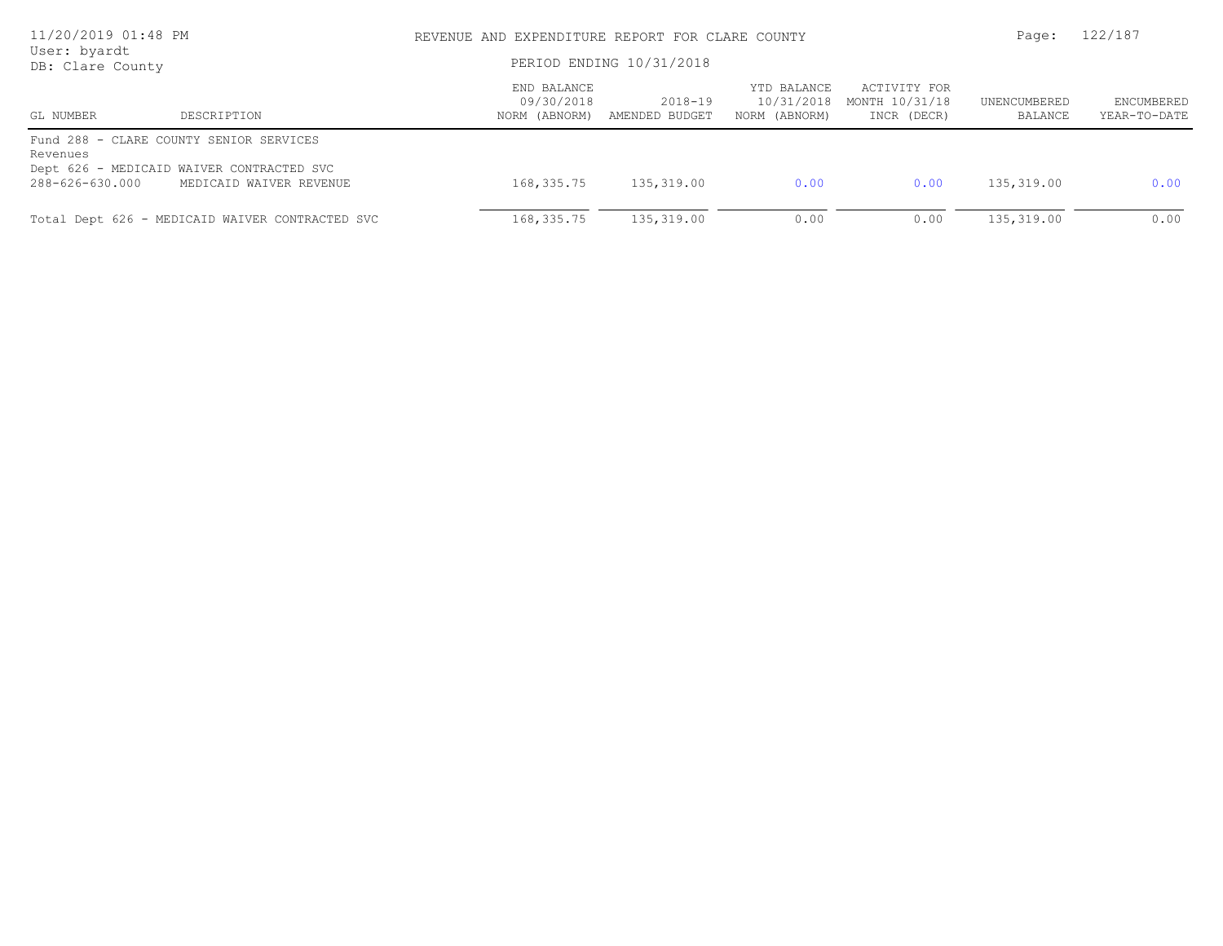| 11/20/2019 01:48 PM<br>User: byardt<br>DB: Clare County |                                                                                                                 | REVENUE AND EXPENDITURE REPORT FOR CLARE COUNTY<br>PERIOD ENDING 10/31/2018 |                           |                                            |                                               | Page:                   | 122/187                    |
|---------------------------------------------------------|-----------------------------------------------------------------------------------------------------------------|-----------------------------------------------------------------------------|---------------------------|--------------------------------------------|-----------------------------------------------|-------------------------|----------------------------|
| GL NUMBER                                               | DESCRIPTION                                                                                                     | END BALANCE<br>09/30/2018<br>NORM (ABNORM)                                  | 2018-19<br>AMENDED BUDGET | YTD BALANCE<br>10/31/2018<br>NORM (ABNORM) | ACTIVITY FOR<br>MONTH 10/31/18<br>INCR (DECR) | UNENCUMBERED<br>BALANCE | ENCUMBERED<br>YEAR-TO-DATE |
| Revenues<br>288-626-630.000                             | Fund 288 - CLARE COUNTY SENIOR SERVICES<br>Dept 626 - MEDICAID WAIVER CONTRACTED SVC<br>MEDICAID WAIVER REVENUE | 168,335.75                                                                  | 135,319.00                | 0.00                                       | 0.00                                          | 135,319.00              | 0.00                       |
|                                                         | Total Dept 626 - MEDICAID WAIVER CONTRACTED SVC                                                                 | 168, 335. 75                                                                | 135,319.00                | 0.00                                       | 0.00                                          | 135,319.00              | 0.00                       |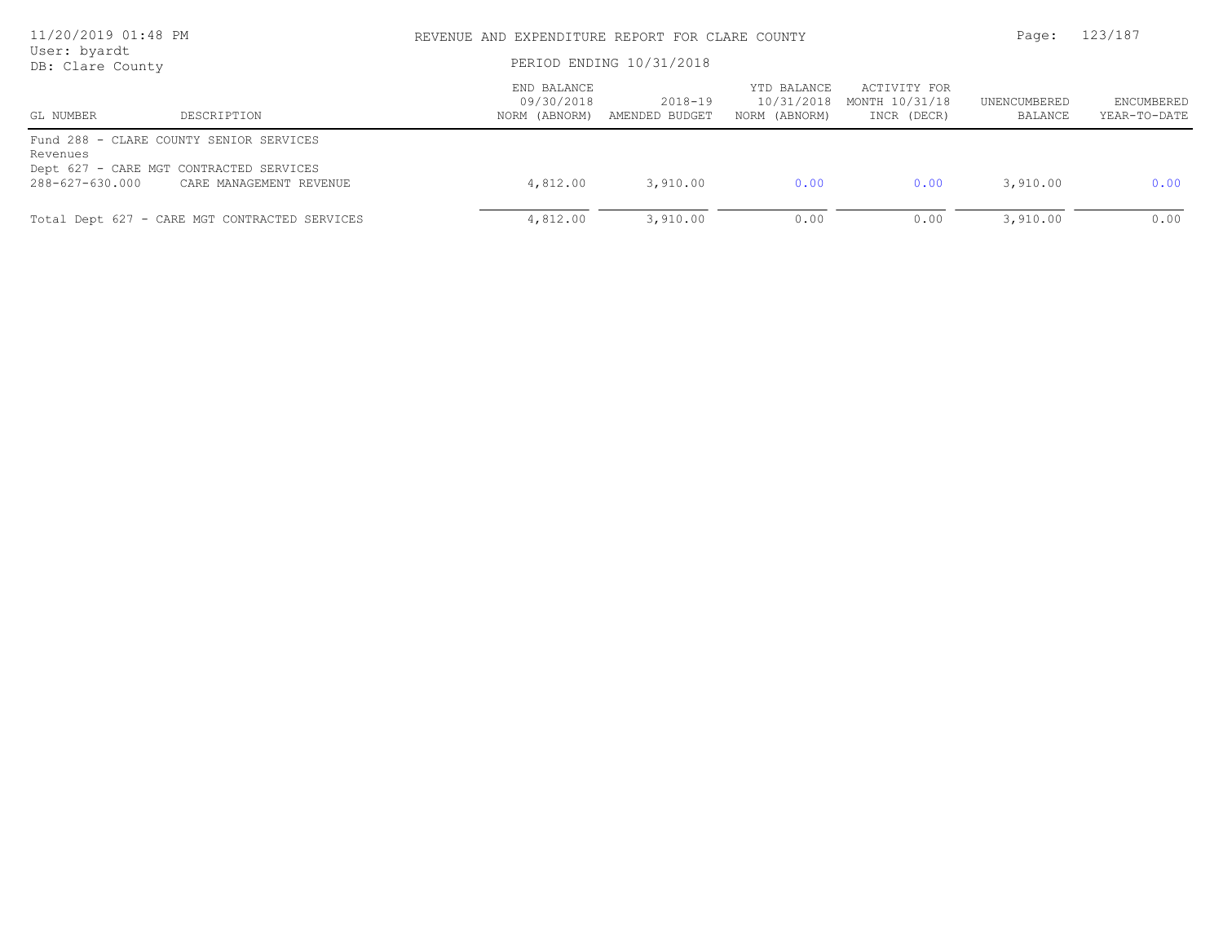| 11/20/2019 01:48 PM<br>User: byardt<br>DB: Clare County |                                                                                                               | REVENUE AND EXPENDITURE REPORT FOR CLARE COUNTY<br>PERIOD ENDING 10/31/2018 | Page:                     | 123/187                                    |                                               |                         |                            |
|---------------------------------------------------------|---------------------------------------------------------------------------------------------------------------|-----------------------------------------------------------------------------|---------------------------|--------------------------------------------|-----------------------------------------------|-------------------------|----------------------------|
| GL NUMBER                                               | DESCRIPTION                                                                                                   | END BALANCE<br>09/30/2018<br>NORM (ABNORM)                                  | 2018-19<br>AMENDED BUDGET | YTD BALANCE<br>10/31/2018<br>NORM (ABNORM) | ACTIVITY FOR<br>MONTH 10/31/18<br>INCR (DECR) | UNENCUMBERED<br>BALANCE | ENCUMBERED<br>YEAR-TO-DATE |
| Revenues<br>288-627-630.000                             | Fund 288 - CLARE COUNTY SENIOR SERVICES<br>Dept 627 - CARE MGT CONTRACTED SERVICES<br>CARE MANAGEMENT REVENUE | 4,812.00                                                                    | 3,910.00                  | 0.00                                       | 0.00                                          | 3,910.00                | 0.00                       |
|                                                         | Total Dept 627 - CARE MGT CONTRACTED SERVICES                                                                 | 4,812.00                                                                    | 3,910.00                  | 0.00                                       | 0.00                                          | 3,910.00                | 0.00                       |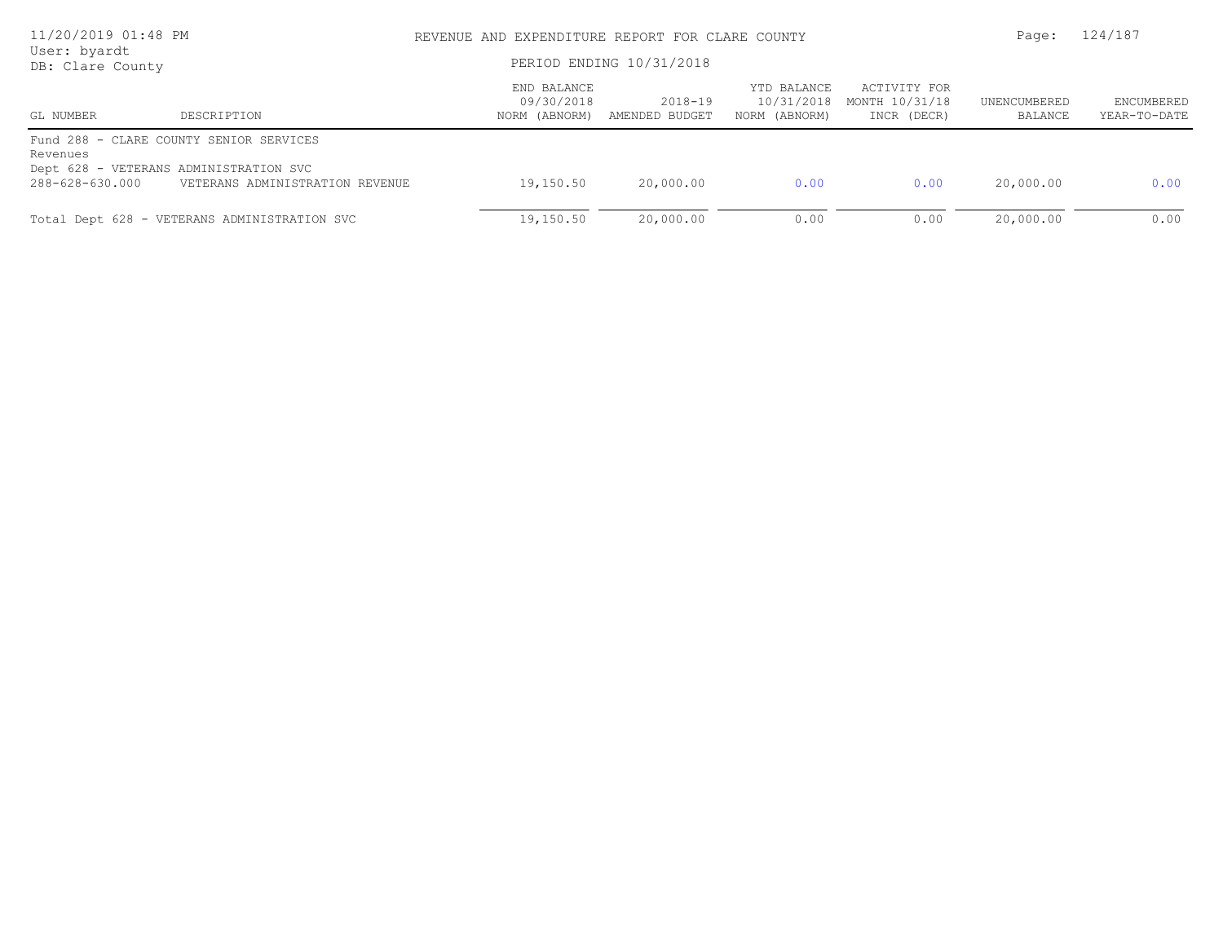| 11/20/2019 01:48 PM<br>User: byardt<br>DB: Clare County |                                                                                                                      | REVENUE AND EXPENDITURE REPORT FOR CLARE COUNTY<br>PERIOD ENDING 10/31/2018 |                           |                                            |                                               | Page:                   | 124/187                    |  |
|---------------------------------------------------------|----------------------------------------------------------------------------------------------------------------------|-----------------------------------------------------------------------------|---------------------------|--------------------------------------------|-----------------------------------------------|-------------------------|----------------------------|--|
| GL NUMBER                                               | DESCRIPTION                                                                                                          | END BALANCE<br>09/30/2018<br>NORM (ABNORM)                                  | 2018-19<br>AMENDED BUDGET | YTD BALANCE<br>10/31/2018<br>NORM (ABNORM) | ACTIVITY FOR<br>MONTH 10/31/18<br>INCR (DECR) | UNENCUMBERED<br>BALANCE | ENCUMBERED<br>YEAR-TO-DATE |  |
| Revenues<br>288-628-630.000                             | Fund 288 - CLARE COUNTY SENIOR SERVICES<br>Dept 628 - VETERANS ADMINISTRATION SVC<br>VETERANS ADMINISTRATION REVENUE | 19,150.50                                                                   | 20,000.00                 | 0.00                                       | 0.00                                          | 20,000.00               | 0.00                       |  |
|                                                         | Total Dept 628 - VETERANS ADMINISTRATION SVC                                                                         | 19,150.50                                                                   | 20,000.00                 | 0.00                                       | 0.00                                          | 20,000.00               | 0.00                       |  |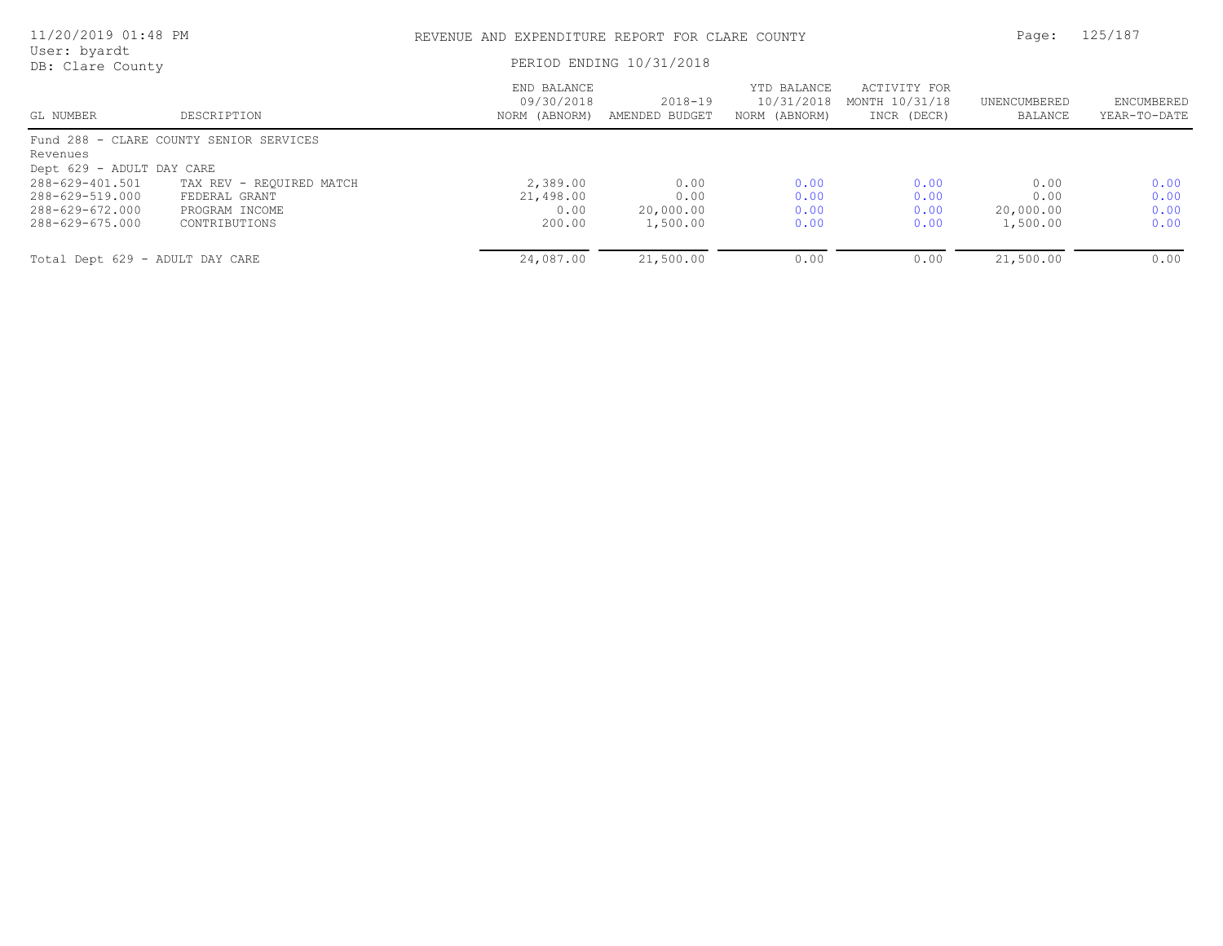| 11/20/2019 01:48 PM<br>User: byardt |                                         |                                            | REVENUE AND EXPENDITURE REPORT FOR CLARE COUNTY |                                            |                                               |                         |                            |
|-------------------------------------|-----------------------------------------|--------------------------------------------|-------------------------------------------------|--------------------------------------------|-----------------------------------------------|-------------------------|----------------------------|
| DB: Clare County                    |                                         | PERIOD ENDING 10/31/2018                   |                                                 |                                            |                                               |                         |                            |
| GL NUMBER                           | DESCRIPTION                             | END BALANCE<br>09/30/2018<br>NORM (ABNORM) | $2018 - 19$<br>AMENDED BUDGET                   | YTD BALANCE<br>10/31/2018<br>NORM (ABNORM) | ACTIVITY FOR<br>MONTH 10/31/18<br>INCR (DECR) | UNENCUMBERED<br>BALANCE | ENCUMBERED<br>YEAR-TO-DATE |
|                                     | Fund 288 - CLARE COUNTY SENIOR SERVICES |                                            |                                                 |                                            |                                               |                         |                            |
| Revenues                            |                                         |                                            |                                                 |                                            |                                               |                         |                            |
| Dept 629 - ADULT DAY CARE           |                                         |                                            |                                                 |                                            |                                               |                         |                            |
| 288-629-401.501                     | TAX REV - REQUIRED MATCH                | 2,389.00                                   | 0.00                                            | 0.00                                       | 0.00                                          | 0.00                    | 0.00                       |
| 288-629-519.000                     | FEDERAL GRANT                           | 21,498.00                                  | 0.00                                            | 0.00                                       | 0.00                                          | 0.00                    | 0.00                       |
| 288-629-672.000                     | PROGRAM INCOME                          | 0.00                                       | 20,000.00                                       | 0.00                                       | 0.00                                          | 20,000.00               | 0.00                       |
| 288-629-675.000                     | CONTRIBUTIONS                           | 200.00                                     | 1,500.00                                        | 0.00                                       | 0.00                                          | 1,500.00                | 0.00                       |
| Total Dept 629 - ADULT DAY CARE     |                                         | 24,087.00                                  | 21,500.00                                       | 0.00                                       | 0.00                                          | 21,500.00               | 0.00                       |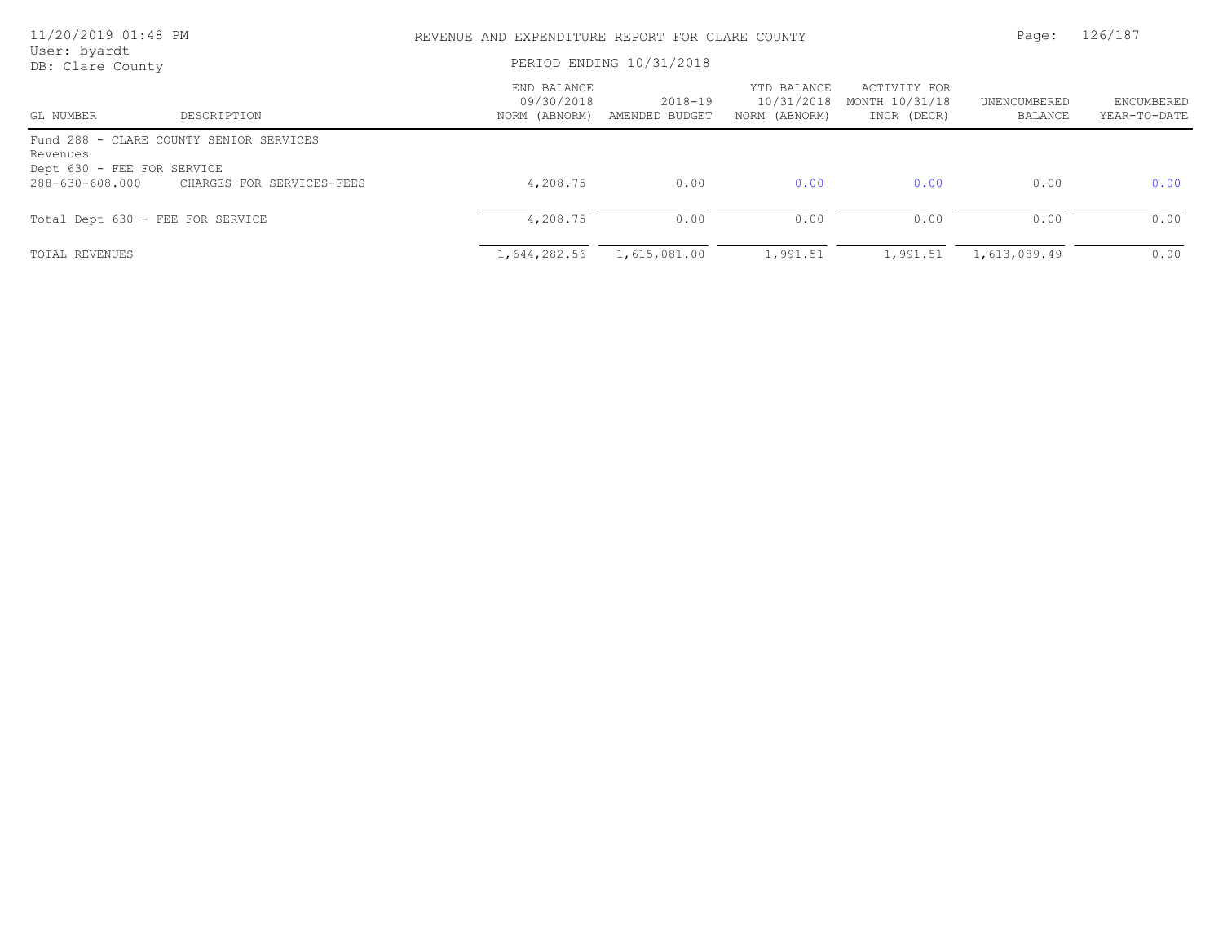| 11/20/2019 01:48 PM<br>User: byardt    |                                         | REVENUE AND EXPENDITURE REPORT FOR CLARE COUNTY |                           |                                            |                                               |                         | 126/187                    |  |
|----------------------------------------|-----------------------------------------|-------------------------------------------------|---------------------------|--------------------------------------------|-----------------------------------------------|-------------------------|----------------------------|--|
| DB: Clare County                       |                                         | PERIOD ENDING 10/31/2018                        |                           |                                            |                                               |                         |                            |  |
| GL NUMBER                              | DESCRIPTION                             | END BALANCE<br>09/30/2018<br>NORM (ABNORM)      | 2018-19<br>AMENDED BUDGET | YTD BALANCE<br>10/31/2018<br>NORM (ABNORM) | ACTIVITY FOR<br>MONTH 10/31/18<br>INCR (DECR) | UNENCUMBERED<br>BALANCE | ENCUMBERED<br>YEAR-TO-DATE |  |
| Revenues<br>Dept 630 - FEE FOR SERVICE | Fund 288 - CLARE COUNTY SENIOR SERVICES |                                                 |                           |                                            |                                               |                         |                            |  |
| 288-630-608.000                        | CHARGES FOR SERVICES-FEES               | 4,208.75                                        | 0.00                      | 0.00                                       | 0.00                                          | 0.00                    | 0.00                       |  |
| Total Dept 630 - FEE FOR SERVICE       |                                         | 4,208.75                                        | 0.00                      | 0.00                                       | 0.00                                          | 0.00                    | 0.00                       |  |
| <b>TOTAL REVENUES</b>                  |                                         | 1,644,282.56                                    | 1,615,081.00              | 1,991.51                                   | 1,991.51                                      | 1,613,089.49            | 0.00                       |  |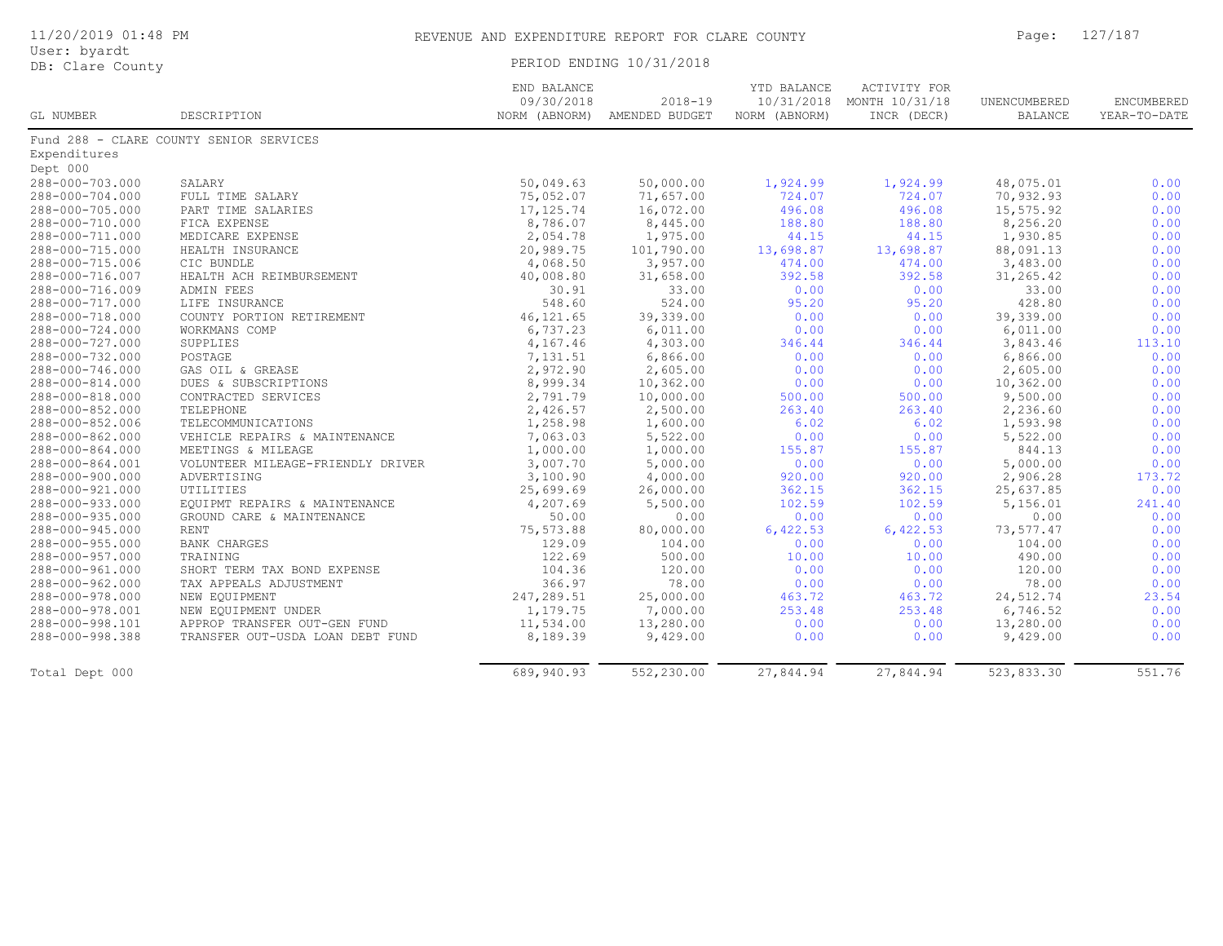| 11/20/2019 01:48 PM |  |  |  |  |  |  |
|---------------------|--|--|--|--|--|--|
|---------------------|--|--|--|--|--|--|

| User: byardt |                  |
|--------------|------------------|
|              | DB: Clare County |

PERIOD ENDING 10/31/2018

|                 |                                         | END BALANCE<br>09/30/2018 | $2018 - 19$                  | YTD BALANCE   | ACTIVITY FOR<br>10/31/2018 MONTH 10/31/18 | UNENCUMBERED   | ENCUMBERED   |
|-----------------|-----------------------------------------|---------------------------|------------------------------|---------------|-------------------------------------------|----------------|--------------|
| GL NUMBER       | DESCRIPTION                             |                           | NORM (ABNORM) AMENDED BUDGET | NORM (ABNORM) | INCR (DECR)                               | <b>BALANCE</b> | YEAR-TO-DATE |
|                 | Fund 288 - CLARE COUNTY SENIOR SERVICES |                           |                              |               |                                           |                |              |
| Expenditures    |                                         |                           |                              |               |                                           |                |              |
| Dept 000        |                                         |                           |                              |               |                                           |                |              |
| 288-000-703.000 | SALARY                                  | 50,049.63                 | 50,000.00                    | 1,924.99      | 1,924.99                                  | 48,075.01      | 0.00         |
| 288-000-704.000 | FULL TIME SALARY                        | 75,052.07                 | 71,657.00                    | 724.07        | 724.07                                    | 70,932.93      | 0.00         |
| 288-000-705.000 | PART TIME SALARIES                      | 17, 125.74                | 16,072.00                    | 496.08        | 496.08                                    | 15,575.92      | 0.00         |
| 288-000-710.000 | FICA EXPENSE                            | 8,786.07                  | 8,445.00                     | 188.80        | 188.80                                    | 8,256.20       | 0.00         |
| 288-000-711.000 | MEDICARE EXPENSE                        | 2,054.78                  | 1,975.00                     | 44.15         | 44.15                                     | 1,930.85       | 0.00         |
| 288-000-715.000 | HEALTH INSURANCE                        | 20,989.75                 | 101,790.00                   | 13,698.87     | 13,698.87                                 | 88,091.13      | 0.00         |
| 288-000-715.006 | CIC BUNDLE                              | 4,068.50                  | 3,957.00                     | 474.00        | 474.00                                    | 3,483.00       | 0.00         |
| 288-000-716.007 | HEALTH ACH REIMBURSEMENT                | 40,008.80                 | 31,658.00                    | 392.58        | 392.58                                    | 31,265.42      | 0.00         |
| 288-000-716.009 | ADMIN FEES                              | 30.91                     | 33.00                        | 0.00          | 0.00                                      | 33.00          | 0.00         |
| 288-000-717.000 | LIFE INSURANCE                          | 548.60                    | 524.00                       | 95.20         | 95.20                                     | 428.80         | 0.00         |
| 288-000-718.000 | COUNTY PORTION RETIREMENT               | 46, 121.65                | 39,339.00                    | 0.00          | 0.00                                      | 39,339.00      | 0.00         |
| 288-000-724.000 | WORKMANS COMP                           | 6,737.23                  | 6,011.00                     | 0.00          | 0.00                                      | 6,011.00       | 0.00         |
| 288-000-727.000 | SUPPLIES                                | 4,167.46                  | 4,303.00                     | 346.44        | 346.44                                    | 3,843.46       | 113.10       |
| 288-000-732.000 | POSTAGE                                 | 7,131.51                  | 6,866.00                     | 0.00          | 0.00                                      | 6,866.00       | 0.00         |
| 288-000-746.000 | GAS OIL & GREASE                        | 2,972.90                  | 2,605.00                     | 0.00          | 0.00                                      | 2,605.00       | 0.00         |
| 288-000-814.000 | DUES & SUBSCRIPTIONS                    | 8,999.34                  | 10,362.00                    | 0.00          | 0.00                                      | 10,362.00      | 0.00         |
| 288-000-818.000 | CONTRACTED SERVICES                     | 2,791.79                  | 10,000.00                    | 500.00        | 500.00                                    | 9,500.00       | 0.00         |
| 288-000-852.000 | TELEPHONE                               | 2,426.57                  | 2,500.00                     | 263.40        | 263.40                                    | 2,236.60       | 0.00         |
| 288-000-852.006 | TELECOMMUNICATIONS                      | 1,258.98                  | 1,600.00                     | 6.02          | 6.02                                      | 1,593.98       | 0.00         |
| 288-000-862.000 | VEHICLE REPAIRS & MAINTENANCE           | 7,063.03                  | 5,522.00                     | 0.00          | 0.00                                      | 5,522.00       | 0.00         |
| 288-000-864.000 | MEETINGS & MILEAGE                      | 1,000.00                  | 1,000.00                     | 155.87        | 155.87                                    | 844.13         | 0.00         |
| 288-000-864.001 | VOLUNTEER MILEAGE-FRIENDLY DRIVER       | 3,007.70                  | 5,000.00                     | 0.00          | 0.00                                      | 5,000.00       | 0.00         |
| 288-000-900.000 | ADVERTISING                             | 3,100.90                  | 4,000.00                     | 920.00        | 920.00                                    | 2,906.28       | 173.72       |
| 288-000-921.000 | UTILITIES                               | 25,699.69                 | 26,000.00                    | 362.15        | 362.15                                    | 25,637.85      | 0.00         |
| 288-000-933.000 | EQUIPMT REPAIRS & MAINTENANCE           | 4,207.69                  | 5,500.00                     | 102.59        | 102.59                                    | 5,156.01       | 241.40       |
| 288-000-935.000 | GROUND CARE & MAINTENANCE               | 50.00                     | 0.00                         | 0.00          | 0.00                                      | 0.00           | 0.00         |
| 288-000-945.000 | RENT                                    | 75,573.88                 | 80,000.00                    | 6,422.53      | 6,422.53                                  | 73,577.47      | 0.00         |
| 288-000-955.000 | BANK CHARGES                            | 129.09                    | 104.00                       | 0.00          | 0.00                                      | 104.00         | 0.00         |
| 288-000-957.000 | TRAINING                                | 122.69                    | 500.00                       | 10.00         | 10.00                                     | 490.00         | 0.00         |
| 288-000-961.000 | SHORT TERM TAX BOND EXPENSE             | 104.36                    | 120.00                       | 0.00          | 0.00                                      | 120.00         | 0.00         |
| 288-000-962.000 | TAX APPEALS ADJUSTMENT                  | 366.97                    | 78.00                        | 0.00          | 0.00                                      | 78.00          | 0.00         |
| 288-000-978.000 | NEW EQUIPMENT                           | 247,289.51                | 25,000.00                    | 463.72        | 463.72                                    | 24,512.74      | 23.54        |
| 288-000-978.001 | NEW EQUIPMENT UNDER                     | 1,179.75                  | 7,000.00                     | 253.48        | 253.48                                    | 6,746.52       | 0.00         |
| 288-000-998.101 | APPROP TRANSFER OUT-GEN FUND            | 11,534.00                 | 13,280.00                    | 0.00          | 0.00                                      | 13,280.00      | 0.00         |
| 288-000-998.388 | TRANSFER OUT-USDA LOAN DEBT FUND        | 8,189.39                  | 9,429.00                     | 0.00          | 0.00                                      | 9,429.00       | 0.00         |
|                 |                                         |                           |                              |               |                                           |                |              |
| Total Dept 000  |                                         | 689,940.93                | 552,230.00                   | 27,844.94     | 27,844.94                                 | 523,833.30     | 551.76       |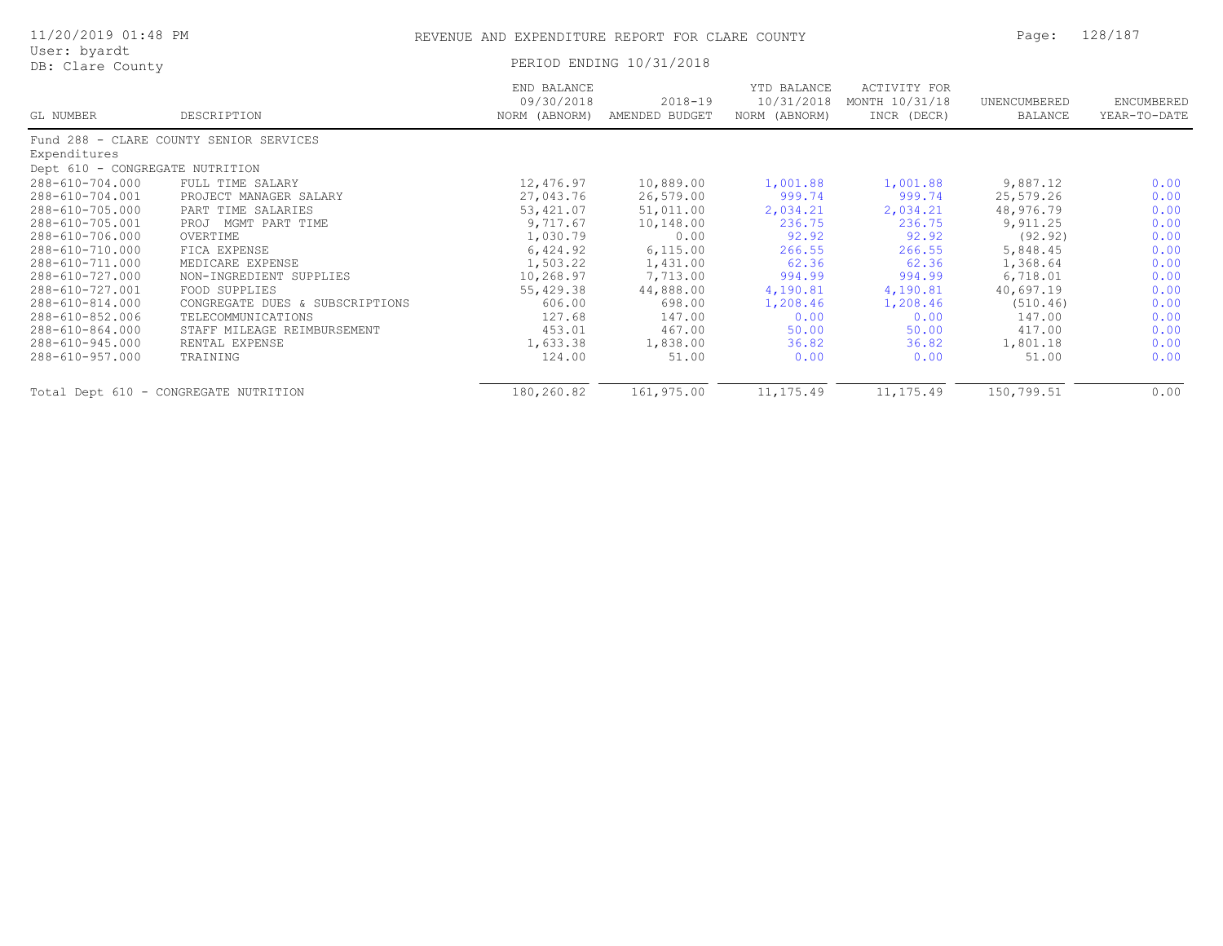| 11/20/2019 01:48 PM              |                                         | REVENUE AND EXPENDITURE REPORT FOR CLARE COUNTY | Page:                         | 128/187                                    |                                                      |                                |                            |
|----------------------------------|-----------------------------------------|-------------------------------------------------|-------------------------------|--------------------------------------------|------------------------------------------------------|--------------------------------|----------------------------|
| User: byardt<br>DB: Clare County |                                         |                                                 | PERIOD ENDING 10/31/2018      |                                            |                                                      |                                |                            |
| GL NUMBER                        | DESCRIPTION                             | END BALANCE<br>09/30/2018<br>NORM (ABNORM)      | $2018 - 19$<br>AMENDED BUDGET | YTD BALANCE<br>10/31/2018<br>NORM (ABNORM) | <b>ACTIVITY FOR</b><br>MONTH 10/31/18<br>INCR (DECR) | UNENCUMBERED<br><b>BALANCE</b> | ENCUMBERED<br>YEAR-TO-DATE |
|                                  | Fund 288 - CLARE COUNTY SENIOR SERVICES |                                                 |                               |                                            |                                                      |                                |                            |
| Expenditures                     |                                         |                                                 |                               |                                            |                                                      |                                |                            |
| Dept 610 - CONGREGATE NUTRITION  |                                         |                                                 |                               |                                            |                                                      |                                |                            |
| 288-610-704.000                  | FULL TIME SALARY                        | 12,476.97                                       | 10,889.00                     | 1,001.88                                   | 1,001.88                                             | 9,887.12                       | 0.00                       |
| 288-610-704.001                  | PROJECT MANAGER SALARY                  | 27,043.76                                       | 26,579.00                     | 999.74                                     | 999.74                                               | 25,579.26                      | 0.00                       |
| 288-610-705.000                  | PART TIME SALARIES                      | 53,421.07                                       | 51,011.00                     | 2,034.21                                   | 2,034.21                                             | 48,976.79                      | 0.00                       |
| 288-610-705.001                  | PROJ MGMT PART TIME                     | 9,717.67                                        | 10,148.00                     | 236.75                                     | 236.75                                               | 9,911.25                       | 0.00                       |
| 288-610-706.000                  | OVERTIME                                | 1,030.79                                        | 0.00                          | 92.92                                      | 92.92                                                | (92.92)                        | 0.00                       |
| 288-610-710.000                  | FICA EXPENSE                            | 6,424.92                                        | 6, 115.00                     | 266.55                                     | 266.55                                               | 5,848.45                       | 0.00                       |
| 288-610-711.000                  | MEDICARE EXPENSE                        | 1,503.22                                        | 1,431.00                      | 62.36                                      | 62.36                                                | 1,368.64                       | 0.00                       |
| 288-610-727.000                  | NON-INGREDIENT SUPPLIES                 | 10,268.97                                       | 7,713.00                      | 994.99                                     | 994.99                                               | 6,718.01                       | 0.00                       |
| 288-610-727.001                  | FOOD SUPPLIES                           | 55,429.38                                       | 44,888.00                     | 4,190.81                                   | 4,190.81                                             | 40,697.19                      | 0.00                       |
| 288-610-814.000                  | CONGREGATE DUES & SUBSCRIPTIONS         | 606.00                                          | 698.00                        | 1,208.46                                   | 1,208.46                                             | (510.46)                       | 0.00                       |
| 288-610-852.006                  | TELECOMMUNICATIONS                      | 127.68                                          | 147.00                        | 0.00                                       | 0.00                                                 | 147.00                         | 0.00                       |
| 288-610-864.000                  | STAFF MILEAGE REIMBURSEMENT             | 453.01                                          | 467.00                        | 50.00                                      | 50.00                                                | 417.00                         | 0.00                       |
| 288-610-945.000                  | RENTAL EXPENSE                          | 1,633.38                                        | 1,838.00                      | 36.82                                      | 36.82                                                | 1,801.18                       | 0.00                       |
| 288-610-957.000                  | TRAINING                                | 124.00                                          | 51.00                         | 0.00                                       | 0.00                                                 | 51.00                          | 0.00                       |
|                                  | Total Dept 610 - CONGREGATE NUTRITION   | 180,260.82                                      | 161,975.00                    | 11, 175.49                                 | 11, 175.49                                           | 150,799.51                     | 0.00                       |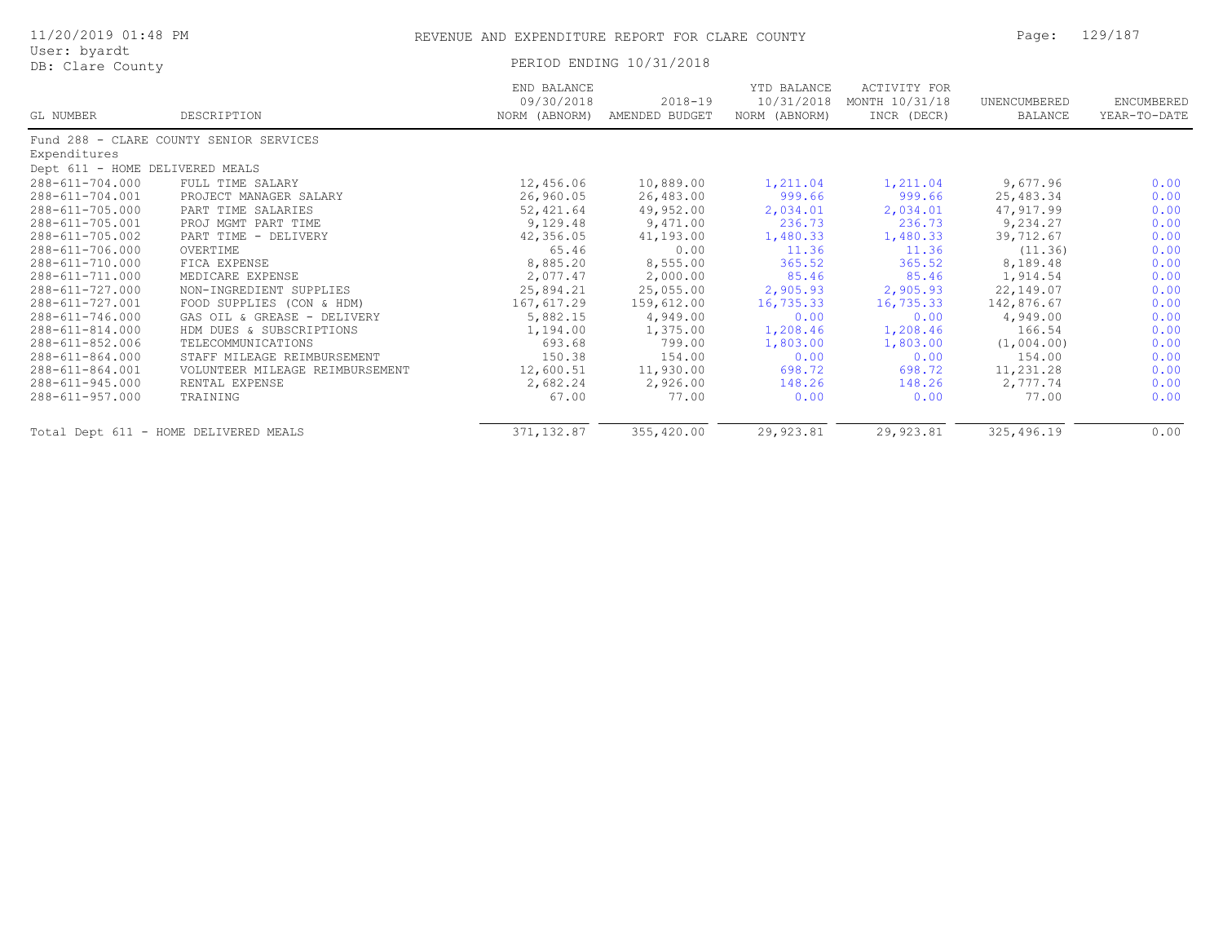| 11/20/2019 01:48 PM              |                                         | REVENUE AND EXPENDITURE REPORT FOR CLARE COUNTY |                               |                                            |                                                      |                         | 129/187                    |  |
|----------------------------------|-----------------------------------------|-------------------------------------------------|-------------------------------|--------------------------------------------|------------------------------------------------------|-------------------------|----------------------------|--|
| User: byardt<br>DB: Clare County |                                         |                                                 | PERIOD ENDING 10/31/2018      |                                            |                                                      |                         |                            |  |
| GL NUMBER                        | DESCRIPTION                             | END BALANCE<br>09/30/2018<br>NORM (ABNORM)      | $2018 - 19$<br>AMENDED BUDGET | YTD BALANCE<br>10/31/2018<br>NORM (ABNORM) | <b>ACTIVITY FOR</b><br>MONTH 10/31/18<br>INCR (DECR) | UNENCUMBERED<br>BALANCE | ENCUMBERED<br>YEAR-TO-DATE |  |
|                                  | Fund 288 - CLARE COUNTY SENIOR SERVICES |                                                 |                               |                                            |                                                      |                         |                            |  |
| Expenditures                     |                                         |                                                 |                               |                                            |                                                      |                         |                            |  |
| Dept 611 - HOME DELIVERED MEALS  |                                         |                                                 |                               |                                            |                                                      |                         |                            |  |
| 288-611-704.000                  | FULL TIME SALARY                        | 12,456.06                                       | 10,889.00                     | 1,211.04                                   | 1,211.04                                             | 9,677.96                | 0.00                       |  |
| $288 - 611 - 704.001$            | PROJECT MANAGER SALARY                  | 26,960.05                                       | 26,483.00                     | 999.66                                     | 999.66                                               | 25,483.34               | 0.00                       |  |
| 288-611-705.000                  | PART TIME SALARIES                      | 52,421.64                                       | 49,952.00                     | 2,034.01                                   | 2,034.01                                             | 47,917.99               | 0.00                       |  |
| 288-611-705.001                  | PROJ MGMT PART TIME                     | 9,129.48                                        | 9,471.00                      | 236.73                                     | 236.73                                               | 9,234.27                | 0.00                       |  |
| 288-611-705.002                  | PART TIME - DELIVERY                    | 42,356.05                                       | 41,193.00                     | 1,480.33                                   | 1,480.33                                             | 39,712.67               | 0.00                       |  |
| 288-611-706.000                  | OVERTIME                                | 65.46                                           | 0.00                          | 11.36                                      | 11.36                                                | (11.36)                 | 0.00                       |  |
| 288-611-710.000                  | FICA EXPENSE                            | 8,885.20                                        | 8,555.00                      | 365.52                                     | 365.52                                               | 8,189.48                | 0.00                       |  |
| 288-611-711.000                  | MEDICARE EXPENSE                        | 2,077.47                                        | 2,000.00                      | 85.46                                      | 85.46                                                | 1,914.54                | 0.00                       |  |
| 288-611-727.000                  | NON-INGREDIENT SUPPLIES                 | 25,894.21                                       | 25,055.00                     | 2,905.93                                   | 2,905.93                                             | 22,149.07               | 0.00                       |  |
| 288-611-727.001                  | FOOD SUPPLIES (CON & HDM)               | 167,617.29                                      | 159,612.00                    | 16,735.33                                  | 16,735.33                                            | 142,876.67              | 0.00                       |  |
| 288-611-746.000                  | GAS OIL & GREASE - DELIVERY             | 5,882.15                                        | 4,949.00                      | 0.00                                       | 0.00                                                 | 4,949.00                | 0.00                       |  |
| 288-611-814.000                  | HDM DUES & SUBSCRIPTIONS                | 1,194.00                                        | 1,375.00                      | 1,208.46                                   | 1,208.46                                             | 166.54                  | 0.00                       |  |
| 288-611-852.006                  | TELECOMMUNICATIONS                      | 693.68                                          | 799.00                        | 1,803.00                                   | 1,803.00                                             | (1,004.00)              | 0.00                       |  |
| $288 - 611 - 864.000$            | STAFF MILEAGE REIMBURSEMENT             | 150.38                                          | 154.00                        | 0.00                                       | 0.00                                                 | 154.00                  | 0.00                       |  |
| 288-611-864.001                  | VOLUNTEER MILEAGE REIMBURSEMENT         | 12,600.51                                       | 11,930.00                     | 698.72                                     | 698.72                                               | 11,231.28               | 0.00                       |  |
| 288-611-945.000                  | RENTAL EXPENSE                          | 2,682.24                                        | 2,926.00                      | 148.26                                     | 148.26                                               | 2,777.74                | 0.00                       |  |
| 288-611-957.000                  | TRAINING                                | 67.00                                           | 77.00                         | 0.00                                       | 0.00                                                 | 77.00                   | 0.00                       |  |
|                                  | Total Dept 611 - HOME DELIVERED MEALS   | 371, 132.87                                     | 355,420.00                    | 29,923.81                                  | 29,923.81                                            | 325,496.19              | 0.00                       |  |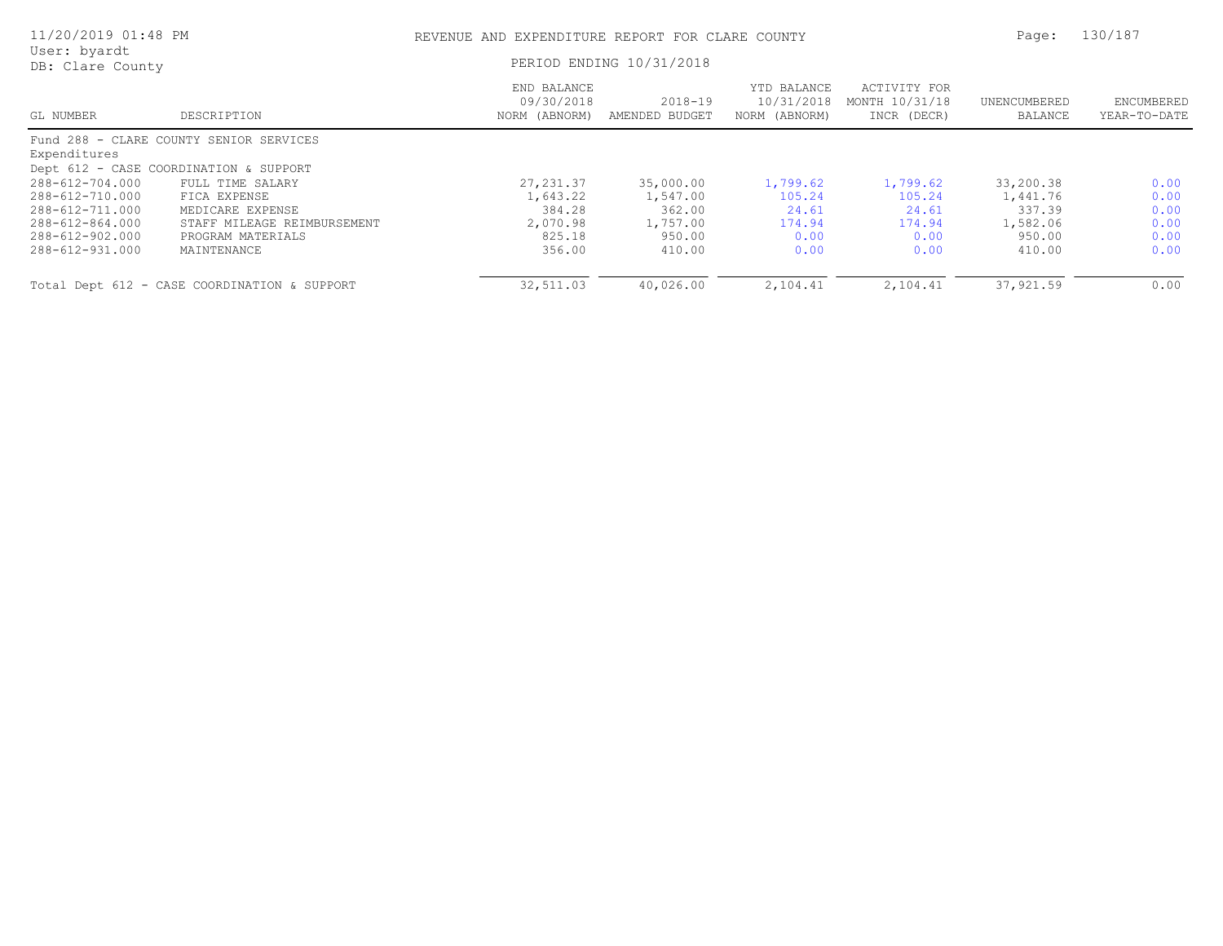| 11/20/2019 01:48 PM              |                                              | REVENUE AND EXPENDITURE REPORT FOR CLARE COUNTY | Page:                         | 130/187                                    |                                               |                         |                            |
|----------------------------------|----------------------------------------------|-------------------------------------------------|-------------------------------|--------------------------------------------|-----------------------------------------------|-------------------------|----------------------------|
| User: byardt<br>DB: Clare County |                                              | PERIOD ENDING 10/31/2018                        |                               |                                            |                                               |                         |                            |
| GL NUMBER                        | DESCRIPTION                                  | END BALANCE<br>09/30/2018<br>NORM (ABNORM)      | $2018 - 19$<br>AMENDED BUDGET | YTD BALANCE<br>10/31/2018<br>NORM (ABNORM) | ACTIVITY FOR<br>MONTH 10/31/18<br>INCR (DECR) | UNENCUMBERED<br>BALANCE | ENCUMBERED<br>YEAR-TO-DATE |
|                                  | Fund 288 - CLARE COUNTY SENIOR SERVICES      |                                                 |                               |                                            |                                               |                         |                            |
| Expenditures                     |                                              |                                                 |                               |                                            |                                               |                         |                            |
|                                  | Dept 612 - CASE COORDINATION & SUPPORT       |                                                 |                               |                                            |                                               |                         |                            |
| 288-612-704.000                  | FULL TIME SALARY                             | 27, 231.37                                      | 35,000.00                     | 1,799.62                                   | 1,799.62                                      | 33,200.38               | 0.00                       |
| 288-612-710.000                  | FICA EXPENSE                                 | 1,643.22                                        | 1,547.00                      | 105.24                                     | 105.24                                        | 1,441.76                | 0.00                       |
| 288-612-711.000                  | MEDICARE EXPENSE                             | 384.28                                          | 362.00                        | 24.61                                      | 24.61                                         | 337.39                  | 0.00                       |
| 288-612-864.000                  | STAFF MILEAGE REIMBURSEMENT                  | 2,070.98                                        | 1,757.00                      | 174.94                                     | 174.94                                        | 1,582.06                | 0.00                       |
| 288-612-902.000                  | PROGRAM MATERIALS                            | 825.18                                          | 950.00                        | 0.00                                       | 0.00                                          | 950.00                  | 0.00                       |
| 288-612-931.000                  | MAINTENANCE                                  | 356.00                                          | 410.00                        | 0.00                                       | 0.00                                          | 410.00                  | 0.00                       |
|                                  | Total Dept 612 - CASE COORDINATION & SUPPORT | 32,511.03                                       | 40,026.00                     | 2,104.41                                   | 2,104.41                                      | 37,921.59               | 0.00                       |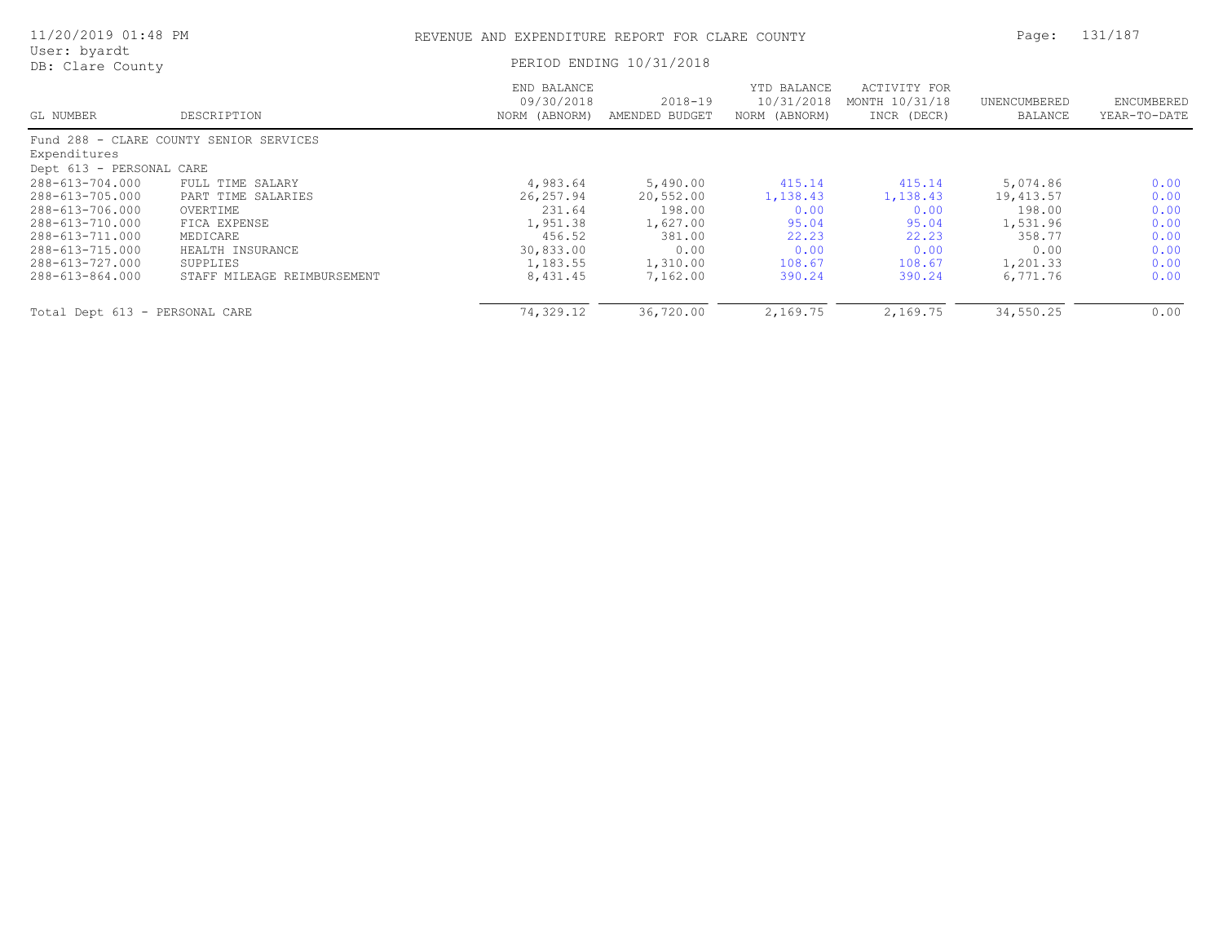| 11/20/2019 01:48 PM              |                                         | REVENUE AND EXPENDITURE REPORT FOR CLARE COUNTY | Page:                     | 131/187                                    |                                               |                         |                            |
|----------------------------------|-----------------------------------------|-------------------------------------------------|---------------------------|--------------------------------------------|-----------------------------------------------|-------------------------|----------------------------|
| User: byardt<br>DB: Clare County |                                         | PERIOD ENDING 10/31/2018                        |                           |                                            |                                               |                         |                            |
| GL NUMBER                        | DESCRIPTION                             | END BALANCE<br>09/30/2018<br>NORM (ABNORM)      | 2018-19<br>AMENDED BUDGET | YTD BALANCE<br>10/31/2018<br>NORM (ABNORM) | ACTIVITY FOR<br>MONTH 10/31/18<br>INCR (DECR) | UNENCUMBERED<br>BALANCE | ENCUMBERED<br>YEAR-TO-DATE |
|                                  | Fund 288 - CLARE COUNTY SENIOR SERVICES |                                                 |                           |                                            |                                               |                         |                            |
| Expenditures                     |                                         |                                                 |                           |                                            |                                               |                         |                            |
| Dept 613 - PERSONAL CARE         |                                         |                                                 |                           |                                            |                                               |                         |                            |
| 288-613-704.000                  | FULL TIME SALARY                        | 4,983.64                                        | 5,490.00                  | 415.14                                     | 415.14                                        | 5,074.86                | 0.00                       |
| 288-613-705.000                  | PART TIME SALARIES                      | 26,257.94                                       | 20,552.00                 | 1,138.43                                   | 1,138.43                                      | 19,413.57               | 0.00                       |
| 288-613-706.000                  | OVERTIME                                | 231.64                                          | 198.00                    | 0.00                                       | 0.00                                          | 198.00                  | 0.00                       |
| 288-613-710.000                  | FICA EXPENSE                            | 1,951.38                                        | 1,627.00                  | 95.04                                      | 95.04                                         | 1,531.96                | 0.00                       |
| 288-613-711.000                  | MEDICARE                                | 456.52                                          | 381.00                    | 22.23                                      | 22.23                                         | 358.77                  | 0.00                       |
| 288-613-715.000                  | HEALTH INSURANCE                        | 30,833.00                                       | 0.00                      | 0.00                                       | 0.00                                          | 0.00                    | 0.00                       |
| 288-613-727.000                  | SUPPLIES                                | 1,183.55                                        | 1,310.00                  | 108.67                                     | 108.67                                        | 1,201.33                | 0.00                       |
| 288-613-864.000                  | STAFF MILEAGE REIMBURSEMENT             | 8,431.45                                        | 7,162.00                  | 390.24                                     | 390.24                                        | 6,771.76                | 0.00                       |
| Total Dept 613 - PERSONAL CARE   |                                         | 74,329.12                                       | 36,720.00                 | 2,169.75                                   | 2,169.75                                      | 34,550.25               | 0.00                       |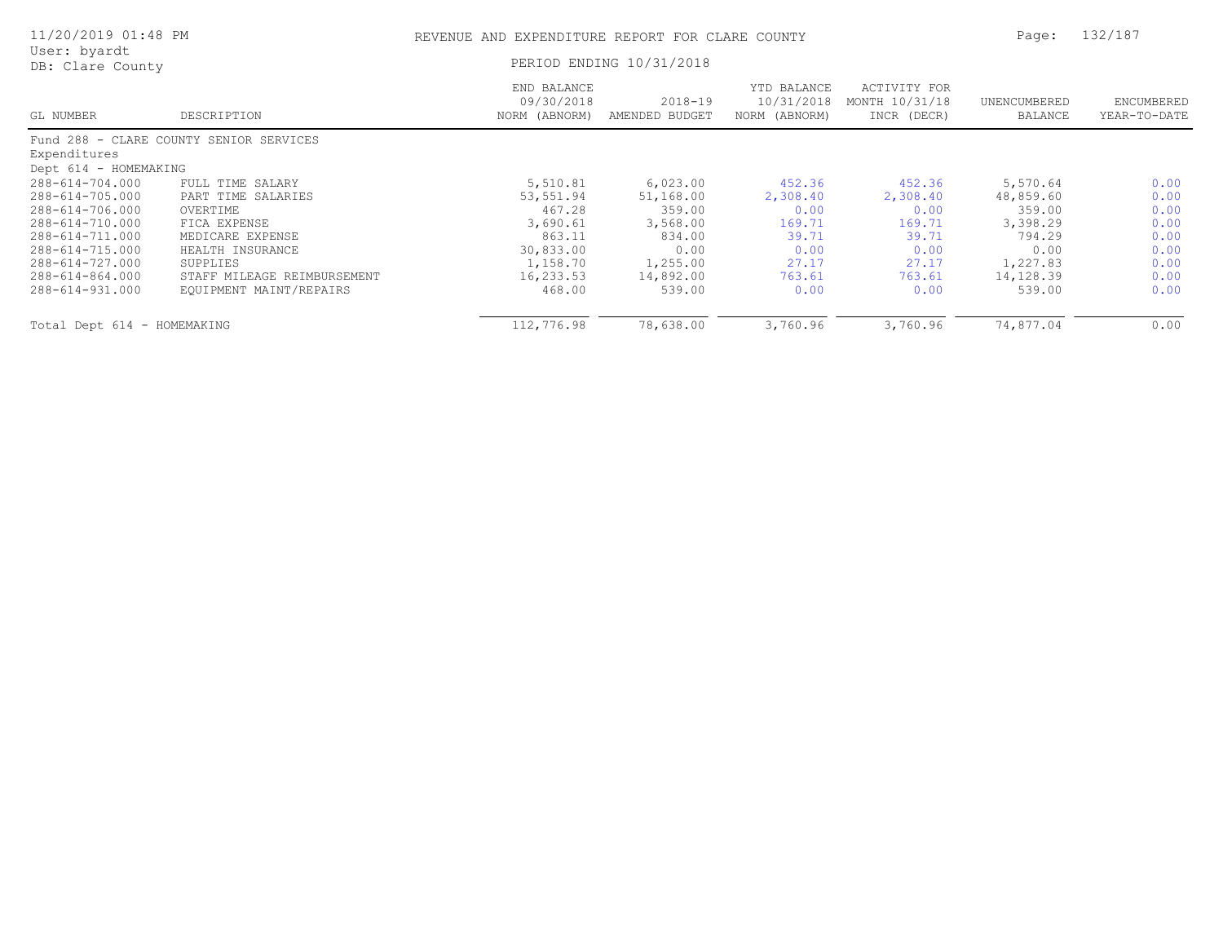| 11/20/2019 01:48 PM              |                                         | REVENUE AND EXPENDITURE REPORT FOR CLARE COUNTY | Page:                     | 132/187                                    |                                               |                         |                            |
|----------------------------------|-----------------------------------------|-------------------------------------------------|---------------------------|--------------------------------------------|-----------------------------------------------|-------------------------|----------------------------|
| User: byardt<br>DB: Clare County |                                         |                                                 | PERIOD ENDING 10/31/2018  |                                            |                                               |                         |                            |
| GL NUMBER                        | DESCRIPTION                             | END BALANCE<br>09/30/2018<br>NORM (ABNORM)      | 2018-19<br>AMENDED BUDGET | YTD BALANCE<br>10/31/2018<br>NORM (ABNORM) | ACTIVITY FOR<br>MONTH 10/31/18<br>INCR (DECR) | UNENCUMBERED<br>BALANCE | ENCUMBERED<br>YEAR-TO-DATE |
|                                  | Fund 288 - CLARE COUNTY SENIOR SERVICES |                                                 |                           |                                            |                                               |                         |                            |
| Expenditures                     |                                         |                                                 |                           |                                            |                                               |                         |                            |
| Dept 614 - HOMEMAKING            |                                         |                                                 |                           |                                            |                                               |                         |                            |
| 288-614-704.000                  | FULL TIME SALARY                        | 5,510.81                                        | 6,023.00                  | 452.36                                     | 452.36                                        | 5,570.64                | 0.00                       |
| 288-614-705.000                  | PART TIME SALARIES                      | 53,551.94                                       | 51,168.00                 | 2,308.40                                   | 2,308.40                                      | 48,859.60               | 0.00                       |
| 288-614-706.000                  | OVERTIME                                | 467.28                                          | 359.00                    | 0.00                                       | 0.00                                          | 359.00                  | 0.00                       |
| 288-614-710.000                  | FICA EXPENSE                            | 3,690.61                                        | 3,568.00                  | 169.71                                     | 169.71                                        | 3,398.29                | 0.00                       |
| 288-614-711.000                  | MEDICARE EXPENSE                        | 863.11                                          | 834.00                    | 39.71                                      | 39.71                                         | 794.29                  | 0.00                       |
| 288-614-715.000                  | HEALTH INSURANCE                        | 30,833.00                                       | 0.00                      | 0.00                                       | 0.00                                          | 0.00                    | 0.00                       |
| 288-614-727.000                  | SUPPLIES                                | 1,158.70                                        | 1,255.00                  | 27.17                                      | 27.17                                         | 1,227.83                | 0.00                       |
| 288-614-864.000                  | STAFF MILEAGE REIMBURSEMENT             | 16,233.53                                       | 14,892.00                 | 763.61                                     | 763.61                                        | 14,128.39               | 0.00                       |
| 288-614-931.000                  | EQUIPMENT MAINT/REPAIRS                 | 468.00                                          | 539.00                    | 0.00                                       | 0.00                                          | 539.00                  | 0.00                       |
| Total Dept 614 - HOMEMAKING      |                                         | 112,776.98                                      | 78,638.00                 | 3,760.96                                   | 3,760.96                                      | 74,877.04               | 0.00                       |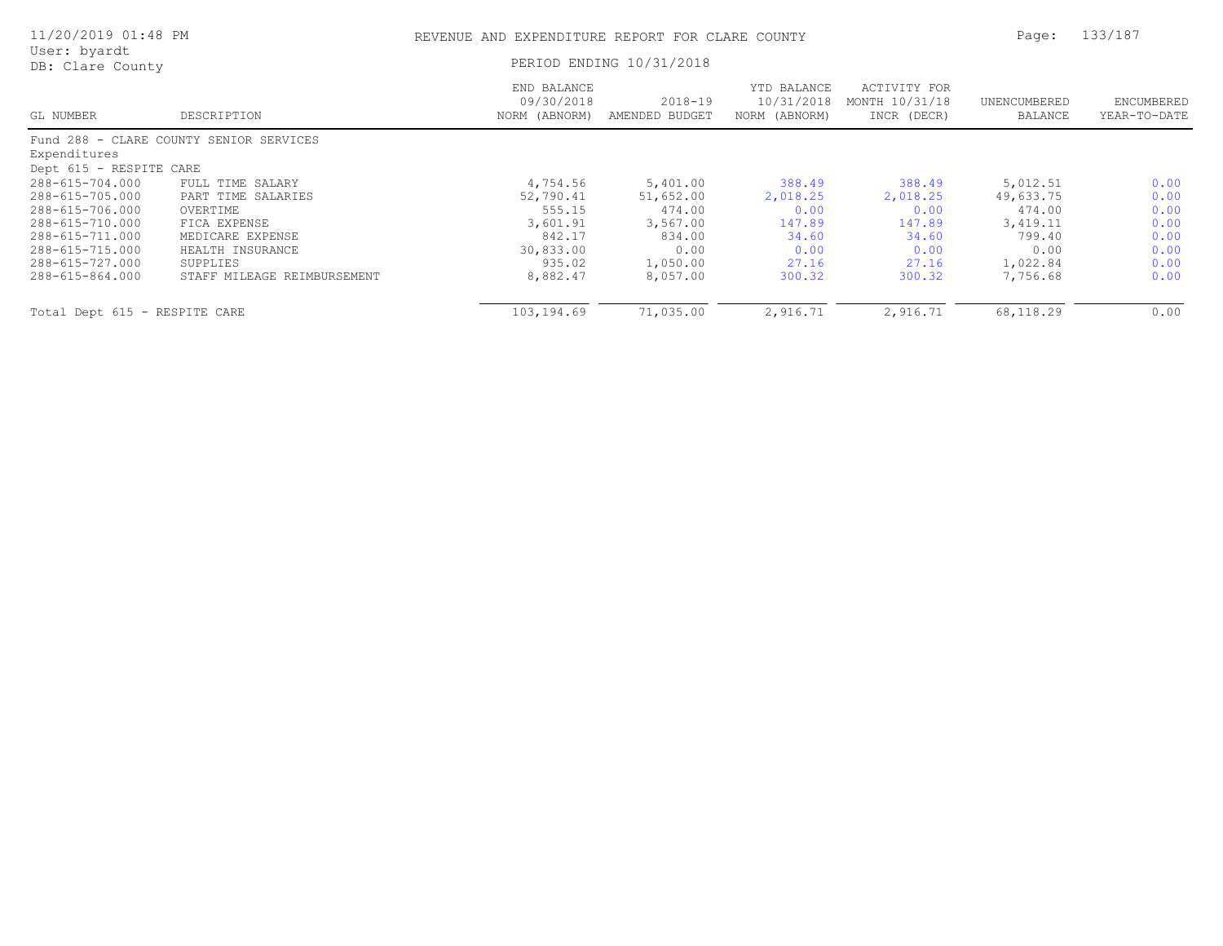| 11/20/2019 01:48 PM              |                                         | REVENUE AND EXPENDITURE REPORT FOR CLARE COUNTY |                           |                                            |                                               | Page:                   | 133/187                    |  |
|----------------------------------|-----------------------------------------|-------------------------------------------------|---------------------------|--------------------------------------------|-----------------------------------------------|-------------------------|----------------------------|--|
| User: byardt<br>DB: Clare County |                                         |                                                 | PERIOD ENDING 10/31/2018  |                                            |                                               |                         |                            |  |
| GL NUMBER                        | DESCRIPTION                             | END BALANCE<br>09/30/2018<br>NORM (ABNORM)      | 2018-19<br>AMENDED BUDGET | YTD BALANCE<br>10/31/2018<br>NORM (ABNORM) | ACTIVITY FOR<br>MONTH 10/31/18<br>INCR (DECR) | UNENCUMBERED<br>BALANCE | ENCUMBERED<br>YEAR-TO-DATE |  |
|                                  | Fund 288 - CLARE COUNTY SENIOR SERVICES |                                                 |                           |                                            |                                               |                         |                            |  |
| Expenditures                     |                                         |                                                 |                           |                                            |                                               |                         |                            |  |
| Dept 615 - RESPITE CARE          |                                         |                                                 |                           |                                            |                                               |                         |                            |  |
| 288-615-704.000                  | FULL TIME SALARY                        | 4,754.56                                        | 5,401.00                  | 388.49                                     | 388.49                                        | 5,012.51                | 0.00                       |  |
| 288-615-705.000                  | PART TIME SALARIES                      | 52,790.41                                       | 51,652.00                 | 2,018.25                                   | 2,018.25                                      | 49,633.75               | 0.00                       |  |
| 288-615-706.000                  | OVERTIME                                | 555.15                                          | 474.00                    | 0.00                                       | 0.00                                          | 474.00                  | 0.00                       |  |
| 288-615-710.000                  | FICA EXPENSE                            | 3,601.91                                        | 3,567.00                  | 147.89                                     | 147.89                                        | 3,419.11                | 0.00                       |  |
| 288-615-711.000                  | MEDICARE EXPENSE                        | 842.17                                          | 834.00                    | 34.60                                      | 34.60                                         | 799.40                  | 0.00                       |  |
| 288-615-715.000                  | HEALTH INSURANCE                        | 30,833.00                                       | 0.00                      | 0.00                                       | 0.00                                          | 0.00                    | 0.00                       |  |
| 288-615-727.000                  | SUPPLIES                                | 935.02                                          | 1,050.00                  | 27.16                                      | 27.16                                         | 1,022.84                | 0.00                       |  |
| 288-615-864.000                  | STAFF MILEAGE REIMBURSEMENT             | 8,882.47                                        | 8,057.00                  | 300.32                                     | 300.32                                        | 7,756.68                | 0.00                       |  |
| Total Dept 615 - RESPITE CARE    |                                         | 103,194.69                                      | 71,035.00                 | 2,916.71                                   | 2,916.71                                      | 68,118.29               | 0.00                       |  |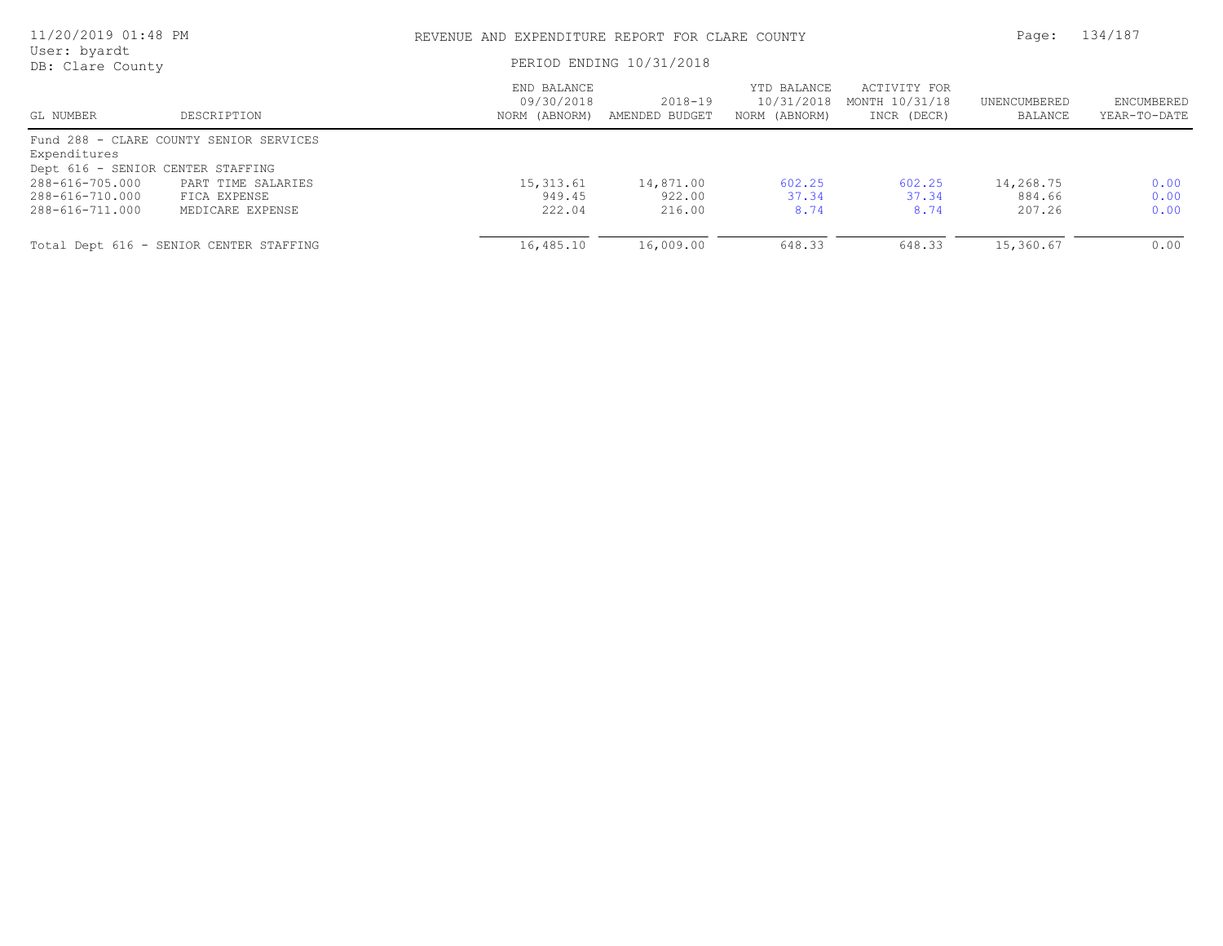| 11/20/2019 01:48 PM<br>User: byardt |                                         | REVENUE AND EXPENDITURE REPORT FOR CLARE COUNTY |                           |                                            |                                               |                         | 134/187                    |
|-------------------------------------|-----------------------------------------|-------------------------------------------------|---------------------------|--------------------------------------------|-----------------------------------------------|-------------------------|----------------------------|
| DB: Clare County                    |                                         | PERIOD ENDING 10/31/2018                        |                           |                                            |                                               |                         |                            |
| GL NUMBER                           | DESCRIPTION                             | END BALANCE<br>09/30/2018<br>NORM (ABNORM)      | 2018-19<br>AMENDED BUDGET | YTD BALANCE<br>10/31/2018<br>NORM (ABNORM) | ACTIVITY FOR<br>MONTH 10/31/18<br>INCR (DECR) | UNENCUMBERED<br>BALANCE | ENCUMBERED<br>YEAR-TO-DATE |
|                                     | Fund 288 - CLARE COUNTY SENIOR SERVICES |                                                 |                           |                                            |                                               |                         |                            |
| Expenditures                        |                                         |                                                 |                           |                                            |                                               |                         |                            |
| Dept 616 - SENIOR CENTER STAFFING   |                                         |                                                 |                           |                                            |                                               |                         |                            |
| 288-616-705.000                     | PART TIME SALARIES                      | 15,313.61                                       | 14,871.00                 | 602.25                                     | 602.25                                        | 14,268.75               | 0.00                       |
| 288-616-710.000                     | FICA EXPENSE                            | 949.45                                          | 922.00                    | 37.34                                      | 37.34                                         | 884.66                  | 0.00                       |
| 288-616-711.000                     | MEDICARE EXPENSE                        | 222.04                                          | 216.00                    | 8.74                                       | 8.74                                          | 207.26                  | 0.00                       |
|                                     | Total Dept 616 - SENIOR CENTER STAFFING | 16,485.10                                       | 16,009.00                 | 648.33                                     | 648.33                                        | 15,360.67               | 0.00                       |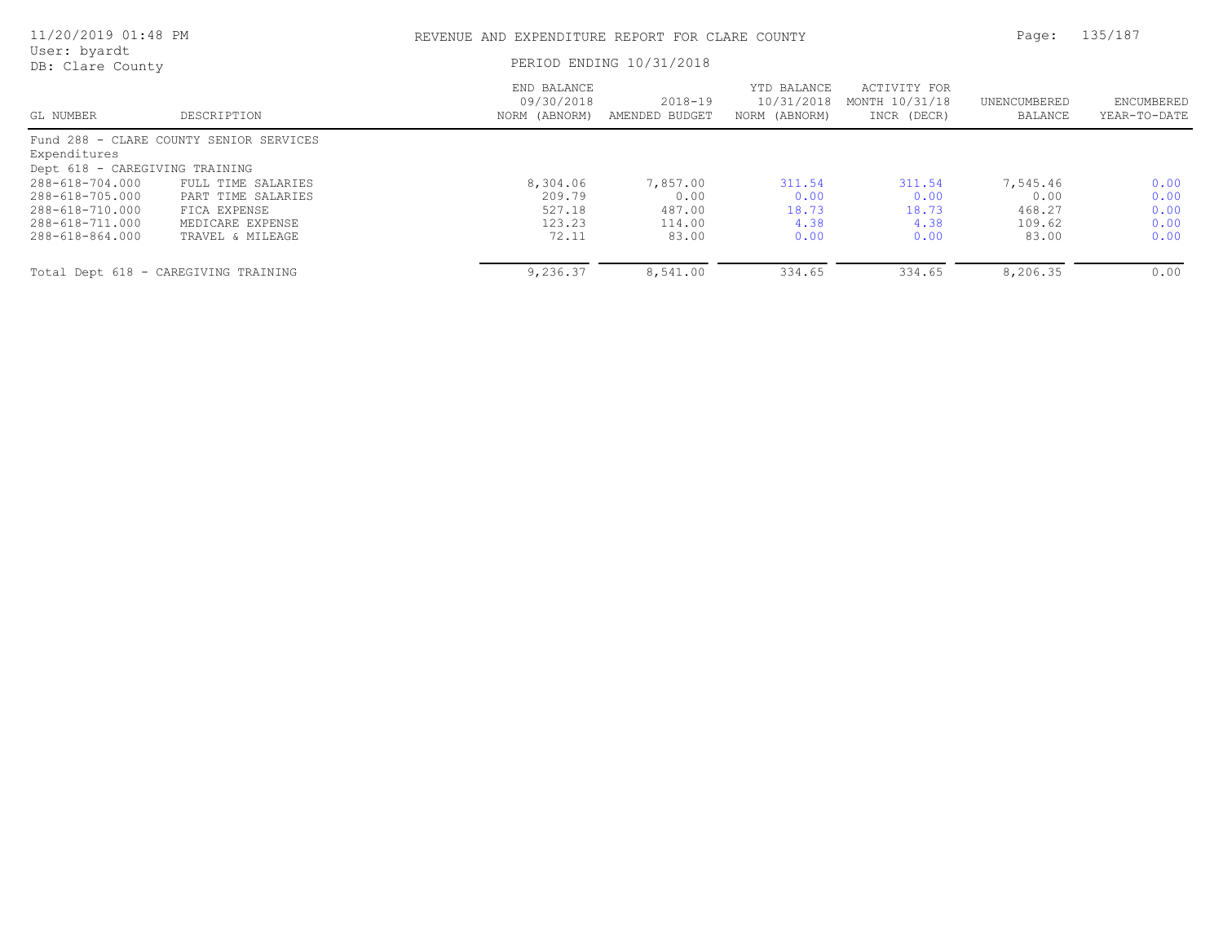| 11/20/2019 01:48 PM<br>User: byardt<br>DB: Clare County |                                         | REVENUE AND EXPENDITURE REPORT FOR CLARE COUNTY |                               |                                            |                                               | Page:                   | 135/187                    |
|---------------------------------------------------------|-----------------------------------------|-------------------------------------------------|-------------------------------|--------------------------------------------|-----------------------------------------------|-------------------------|----------------------------|
|                                                         |                                         | PERIOD ENDING 10/31/2018                        |                               |                                            |                                               |                         |                            |
| GL NUMBER                                               | DESCRIPTION                             | END BALANCE<br>09/30/2018<br>NORM (ABNORM)      | $2018 - 19$<br>AMENDED BUDGET | YTD BALANCE<br>10/31/2018<br>NORM (ABNORM) | ACTIVITY FOR<br>MONTH 10/31/18<br>INCR (DECR) | UNENCUMBERED<br>BALANCE | ENCUMBERED<br>YEAR-TO-DATE |
| Expenditures                                            | Fund 288 - CLARE COUNTY SENIOR SERVICES |                                                 |                               |                                            |                                               |                         |                            |
| Dept 618 - CAREGIVING TRAINING                          |                                         |                                                 |                               |                                            |                                               |                         |                            |
| 288-618-704.000                                         | FULL TIME SALARIES                      | 8,304.06                                        | 7,857.00                      | 311.54                                     | 311.54                                        | 7,545.46                | 0.00                       |
| 288-618-705.000                                         | PART TIME SALARIES                      | 209.79                                          | 0.00                          | 0.00                                       | 0.00                                          | 0.00                    | 0.00                       |
| 288-618-710.000                                         | FICA EXPENSE                            | 527.18                                          | 487.00                        | 18.73                                      | 18.73                                         | 468.27                  | 0.00                       |
| 288-618-711.000                                         | MEDICARE EXPENSE                        | 123.23                                          | 114.00                        | 4.38                                       | 4.38                                          | 109.62                  | 0.00                       |
| 288-618-864.000                                         | TRAVEL & MILEAGE                        | 72.11                                           | 83.00                         | 0.00                                       | 0.00                                          | 83.00                   | 0.00                       |
|                                                         | Total Dept 618 - CAREGIVING TRAINING    | 9,236.37                                        | 8,541.00                      | 334.65                                     | 334.65                                        | 8,206.35                | 0.00                       |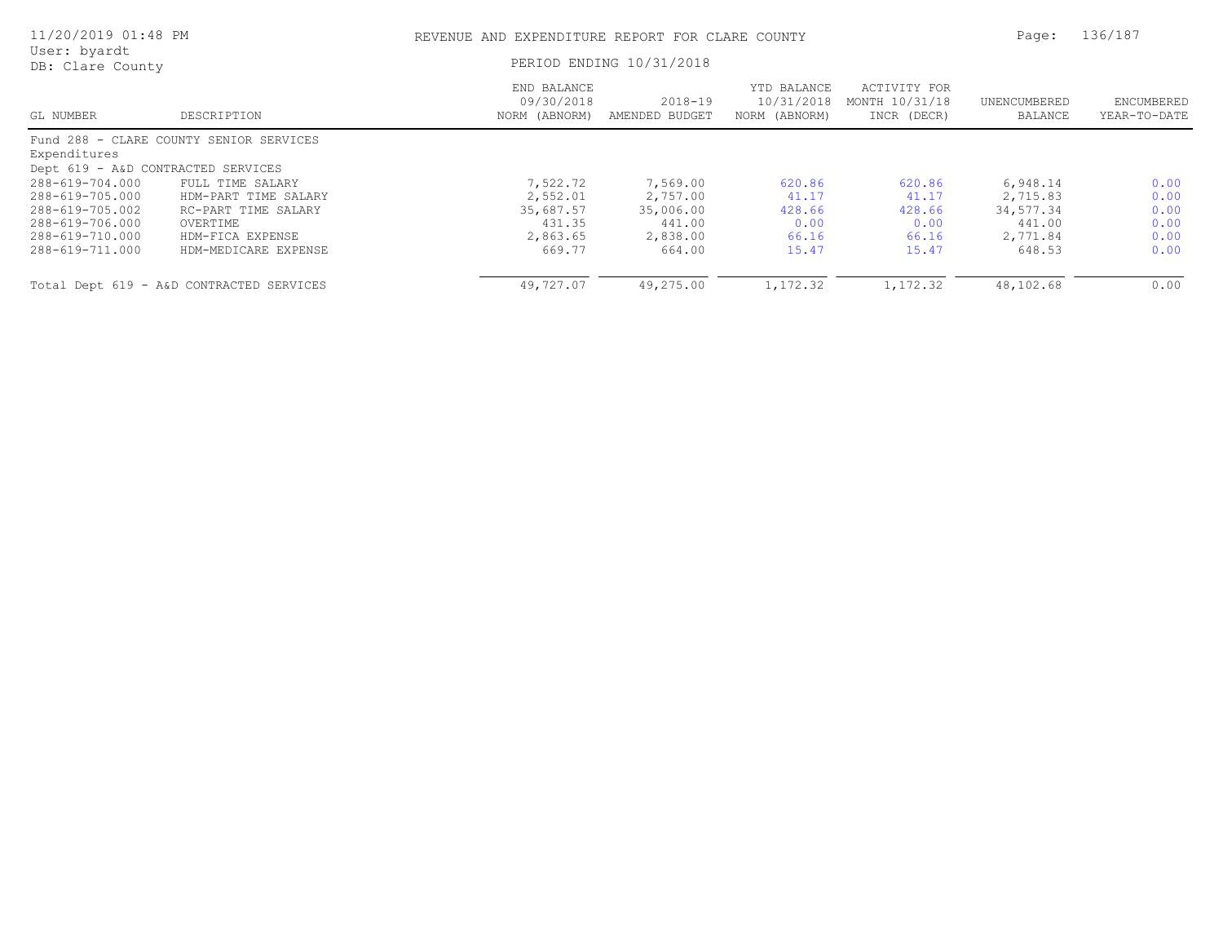| 11/20/2019 01:48 PM                |                                          | REVENUE AND EXPENDITURE REPORT FOR CLARE COUNTY |                               |                                            |                                               | Page:                   | 136/187                    |
|------------------------------------|------------------------------------------|-------------------------------------------------|-------------------------------|--------------------------------------------|-----------------------------------------------|-------------------------|----------------------------|
| User: byardt<br>DB: Clare County   |                                          |                                                 | PERIOD ENDING 10/31/2018      |                                            |                                               |                         |                            |
| GL NUMBER                          | DESCRIPTION                              | END BALANCE<br>09/30/2018<br>NORM (ABNORM)      | $2018 - 19$<br>AMENDED BUDGET | YTD BALANCE<br>10/31/2018<br>NORM (ABNORM) | ACTIVITY FOR<br>MONTH 10/31/18<br>INCR (DECR) | UNENCUMBERED<br>BALANCE | ENCUMBERED<br>YEAR-TO-DATE |
|                                    | Fund 288 - CLARE COUNTY SENIOR SERVICES  |                                                 |                               |                                            |                                               |                         |                            |
| Expenditures                       |                                          |                                                 |                               |                                            |                                               |                         |                            |
| Dept 619 - A&D CONTRACTED SERVICES |                                          |                                                 |                               |                                            |                                               |                         |                            |
| 288-619-704.000                    | FULL TIME SALARY                         | 7,522.72                                        | 7,569.00                      | 620.86                                     | 620.86                                        | 6,948.14                | 0.00                       |
| 288-619-705.000                    | HDM-PART TIME SALARY                     | 2,552.01                                        | 2,757.00                      | 41.17                                      | 41.17                                         | 2,715.83                | 0.00                       |
| 288-619-705.002                    | RC-PART TIME SALARY                      | 35,687.57                                       | 35,006.00                     | 428.66                                     | 428.66                                        | 34,577.34               | 0.00                       |
| 288-619-706.000                    | OVERTIME                                 | 431.35                                          | 441.00                        | 0.00                                       | 0.00                                          | 441.00                  | 0.00                       |
| 288-619-710.000                    | HDM-FICA EXPENSE                         | 2,863.65                                        | 2,838.00                      | 66.16                                      | 66.16                                         | 2,771.84                | 0.00                       |
| 288-619-711.000                    | HDM-MEDICARE EXPENSE                     | 669.77                                          | 664.00                        | 15.47                                      | 15.47                                         | 648.53                  | 0.00                       |
|                                    | Total Dept 619 - A&D CONTRACTED SERVICES | 49,727.07                                       | 49,275.00                     | 1,172.32                                   | 1,172.32                                      | 48,102.68               | 0.00                       |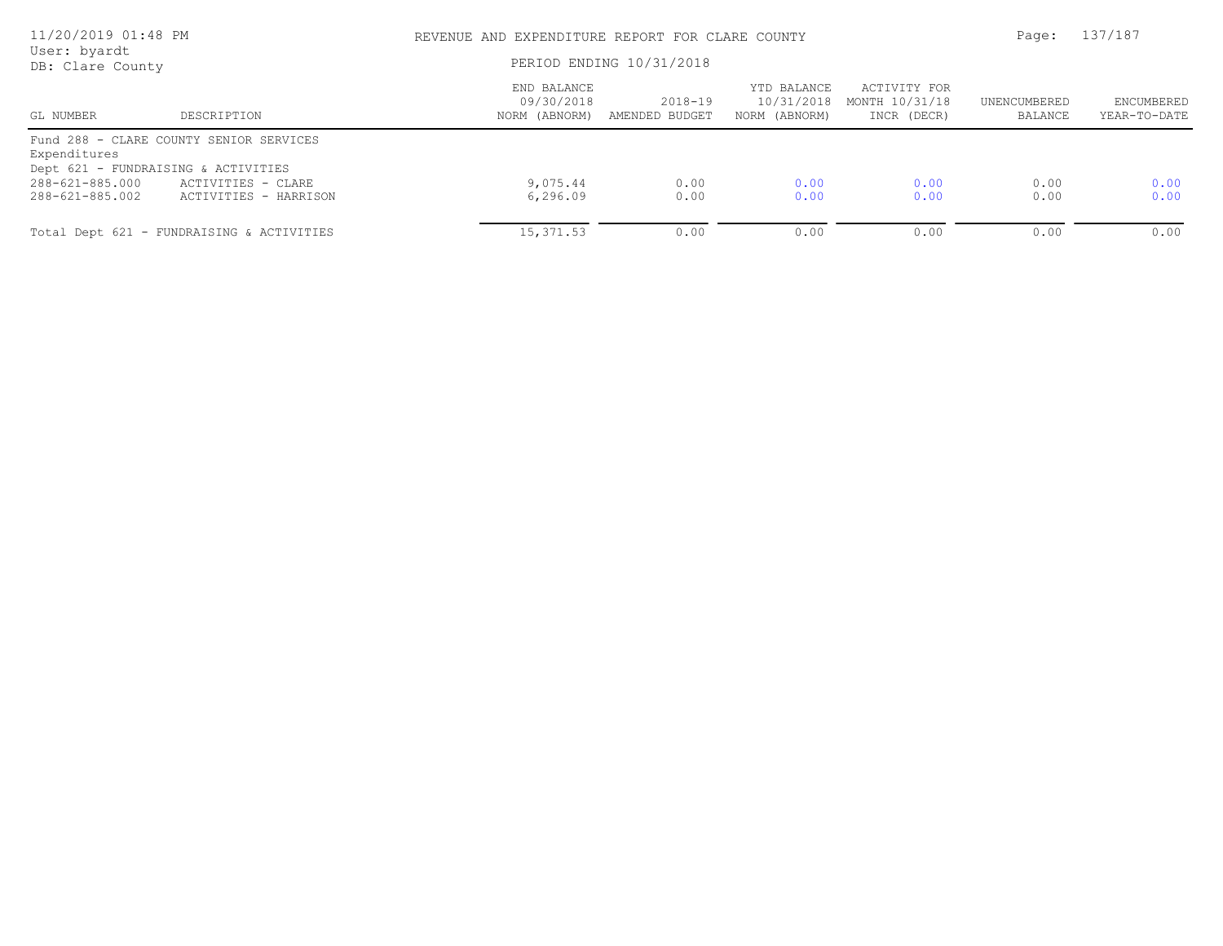| 11/20/2019 01:48 PM<br>User: byardt<br>DB: Clare County |                                                                                    |                                            | REVENUE AND EXPENDITURE REPORT FOR CLARE COUNTY<br>PERIOD ENDING 10/31/2018 |                                            |                                               |                         |                            |
|---------------------------------------------------------|------------------------------------------------------------------------------------|--------------------------------------------|-----------------------------------------------------------------------------|--------------------------------------------|-----------------------------------------------|-------------------------|----------------------------|
| GL NUMBER                                               | DESCRIPTION                                                                        | END BALANCE<br>09/30/2018<br>NORM (ABNORM) | $2018 - 19$<br>AMENDED BUDGET                                               | YTD BALANCE<br>10/31/2018<br>NORM (ABNORM) | ACTIVITY FOR<br>MONTH 10/31/18<br>INCR (DECR) | UNENCUMBERED<br>BALANCE | ENCUMBERED<br>YEAR-TO-DATE |
| Expenditures                                            | Fund 288 - CLARE COUNTY SENIOR SERVICES                                            |                                            |                                                                             |                                            |                                               |                         |                            |
| 288-621-885.000<br>288-621-885.002                      | Dept 621 - FUNDRAISING & ACTIVITIES<br>ACTIVITIES - CLARE<br>ACTIVITIES - HARRISON | 9,075.44<br>6,296.09                       | 0.00<br>0.00                                                                | 0.00<br>0.00                               | 0.00<br>0.00                                  | 0.00<br>0.00            | 0.00<br>0.00               |
|                                                         | Total Dept 621 - FUNDRAISING & ACTIVITIES                                          | 15,371.53                                  | 0.00                                                                        | 0.00                                       | 0.00                                          | 0.00                    | 0.00                       |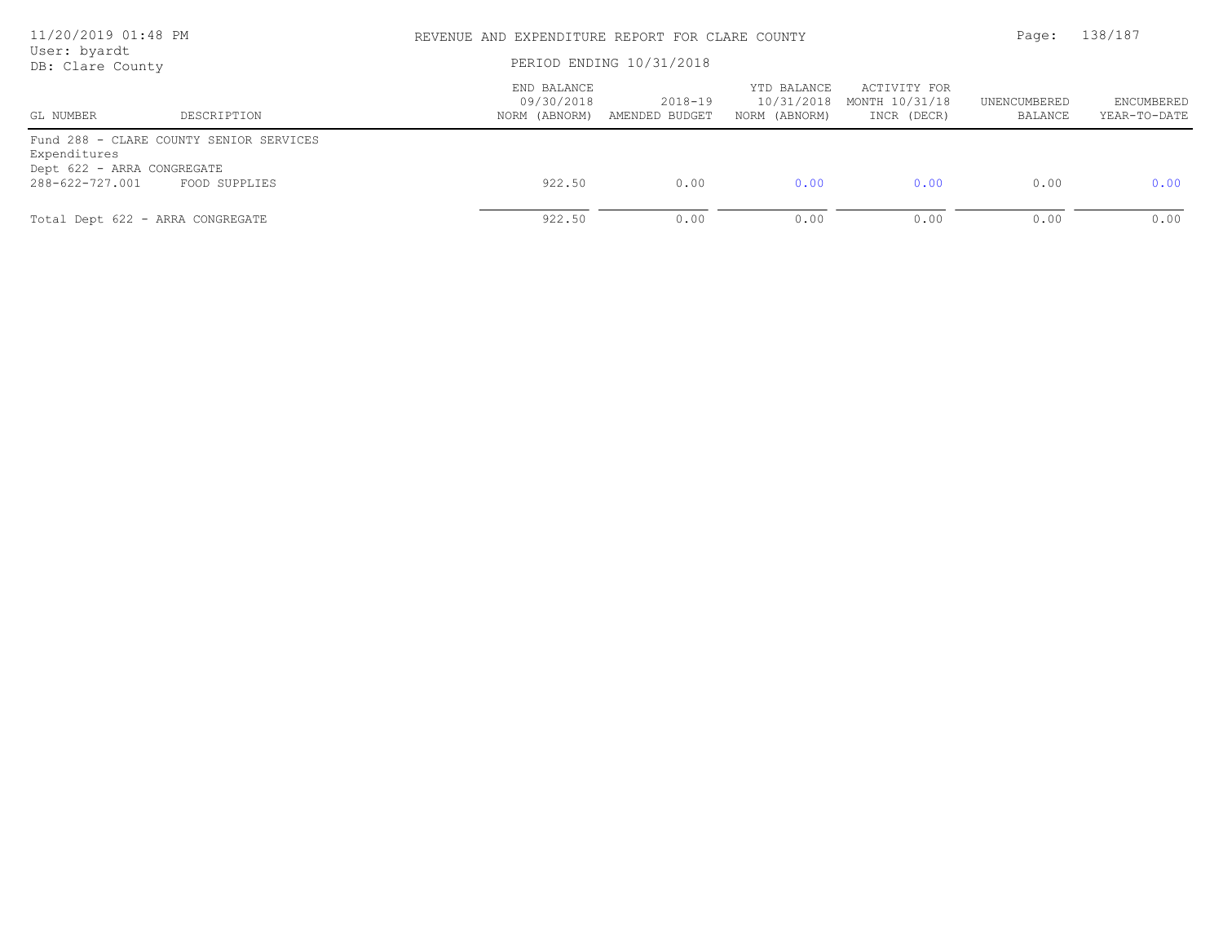| 11/20/2019 01:48 PM<br>User: byardt<br>DB: Clare County       |                                                          |                                            | REVENUE AND EXPENDITURE REPORT FOR CLARE COUNTY<br>PERIOD ENDING 10/31/2018 |                                            |                                               |                         |                            |
|---------------------------------------------------------------|----------------------------------------------------------|--------------------------------------------|-----------------------------------------------------------------------------|--------------------------------------------|-----------------------------------------------|-------------------------|----------------------------|
| GL NUMBER                                                     | DESCRIPTION                                              | END BALANCE<br>09/30/2018<br>NORM (ABNORM) | 2018-19<br>AMENDED BUDGET                                                   | YTD BALANCE<br>10/31/2018<br>NORM (ABNORM) | ACTIVITY FOR<br>MONTH 10/31/18<br>INCR (DECR) | UNENCUMBERED<br>BALANCE | ENCUMBERED<br>YEAR-TO-DATE |
| Expenditures<br>Dept 622 - ARRA CONGREGATE<br>288-622-727.001 | Fund 288 - CLARE COUNTY SENIOR SERVICES<br>FOOD SUPPLIES | 922.50                                     | 0.00                                                                        | 0.00                                       | 0.00                                          | 0.00                    | 0.00                       |
| Total Dept 622 - ARRA CONGREGATE                              |                                                          | 922.50                                     | 0.00                                                                        | 0.00                                       | 0.00                                          | 0.00                    | 0.00                       |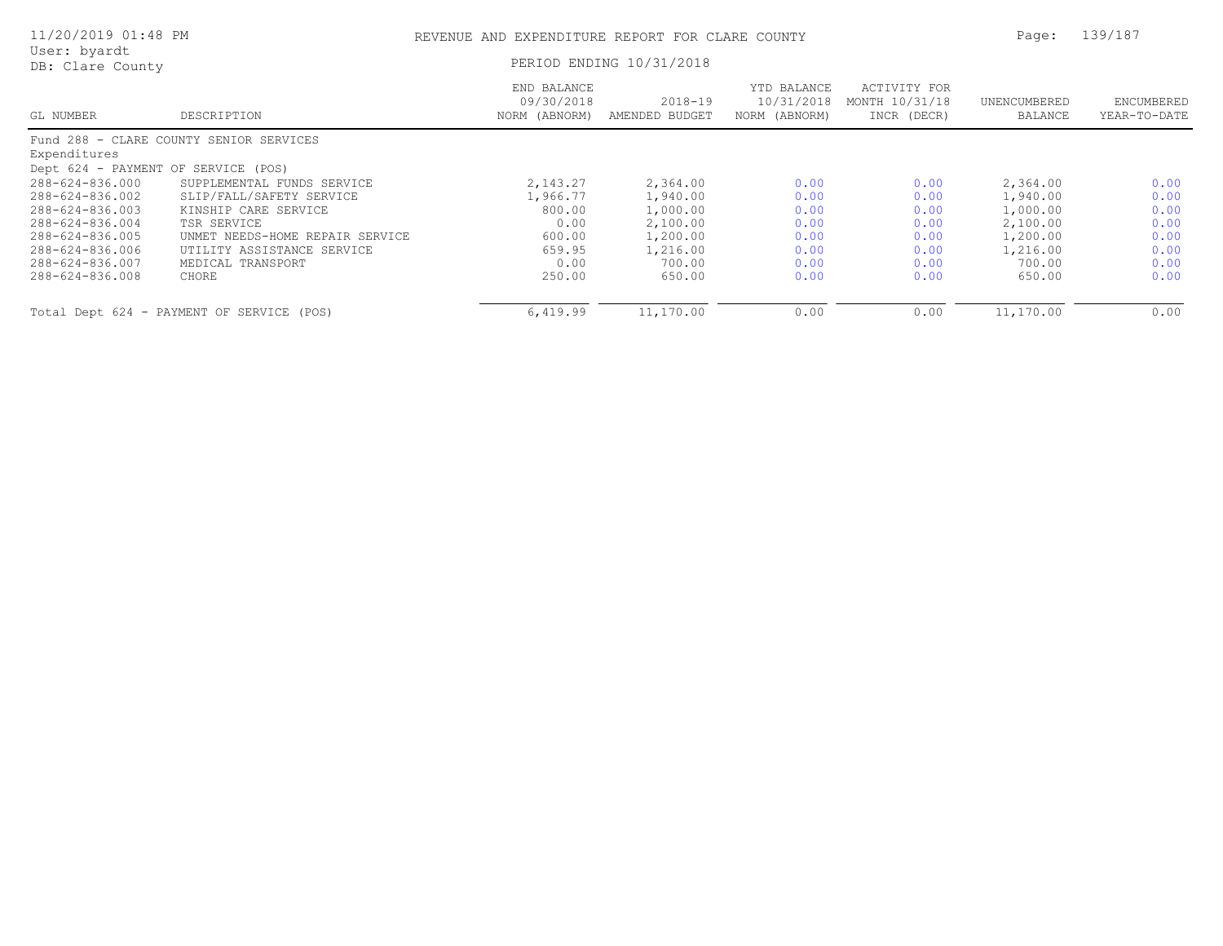| 11/20/2019 01:48 PM                 |                                           | Page:                                      | 139/187                       |                                            |                                               |                         |                            |
|-------------------------------------|-------------------------------------------|--------------------------------------------|-------------------------------|--------------------------------------------|-----------------------------------------------|-------------------------|----------------------------|
| User: byardt<br>DB: Clare County    |                                           |                                            | PERIOD ENDING 10/31/2018      |                                            |                                               |                         |                            |
| GL NUMBER                           | DESCRIPTION                               | END BALANCE<br>09/30/2018<br>NORM (ABNORM) | $2018 - 19$<br>AMENDED BUDGET | YTD BALANCE<br>10/31/2018<br>NORM (ABNORM) | ACTIVITY FOR<br>MONTH 10/31/18<br>INCR (DECR) | UNENCUMBERED<br>BALANCE | ENCUMBERED<br>YEAR-TO-DATE |
|                                     | Fund 288 - CLARE COUNTY SENIOR SERVICES   |                                            |                               |                                            |                                               |                         |                            |
| Expenditures                        |                                           |                                            |                               |                                            |                                               |                         |                            |
| Dept 624 - PAYMENT OF SERVICE (POS) |                                           |                                            |                               |                                            |                                               |                         |                            |
| 288-624-836.000                     | SUPPLEMENTAL FUNDS SERVICE                | 2,143.27                                   | 2,364.00                      | 0.00                                       | 0.00                                          | 2,364.00                | 0.00                       |
| 288-624-836.002                     | SLIP/FALL/SAFETY SERVICE                  | 1,966.77                                   | 1,940.00                      | 0.00                                       | 0.00                                          | 1,940.00                | 0.00                       |
| 288-624-836.003                     | KINSHIP CARE SERVICE                      | 800.00                                     | 1,000.00                      | 0.00                                       | 0.00                                          | 1,000.00                | 0.00                       |
| 288-624-836.004                     | TSR SERVICE                               | 0.00                                       | 2,100.00                      | 0.00                                       | 0.00                                          | 2,100.00                | 0.00                       |
| 288-624-836.005                     | UNMET NEEDS-HOME REPAIR SERVICE           | 600.00                                     | 1,200.00                      | 0.00                                       | 0.00                                          | 1,200.00                | 0.00                       |
| 288-624-836.006                     | UTILITY ASSISTANCE SERVICE                | 659.95                                     | 1,216.00                      | 0.00                                       | 0.00                                          | 1,216.00                | 0.00                       |
| 288-624-836.007                     | MEDICAL TRANSPORT                         | 0.00                                       | 700.00                        | 0.00                                       | 0.00                                          | 700.00                  | 0.00                       |
| 288-624-836.008                     | CHORE                                     | 250.00                                     | 650.00                        | 0.00                                       | 0.00                                          | 650.00                  | 0.00                       |
|                                     | Total Dept 624 - PAYMENT OF SERVICE (POS) | 6,419.99                                   | 11,170.00                     | 0.00                                       | 0.00                                          | 11,170.00               | 0.00                       |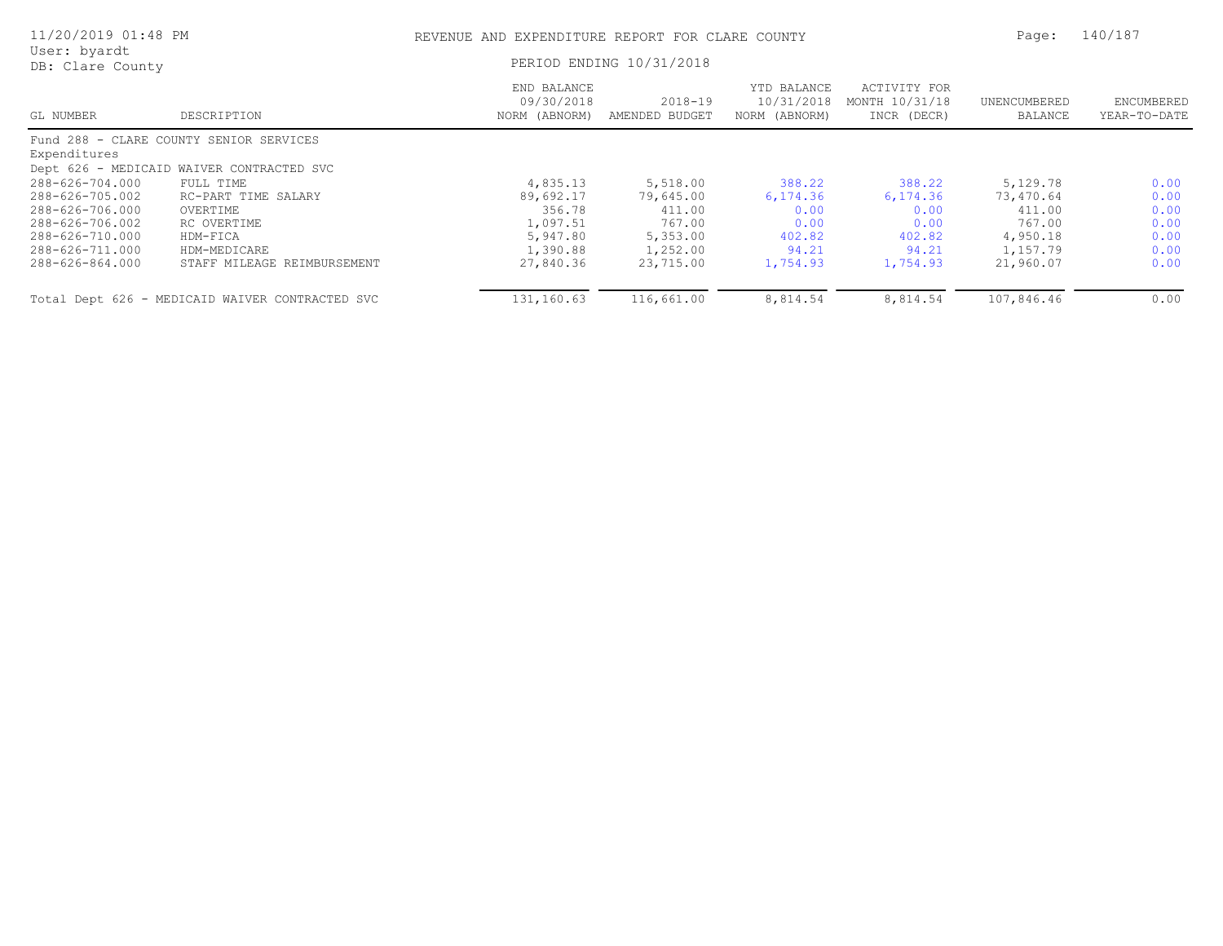| 11/20/2019 01:48 PM                                                                                                               |                                                                                                                        | REVENUE AND EXPENDITURE REPORT FOR CLARE COUNTY                                  |                                                                                |                                                                   |                                                                   | Page:                                                                          | 140/187                                              |  |
|-----------------------------------------------------------------------------------------------------------------------------------|------------------------------------------------------------------------------------------------------------------------|----------------------------------------------------------------------------------|--------------------------------------------------------------------------------|-------------------------------------------------------------------|-------------------------------------------------------------------|--------------------------------------------------------------------------------|------------------------------------------------------|--|
| User: byardt<br>DB: Clare County                                                                                                  |                                                                                                                        | PERIOD ENDING 10/31/2018                                                         |                                                                                |                                                                   |                                                                   |                                                                                |                                                      |  |
| GL NUMBER                                                                                                                         | DESCRIPTION                                                                                                            | END BALANCE<br>09/30/2018<br>NORM (ABNORM)                                       | 2018-19<br>AMENDED BUDGET                                                      | YTD BALANCE<br>10/31/2018<br>NORM (ABNORM)                        | ACTIVITY FOR<br>MONTH 10/31/18<br>INCR (DECR)                     | UNENCUMBERED<br>BALANCE                                                        | ENCUMBERED<br>YEAR-TO-DATE                           |  |
| Expenditures                                                                                                                      | Fund 288 - CLARE COUNTY SENIOR SERVICES<br>Dept 626 - MEDICAID WAIVER CONTRACTED SVC                                   |                                                                                  |                                                                                |                                                                   |                                                                   |                                                                                |                                                      |  |
| 288-626-704.000<br>288-626-705.002<br>288-626-706.000<br>288-626-706.002<br>288-626-710.000<br>288-626-711.000<br>288-626-864.000 | FULL TIME<br>RC-PART TIME SALARY<br>OVERTIME<br>RC OVERTIME<br>HDM-FICA<br>HDM-MEDICARE<br>STAFF MILEAGE REIMBURSEMENT | 4,835.13<br>89,692.17<br>356.78<br>1,097.51<br>5,947.80<br>1,390.88<br>27,840.36 | 5,518.00<br>79,645.00<br>411.00<br>767.00<br>5,353.00<br>1,252.00<br>23,715.00 | 388.22<br>6,174.36<br>0.00<br>0.00<br>402.82<br>94.21<br>1,754.93 | 388.22<br>6,174.36<br>0.00<br>0.00<br>402.82<br>94.21<br>1,754.93 | 5,129.78<br>73,470.64<br>411.00<br>767.00<br>4,950.18<br>1,157.79<br>21,960.07 | 0.00<br>0.00<br>0.00<br>0.00<br>0.00<br>0.00<br>0.00 |  |
|                                                                                                                                   | Total Dept 626 - MEDICAID WAIVER CONTRACTED SVC                                                                        | 131,160.63                                                                       | 116,661.00                                                                     | 8,814.54                                                          | 8,814.54                                                          | 107,846.46                                                                     | 0.00                                                 |  |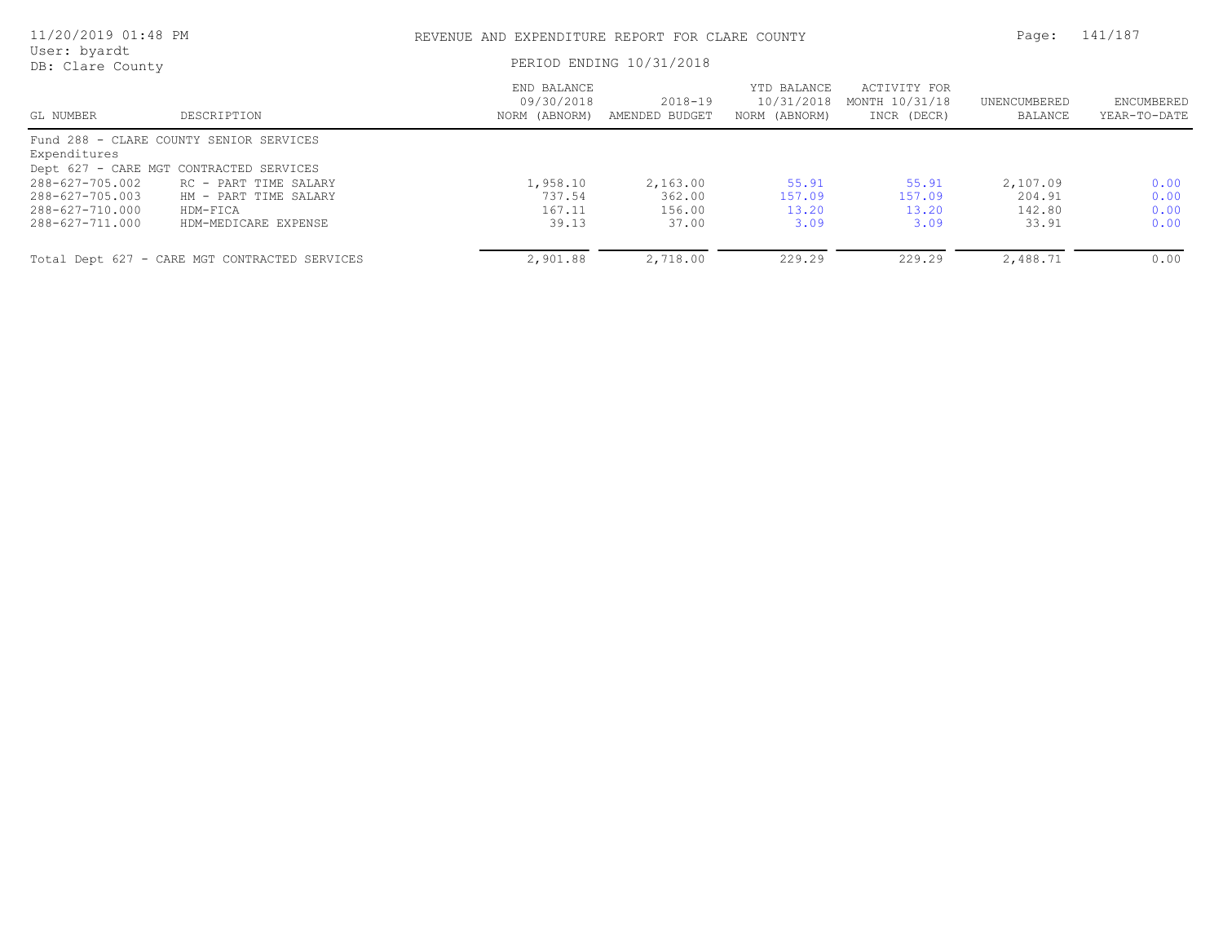| 11/20/2019 01:48 PM<br>User: byardt |                                               | REVENUE AND EXPENDITURE REPORT FOR CLARE COUNTY<br>PERIOD ENDING 10/31/2018 |                               |                                            |                                               |                         | 141/187                    |
|-------------------------------------|-----------------------------------------------|-----------------------------------------------------------------------------|-------------------------------|--------------------------------------------|-----------------------------------------------|-------------------------|----------------------------|
| DB: Clare County                    |                                               |                                                                             |                               |                                            |                                               |                         |                            |
| GL NUMBER                           | DESCRIPTION                                   | END BALANCE<br>09/30/2018<br>NORM (ABNORM)                                  | $2018 - 19$<br>AMENDED BUDGET | YTD BALANCE<br>10/31/2018<br>NORM (ABNORM) | ACTIVITY FOR<br>MONTH 10/31/18<br>INCR (DECR) | UNENCUMBERED<br>BALANCE | ENCUMBERED<br>YEAR-TO-DATE |
|                                     | Fund 288 - CLARE COUNTY SENIOR SERVICES       |                                                                             |                               |                                            |                                               |                         |                            |
| Expenditures                        |                                               |                                                                             |                               |                                            |                                               |                         |                            |
|                                     | Dept 627 - CARE MGT CONTRACTED SERVICES       |                                                                             |                               |                                            |                                               |                         |                            |
| 288-627-705.002                     | RC - PART TIME SALARY                         | 1,958.10                                                                    | 2,163.00                      | 55.91                                      | 55.91                                         | 2,107.09                | 0.00                       |
| 288-627-705.003                     | HM - PART TIME SALARY                         | 737.54                                                                      | 362.00                        | 157.09                                     | 157.09                                        | 204.91                  | 0.00                       |
| 288-627-710.000                     | HDM-FICA                                      | 167.11                                                                      | 156.00                        | 13.20                                      | 13.20                                         | 142.80                  | 0.00                       |
| 288-627-711.000                     | HDM-MEDICARE EXPENSE                          | 39.13                                                                       | 37.00                         | 3.09                                       | 3.09                                          | 33.91                   | 0.00                       |
|                                     | Total Dept 627 - CARE MGT CONTRACTED SERVICES | 2,901.88                                                                    | 2,718.00                      | 229.29                                     | 229.29                                        | 2,488.71                | 0.00                       |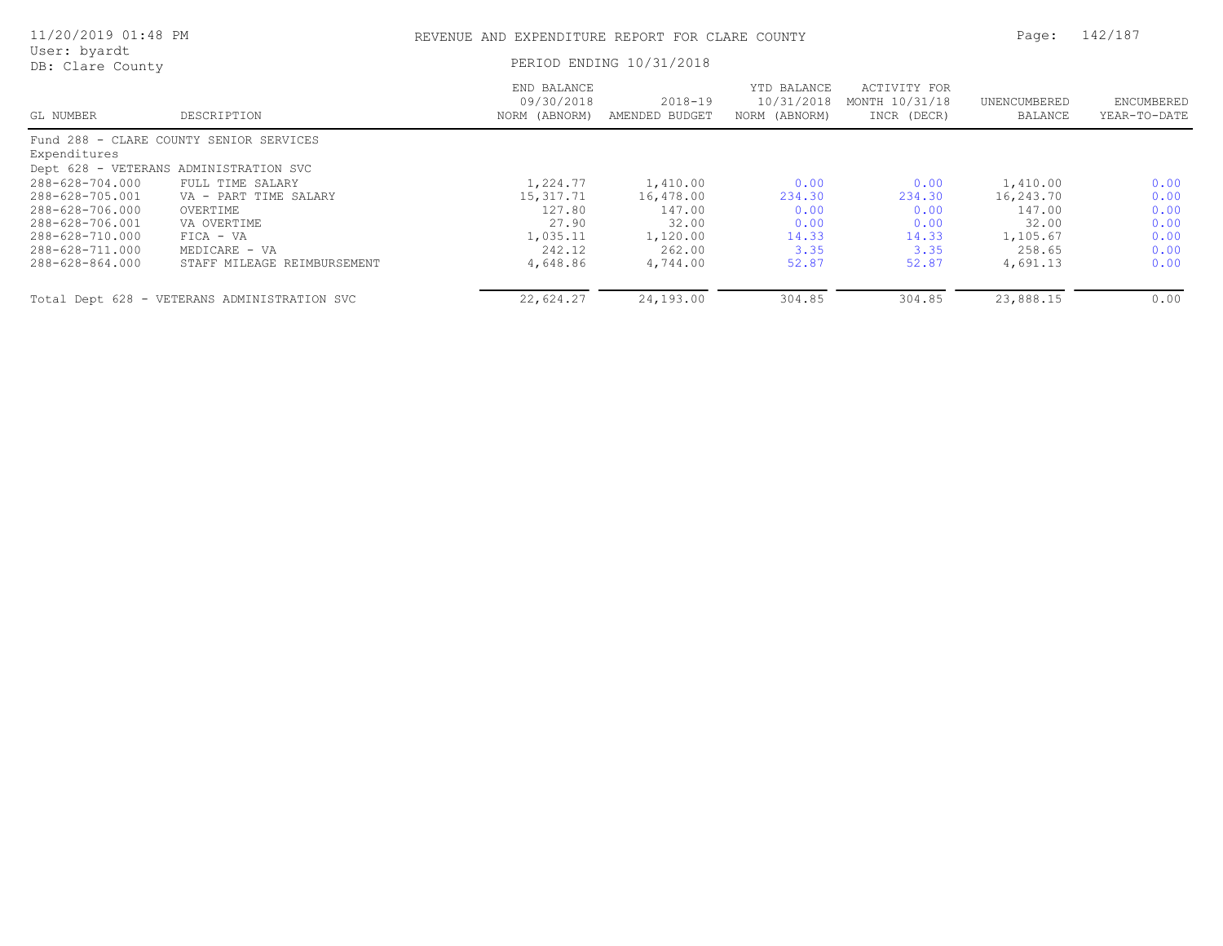| 11/20/2019 01:48 PM                                                      |                                                                                                                | REVENUE AND EXPENDITURE REPORT FOR CLARE COUNTY |                                          |                                            |                                               |                                          |                              |
|--------------------------------------------------------------------------|----------------------------------------------------------------------------------------------------------------|-------------------------------------------------|------------------------------------------|--------------------------------------------|-----------------------------------------------|------------------------------------------|------------------------------|
| User: byardt<br>DB: Clare County                                         |                                                                                                                |                                                 | PERIOD ENDING 10/31/2018                 |                                            |                                               |                                          |                              |
| GL NUMBER                                                                | DESCRIPTION                                                                                                    | END BALANCE<br>09/30/2018<br>NORM (ABNORM)      | 2018-19<br>AMENDED BUDGET                | YTD BALANCE<br>10/31/2018<br>NORM (ABNORM) | ACTIVITY FOR<br>MONTH 10/31/18<br>INCR (DECR) | UNENCUMBERED<br>BALANCE                  | ENCUMBERED<br>YEAR-TO-DATE   |
| Expenditures                                                             | Fund 288 - CLARE COUNTY SENIOR SERVICES                                                                        |                                                 |                                          |                                            |                                               |                                          |                              |
| 288-628-704.000<br>288-628-705.001<br>288-628-706.000<br>288-628-706.001 | Dept 628 - VETERANS ADMINISTRATION SVC<br>FULL TIME SALARY<br>VA - PART TIME SALARY<br>OVERTIME<br>VA OVERTIME | 1,224.77<br>15,317.71<br>127.80<br>27.90        | 1,410.00<br>16,478.00<br>147.00<br>32.00 | 0.00<br>234.30<br>0.00<br>0.00             | 0.00<br>234.30<br>0.00<br>0.00                | 1,410.00<br>16,243.70<br>147.00<br>32.00 | 0.00<br>0.00<br>0.00<br>0.00 |
| 288-628-710.000<br>288-628-711.000<br>288-628-864.000                    | $FIGA - VA$<br>MEDICARE - VA<br>STAFF MILEAGE REIMBURSEMENT                                                    | 1,035.11<br>242.12<br>4,648.86                  | 1,120.00<br>262.00<br>4,744.00           | 14.33<br>3.35<br>52.87                     | 14.33<br>3.35<br>52.87                        | 1,105.67<br>258.65<br>4,691.13           | 0.00<br>0.00<br>0.00         |
|                                                                          | Total Dept 628 - VETERANS ADMINISTRATION SVC                                                                   | 22,624.27                                       | 24,193.00                                | 304.85                                     | 304.85                                        | 23,888.15                                | 0.00                         |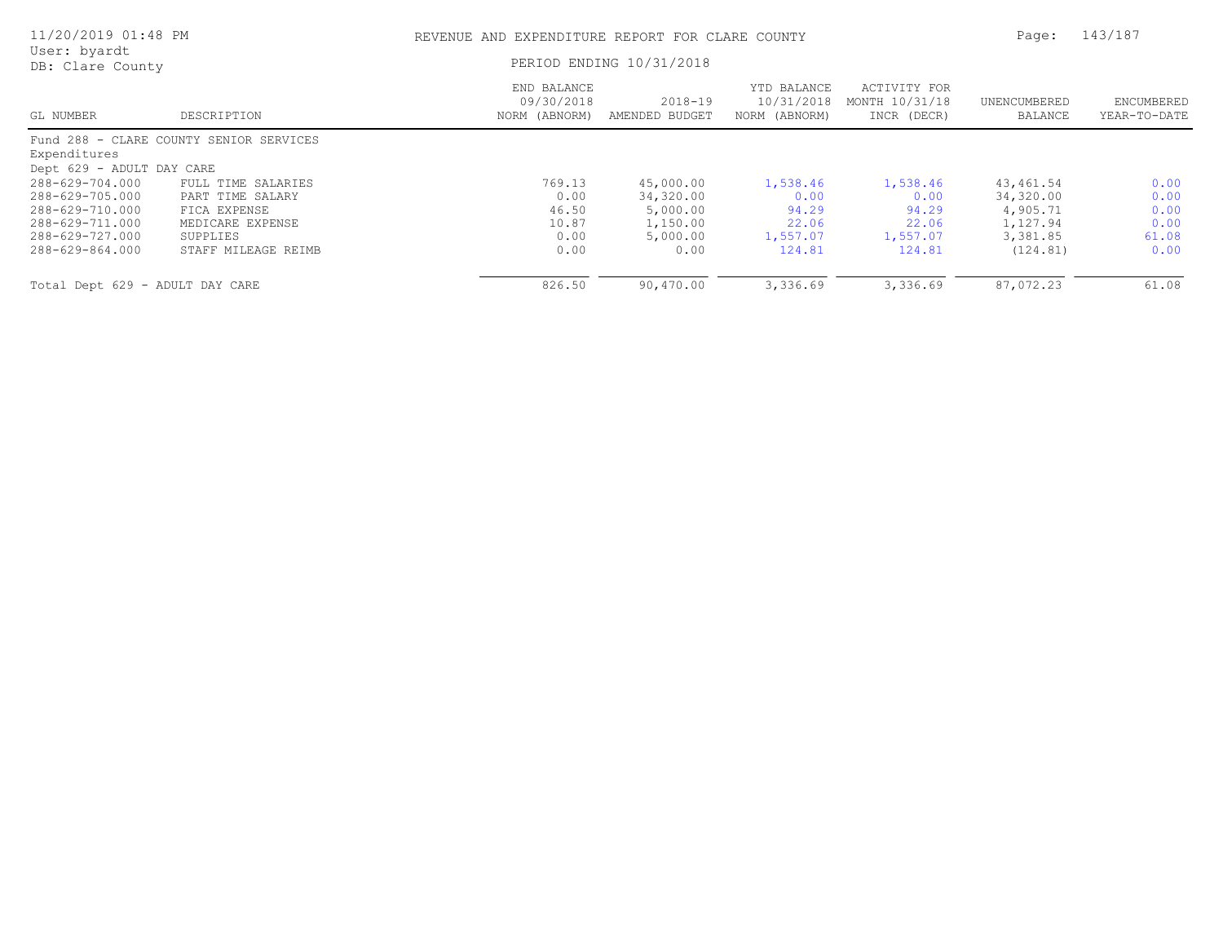| 11/20/2019 01:48 PM<br>User: byardt<br>DB: Clare County                                     |                                                                                        | REVENUE AND EXPENDITURE REPORT FOR CLARE COUNTY |                                                            |                                                |                                                |                                                             | 143/187                               |
|---------------------------------------------------------------------------------------------|----------------------------------------------------------------------------------------|-------------------------------------------------|------------------------------------------------------------|------------------------------------------------|------------------------------------------------|-------------------------------------------------------------|---------------------------------------|
|                                                                                             |                                                                                        | PERIOD ENDING 10/31/2018                        |                                                            |                                                |                                                |                                                             |                                       |
| GL NUMBER                                                                                   | DESCRIPTION                                                                            | END BALANCE<br>09/30/2018<br>NORM (ABNORM)      | $2018 - 19$<br>AMENDED BUDGET                              | YTD BALANCE<br>10/31/2018<br>NORM (ABNORM)     | ACTIVITY FOR<br>MONTH 10/31/18<br>INCR (DECR)  | UNENCUMBERED<br>BALANCE                                     | ENCUMBERED<br>YEAR-TO-DATE            |
| Expenditures                                                                                | Fund 288 - CLARE COUNTY SENIOR SERVICES                                                |                                                 |                                                            |                                                |                                                |                                                             |                                       |
| Dept 629 - ADULT DAY CARE                                                                   |                                                                                        |                                                 |                                                            |                                                |                                                |                                                             |                                       |
| 288-629-704.000<br>288-629-705.000<br>288-629-710.000<br>288-629-711.000<br>288-629-727.000 | FULL TIME SALARIES<br>PART TIME SALARY<br>FICA EXPENSE<br>MEDICARE EXPENSE<br>SUPPLIES | 769.13<br>0.00<br>46.50<br>10.87<br>0.00        | 45,000.00<br>34,320.00<br>5,000.00<br>1,150.00<br>5,000.00 | 1,538.46<br>0.00<br>94.29<br>22.06<br>1,557.07 | 1,538.46<br>0.00<br>94.29<br>22.06<br>1,557.07 | 43, 461.54<br>34,320.00<br>4,905.71<br>1,127.94<br>3,381.85 | 0.00<br>0.00<br>0.00<br>0.00<br>61.08 |
| 288-629-864.000<br>Total Dept 629 - ADULT DAY CARE                                          | STAFF MILEAGE REIMB                                                                    | 0.00<br>826.50                                  | 0.00<br>90,470.00                                          | 124.81<br>3,336.69                             | 124.81<br>3,336.69                             | (124.81)<br>87,072.23                                       | 0.00<br>61.08                         |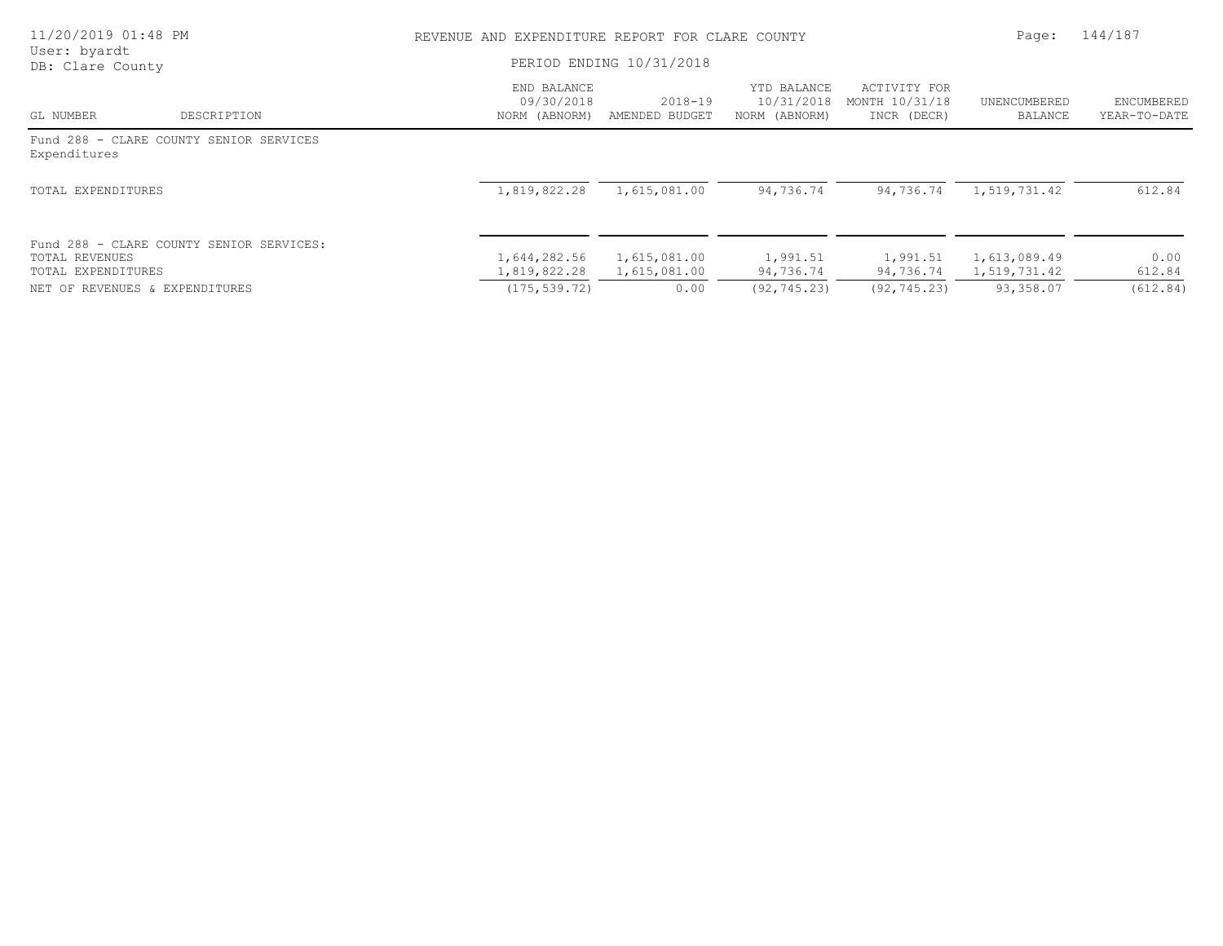| 11/20/2019 01:48 PM                  |                                          |                                            | REVENUE AND EXPENDITURE REPORT FOR CLARE COUNTY |                                            |                                               |                              |                            |
|--------------------------------------|------------------------------------------|--------------------------------------------|-------------------------------------------------|--------------------------------------------|-----------------------------------------------|------------------------------|----------------------------|
| User: byardt<br>DB: Clare County     |                                          | PERIOD ENDING 10/31/2018                   |                                                 |                                            |                                               |                              |                            |
| GL NUMBER                            | DESCRIPTION                              | END BALANCE<br>09/30/2018<br>NORM (ABNORM) | $2018 - 19$<br>AMENDED BUDGET                   | YTD BALANCE<br>10/31/2018<br>NORM (ABNORM) | ACTIVITY FOR<br>MONTH 10/31/18<br>INCR (DECR) | UNENCUMBERED<br>BALANCE      | ENCUMBERED<br>YEAR-TO-DATE |
| Expenditures                         | Fund 288 - CLARE COUNTY SENIOR SERVICES  |                                            |                                                 |                                            |                                               |                              |                            |
| TOTAL EXPENDITURES                   |                                          | 1,819,822.28                               | 1,615,081.00                                    | 94,736.74                                  | 94,736.74                                     | 1,519,731.42                 | 612.84                     |
| TOTAL REVENUES<br>TOTAL EXPENDITURES | Fund 288 - CLARE COUNTY SENIOR SERVICES: | 1,644,282.56<br>1,819,822.28               | 1,615,081.00<br>1,615,081.00                    | 1,991.51<br>94,736.74                      | 1,991.51<br>94,736.74                         | 1,613,089.49<br>1,519,731.42 | 0.00<br>612.84             |
| NET OF REVENUES & EXPENDITURES       |                                          | (175, 539, 72)                             | 0.00                                            | (92, 745, 23)                              | (92, 745.23)                                  | 93,358.07                    | (612.84)                   |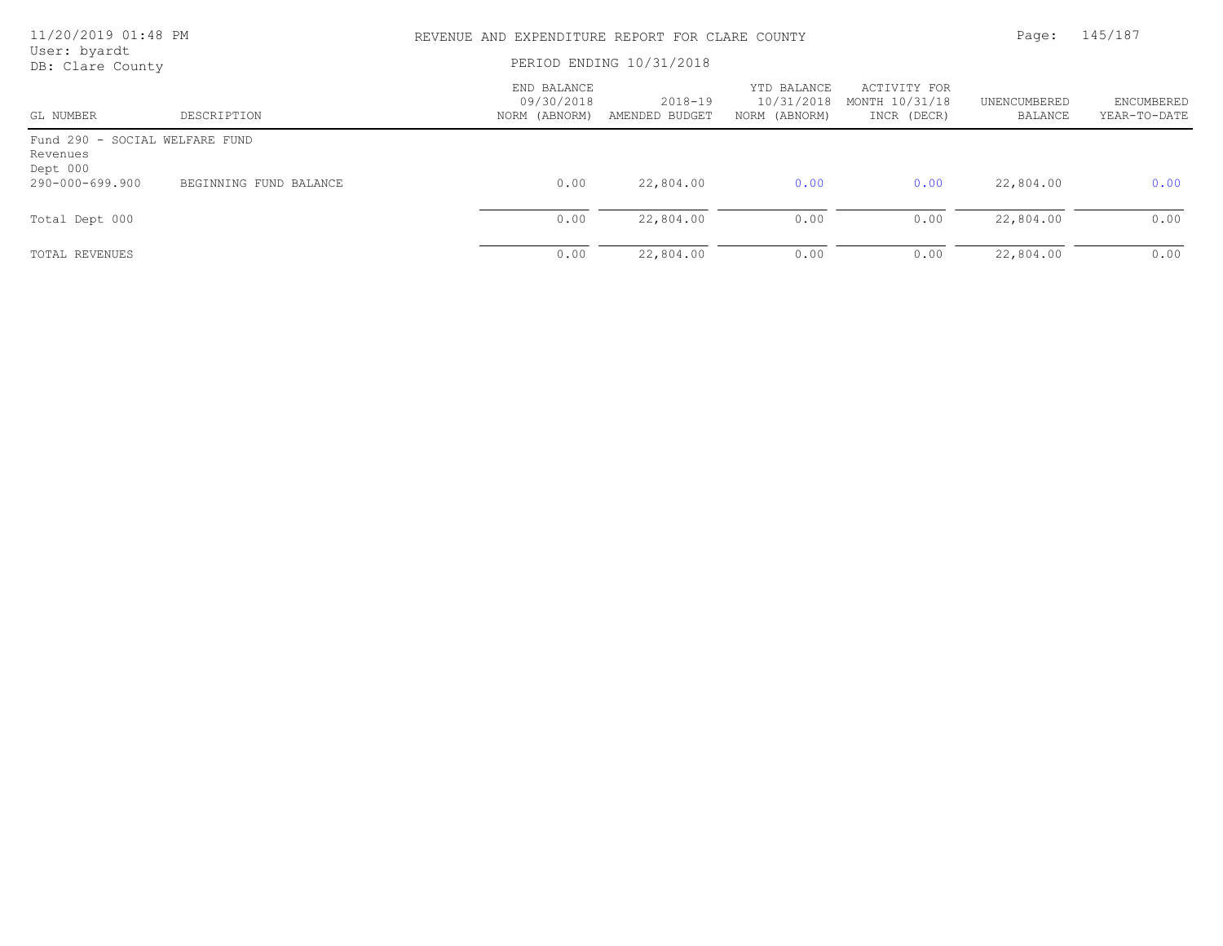| 11/20/2019 01:48 PM<br>User: byardt                    |                        | REVENUE AND EXPENDITURE REPORT FOR CLARE COUNTY |                           |                                            |                                               |                         |                            |  |
|--------------------------------------------------------|------------------------|-------------------------------------------------|---------------------------|--------------------------------------------|-----------------------------------------------|-------------------------|----------------------------|--|
| DB: Clare County                                       |                        | PERIOD ENDING 10/31/2018                        |                           |                                            |                                               |                         |                            |  |
| GL NUMBER                                              | DESCRIPTION            | END BALANCE<br>09/30/2018<br>NORM (ABNORM)      | 2018-19<br>AMENDED BUDGET | YTD BALANCE<br>10/31/2018<br>NORM (ABNORM) | ACTIVITY FOR<br>MONTH 10/31/18<br>INCR (DECR) | UNENCUMBERED<br>BALANCE | ENCUMBERED<br>YEAR-TO-DATE |  |
| Fund 290 - SOCIAL WELFARE FUND<br>Revenues<br>Dept 000 |                        |                                                 |                           |                                            |                                               |                         |                            |  |
| 290-000-699.900                                        | BEGINNING FUND BALANCE | 0.00                                            | 22,804.00                 | 0.00                                       | 0.00                                          | 22,804.00               | 0.00                       |  |
| Total Dept 000                                         |                        | 0.00                                            | 22,804.00                 | 0.00                                       | 0.00                                          | 22,804.00               | 0.00                       |  |
| TOTAL REVENUES                                         |                        | 0.00                                            | 22,804.00                 | 0.00                                       | 0.00                                          | 22,804.00               | 0.00                       |  |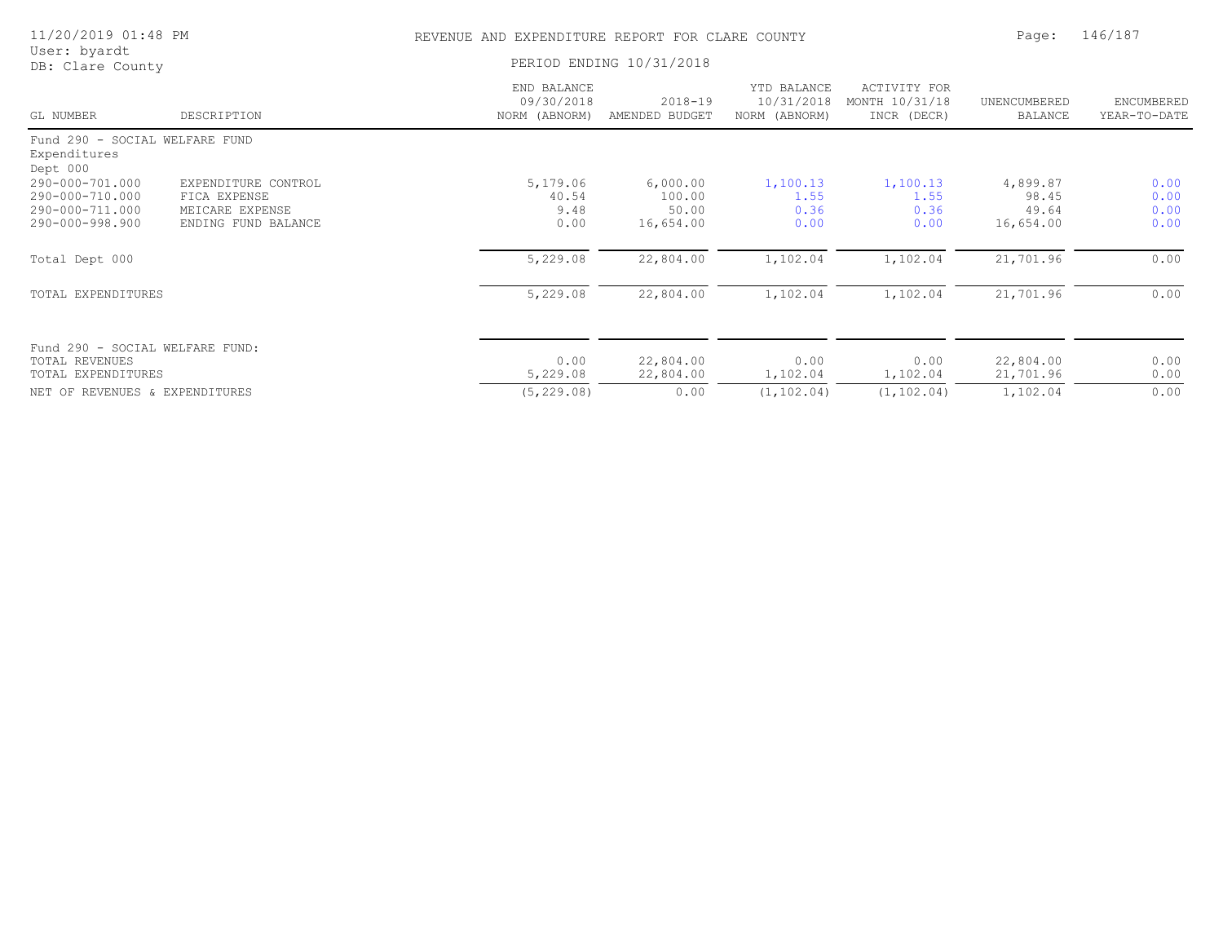| 11/20/2019 01:48 PM                                        |                     |                                            | REVENUE AND EXPENDITURE REPORT FOR CLARE COUNTY |                                            |                                               |                                |                            |
|------------------------------------------------------------|---------------------|--------------------------------------------|-------------------------------------------------|--------------------------------------------|-----------------------------------------------|--------------------------------|----------------------------|
| User: byardt<br>DB: Clare County                           |                     |                                            | PERIOD ENDING 10/31/2018                        |                                            |                                               |                                |                            |
| GL NUMBER                                                  | DESCRIPTION         | END BALANCE<br>09/30/2018<br>NORM (ABNORM) | $2018 - 19$<br>AMENDED BUDGET                   | YTD BALANCE<br>10/31/2018<br>NORM (ABNORM) | ACTIVITY FOR<br>MONTH 10/31/18<br>INCR (DECR) | UNENCUMBERED<br><b>BALANCE</b> | ENCUMBERED<br>YEAR-TO-DATE |
| Fund 290 - SOCIAL WELFARE FUND<br>Expenditures<br>Dept 000 |                     |                                            |                                                 |                                            |                                               |                                |                            |
| 290-000-701.000                                            | EXPENDITURE CONTROL | 5,179.06                                   | 6,000.00                                        | 1,100.13                                   | 1,100.13                                      | 4,899.87                       | 0.00                       |
| 290-000-710.000                                            | FICA EXPENSE        | 40.54                                      | 100.00                                          | 1.55                                       | 1.55                                          | 98.45                          | 0.00                       |
| 290-000-711.000                                            | MEICARE EXPENSE     | 9.48                                       | 50.00                                           | 0.36                                       | 0.36                                          | 49.64                          | 0.00                       |
| 290-000-998.900                                            | ENDING FUND BALANCE | 0.00                                       | 16,654.00                                       | 0.00                                       | 0.00                                          | 16,654.00                      | 0.00                       |
| Total Dept 000                                             |                     | 5,229.08                                   | 22,804.00                                       | 1,102.04                                   | 1,102.04                                      | 21,701.96                      | 0.00                       |
| TOTAL EXPENDITURES                                         |                     | 5,229.08                                   | 22,804.00                                       | 1,102.04                                   | 1,102.04                                      | 21,701.96                      | 0.00                       |
|                                                            |                     |                                            |                                                 |                                            |                                               |                                |                            |
| Fund 290 - SOCIAL WELFARE FUND:                            |                     |                                            |                                                 |                                            |                                               |                                |                            |
| <b>TOTAL REVENUES</b><br>TOTAL EXPENDITURES                |                     | 0.00<br>5,229.08                           | 22,804.00<br>22,804.00                          | 0.00<br>1,102.04                           | 0.00<br>1,102.04                              | 22,804.00<br>21,701.96         | 0.00<br>0.00               |
|                                                            |                     |                                            |                                                 |                                            |                                               |                                |                            |
| NET OF REVENUES & EXPENDITURES                             |                     | (5, 229.08)                                | 0.00                                            | (1, 102, 04)                               | (1, 102, 04)                                  | 1,102.04                       | 0.00                       |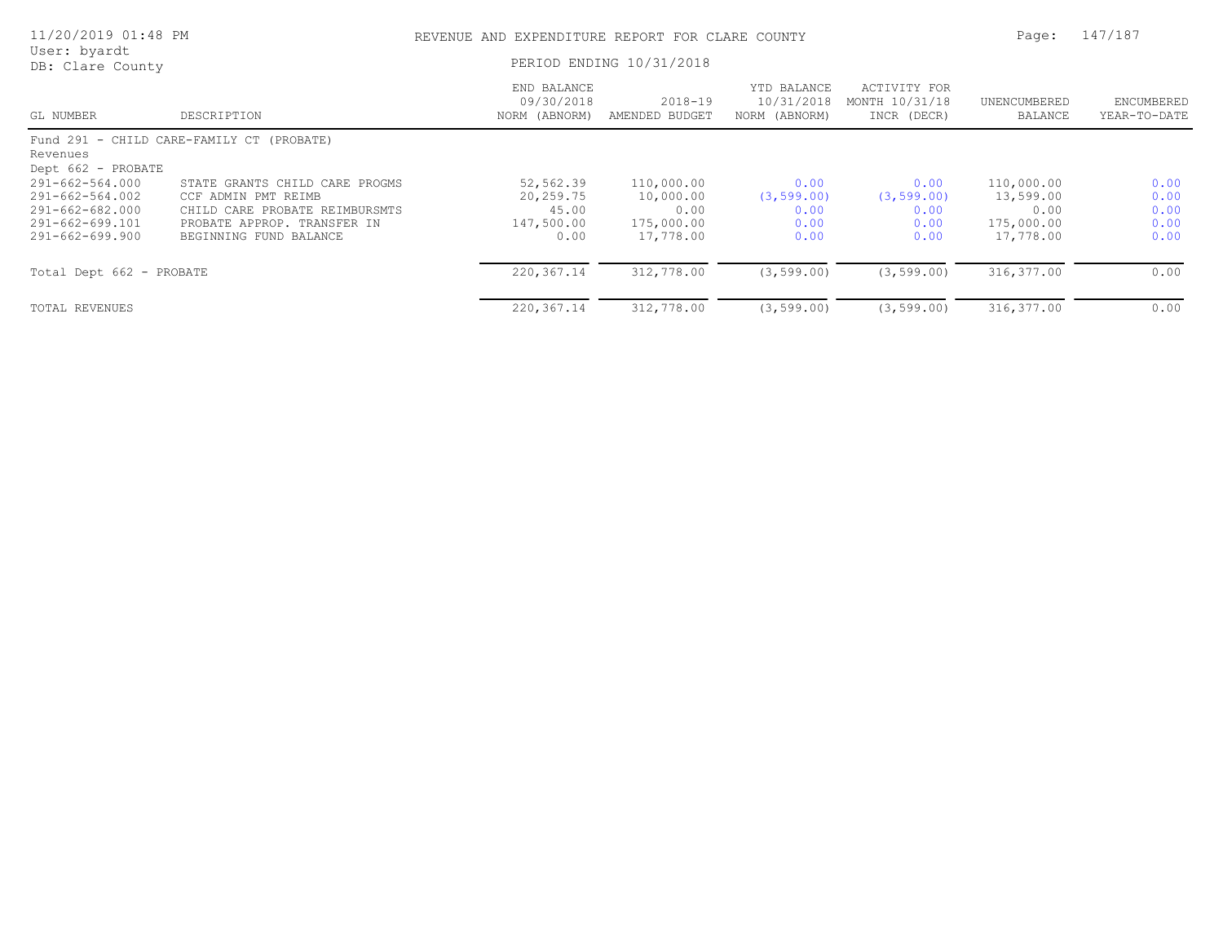| 11/20/2019 01:48 PM                                                                               |                                                                                                                                                  | REVENUE AND EXPENDITURE REPORT FOR CLARE COUNTY       |                                                            |                                             |                                               |                                                            |                                      |
|---------------------------------------------------------------------------------------------------|--------------------------------------------------------------------------------------------------------------------------------------------------|-------------------------------------------------------|------------------------------------------------------------|---------------------------------------------|-----------------------------------------------|------------------------------------------------------------|--------------------------------------|
| User: byardt<br>DB: Clare County                                                                  |                                                                                                                                                  |                                                       | PERIOD ENDING 10/31/2018                                   |                                             |                                               |                                                            |                                      |
| GL NUMBER                                                                                         | DESCRIPTION                                                                                                                                      | END BALANCE<br>09/30/2018<br>NORM (ABNORM)            | $2018 - 19$<br>AMENDED BUDGET                              | YTD BALANCE<br>10/31/2018<br>NORM (ABNORM)  | ACTIVITY FOR<br>MONTH 10/31/18<br>INCR (DECR) | UNENCUMBERED<br>BALANCE                                    | ENCUMBERED<br>YEAR-TO-DATE           |
| Revenues<br>Dept 662 - PROBATE                                                                    | Fund 291 - CHILD CARE-FAMILY CT (PROBATE)                                                                                                        |                                                       |                                                            |                                             |                                               |                                                            |                                      |
| $291 - 662 - 564.000$<br>291-662-564.002<br>291-662-682.000<br>291-662-699.101<br>291-662-699.900 | STATE GRANTS CHILD CARE PROGMS<br>CCF ADMIN PMT REIMB<br>CHILD CARE PROBATE REIMBURSMTS<br>PROBATE APPROP. TRANSFER IN<br>BEGINNING FUND BALANCE | 52,562.39<br>20,259.75<br>45.00<br>147,500.00<br>0.00 | 110,000.00<br>10,000.00<br>0.00<br>175,000.00<br>17,778.00 | 0.00<br>(3, 599.00)<br>0.00<br>0.00<br>0.00 | 0.00<br>(3, 599.00)<br>0.00<br>0.00<br>0.00   | 110,000.00<br>13,599.00<br>0.00<br>175,000.00<br>17,778.00 | 0.00<br>0.00<br>0.00<br>0.00<br>0.00 |
| Total Dept 662 - PROBATE                                                                          |                                                                                                                                                  | 220,367.14                                            | 312,778.00                                                 | (3, 599.00)                                 | (3, 599, 00)                                  | 316, 377.00                                                | 0.00                                 |
| TOTAL REVENUES                                                                                    |                                                                                                                                                  | 220, 367.14                                           | 312,778.00                                                 | (3, 599.00)                                 | (3, 599.00)                                   | 316, 377.00                                                | 0.00                                 |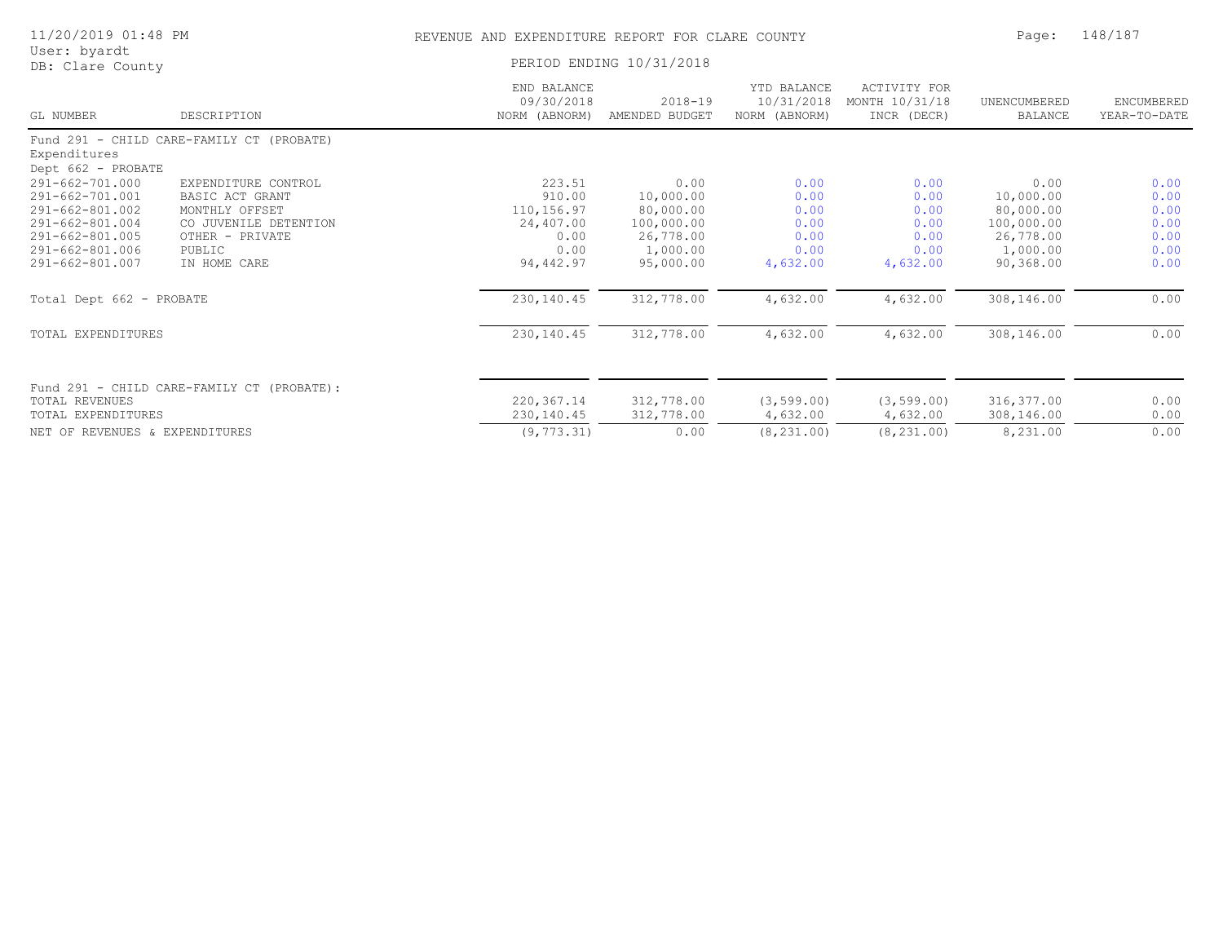| 11/20/2019 01:48 PM<br>User: byardt                                                                                                                           |                                                                                                                                |                                                                                        | REVENUE AND EXPENDITURE REPORT FOR CLARE COUNTY                                                  |                                                                      |                                                                      |                                                                                                  |                                                              |
|---------------------------------------------------------------------------------------------------------------------------------------------------------------|--------------------------------------------------------------------------------------------------------------------------------|----------------------------------------------------------------------------------------|--------------------------------------------------------------------------------------------------|----------------------------------------------------------------------|----------------------------------------------------------------------|--------------------------------------------------------------------------------------------------|--------------------------------------------------------------|
| DB: Clare County                                                                                                                                              |                                                                                                                                | PERIOD ENDING 10/31/2018                                                               |                                                                                                  |                                                                      |                                                                      |                                                                                                  |                                                              |
| GL NUMBER                                                                                                                                                     | DESCRIPTION                                                                                                                    | END BALANCE<br>09/30/2018<br>NORM (ABNORM)                                             | $2018 - 19$<br>AMENDED BUDGET                                                                    | YTD BALANCE<br>10/31/2018<br>NORM (ABNORM)                           | ACTIVITY FOR<br>MONTH 10/31/18<br>INCR (DECR)                        | UNENCUMBERED<br>BALANCE                                                                          | ENCUMBERED<br>YEAR-TO-DATE                                   |
| Expenditures<br>Dept 662 - PROBATE                                                                                                                            | Fund 291 - CHILD CARE-FAMILY CT (PROBATE)                                                                                      |                                                                                        |                                                                                                  |                                                                      |                                                                      |                                                                                                  |                                                              |
| 291-662-701.000<br>291-662-701.001<br>291-662-801.002<br>291-662-801.004<br>291-662-801.005<br>291-662-801.006<br>291-662-801.007<br>Total Dept 662 - PROBATE | EXPENDITURE CONTROL<br>BASIC ACT GRANT<br>MONTHLY OFFSET<br>CO JUVENILE DETENTION<br>OTHER - PRIVATE<br>PUBLIC<br>IN HOME CARE | 223.51<br>910.00<br>110,156.97<br>24,407.00<br>0.00<br>0.00<br>94,442.97<br>230,140.45 | 0.00<br>10,000.00<br>80,000.00<br>100,000.00<br>26,778.00<br>1,000.00<br>95,000.00<br>312,778.00 | 0.00<br>0.00<br>0.00<br>0.00<br>0.00<br>0.00<br>4,632.00<br>4,632.00 | 0.00<br>0.00<br>0.00<br>0.00<br>0.00<br>0.00<br>4,632.00<br>4,632.00 | 0.00<br>10,000.00<br>80,000.00<br>100,000.00<br>26,778.00<br>1,000.00<br>90,368.00<br>308,146.00 | 0.00<br>0.00<br>0.00<br>0.00<br>0.00<br>0.00<br>0.00<br>0.00 |
| TOTAL EXPENDITURES                                                                                                                                            |                                                                                                                                | 230, 140.45                                                                            | 312,778.00                                                                                       | 4,632.00                                                             | 4,632.00                                                             | 308,146.00                                                                                       | 0.00                                                         |
| TOTAL REVENUES<br>TOTAL EXPENDITURES                                                                                                                          | Fund 291 - CHILD CARE-FAMILY CT (PROBATE):                                                                                     | 220, 367.14<br>230,140.45                                                              | 312,778.00<br>312,778.00                                                                         | (3, 599.00)<br>4,632.00                                              | (3, 599.00)<br>4,632.00                                              | 316,377.00<br>308,146.00                                                                         | 0.00<br>0.00                                                 |
| NET OF REVENUES & EXPENDITURES                                                                                                                                |                                                                                                                                | (9, 773.31)                                                                            | 0.00                                                                                             | (8, 231, 00)                                                         | (8, 231, 00)                                                         | 8,231.00                                                                                         | 0.00                                                         |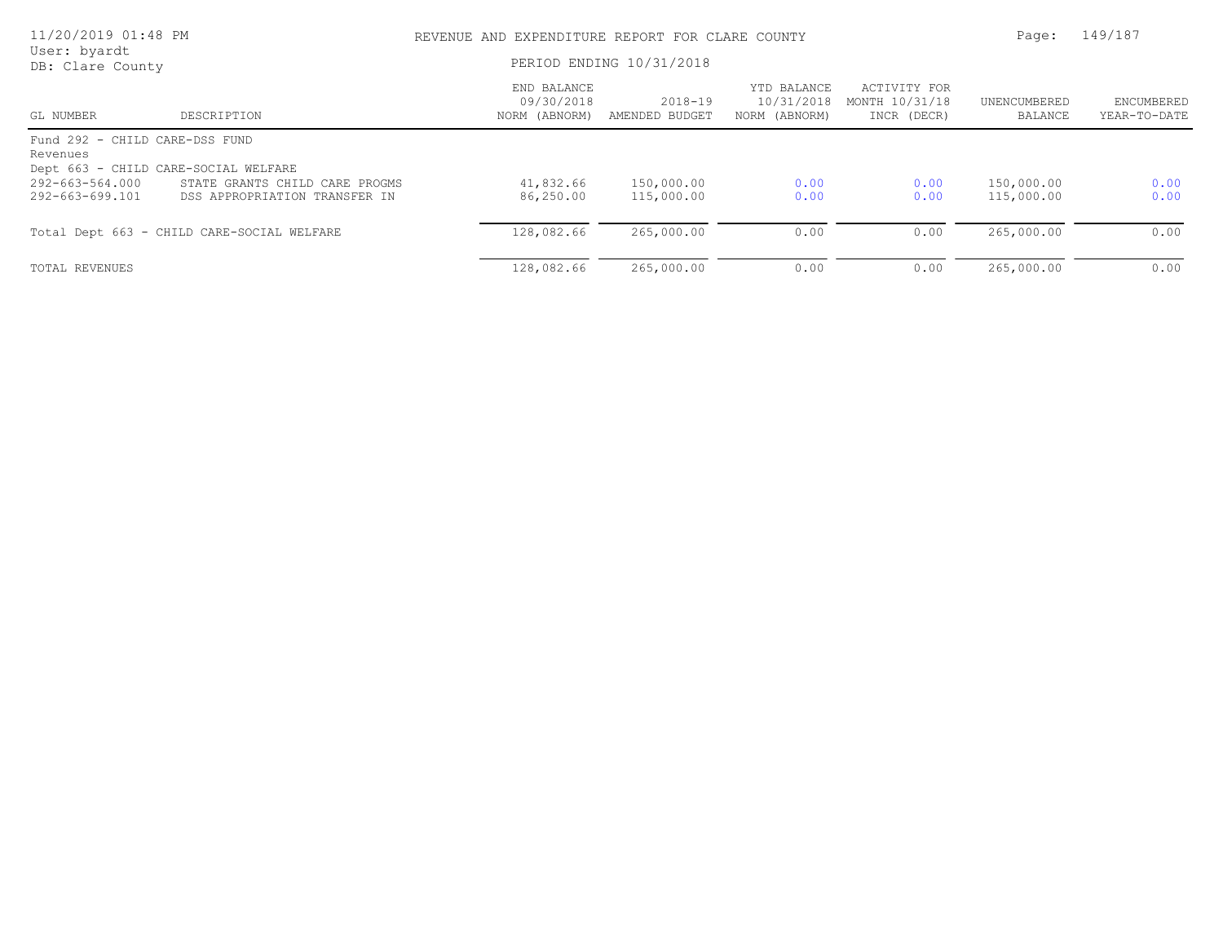| 11/20/2019 01:48 PM                |                                                                 | REVENUE AND EXPENDITURE REPORT FOR CLARE COUNTY | Page:                         | 149/187                                    |                                               |                          |                                   |  |
|------------------------------------|-----------------------------------------------------------------|-------------------------------------------------|-------------------------------|--------------------------------------------|-----------------------------------------------|--------------------------|-----------------------------------|--|
| User: byardt<br>DB: Clare County   |                                                                 | PERIOD ENDING 10/31/2018                        |                               |                                            |                                               |                          |                                   |  |
| GL NUMBER                          | DESCRIPTION                                                     | END BALANCE<br>09/30/2018<br>NORM (ABNORM)      | $2018 - 19$<br>AMENDED BUDGET | YTD BALANCE<br>10/31/2018<br>NORM (ABNORM) | ACTIVITY FOR<br>MONTH 10/31/18<br>INCR (DECR) | UNENCUMBERED<br>BALANCE  | <b>ENCUMBERED</b><br>YEAR-TO-DATE |  |
| Fund 292 - CHILD CARE-DSS FUND     |                                                                 |                                                 |                               |                                            |                                               |                          |                                   |  |
| Revenues                           | Dept 663 - CHILD CARE-SOCIAL WELFARE                            |                                                 |                               |                                            |                                               |                          |                                   |  |
| 292-663-564.000<br>292-663-699.101 | STATE GRANTS CHILD CARE PROGMS<br>DSS APPROPRIATION TRANSFER IN | 41,832.66<br>86,250.00                          | 150,000.00<br>115,000.00      | 0.00<br>0.00                               | 0.00<br>0.00                                  | 150,000.00<br>115,000.00 | 0.00<br>0.00                      |  |
|                                    | Total Dept 663 - CHILD CARE-SOCIAL WELFARE                      | 128,082.66                                      | 265,000.00                    | 0.00                                       | 0.00                                          | 265,000.00               | 0.00                              |  |
| TOTAL REVENUES                     |                                                                 | 128,082.66                                      | 265,000.00                    | 0.00                                       | 0.00                                          | 265,000.00               | 0.00                              |  |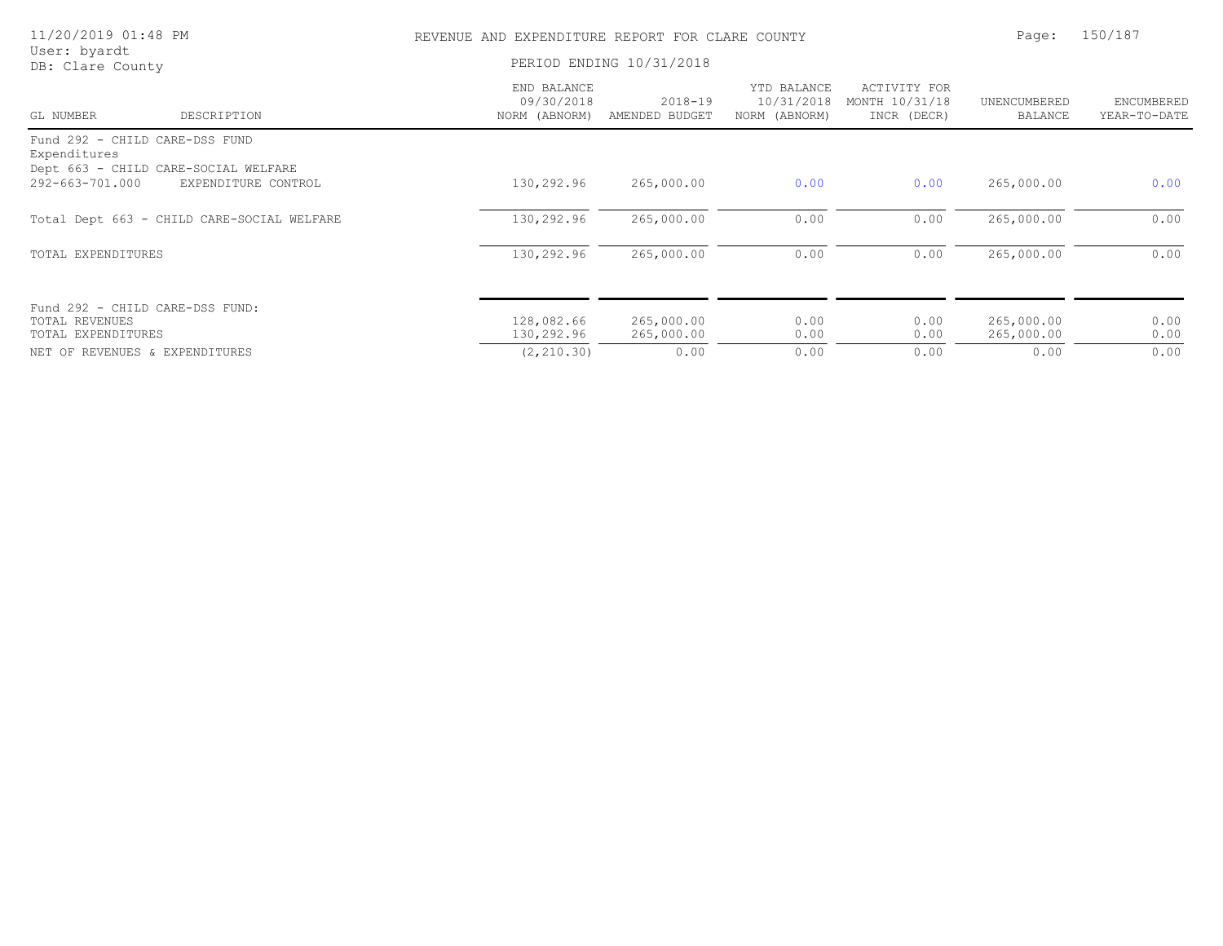| 11/20/2019 01:48 PM                                                                    |                                            | REVENUE AND EXPENDITURE REPORT FOR CLARE COUNTY | Page:                         | 150/187                                    |                                               |                          |                            |
|----------------------------------------------------------------------------------------|--------------------------------------------|-------------------------------------------------|-------------------------------|--------------------------------------------|-----------------------------------------------|--------------------------|----------------------------|
| User: byardt<br>DB: Clare County                                                       |                                            |                                                 | PERIOD ENDING 10/31/2018      |                                            |                                               |                          |                            |
| GL NUMBER                                                                              | DESCRIPTION                                | END BALANCE<br>09/30/2018<br>NORM (ABNORM)      | $2018 - 19$<br>AMENDED BUDGET | YTD BALANCE<br>10/31/2018<br>NORM (ABNORM) | ACTIVITY FOR<br>MONTH 10/31/18<br>INCR (DECR) | UNENCUMBERED<br>BALANCE  | ENCUMBERED<br>YEAR-TO-DATE |
| Fund 292 - CHILD CARE-DSS FUND<br>Expenditures<br>Dept 663 - CHILD CARE-SOCIAL WELFARE |                                            |                                                 |                               |                                            |                                               |                          |                            |
| 292-663-701.000                                                                        | EXPENDITURE CONTROL                        | 130,292.96                                      | 265,000.00                    | 0.00                                       | 0.00                                          | 265,000.00               | 0.00                       |
|                                                                                        | Total Dept 663 - CHILD CARE-SOCIAL WELFARE | 130,292.96                                      | 265,000.00                    | 0.00                                       | 0.00                                          | 265,000.00               | 0.00                       |
| TOTAL EXPENDITURES                                                                     |                                            | 130,292.96                                      | 265,000.00                    | 0.00                                       | 0.00                                          | 265,000.00               | 0.00                       |
| Fund 292 - CHILD CARE-DSS FUND:<br>TOTAL REVENUES<br>TOTAL EXPENDITURES                |                                            | 128,082.66<br>130,292.96                        | 265,000.00<br>265,000.00      | 0.00<br>0.00                               | 0.00<br>0.00                                  | 265,000.00<br>265,000.00 | 0.00<br>0.00               |
| NET OF REVENUES & EXPENDITURES                                                         |                                            | (2, 210.30)                                     | 0.00                          | 0.00                                       | 0.00                                          | 0.00                     | 0.00                       |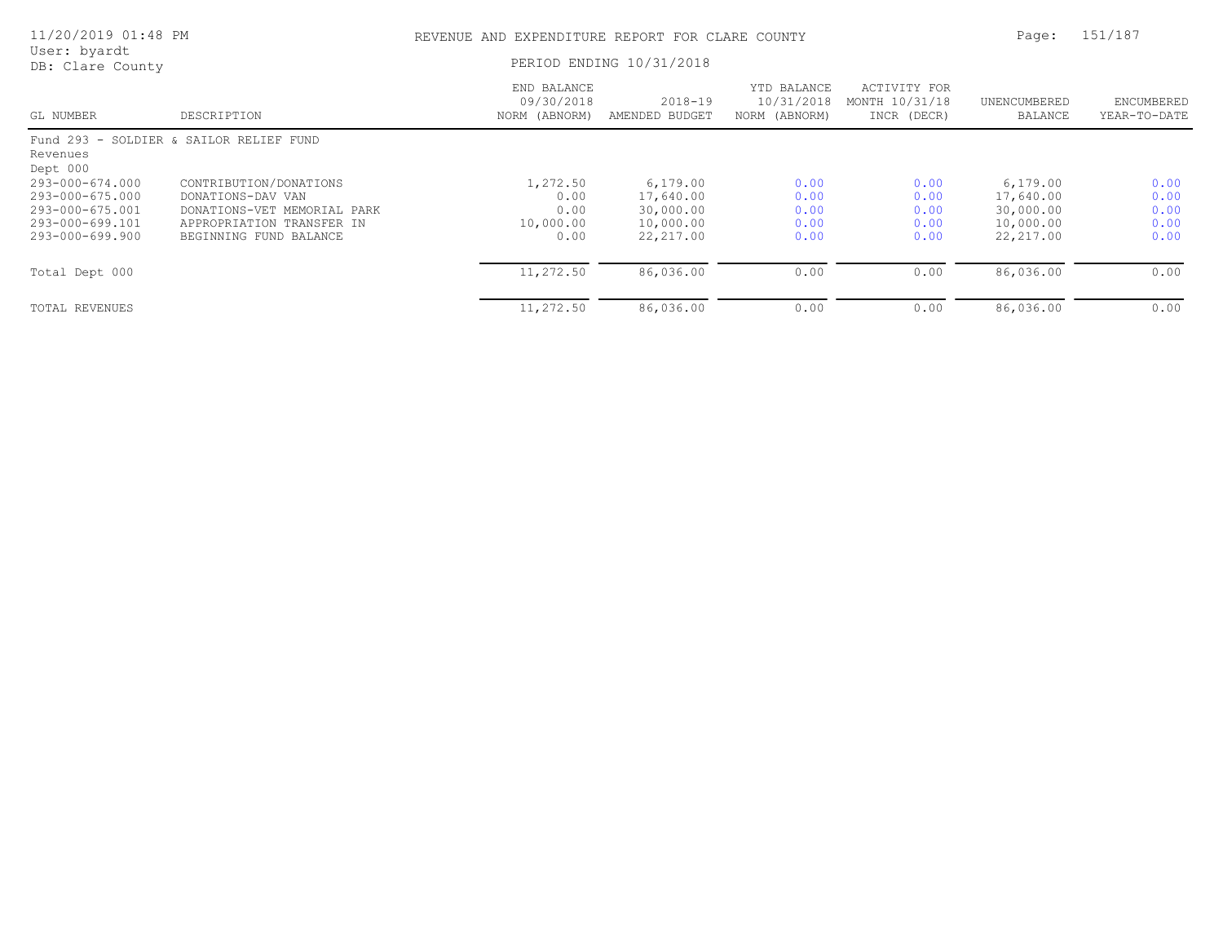| 11/20/2019 01:48 PM                      |                                                          | REVENUE AND EXPENDITURE REPORT FOR CLARE COUNTY | 151/187<br>Page:              |                                            |                                               |                         |                            |
|------------------------------------------|----------------------------------------------------------|-------------------------------------------------|-------------------------------|--------------------------------------------|-----------------------------------------------|-------------------------|----------------------------|
| User: byardt<br>DB: Clare County         |                                                          |                                                 | PERIOD ENDING 10/31/2018      |                                            |                                               |                         |                            |
| GL NUMBER                                | DESCRIPTION                                              | END BALANCE<br>09/30/2018<br>NORM (ABNORM)      | $2018 - 19$<br>AMENDED BUDGET | YTD BALANCE<br>10/31/2018<br>NORM (ABNORM) | ACTIVITY FOR<br>MONTH 10/31/18<br>INCR (DECR) | UNENCUMBERED<br>BALANCE | ENCUMBERED<br>YEAR-TO-DATE |
| Revenues<br>Dept 000                     | Fund 293 - SOLDIER & SAILOR RELIEF FUND                  |                                                 |                               |                                            |                                               |                         |                            |
| $293 - 000 - 674.000$<br>293-000-675.000 | CONTRIBUTION/DONATIONS<br>DONATIONS-DAV VAN              | 1,272.50<br>0.00                                | 6,179.00<br>17,640.00         | 0.00<br>0.00                               | 0.00<br>0.00                                  | 6,179.00<br>17,640.00   | 0.00<br>0.00               |
| 293-000-675.001<br>293-000-699.101       | DONATIONS-VET MEMORIAL PARK<br>APPROPRIATION TRANSFER IN | 0.00<br>10,000.00                               | 30,000.00<br>10,000.00        | 0.00<br>0.00                               | 0.00<br>0.00                                  | 30,000.00<br>10,000.00  | 0.00<br>0.00               |
| 293-000-699.900                          | BEGINNING FUND BALANCE                                   | 0.00                                            | 22, 217.00                    | 0.00                                       | 0.00                                          | 22, 217.00              | 0.00                       |
| Total Dept 000                           |                                                          | 11,272.50                                       | 86,036.00                     | 0.00                                       | 0.00                                          | 86,036.00               | 0.00                       |
| TOTAL REVENUES                           |                                                          | 11,272.50                                       | 86,036.00                     | 0.00                                       | 0.00                                          | 86,036.00               | 0.00                       |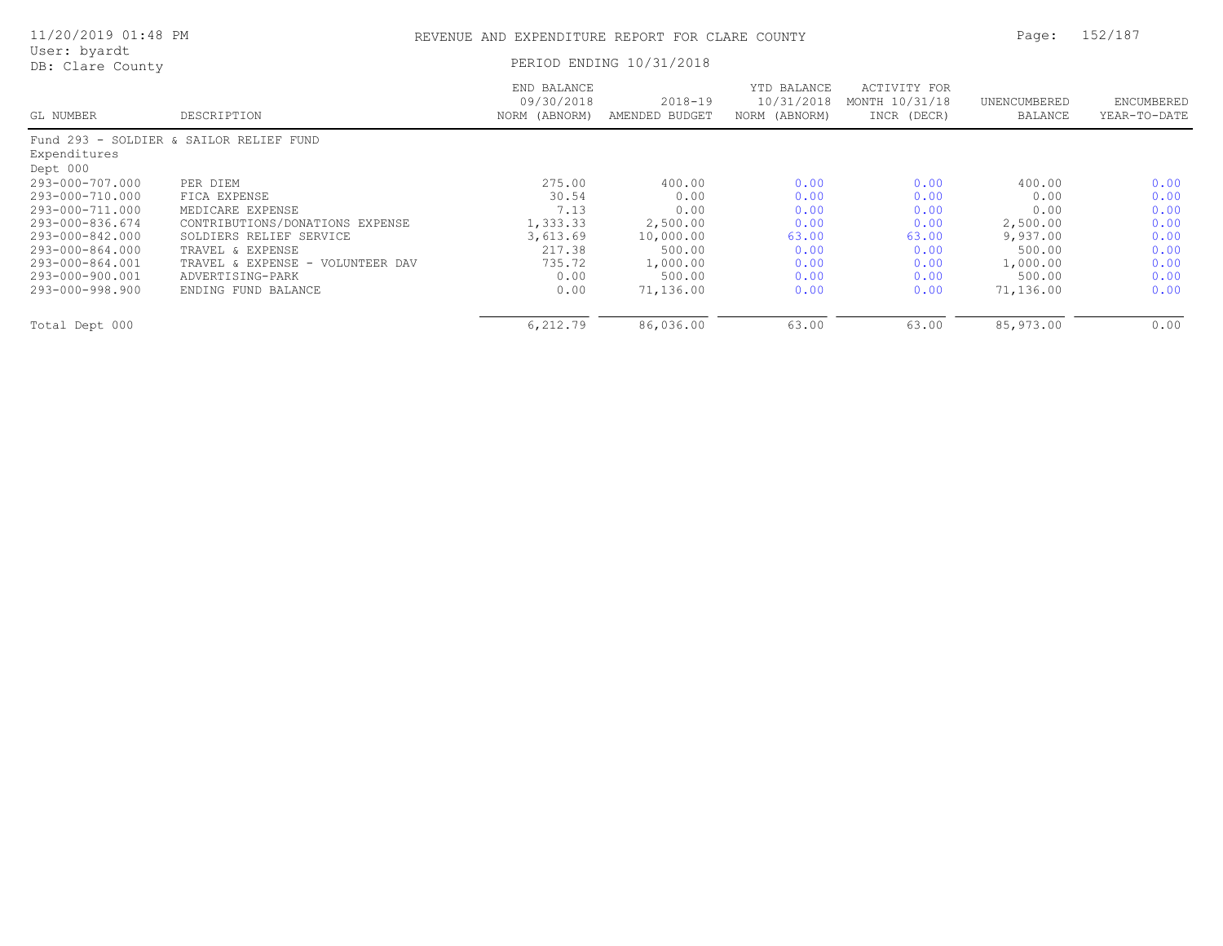| 11/20/2019 01:48 PM              | REVENUE AND EXPENDITURE REPORT FOR CLARE COUNTY | Page: 152/187 |
|----------------------------------|-------------------------------------------------|---------------|
| User: byardt<br>DB: Clare County | PERIOD ENDING 10/31/2018                        |               |

|  | REVENUE AND EXPENDITURE REPORT FOR CLARE COUNTY |  |  |  |
|--|-------------------------------------------------|--|--|--|
|  |                                                 |  |  |  |

| PERIOD ENDING 10/31/2018 |  |  |
|--------------------------|--|--|
|                          |  |  |

|                 |                                         | END BALANCE   |                | YTD BALANCE   | ACTIVITY FOR   |              |              |
|-----------------|-----------------------------------------|---------------|----------------|---------------|----------------|--------------|--------------|
|                 |                                         | 09/30/2018    | $2018 - 19$    | 10/31/2018    | MONTH 10/31/18 | UNENCUMBERED | ENCUMBERED   |
| GL NUMBER       | DESCRIPTION                             | NORM (ABNORM) | AMENDED BUDGET | NORM (ABNORM) | INCR (DECR)    | BALANCE      | YEAR-TO-DATE |
|                 | Fund 293 - SOLDIER & SAILOR RELIEF FUND |               |                |               |                |              |              |
| Expenditures    |                                         |               |                |               |                |              |              |
| Dept 000        |                                         |               |                |               |                |              |              |
| 293-000-707.000 | PER DIEM                                | 275.00        | 400.00         | 0.00          | 0.00           | 400.00       | 0.00         |
| 293-000-710.000 | FICA EXPENSE                            | 30.54         | 0.00           | 0.00          | 0.00           | 0.00         | 0.00         |
| 293-000-711.000 | MEDICARE EXPENSE                        | 7.13          | 0.00           | 0.00          | 0.00           | 0.00         | 0.00         |
| 293-000-836.674 | CONTRIBUTIONS/DONATIONS EXPENSE         | 1,333.33      | 2,500.00       | 0.00          | 0.00           | 2,500.00     | 0.00         |
| 293-000-842.000 | SOLDIERS RELIEF SERVICE                 | 3,613.69      | 10,000.00      | 63.00         | 63.00          | 9,937.00     | 0.00         |
| 293-000-864.000 | TRAVEL & EXPENSE                        | 217.38        | 500.00         | 0.00          | 0.00           | 500.00       | 0.00         |
| 293-000-864.001 | TRAVEL & EXPENSE - VOLUNTEER DAV        | 735.72        | 1,000.00       | 0.00          | 0.00           | 1,000.00     | 0.00         |
| 293-000-900.001 | ADVERTISING-PARK                        | 0.00          | 500.00         | 0.00          | 0.00           | 500.00       | 0.00         |
| 293-000-998.900 | ENDING FUND BALANCE                     | 0.00          | 71,136.00      | 0.00          | 0.00           | 71,136.00    | 0.00         |
| Total Dept 000  |                                         | 6,212.79      | 86,036.00      | 63.00         | 63.00          | 85,973.00    | 0.00         |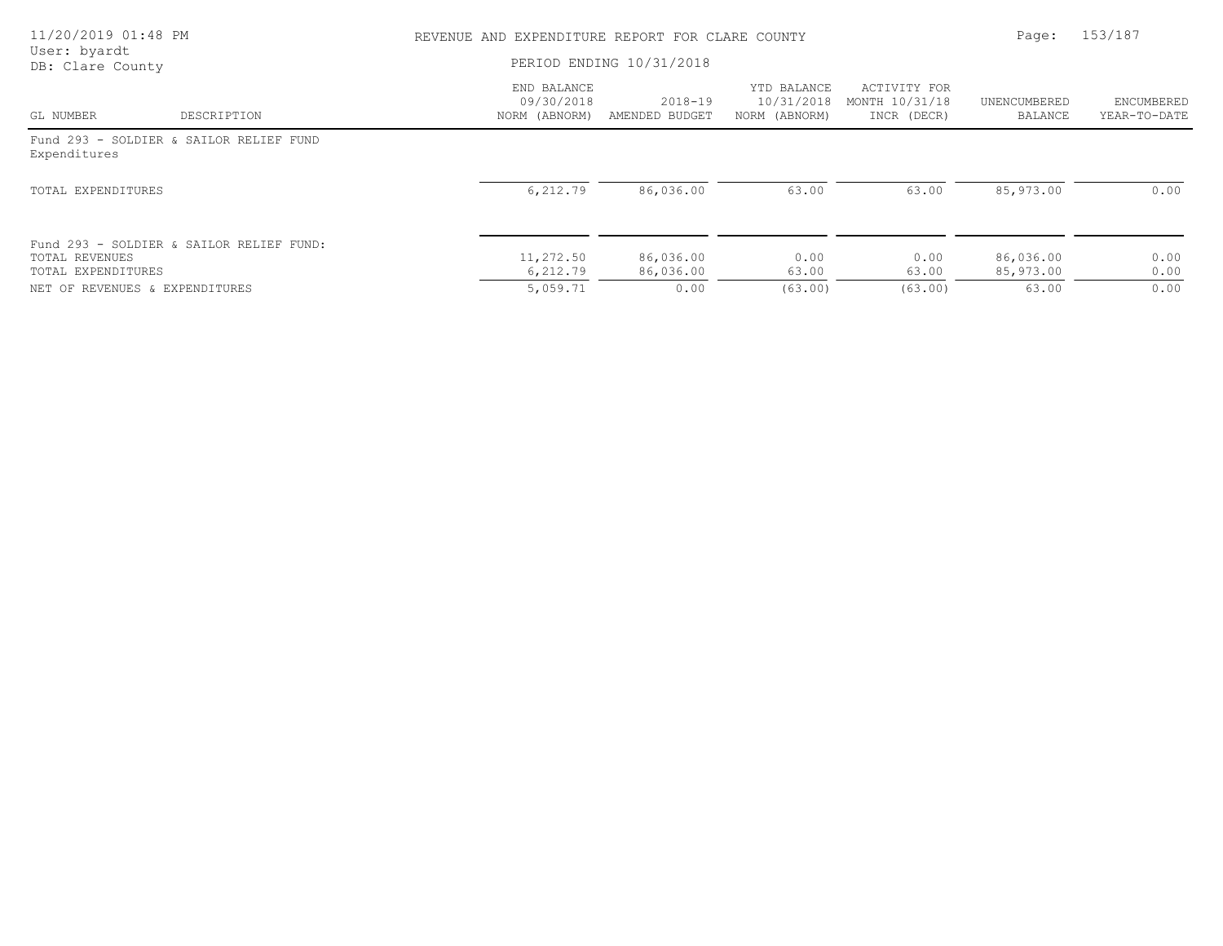| 11/20/2019 01:48 PM<br>User: byardt  |                                          | REVENUE AND EXPENDITURE REPORT FOR CLARE COUNTY | Page:                         | 153/187                                    |                                               |                         |                            |
|--------------------------------------|------------------------------------------|-------------------------------------------------|-------------------------------|--------------------------------------------|-----------------------------------------------|-------------------------|----------------------------|
| DB: Clare County                     |                                          | PERIOD ENDING 10/31/2018                        |                               |                                            |                                               |                         |                            |
| GL NUMBER                            | DESCRIPTION                              | END BALANCE<br>09/30/2018<br>NORM (ABNORM)      | $2018 - 19$<br>AMENDED BUDGET | YTD BALANCE<br>10/31/2018<br>NORM (ABNORM) | ACTIVITY FOR<br>MONTH 10/31/18<br>INCR (DECR) | UNENCUMBERED<br>BALANCE | ENCUMBERED<br>YEAR-TO-DATE |
| Expenditures                         | Fund 293 - SOLDIER & SAILOR RELIEF FUND  |                                                 |                               |                                            |                                               |                         |                            |
| TOTAL EXPENDITURES                   |                                          | 6,212.79                                        | 86,036.00                     | 63.00                                      | 63.00                                         | 85,973.00               | 0.00                       |
| TOTAL REVENUES<br>TOTAL EXPENDITURES | Fund 293 - SOLDIER & SAILOR RELIEF FUND: | 11,272.50<br>6,212.79                           | 86,036.00<br>86,036.00        | 0.00<br>63.00                              | 0.00<br>63.00                                 | 86,036.00<br>85,973.00  | 0.00<br>0.00               |
| NET OF REVENUES & EXPENDITURES       |                                          | 5,059.71                                        | 0.00                          | (63.00)                                    | (63.00)                                       | 63.00                   | 0.00                       |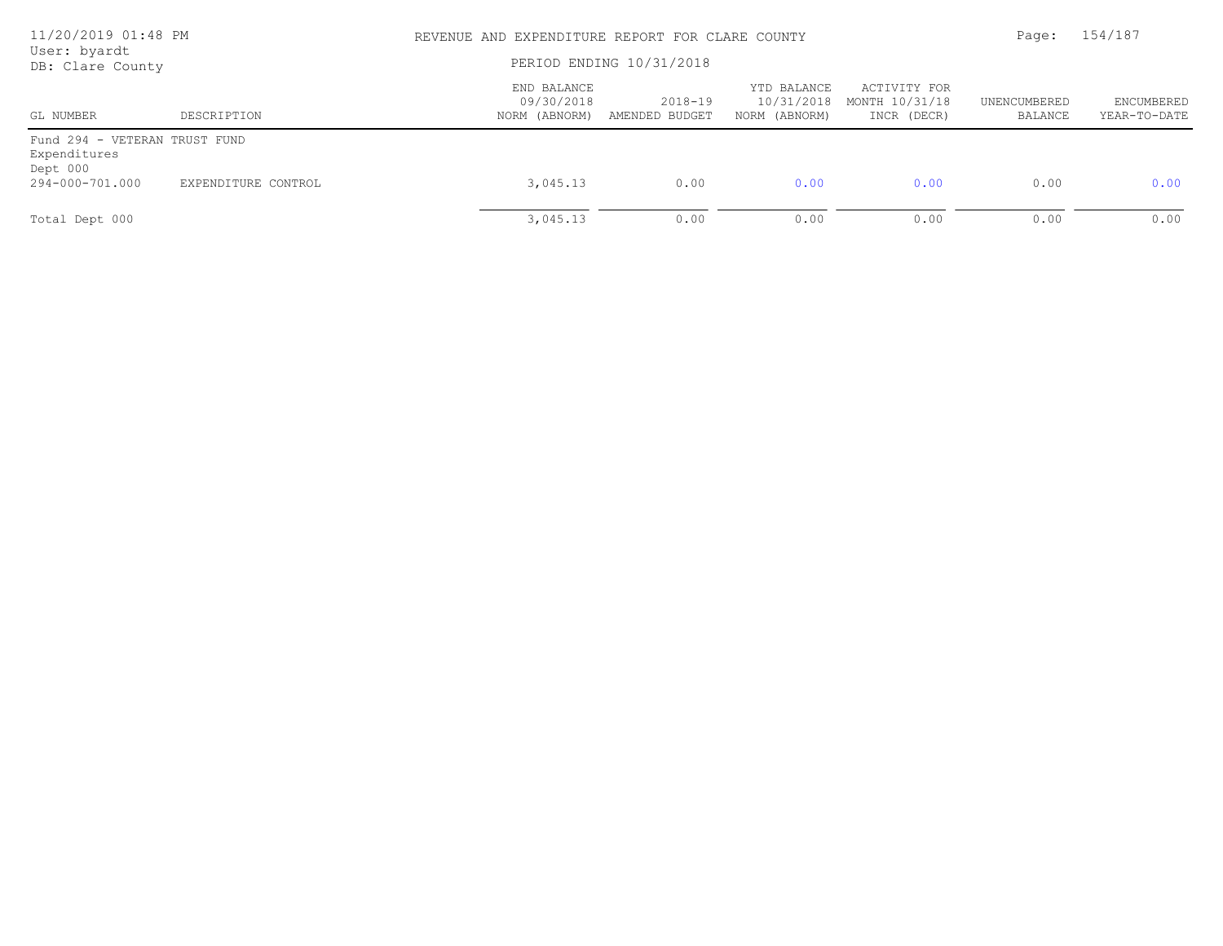| 11/20/2019 01:48 PM<br>User: byardt<br>DB: Clare County   |                     | REVENUE AND EXPENDITURE REPORT FOR CLARE COUNTY<br>PERIOD ENDING 10/31/2018 | Page:                     | 154/187                                    |                                               |                         |                                   |
|-----------------------------------------------------------|---------------------|-----------------------------------------------------------------------------|---------------------------|--------------------------------------------|-----------------------------------------------|-------------------------|-----------------------------------|
| GL NUMBER                                                 | DESCRIPTION         | END BALANCE<br>09/30/2018<br>NORM (ABNORM)                                  | 2018-19<br>AMENDED BUDGET | YTD BALANCE<br>10/31/2018<br>NORM (ABNORM) | ACTIVITY FOR<br>MONTH 10/31/18<br>INCR (DECR) | UNENCUMBERED<br>BALANCE | <b>ENCUMBERED</b><br>YEAR-TO-DATE |
| Fund 294 - VETERAN TRUST FUND<br>Expenditures<br>Dept 000 |                     |                                                                             |                           |                                            |                                               |                         |                                   |
| 294-000-701.000                                           | EXPENDITURE CONTROL | 3,045.13                                                                    | 0.00                      | 0.00                                       | 0.00                                          | 0.00                    | 0.00                              |
| Total Dept 000                                            |                     | 3,045.13                                                                    | 0.00                      | 0.00                                       | 0.00                                          | 0.00                    | 0.00                              |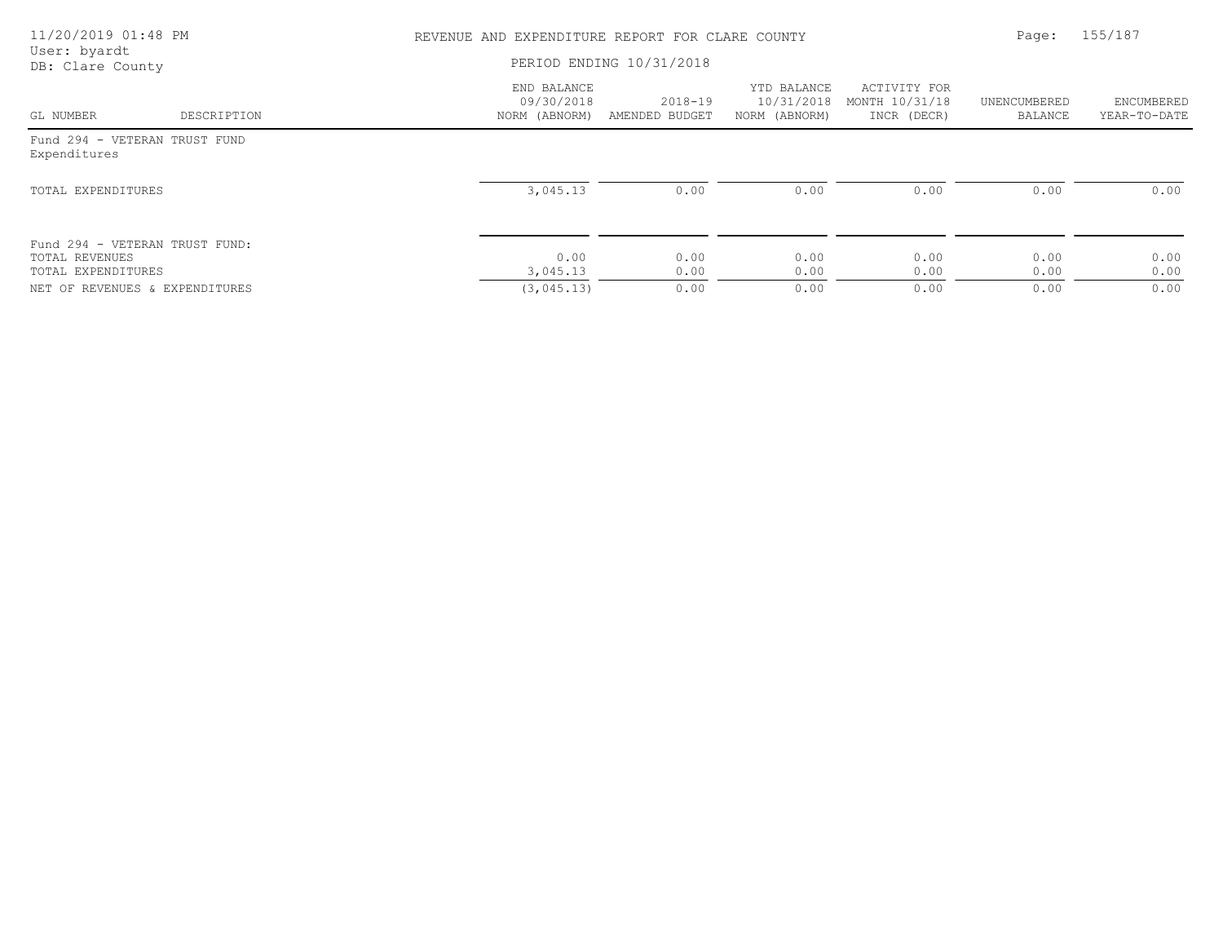| 11/20/2019 01:48 PM<br>User: byardt                                    |             | REVENUE AND EXPENDITURE REPORT FOR CLARE COUNTY | Page:                     | 155/187                                    |                                               |                         |                            |
|------------------------------------------------------------------------|-------------|-------------------------------------------------|---------------------------|--------------------------------------------|-----------------------------------------------|-------------------------|----------------------------|
| DB: Clare County                                                       |             | PERIOD ENDING 10/31/2018                        |                           |                                            |                                               |                         |                            |
| GL NUMBER                                                              | DESCRIPTION | END BALANCE<br>09/30/2018<br>NORM (ABNORM)      | 2018-19<br>AMENDED BUDGET | YTD BALANCE<br>10/31/2018<br>NORM (ABNORM) | ACTIVITY FOR<br>MONTH 10/31/18<br>INCR (DECR) | UNENCUMBERED<br>BALANCE | ENCUMBERED<br>YEAR-TO-DATE |
| Fund 294 - VETERAN TRUST FUND<br>Expenditures                          |             |                                                 |                           |                                            |                                               |                         |                            |
| TOTAL EXPENDITURES                                                     |             | 3,045.13                                        | 0.00                      | 0.00                                       | 0.00                                          | 0.00                    | 0.00                       |
| Fund 294 - VETERAN TRUST FUND:<br>TOTAL REVENUES<br>TOTAL EXPENDITURES |             | 0.00<br>3,045.13                                | 0.00<br>0.00              | 0.00<br>0.00                               | 0.00<br>0.00                                  | 0.00<br>0.00            | 0.00<br>0.00               |
| NET OF REVENUES & EXPENDITURES                                         |             | (3, 045, 13)                                    | 0.00                      | 0.00                                       | 0.00                                          | 0.00                    | 0.00                       |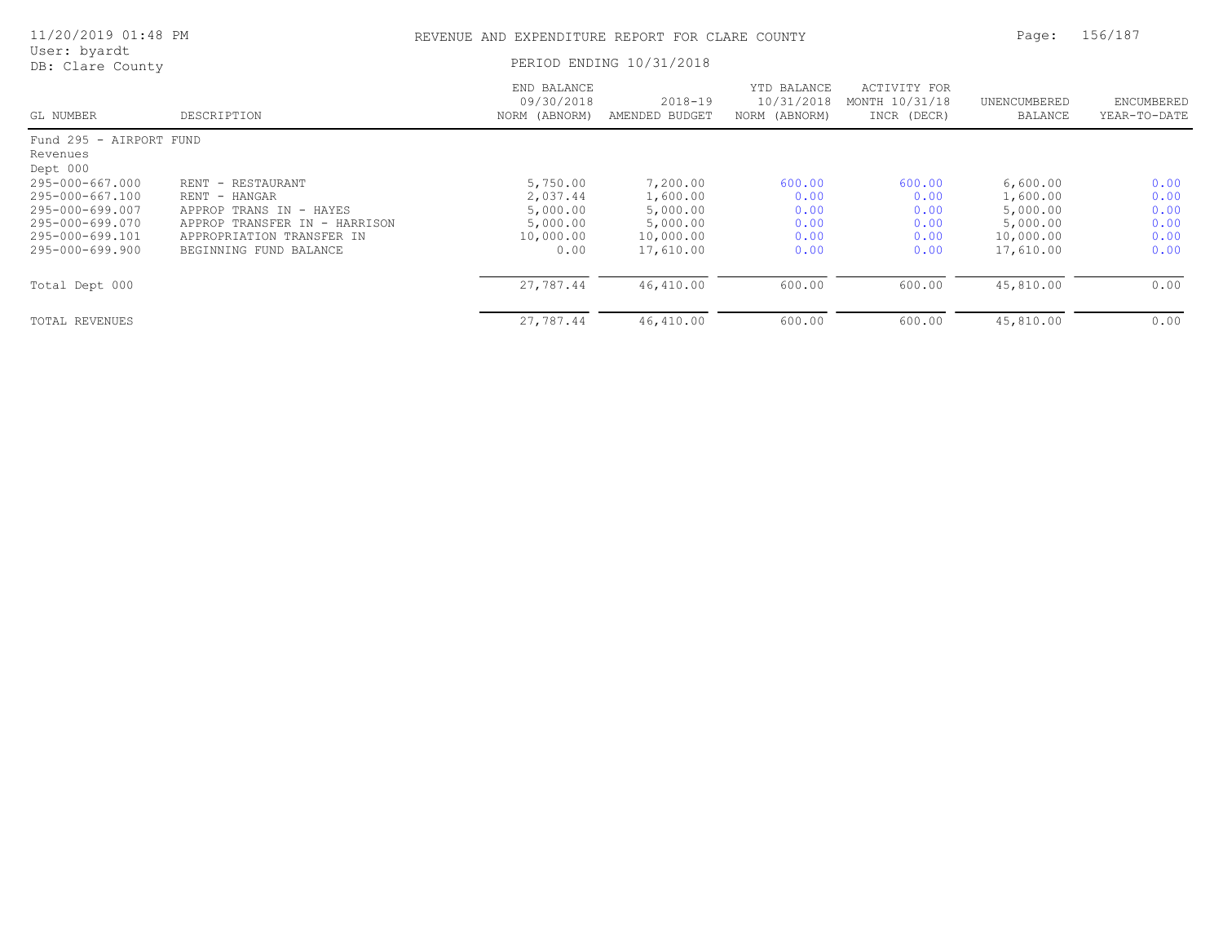| 11/20/2019 01:48 PM              |                               | Page:                                      | 156/187                       |                                            |                                               |                         |                            |
|----------------------------------|-------------------------------|--------------------------------------------|-------------------------------|--------------------------------------------|-----------------------------------------------|-------------------------|----------------------------|
| User: byardt<br>DB: Clare County | PERIOD ENDING 10/31/2018      |                                            |                               |                                            |                                               |                         |                            |
| GL NUMBER                        | DESCRIPTION                   | END BALANCE<br>09/30/2018<br>NORM (ABNORM) | $2018 - 19$<br>AMENDED BUDGET | YTD BALANCE<br>10/31/2018<br>NORM (ABNORM) | ACTIVITY FOR<br>MONTH 10/31/18<br>INCR (DECR) | UNENCUMBERED<br>BALANCE | ENCUMBERED<br>YEAR-TO-DATE |
| Fund 295 - AIRPORT FUND          |                               |                                            |                               |                                            |                                               |                         |                            |
| Revenues                         |                               |                                            |                               |                                            |                                               |                         |                            |
| Dept 000                         |                               |                                            |                               |                                            |                                               |                         |                            |
| 295-000-667.000                  | RENT - RESTAURANT             | 5,750.00                                   | 7,200.00                      | 600.00                                     | 600.00                                        | 6,600.00                | 0.00                       |
| 295-000-667.100                  | RENT - HANGAR                 | 2,037.44                                   | 1,600.00                      | 0.00                                       | 0.00                                          | 1,600.00                | 0.00                       |
| 295-000-699.007                  | APPROP TRANS IN - HAYES       | 5,000.00                                   | 5,000.00                      | 0.00                                       | 0.00                                          | 5,000.00                | 0.00                       |
| 295-000-699.070                  | APPROP TRANSFER IN - HARRISON | 5,000.00                                   | 5,000.00                      | 0.00                                       | 0.00                                          | 5,000.00                | 0.00                       |
| 295-000-699.101                  | APPROPRIATION TRANSFER IN     | 10,000.00                                  | 10,000.00                     | 0.00                                       | 0.00                                          | 10,000.00               | 0.00                       |
| 295-000-699.900                  | BEGINNING FUND BALANCE        | 0.00                                       | 17,610.00                     | 0.00                                       | 0.00                                          | 17,610.00               | 0.00                       |
| Total Dept 000                   |                               | 27,787.44                                  | 46,410.00                     | 600.00                                     | 600.00                                        | 45,810.00               | 0.00                       |
| TOTAL REVENUES                   |                               | 27,787.44                                  | 46,410.00                     | 600.00                                     | 600.00                                        | 45,810.00               | 0.00                       |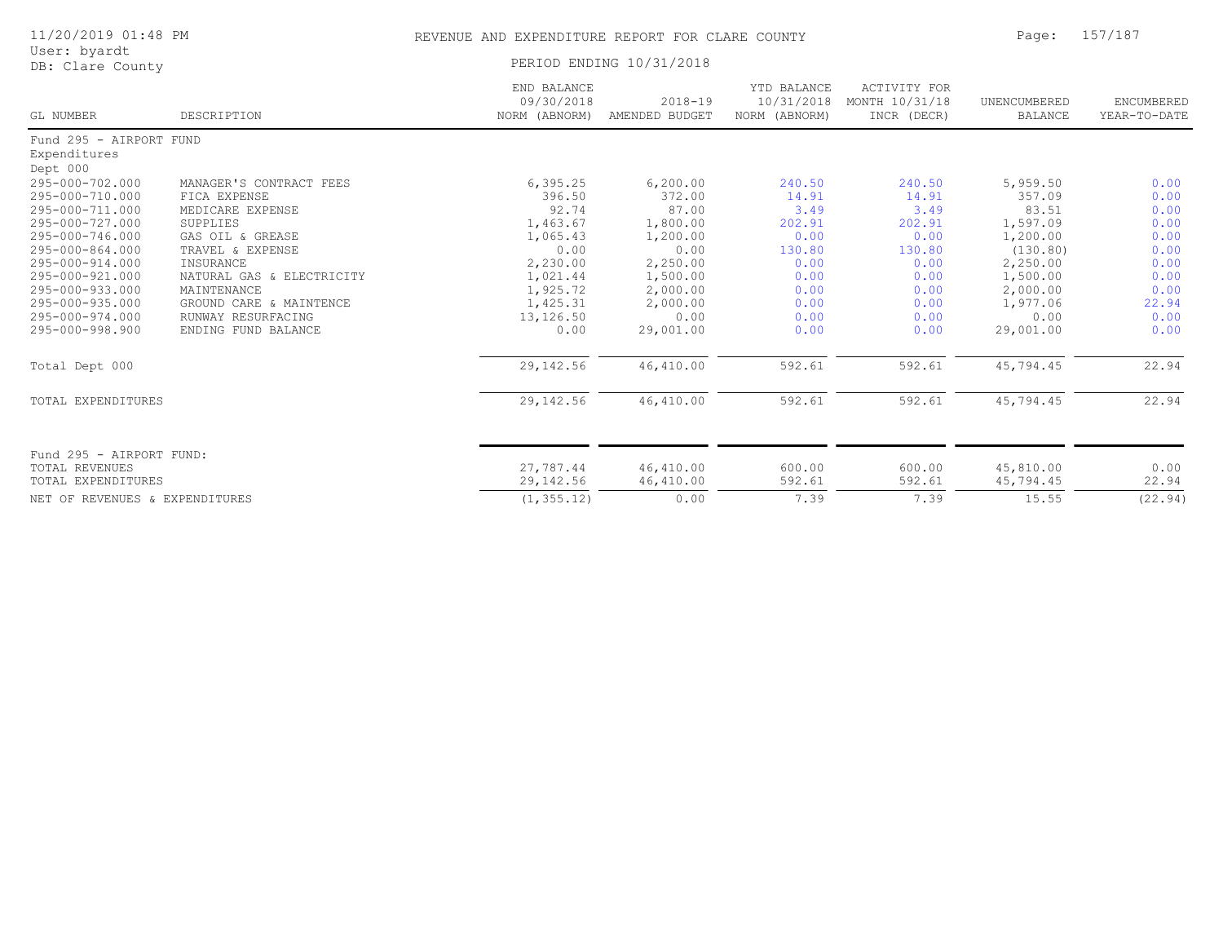| 11/20/2019 01:48 PM<br>User: byardt<br>DB: Clare County |             |                                            | REVENUE AND EXPENDITURE REPORT FOR CLARE COUNTY |                                            |                                               |                         |                            |
|---------------------------------------------------------|-------------|--------------------------------------------|-------------------------------------------------|--------------------------------------------|-----------------------------------------------|-------------------------|----------------------------|
|                                                         |             |                                            | PERIOD ENDING 10/31/2018                        |                                            |                                               |                         |                            |
| GL NUMBER                                               | DESCRIPTION | END BALANCE<br>09/30/2018<br>NORM (ABNORM) | $2018 - 19$<br>AMENDED BUDGET                   | YTD BALANCE<br>10/31/2018<br>NORM (ABNORM) | ACTIVITY FOR<br>MONTH 10/31/18<br>INCR (DECR) | UNENCUMBERED<br>BALANCE | ENCUMBERED<br>YEAR-TO-DATE |
| Fund 295 - AIRPORT FUND<br>Expenditures                 |             |                                            |                                                 |                                            |                                               |                         |                            |

| Expenditures                   |                           |             |           |        |        |           |         |
|--------------------------------|---------------------------|-------------|-----------|--------|--------|-----------|---------|
| Dept 000                       |                           |             |           |        |        |           |         |
| 295-000-702.000                | MANAGER'S CONTRACT FEES   | 6, 395.25   | 6, 200.00 | 240.50 | 240.50 | 5,959.50  | 0.00    |
| 295-000-710.000                | FICA EXPENSE              | 396.50      | 372.00    | 14.91  | 14.91  | 357.09    | 0.00    |
| 295-000-711.000                | MEDICARE EXPENSE          | 92.74       | 87.00     | 3.49   | 3.49   | 83.51     | 0.00    |
| 295-000-727.000                | SUPPLIES                  | 1,463.67    | 1,800.00  | 202.91 | 202.91 | 1,597.09  | 0.00    |
| 295-000-746.000                | GAS OIL & GREASE          | 1,065.43    | 1,200.00  | 0.00   | 0.00   | 1,200.00  | 0.00    |
| 295-000-864.000                | TRAVEL & EXPENSE          | 0.00        | 0.00      | 130.80 | 130.80 | (130.80)  | 0.00    |
| 295-000-914.000                | INSURANCE                 | 2,230.00    | 2,250.00  | 0.00   | 0.00   | 2,250.00  | 0.00    |
| 295-000-921.000                | NATURAL GAS & ELECTRICITY | 1,021.44    | 1,500.00  | 0.00   | 0.00   | 1,500.00  | 0.00    |
| 295-000-933.000                | MAINTENANCE               | 1,925.72    | 2,000.00  | 0.00   | 0.00   | 2,000.00  | 0.00    |
| 295-000-935.000                | GROUND CARE & MAINTENCE   | 1,425.31    | 2,000.00  | 0.00   | 0.00   | 1,977.06  | 22.94   |
| 295-000-974.000                | RUNWAY RESURFACING        | 13,126.50   | 0.00      | 0.00   | 0.00   | 0.00      | 0.00    |
| 295-000-998.900                | ENDING FUND BALANCE       | 0.00        | 29,001.00 | 0.00   | 0.00   | 29,001.00 | 0.00    |
| Total Dept 000                 |                           | 29, 142.56  | 46,410.00 | 592.61 | 592.61 | 45,794.45 | 22.94   |
| TOTAL EXPENDITURES             |                           | 29, 142.56  | 46,410.00 | 592.61 | 592.61 | 45,794.45 | 22.94   |
|                                |                           |             |           |        |        |           |         |
| Fund 295 - AIRPORT FUND:       |                           |             |           |        |        |           |         |
| TOTAL REVENUES                 |                           | 27,787.44   | 46,410.00 | 600.00 | 600.00 | 45,810.00 | 0.00    |
| TOTAL EXPENDITURES             |                           | 29,142.56   | 46,410.00 | 592.61 | 592.61 | 45,794.45 | 22.94   |
| NET OF REVENUES & EXPENDITURES |                           | (1, 355.12) | 0.00      | 7.39   | 7.39   | 15.55     | (22.94) |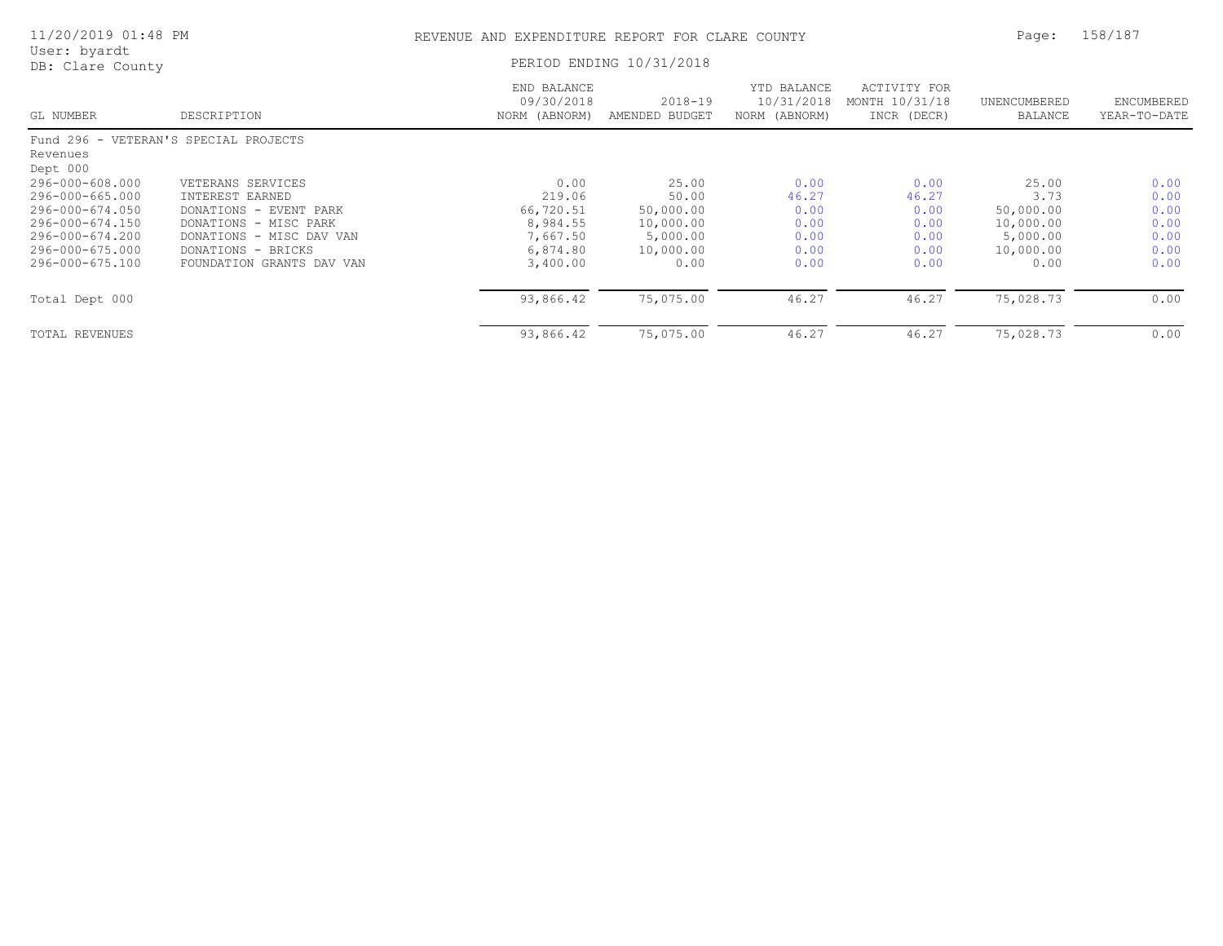| 11/20/2019 01:48 PM<br>User: byardt   |                                                 | REVENUE AND EXPENDITURE REPORT FOR CLARE COUNTY |                               |                                            |                                               | Page:                   | 158/187                    |  |
|---------------------------------------|-------------------------------------------------|-------------------------------------------------|-------------------------------|--------------------------------------------|-----------------------------------------------|-------------------------|----------------------------|--|
| DB: Clare County                      |                                                 |                                                 | PERIOD ENDING 10/31/2018      |                                            |                                               |                         |                            |  |
| GL NUMBER                             | DESCRIPTION                                     | END BALANCE<br>09/30/2018<br>NORM (ABNORM)      | $2018 - 19$<br>AMENDED BUDGET | YTD BALANCE<br>10/31/2018<br>NORM (ABNORM) | ACTIVITY FOR<br>MONTH 10/31/18<br>INCR (DECR) | UNENCUMBERED<br>BALANCE | ENCUMBERED<br>YEAR-TO-DATE |  |
| Fund 296 - VETERAN'S SPECIAL PROJECTS |                                                 |                                                 |                               |                                            |                                               |                         |                            |  |
| Revenues<br>Dept 000                  |                                                 |                                                 |                               |                                            |                                               |                         |                            |  |
| 296-000-608.000<br>296-000-665.000    | VETERANS SERVICES<br>INTEREST EARNED            | 0.00<br>219.06                                  | 25.00<br>50.00                | 0.00<br>46.27                              | 0.00<br>46.27                                 | 25.00<br>3.73           | 0.00<br>0.00               |  |
| 296-000-674.050<br>296-000-674.150    | DONATIONS - EVENT PARK<br>DONATIONS - MISC PARK | 66,720.51<br>8,984.55                           | 50,000.00<br>10,000.00        | 0.00<br>0.00                               | 0.00<br>0.00                                  | 50,000.00<br>10,000.00  | 0.00<br>0.00               |  |
| 296-000-674.200<br>296-000-675.000    | DONATIONS - MISC DAV VAN<br>DONATIONS - BRICKS  | 7,667.50<br>6,874.80                            | 5,000.00<br>10,000.00         | 0.00<br>0.00                               | 0.00<br>0.00                                  | 5,000.00<br>10,000.00   | 0.00<br>0.00               |  |
| 296-000-675.100                       | FOUNDATION GRANTS DAV VAN                       | 3,400.00                                        | 0.00                          | 0.00                                       | 0.00                                          | 0.00                    | 0.00                       |  |
| Total Dept 000                        |                                                 | 93,866.42                                       | 75,075.00                     | 46.27                                      | 46.27                                         | 75,028.73               | 0.00                       |  |
| TOTAL REVENUES                        |                                                 | 93,866.42                                       | 75,075.00                     | 46.27                                      | 46.27                                         | 75,028.73               | 0.00                       |  |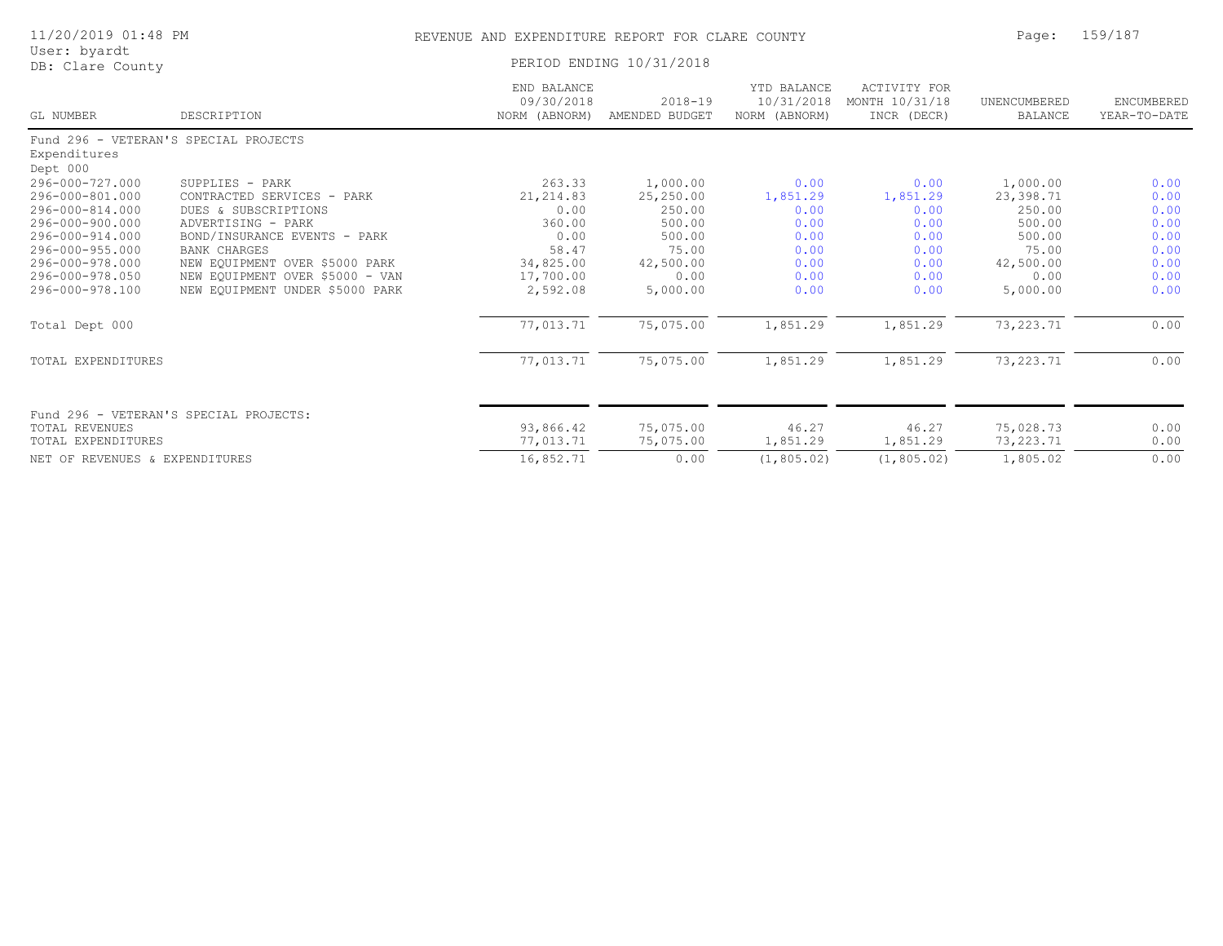|              | 11/20/2019 01:48 PM |  |
|--------------|---------------------|--|
| User: byardt |                     |  |

## REVENUE AND EXPENDITURE REPORT FOR CLARE COUNTY PAGE: 159/187

| USEL. Dydlut<br>DB: Clare County                   |                                                                    |                                            | PERIOD ENDING 10/31/2018      |                                            |                                               |                                |                            |
|----------------------------------------------------|--------------------------------------------------------------------|--------------------------------------------|-------------------------------|--------------------------------------------|-----------------------------------------------|--------------------------------|----------------------------|
| GL NUMBER                                          | DESCRIPTION                                                        | END BALANCE<br>09/30/2018<br>NORM (ABNORM) | $2018 - 19$<br>AMENDED BUDGET | YTD BALANCE<br>10/31/2018<br>NORM (ABNORM) | ACTIVITY FOR<br>MONTH 10/31/18<br>INCR (DECR) | UNENCUMBERED<br><b>BALANCE</b> | ENCUMBERED<br>YEAR-TO-DATE |
| Expenditures                                       | Fund 296 - VETERAN'S SPECIAL PROJECTS                              |                                            |                               |                                            |                                               |                                |                            |
| Dept 000<br>296-000-727.000                        | SUPPLIES - PARK                                                    | 263.33                                     | 1,000.00                      | 0.00                                       | 0.00                                          | 1,000.00                       | 0.00                       |
| 296-000-801.000<br>296-000-814.000                 | CONTRACTED SERVICES - PARK<br>DUES & SUBSCRIPTIONS                 | 21, 214.83<br>0.00                         | 25,250.00<br>250.00           | 1,851.29<br>0.00                           | 1,851.29<br>0.00                              | 23,398.71<br>250.00            | 0.00<br>0.00               |
| 296-000-900.000<br>296-000-914.000                 | ADVERTISING - PARK<br>BOND/INSURANCE EVENTS - PARK                 | 360.00<br>0.00                             | 500.00<br>500.00              | 0.00<br>0.00                               | 0.00<br>0.00                                  | 500.00<br>500.00               | 0.00<br>0.00               |
| 296-000-955.000<br>296-000-978.000                 | <b>BANK CHARGES</b><br>NEW EQUIPMENT OVER \$5000 PARK              | 58.47<br>34,825.00                         | 75.00<br>42,500.00            | 0.00<br>0.00                               | 0.00<br>0.00                                  | 75.00<br>42,500.00             | 0.00<br>0.00               |
| 296-000-978.050<br>296-000-978.100                 | NEW EQUIPMENT OVER \$5000 - VAN<br>NEW EQUIPMENT UNDER \$5000 PARK | 17,700.00<br>2,592.08                      | 0.00<br>5,000.00              | 0.00<br>0.00                               | 0.00<br>0.00                                  | 0.00<br>5,000.00               | 0.00<br>0.00               |
| Total Dept 000                                     |                                                                    | 77,013.71                                  | 75,075.00                     | 1,851.29                                   | 1,851.29                                      | 73, 223. 71                    | 0.00                       |
| <b>TOTAL EXPENDITURES</b>                          |                                                                    | 77,013.71                                  | 75,075.00                     | 1,851.29                                   | 1,851.29                                      | 73, 223. 71                    | 0.00                       |
|                                                    | Fund 296 - VETERAN'S SPECIAL PROJECTS:                             |                                            |                               |                                            |                                               |                                |                            |
| <b>TOTAL REVENUES</b><br><b>TOTAL EXPENDITURES</b> |                                                                    | 93,866.42<br>77,013.71                     | 75,075.00<br>75,075.00        | 46.27<br>1,851.29                          | 46.27<br>1,851.29                             | 75,028.73<br>73, 223.71        | 0.00<br>0.00               |
| NET OF REVENUES & EXPENDITURES                     |                                                                    | 16,852.71                                  | 0.00                          | (1, 805, 02)                               | (1, 805.02)                                   | 1,805.02                       | 0.00                       |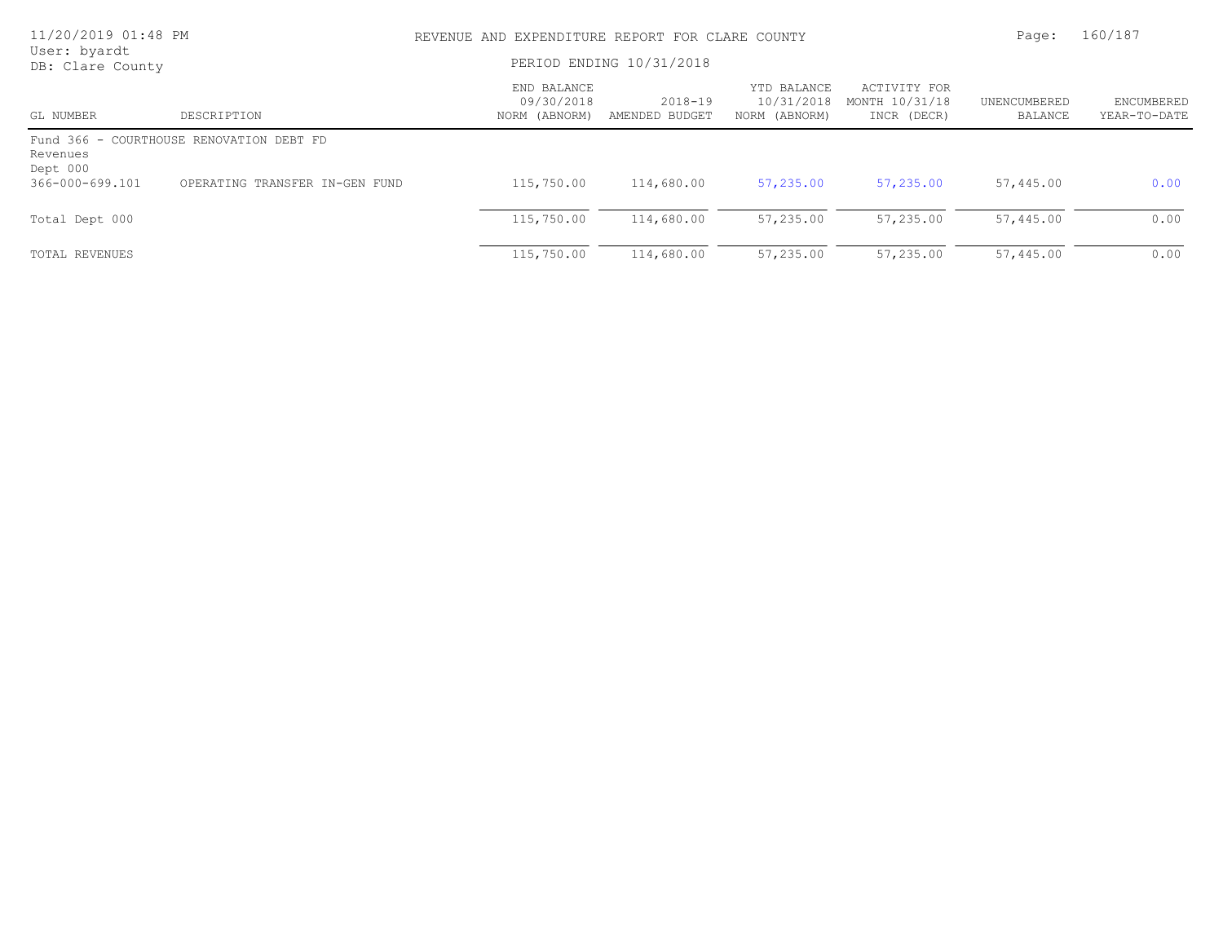| 11/20/2019 01:48 PM<br>User: byardt |                                          | REVENUE AND EXPENDITURE REPORT FOR CLARE COUNTY |                               |                                            |                                               |                         | 160/187                    |  |
|-------------------------------------|------------------------------------------|-------------------------------------------------|-------------------------------|--------------------------------------------|-----------------------------------------------|-------------------------|----------------------------|--|
| DB: Clare County                    |                                          | PERIOD ENDING 10/31/2018                        |                               |                                            |                                               |                         |                            |  |
| GL NUMBER                           | DESCRIPTION                              | END BALANCE<br>09/30/2018<br>NORM (ABNORM)      | $2018 - 19$<br>AMENDED BUDGET | YTD BALANCE<br>10/31/2018<br>NORM (ABNORM) | ACTIVITY FOR<br>MONTH 10/31/18<br>INCR (DECR) | UNENCUMBERED<br>BALANCE | ENCUMBERED<br>YEAR-TO-DATE |  |
| Revenues<br>Dept 000                | Fund 366 - COURTHOUSE RENOVATION DEBT FD |                                                 |                               |                                            |                                               |                         |                            |  |
| 366-000-699.101                     | OPERATING TRANSFER IN-GEN FUND           | 115,750.00                                      | 114,680.00                    | 57,235.00                                  | 57,235.00                                     | 57,445.00               | 0.00                       |  |
| Total Dept 000                      |                                          | 115,750.00                                      | 114,680.00                    | 57,235.00                                  | 57,235.00                                     | 57,445.00               | 0.00                       |  |
| TOTAL REVENUES                      |                                          | 115,750.00                                      | 114,680.00                    | 57,235.00                                  | 57,235.00                                     | 57,445.00               | 0.00                       |  |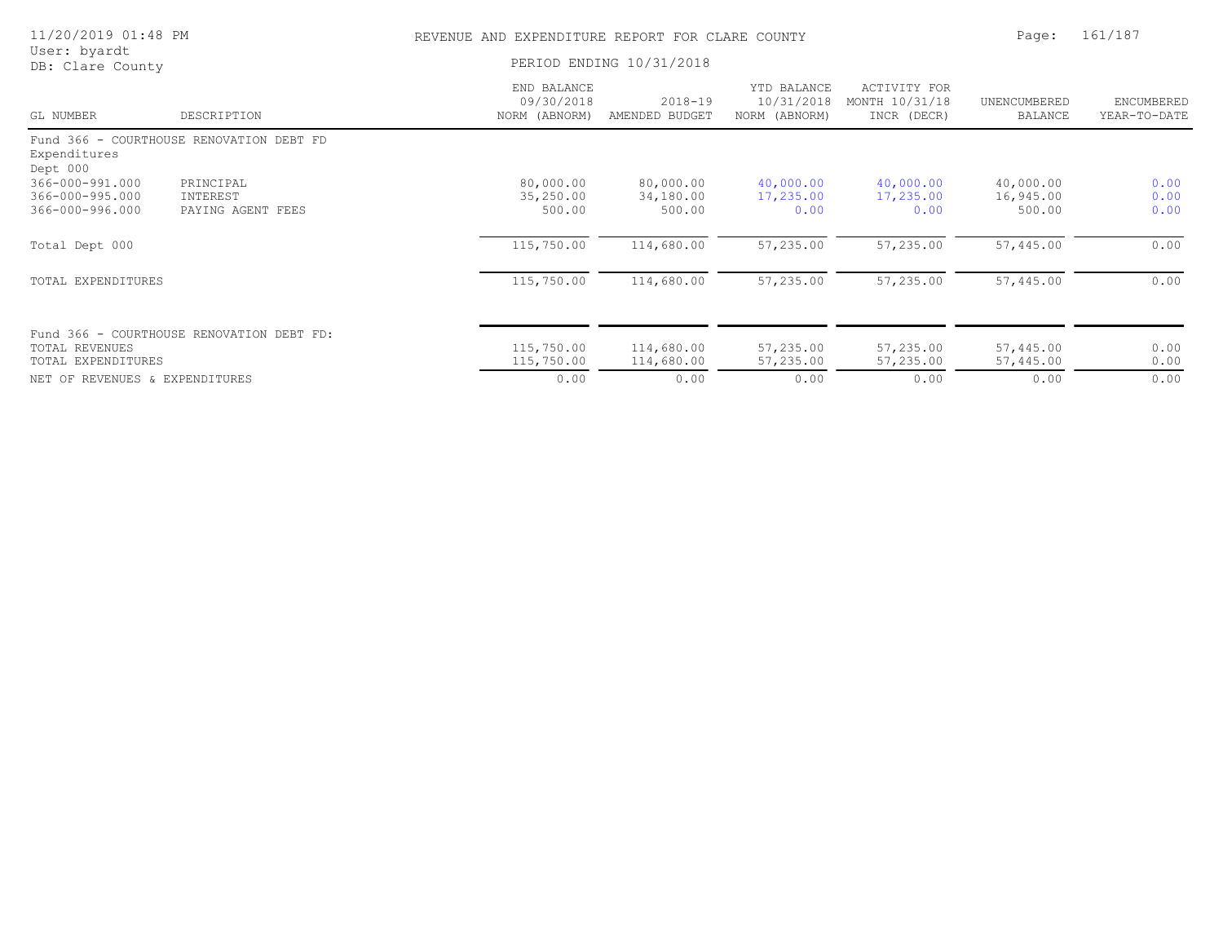| 11/20/2019 01:48 PM<br>User: byardt                   |                                            | REVENUE AND EXPENDITURE REPORT FOR CLARE COUNTY |                                  |                                            |                                               | Page:                            | 161/187                    |  |
|-------------------------------------------------------|--------------------------------------------|-------------------------------------------------|----------------------------------|--------------------------------------------|-----------------------------------------------|----------------------------------|----------------------------|--|
| DB: Clare County                                      |                                            |                                                 | PERIOD ENDING 10/31/2018         |                                            |                                               |                                  |                            |  |
| GL NUMBER                                             | DESCRIPTION                                | END BALANCE<br>09/30/2018<br>NORM (ABNORM)      | $2018 - 19$<br>AMENDED BUDGET    | YTD BALANCE<br>10/31/2018<br>NORM (ABNORM) | ACTIVITY FOR<br>MONTH 10/31/18<br>INCR (DECR) | UNENCUMBERED<br><b>BALANCE</b>   | ENCUMBERED<br>YEAR-TO-DATE |  |
| Expenditures<br>Dept 000                              | Fund 366 - COURTHOUSE RENOVATION DEBT FD   |                                                 |                                  |                                            |                                               |                                  |                            |  |
| 366-000-991.000<br>366-000-995.000<br>366-000-996.000 | PRINCIPAL<br>INTEREST<br>PAYING AGENT FEES | 80,000.00<br>35,250.00<br>500.00                | 80,000.00<br>34,180.00<br>500.00 | 40,000.00<br>17,235.00<br>0.00             | 40,000.00<br>17,235.00<br>0.00                | 40,000.00<br>16,945.00<br>500.00 | 0.00<br>0.00<br>0.00       |  |
| Total Dept 000                                        |                                            | 115,750.00                                      | 114,680.00                       | 57,235.00                                  | 57,235.00                                     | 57,445.00                        | 0.00                       |  |
| TOTAL EXPENDITURES                                    |                                            | 115,750.00                                      | 114,680.00                       | 57,235.00                                  | 57,235.00                                     | 57,445.00                        | 0.00                       |  |
| TOTAL REVENUES<br>TOTAL EXPENDITURES                  | Fund 366 - COURTHOUSE RENOVATION DEBT FD:  | 115,750.00<br>115,750.00                        | 114,680.00<br>114,680.00         | 57,235.00<br>57,235.00                     | 57,235.00<br>57,235.00                        | 57,445.00<br>57,445.00           | 0.00<br>0.00               |  |
| NET OF REVENUES & EXPENDITURES                        |                                            | 0.00                                            | 0.00                             | 0.00                                       | 0.00                                          | 0.00                             | 0.00                       |  |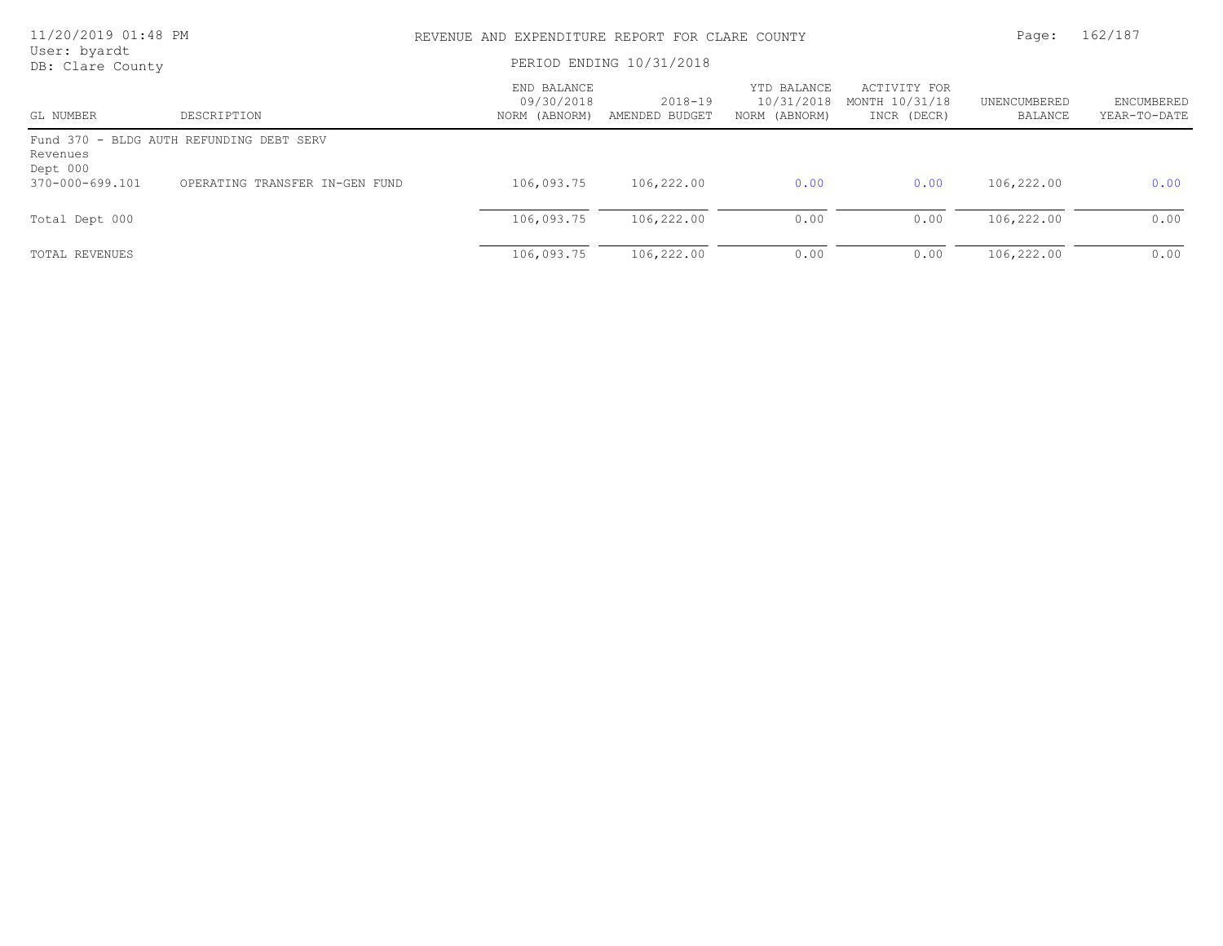| 11/20/2019 01:48 PM<br>User: byardt |                                          | REVENUE AND EXPENDITURE REPORT FOR CLARE COUNTY |                           |                                            |                                               |                         | 162/187                    |  |
|-------------------------------------|------------------------------------------|-------------------------------------------------|---------------------------|--------------------------------------------|-----------------------------------------------|-------------------------|----------------------------|--|
| DB: Clare County                    |                                          | PERIOD ENDING 10/31/2018                        |                           |                                            |                                               |                         |                            |  |
| GL NUMBER                           | DESCRIPTION                              | END BALANCE<br>09/30/2018<br>NORM (ABNORM)      | 2018-19<br>AMENDED BUDGET | YTD BALANCE<br>10/31/2018<br>NORM (ABNORM) | ACTIVITY FOR<br>MONTH 10/31/18<br>INCR (DECR) | UNENCUMBERED<br>BALANCE | ENCUMBERED<br>YEAR-TO-DATE |  |
| Revenues<br>Dept 000                | Fund 370 - BLDG AUTH REFUNDING DEBT SERV |                                                 |                           |                                            |                                               |                         |                            |  |
| 370-000-699.101                     | OPERATING TRANSFER IN-GEN FUND           | 106,093.75                                      | 106,222.00                | 0.00                                       | 0.00                                          | 106,222.00              | 0.00                       |  |
| Total Dept 000                      |                                          | 106,093.75                                      | 106,222.00                | 0.00                                       | 0.00                                          | 106,222.00              | 0.00                       |  |
| TOTAL REVENUES                      |                                          | 106,093.75                                      | 106,222.00                | 0.00                                       | 0.00                                          | 106,222.00              | 0.00                       |  |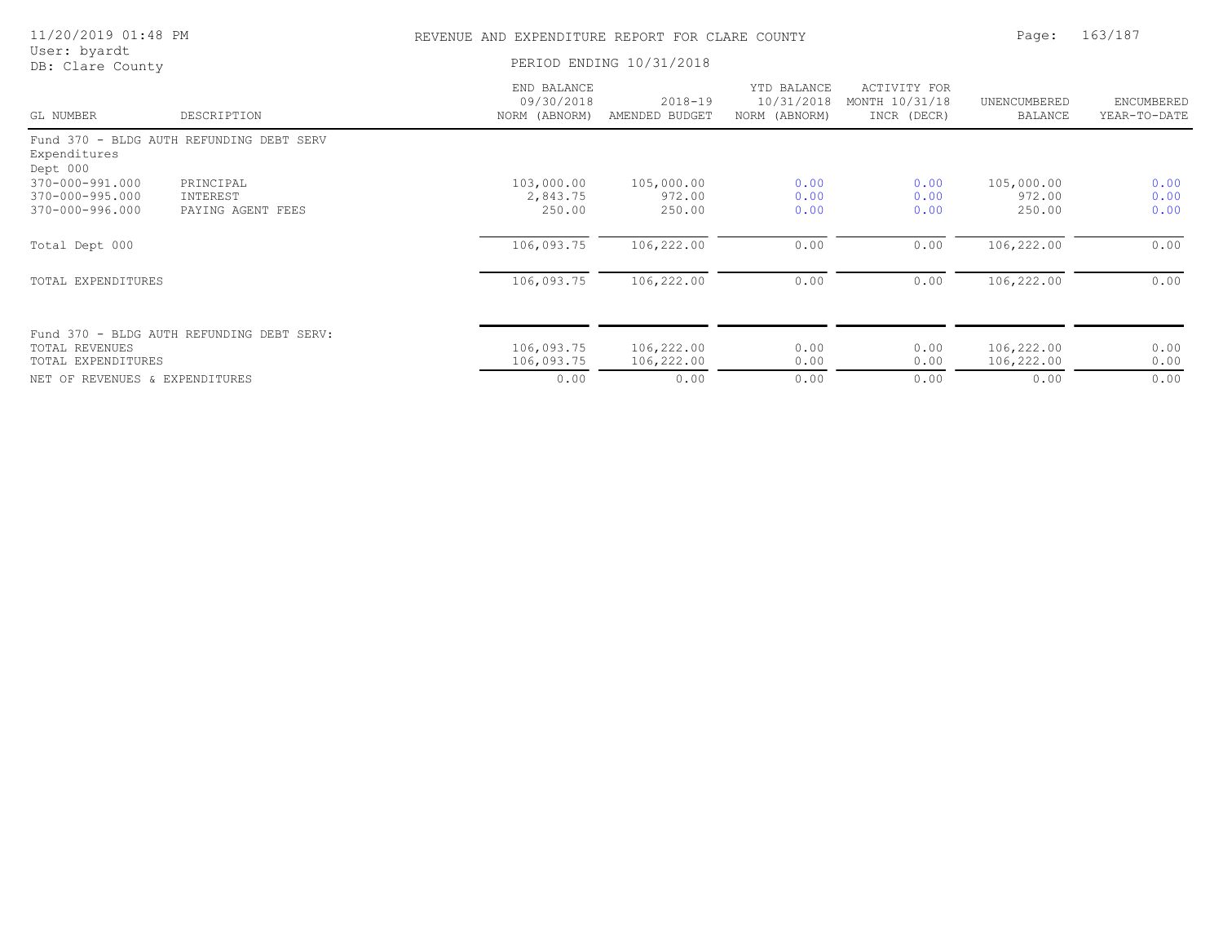| 11/20/2019 01:48 PM                                   |                                            | REVENUE AND EXPENDITURE REPORT FOR CLARE COUNTY |                                |                                            |                                                      | Page:                          | 163/187                    |
|-------------------------------------------------------|--------------------------------------------|-------------------------------------------------|--------------------------------|--------------------------------------------|------------------------------------------------------|--------------------------------|----------------------------|
| User: byardt<br>DB: Clare County                      |                                            |                                                 | PERIOD ENDING 10/31/2018       |                                            |                                                      |                                |                            |
| GL NUMBER                                             | DESCRIPTION                                | END BALANCE<br>09/30/2018<br>NORM (ABNORM)      | $2018 - 19$<br>AMENDED BUDGET  | YTD BALANCE<br>10/31/2018<br>NORM (ABNORM) | <b>ACTIVITY FOR</b><br>MONTH 10/31/18<br>INCR (DECR) | UNENCUMBERED<br><b>BALANCE</b> | ENCUMBERED<br>YEAR-TO-DATE |
| Expenditures<br>Dept 000                              | Fund 370 - BLDG AUTH REFUNDING DEBT SERV   |                                                 |                                |                                            |                                                      |                                |                            |
| 370-000-991.000<br>370-000-995.000<br>370-000-996.000 | PRINCIPAL<br>INTEREST<br>PAYING AGENT FEES | 103,000.00<br>2,843.75<br>250.00                | 105,000.00<br>972.00<br>250.00 | 0.00<br>0.00<br>0.00                       | 0.00<br>0.00<br>0.00                                 | 105,000.00<br>972.00<br>250.00 | 0.00<br>0.00<br>0.00       |
| Total Dept 000                                        |                                            | 106,093.75                                      | 106,222.00                     | 0.00                                       | 0.00                                                 | 106,222.00                     | 0.00                       |
| TOTAL EXPENDITURES                                    |                                            | 106,093.75                                      | 106,222.00                     | 0.00                                       | 0.00                                                 | 106,222.00                     | 0.00                       |
| <b>TOTAL REVENUES</b><br>TOTAL EXPENDITURES           | Fund 370 - BLDG AUTH REFUNDING DEBT SERV:  | 106,093.75<br>106,093.75                        | 106,222.00<br>106,222.00       | 0.00<br>0.00                               | 0.00<br>0.00                                         | 106,222.00<br>106,222.00       | 0.00<br>0.00               |
| NET OF REVENUES & EXPENDITURES                        |                                            | 0.00                                            | 0.00                           | 0.00                                       | 0.00                                                 | 0.00                           | 0.00                       |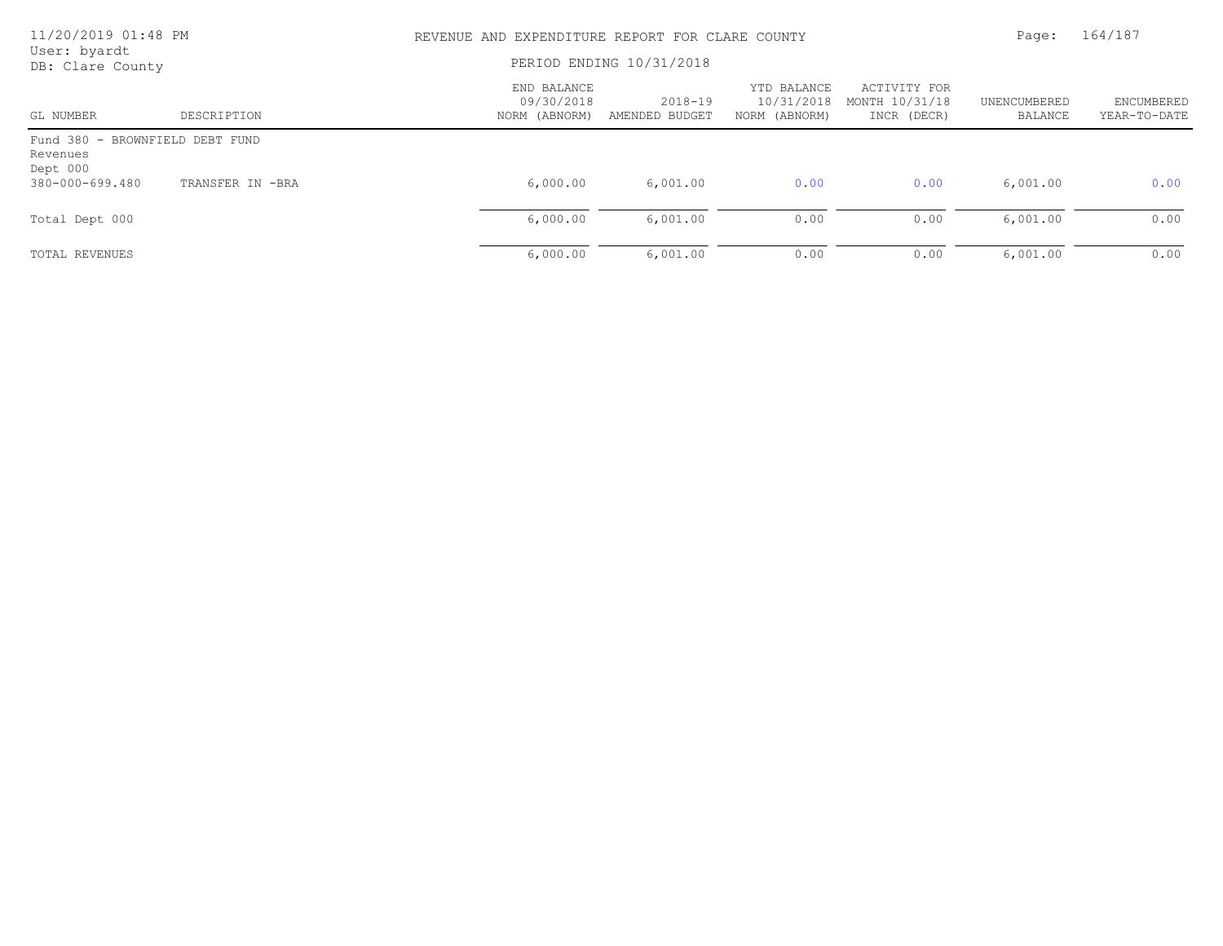| 11/20/2019 01:48 PM<br>User: byardt                     |                  | REVENUE AND EXPENDITURE REPORT FOR CLARE COUNTY |                           |                                            |                                               |                         | 164/187                           |  |
|---------------------------------------------------------|------------------|-------------------------------------------------|---------------------------|--------------------------------------------|-----------------------------------------------|-------------------------|-----------------------------------|--|
| DB: Clare County                                        |                  | PERIOD ENDING 10/31/2018                        |                           |                                            |                                               |                         |                                   |  |
| GL NUMBER                                               | DESCRIPTION      | END BALANCE<br>09/30/2018<br>NORM (ABNORM)      | 2018-19<br>AMENDED BUDGET | YTD BALANCE<br>10/31/2018<br>NORM (ABNORM) | ACTIVITY FOR<br>MONTH 10/31/18<br>INCR (DECR) | UNENCUMBERED<br>BALANCE | <b>ENCUMBERED</b><br>YEAR-TO-DATE |  |
| Fund 380 - BROWNFIELD DEBT FUND<br>Revenues<br>Dept 000 |                  |                                                 |                           |                                            |                                               |                         |                                   |  |
| 380-000-699.480                                         | TRANSFER IN -BRA | 6,000.00                                        | 6,001.00                  | 0.00                                       | 0.00                                          | 6,001.00                | 0.00                              |  |
| Total Dept 000                                          |                  | 6,000.00                                        | 6,001.00                  | 0.00                                       | 0.00                                          | 6,001.00                | 0.00                              |  |
| TOTAL REVENUES                                          |                  | 6,000.00                                        | 6,001.00                  | 0.00                                       | 0.00                                          | 6,001.00                | 0.00                              |  |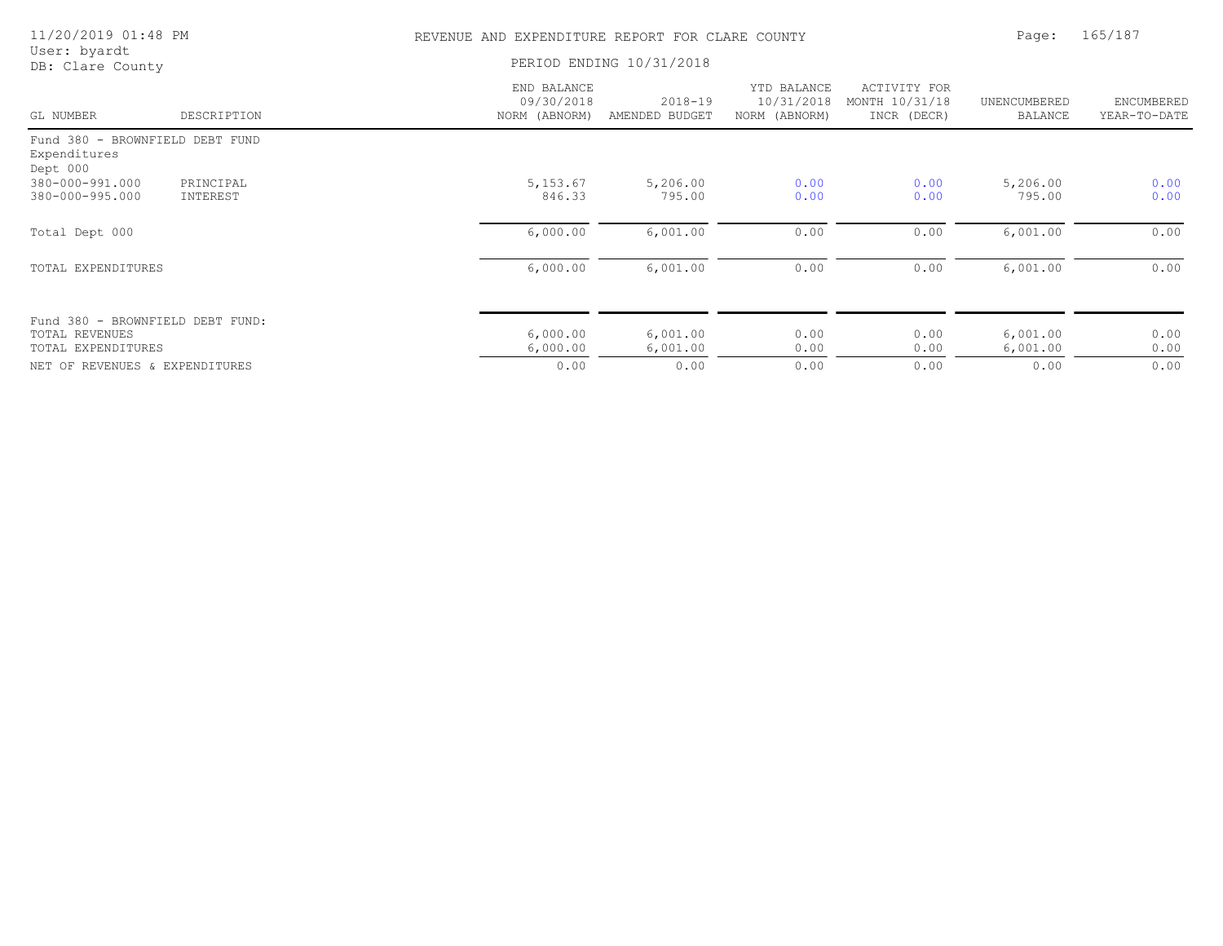| 11/20/2019 01:48 PM                         |                       |                                            | REVENUE AND EXPENDITURE REPORT FOR CLARE COUNTY |                                            |                                               |                         |                            |
|---------------------------------------------|-----------------------|--------------------------------------------|-------------------------------------------------|--------------------------------------------|-----------------------------------------------|-------------------------|----------------------------|
| User: byardt<br>DB: Clare County            |                       |                                            | PERIOD ENDING 10/31/2018                        |                                            |                                               |                         |                            |
| GL NUMBER                                   | DESCRIPTION           | END BALANCE<br>09/30/2018<br>NORM (ABNORM) | $2018 - 19$<br>AMENDED BUDGET                   | YTD BALANCE<br>10/31/2018<br>NORM (ABNORM) | ACTIVITY FOR<br>MONTH 10/31/18<br>INCR (DECR) | UNENCUMBERED<br>BALANCE | ENCUMBERED<br>YEAR-TO-DATE |
| Fund 380 - BROWNFIELD DEBT FUND             |                       |                                            |                                                 |                                            |                                               |                         |                            |
| Expenditures<br>Dept 000                    |                       |                                            |                                                 |                                            |                                               |                         |                            |
| 380-000-991.000<br>380-000-995.000          | PRINCIPAL<br>INTEREST | 5, 153.67<br>846.33                        | 5,206.00<br>795.00                              | 0.00<br>0.00                               | 0.00<br>0.00                                  | 5,206.00<br>795.00      | 0.00<br>0.00               |
| Total Dept 000                              |                       | 6,000.00                                   | 6,001.00                                        | 0.00                                       | 0.00                                          | 6,001.00                | 0.00                       |
| TOTAL EXPENDITURES                          |                       | 6,000.00                                   | 6,001.00                                        | 0.00                                       | 0.00                                          | 6,001.00                | 0.00                       |
| Fund 380 - BROWNFIELD DEBT FUND:            |                       |                                            |                                                 |                                            |                                               |                         |                            |
| <b>TOTAL REVENUES</b><br>TOTAL EXPENDITURES |                       | 6,000.00<br>6,000.00                       | 6,001.00<br>6,001.00                            | 0.00<br>0.00                               | 0.00<br>0.00                                  | 6,001.00<br>6,001.00    | 0.00<br>0.00               |
| NET OF REVENUES & EXPENDITURES              |                       | 0.00                                       | 0.00                                            | 0.00                                       | 0.00                                          | 0.00                    | 0.00                       |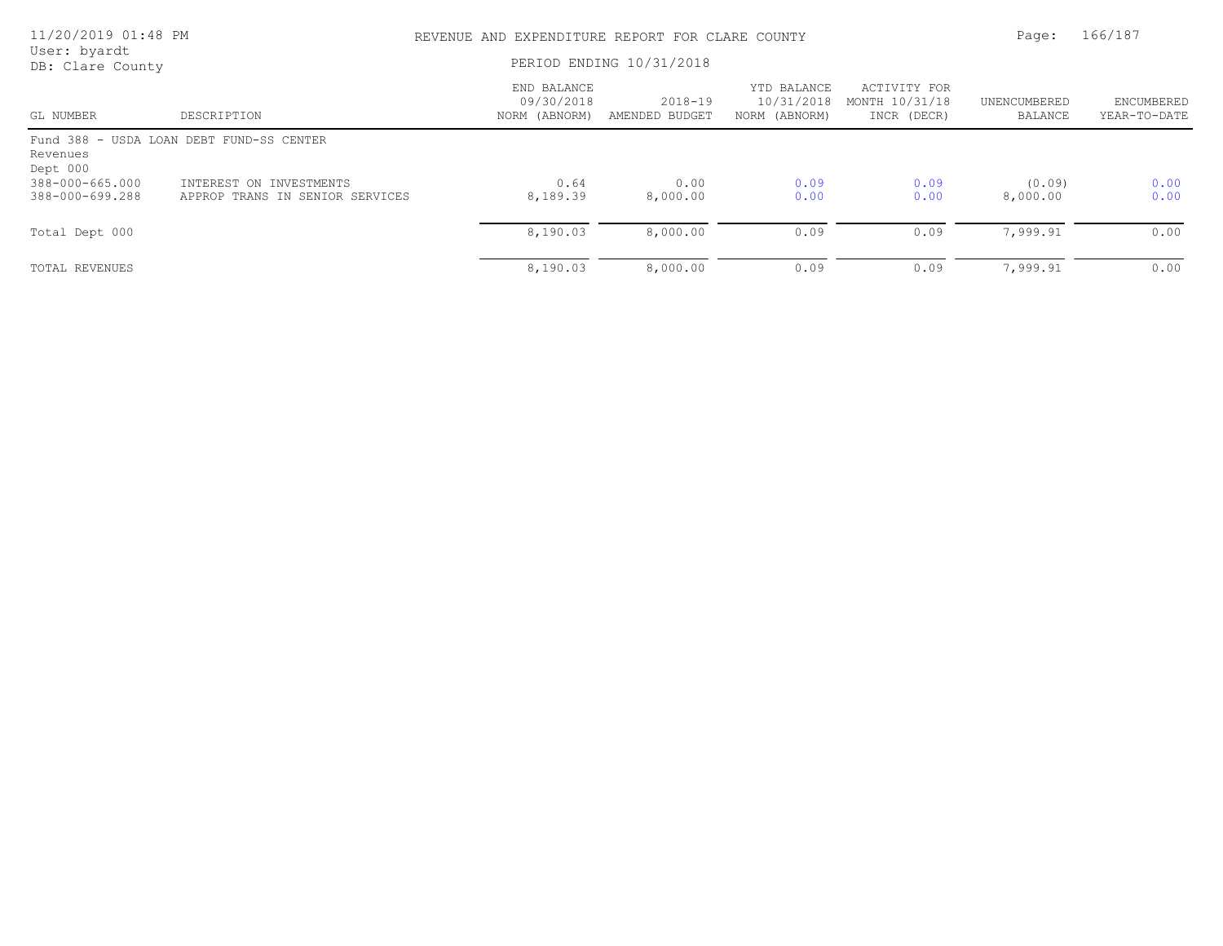| 11/20/2019 01:48 PM                |                                                            | REVENUE AND EXPENDITURE REPORT FOR CLARE COUNTY |                               |                                            |                                               |                         | 166/187                    |  |
|------------------------------------|------------------------------------------------------------|-------------------------------------------------|-------------------------------|--------------------------------------------|-----------------------------------------------|-------------------------|----------------------------|--|
| User: byardt<br>DB: Clare County   |                                                            | PERIOD ENDING 10/31/2018                        |                               |                                            |                                               |                         |                            |  |
| GL NUMBER                          | DESCRIPTION                                                | END BALANCE<br>09/30/2018<br>NORM (ABNORM)      | $2018 - 19$<br>AMENDED BUDGET | YTD BALANCE<br>10/31/2018<br>NORM (ABNORM) | ACTIVITY FOR<br>MONTH 10/31/18<br>INCR (DECR) | UNENCUMBERED<br>BALANCE | ENCUMBERED<br>YEAR-TO-DATE |  |
| Revenues<br>Dept 000               | Fund 388 - USDA LOAN DEBT FUND-SS CENTER                   |                                                 |                               |                                            |                                               |                         |                            |  |
| 388-000-665.000<br>388-000-699.288 | INTEREST ON INVESTMENTS<br>APPROP TRANS IN SENIOR SERVICES | 0.64<br>8,189.39                                | 0.00<br>8,000.00              | 0.09<br>0.00                               | 0.09<br>0.00                                  | (0.09)<br>8,000.00      | 0.00<br>0.00               |  |
| Total Dept 000                     |                                                            | 8,190.03                                        | 8,000.00                      | 0.09                                       | 0.09                                          | 7,999.91                | 0.00                       |  |
| TOTAL REVENUES                     |                                                            | 8,190.03                                        | 8,000.00                      | 0.09                                       | 0.09                                          | 7,999.91                | 0.00                       |  |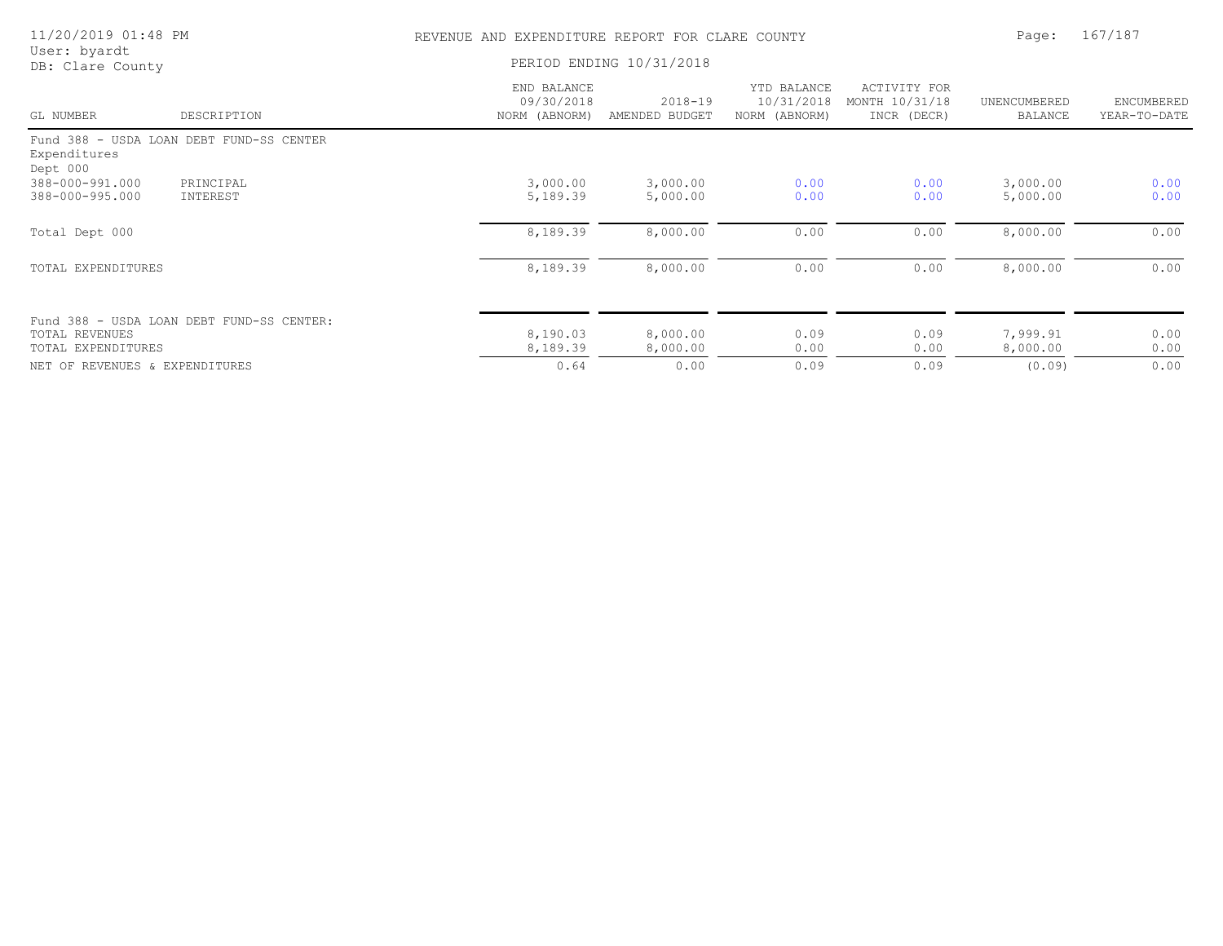| 11/20/2019 01:48 PM              |                                           | REVENUE AND EXPENDITURE REPORT FOR CLARE COUNTY |                               |                                            |                                               |                                | 167/187                    |  |
|----------------------------------|-------------------------------------------|-------------------------------------------------|-------------------------------|--------------------------------------------|-----------------------------------------------|--------------------------------|----------------------------|--|
| User: byardt<br>DB: Clare County |                                           | PERIOD ENDING 10/31/2018                        |                               |                                            |                                               |                                |                            |  |
| GL NUMBER                        | DESCRIPTION                               | END BALANCE<br>09/30/2018<br>NORM (ABNORM)      | $2018 - 19$<br>AMENDED BUDGET | YTD BALANCE<br>10/31/2018<br>NORM (ABNORM) | ACTIVITY FOR<br>MONTH 10/31/18<br>INCR (DECR) | UNENCUMBERED<br><b>BALANCE</b> | ENCUMBERED<br>YEAR-TO-DATE |  |
|                                  | Fund 388 - USDA LOAN DEBT FUND-SS CENTER  |                                                 |                               |                                            |                                               |                                |                            |  |
| Expenditures<br>Dept 000         |                                           |                                                 |                               |                                            |                                               |                                |                            |  |
| 388-000-991.000                  | PRINCIPAL                                 | 3,000.00                                        | 3,000.00                      | 0.00                                       | 0.00                                          | 3,000.00                       | 0.00                       |  |
| 388-000-995.000                  | INTEREST                                  | 5,189.39                                        | 5,000.00                      | 0.00                                       | 0.00                                          | 5,000.00                       | 0.00                       |  |
| Total Dept 000                   |                                           | 8,189.39                                        | 8,000.00                      | 0.00                                       | 0.00                                          | 8,000.00                       | 0.00                       |  |
| TOTAL EXPENDITURES               |                                           | 8,189.39                                        | 8,000.00                      | 0.00                                       | 0.00                                          | 8,000.00                       | 0.00                       |  |
|                                  | Fund 388 - USDA LOAN DEBT FUND-SS CENTER: |                                                 |                               |                                            |                                               |                                |                            |  |
| <b>TOTAL REVENUES</b>            |                                           | 8,190.03                                        | 8,000.00                      | 0.09                                       | 0.09                                          | 7,999.91                       | 0.00                       |  |
| TOTAL EXPENDITURES               |                                           | 8,189.39                                        | 8,000.00                      | 0.00                                       | 0.00                                          | 8,000.00                       | 0.00                       |  |
| NET OF REVENUES & EXPENDITURES   |                                           | 0.64                                            | 0.00                          | 0.09                                       | 0.09                                          | (0.09)                         | 0.00                       |  |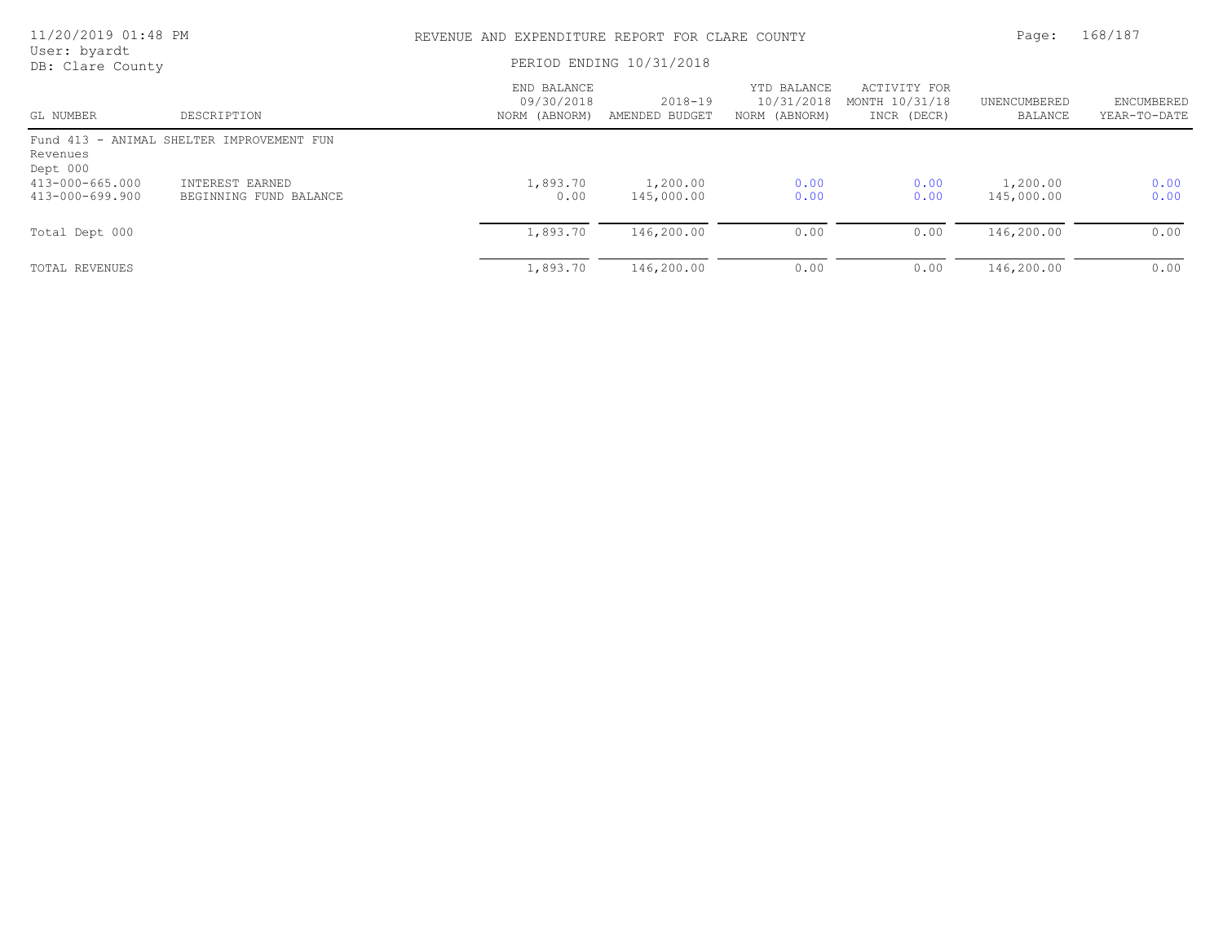| 11/20/2019 01:48 PM                |                                           | REVENUE AND EXPENDITURE REPORT FOR CLARE COUNTY | Page:                         | 168/187                                    |                                               |                         |                            |
|------------------------------------|-------------------------------------------|-------------------------------------------------|-------------------------------|--------------------------------------------|-----------------------------------------------|-------------------------|----------------------------|
| User: byardt<br>DB: Clare County   |                                           | PERIOD ENDING 10/31/2018                        |                               |                                            |                                               |                         |                            |
| GL NUMBER                          | DESCRIPTION                               | END BALANCE<br>09/30/2018<br>NORM (ABNORM)      | $2018 - 19$<br>AMENDED BUDGET | YTD BALANCE<br>10/31/2018<br>NORM (ABNORM) | ACTIVITY FOR<br>MONTH 10/31/18<br>INCR (DECR) | UNENCUMBERED<br>BALANCE | ENCUMBERED<br>YEAR-TO-DATE |
| Revenues<br>Dept 000               | Fund 413 - ANIMAL SHELTER IMPROVEMENT FUN |                                                 |                               |                                            |                                               |                         |                            |
| 413-000-665.000<br>413-000-699.900 | INTEREST EARNED<br>BEGINNING FUND BALANCE | 1,893.70<br>0.00                                | 1,200.00<br>145,000.00        | 0.00<br>0.00                               | 0.00<br>0.00                                  | 1,200.00<br>145,000.00  | 0.00<br>0.00               |
| Total Dept 000                     |                                           | 1,893.70                                        | 146,200.00                    | 0.00                                       | 0.00                                          | 146,200.00              | 0.00                       |
| TOTAL REVENUES                     |                                           | 1,893.70                                        | 146,200.00                    | 0.00                                       | 0.00                                          | 146,200.00              | 0.00                       |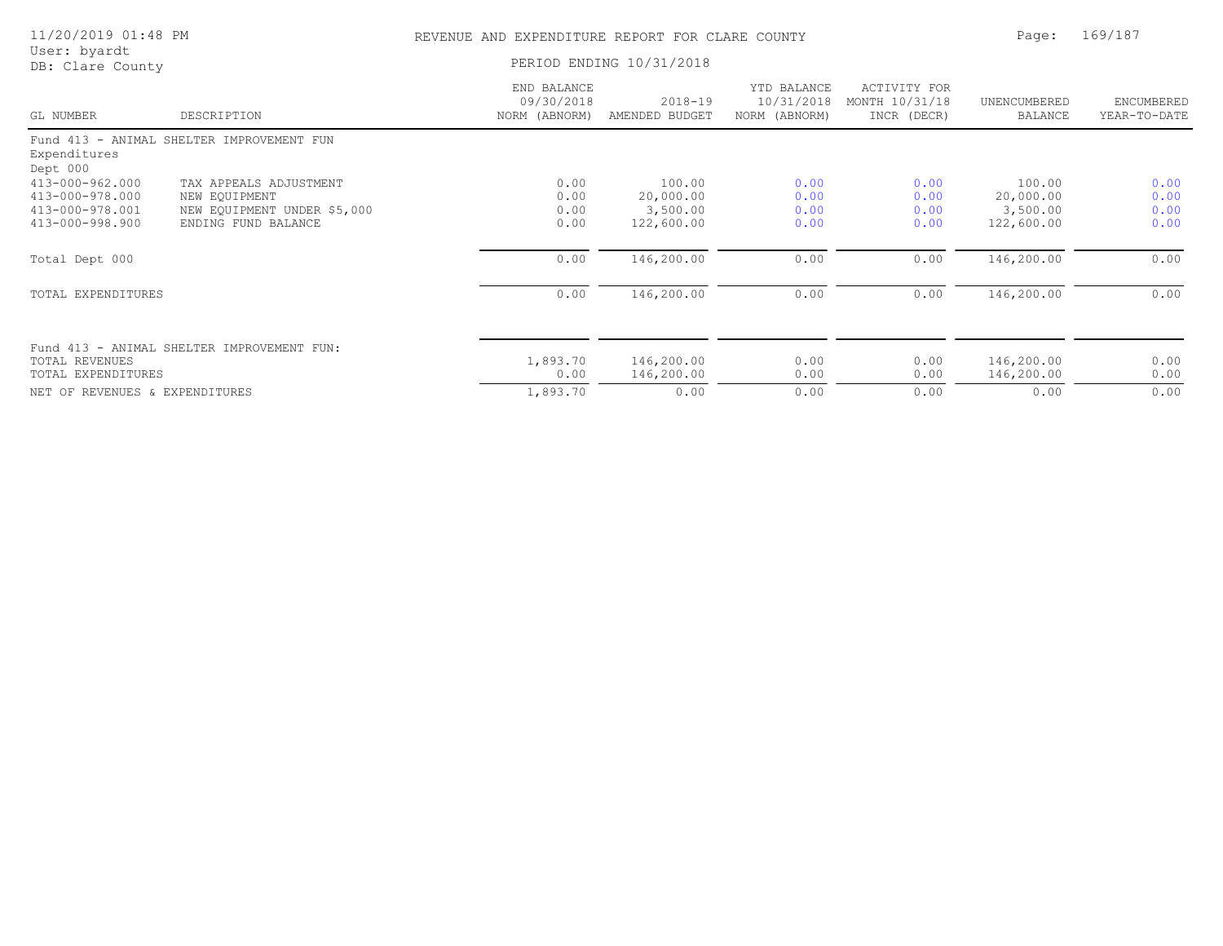|  | 11/20/2019 01:48 PM |  |  |  |
|--|---------------------|--|--|--|
|--|---------------------|--|--|--|

## REVENUE AND EXPENDITURE REPORT FOR CLARE COUNTY FOR PAGE PAGE: 169/187

| User: byardt |                  |
|--------------|------------------|
|              | DB: Clare County |

PERIOD ENDING 10/31/2018

| GL NUMBER                      | DESCRIPTION                                | END BALANCE<br>09/30/2018<br>NORM (ABNORM) | $2018 - 19$<br>AMENDED BUDGET | YTD BALANCE<br>10/31/2018<br>NORM (ABNORM) | ACTIVITY FOR<br>MONTH 10/31/18<br>INCR (DECR) | UNENCUMBERED<br>BALANCE | ENCUMBERED<br>YEAR-TO-DATE |
|--------------------------------|--------------------------------------------|--------------------------------------------|-------------------------------|--------------------------------------------|-----------------------------------------------|-------------------------|----------------------------|
|                                | Fund 413 - ANIMAL SHELTER IMPROVEMENT FUN  |                                            |                               |                                            |                                               |                         |                            |
| Expenditures                   |                                            |                                            |                               |                                            |                                               |                         |                            |
| Dept 000                       |                                            |                                            |                               |                                            |                                               |                         |                            |
| 413-000-962.000                | TAX APPEALS ADJUSTMENT                     | 0.00                                       | 100.00                        | 0.00                                       | 0.00                                          | 100.00                  | 0.00                       |
| 413-000-978.000                | NEW EOUIPMENT                              | 0.00                                       | 20,000.00                     | 0.00                                       | 0.00                                          | 20,000.00               | 0.00                       |
| 413-000-978.001                | NEW EQUIPMENT UNDER \$5,000                | 0.00                                       | 3,500.00                      | 0.00                                       | 0.00                                          | 3,500.00                | 0.00                       |
| 413-000-998.900                | ENDING FUND BALANCE                        | 0.00                                       | 122,600.00                    | 0.00                                       | 0.00                                          | 122,600.00              | 0.00                       |
| Total Dept 000                 |                                            | 0.00                                       | 146,200.00                    | 0.00                                       | 0.00                                          | 146,200.00              | 0.00                       |
| TOTAL EXPENDITURES             |                                            | 0.00                                       | 146,200.00                    | 0.00                                       | 0.00                                          | 146,200.00              | 0.00                       |
|                                |                                            |                                            |                               |                                            |                                               |                         |                            |
| TOTAL REVENUES                 | Fund 413 - ANIMAL SHELTER IMPROVEMENT FUN: | 1,893.70                                   | 146,200.00                    | 0.00                                       | 0.00                                          | 146,200.00              | 0.00                       |
| TOTAL EXPENDITURES             |                                            | 0.00                                       | 146,200.00                    | 0.00                                       | 0.00                                          | 146,200.00              | 0.00                       |
| NET OF REVENUES & EXPENDITURES |                                            | 1,893.70                                   | 0.00                          | 0.00                                       | 0.00                                          | 0.00                    | 0.00                       |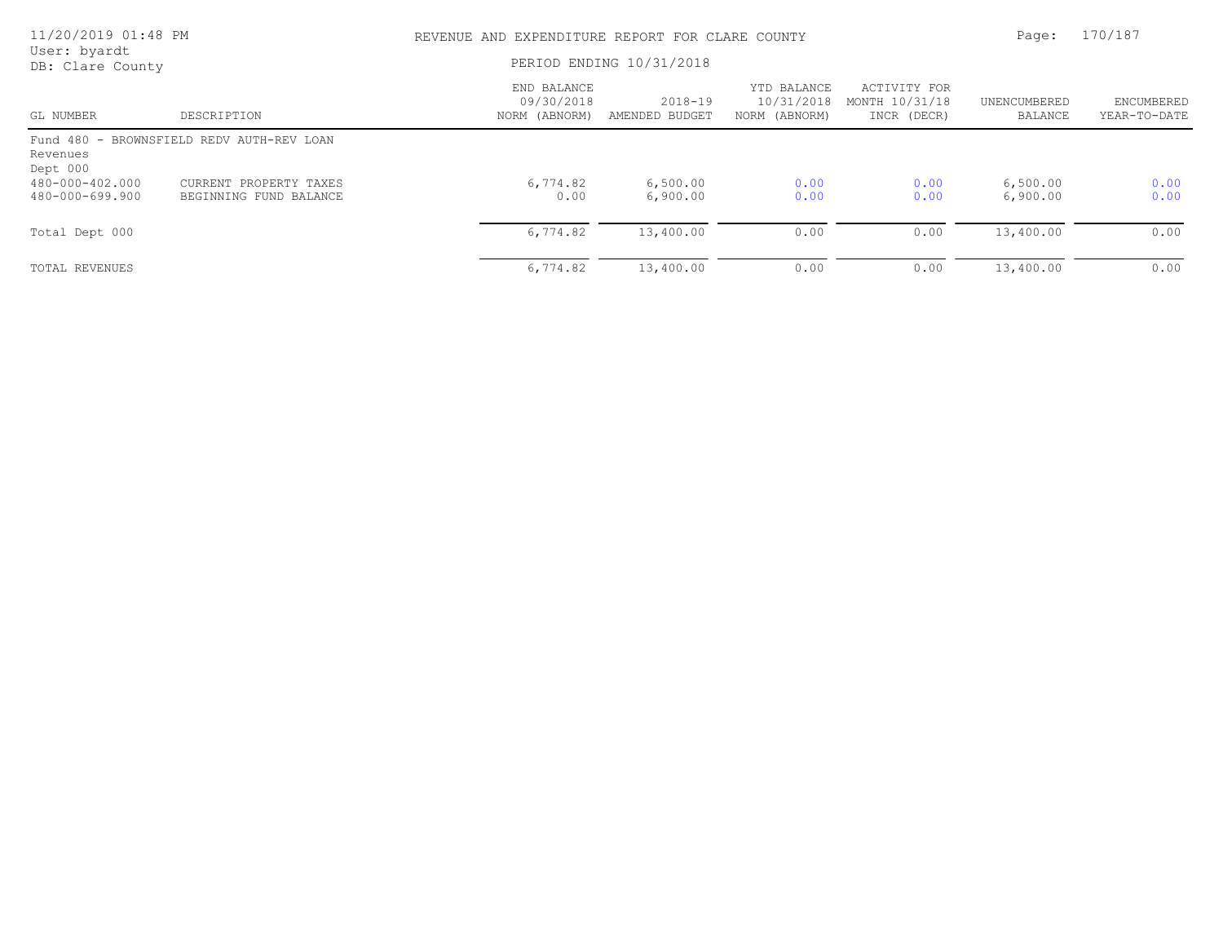| 11/20/2019 01:48 PM                |                                                  | REVENUE AND EXPENDITURE REPORT FOR CLARE COUNTY | Page:                         | 170/187                                    |                                               |                         |                                   |
|------------------------------------|--------------------------------------------------|-------------------------------------------------|-------------------------------|--------------------------------------------|-----------------------------------------------|-------------------------|-----------------------------------|
| User: byardt<br>DB: Clare County   |                                                  | PERIOD ENDING 10/31/2018                        |                               |                                            |                                               |                         |                                   |
| GL NUMBER                          | DESCRIPTION                                      | END BALANCE<br>09/30/2018<br>NORM (ABNORM)      | $2018 - 19$<br>AMENDED BUDGET | YTD BALANCE<br>10/31/2018<br>NORM (ABNORM) | ACTIVITY FOR<br>MONTH 10/31/18<br>INCR (DECR) | UNENCUMBERED<br>BALANCE | <b>ENCUMBERED</b><br>YEAR-TO-DATE |
| Revenues<br>Dept 000               | Fund 480 - BROWNSFIELD REDV AUTH-REV LOAN        |                                                 |                               |                                            |                                               |                         |                                   |
| 480-000-402.000<br>480-000-699.900 | CURRENT PROPERTY TAXES<br>BEGINNING FUND BALANCE | 6,774.82<br>0.00                                | 6,500.00<br>6,900.00          | 0.00<br>0.00                               | 0.00<br>0.00                                  | 6,500.00<br>6,900.00    | 0.00<br>0.00                      |
| Total Dept 000                     |                                                  | 6,774.82                                        | 13,400.00                     | 0.00                                       | 0.00                                          | 13,400.00               | 0.00                              |
| TOTAL REVENUES                     |                                                  | 6,774.82                                        | 13,400.00                     | 0.00                                       | 0.00                                          | 13,400.00               | 0.00                              |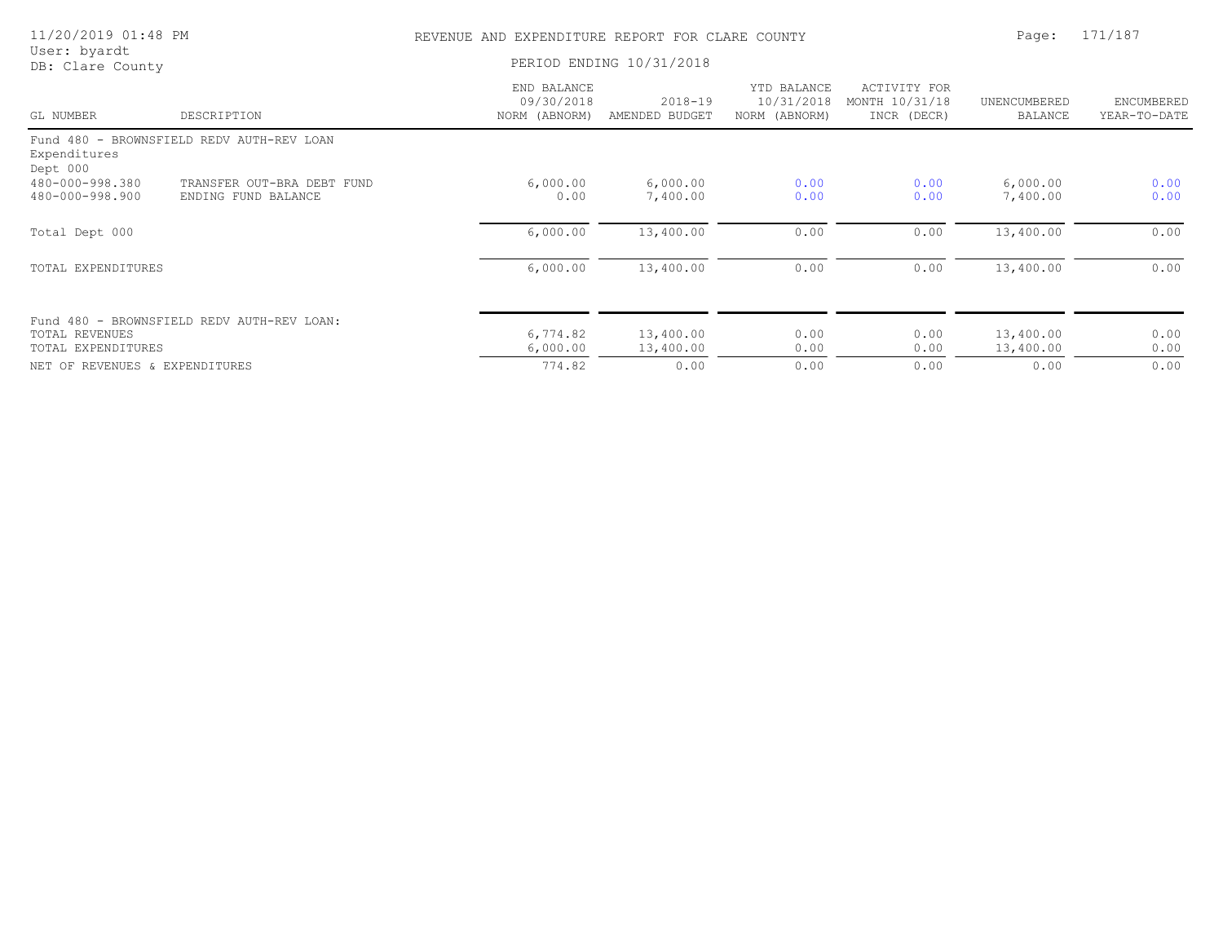| 11/20/2019 01:48 PM                         |                                                   |                                            | REVENUE AND EXPENDITURE REPORT FOR CLARE COUNTY |                                            |                                               |                         |                            |
|---------------------------------------------|---------------------------------------------------|--------------------------------------------|-------------------------------------------------|--------------------------------------------|-----------------------------------------------|-------------------------|----------------------------|
| User: byardt<br>DB: Clare County            |                                                   |                                            | PERIOD ENDING 10/31/2018                        |                                            |                                               |                         |                            |
| GL NUMBER                                   | DESCRIPTION                                       | END BALANCE<br>09/30/2018<br>NORM (ABNORM) | $2018 - 19$<br>AMENDED BUDGET                   | YTD BALANCE<br>10/31/2018<br>NORM (ABNORM) | ACTIVITY FOR<br>MONTH 10/31/18<br>INCR (DECR) | UNENCUMBERED<br>BALANCE | ENCUMBERED<br>YEAR-TO-DATE |
| Expenditures<br>Dept 000                    | Fund 480 - BROWNSFIELD REDV AUTH-REV LOAN         |                                            |                                                 |                                            |                                               |                         |                            |
| 480-000-998.380<br>480-000-998.900          | TRANSFER OUT-BRA DEBT FUND<br>ENDING FUND BALANCE | 6,000.00<br>0.00                           | 6,000.00<br>7,400.00                            | 0.00<br>0.00                               | 0.00<br>0.00                                  | 6,000.00<br>7,400.00    | 0.00<br>0.00               |
| Total Dept 000                              |                                                   | 6,000.00                                   | 13,400.00                                       | 0.00                                       | 0.00                                          | 13,400.00               | 0.00                       |
| TOTAL EXPENDITURES                          |                                                   | 6,000.00                                   | 13,400.00                                       | 0.00                                       | 0.00                                          | 13,400.00               | 0.00                       |
| <b>TOTAL REVENUES</b><br>TOTAL EXPENDITURES | Fund 480 - BROWNSFIELD REDV AUTH-REV LOAN:        | 6,774.82<br>6,000.00                       | 13,400.00<br>13,400.00                          | 0.00<br>0.00                               | 0.00<br>0.00                                  | 13,400.00<br>13,400.00  | 0.00<br>0.00               |
| NET OF REVENUES & EXPENDITURES              |                                                   | 774.82                                     | 0.00                                            | 0.00                                       | 0.00                                          | 0.00                    | 0.00                       |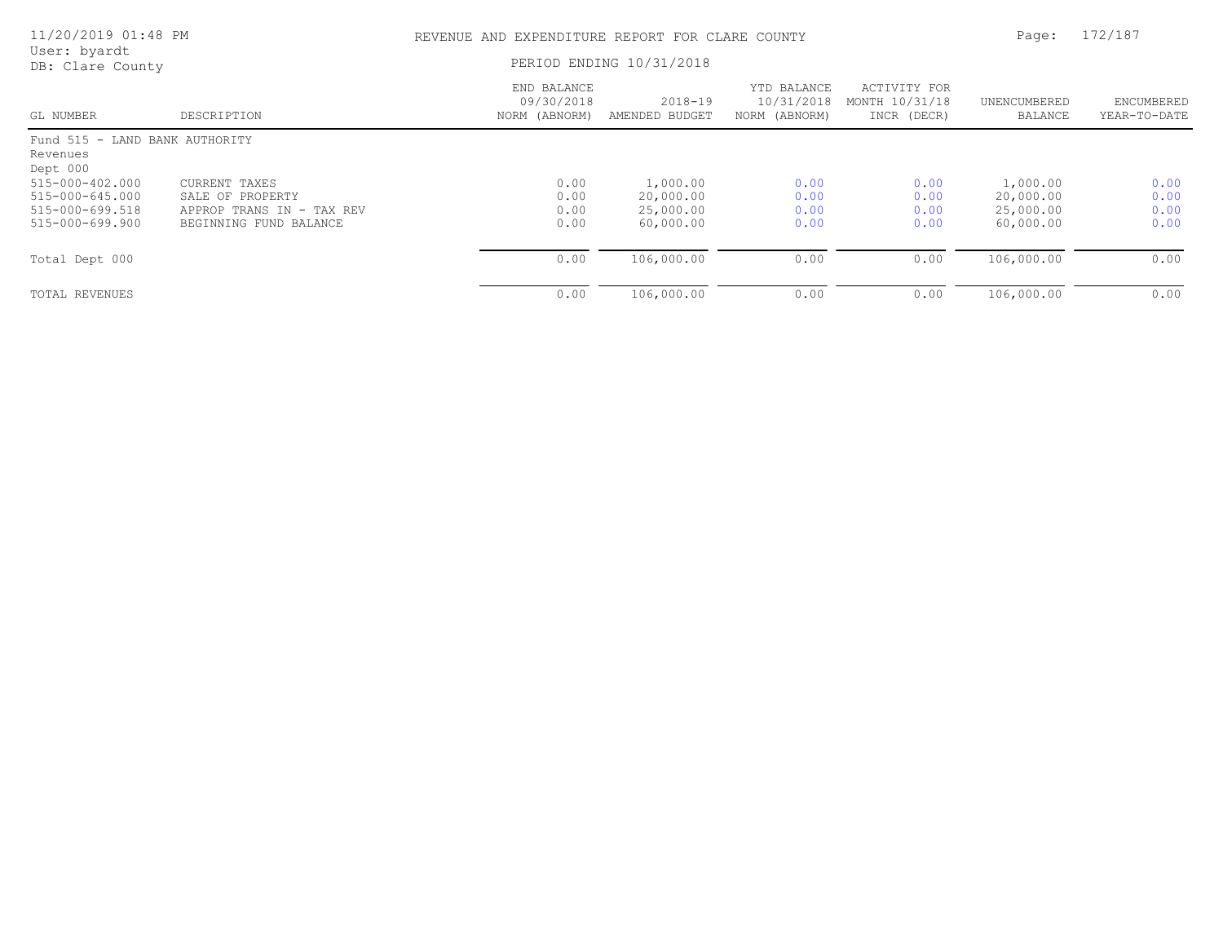| 11/20/2019 01:48 PM<br>User: byardt                    |                           | REVENUE AND EXPENDITURE REPORT FOR CLARE COUNTY | Page:                     | 172/187                                    |                                               |                         |                            |
|--------------------------------------------------------|---------------------------|-------------------------------------------------|---------------------------|--------------------------------------------|-----------------------------------------------|-------------------------|----------------------------|
| DB: Clare County                                       |                           | PERIOD ENDING 10/31/2018                        |                           |                                            |                                               |                         |                            |
| GL NUMBER                                              | DESCRIPTION               | END BALANCE<br>09/30/2018<br>NORM (ABNORM)      | 2018-19<br>AMENDED BUDGET | YTD BALANCE<br>10/31/2018<br>NORM (ABNORM) | ACTIVITY FOR<br>MONTH 10/31/18<br>INCR (DECR) | UNENCUMBERED<br>BALANCE | ENCUMBERED<br>YEAR-TO-DATE |
| Fund 515 - LAND BANK AUTHORITY<br>Revenues<br>Dept 000 |                           |                                                 |                           |                                            |                                               |                         |                            |
| 515-000-402.000                                        | CURRENT TAXES             | 0.00                                            | 1,000.00                  | 0.00                                       | 0.00                                          | 1,000.00                | 0.00                       |
| $515 - 000 - 645.000$                                  | SALE OF PROPERTY          | 0.00                                            | 20,000.00                 | 0.00                                       | 0.00                                          | 20,000.00               | 0.00                       |
| 515-000-699.518                                        | APPROP TRANS IN - TAX REV | 0.00                                            | 25,000.00                 | 0.00                                       | 0.00                                          | 25,000.00               | 0.00                       |
| 515-000-699.900                                        | BEGINNING FUND BALANCE    | 0.00                                            | 60,000.00                 | 0.00                                       | 0.00                                          | 60,000.00               | 0.00                       |
| Total Dept 000                                         |                           | 0.00                                            | 106,000.00                | 0.00                                       | 0.00                                          | 106,000.00              | 0.00                       |
| TOTAL REVENUES                                         |                           | 0.00                                            | 106,000.00                | 0.00                                       | 0.00                                          | 106,000.00              | 0.00                       |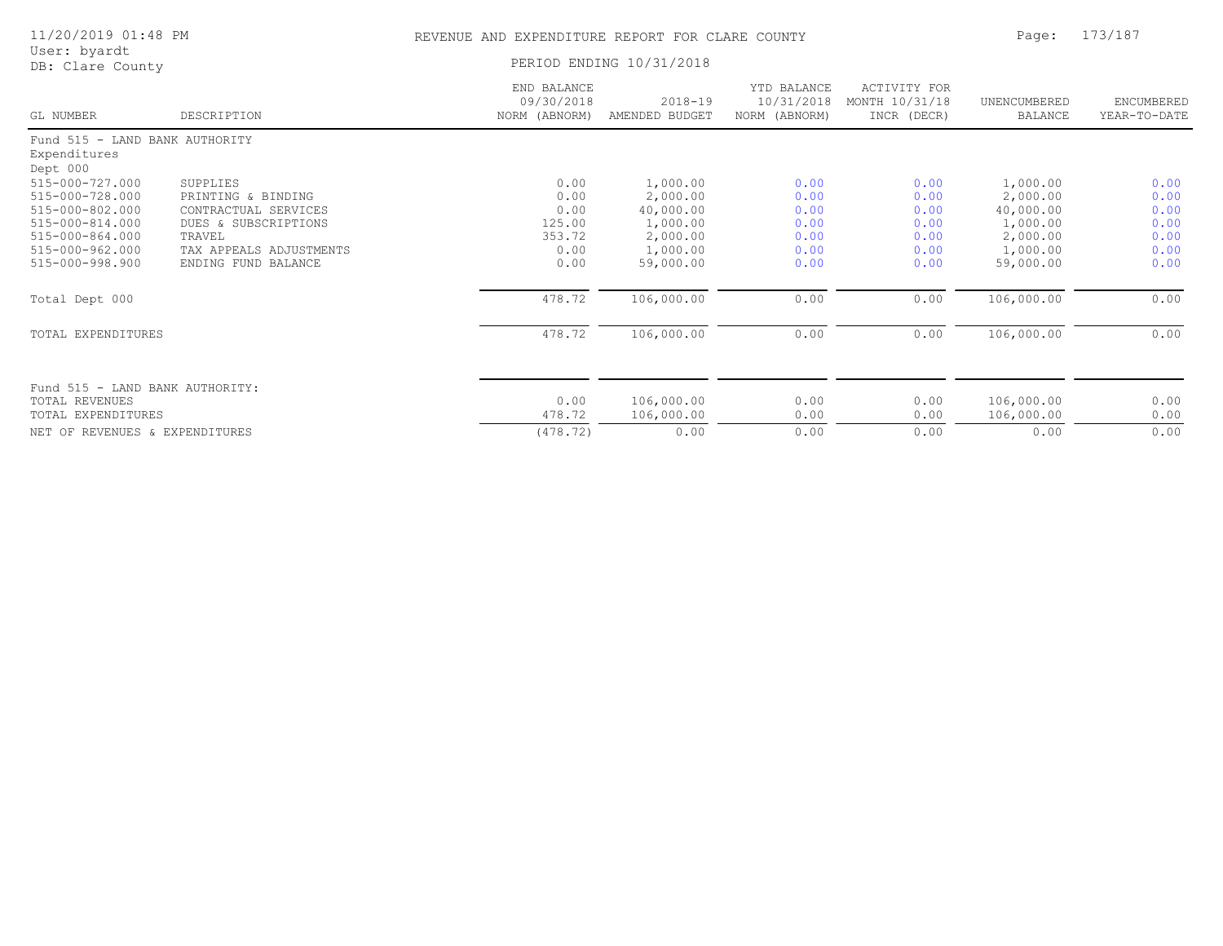| 11/20/2019 01:48 PM | REVENUE AND EXPENDITURE REPORT FOR CLARE COUNTY | Page: 173/187 |
|---------------------|-------------------------------------------------|---------------|
| User: byardt        |                                                 |               |
| DB: Clare County    | PERIOD ENDING 10/31/2018                        |               |

| GL NUMBER                          | DESCRIPTION                       | END BALANCE<br>09/30/2018<br>NORM (ABNORM) | $2018 - 19$<br>AMENDED BUDGET | YTD BALANCE<br>10/31/2018<br>NORM (ABNORM) | ACTIVITY FOR<br>MONTH 10/31/18<br>INCR (DECR) | UNENCUMBERED<br>BALANCE | ENCUMBERED<br>YEAR-TO-DATE |
|------------------------------------|-----------------------------------|--------------------------------------------|-------------------------------|--------------------------------------------|-----------------------------------------------|-------------------------|----------------------------|
| Fund 515 - LAND BANK AUTHORITY     |                                   |                                            |                               |                                            |                                               |                         |                            |
| Expenditures                       |                                   |                                            |                               |                                            |                                               |                         |                            |
| Dept 000                           |                                   |                                            |                               |                                            |                                               |                         |                            |
| 515-000-727.000                    | SUPPLIES                          | 0.00                                       | 1,000.00                      | 0.00                                       | 0.00                                          | 1,000.00                | 0.00                       |
| 515-000-728.000                    | PRINTING & BINDING                | 0.00                                       | 2,000.00                      | 0.00                                       | 0.00                                          | 2,000.00                | 0.00                       |
| 515-000-802.000                    | CONTRACTUAL SERVICES              | 0.00                                       | 40,000.00                     | 0.00                                       | 0.00                                          | 40,000.00               | 0.00                       |
| 515-000-814.000                    | DUES & SUBSCRIPTIONS              | 125.00                                     | 1,000.00                      | 0.00                                       | 0.00                                          | 1,000.00                | 0.00                       |
| 515-000-864.000<br>515-000-962.000 | TRAVEL<br>TAX APPEALS ADJUSTMENTS | 353.72<br>0.00                             | 2,000.00<br>1,000.00          | 0.00<br>0.00                               | 0.00<br>0.00                                  | 2,000.00<br>1,000.00    | 0.00<br>0.00               |
| 515-000-998.900                    | ENDING FUND BALANCE               | 0.00                                       | 59,000.00                     | 0.00                                       | 0.00                                          | 59,000.00               | 0.00                       |
|                                    |                                   |                                            |                               |                                            |                                               |                         |                            |
| Total Dept 000                     |                                   | 478.72                                     | 106,000.00                    | 0.00                                       | 0.00                                          | 106,000.00              | 0.00                       |
| TOTAL EXPENDITURES                 |                                   | 478.72                                     | 106,000.00                    | 0.00                                       | 0.00                                          | 106,000.00              | 0.00                       |
|                                    |                                   |                                            |                               |                                            |                                               |                         |                            |
| Fund 515 - LAND BANK AUTHORITY:    |                                   |                                            |                               |                                            |                                               |                         |                            |
| TOTAL REVENUES                     |                                   | 0.00                                       | 106,000.00                    | 0.00                                       | 0.00                                          | 106,000.00              | 0.00                       |
| TOTAL EXPENDITURES                 |                                   | 478.72                                     | 106,000.00                    | 0.00                                       | 0.00                                          | 106,000.00              | 0.00                       |
| NET OF REVENUES & EXPENDITURES     |                                   | (478.72)                                   | 0.00                          | 0.00                                       | 0.00                                          | 0.00                    | 0.00                       |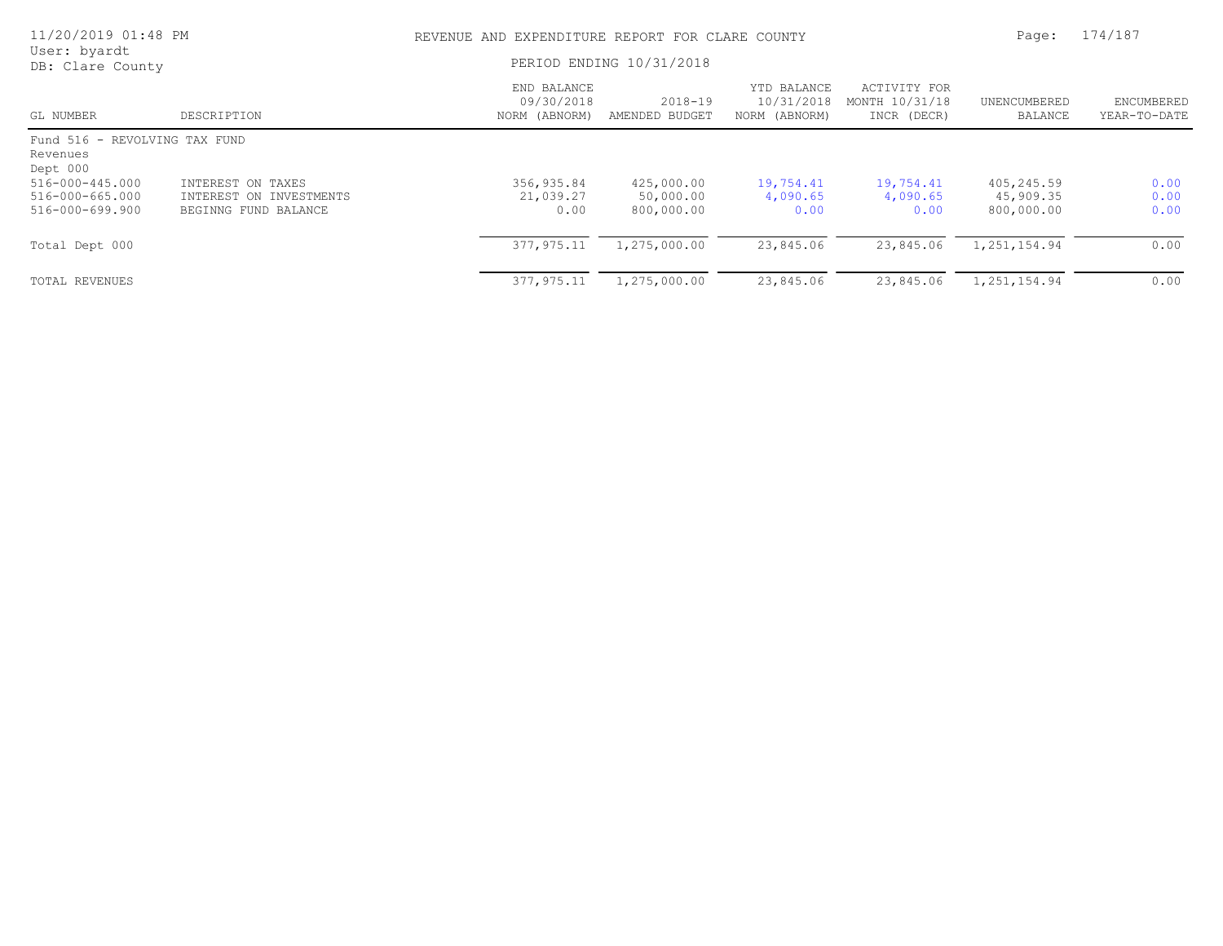| 11/20/2019 01:48 PM                                               |                                                                      | REVENUE AND EXPENDITURE REPORT FOR CLARE COUNTY |                                       |                                            |                                               | Page:                                 | 174/187                    |
|-------------------------------------------------------------------|----------------------------------------------------------------------|-------------------------------------------------|---------------------------------------|--------------------------------------------|-----------------------------------------------|---------------------------------------|----------------------------|
| User: byardt<br>DB: Clare County                                  |                                                                      |                                                 | PERIOD ENDING 10/31/2018              |                                            |                                               |                                       |                            |
| GL NUMBER                                                         | DESCRIPTION                                                          | END BALANCE<br>09/30/2018<br>NORM (ABNORM)      | $2018 - 19$<br>AMENDED BUDGET         | YTD BALANCE<br>10/31/2018<br>NORM (ABNORM) | ACTIVITY FOR<br>MONTH 10/31/18<br>INCR (DECR) | UNENCUMBERED<br>BALANCE               | ENCUMBERED<br>YEAR-TO-DATE |
| Fund 516 - REVOLVING TAX FUND<br>Revenues<br>Dept 000             |                                                                      |                                                 |                                       |                                            |                                               |                                       |                            |
| $516 - 000 - 445.000$<br>$516 - 000 - 665.000$<br>516-000-699.900 | INTEREST ON TAXES<br>INTEREST ON INVESTMENTS<br>BEGINNG FUND BALANCE | 356,935.84<br>21,039.27<br>0.00                 | 425,000.00<br>50,000.00<br>800,000.00 | 19,754.41<br>4,090.65<br>0.00              | 19,754.41<br>4,090.65<br>0.00                 | 405,245.59<br>45,909.35<br>800,000.00 | 0.00<br>0.00<br>0.00       |
| Total Dept 000                                                    |                                                                      | 377, 975.11                                     | 1,275,000.00                          | 23,845.06                                  | 23,845.06                                     | 1,251,154.94                          | 0.00                       |
| TOTAL REVENUES                                                    |                                                                      | 377,975.11                                      | 1,275,000.00                          | 23,845.06                                  | 23,845.06                                     | 1,251,154.94                          | 0.00                       |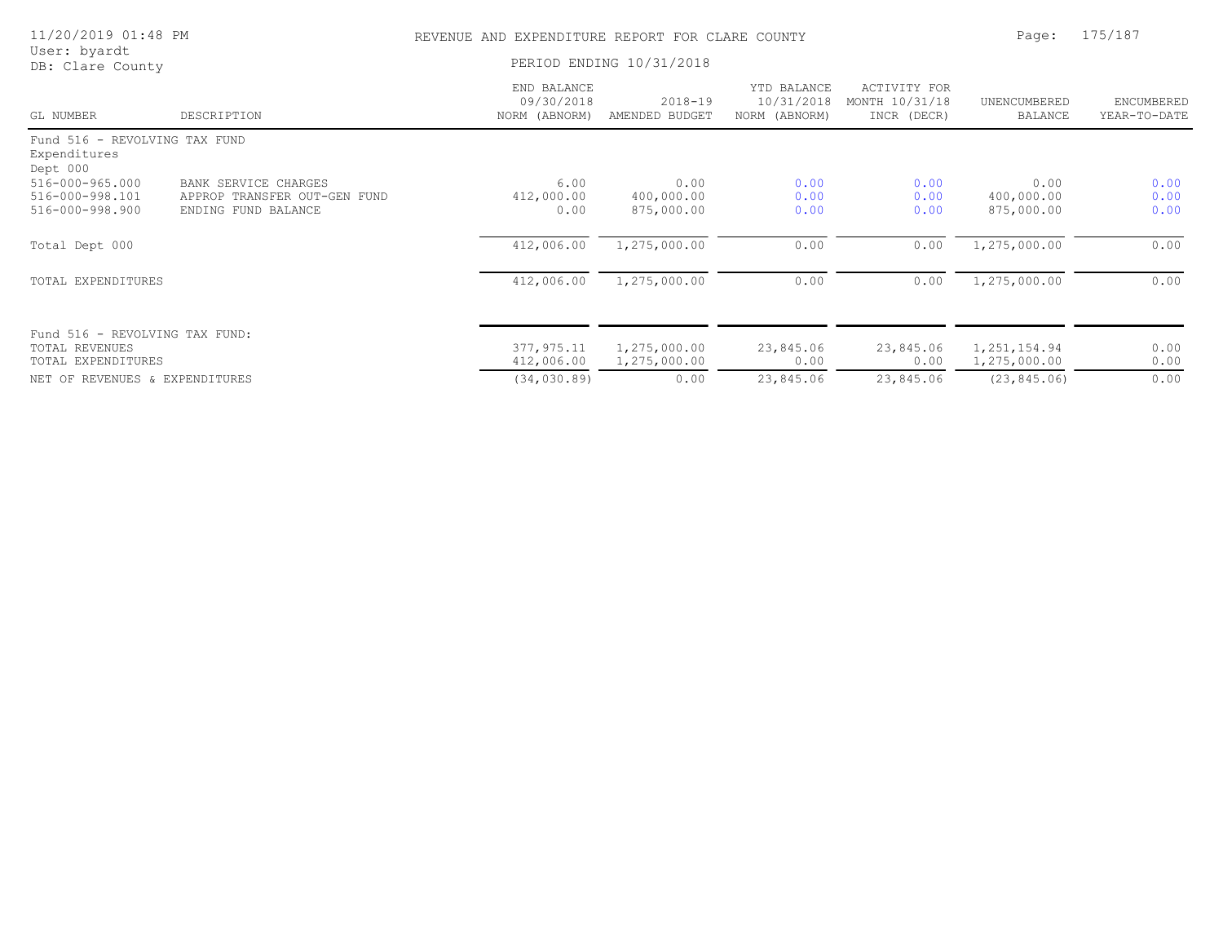| 11/20/2019 01:48 PM              |                              | REVENUE AND EXPENDITURE REPORT FOR CLARE COUNTY | Page:                         | 175/187                                    |                                               |                         |                            |
|----------------------------------|------------------------------|-------------------------------------------------|-------------------------------|--------------------------------------------|-----------------------------------------------|-------------------------|----------------------------|
| User: byardt<br>DB: Clare County | PERIOD ENDING 10/31/2018     |                                                 |                               |                                            |                                               |                         |                            |
| GL NUMBER                        | DESCRIPTION                  | END BALANCE<br>09/30/2018<br>NORM (ABNORM)      | $2018 - 19$<br>AMENDED BUDGET | YTD BALANCE<br>10/31/2018<br>NORM (ABNORM) | ACTIVITY FOR<br>MONTH 10/31/18<br>INCR (DECR) | UNENCUMBERED<br>BALANCE | ENCUMBERED<br>YEAR-TO-DATE |
| Fund 516 - REVOLVING TAX FUND    |                              |                                                 |                               |                                            |                                               |                         |                            |
| Expenditures<br>Dept 000         |                              |                                                 |                               |                                            |                                               |                         |                            |
| 516-000-965.000                  | BANK SERVICE CHARGES         | 6.00                                            | 0.00                          | 0.00                                       | 0.00                                          | 0.00                    | 0.00                       |
| 516-000-998.101                  | APPROP TRANSFER OUT-GEN FUND | 412,000.00                                      | 400,000.00                    | 0.00                                       | 0.00                                          | 400,000.00              | 0.00                       |
| 516-000-998.900                  | ENDING FUND BALANCE          | 0.00                                            | 875,000.00                    | 0.00                                       | 0.00                                          | 875,000.00              | 0.00                       |
| Total Dept 000                   |                              | 412,006.00                                      | 1,275,000.00                  | 0.00                                       | 0.00                                          | 1,275,000.00            | 0.00                       |
| TOTAL EXPENDITURES               |                              | 412,006.00                                      | 1,275,000.00                  | 0.00                                       | 0.00                                          | 1,275,000.00            | 0.00                       |
|                                  |                              |                                                 |                               |                                            |                                               |                         |                            |
| Fund 516 - REVOLVING TAX FUND:   |                              |                                                 |                               |                                            |                                               |                         |                            |
| <b>TOTAL REVENUES</b>            |                              | 377,975.11                                      | 1,275,000.00                  | 23,845.06                                  | 23,845.06                                     | 1,251,154.94            | 0.00                       |
| TOTAL EXPENDITURES               |                              | 412,006.00                                      | 1,275,000.00                  | 0.00                                       | 0.00                                          | 1,275,000.00            | 0.00                       |
| NET OF REVENUES & EXPENDITURES   |                              | (34, 030.89)                                    | 0.00                          | 23,845.06                                  | 23,845.06                                     | (23, 845.06)            | 0.00                       |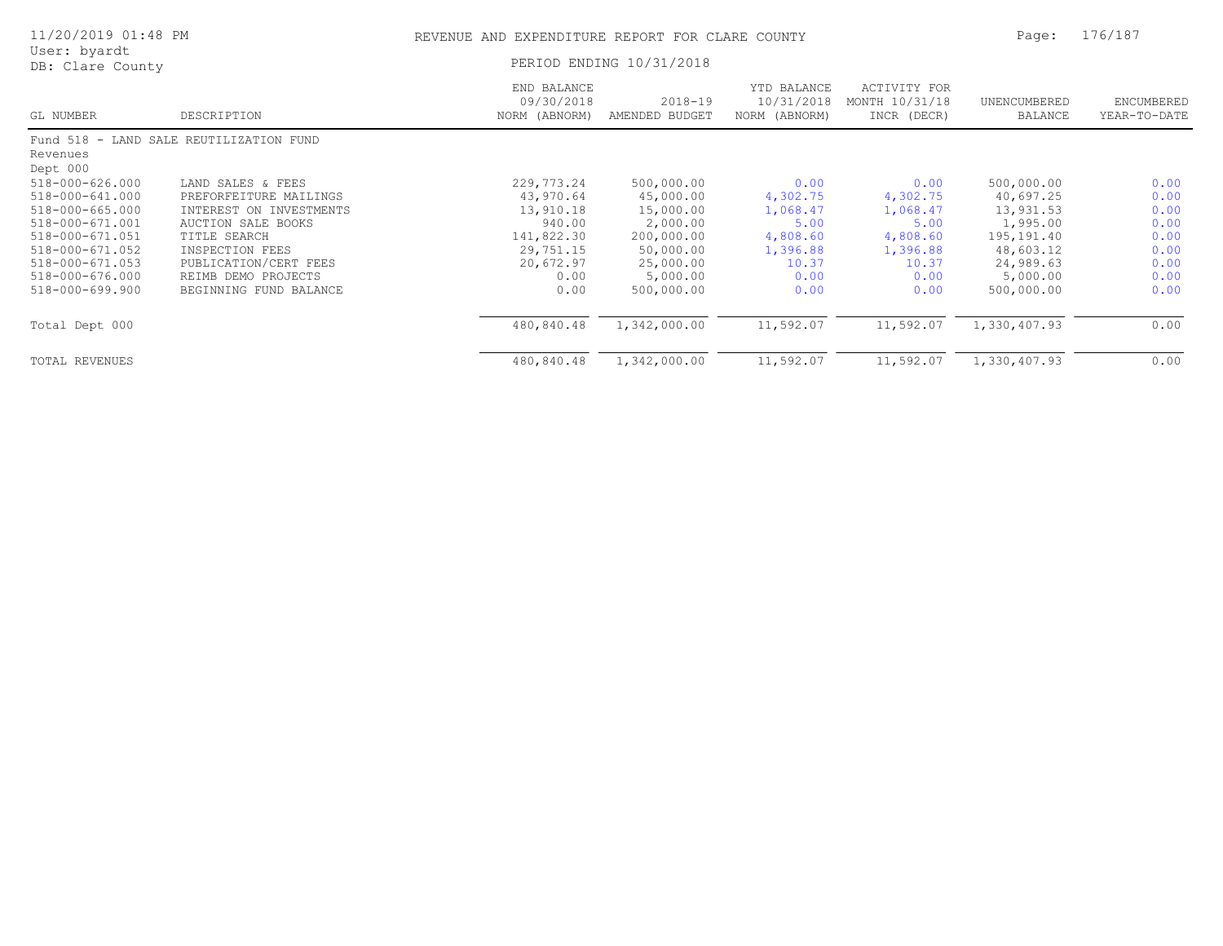| 11/20/2019 01:48 PM                      |                                               | REVENUE AND EXPENDITURE REPORT FOR CLARE COUNTY | Page:                         | 176/187                                    |                                               |                                |                            |
|------------------------------------------|-----------------------------------------------|-------------------------------------------------|-------------------------------|--------------------------------------------|-----------------------------------------------|--------------------------------|----------------------------|
| User: byardt<br>DB: Clare County         |                                               |                                                 | PERIOD ENDING 10/31/2018      |                                            |                                               |                                |                            |
| GL NUMBER                                | DESCRIPTION                                   | END BALANCE<br>09/30/2018<br>NORM (ABNORM)      | $2018 - 19$<br>AMENDED BUDGET | YTD BALANCE<br>10/31/2018<br>NORM (ABNORM) | ACTIVITY FOR<br>MONTH 10/31/18<br>INCR (DECR) | UNENCUMBERED<br><b>BALANCE</b> | ENCUMBERED<br>YEAR-TO-DATE |
|                                          | Fund 518 - LAND SALE REUTILIZATION FUND       |                                                 |                               |                                            |                                               |                                |                            |
| Revenues<br>Dept 000                     |                                               |                                                 |                               |                                            |                                               |                                |                            |
| 518-000-626.000<br>518-000-641.000       | LAND SALES & FEES<br>PREFORFEITURE MAILINGS   | 229,773.24<br>43,970.64                         | 500,000.00<br>45,000.00       | 0.00<br>4,302.75                           | 0.00<br>4,302.75                              | 500,000.00<br>40,697.25        | 0.00<br>0.00               |
| $518 - 000 - 665.000$                    | INTEREST ON INVESTMENTS                       | 13,910.18                                       | 15,000.00                     | 1,068.47                                   | 1,068.47                                      | 13,931.53                      | 0.00                       |
| 518-000-671.001<br>518-000-671.051       | AUCTION SALE BOOKS<br>TITLE SEARCH            | 940.00<br>141,822.30                            | 2,000.00<br>200,000.00        | 5.00<br>4,808.60                           | 5.00<br>4,808.60                              | 1,995.00<br>195,191.40         | 0.00<br>0.00               |
| 518-000-671.052<br>$518 - 000 - 671.053$ | INSPECTION FEES<br>PUBLICATION/CERT FEES      | 29,751.15<br>20,672.97                          | 50,000.00<br>25,000.00        | 1,396.88<br>10.37                          | 1,396.88<br>10.37                             | 48,603.12<br>24,989.63         | 0.00<br>0.00               |
| 518-000-676.000<br>518-000-699.900       | REIMB DEMO PROJECTS<br>BEGINNING FUND BALANCE | 0.00<br>0.00                                    | 5,000.00<br>500,000.00        | 0.00<br>0.00                               | 0.00<br>0.00                                  | 5,000.00<br>500,000.00         | 0.00<br>0.00               |
| Total Dept 000                           |                                               | 480,840.48                                      | 1,342,000.00                  | 11,592.07                                  | 11,592.07                                     | 1,330,407.93                   | 0.00                       |
| TOTAL REVENUES                           |                                               | 480,840.48                                      | 1,342,000.00                  | 11,592.07                                  | 11,592.07                                     | 1,330,407.93                   | 0.00                       |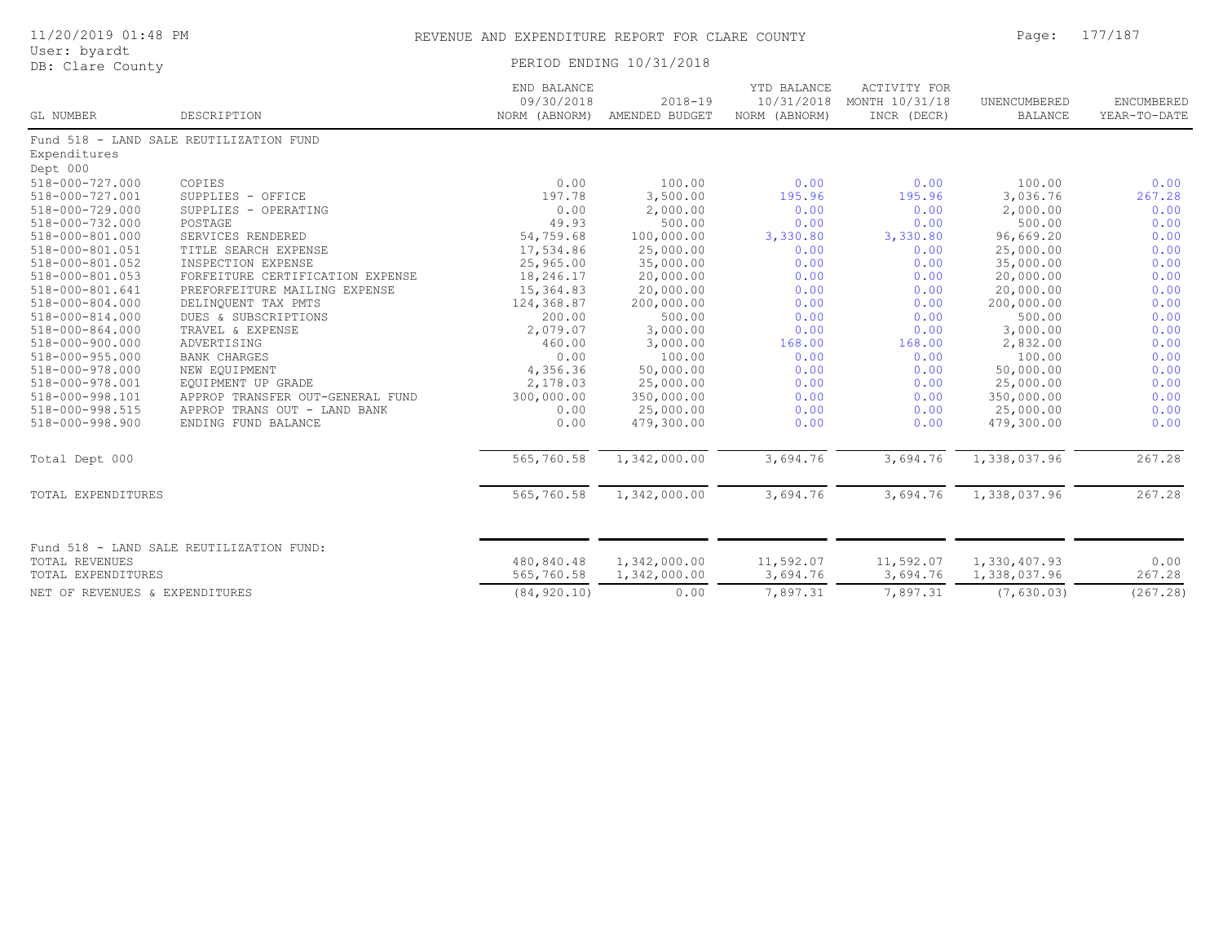|              | 11/20/2019 01:48 PM |  |
|--------------|---------------------|--|
| User: byardt |                     |  |

| DB: Clare County                                                                        |                                         |                                            | PERIOD ENDING 10/31/2018      |                                            |                                                      |                              |                            |
|-----------------------------------------------------------------------------------------|-----------------------------------------|--------------------------------------------|-------------------------------|--------------------------------------------|------------------------------------------------------|------------------------------|----------------------------|
| GL NUMBER                                                                               | DESCRIPTION                             | END BALANCE<br>09/30/2018<br>NORM (ABNORM) | $2018 - 19$<br>AMENDED BUDGET | YTD BALANCE<br>10/31/2018<br>NORM (ABNORM) | <b>ACTIVITY FOR</b><br>MONTH 10/31/18<br>INCR (DECR) | UNENCUMBERED<br>BALANCE      | ENCUMBERED<br>YEAR-TO-DATE |
|                                                                                         | Fund 518 - LAND SALE REUTILIZATION FUND |                                            |                               |                                            |                                                      |                              |                            |
| Expenditures                                                                            |                                         |                                            |                               |                                            |                                                      |                              |                            |
| Dept 000                                                                                |                                         |                                            |                               |                                            |                                                      |                              |                            |
| 518-000-727.000                                                                         | COPIES                                  | 0.00                                       | 100.00                        | 0.00                                       | 0.00                                                 | 100.00                       | 0.00                       |
| 518-000-727.001                                                                         | SUPPLIES - OFFICE                       | 197.78                                     | 3,500.00                      | 195.96                                     | 195.96                                               | 3,036.76                     | 267.28                     |
| 518-000-729.000                                                                         | SUPPLIES - OPERATING                    | 0.00                                       | 2,000.00                      | 0.00                                       | 0.00                                                 | 2,000.00                     | 0.00                       |
| 518-000-732.000                                                                         | POSTAGE                                 | 49.93                                      | 500.00                        | 0.00                                       | 0.00                                                 | 500.00                       | 0.00                       |
| 518-000-801.000                                                                         | SERVICES RENDERED                       | 54,759.68                                  | 100,000.00                    | 3,330.80                                   | 3,330.80                                             | 96,669.20                    | 0.00                       |
| 518-000-801.051                                                                         | TITLE SEARCH EXPENSE                    | 17,534.86                                  | 25,000.00                     | 0.00                                       | 0.00                                                 | 25,000.00                    | 0.00                       |
| 518-000-801.052                                                                         | INSPECTION EXPENSE                      | 25,965.00                                  | 35,000.00                     | 0.00                                       | 0.00                                                 | 35,000.00                    | 0.00                       |
| 518-000-801.053                                                                         | FORFEITURE CERTIFICATION EXPENSE        | 18,246.17                                  | 20,000.00                     | 0.00                                       | 0.00                                                 | 20,000.00                    | 0.00                       |
| 518-000-801.641                                                                         | PREFORFEITURE MAILING EXPENSE           | 15,364.83                                  | 20,000.00                     | 0.00                                       | 0.00                                                 | 20,000.00                    | 0.00                       |
| 518-000-804.000                                                                         | DELINQUENT TAX PMTS                     | 124,368.87                                 | 200,000.00                    | 0.00                                       | 0.00                                                 | 200,000.00                   | 0.00                       |
| 518-000-814.000                                                                         | DUES & SUBSCRIPTIONS                    | 200.00                                     | 500.00                        | 0.00                                       | 0.00                                                 | 500.00                       | 0.00                       |
| 518-000-864.000                                                                         | TRAVEL & EXPENSE                        | 2,079.07                                   | 3,000.00                      | 0.00                                       | 0.00                                                 | 3,000.00                     | 0.00                       |
| 518-000-900.000                                                                         | ADVERTISING                             | 460.00                                     | 3,000.00                      | 168.00                                     | 168.00                                               | 2,832.00                     | 0.00                       |
| 518-000-955.000                                                                         | <b>BANK CHARGES</b>                     | 0.00                                       | 100.00                        | 0.00                                       | 0.00                                                 | 100.00                       | 0.00                       |
| 518-000-978.000                                                                         | NEW EQUIPMENT                           | 4,356.36                                   | 50,000.00                     | 0.00                                       | 0.00                                                 | 50,000.00                    | 0.00                       |
| 518-000-978.001                                                                         | EQUIPMENT UP GRADE                      | 2,178.03                                   | 25,000.00                     | 0.00                                       | 0.00                                                 | 25,000.00                    | 0.00                       |
| 518-000-998.101                                                                         | APPROP TRANSFER OUT-GENERAL FUND        | 300,000.00                                 | 350,000.00                    | 0.00                                       | 0.00                                                 | 350,000.00                   | 0.00                       |
| 518-000-998.515                                                                         | APPROP TRANS OUT - LAND BANK            | 0.00                                       | 25,000.00                     | 0.00                                       | 0.00                                                 | 25,000.00                    | 0.00                       |
| 518-000-998.900                                                                         | ENDING FUND BALANCE                     | 0.00                                       | 479,300.00                    | 0.00                                       | 0.00                                                 | 479,300.00                   | 0.00                       |
| Total Dept 000                                                                          |                                         | 565,760.58                                 | 1,342,000.00                  | 3,694.76                                   | 3,694.76                                             | 1,338,037.96                 | 267.28                     |
| TOTAL EXPENDITURES                                                                      |                                         | 565,760.58                                 | 1,342,000.00                  | 3,694.76                                   | 3,694.76                                             | 1,338,037.96                 | 267.28                     |
| Fund 518 - LAND SALE REUTILIZATION FUND:<br><b>TOTAL REVENUES</b><br>TOTAL EXPENDITURES |                                         | 480,840.48<br>565,760.58                   | 1,342,000.00<br>1,342,000.00  | 11,592.07<br>3,694.76                      | 11,592.07<br>3,694.76                                | 1,330,407.93<br>1,338,037.96 | 0.00<br>267.28             |

NET OF REVENUES & EXPENDITURES (84,920.10) 0.00 7,897.31 7,897.31 (7,630.03) (267.28)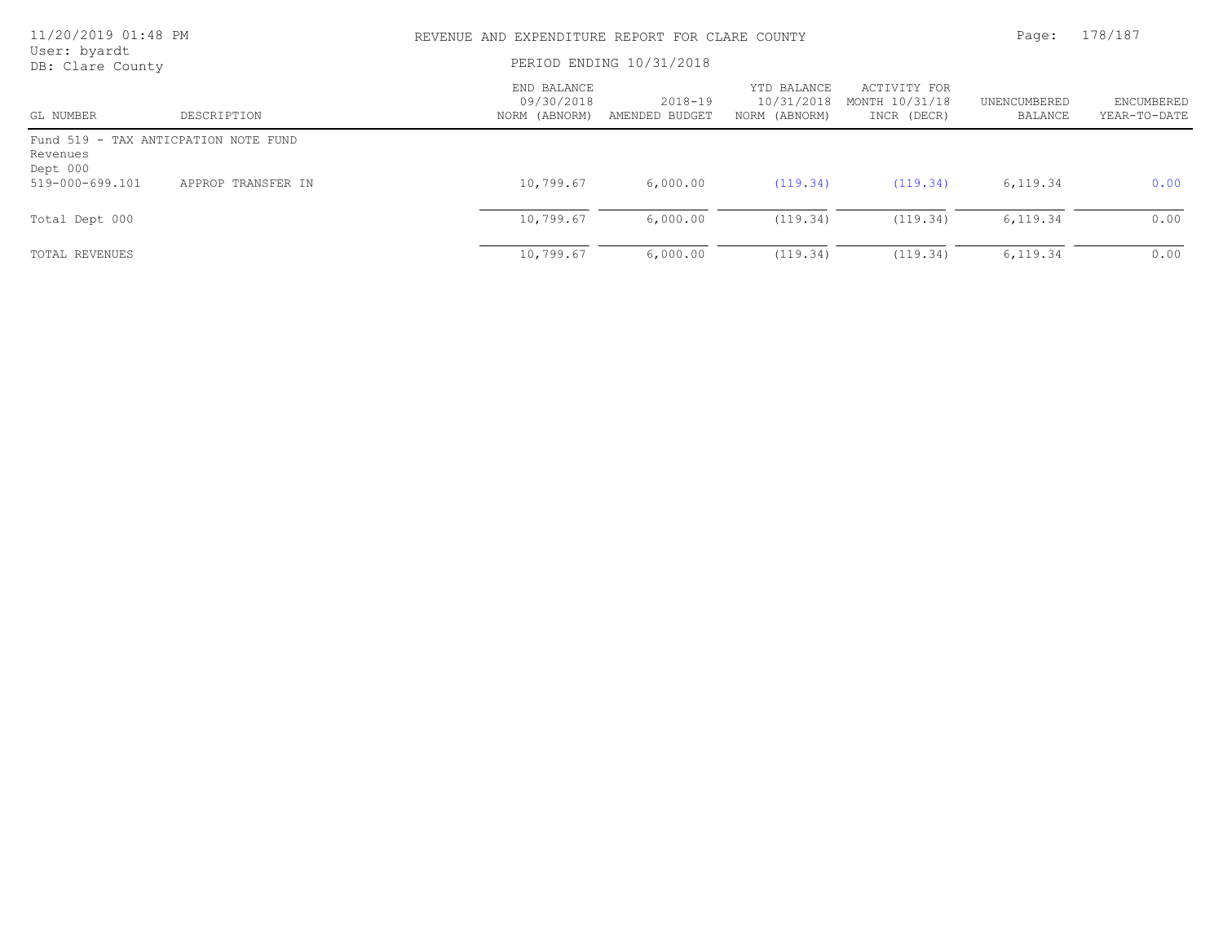| 11/20/2019 01:48 PM<br>User: byardt                          |                    | REVENUE AND EXPENDITURE REPORT FOR CLARE COUNTY |                           |                                            |                                               |                         | 178/187                    |
|--------------------------------------------------------------|--------------------|-------------------------------------------------|---------------------------|--------------------------------------------|-----------------------------------------------|-------------------------|----------------------------|
| DB: Clare County                                             |                    | PERIOD ENDING 10/31/2018                        |                           |                                            |                                               |                         |                            |
| GL NUMBER                                                    | DESCRIPTION        | END BALANCE<br>09/30/2018<br>NORM (ABNORM)      | 2018-19<br>AMENDED BUDGET | YTD BALANCE<br>10/31/2018<br>NORM (ABNORM) | ACTIVITY FOR<br>MONTH 10/31/18<br>INCR (DECR) | UNENCUMBERED<br>BALANCE | ENCUMBERED<br>YEAR-TO-DATE |
| Fund 519 - TAX ANTICPATION NOTE FUND<br>Revenues<br>Dept 000 |                    |                                                 |                           |                                            |                                               |                         |                            |
| 519-000-699.101                                              | APPROP TRANSFER IN | 10,799.67                                       | 6,000.00                  | (119.34)                                   | (119.34)                                      | 6,119.34                | 0.00                       |
| Total Dept 000                                               |                    | 10,799.67                                       | 6,000.00                  | (119.34)                                   | (119.34)                                      | 6,119.34                | 0.00                       |
| TOTAL REVENUES                                               |                    | 10,799.67                                       | 6,000.00                  | (119.34)                                   | (119.34)                                      | 6,119.34                | 0.00                       |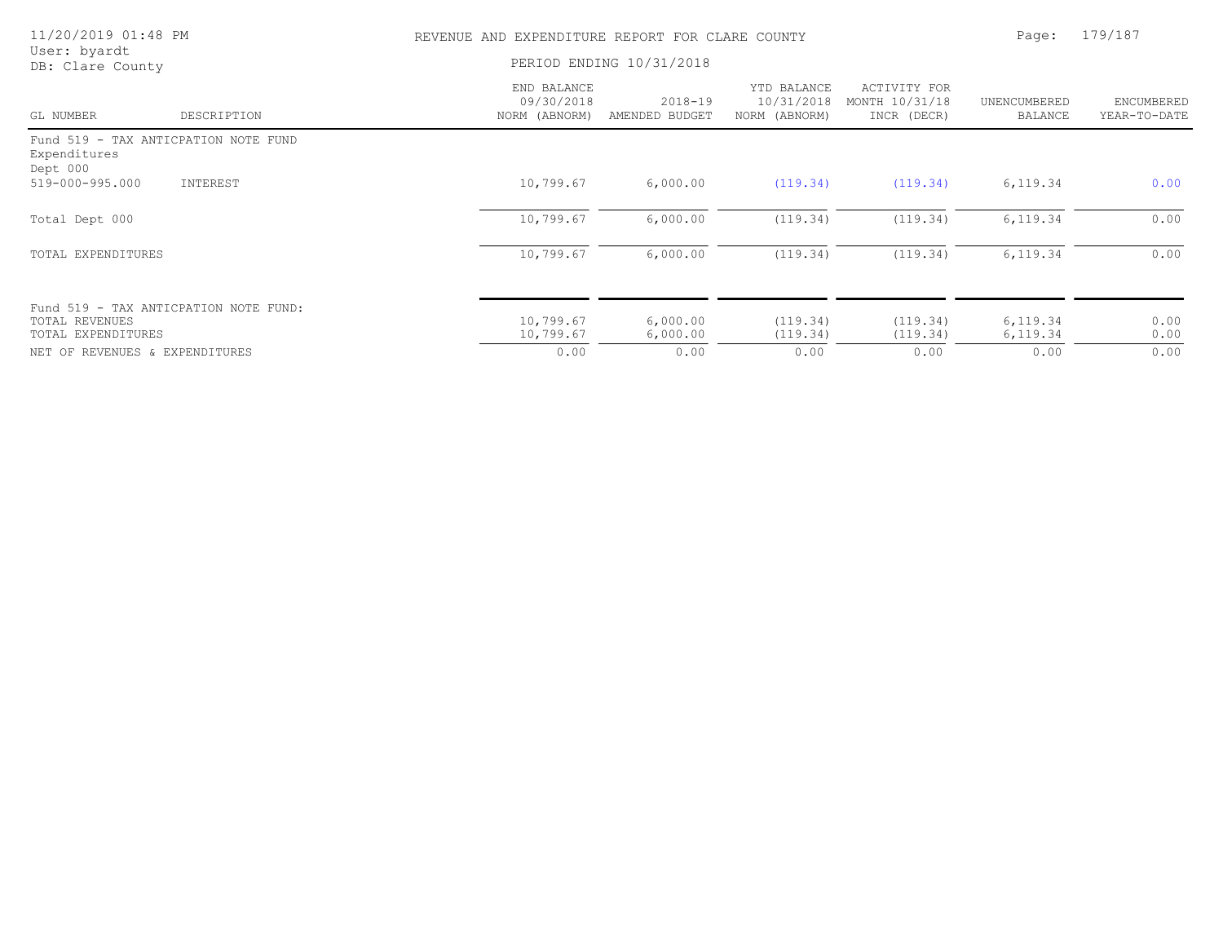| 11/20/2019 01:48 PM                                              |             | EXPENDITURE REPORT FOR CLARE COUNTY<br>REVENUE AND | Page:                         | 179/187                                    |                                               |                         |                            |
|------------------------------------------------------------------|-------------|----------------------------------------------------|-------------------------------|--------------------------------------------|-----------------------------------------------|-------------------------|----------------------------|
| User: byardt<br>DB: Clare County                                 |             | PERIOD ENDING 10/31/2018                           |                               |                                            |                                               |                         |                            |
| GL NUMBER                                                        | DESCRIPTION | END BALANCE<br>09/30/2018<br>NORM (ABNORM)         | $2018 - 19$<br>AMENDED BUDGET | YTD BALANCE<br>10/31/2018<br>NORM (ABNORM) | ACTIVITY FOR<br>MONTH 10/31/18<br>INCR (DECR) | UNENCUMBERED<br>BALANCE | ENCUMBERED<br>YEAR-TO-DATE |
| Fund 519 - TAX ANTICPATION NOTE FUND<br>Expenditures<br>Dept 000 |             |                                                    |                               |                                            |                                               |                         |                            |
| 519-000-995.000                                                  | INTEREST    | 10,799.67                                          | 6,000.00                      | (119.34)                                   | (119.34)                                      | 6,119.34                | 0.00                       |
| Total Dept 000                                                   |             | 10,799.67                                          | 6,000.00                      | (119.34)                                   | (119.34)                                      | 6,119.34                | 0.00                       |
| TOTAL EXPENDITURES                                               |             | 10,799.67                                          | 6,000.00                      | (119.34)                                   | (119.34)                                      | 6,119.34                | 0.00                       |
| Fund 519 - TAX ANTICPATION NOTE FUND:                            |             |                                                    |                               |                                            |                                               |                         |                            |
| TOTAL REVENUES<br>TOTAL EXPENDITURES                             |             | 10,799.67<br>10,799.67                             | 6,000.00<br>6,000.00          | (119.34)<br>(119.34)                       | (119.34)<br>(119.34)                          | 6,119.34<br>6,119.34    | 0.00<br>0.00               |
| NET OF REVENUES & EXPENDITURES                                   |             | 0.00                                               | 0.00                          | 0.00                                       | 0.00                                          | 0.00                    | 0.00                       |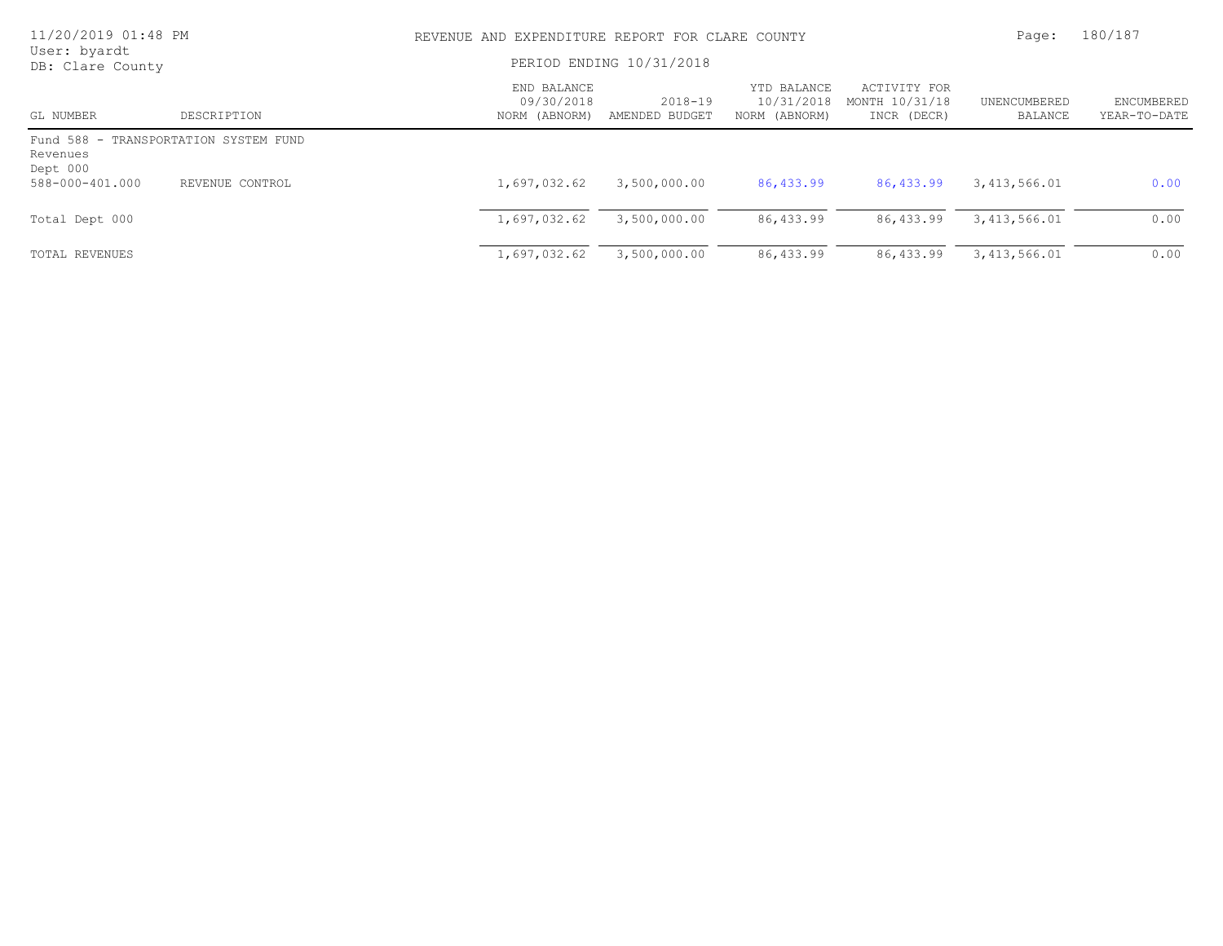| 11/20/2019 01:48 PM<br>User: byardt                           |                 | REVENUE AND EXPENDITURE REPORT FOR CLARE COUNTY |                           |                                            |                                               |                         | 180/187                           |
|---------------------------------------------------------------|-----------------|-------------------------------------------------|---------------------------|--------------------------------------------|-----------------------------------------------|-------------------------|-----------------------------------|
| DB: Clare County                                              |                 | PERIOD ENDING 10/31/2018                        |                           |                                            |                                               |                         |                                   |
| GL NUMBER                                                     | DESCRIPTION     | END BALANCE<br>09/30/2018<br>NORM (ABNORM)      | 2018-19<br>AMENDED BUDGET | YTD BALANCE<br>10/31/2018<br>NORM (ABNORM) | ACTIVITY FOR<br>MONTH 10/31/18<br>INCR (DECR) | UNENCUMBERED<br>BALANCE | <b>ENCUMBERED</b><br>YEAR-TO-DATE |
| Fund 588 - TRANSPORTATION SYSTEM FUND<br>Revenues<br>Dept 000 |                 |                                                 |                           |                                            |                                               |                         |                                   |
| 588-000-401.000                                               | REVENUE CONTROL | 1,697,032.62                                    | 3,500,000.00              | 86,433.99                                  | 86,433.99                                     | 3,413,566.01            | 0.00                              |
| Total Dept 000                                                |                 | 1,697,032.62                                    | 3,500,000.00              | 86,433.99                                  | 86,433.99                                     | 3,413,566.01            | 0.00                              |
| TOTAL REVENUES                                                |                 | 1,697,032.62                                    | 3,500,000.00              | 86,433.99                                  | 86,433.99                                     | 3, 413, 566.01          | 0.00                              |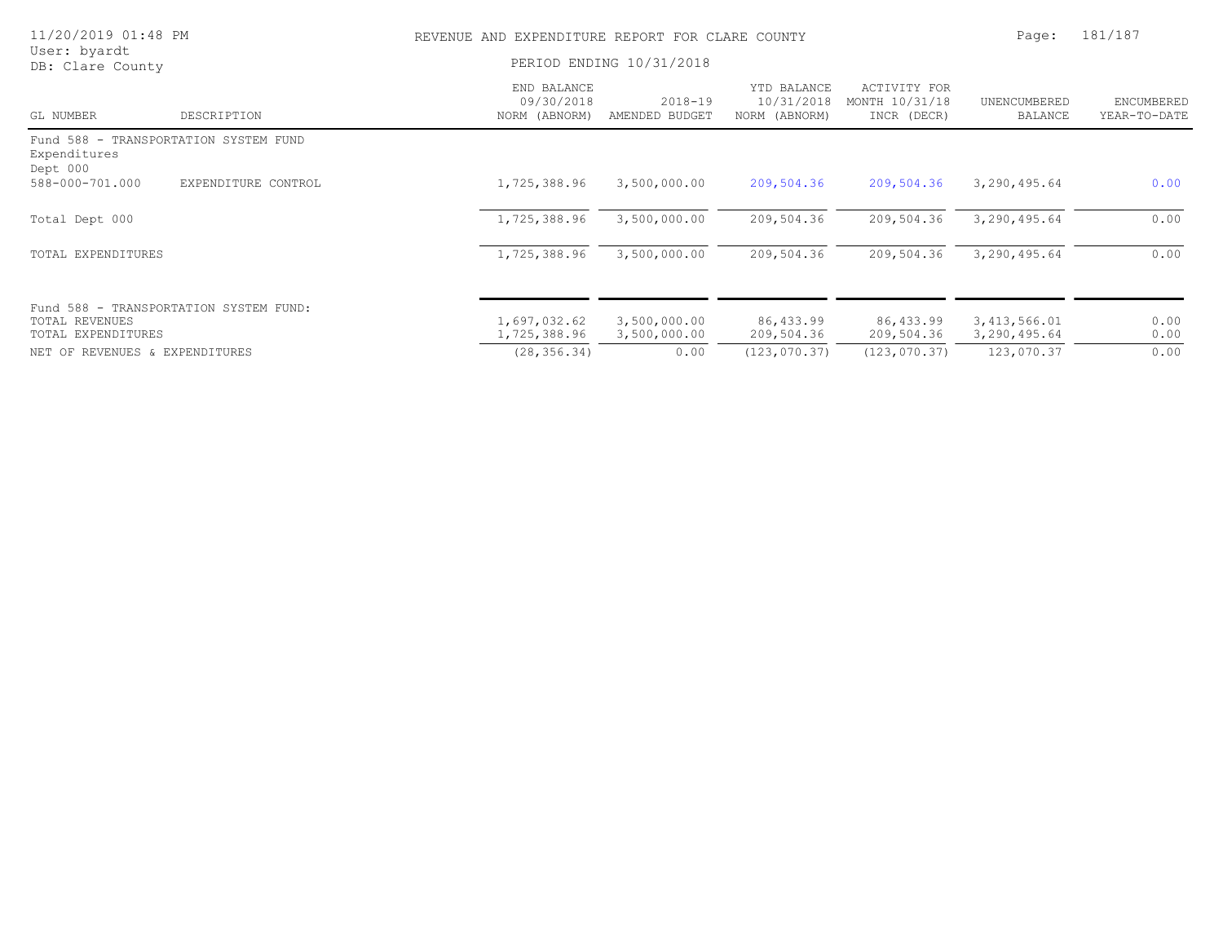| 11/20/2019 01:48 PM                                                            |                     | REVENUE AND EXPENDITURE REPORT FOR CLARE COUNTY |                               |                                            |                                               |                                | 181/187                    |
|--------------------------------------------------------------------------------|---------------------|-------------------------------------------------|-------------------------------|--------------------------------------------|-----------------------------------------------|--------------------------------|----------------------------|
| User: byardt<br>DB: Clare County                                               |                     | PERIOD ENDING 10/31/2018                        |                               |                                            |                                               |                                |                            |
| GL NUMBER                                                                      | DESCRIPTION         | END BALANCE<br>09/30/2018<br>NORM (ABNORM)      | $2018 - 19$<br>AMENDED BUDGET | YTD BALANCE<br>10/31/2018<br>NORM (ABNORM) | ACTIVITY FOR<br>MONTH 10/31/18<br>INCR (DECR) | UNENCUMBERED<br>BALANCE        | ENCUMBERED<br>YEAR-TO-DATE |
| Fund 588 - TRANSPORTATION SYSTEM FUND<br>Expenditures<br>Dept 000              |                     |                                                 |                               |                                            |                                               |                                |                            |
| 588-000-701.000                                                                | EXPENDITURE CONTROL | 1,725,388.96                                    | 3,500,000.00                  | 209,504.36                                 | 209,504.36                                    | 3,290,495.64                   | 0.00                       |
| Total Dept 000                                                                 |                     | 1,725,388.96                                    | 3,500,000.00                  | 209,504.36                                 | 209,504.36                                    | 3,290,495.64                   | 0.00                       |
| TOTAL EXPENDITURES                                                             |                     | 1,725,388.96                                    | 3,500,000.00                  | 209,504.36                                 | 209,504.36                                    | 3,290,495.64                   | 0.00                       |
| Fund 588 - TRANSPORTATION SYSTEM FUND:<br>TOTAL REVENUES<br>TOTAL EXPENDITURES |                     | 1,697,032.62<br>1,725,388.96                    | 3,500,000.00<br>3,500,000.00  | 86,433.99<br>209,504.36                    | 86,433.99<br>209,504.36                       | 3, 413, 566.01<br>3,290,495.64 | 0.00<br>0.00               |
| NET OF REVENUES & EXPENDITURES                                                 |                     | (28, 356, 34)                                   | 0.00                          | (123, 070, 37)                             | (123, 070.37)                                 | 123,070.37                     | 0.00                       |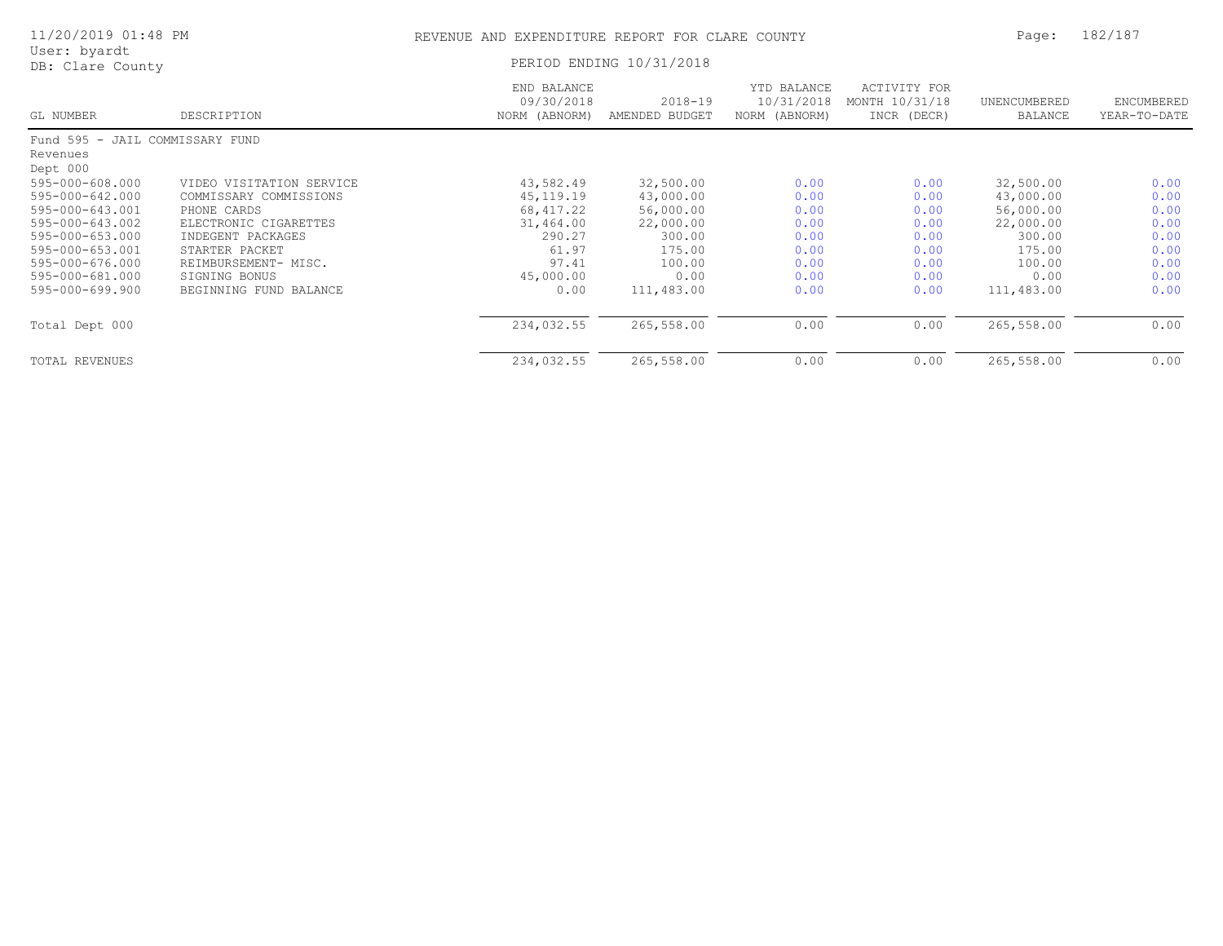| 11/20/2019 01:48 PM              |                          | REVENUE AND EXPENDITURE REPORT FOR CLARE COUNTY | Page:                         | 182/187                                    |                                               |                         |                            |
|----------------------------------|--------------------------|-------------------------------------------------|-------------------------------|--------------------------------------------|-----------------------------------------------|-------------------------|----------------------------|
| User: byardt<br>DB: Clare County |                          | PERIOD ENDING 10/31/2018                        |                               |                                            |                                               |                         |                            |
| GL NUMBER                        | DESCRIPTION              | END BALANCE<br>09/30/2018<br>NORM (ABNORM)      | $2018 - 19$<br>AMENDED BUDGET | YTD BALANCE<br>10/31/2018<br>NORM (ABNORM) | ACTIVITY FOR<br>MONTH 10/31/18<br>INCR (DECR) | UNENCUMBERED<br>BALANCE | ENCUMBERED<br>YEAR-TO-DATE |
| Fund 595 - JAIL COMMISSARY FUND  |                          |                                                 |                               |                                            |                                               |                         |                            |
| Revenues                         |                          |                                                 |                               |                                            |                                               |                         |                            |
| Dept 000                         |                          |                                                 |                               |                                            |                                               |                         |                            |
| 595-000-608.000                  | VIDEO VISITATION SERVICE | 43,582.49                                       | 32,500.00                     | 0.00                                       | 0.00                                          | 32,500.00               | 0.00                       |
| 595-000-642.000                  | COMMISSARY COMMISSIONS   | 45, 119. 19                                     | 43,000.00                     | 0.00                                       | 0.00                                          | 43,000.00               | 0.00                       |
| 595-000-643.001                  | PHONE CARDS              | 68, 417.22                                      | 56,000.00                     | 0.00                                       | 0.00                                          | 56,000.00               | 0.00                       |
| 595-000-643.002                  | ELECTRONIC CIGARETTES    | 31,464.00                                       | 22,000.00                     | 0.00                                       | 0.00                                          | 22,000.00               | 0.00                       |
| $595 - 000 - 653.000$            | INDEGENT PACKAGES        | 290.27                                          | 300.00                        | 0.00                                       | 0.00                                          | 300.00                  | 0.00                       |
| 595-000-653.001                  | STARTER PACKET           | 61.97                                           | 175.00                        | 0.00                                       | 0.00                                          | 175.00                  | 0.00                       |
| 595-000-676.000                  | REIMBURSEMENT- MISC.     | 97.41                                           | 100.00                        | 0.00                                       | 0.00                                          | 100.00                  | 0.00                       |
| 595-000-681.000                  | SIGNING BONUS            | 45,000.00                                       | 0.00                          | 0.00                                       | 0.00                                          | 0.00                    | 0.00                       |
| $595 - 000 - 699.900$            | BEGINNING FUND BALANCE   | 0.00                                            | 111,483.00                    | 0.00                                       | 0.00                                          | 111,483.00              | 0.00                       |
| Total Dept 000                   |                          | 234,032.55                                      | 265,558.00                    | 0.00                                       | 0.00                                          | 265,558.00              | 0.00                       |
| TOTAL REVENUES                   |                          | 234,032.55                                      | 265,558.00                    | 0.00                                       | 0.00                                          | 265,558.00              | 0.00                       |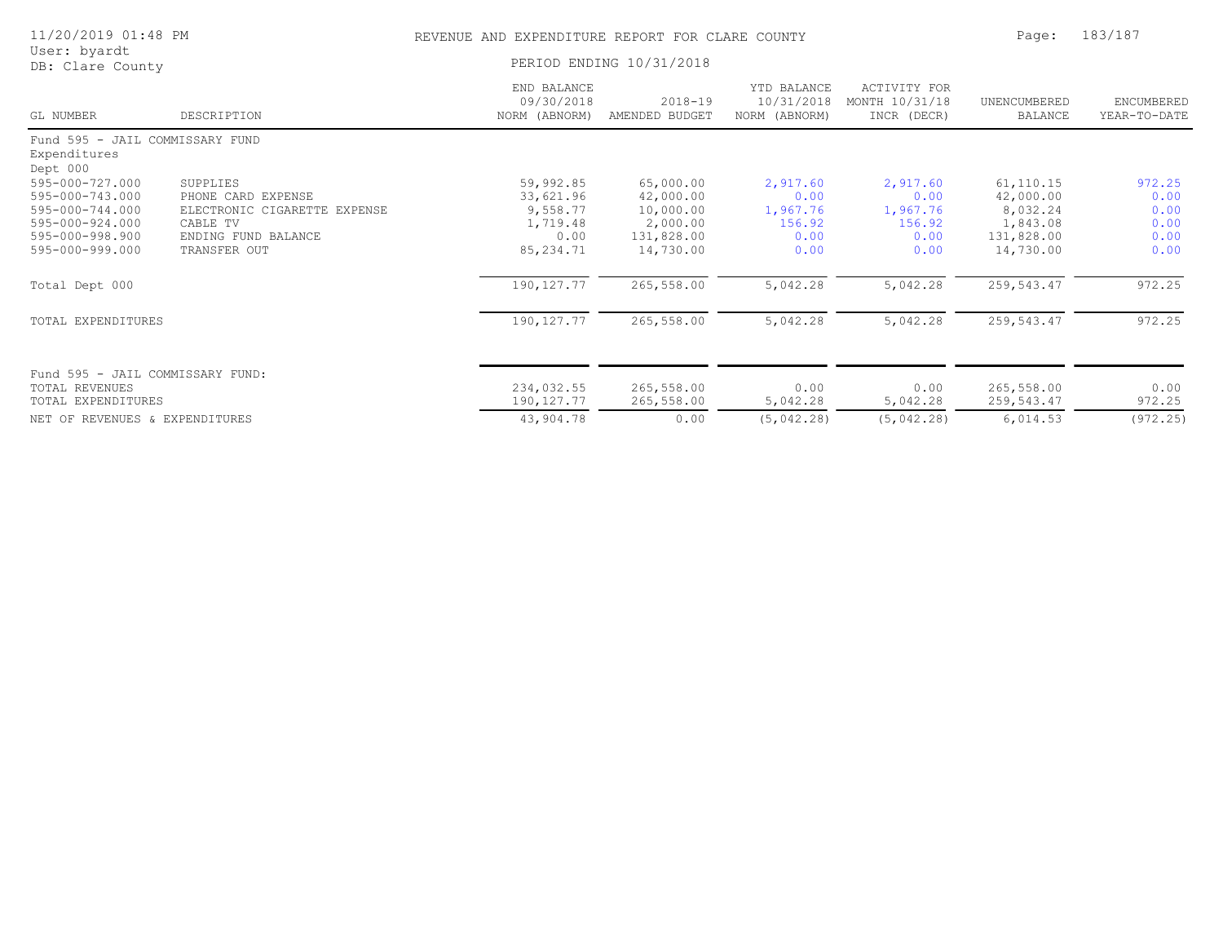| 11/20/2019 01:48 PM                                                                                            |                                                                                                                   | REVENUE AND EXPENDITURE REPORT FOR CLARE COUNTY                     | Page:                                                                      | 183/187                                                |                                                        |                                                                            |                                                |
|----------------------------------------------------------------------------------------------------------------|-------------------------------------------------------------------------------------------------------------------|---------------------------------------------------------------------|----------------------------------------------------------------------------|--------------------------------------------------------|--------------------------------------------------------|----------------------------------------------------------------------------|------------------------------------------------|
| User: byardt<br>DB: Clare County                                                                               |                                                                                                                   | PERIOD ENDING 10/31/2018                                            |                                                                            |                                                        |                                                        |                                                                            |                                                |
| GL NUMBER                                                                                                      | DESCRIPTION                                                                                                       | END BALANCE<br>09/30/2018<br>NORM (ABNORM)                          | $2018 - 19$<br>AMENDED BUDGET                                              | YTD BALANCE<br>10/31/2018<br>NORM (ABNORM)             | <b>ACTIVITY FOR</b><br>MONTH 10/31/18<br>INCR (DECR)   | UNENCUMBERED<br><b>BALANCE</b>                                             | ENCUMBERED<br>YEAR-TO-DATE                     |
| Fund 595 - JAIL COMMISSARY FUND<br>Expenditures<br>Dept 000                                                    |                                                                                                                   |                                                                     |                                                                            |                                                        |                                                        |                                                                            |                                                |
| 595-000-727.000<br>595-000-743.000<br>595-000-744.000<br>595-000-924.000<br>595-000-998.900<br>595-000-999.000 | SUPPLIES<br>PHONE CARD EXPENSE<br>ELECTRONIC CIGARETTE EXPENSE<br>CABLE TV<br>ENDING FUND BALANCE<br>TRANSFER OUT | 59,992.85<br>33,621.96<br>9,558.77<br>1,719.48<br>0.00<br>85,234.71 | 65,000.00<br>42,000.00<br>10,000.00<br>2,000.00<br>131,828.00<br>14,730.00 | 2,917.60<br>0.00<br>1,967.76<br>156.92<br>0.00<br>0.00 | 2,917.60<br>0.00<br>1,967.76<br>156.92<br>0.00<br>0.00 | 61, 110.15<br>42,000.00<br>8,032.24<br>1,843.08<br>131,828.00<br>14,730.00 | 972.25<br>0.00<br>0.00<br>0.00<br>0.00<br>0.00 |
| Total Dept 000                                                                                                 |                                                                                                                   | 190, 127.77                                                         | 265,558.00                                                                 | 5,042.28                                               | 5,042.28                                               | 259, 543.47                                                                | 972.25                                         |
| TOTAL EXPENDITURES                                                                                             |                                                                                                                   | 190, 127.77                                                         | 265,558.00                                                                 | 5,042.28                                               | 5,042.28                                               | 259, 543.47                                                                | 972.25                                         |
| Fund 595 - JAIL COMMISSARY FUND:<br>TOTAL REVENUES<br>TOTAL EXPENDITURES                                       |                                                                                                                   | 234,032.55<br>190, 127. 77                                          | 265,558.00<br>265,558.00                                                   | 0.00<br>5,042.28                                       | 0.00<br>5,042.28                                       | 265,558.00<br>259,543.47                                                   | 0.00<br>972.25                                 |
| NET OF REVENUES & EXPENDITURES                                                                                 |                                                                                                                   | 43,904.78                                                           | 0.00                                                                       | (5,042.28)                                             | (5,042.28)                                             | 6,014.53                                                                   | (972.25)                                       |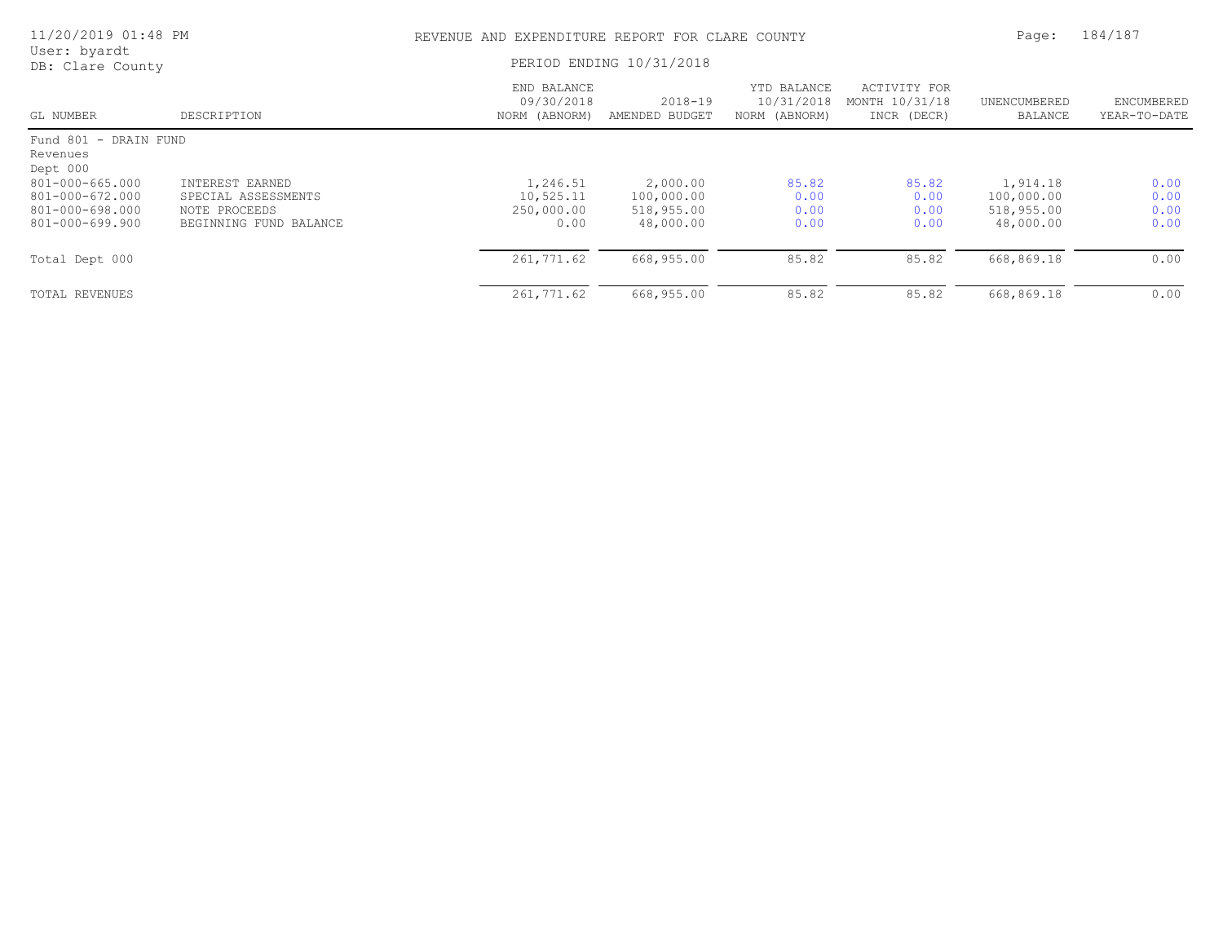| 11/20/2019 01:48 PM                                                      |                                                                                   |                                             | REVENUE AND EXPENDITURE REPORT FOR CLARE COUNTY   |                                            |                                               |                                                   |                                   |
|--------------------------------------------------------------------------|-----------------------------------------------------------------------------------|---------------------------------------------|---------------------------------------------------|--------------------------------------------|-----------------------------------------------|---------------------------------------------------|-----------------------------------|
| User: byardt<br>DB: Clare County                                         |                                                                                   |                                             | PERIOD ENDING 10/31/2018                          |                                            |                                               |                                                   |                                   |
| GL NUMBER                                                                | DESCRIPTION                                                                       | END BALANCE<br>09/30/2018<br>NORM (ABNORM)  | $2018 - 19$<br>AMENDED BUDGET                     | YTD BALANCE<br>10/31/2018<br>NORM (ABNORM) | ACTIVITY FOR<br>MONTH 10/31/18<br>INCR (DECR) | UNENCUMBERED<br><b>BALANCE</b>                    | <b>ENCUMBERED</b><br>YEAR-TO-DATE |
| Fund 801 - DRAIN FUND<br>Revenues<br>Dept 000                            |                                                                                   |                                             |                                                   |                                            |                                               |                                                   |                                   |
| 801-000-665.000<br>801-000-672.000<br>801-000-698.000<br>801-000-699.900 | INTEREST EARNED<br>SPECIAL ASSESSMENTS<br>NOTE PROCEEDS<br>BEGINNING FUND BALANCE | 1,246.51<br>10,525.11<br>250,000.00<br>0.00 | 2,000.00<br>100,000.00<br>518,955.00<br>48,000.00 | 85.82<br>0.00<br>0.00<br>0.00              | 85.82<br>0.00<br>0.00<br>0.00                 | 1,914.18<br>100,000.00<br>518,955.00<br>48,000.00 | 0.00<br>0.00<br>0.00<br>0.00      |
| Total Dept 000                                                           |                                                                                   | 261,771.62                                  | 668,955.00                                        | 85.82                                      | 85.82                                         | 668,869.18                                        | 0.00                              |
| <b>TOTAL REVENUES</b>                                                    |                                                                                   | 261,771.62                                  | 668,955.00                                        | 85.82                                      | 85.82                                         | 668,869.18                                        | 0.00                              |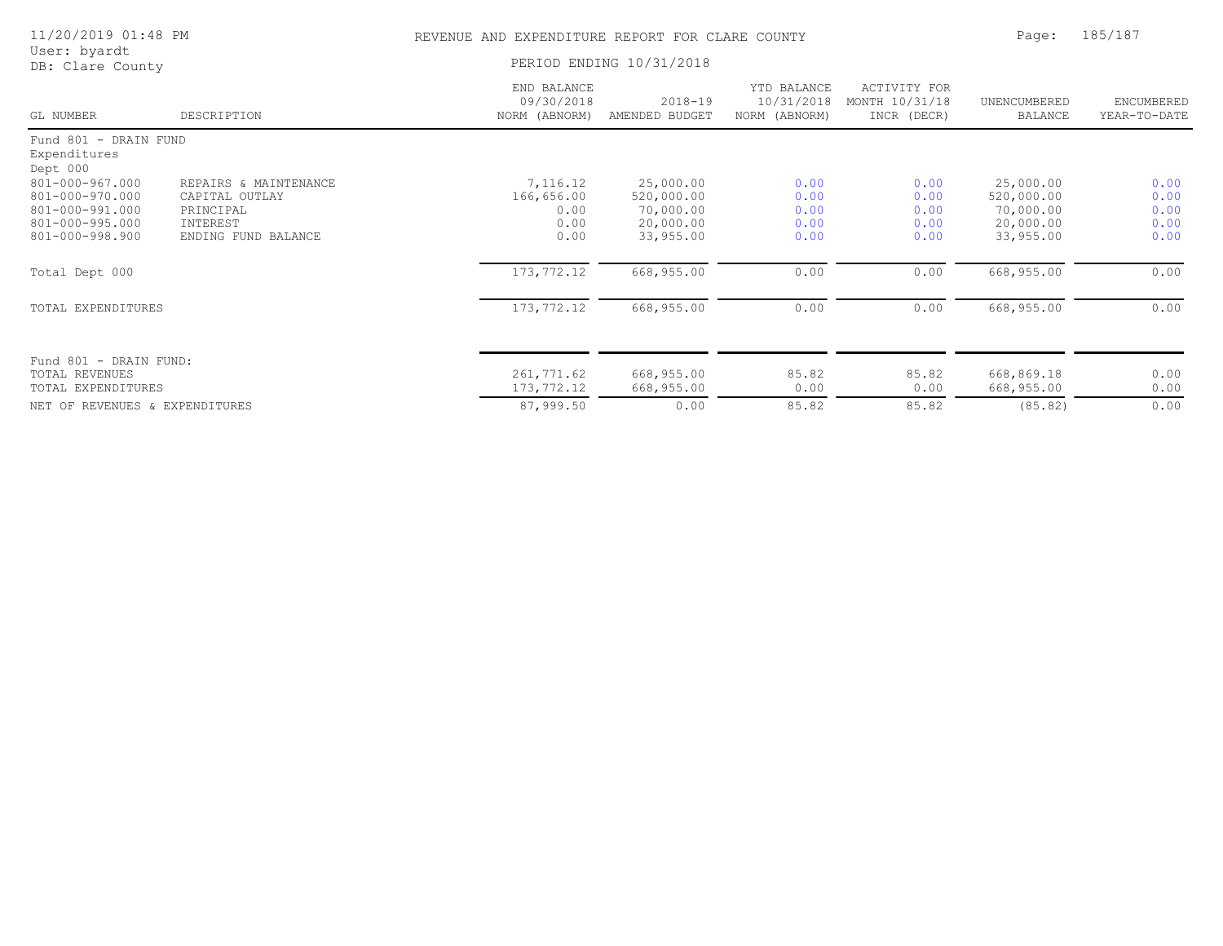| 11/20/2019 01:48 PM                                                                               |                                                                                         | REVENUE AND EXPENDITURE REPORT FOR CLARE COUNTY | Page:                                                          | 185/187                                    |                                                      |                                                                |                                      |
|---------------------------------------------------------------------------------------------------|-----------------------------------------------------------------------------------------|-------------------------------------------------|----------------------------------------------------------------|--------------------------------------------|------------------------------------------------------|----------------------------------------------------------------|--------------------------------------|
| User: byardt<br>DB: Clare County                                                                  |                                                                                         | PERIOD ENDING 10/31/2018                        |                                                                |                                            |                                                      |                                                                |                                      |
| GL NUMBER                                                                                         | DESCRIPTION                                                                             | END BALANCE<br>09/30/2018<br>NORM (ABNORM)      | $2018 - 19$<br>AMENDED BUDGET                                  | YTD BALANCE<br>10/31/2018<br>NORM (ABNORM) | <b>ACTIVITY FOR</b><br>MONTH 10/31/18<br>INCR (DECR) | UNENCUMBERED<br>BALANCE                                        | ENCUMBERED<br>YEAR-TO-DATE           |
| Fund 801 - DRAIN FUND<br>Expenditures<br>Dept 000                                                 |                                                                                         |                                                 |                                                                |                                            |                                                      |                                                                |                                      |
| $801 - 000 - 967.000$<br>801-000-970.000<br>801-000-991.000<br>801-000-995.000<br>801-000-998.900 | REPAIRS & MAINTENANCE<br>CAPITAL OUTLAY<br>PRINCIPAL<br>INTEREST<br>ENDING FUND BALANCE | 7,116.12<br>166,656.00<br>0.00<br>0.00<br>0.00  | 25,000.00<br>520,000.00<br>70,000.00<br>20,000.00<br>33,955.00 | 0.00<br>0.00<br>0.00<br>0.00<br>0.00       | 0.00<br>0.00<br>0.00<br>0.00<br>0.00                 | 25,000.00<br>520,000.00<br>70,000.00<br>20,000.00<br>33,955.00 | 0.00<br>0.00<br>0.00<br>0.00<br>0.00 |
| Total Dept 000                                                                                    |                                                                                         | 173,772.12                                      | 668,955.00                                                     | 0.00                                       | 0.00                                                 | 668,955.00                                                     | 0.00                                 |
| TOTAL EXPENDITURES                                                                                |                                                                                         | 173,772.12                                      | 668,955.00                                                     | 0.00                                       | 0.00                                                 | 668,955.00                                                     | 0.00                                 |
| Fund 801 - DRAIN FUND:<br><b>TOTAL REVENUES</b><br>TOTAL EXPENDITURES                             |                                                                                         | 261,771.62<br>173,772.12                        | 668,955.00<br>668,955.00                                       | 85.82<br>0.00                              | 85.82<br>0.00                                        | 668,869.18<br>668,955.00                                       | 0.00<br>0.00                         |
| NET OF REVENUES & EXPENDITURES                                                                    |                                                                                         | 87,999.50                                       | 0.00                                                           | 85.82                                      | 85.82                                                | (85.82)                                                        | 0.00                                 |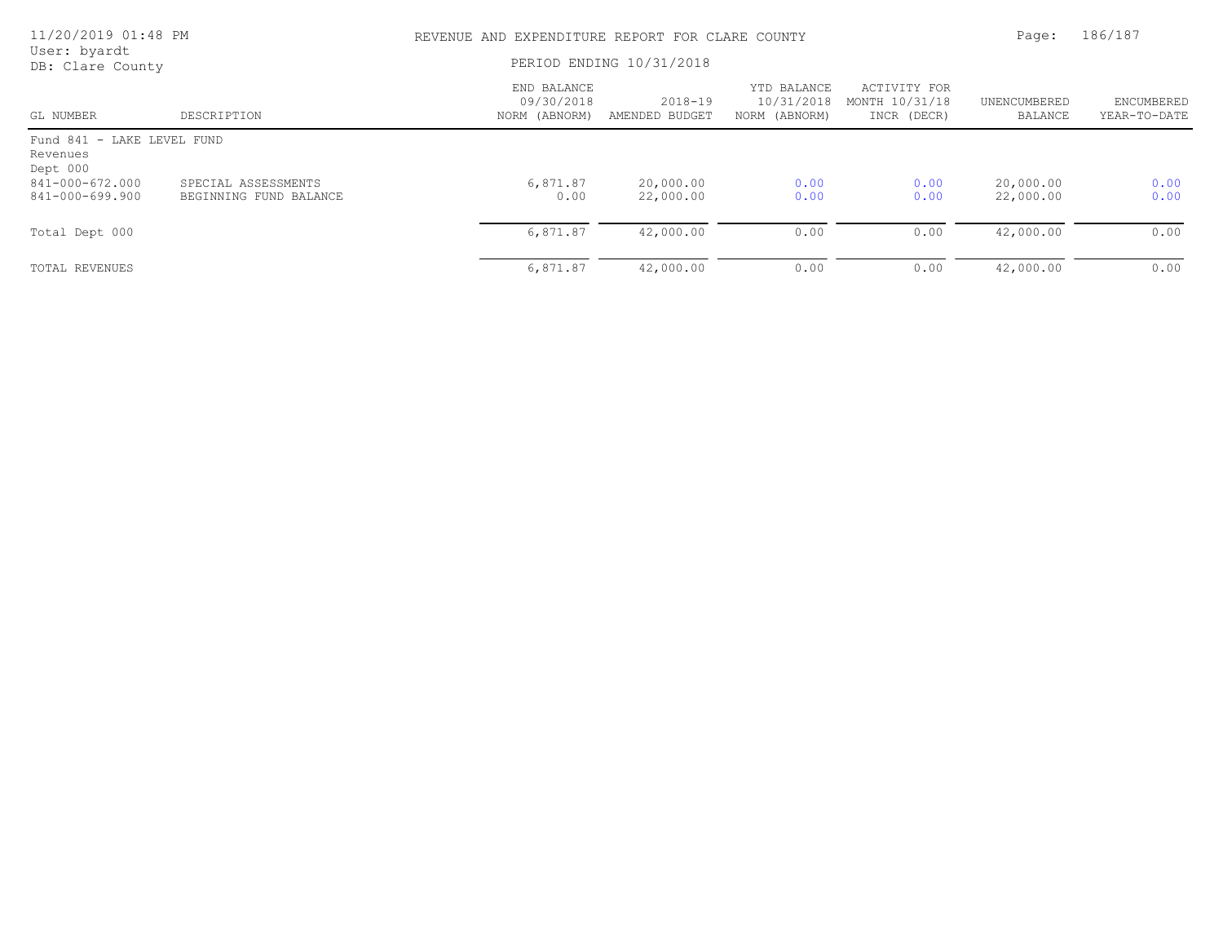| 11/20/2019 01:48 PM                                |                                               |                                            | REVENUE AND EXPENDITURE REPORT FOR CLARE COUNTY |                                            |                                               |                         |                            |
|----------------------------------------------------|-----------------------------------------------|--------------------------------------------|-------------------------------------------------|--------------------------------------------|-----------------------------------------------|-------------------------|----------------------------|
| User: byardt<br>DB: Clare County                   |                                               | PERIOD ENDING 10/31/2018                   |                                                 |                                            |                                               |                         |                            |
| GL NUMBER                                          | DESCRIPTION                                   | END BALANCE<br>09/30/2018<br>NORM (ABNORM) | $2018 - 19$<br>AMENDED BUDGET                   | YTD BALANCE<br>10/31/2018<br>NORM (ABNORM) | ACTIVITY FOR<br>MONTH 10/31/18<br>INCR (DECR) | UNENCUMBERED<br>BALANCE | ENCUMBERED<br>YEAR-TO-DATE |
| Fund 841 - LAKE LEVEL FUND<br>Revenues<br>Dept 000 |                                               |                                            |                                                 |                                            |                                               |                         |                            |
| 841-000-672.000<br>841-000-699.900                 | SPECIAL ASSESSMENTS<br>BEGINNING FUND BALANCE | 6,871.87<br>0.00                           | 20,000.00<br>22,000.00                          | 0.00<br>0.00                               | 0.00<br>0.00                                  | 20,000.00<br>22,000.00  | 0.00<br>0.00               |
| Total Dept 000                                     |                                               | 6,871.87                                   | 42,000.00                                       | 0.00                                       | 0.00                                          | 42,000.00               | 0.00                       |
| TOTAL REVENUES                                     |                                               | 6,871.87                                   | 42,000.00                                       | 0.00                                       | 0.00                                          | 42,000.00               | 0.00                       |